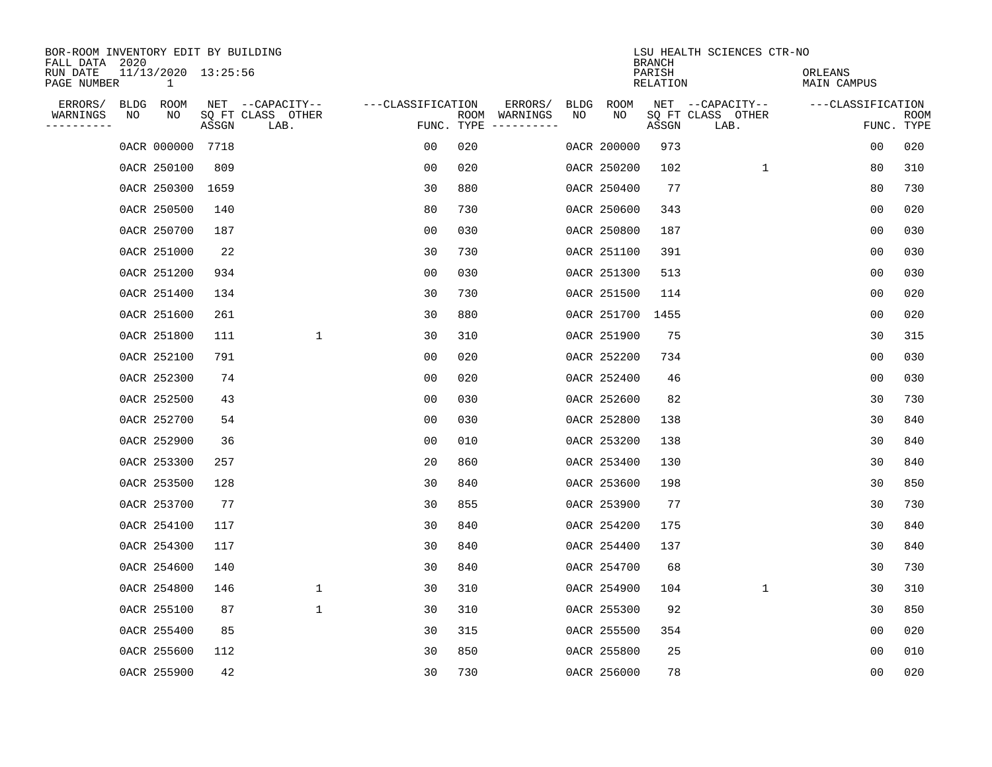| BOR-ROOM INVENTORY EDIT BY BUILDING<br>FALL DATA 2020 |      |                                     |       |                           |                   |            |               |      |             | <b>BRANCH</b>      | LSU HEALTH SCIENCES CTR-NO |                        |                           |
|-------------------------------------------------------|------|-------------------------------------|-------|---------------------------|-------------------|------------|---------------|------|-------------|--------------------|----------------------------|------------------------|---------------------------|
| RUN DATE<br>PAGE NUMBER                               |      | 11/13/2020 13:25:56<br>$\mathbf{1}$ |       |                           |                   |            |               |      |             | PARISH<br>RELATION |                            | ORLEANS<br>MAIN CAMPUS |                           |
| ERRORS/                                               | BLDG | ROOM                                |       | NET --CAPACITY--          | ---CLASSIFICATION |            | ERRORS/       | BLDG | ROOM        |                    | NET --CAPACITY--           | ---CLASSIFICATION      |                           |
| WARNINGS<br>----------                                | ΝO   | NO                                  | ASSGN | SQ FT CLASS OTHER<br>LAB. |                   | FUNC. TYPE | ROOM WARNINGS | NO   | NO          | ASSGN              | SQ FT CLASS OTHER<br>LAB.  |                        | <b>ROOM</b><br>FUNC. TYPE |
|                                                       |      | 0ACR 000000                         | 7718  |                           | 00                | 020        |               |      | 0ACR 200000 | 973                |                            | 00                     | 020                       |
|                                                       |      | 0ACR 250100                         | 809   |                           | 00                | 020        |               |      | 0ACR 250200 | 102                | 1                          | 80                     | 310                       |
|                                                       |      | 0ACR 250300                         | 1659  |                           | 30                | 880        |               |      | 0ACR 250400 | 77                 |                            | 80                     | 730                       |
|                                                       |      | 0ACR 250500                         | 140   |                           | 80                | 730        |               |      | 0ACR 250600 | 343                |                            | 0 <sub>0</sub>         | 020                       |
|                                                       |      | 0ACR 250700                         | 187   |                           | 0 <sub>0</sub>    | 030        |               |      | 0ACR 250800 | 187                |                            | 0 <sub>0</sub>         | 030                       |
|                                                       |      | 0ACR 251000                         | 22    |                           | 30                | 730        |               |      | 0ACR 251100 | 391                |                            | 0 <sub>0</sub>         | 030                       |
|                                                       |      | 0ACR 251200                         | 934   |                           | 0 <sub>0</sub>    | 030        |               |      | 0ACR 251300 | 513                |                            | 00                     | 030                       |
|                                                       |      | 0ACR 251400                         | 134   |                           | 30                | 730        |               |      | 0ACR 251500 | 114                |                            | 0 <sub>0</sub>         | 020                       |
|                                                       |      | 0ACR 251600                         | 261   |                           | 30                | 880        |               |      | 0ACR 251700 | 1455               |                            | 0 <sub>0</sub>         | 020                       |
|                                                       |      | 0ACR 251800                         | 111   | $\mathbf{1}$              | 30                | 310        |               |      | 0ACR 251900 | 75                 |                            | 30                     | 315                       |
|                                                       |      | 0ACR 252100                         | 791   |                           | 00                | 020        |               |      | 0ACR 252200 | 734                |                            | 0 <sub>0</sub>         | 030                       |
|                                                       |      | 0ACR 252300                         | 74    |                           | 0 <sub>0</sub>    | 020        |               |      | 0ACR 252400 | 46                 |                            | 0 <sub>0</sub>         | 030                       |
|                                                       |      | 0ACR 252500                         | 43    |                           | 0 <sub>0</sub>    | 030        |               |      | 0ACR 252600 | 82                 |                            | 30                     | 730                       |
|                                                       |      | 0ACR 252700                         | 54    |                           | 00                | 030        |               |      | 0ACR 252800 | 138                |                            | 30                     | 840                       |
|                                                       |      | 0ACR 252900                         | 36    |                           | 0 <sub>0</sub>    | 010        |               |      | 0ACR 253200 | 138                |                            | 30                     | 840                       |
|                                                       |      | 0ACR 253300                         | 257   |                           | 20                | 860        |               |      | 0ACR 253400 | 130                |                            | 30                     | 840                       |
|                                                       |      | 0ACR 253500                         | 128   |                           | 30                | 840        |               |      | 0ACR 253600 | 198                |                            | 30                     | 850                       |
|                                                       |      | 0ACR 253700                         | 77    |                           | 30                | 855        |               |      | 0ACR 253900 | 77                 |                            | 30                     | 730                       |
|                                                       |      | 0ACR 254100                         | 117   |                           | 30                | 840        |               |      | 0ACR 254200 | 175                |                            | 30                     | 840                       |
|                                                       |      | 0ACR 254300                         | 117   |                           | 30                | 840        |               |      | 0ACR 254400 | 137                |                            | 30                     | 840                       |
|                                                       |      | 0ACR 254600                         | 140   |                           | 30                | 840        |               |      | 0ACR 254700 | 68                 |                            | 30                     | 730                       |
|                                                       |      | 0ACR 254800                         | 146   | $\mathbf 1$               | 30                | 310        |               |      | 0ACR 254900 | 104                | $\mathbf 1$                | 30                     | 310                       |
|                                                       |      | 0ACR 255100                         | 87    | $\mathbf{1}$              | 30                | 310        |               |      | 0ACR 255300 | 92                 |                            | 30                     | 850                       |
|                                                       |      | 0ACR 255400                         | 85    |                           | 30                | 315        |               |      | 0ACR 255500 | 354                |                            | 0 <sub>0</sub>         | 020                       |
|                                                       |      | 0ACR 255600                         | 112   |                           | 30                | 850        |               |      | 0ACR 255800 | 25                 |                            | 0 <sub>0</sub>         | 010                       |
|                                                       |      | 0ACR 255900                         | 42    |                           | 30                | 730        |               |      | 0ACR 256000 | 78                 |                            | 0 <sub>0</sub>         | 020                       |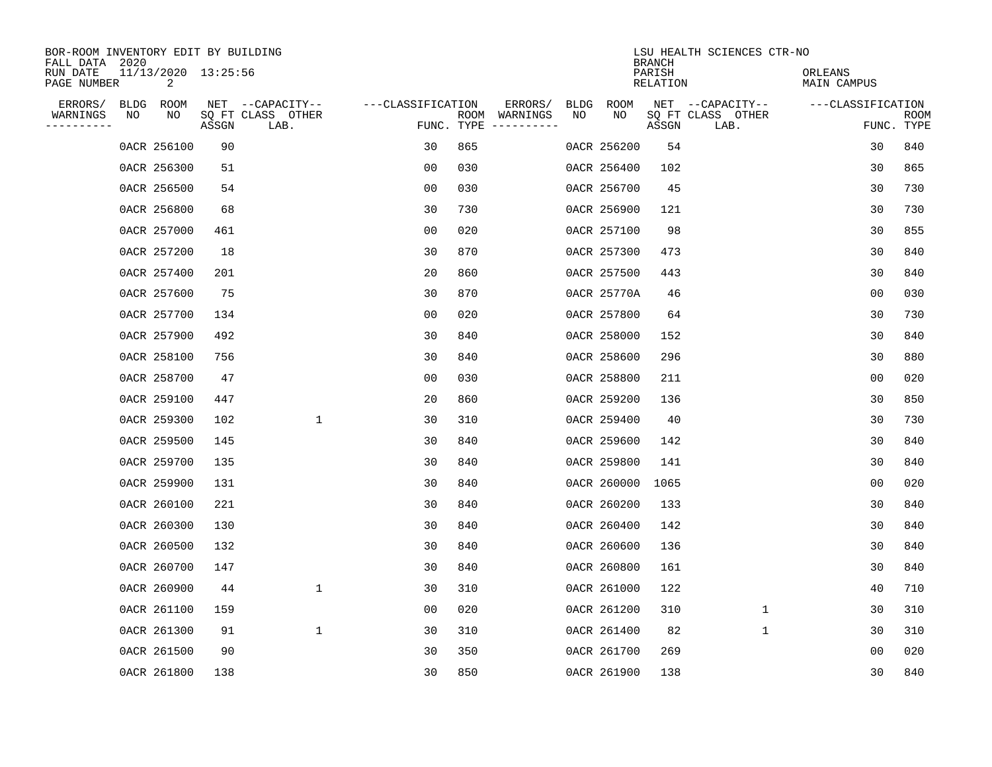| BOR-ROOM INVENTORY EDIT BY BUILDING<br>FALL DATA 2020 |             |                          |       |                           |                   |            |               |             |             | <b>BRANCH</b>      | LSU HEALTH SCIENCES CTR-NO |                        |                           |
|-------------------------------------------------------|-------------|--------------------------|-------|---------------------------|-------------------|------------|---------------|-------------|-------------|--------------------|----------------------------|------------------------|---------------------------|
| RUN DATE<br>PAGE NUMBER                               |             | 11/13/2020 13:25:56<br>2 |       |                           |                   |            |               |             |             | PARISH<br>RELATION |                            | ORLEANS<br>MAIN CAMPUS |                           |
| ERRORS/                                               | <b>BLDG</b> | ROOM                     |       | NET --CAPACITY--          | ---CLASSIFICATION |            | ERRORS/       | <b>BLDG</b> | ROOM        |                    | NET --CAPACITY--           | ---CLASSIFICATION      |                           |
| WARNINGS<br>----------                                | NO          | NO                       | ASSGN | SQ FT CLASS OTHER<br>LAB. |                   | FUNC. TYPE | ROOM WARNINGS | NO          | NO          | ASSGN              | SQ FT CLASS OTHER<br>LAB.  |                        | <b>ROOM</b><br>FUNC. TYPE |
|                                                       |             | 0ACR 256100              | 90    |                           | 30                | 865        |               |             | 0ACR 256200 | 54                 |                            | 30                     | 840                       |
|                                                       |             | 0ACR 256300              | 51    |                           | 00                | 030        |               |             | 0ACR 256400 | 102                |                            | 30                     | 865                       |
|                                                       |             | 0ACR 256500              | 54    |                           | 00                | 030        |               |             | 0ACR 256700 | 45                 |                            | 30                     | 730                       |
|                                                       |             | 0ACR 256800              | 68    |                           | 30                | 730        |               |             | 0ACR 256900 | 121                |                            | 30                     | 730                       |
|                                                       |             | 0ACR 257000              | 461   |                           | 0 <sub>0</sub>    | 020        |               |             | 0ACR 257100 | 98                 |                            | 30                     | 855                       |
|                                                       |             | 0ACR 257200              | 18    |                           | 30                | 870        |               |             | 0ACR 257300 | 473                |                            | 30                     | 840                       |
|                                                       |             | 0ACR 257400              | 201   |                           | 20                | 860        |               |             | 0ACR 257500 | 443                |                            | 30                     | 840                       |
|                                                       |             | 0ACR 257600              | 75    |                           | 30                | 870        |               |             | 0ACR 25770A | 46                 |                            | 0 <sub>0</sub>         | 030                       |
|                                                       |             | 0ACR 257700              | 134   |                           | 0 <sub>0</sub>    | 020        |               |             | 0ACR 257800 | 64                 |                            | 30                     | 730                       |
|                                                       |             | 0ACR 257900              | 492   |                           | 30                | 840        |               |             | 0ACR 258000 | 152                |                            | 30                     | 840                       |
|                                                       |             | 0ACR 258100              | 756   |                           | 30                | 840        |               |             | 0ACR 258600 | 296                |                            | 30                     | 880                       |
|                                                       |             | 0ACR 258700              | 47    |                           | 0 <sub>0</sub>    | 030        |               |             | 0ACR 258800 | 211                |                            | 0 <sub>0</sub>         | 020                       |
|                                                       |             | 0ACR 259100              | 447   |                           | 20                | 860        |               |             | 0ACR 259200 | 136                |                            | 30                     | 850                       |
|                                                       |             | 0ACR 259300              | 102   | $\mathbf{1}$              | 30                | 310        |               |             | 0ACR 259400 | 40                 |                            | 30                     | 730                       |
|                                                       |             | 0ACR 259500              | 145   |                           | 30                | 840        |               |             | 0ACR 259600 | 142                |                            | 30                     | 840                       |
|                                                       |             | 0ACR 259700              | 135   |                           | 30                | 840        |               |             | 0ACR 259800 | 141                |                            | 30                     | 840                       |
|                                                       |             | 0ACR 259900              | 131   |                           | 30                | 840        |               |             | 0ACR 260000 | 1065               |                            | 0 <sub>0</sub>         | 020                       |
|                                                       |             | 0ACR 260100              | 221   |                           | 30                | 840        |               |             | 0ACR 260200 | 133                |                            | 30                     | 840                       |
|                                                       |             | 0ACR 260300              | 130   |                           | 30                | 840        |               |             | 0ACR 260400 | 142                |                            | 30                     | 840                       |
|                                                       |             | 0ACR 260500              | 132   |                           | 30                | 840        |               |             | 0ACR 260600 | 136                |                            | 30                     | 840                       |
|                                                       |             | 0ACR 260700              | 147   |                           | 30                | 840        |               |             | 0ACR 260800 | 161                |                            | 30                     | 840                       |
|                                                       |             | 0ACR 260900              | 44    | 1                         | 30                | 310        |               |             | 0ACR 261000 | 122                |                            | 40                     | 710                       |
|                                                       |             | 0ACR 261100              | 159   |                           | 0 <sub>0</sub>    | 020        |               |             | 0ACR 261200 | 310                | $\mathbf 1$                | 30                     | 310                       |
|                                                       |             | 0ACR 261300              | 91    | $\mathbf{1}$              | 30                | 310        |               |             | 0ACR 261400 | 82                 | $\mathbf 1$                | 30                     | 310                       |
|                                                       |             | 0ACR 261500              | 90    |                           | 30                | 350        |               |             | 0ACR 261700 | 269                |                            | 0 <sub>0</sub>         | 020                       |
|                                                       |             | 0ACR 261800              | 138   |                           | 30                | 850        |               |             | 0ACR 261900 | 138                |                            | 30                     | 840                       |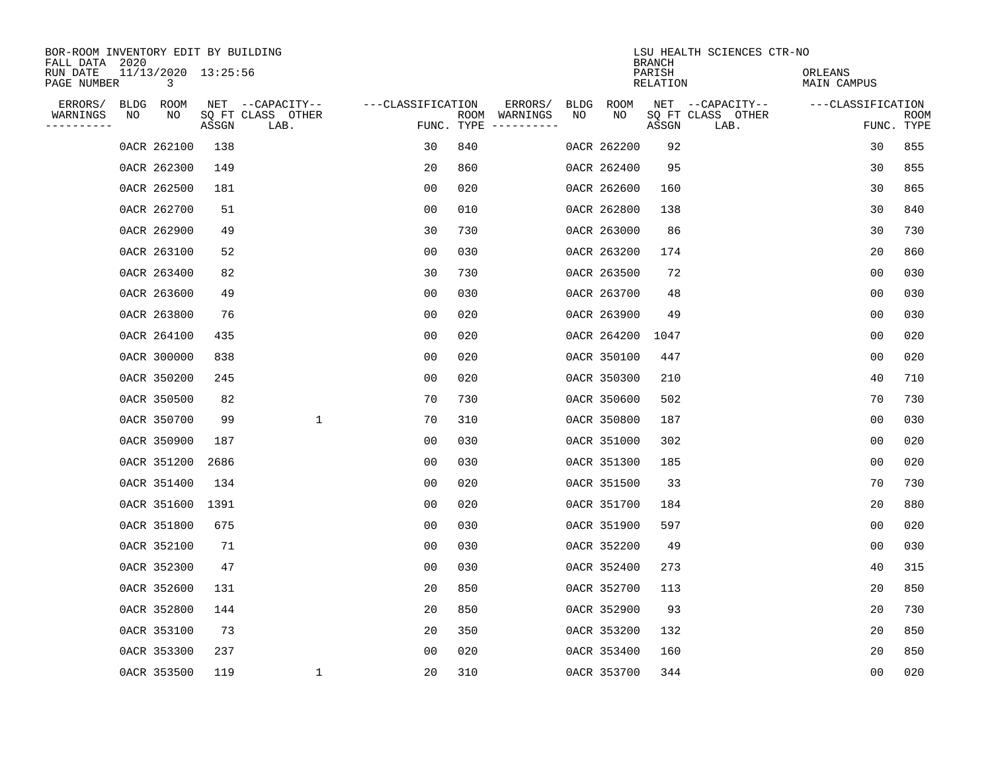| BOR-ROOM INVENTORY EDIT BY BUILDING<br>FALL DATA 2020 |      |                          |       |                           |                   |            |                              |      |             | <b>BRANCH</b>      | LSU HEALTH SCIENCES CTR-NO |                        |                |                           |
|-------------------------------------------------------|------|--------------------------|-------|---------------------------|-------------------|------------|------------------------------|------|-------------|--------------------|----------------------------|------------------------|----------------|---------------------------|
| RUN DATE<br>PAGE NUMBER                               |      | 11/13/2020 13:25:56<br>3 |       |                           |                   |            |                              |      |             | PARISH<br>RELATION |                            | ORLEANS<br>MAIN CAMPUS |                |                           |
| ERRORS/                                               | BLDG | ROOM                     |       | NET --CAPACITY--          | ---CLASSIFICATION |            | ERRORS/                      | BLDG | ROOM        |                    | NET --CAPACITY--           | ---CLASSIFICATION      |                |                           |
| WARNINGS<br>----------                                | ΝO   | NO                       | ASSGN | SQ FT CLASS OTHER<br>LAB. |                   | FUNC. TYPE | ROOM WARNINGS<br>----------- | NO   | NO          | ASSGN              | SQ FT CLASS OTHER<br>LAB.  |                        |                | <b>ROOM</b><br>FUNC. TYPE |
|                                                       |      | 0ACR 262100              | 138   |                           | 30                | 840        |                              |      | 0ACR 262200 | 92                 |                            |                        | 30             | 855                       |
|                                                       |      | 0ACR 262300              | 149   |                           | 20                | 860        |                              |      | 0ACR 262400 | 95                 |                            |                        | 30             | 855                       |
|                                                       |      | 0ACR 262500              | 181   |                           | 00                | 020        |                              |      | 0ACR 262600 | 160                |                            |                        | 30             | 865                       |
|                                                       |      | 0ACR 262700              | 51    |                           | 0 <sub>0</sub>    | 010        |                              |      | 0ACR 262800 | 138                |                            |                        | 30             | 840                       |
|                                                       |      | 0ACR 262900              | 49    |                           | 30                | 730        |                              |      | 0ACR 263000 | 86                 |                            |                        | 30             | 730                       |
|                                                       |      | 0ACR 263100              | 52    |                           | 0 <sub>0</sub>    | 030        |                              |      | 0ACR 263200 | 174                |                            |                        | 20             | 860                       |
|                                                       |      | 0ACR 263400              | 82    |                           | 30                | 730        |                              |      | 0ACR 263500 | 72                 |                            | 00                     |                | 030                       |
|                                                       |      | 0ACR 263600              | 49    |                           | 0 <sub>0</sub>    | 030        |                              |      | 0ACR 263700 | 48                 |                            | 0 <sub>0</sub>         |                | 030                       |
|                                                       |      | 0ACR 263800              | 76    |                           | 0 <sub>0</sub>    | 020        |                              |      | 0ACR 263900 | 49                 |                            | 0 <sub>0</sub>         |                | 030                       |
|                                                       |      | 0ACR 264100              | 435   |                           | 00                | 020        |                              |      | 0ACR 264200 | 1047               |                            | 0 <sub>0</sub>         |                | 020                       |
|                                                       |      | 0ACR 300000              | 838   |                           | 00                | 020        |                              |      | 0ACR 350100 | 447                |                            | 0 <sub>0</sub>         |                | 020                       |
|                                                       |      | 0ACR 350200              | 245   |                           | 0 <sub>0</sub>    | 020        |                              |      | 0ACR 350300 | 210                |                            |                        | 40             | 710                       |
|                                                       |      | 0ACR 350500              | 82    |                           | 70                | 730        |                              |      | 0ACR 350600 | 502                |                            |                        | 70             | 730                       |
|                                                       |      | 0ACR 350700              | 99    | $\mathbf{1}$              | 70                | 310        |                              |      | 0ACR 350800 | 187                |                            | 0 <sub>0</sub>         |                | 030                       |
|                                                       |      | 0ACR 350900              | 187   |                           | 0 <sub>0</sub>    | 030        |                              |      | 0ACR 351000 | 302                |                            | 0 <sub>0</sub>         |                | 020                       |
|                                                       |      | 0ACR 351200              | 2686  |                           | 0 <sub>0</sub>    | 030        |                              |      | 0ACR 351300 | 185                |                            | 00                     |                | 020                       |
|                                                       |      | 0ACR 351400              | 134   |                           | 00                | 020        |                              |      | 0ACR 351500 | 33                 |                            |                        | 70             | 730                       |
|                                                       |      | 0ACR 351600              | 1391  |                           | 00                | 020        |                              |      | 0ACR 351700 | 184                |                            |                        | 20             | 880                       |
|                                                       |      | 0ACR 351800              | 675   |                           | 0 <sub>0</sub>    | 030        |                              |      | 0ACR 351900 | 597                |                            | 0 <sub>0</sub>         |                | 020                       |
|                                                       |      | 0ACR 352100              | 71    |                           | 0 <sub>0</sub>    | 030        |                              |      | 0ACR 352200 | 49                 |                            | 0 <sub>0</sub>         |                | 030                       |
|                                                       |      | 0ACR 352300              | 47    |                           | 0 <sub>0</sub>    | 030        |                              |      | 0ACR 352400 | 273                |                            |                        | 40             | 315                       |
|                                                       |      | 0ACR 352600              | 131   |                           | 20                | 850        |                              |      | 0ACR 352700 | 113                |                            |                        | 20             | 850                       |
|                                                       |      | 0ACR 352800              | 144   |                           | 20                | 850        |                              |      | 0ACR 352900 | 93                 |                            |                        | 20             | 730                       |
|                                                       |      | 0ACR 353100              | 73    |                           | 20                | 350        |                              |      | 0ACR 353200 | 132                |                            |                        | 20             | 850                       |
|                                                       |      | 0ACR 353300              | 237   |                           | 0 <sub>0</sub>    | 020        |                              |      | 0ACR 353400 | 160                |                            |                        | 20             | 850                       |
|                                                       |      | 0ACR 353500              | 119   | 1                         | 20                | 310        |                              |      | 0ACR 353700 | 344                |                            |                        | 0 <sub>0</sub> | 020                       |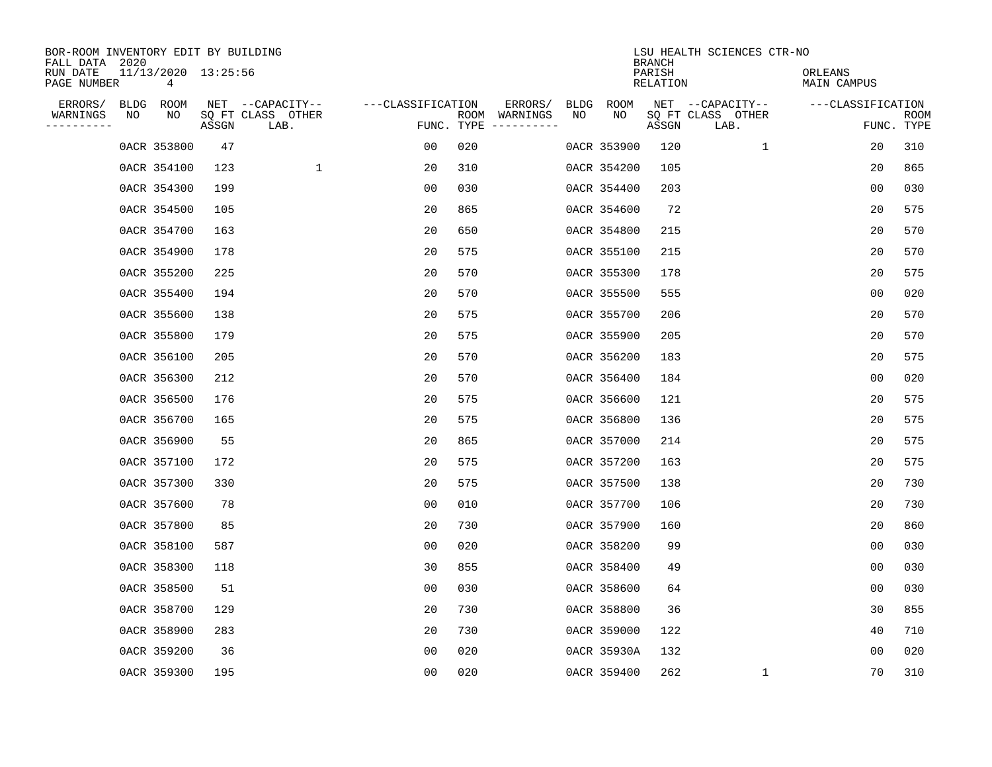| BOR-ROOM INVENTORY EDIT BY BUILDING<br>FALL DATA 2020 |      |                          |       |                           |                   |                    |                         |      |             | <b>BRANCH</b>      | LSU HEALTH SCIENCES CTR-NO |                        |                           |
|-------------------------------------------------------|------|--------------------------|-------|---------------------------|-------------------|--------------------|-------------------------|------|-------------|--------------------|----------------------------|------------------------|---------------------------|
| RUN DATE<br>PAGE NUMBER                               |      | 11/13/2020 13:25:56<br>4 |       |                           |                   |                    |                         |      |             | PARISH<br>RELATION |                            | ORLEANS<br>MAIN CAMPUS |                           |
| ERRORS/                                               | BLDG | ROOM                     |       | NET --CAPACITY--          | ---CLASSIFICATION |                    | ERRORS/                 | BLDG | ROOM        |                    | NET --CAPACITY--           | ---CLASSIFICATION      |                           |
| WARNINGS<br>----------                                | NO   | NO                       | ASSGN | SQ FT CLASS OTHER<br>LAB. |                   | ROOM<br>FUNC. TYPE | WARNINGS<br>----------- | NO   | NO          | ASSGN              | SQ FT CLASS OTHER<br>LAB.  |                        | <b>ROOM</b><br>FUNC. TYPE |
|                                                       |      | 0ACR 353800              | 47    |                           | 00                | 020                |                         |      | 0ACR 353900 | 120                | 1                          | 20                     | 310                       |
|                                                       |      | 0ACR 354100              | 123   | 1                         | 20                | 310                |                         |      | 0ACR 354200 | 105                |                            | 20                     | 865                       |
|                                                       |      | 0ACR 354300              | 199   |                           | 00                | 030                |                         |      | 0ACR 354400 | 203                |                            | 00                     | 030                       |
|                                                       |      | 0ACR 354500              | 105   |                           | 20                | 865                |                         |      | 0ACR 354600 | 72                 |                            | 20                     | 575                       |
|                                                       |      | 0ACR 354700              | 163   |                           | 20                | 650                |                         |      | 0ACR 354800 | 215                |                            | 20                     | 570                       |
|                                                       |      | 0ACR 354900              | 178   |                           | 20                | 575                |                         |      | 0ACR 355100 | 215                |                            | 20                     | 570                       |
|                                                       |      | 0ACR 355200              | 225   |                           | 20                | 570                |                         |      | 0ACR 355300 | 178                |                            | 20                     | 575                       |
|                                                       |      | 0ACR 355400              | 194   |                           | 20                | 570                |                         |      | 0ACR 355500 | 555                |                            | 0 <sub>0</sub>         | 020                       |
|                                                       |      | 0ACR 355600              | 138   |                           | 20                | 575                |                         |      | 0ACR 355700 | 206                |                            | 20                     | 570                       |
|                                                       |      | 0ACR 355800              | 179   |                           | 20                | 575                |                         |      | 0ACR 355900 | 205                |                            | 20                     | 570                       |
|                                                       |      | 0ACR 356100              | 205   |                           | 20                | 570                |                         |      | 0ACR 356200 | 183                |                            | 20                     | 575                       |
|                                                       |      | 0ACR 356300              | 212   |                           | 20                | 570                |                         |      | 0ACR 356400 | 184                |                            | 0 <sub>0</sub>         | 020                       |
|                                                       |      | 0ACR 356500              | 176   |                           | 20                | 575                |                         |      | 0ACR 356600 | 121                |                            | 20                     | 575                       |
|                                                       |      | 0ACR 356700              | 165   |                           | 20                | 575                |                         |      | 0ACR 356800 | 136                |                            | 20                     | 575                       |
|                                                       |      | 0ACR 356900              | 55    |                           | 20                | 865                |                         |      | 0ACR 357000 | 214                |                            | 20                     | 575                       |
|                                                       |      | 0ACR 357100              | 172   |                           | 20                | 575                |                         |      | 0ACR 357200 | 163                |                            | 20                     | 575                       |
|                                                       |      | 0ACR 357300              | 330   |                           | 20                | 575                |                         |      | 0ACR 357500 | 138                |                            | 20                     | 730                       |
|                                                       |      | 0ACR 357600              | 78    |                           | 00                | 010                |                         |      | 0ACR 357700 | 106                |                            | 20                     | 730                       |
|                                                       |      | 0ACR 357800              | 85    |                           | 20                | 730                |                         |      | 0ACR 357900 | 160                |                            | 20                     | 860                       |
|                                                       |      | 0ACR 358100              | 587   |                           | 0 <sub>0</sub>    | 020                |                         |      | 0ACR 358200 | 99                 |                            | 0 <sub>0</sub>         | 030                       |
|                                                       |      | 0ACR 358300              | 118   |                           | 30                | 855                |                         |      | 0ACR 358400 | 49                 |                            | 0 <sub>0</sub>         | 030                       |
|                                                       |      | 0ACR 358500              | 51    |                           | 0 <sub>0</sub>    | 030                |                         |      | 0ACR 358600 | 64                 |                            | 0 <sub>0</sub>         | 030                       |
|                                                       |      | 0ACR 358700              | 129   |                           | 20                | 730                |                         |      | 0ACR 358800 | 36                 |                            | 30                     | 855                       |
|                                                       |      | 0ACR 358900              | 283   |                           | 20                | 730                |                         |      | 0ACR 359000 | 122                |                            | 40                     | 710                       |
|                                                       |      | 0ACR 359200              | 36    |                           | 0 <sub>0</sub>    | 020                |                         |      | 0ACR 35930A | 132                |                            | 0 <sub>0</sub>         | 020                       |
|                                                       |      | 0ACR 359300              | 195   |                           | 0 <sub>0</sub>    | 020                |                         |      | 0ACR 359400 | 262                | 1                          | 70                     | 310                       |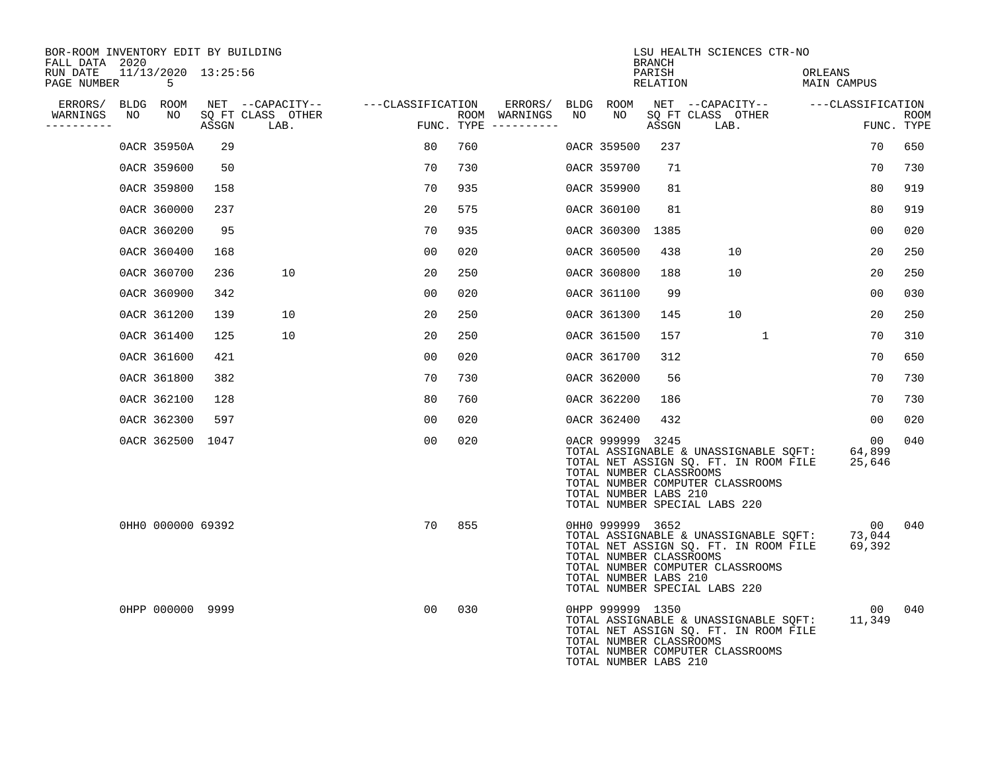| BOR-ROOM INVENTORY EDIT BY BUILDING<br>FALL DATA 2020 |                           |       |                                    |    |                                        |    |                                                                      | BRANCH             | LSU HEALTH SCIENCES CTR-NO                                                                                                                          |                                     |                    |
|-------------------------------------------------------|---------------------------|-------|------------------------------------|----|----------------------------------------|----|----------------------------------------------------------------------|--------------------|-----------------------------------------------------------------------------------------------------------------------------------------------------|-------------------------------------|--------------------|
| RUN DATE<br>PAGE NUMBER                               | 11/13/2020 13:25:56<br>-5 |       |                                    |    |                                        |    |                                                                      | PARISH<br>RELATION |                                                                                                                                                     | ORLEANS<br>MAIN CAMPUS              |                    |
| ERRORS/                                               | BLDG ROOM                 |       | NET --CAPACITY-- ---CLASSIFICATION |    | ERRORS/                                |    | BLDG ROOM                                                            |                    | NET --CAPACITY-- ---CLASSIFICATION                                                                                                                  |                                     |                    |
| WARNINGS<br>NO<br>----------                          | NO                        | ASSGN | SQ FT CLASS OTHER<br>LAB.          |    | ROOM WARNINGS<br>FUNC. TYPE ---------- | NO | NO                                                                   | ASSGN              | SQ FT CLASS OTHER<br>LAB.                                                                                                                           |                                     | ROOM<br>FUNC. TYPE |
|                                                       | 0ACR 35950A               | 29    |                                    | 80 | 760                                    |    | 0ACR 359500                                                          | 237                |                                                                                                                                                     | 70                                  | 650                |
|                                                       | 0ACR 359600               | 50    |                                    | 70 | 730                                    |    | 0ACR 359700                                                          | 71                 |                                                                                                                                                     | 70                                  | 730                |
|                                                       | 0ACR 359800               | 158   |                                    | 70 | 935                                    |    | 0ACR 359900                                                          | 81                 |                                                                                                                                                     | 80                                  | 919                |
|                                                       | 0ACR 360000               | 237   |                                    | 20 | 575                                    |    | 0ACR 360100                                                          | 81                 |                                                                                                                                                     | 80                                  | 919                |
|                                                       | 0ACR 360200               | 95    |                                    | 70 | 935                                    |    | 0ACR 360300                                                          | 1385               |                                                                                                                                                     | 00                                  | 020                |
|                                                       | 0ACR 360400               | 168   |                                    | 00 | 020                                    |    | 0ACR 360500                                                          | 438                | 10                                                                                                                                                  | 20                                  | 250                |
|                                                       | 0ACR 360700               | 236   | 10                                 | 20 | 250                                    |    | 0ACR 360800                                                          | 188                | 10                                                                                                                                                  | 20                                  | 250                |
|                                                       | 0ACR 360900               | 342   |                                    | 00 | 020                                    |    | 0ACR 361100                                                          | 99                 |                                                                                                                                                     | 00                                  | 030                |
|                                                       | 0ACR 361200               | 139   | 10                                 | 20 | 250                                    |    | 0ACR 361300                                                          | 145                | 10                                                                                                                                                  | 20                                  | 250                |
|                                                       | 0ACR 361400               | 125   | 10                                 | 20 | 250                                    |    | 0ACR 361500                                                          | 157                | $\mathbf{1}$                                                                                                                                        | 70                                  | 310                |
|                                                       | 0ACR 361600               | 421   |                                    | 00 | 020                                    |    | 0ACR 361700                                                          | 312                |                                                                                                                                                     | 70                                  | 650                |
|                                                       | 0ACR 361800               | 382   |                                    | 70 | 730                                    |    | 0ACR 362000                                                          | 56                 |                                                                                                                                                     | 70                                  | 730                |
|                                                       | 0ACR 362100               | 128   |                                    | 80 | 760                                    |    | 0ACR 362200                                                          | 186                |                                                                                                                                                     | 70                                  | 730                |
|                                                       | 0ACR 362300               | 597   |                                    | 00 | 020                                    |    | 0ACR 362400                                                          | 432                |                                                                                                                                                     | 0 <sub>0</sub>                      | 020                |
|                                                       | 0ACR 362500 1047          |       |                                    | 00 | 020                                    |    | 0ACR 999999 3245<br>TOTAL NUMBER CLASSROOMS<br>TOTAL NUMBER LABS 210 |                    | TOTAL ASSIGNABLE & UNASSIGNABLE SQFT:<br>TOTAL NET ASSIGN SQ. FT. IN ROOM FILE<br>TOTAL NUMBER COMPUTER CLASSROOMS<br>TOTAL NUMBER SPECIAL LABS 220 | 00<br>64,899<br>25,646              | 040                |
|                                                       | 0HH0 000000 69392         |       |                                    | 70 | 855                                    |    | 0HH0 999999 3652<br>TOTAL NUMBER CLASSROOMS<br>TOTAL NUMBER LABS 210 |                    | TOTAL ASSIGNABLE & UNASSIGNABLE SQFT:<br>TOTAL NET ASSIGN SQ. FT. IN ROOM FILE<br>TOTAL NUMBER COMPUTER CLASSROOMS<br>TOTAL NUMBER SPECIAL LABS 220 | 00 <sup>o</sup><br>73,044<br>69,392 | 040                |
|                                                       | 0HPP 000000 9999          |       |                                    | 00 | 030                                    |    | 0HPP 999999 1350<br>TOTAL NUMBER CLASSROOMS<br>TOTAL NUMBER LABS 210 |                    | TOTAL ASSIGNABLE & UNASSIGNABLE SQFT:<br>TOTAL NET ASSIGN SQ. FT. IN ROOM FILE<br>TOTAL NUMBER COMPUTER CLASSROOMS                                  | 00<br>11,349                        | 040                |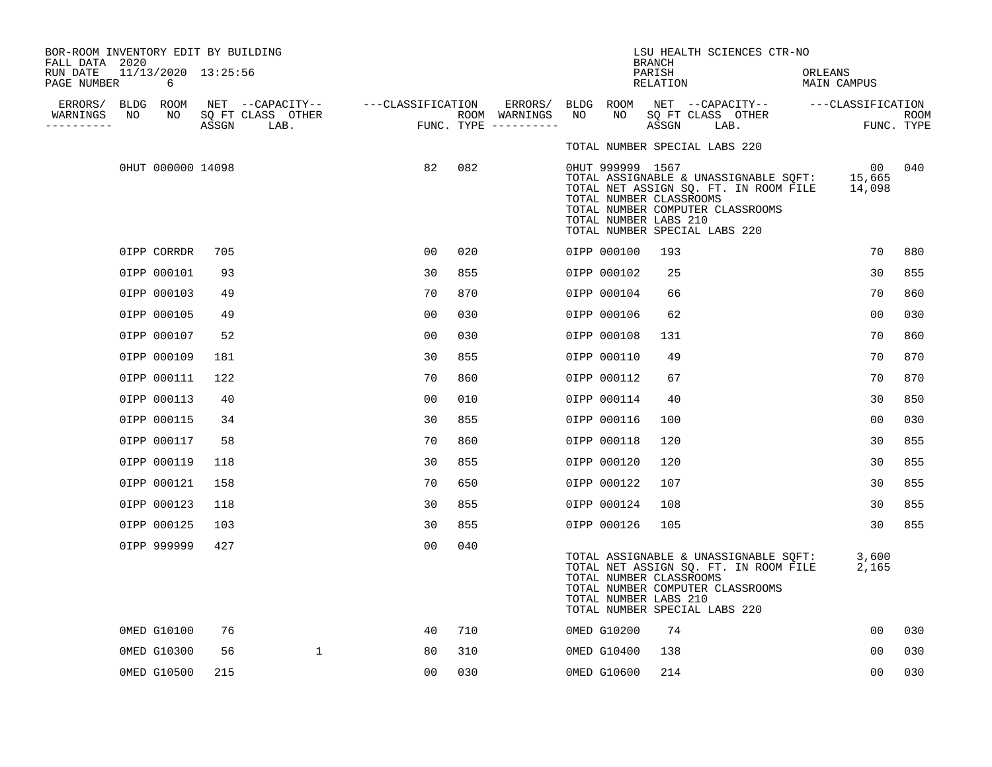| BOR-ROOM INVENTORY EDIT BY BUILDING<br>FALL DATA 2020 |                          |       |                                                         |                |     |                                    |    |                                                                      | <b>BRANCH</b>      | LSU HEALTH SCIENCES CTR-NO                                                                                                                                        |                        |                |      |
|-------------------------------------------------------|--------------------------|-------|---------------------------------------------------------|----------------|-----|------------------------------------|----|----------------------------------------------------------------------|--------------------|-------------------------------------------------------------------------------------------------------------------------------------------------------------------|------------------------|----------------|------|
| RUN DATE<br>PAGE NUMBER                               | 11/13/2020 13:25:56<br>6 |       |                                                         |                |     |                                    |    |                                                                      | PARISH<br>RELATION |                                                                                                                                                                   | ORLEANS<br>MAIN CAMPUS |                |      |
| ERRORS/ BLDG ROOM<br>NO<br>WARNINGS                   | NO                       |       | NET --CAPACITY-- ---CLASSIFICATION<br>SQ FT CLASS OTHER |                |     | ERRORS/ BLDG ROOM<br>ROOM WARNINGS | NO | NO                                                                   |                    | NET --CAPACITY-- ---CLASSIFICATION<br>SQ FT CLASS OTHER                                                                                                           |                        |                |      |
| ----------                                            |                          | ASSGN | LAB.                                                    |                |     | FUNC. TYPE $------$                |    |                                                                      | ASSGN              | LAB.                                                                                                                                                              |                        | FUNC. TYPE     | ROOM |
|                                                       |                          |       |                                                         |                |     |                                    |    |                                                                      |                    | TOTAL NUMBER SPECIAL LABS 220                                                                                                                                     |                        |                |      |
|                                                       | 0HUT 000000 14098        |       |                                                         | 82             | 082 |                                    |    | 0HUT 999999 1567<br>TOTAL NUMBER CLASSROOMS<br>TOTAL NUMBER LABS 210 |                    | TOTAL ASSIGNABLE & UNASSIGNABLE SOFT: 15,665<br>TOTAL NET ASSIGN SQ. FT. IN ROOM FILE 14,098<br>TOTAL NUMBER COMPUTER CLASSROOMS<br>TOTAL NUMBER SPECIAL LABS 220 |                        | 00             | 040  |
|                                                       | OIPP CORRDR              | 705   |                                                         | 00             | 020 |                                    |    | 0IPP 000100                                                          | 193                |                                                                                                                                                                   |                        | 70             | 880  |
|                                                       | 0IPP 000101              | 93    |                                                         | 30             | 855 |                                    |    | 0IPP 000102                                                          | 25                 |                                                                                                                                                                   |                        | 30             | 855  |
|                                                       | 0IPP 000103              | 49    |                                                         | 70             | 870 |                                    |    | 0IPP 000104                                                          | 66                 |                                                                                                                                                                   |                        | 70             | 860  |
|                                                       | 0IPP 000105              | 49    |                                                         | 00             | 030 |                                    |    | 0IPP 000106                                                          | 62                 |                                                                                                                                                                   |                        | 00             | 030  |
|                                                       | 0IPP 000107              | 52    |                                                         | 0 <sup>0</sup> | 030 |                                    |    | 0IPP 000108                                                          | 131                |                                                                                                                                                                   |                        | 70             | 860  |
|                                                       | 0IPP 000109              | 181   |                                                         | 30             | 855 |                                    |    | 0IPP 000110                                                          | 49                 |                                                                                                                                                                   |                        | 70             | 870  |
|                                                       | 0IPP 000111              | 122   |                                                         | 70             | 860 |                                    |    | 0IPP 000112                                                          | 67                 |                                                                                                                                                                   |                        | 70             | 870  |
|                                                       | 0IPP 000113              | 40    |                                                         | 00             | 010 |                                    |    | 0IPP 000114                                                          | 40                 |                                                                                                                                                                   |                        | 30             | 850  |
|                                                       | 0IPP 000115              | 34    |                                                         | 30             | 855 |                                    |    | 0IPP 000116                                                          | 100                |                                                                                                                                                                   |                        | 0 <sub>0</sub> | 030  |
|                                                       | 0IPP 000117              | 58    |                                                         | 70             | 860 |                                    |    | 0IPP 000118                                                          | 120                |                                                                                                                                                                   |                        | 30             | 855  |
|                                                       | 0IPP 000119              | 118   |                                                         | 30             | 855 |                                    |    | 0IPP 000120                                                          | 120                |                                                                                                                                                                   |                        | 30             | 855  |
|                                                       | 0IPP 000121              | 158   |                                                         | 70             | 650 |                                    |    | 0IPP 000122                                                          | 107                |                                                                                                                                                                   |                        | 30             | 855  |
|                                                       | 0IPP 000123              | 118   |                                                         | 30             | 855 |                                    |    | 0IPP 000124                                                          | 108                |                                                                                                                                                                   |                        | 30             | 855  |
|                                                       | 0IPP 000125              | 103   |                                                         | 30             | 855 |                                    |    | 0IPP 000126                                                          | 105                |                                                                                                                                                                   |                        | 30             | 855  |
|                                                       | 0IPP 999999              | 427   |                                                         | 0 <sub>0</sub> | 040 |                                    |    | TOTAL NUMBER CLASSROOMS<br>TOTAL NUMBER LABS 210                     |                    | TOTAL ASSIGNABLE & UNASSIGNABLE SOFT:<br>TOTAL NET ASSIGN SQ. FT. IN ROOM FILE<br>TOTAL NUMBER COMPUTER CLASSROOMS<br>TOTAL NUMBER SPECIAL LABS 220               |                        | 3,600<br>2,165 |      |
|                                                       | 0MED G10100              | 76    |                                                         | 40             | 710 |                                    |    | 0MED G10200                                                          | 74                 |                                                                                                                                                                   |                        | 00             | 030  |
|                                                       | 0MED G10300              | 56    | $\mathbf{1}$                                            | 80             | 310 |                                    |    | 0MED G10400                                                          | 138                |                                                                                                                                                                   |                        | 00             | 030  |
|                                                       | 0MED G10500              | 215   |                                                         | 00             | 030 |                                    |    | 0MED G10600                                                          | 214                |                                                                                                                                                                   |                        | 0 <sub>0</sub> | 030  |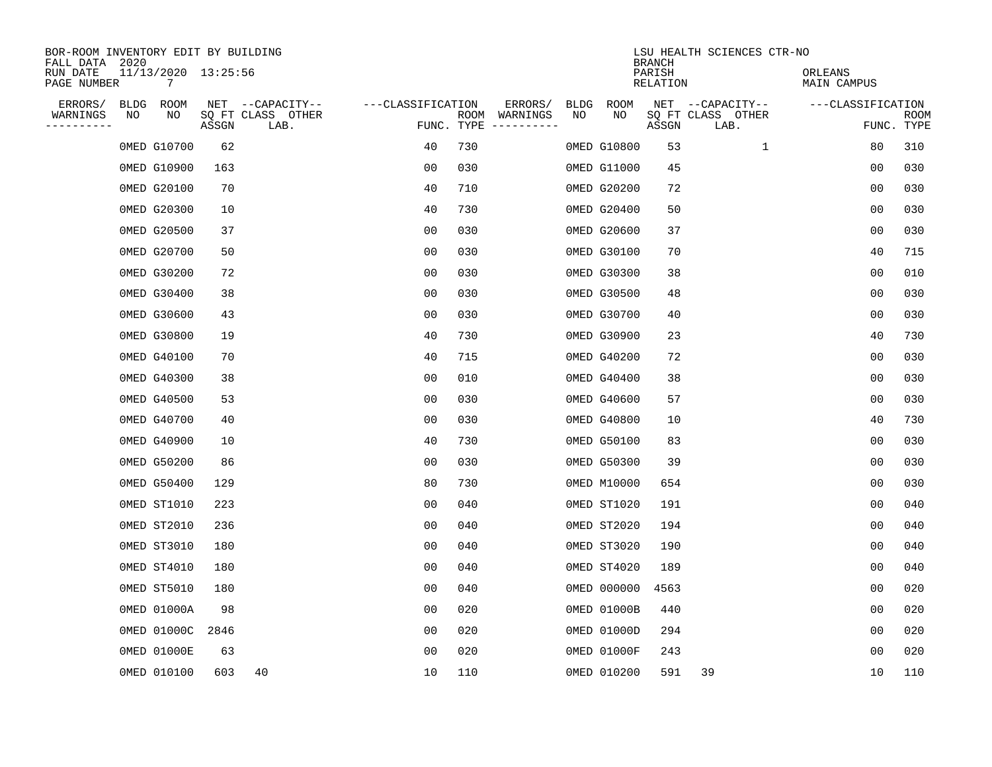| BOR-ROOM INVENTORY EDIT BY BUILDING<br>FALL DATA 2020<br>RUN DATE |            | 11/13/2020 13:25:56 |       |                                               |                   |            |                          |            |             | <b>BRANCH</b><br>PARISH | LSU HEALTH SCIENCES CTR-NO                    | ORLEANS           |                    |
|-------------------------------------------------------------------|------------|---------------------|-------|-----------------------------------------------|-------------------|------------|--------------------------|------------|-------------|-------------------------|-----------------------------------------------|-------------------|--------------------|
| PAGE NUMBER                                                       |            | 7                   |       |                                               |                   |            |                          |            |             | RELATION                |                                               | MAIN CAMPUS       |                    |
| ERRORS/<br>WARNINGS<br>---------                                  | BLDG<br>ΝO | ROOM<br>NO          | ASSGN | NET --CAPACITY--<br>SQ FT CLASS OTHER<br>LAB. | ---CLASSIFICATION | FUNC. TYPE | ERRORS/<br>ROOM WARNINGS | BLDG<br>NO | ROOM<br>NO  | ASSGN                   | NET --CAPACITY--<br>SQ FT CLASS OTHER<br>LAB. | ---CLASSIFICATION | ROOM<br>FUNC. TYPE |
|                                                                   |            | 0MED G10700         | 62    |                                               | 40                | 730        |                          |            | 0MED G10800 | 53                      | 1                                             | 80                | 310                |
|                                                                   |            | 0MED G10900         | 163   |                                               | 0 <sub>0</sub>    | 030        |                          |            | 0MED G11000 | 45                      |                                               | 0 <sub>0</sub>    | 030                |
|                                                                   |            | 0MED G20100         | 70    |                                               | 40                | 710        |                          |            | 0MED G20200 | 72                      |                                               | 00                | 030                |
|                                                                   |            | 0MED G20300         | 10    |                                               | 40                | 730        |                          |            | 0MED G20400 | 50                      |                                               | 0 <sub>0</sub>    | 030                |
|                                                                   |            | 0MED G20500         | 37    |                                               | 00                | 030        |                          |            | 0MED G20600 | 37                      |                                               | 00                | 030                |
|                                                                   |            | 0MED G20700         | 50    |                                               | 0 <sub>0</sub>    | 030        |                          |            | 0MED G30100 | 70                      |                                               | 40                | 715                |
|                                                                   |            | 0MED G30200         | 72    |                                               | 0 <sub>0</sub>    | 030        |                          |            | 0MED G30300 | 38                      |                                               | 0 <sub>0</sub>    | 010                |
|                                                                   |            | 0MED G30400         | 38    |                                               | 0 <sub>0</sub>    | 030        |                          |            | 0MED G30500 | 48                      |                                               | 0 <sub>0</sub>    | 030                |
|                                                                   |            | 0MED G30600         | 43    |                                               | 0 <sub>0</sub>    | 030        |                          |            | 0MED G30700 | 40                      |                                               | 0 <sub>0</sub>    | 030                |
|                                                                   |            | 0MED G30800         | 19    |                                               | 40                | 730        |                          |            | 0MED G30900 | 23                      |                                               | 40                | 730                |
|                                                                   |            | 0MED G40100         | 70    |                                               | 40                | 715        |                          |            | 0MED G40200 | 72                      |                                               | 0 <sub>0</sub>    | 030                |
|                                                                   |            | 0MED G40300         | 38    |                                               | 0 <sub>0</sub>    | 010        |                          |            | 0MED G40400 | 38                      |                                               | 0 <sub>0</sub>    | 030                |
|                                                                   |            | 0MED G40500         | 53    |                                               | 0 <sub>0</sub>    | 030        |                          |            | 0MED G40600 | 57                      |                                               | 00                | 030                |
|                                                                   |            | 0MED G40700         | 40    |                                               | 0 <sub>0</sub>    | 030        |                          |            | 0MED G40800 | 10                      |                                               | 40                | 730                |
|                                                                   |            | 0MED G40900         | 10    |                                               | 40                | 730        |                          |            | 0MED G50100 | 83                      |                                               | 00                | 030                |
|                                                                   |            | 0MED G50200         | 86    |                                               | 0 <sub>0</sub>    | 030        |                          |            | 0MED G50300 | 39                      |                                               | 0 <sub>0</sub>    | 030                |
|                                                                   |            | 0MED G50400         | 129   |                                               | 80                | 730        |                          |            | 0MED M10000 | 654                     |                                               | 0 <sub>0</sub>    | 030                |
|                                                                   |            | OMED ST1010         | 223   |                                               | 00                | 040        |                          |            | OMED ST1020 | 191                     |                                               | 0 <sub>0</sub>    | 040                |
|                                                                   |            | OMED ST2010         | 236   |                                               | 0 <sub>0</sub>    | 040        |                          |            | OMED ST2020 | 194                     |                                               | 0 <sub>0</sub>    | 040                |
|                                                                   |            | OMED ST3010         | 180   |                                               | 0 <sub>0</sub>    | 040        |                          |            | OMED ST3020 | 190                     |                                               | 0 <sub>0</sub>    | 040                |
|                                                                   |            | OMED ST4010         | 180   |                                               | 0 <sub>0</sub>    | 040        |                          |            | OMED ST4020 | 189                     |                                               | 0 <sub>0</sub>    | 040                |
|                                                                   |            | OMED ST5010         | 180   |                                               | 0 <sub>0</sub>    | 040        |                          |            | 0MED 000000 | 4563                    |                                               | 0 <sub>0</sub>    | 020                |
|                                                                   |            | 0MED 01000A         | 98    |                                               | 0 <sub>0</sub>    | 020        |                          |            | 0MED 01000B | 440                     |                                               | 0 <sub>0</sub>    | 020                |
|                                                                   |            | 0MED 01000C         | 2846  |                                               | 0 <sub>0</sub>    | 020        |                          |            | 0MED 01000D | 294                     |                                               | 00                | 020                |
|                                                                   |            | 0MED 01000E         | 63    |                                               | 00                | 020        |                          |            | 0MED 01000F | 243                     |                                               | 00                | 020                |
|                                                                   |            | 0MED 010100         | 603   | 40                                            | 10                | 110        |                          |            | 0MED 010200 | 591                     | 39                                            | 10                | 110                |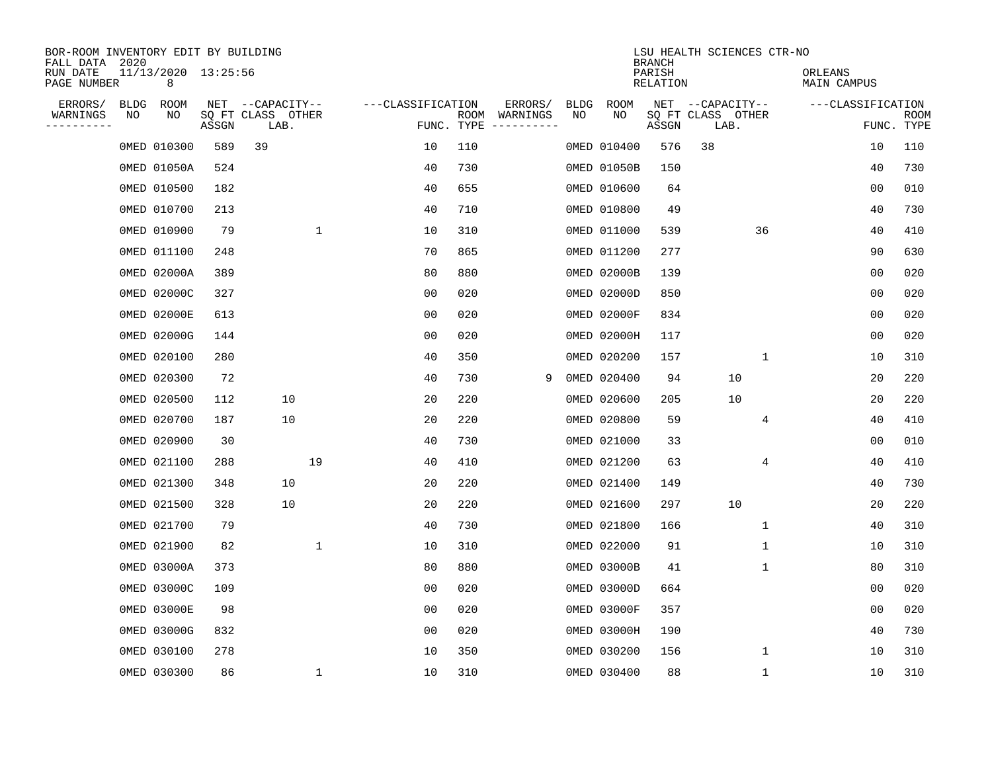| BOR-ROOM INVENTORY EDIT BY BUILDING<br>FALL DATA 2020 |             |                          |       |                           |              |                   |            |                              |             |             | <b>BRANCH</b>             |                           | LSU HEALTH SCIENCES CTR-NO |                        |                |                           |
|-------------------------------------------------------|-------------|--------------------------|-------|---------------------------|--------------|-------------------|------------|------------------------------|-------------|-------------|---------------------------|---------------------------|----------------------------|------------------------|----------------|---------------------------|
| RUN DATE<br>PAGE NUMBER                               |             | 11/13/2020 13:25:56<br>8 |       |                           |              |                   |            |                              |             |             | PARISH<br><b>RELATION</b> |                           |                            | ORLEANS<br>MAIN CAMPUS |                |                           |
| ERRORS/                                               | <b>BLDG</b> | ROOM                     |       | NET --CAPACITY--          |              | ---CLASSIFICATION |            | ERRORS/                      | <b>BLDG</b> | <b>ROOM</b> |                           | NET --CAPACITY--          |                            | ---CLASSIFICATION      |                |                           |
| WARNINGS<br>----------                                | NO          | NO                       | ASSGN | SQ FT CLASS OTHER<br>LAB. |              |                   | FUNC. TYPE | ROOM WARNINGS<br>----------- | NO          | NO          | ASSGN                     | SQ FT CLASS OTHER<br>LAB. |                            |                        |                | <b>ROOM</b><br>FUNC. TYPE |
|                                                       |             | 0MED 010300              | 589   | 39                        |              | 10                | 110        |                              |             | 0MED 010400 | 576                       | 38                        |                            |                        | 10             | 110                       |
|                                                       |             | 0MED 01050A              | 524   |                           |              | 40                | 730        |                              |             | 0MED 01050B | 150                       |                           |                            |                        | 40             | 730                       |
|                                                       |             | 0MED 010500              | 182   |                           |              | 40                | 655        |                              |             | 0MED 010600 | 64                        |                           |                            |                        | 0 <sub>0</sub> | 010                       |
|                                                       |             | 0MED 010700              | 213   |                           |              | 40                | 710        |                              |             | 0MED 010800 | 49                        |                           |                            |                        | 40             | 730                       |
|                                                       |             | 0MED 010900              | 79    |                           | $\mathbf{1}$ | 10                | 310        |                              |             | 0MED 011000 | 539                       |                           | 36                         |                        | 40             | 410                       |
|                                                       |             | 0MED 011100              | 248   |                           |              | 70                | 865        |                              |             | 0MED 011200 | 277                       |                           |                            |                        | 90             | 630                       |
|                                                       |             | 0MED 02000A              | 389   |                           |              | 80                | 880        |                              |             | 0MED 02000B | 139                       |                           |                            |                        | 0 <sub>0</sub> | 020                       |
|                                                       |             | 0MED 02000C              | 327   |                           |              | 0 <sub>0</sub>    | 020        |                              |             | 0MED 02000D | 850                       |                           |                            |                        | 0 <sub>0</sub> | 020                       |
|                                                       |             | 0MED 02000E              | 613   |                           |              | 0 <sub>0</sub>    | 020        |                              |             | 0MED 02000F | 834                       |                           |                            |                        | 0 <sub>0</sub> | 020                       |
|                                                       |             | 0MED 02000G              | 144   |                           |              | 0 <sub>0</sub>    | 020        |                              |             | 0MED 02000H | 117                       |                           |                            |                        | 0 <sub>0</sub> | 020                       |
|                                                       |             | 0MED 020100              | 280   |                           |              | 40                | 350        |                              |             | 0MED 020200 | 157                       |                           | $\mathbf{1}$               |                        | 10             | 310                       |
|                                                       |             | 0MED 020300              | 72    |                           |              | 40                | 730        | 9                            |             | 0MED 020400 | 94                        |                           | 10                         |                        | 20             | 220                       |
|                                                       |             | 0MED 020500              | 112   | 10                        |              | 20                | 220        |                              |             | 0MED 020600 | 205                       |                           | 10                         |                        | 20             | 220                       |
|                                                       |             | 0MED 020700              | 187   | 10                        |              | 20                | 220        |                              |             | 0MED 020800 | 59                        |                           | 4                          |                        | 40             | 410                       |
|                                                       |             | 0MED 020900              | 30    |                           |              | 40                | 730        |                              |             | 0MED 021000 | 33                        |                           |                            |                        | 00             | 010                       |
|                                                       |             | 0MED 021100              | 288   |                           | 19           | 40                | 410        |                              |             | 0MED 021200 | 63                        |                           | 4                          |                        | 40             | 410                       |
|                                                       |             | 0MED 021300              | 348   | 10                        |              | 20                | 220        |                              |             | 0MED 021400 | 149                       |                           |                            |                        | 40             | 730                       |
|                                                       |             | 0MED 021500              | 328   | 10                        |              | 20                | 220        |                              |             | 0MED 021600 | 297                       |                           | 10                         |                        | 20             | 220                       |
|                                                       |             | 0MED 021700              | 79    |                           |              | 40                | 730        |                              |             | 0MED 021800 | 166                       |                           | $\mathbf 1$                |                        | 40             | 310                       |
|                                                       |             | 0MED 021900              | 82    |                           | 1            | 10                | 310        |                              |             | 0MED 022000 | 91                        |                           | 1                          |                        | 10             | 310                       |
|                                                       |             | 0MED 03000A              | 373   |                           |              | 80                | 880        |                              |             | 0MED 03000B | 41                        |                           | 1                          |                        | 80             | 310                       |
|                                                       |             | 0MED 03000C              | 109   |                           |              | 0 <sub>0</sub>    | 020        |                              |             | 0MED 03000D | 664                       |                           |                            |                        | 0 <sub>0</sub> | 020                       |
|                                                       |             | 0MED 03000E              | 98    |                           |              | 0 <sub>0</sub>    | 020        |                              |             | 0MED 03000F | 357                       |                           |                            |                        | 0 <sub>0</sub> | 020                       |
|                                                       |             | 0MED 03000G              | 832   |                           |              | 0 <sub>0</sub>    | 020        |                              |             | 0MED 03000H | 190                       |                           |                            |                        | 40             | 730                       |
|                                                       |             | 0MED 030100              | 278   |                           |              | 10                | 350        |                              |             | 0MED 030200 | 156                       |                           | $\mathbf 1$                |                        | 10             | 310                       |
|                                                       |             | 0MED 030300              | 86    |                           | 1            | 10                | 310        |                              |             | 0MED 030400 | 88                        |                           | 1                          |                        | 10             | 310                       |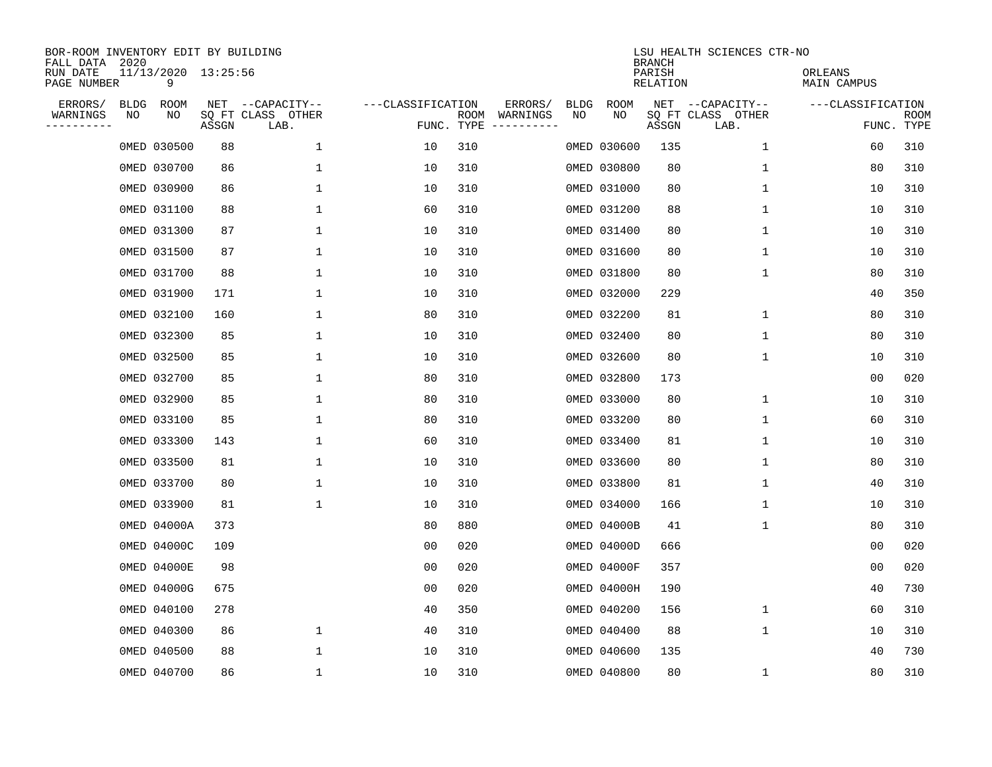| BOR-ROOM INVENTORY EDIT BY BUILDING<br>FALL DATA 2020 |             |                          |       |                           |                   |                    |                         |             |             | <b>BRANCH</b>      | LSU HEALTH SCIENCES CTR-NO |                        |                           |
|-------------------------------------------------------|-------------|--------------------------|-------|---------------------------|-------------------|--------------------|-------------------------|-------------|-------------|--------------------|----------------------------|------------------------|---------------------------|
| RUN DATE<br>PAGE NUMBER                               |             | 11/13/2020 13:25:56<br>9 |       |                           |                   |                    |                         |             |             | PARISH<br>RELATION |                            | ORLEANS<br>MAIN CAMPUS |                           |
| ERRORS/                                               | <b>BLDG</b> | ROOM                     |       | NET --CAPACITY--          | ---CLASSIFICATION |                    | ERRORS/                 | <b>BLDG</b> | <b>ROOM</b> |                    | NET --CAPACITY--           | ---CLASSIFICATION      |                           |
| WARNINGS<br>----------                                | NO          | NO                       | ASSGN | SQ FT CLASS OTHER<br>LAB. |                   | ROOM<br>FUNC. TYPE | WARNINGS<br>----------- | NO          | NO          | ASSGN              | SQ FT CLASS OTHER<br>LAB.  |                        | <b>ROOM</b><br>FUNC. TYPE |
|                                                       |             | 0MED 030500              | 88    | 1                         | 10                | 310                |                         |             | 0MED 030600 | 135                | 1                          | 60                     | 310                       |
|                                                       |             | 0MED 030700              | 86    | 1                         | 10                | 310                |                         |             | 0MED 030800 | 80                 | 1                          | 80                     | 310                       |
|                                                       |             | 0MED 030900              | 86    | 1                         | 10                | 310                |                         |             | 0MED 031000 | 80                 | 1                          | 10                     | 310                       |
|                                                       |             | 0MED 031100              | 88    | 1                         | 60                | 310                |                         |             | 0MED 031200 | 88                 | 1                          | 10                     | 310                       |
|                                                       |             | 0MED 031300              | 87    | $\mathbf 1$               | 10                | 310                |                         |             | 0MED 031400 | 80                 | $\mathbf 1$                | 10                     | 310                       |
|                                                       |             | 0MED 031500              | 87    | 1                         | 10                | 310                |                         |             | 0MED 031600 | 80                 | 1                          | 10                     | 310                       |
|                                                       |             | 0MED 031700              | 88    | $\mathbf{1}$              | 10                | 310                |                         |             | 0MED 031800 | 80                 | 1                          | 80                     | 310                       |
|                                                       |             | 0MED 031900              | 171   | 1                         | 10                | 310                |                         |             | 0MED 032000 | 229                |                            | 40                     | 350                       |
|                                                       |             | 0MED 032100              | 160   | $\mathbf{1}$              | 80                | 310                |                         |             | 0MED 032200 | 81                 | 1                          | 80                     | 310                       |
|                                                       |             | 0MED 032300              | 85    | 1                         | 10                | 310                |                         |             | 0MED 032400 | 80                 | 1                          | 80                     | 310                       |
|                                                       |             | 0MED 032500              | 85    | 1                         | 10                | 310                |                         |             | 0MED 032600 | 80                 | 1                          | 10                     | 310                       |
|                                                       |             | 0MED 032700              | 85    | 1                         | 80                | 310                |                         |             | 0MED 032800 | 173                |                            | 0 <sub>0</sub>         | 020                       |
|                                                       |             | 0MED 032900              | 85    | 1                         | 80                | 310                |                         |             | 0MED 033000 | 80                 | 1                          | 10                     | 310                       |
|                                                       |             | 0MED 033100              | 85    | 1                         | 80                | 310                |                         |             | 0MED 033200 | 80                 | 1                          | 60                     | 310                       |
|                                                       |             | 0MED 033300              | 143   | 1                         | 60                | 310                |                         |             | 0MED 033400 | 81                 | 1                          | 10                     | 310                       |
|                                                       |             | 0MED 033500              | 81    | 1                         | 10                | 310                |                         |             | 0MED 033600 | 80                 | 1                          | 80                     | 310                       |
|                                                       |             | 0MED 033700              | 80    | 1                         | 10                | 310                |                         |             | 0MED 033800 | 81                 | 1                          | 40                     | 310                       |
|                                                       |             | 0MED 033900              | 81    | 1                         | 10                | 310                |                         |             | 0MED 034000 | 166                | 1                          | 10                     | 310                       |
|                                                       |             | 0MED 04000A              | 373   |                           | 80                | 880                |                         |             | 0MED 04000B | 41                 | 1                          | 80                     | 310                       |
|                                                       |             | 0MED 04000C              | 109   |                           | 0 <sub>0</sub>    | 020                |                         |             | 0MED 04000D | 666                |                            | 0 <sub>0</sub>         | 020                       |
|                                                       |             | <b>OMED 04000E</b>       | 98    |                           | 0 <sub>0</sub>    | 020                |                         |             | 0MED 04000F | 357                |                            | 0 <sub>0</sub>         | 020                       |
|                                                       |             | 0MED 04000G              | 675   |                           | 0 <sub>0</sub>    | 020                |                         |             | 0MED 04000H | 190                |                            | 40                     | 730                       |
|                                                       |             | 0MED 040100              | 278   |                           | 40                | 350                |                         |             | 0MED 040200 | 156                | 1                          | 60                     | 310                       |
|                                                       |             | 0MED 040300              | 86    | $\mathbf 1$               | 40                | 310                |                         |             | 0MED 040400 | 88                 | 1                          | 10                     | 310                       |
|                                                       |             | 0MED 040500              | 88    | 1                         | 10                | 310                |                         |             | 0MED 040600 | 135                |                            | 40                     | 730                       |
|                                                       |             | 0MED 040700              | 86    | 1                         | 10                | 310                |                         |             | 0MED 040800 | 80                 | 1                          | 80                     | 310                       |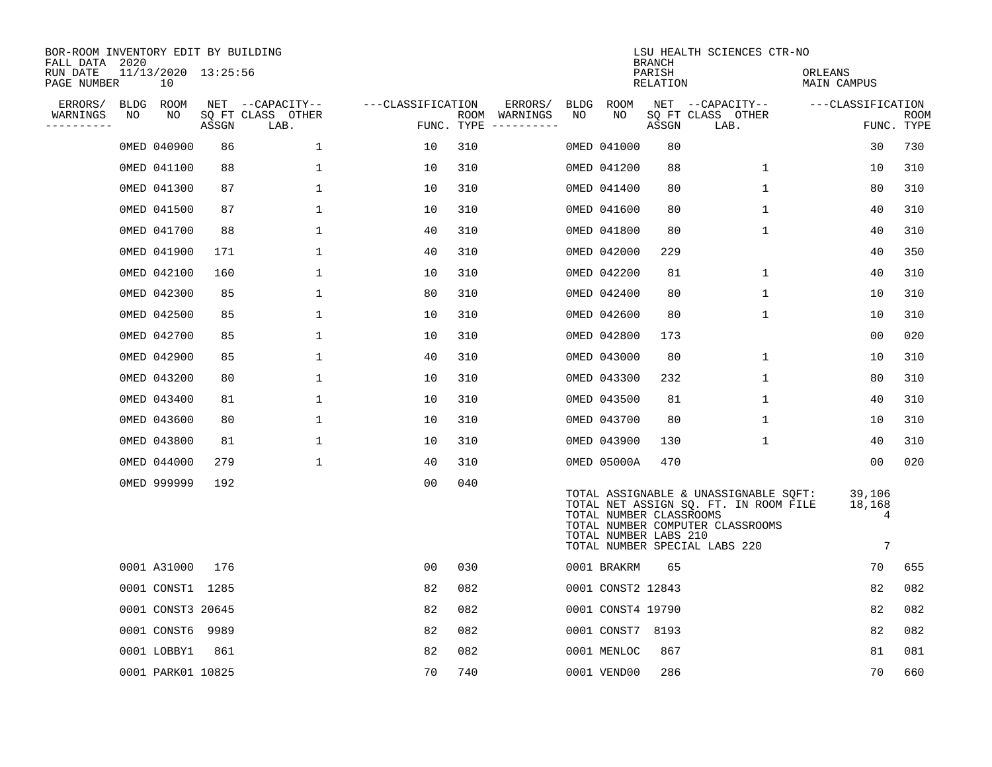| BOR-ROOM INVENTORY EDIT BY BUILDING<br>FALL DATA 2020 |    |                           |       |                           |                   |     |                                      |    |                                                  | <b>BRANCH</b>      | LSU HEALTH SCIENCES CTR-NO                                                                                                                          |                            |                    |
|-------------------------------------------------------|----|---------------------------|-------|---------------------------|-------------------|-----|--------------------------------------|----|--------------------------------------------------|--------------------|-----------------------------------------------------------------------------------------------------------------------------------------------------|----------------------------|--------------------|
| RUN DATE<br>PAGE NUMBER                               |    | 11/13/2020 13:25:56<br>10 |       |                           |                   |     |                                      |    |                                                  | PARISH<br>RELATION |                                                                                                                                                     | ORLEANS<br>MAIN CAMPUS     |                    |
| ERRORS/                                               |    | BLDG ROOM                 |       | NET --CAPACITY--          | ---CLASSIFICATION |     | ERRORS/                              |    | BLDG ROOM                                        |                    | NET --CAPACITY--                                                                                                                                    | ---CLASSIFICATION          |                    |
| WARNINGS<br>----------                                | NO | NO                        | ASSGN | SQ FT CLASS OTHER<br>LAB. |                   |     | ROOM WARNINGS<br>FUNC. TYPE $------$ | NO | NO.                                              | ASSGN              | SQ FT CLASS OTHER<br>LAB.                                                                                                                           |                            | ROOM<br>FUNC. TYPE |
|                                                       |    | 0MED 040900               | 86    | $\mathbf{1}$              | 10                | 310 |                                      |    | 0MED 041000                                      | 80                 |                                                                                                                                                     | 30                         | 730                |
|                                                       |    | 0MED 041100               | 88    | 1                         | 10                | 310 |                                      |    | 0MED 041200                                      | 88                 | $\mathbf{1}$                                                                                                                                        | 10                         | 310                |
|                                                       |    | 0MED 041300               | 87    | 1                         | 10                | 310 |                                      |    | 0MED 041400                                      | 80                 | $\mathbf{1}$                                                                                                                                        | 80                         | 310                |
|                                                       |    | 0MED 041500               | 87    | 1                         | 10                | 310 |                                      |    | 0MED 041600                                      | 80                 | $\mathbf 1$                                                                                                                                         | 40                         | 310                |
|                                                       |    | 0MED 041700               | 88    | $\mathbf 1$               | 40                | 310 |                                      |    | 0MED 041800                                      | 80                 | $\mathbf 1$                                                                                                                                         | 40                         | 310                |
|                                                       |    | 0MED 041900               | 171   | 1                         | 40                | 310 |                                      |    | 0MED 042000                                      | 229                |                                                                                                                                                     | 40                         | 350                |
|                                                       |    | 0MED 042100               | 160   | $\mathbf 1$               | 10                | 310 |                                      |    | 0MED 042200                                      | 81                 | $\mathbf 1$                                                                                                                                         | 40                         | 310                |
|                                                       |    | 0MED 042300               | 85    | $\mathbf{1}$              | 80                | 310 |                                      |    | 0MED 042400                                      | 80                 | $\mathbf 1$                                                                                                                                         | 10                         | 310                |
|                                                       |    | 0MED 042500               | 85    | $\mathbf{1}$              | 10                | 310 |                                      |    | 0MED 042600                                      | 80                 | $\mathbf 1$                                                                                                                                         | 10                         | 310                |
|                                                       |    | 0MED 042700               | 85    | $\mathbf{1}$              | 10                | 310 |                                      |    | 0MED 042800                                      | 173                |                                                                                                                                                     | 0 <sub>0</sub>             | 020                |
|                                                       |    | 0MED 042900               | 85    | 1                         | 40                | 310 |                                      |    | 0MED 043000                                      | 80                 | 1                                                                                                                                                   | 10                         | 310                |
|                                                       |    | 0MED 043200               | 80    | $\mathbf{1}$              | 10                | 310 |                                      |    | 0MED 043300                                      | 232                | $\mathbf 1$                                                                                                                                         | 80                         | 310                |
|                                                       |    | 0MED 043400               | 81    | $\mathbf{1}$              | 10                | 310 |                                      |    | 0MED 043500                                      | 81                 | $\mathbf 1$                                                                                                                                         | 40                         | 310                |
|                                                       |    | 0MED 043600               | 80    | $\mathbf 1$               | 10                | 310 |                                      |    | 0MED 043700                                      | 80                 | 1                                                                                                                                                   | 10                         | 310                |
|                                                       |    | 0MED 043800               | 81    | 1                         | 10                | 310 |                                      |    | 0MED 043900                                      | 130                | $\mathbf{1}$                                                                                                                                        | 40                         | 310                |
|                                                       |    | 0MED 044000               | 279   | $\mathbf{1}$              | 40                | 310 |                                      |    | 0MED 05000A                                      | 470                |                                                                                                                                                     | 00                         | 020                |
|                                                       |    | 0MED 999999               | 192   |                           | 0 <sub>0</sub>    | 040 |                                      |    | TOTAL NUMBER CLASSROOMS<br>TOTAL NUMBER LABS 210 |                    | TOTAL ASSIGNABLE & UNASSIGNABLE SQFT:<br>TOTAL NET ASSIGN SQ. FT. IN ROOM FILE<br>TOTAL NUMBER COMPUTER CLASSROOMS<br>TOTAL NUMBER SPECIAL LABS 220 | 39,106<br>18,168<br>4<br>7 |                    |
|                                                       |    | 0001 A31000               | 176   |                           | 00                | 030 |                                      |    | 0001 BRAKRM                                      | 65                 |                                                                                                                                                     | 70                         | 655                |
|                                                       |    | 0001 CONST1 1285          |       |                           | 82                | 082 |                                      |    | 0001 CONST2 12843                                |                    |                                                                                                                                                     | 82                         | 082                |
|                                                       |    | 0001 CONST3 20645         |       |                           | 82                | 082 |                                      |    | 0001 CONST4 19790                                |                    |                                                                                                                                                     | 82                         | 082                |
|                                                       |    | 0001 CONST6 9989          |       |                           | 82                | 082 |                                      |    | 0001 CONST7 8193                                 |                    |                                                                                                                                                     | 82                         | 082                |
|                                                       |    | 0001 LOBBY1               | 861   |                           | 82                | 082 |                                      |    | 0001 MENLOC                                      | 867                |                                                                                                                                                     | 81                         | 081                |
|                                                       |    | 0001 PARK01 10825         |       |                           | 70                | 740 |                                      |    | 0001 VEND00                                      | 286                |                                                                                                                                                     | 70                         | 660                |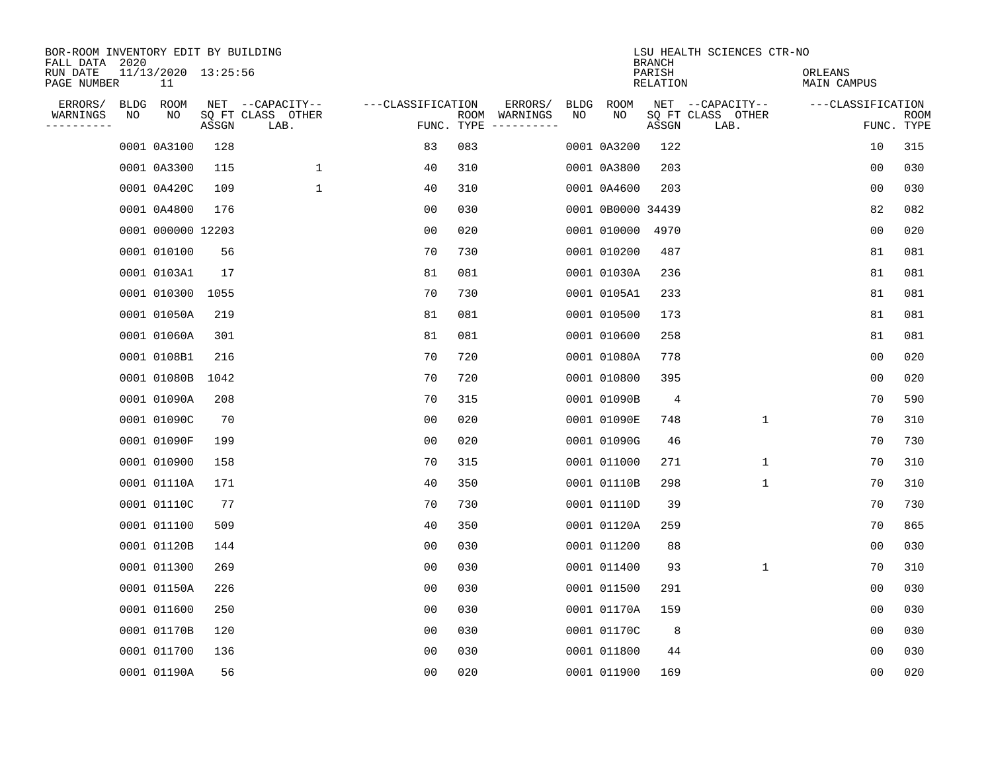| BOR-ROOM INVENTORY EDIT BY BUILDING<br>FALL DATA 2020 |      |                           |       |                           |                   |            |                              |      |                   | <b>BRANCH</b>             | LSU HEALTH SCIENCES CTR-NO |                        |                           |
|-------------------------------------------------------|------|---------------------------|-------|---------------------------|-------------------|------------|------------------------------|------|-------------------|---------------------------|----------------------------|------------------------|---------------------------|
| RUN DATE<br>PAGE NUMBER                               |      | 11/13/2020 13:25:56<br>11 |       |                           |                   |            |                              |      |                   | PARISH<br><b>RELATION</b> |                            | ORLEANS<br>MAIN CAMPUS |                           |
| ERRORS/                                               | BLDG | ROOM                      |       | NET --CAPACITY--          | ---CLASSIFICATION |            | ERRORS/                      | BLDG | <b>ROOM</b>       |                           | NET --CAPACITY--           | ---CLASSIFICATION      |                           |
| WARNINGS<br>----------                                | ΝO   | NO                        | ASSGN | SQ FT CLASS OTHER<br>LAB. |                   | FUNC. TYPE | ROOM WARNINGS<br>----------- | NO   | NO                | ASSGN                     | SQ FT CLASS OTHER<br>LAB.  |                        | <b>ROOM</b><br>FUNC. TYPE |
|                                                       |      | 0001 0A3100               | 128   |                           | 83                | 083        |                              |      | 0001 0A3200       | 122                       |                            | 10                     | 315                       |
|                                                       |      | 0001 0A3300               | 115   | 1                         | 40                | 310        |                              |      | 0001 0A3800       | 203                       |                            | 00                     | 030                       |
|                                                       |      | 0001 0A420C               | 109   | $\mathbf 1$               | 40                | 310        |                              |      | 0001 0A4600       | 203                       |                            | 00                     | 030                       |
|                                                       |      | 0001 0A4800               | 176   |                           | 0 <sub>0</sub>    | 030        |                              |      | 0001 0B0000 34439 |                           |                            | 82                     | 082                       |
|                                                       |      | 0001 000000 12203         |       |                           | 0 <sub>0</sub>    | 020        |                              |      | 0001 010000       | 4970                      |                            | 00                     | 020                       |
|                                                       |      | 0001 010100               | 56    |                           | 70                | 730        |                              |      | 0001 010200       | 487                       |                            | 81                     | 081                       |
|                                                       |      | 0001 0103A1               | 17    |                           | 81                | 081        |                              |      | 0001 01030A       | 236                       |                            | 81                     | 081                       |
|                                                       |      | 0001 010300               | 1055  |                           | 70                | 730        |                              |      | 0001 0105A1       | 233                       |                            | 81                     | 081                       |
|                                                       |      | 0001 01050A               | 219   |                           | 81                | 081        |                              |      | 0001 010500       | 173                       |                            | 81                     | 081                       |
|                                                       |      | 0001 01060A               | 301   |                           | 81                | 081        |                              |      | 0001 010600       | 258                       |                            | 81                     | 081                       |
|                                                       |      | 0001 0108B1               | 216   |                           | 70                | 720        |                              |      | 0001 01080A       | 778                       |                            | 0 <sub>0</sub>         | 020                       |
|                                                       |      | 0001 01080B               | 1042  |                           | 70                | 720        |                              |      | 0001 010800       | 395                       |                            | 0 <sub>0</sub>         | 020                       |
|                                                       |      | 0001 01090A               | 208   |                           | 70                | 315        |                              |      | 0001 01090B       | 4                         |                            | 70                     | 590                       |
|                                                       |      | 0001 01090C               | 70    |                           | 00                | 020        |                              |      | 0001 01090E       | 748                       | 1                          | 70                     | 310                       |
|                                                       |      | 0001 01090F               | 199   |                           | 0 <sub>0</sub>    | 020        |                              |      | 0001 01090G       | 46                        |                            | 70                     | 730                       |
|                                                       |      | 0001 010900               | 158   |                           | 70                | 315        |                              |      | 0001 011000       | 271                       | $\mathbf 1$                | 70                     | 310                       |
|                                                       |      | 0001 01110A               | 171   |                           | 40                | 350        |                              |      | 0001 01110B       | 298                       | 1                          | 70                     | 310                       |
|                                                       |      | 0001 01110C               | 77    |                           | 70                | 730        |                              |      | 0001 01110D       | 39                        |                            | 70                     | 730                       |
|                                                       |      | 0001 011100               | 509   |                           | 40                | 350        |                              |      | 0001 01120A       | 259                       |                            | 70                     | 865                       |
|                                                       |      | 0001 01120B               | 144   |                           | 0 <sub>0</sub>    | 030        |                              |      | 0001 011200       | 88                        |                            | 0 <sub>0</sub>         | 030                       |
|                                                       |      | 0001 011300               | 269   |                           | 0 <sub>0</sub>    | 030        |                              |      | 0001 011400       | 93                        | $\mathbf 1$                | 70                     | 310                       |
|                                                       |      | 0001 01150A               | 226   |                           | 0 <sub>0</sub>    | 030        |                              |      | 0001 011500       | 291                       |                            | 0 <sub>0</sub>         | 030                       |
|                                                       |      | 0001 011600               | 250   |                           | 0 <sub>0</sub>    | 030        |                              |      | 0001 01170A       | 159                       |                            | 0 <sub>0</sub>         | 030                       |
|                                                       |      | 0001 01170B               | 120   |                           | 0 <sub>0</sub>    | 030        |                              |      | 0001 01170C       | 8                         |                            | 0 <sub>0</sub>         | 030                       |
|                                                       |      | 0001 011700               | 136   |                           | 0 <sub>0</sub>    | 030        |                              |      | 0001 011800       | 44                        |                            | 0 <sub>0</sub>         | 030                       |
|                                                       |      | 0001 01190A               | 56    |                           | 0 <sub>0</sub>    | 020        |                              |      | 0001 011900       | 169                       |                            | 0 <sub>0</sub>         | 020                       |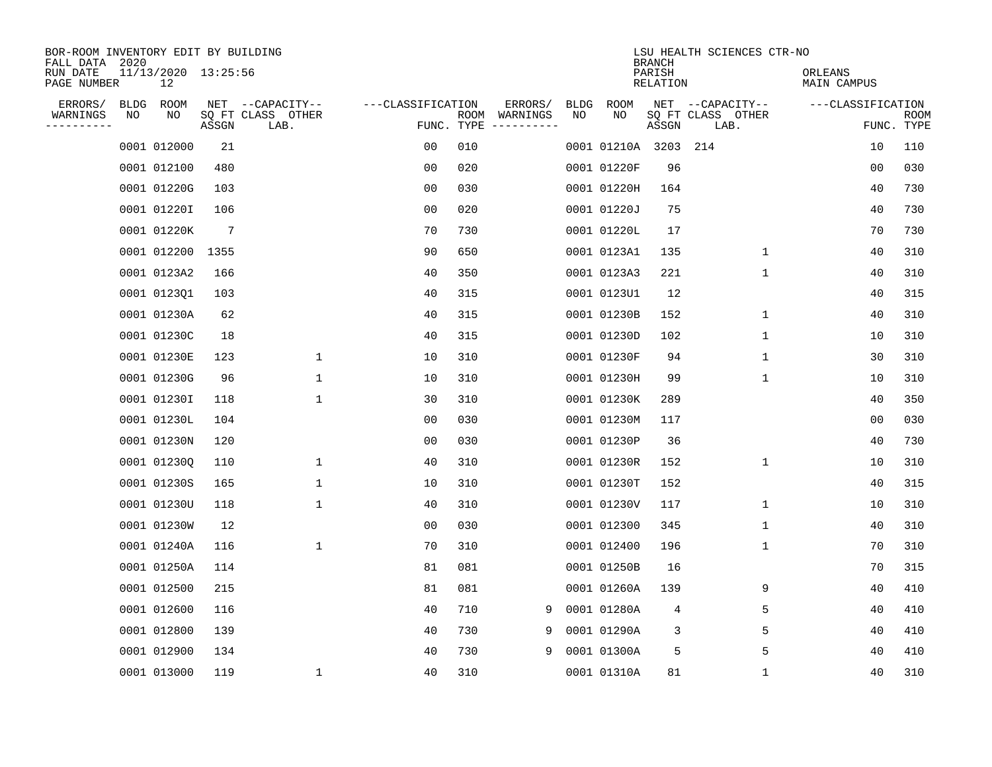| BOR-ROOM INVENTORY EDIT BY BUILDING<br>FALL DATA 2020 |      |                           |                 |                           |                   |      |                         |             |                  | <b>BRANCH</b>             | LSU HEALTH SCIENCES CTR-NO |                        |                           |
|-------------------------------------------------------|------|---------------------------|-----------------|---------------------------|-------------------|------|-------------------------|-------------|------------------|---------------------------|----------------------------|------------------------|---------------------------|
| RUN DATE<br>PAGE NUMBER                               |      | 11/13/2020 13:25:56<br>12 |                 |                           |                   |      |                         |             |                  | PARISH<br><b>RELATION</b> |                            | ORLEANS<br>MAIN CAMPUS |                           |
| ERRORS/                                               | BLDG | ROOM                      |                 | NET --CAPACITY--          | ---CLASSIFICATION |      | ERRORS/                 | <b>BLDG</b> | <b>ROOM</b>      |                           | NET --CAPACITY--           | ---CLASSIFICATION      |                           |
| WARNINGS<br>----------                                | NO   | NO                        | ASSGN           | SQ FT CLASS OTHER<br>LAB. | FUNC. TYPE        | ROOM | WARNINGS<br>----------- | NO          | NO               | ASSGN                     | SQ FT CLASS OTHER<br>LAB.  |                        | <b>ROOM</b><br>FUNC. TYPE |
|                                                       |      | 0001 012000               | 21              |                           | 00                | 010  |                         |             | 0001 01210A 3203 |                           | 214                        | 10                     | 110                       |
|                                                       |      | 0001 012100               | 480             |                           | 0 <sub>0</sub>    | 020  |                         |             | 0001 01220F      | 96                        |                            | 0 <sub>0</sub>         | 030                       |
|                                                       |      | 0001 01220G               | 103             |                           | 0 <sub>0</sub>    | 030  |                         |             | 0001 01220H      | 164                       |                            | 40                     | 730                       |
|                                                       |      | 0001 01220I               | 106             |                           | 0 <sub>0</sub>    | 020  |                         |             | 0001 01220J      | 75                        |                            | 40                     | 730                       |
|                                                       |      | 0001 01220K               | $7\phantom{.0}$ |                           | 70                | 730  |                         |             | 0001 01220L      | 17                        |                            | 70                     | 730                       |
|                                                       |      | 0001 012200               | 1355            |                           | 90                | 650  |                         |             | 0001 0123A1      | 135                       | $\mathbf{1}$               | 40                     | 310                       |
|                                                       |      | 0001 0123A2               | 166             |                           | 40                | 350  |                         |             | 0001 0123A3      | 221                       | $\mathbf{1}$               | 40                     | 310                       |
|                                                       |      | 0001 012301               | 103             |                           | 40                | 315  |                         |             | 0001 0123U1      | 12                        |                            | 40                     | 315                       |
|                                                       |      | 0001 01230A               | 62              |                           | 40                | 315  |                         |             | 0001 01230B      | 152                       | 1                          | 40                     | 310                       |
|                                                       |      | 0001 01230C               | 18              |                           | 40                | 315  |                         |             | 0001 01230D      | 102                       | $\mathbf 1$                | 10                     | 310                       |
|                                                       |      | 0001 01230E               | 123             | 1                         | 10                | 310  |                         |             | 0001 01230F      | 94                        | $\mathbf{1}$               | 30                     | 310                       |
|                                                       |      | 0001 01230G               | 96              | $\mathbf{1}$              | 10                | 310  |                         |             | 0001 01230H      | 99                        | $\mathbf{1}$               | 10                     | 310                       |
|                                                       |      | 0001 01230I               | 118             | 1                         | 30                | 310  |                         |             | 0001 01230K      | 289                       |                            | 40                     | 350                       |
|                                                       |      | 0001 01230L               | 104             |                           | 00                | 030  |                         |             | 0001 01230M      | 117                       |                            | 00                     | 030                       |
|                                                       |      | 0001 01230N               | 120             |                           | 0 <sub>0</sub>    | 030  |                         |             | 0001 01230P      | 36                        |                            | 40                     | 730                       |
|                                                       |      | 0001 01230Q               | 110             | 1                         | 40                | 310  |                         |             | 0001 01230R      | 152                       | 1                          | 10                     | 310                       |
|                                                       |      | 0001 01230S               | 165             | 1                         | 10                | 310  |                         |             | 0001 01230T      | 152                       |                            | 40                     | 315                       |
|                                                       |      | 0001 01230U               | 118             | $\mathbf{1}$              | 40                | 310  |                         |             | 0001 01230V      | 117                       | 1                          | 10                     | 310                       |
|                                                       |      | 0001 01230W               | 12              |                           | 0 <sub>0</sub>    | 030  |                         |             | 0001 012300      | 345                       | $\mathbf{1}$               | 40                     | 310                       |
|                                                       |      | 0001 01240A               | 116             | 1                         | 70                | 310  |                         |             | 0001 012400      | 196                       | 1                          | 70                     | 310                       |
|                                                       |      | 0001 01250A               | 114             |                           | 81                | 081  |                         |             | 0001 01250B      | 16                        |                            | 70                     | 315                       |
|                                                       |      | 0001 012500               | 215             |                           | 81                | 081  |                         |             | 0001 01260A      | 139                       | 9                          | 40                     | 410                       |
|                                                       |      | 0001 012600               | 116             |                           | 40                | 710  | 9                       |             | 0001 01280A      | 4                         | 5                          | 40                     | 410                       |
|                                                       |      | 0001 012800               | 139             |                           | 40                | 730  | 9                       |             | 0001 01290A      | 3                         | 5                          | 40                     | 410                       |
|                                                       |      | 0001 012900               | 134             |                           | 40                | 730  | 9                       |             | 0001 01300A      | 5                         | 5                          | 40                     | 410                       |
|                                                       |      | 0001 013000               | 119             | $\mathbf{1}$              | 40                | 310  |                         |             | 0001 01310A      | 81                        | $\mathbf{1}$               | 40                     | 310                       |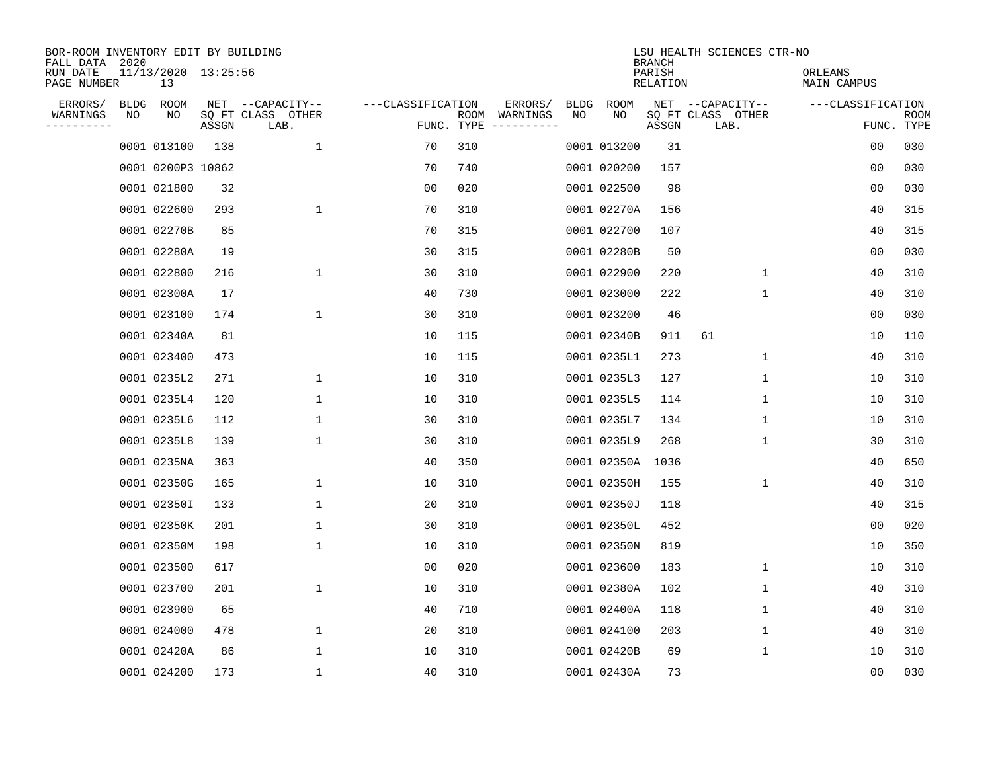| BOR-ROOM INVENTORY EDIT BY BUILDING<br>FALL DATA 2020 |             |                           |       |                           |                   |     |                                      |             |             | <b>BRANCH</b>             | LSU HEALTH SCIENCES CTR-NO |                        |                           |
|-------------------------------------------------------|-------------|---------------------------|-------|---------------------------|-------------------|-----|--------------------------------------|-------------|-------------|---------------------------|----------------------------|------------------------|---------------------------|
| RUN DATE<br>PAGE NUMBER                               |             | 11/13/2020 13:25:56<br>13 |       |                           |                   |     |                                      |             |             | PARISH<br><b>RELATION</b> |                            | ORLEANS<br>MAIN CAMPUS |                           |
| ERRORS/                                               | <b>BLDG</b> | ROOM                      |       | NET --CAPACITY--          | ---CLASSIFICATION |     | ERRORS/                              | <b>BLDG</b> | <b>ROOM</b> |                           | NET --CAPACITY--           | ---CLASSIFICATION      |                           |
| WARNINGS<br>----------                                | NO          | NO                        | ASSGN | SQ FT CLASS OTHER<br>LAB. |                   |     | ROOM WARNINGS<br>FUNC. TYPE $------$ | NO          | NO          | ASSGN                     | SQ FT CLASS OTHER<br>LAB.  |                        | <b>ROOM</b><br>FUNC. TYPE |
|                                                       |             | 0001 013100               | 138   | $\mathbf 1$               | 70                | 310 |                                      |             | 0001 013200 | 31                        |                            | 0 <sub>0</sub>         | 030                       |
|                                                       |             | 0001 0200P3 10862         |       |                           | 70                | 740 |                                      |             | 0001 020200 | 157                       |                            | 0 <sub>0</sub>         | 030                       |
|                                                       |             | 0001 021800               | 32    |                           | 0 <sub>0</sub>    | 020 |                                      |             | 0001 022500 | 98                        |                            | 0 <sub>0</sub>         | 030                       |
|                                                       |             | 0001 022600               | 293   | $\mathbf{1}$              | 70                | 310 |                                      |             | 0001 02270A | 156                       |                            | 40                     | 315                       |
|                                                       |             | 0001 02270B               | 85    |                           | 70                | 315 |                                      |             | 0001 022700 | 107                       |                            | 40                     | 315                       |
|                                                       |             | 0001 02280A               | 19    |                           | 30                | 315 |                                      |             | 0001 02280B | 50                        |                            | 0 <sub>0</sub>         | 030                       |
|                                                       |             | 0001 022800               | 216   | $\mathbf 1$               | 30                | 310 |                                      |             | 0001 022900 | 220                       | $\mathbf 1$                | 40                     | 310                       |
|                                                       |             | 0001 02300A               | 17    |                           | 40                | 730 |                                      |             | 0001 023000 | 222                       | $\mathbf{1}$               | 40                     | 310                       |
|                                                       |             | 0001 023100               | 174   | $\mathbf 1$               | 30                | 310 |                                      |             | 0001 023200 | 46                        |                            | 0 <sub>0</sub>         | 030                       |
|                                                       |             | 0001 02340A               | 81    |                           | 10                | 115 |                                      |             | 0001 02340B | 911                       | 61                         | 10                     | 110                       |
|                                                       |             | 0001 023400               | 473   |                           | 10                | 115 |                                      |             | 0001 0235L1 | 273                       | $\mathbf{1}$               | 40                     | 310                       |
|                                                       |             | 0001 0235L2               | 271   | $\mathbf{1}$              | 10                | 310 |                                      |             | 0001 0235L3 | 127                       | $\mathbf{1}$               | 10                     | 310                       |
|                                                       |             | 0001 0235L4               | 120   | 1                         | 10                | 310 |                                      |             | 0001 0235L5 | 114                       | 1                          | 10                     | 310                       |
|                                                       |             | 0001 0235L6               | 112   | 1                         | 30                | 310 |                                      |             | 0001 0235L7 | 134                       | 1                          | 10                     | 310                       |
|                                                       |             | 0001 0235L8               | 139   | 1                         | 30                | 310 |                                      |             | 0001 0235L9 | 268                       | 1                          | 30                     | 310                       |
|                                                       |             | 0001 0235NA               | 363   |                           | 40                | 350 |                                      |             | 0001 02350A | 1036                      |                            | 40                     | 650                       |
|                                                       |             | 0001 02350G               | 165   | 1                         | 10                | 310 |                                      |             | 0001 02350H | 155                       | 1                          | 40                     | 310                       |
|                                                       |             | 0001 02350I               | 133   | $\mathbf{1}$              | 20                | 310 |                                      |             | 0001 02350J | 118                       |                            | 40                     | 315                       |
|                                                       |             | 0001 02350K               | 201   | $\mathbf{1}$              | 30                | 310 |                                      |             | 0001 02350L | 452                       |                            | 0 <sub>0</sub>         | 020                       |
|                                                       |             | 0001 02350M               | 198   | 1                         | 10                | 310 |                                      |             | 0001 02350N | 819                       |                            | 10                     | 350                       |
|                                                       |             | 0001 023500               | 617   |                           | 0 <sub>0</sub>    | 020 |                                      |             | 0001 023600 | 183                       | 1                          | 10                     | 310                       |
|                                                       |             | 0001 023700               | 201   | 1                         | 10                | 310 |                                      |             | 0001 02380A | 102                       | 1                          | 40                     | 310                       |
|                                                       |             | 0001 023900               | 65    |                           | 40                | 710 |                                      |             | 0001 02400A | 118                       | 1                          | 40                     | 310                       |
|                                                       |             | 0001 024000               | 478   | $\mathbf{1}$              | 20                | 310 |                                      |             | 0001 024100 | 203                       | $\mathbf 1$                | 40                     | 310                       |
|                                                       |             | 0001 02420A               | 86    | $\mathbf{1}$              | 10                | 310 |                                      |             | 0001 02420B | 69                        | $\mathbf{1}$               | 10                     | 310                       |
|                                                       |             | 0001 024200               | 173   | 1                         | 40                | 310 |                                      |             | 0001 02430A | 73                        |                            | 0 <sub>0</sub>         | 030                       |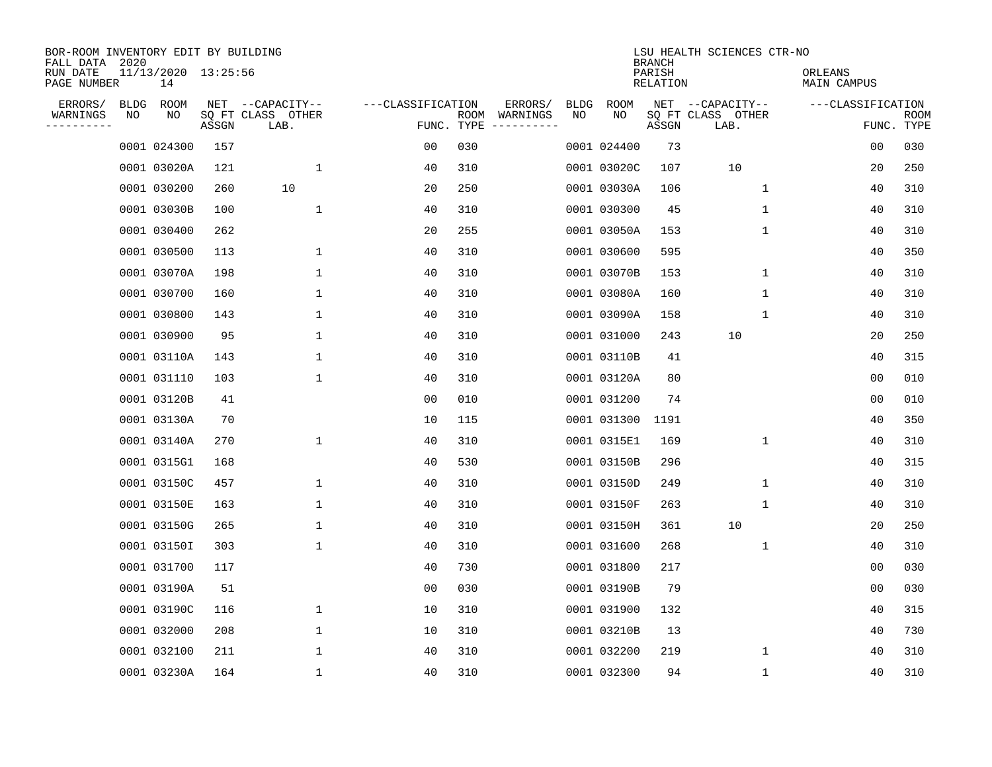| BOR-ROOM INVENTORY EDIT BY BUILDING<br>FALL DATA 2020 |             |                           |       |                           |                   |      |                                 |             |             | <b>BRANCH</b>             | LSU HEALTH SCIENCES CTR-NO |                        |                           |
|-------------------------------------------------------|-------------|---------------------------|-------|---------------------------|-------------------|------|---------------------------------|-------------|-------------|---------------------------|----------------------------|------------------------|---------------------------|
| RUN DATE<br>PAGE NUMBER                               |             | 11/13/2020 13:25:56<br>14 |       |                           |                   |      |                                 |             |             | PARISH<br><b>RELATION</b> |                            | ORLEANS<br>MAIN CAMPUS |                           |
| ERRORS/                                               | <b>BLDG</b> | ROOM                      |       | NET --CAPACITY--          | ---CLASSIFICATION |      | ERRORS/                         | <b>BLDG</b> | <b>ROOM</b> |                           | NET --CAPACITY--           | ---CLASSIFICATION      |                           |
| WARNINGS<br>----------                                | NO          | NO                        | ASSGN | SQ FT CLASS OTHER<br>LAB. |                   | ROOM | WARNINGS<br>FUNC. TYPE $------$ | NO          | NO          | ASSGN                     | SQ FT CLASS OTHER<br>LAB.  |                        | <b>ROOM</b><br>FUNC. TYPE |
|                                                       |             | 0001 024300               | 157   |                           | 00                | 030  |                                 |             | 0001 024400 | 73                        |                            | 0 <sub>0</sub>         | 030                       |
|                                                       |             | 0001 03020A               | 121   | 1                         | 40                | 310  |                                 |             | 0001 03020C | 107                       | 10                         | 20                     | 250                       |
|                                                       |             | 0001 030200               | 260   | 10                        | 20                | 250  |                                 |             | 0001 03030A | 106                       | 1                          | 40                     | 310                       |
|                                                       |             | 0001 03030B               | 100   | $\mathbf{1}$              | 40                | 310  |                                 |             | 0001 030300 | 45                        | 1                          | 40                     | 310                       |
|                                                       |             | 0001 030400               | 262   |                           | 20                | 255  |                                 |             | 0001 03050A | 153                       | $\mathbf 1$                | 40                     | 310                       |
|                                                       |             | 0001 030500               | 113   | 1                         | 40                | 310  |                                 |             | 0001 030600 | 595                       |                            | 40                     | 350                       |
|                                                       |             | 0001 03070A               | 198   | $\mathbf 1$               | 40                | 310  |                                 |             | 0001 03070B | 153                       | $\mathbf 1$                | 40                     | 310                       |
|                                                       |             | 0001 030700               | 160   | 1                         | 40                | 310  |                                 |             | 0001 03080A | 160                       | 1                          | 40                     | 310                       |
|                                                       |             | 0001 030800               | 143   | 1                         | 40                | 310  |                                 |             | 0001 03090A | 158                       | 1                          | 40                     | 310                       |
|                                                       |             | 0001 030900               | 95    | 1                         | 40                | 310  |                                 |             | 0001 031000 | 243                       | 10                         | 20                     | 250                       |
|                                                       |             | 0001 03110A               | 143   | 1                         | 40                | 310  |                                 |             | 0001 03110B | 41                        |                            | 40                     | 315                       |
|                                                       |             | 0001 031110               | 103   | $\mathbf{1}$              | 40                | 310  |                                 |             | 0001 03120A | 80                        |                            | 0 <sub>0</sub>         | 010                       |
|                                                       |             | 0001 03120B               | 41    |                           | 00                | 010  |                                 |             | 0001 031200 | 74                        |                            | 0 <sub>0</sub>         | 010                       |
|                                                       |             | 0001 03130A               | 70    |                           | 10                | 115  |                                 |             | 0001 031300 | 1191                      |                            | 40                     | 350                       |
|                                                       |             | 0001 03140A               | 270   | $\mathbf 1$               | 40                | 310  |                                 |             | 0001 0315E1 | 169                       | 1                          | 40                     | 310                       |
|                                                       |             | 0001 0315G1               | 168   |                           | 40                | 530  |                                 |             | 0001 03150B | 296                       |                            | 40                     | 315                       |
|                                                       |             | 0001 03150C               | 457   | 1                         | 40                | 310  |                                 |             | 0001 03150D | 249                       | 1                          | 40                     | 310                       |
|                                                       |             | 0001 03150E               | 163   | 1                         | 40                | 310  |                                 |             | 0001 03150F | 263                       | 1                          | 40                     | 310                       |
|                                                       |             | 0001 03150G               | 265   | 1                         | 40                | 310  |                                 |             | 0001 03150H | 361                       | 10                         | 20                     | 250                       |
|                                                       |             | 0001 03150I               | 303   | $\mathbf 1$               | 40                | 310  |                                 |             | 0001 031600 | 268                       | 1                          | 40                     | 310                       |
|                                                       |             | 0001 031700               | 117   |                           | 40                | 730  |                                 |             | 0001 031800 | 217                       |                            | 0 <sub>0</sub>         | 030                       |
|                                                       |             | 0001 03190A               | 51    |                           | 0 <sub>0</sub>    | 030  |                                 |             | 0001 03190B | 79                        |                            | 0 <sub>0</sub>         | 030                       |
|                                                       |             | 0001 03190C               | 116   | 1                         | 10                | 310  |                                 |             | 0001 031900 | 132                       |                            | 40                     | 315                       |
|                                                       |             | 0001 032000               | 208   | $\mathbf 1$               | 10                | 310  |                                 |             | 0001 03210B | 13                        |                            | 40                     | 730                       |
|                                                       |             | 0001 032100               | 211   | 1                         | 40                | 310  |                                 |             | 0001 032200 | 219                       | 1                          | 40                     | 310                       |
|                                                       |             | 0001 03230A               | 164   | 1                         | 40                | 310  |                                 |             | 0001 032300 | 94                        | 1                          | 40                     | 310                       |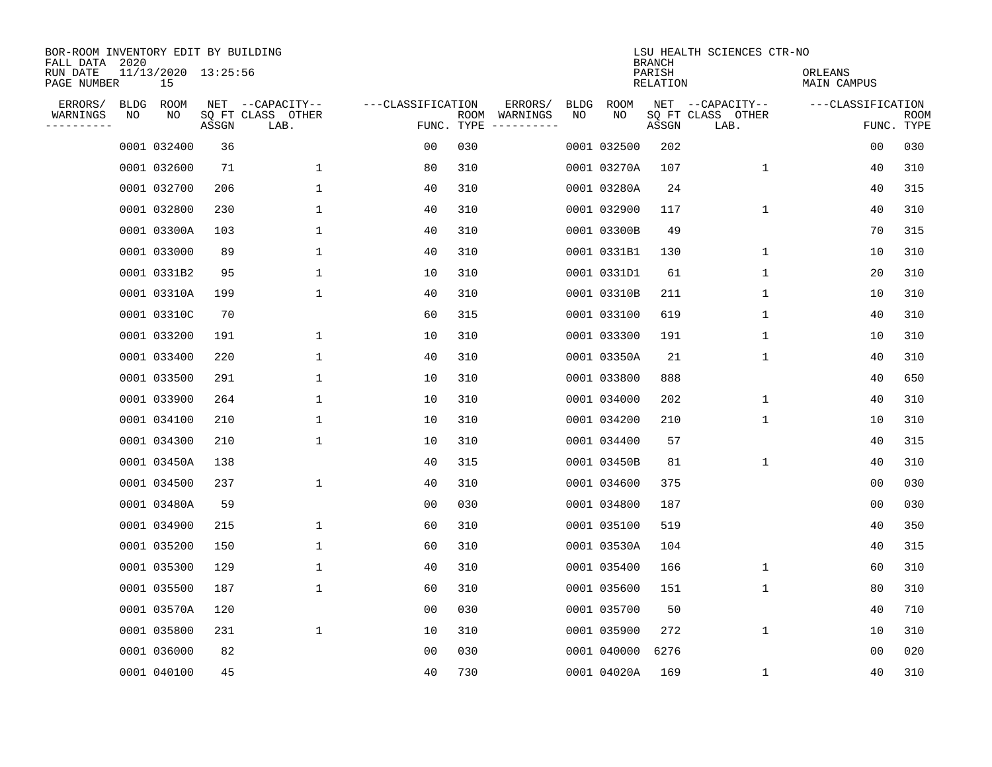| BOR-ROOM INVENTORY EDIT BY BUILDING<br>FALL DATA 2020 |             |                           |       |                           |                   |                    |                         |             |             | <b>BRANCH</b>      | LSU HEALTH SCIENCES CTR-NO |                        |                           |
|-------------------------------------------------------|-------------|---------------------------|-------|---------------------------|-------------------|--------------------|-------------------------|-------------|-------------|--------------------|----------------------------|------------------------|---------------------------|
| RUN DATE<br>PAGE NUMBER                               |             | 11/13/2020 13:25:56<br>15 |       |                           |                   |                    |                         |             |             | PARISH<br>RELATION |                            | ORLEANS<br>MAIN CAMPUS |                           |
| ERRORS/                                               | <b>BLDG</b> | ROOM                      |       | NET --CAPACITY--          | ---CLASSIFICATION |                    | ERRORS/                 | <b>BLDG</b> | <b>ROOM</b> |                    | NET --CAPACITY--           | ---CLASSIFICATION      |                           |
| WARNINGS<br>----------                                | NO          | NO                        | ASSGN | SQ FT CLASS OTHER<br>LAB. |                   | ROOM<br>FUNC. TYPE | WARNINGS<br>----------- | NO          | NO          | ASSGN              | SQ FT CLASS OTHER<br>LAB.  |                        | <b>ROOM</b><br>FUNC. TYPE |
|                                                       |             | 0001 032400               | 36    |                           | 00                | 030                |                         |             | 0001 032500 | 202                |                            | 00                     | 030                       |
|                                                       |             | 0001 032600               | 71    | 1                         | 80                | 310                |                         |             | 0001 03270A | 107                | 1                          | 40                     | 310                       |
|                                                       |             | 0001 032700               | 206   | $\mathbf 1$               | 40                | 310                |                         |             | 0001 03280A | 24                 |                            | 40                     | 315                       |
|                                                       |             | 0001 032800               | 230   | 1                         | 40                | 310                |                         |             | 0001 032900 | 117                | $\mathbf 1$                | 40                     | 310                       |
|                                                       |             | 0001 03300A               | 103   | $\mathbf 1$               | 40                | 310                |                         |             | 0001 03300B | 49                 |                            | 70                     | 315                       |
|                                                       |             | 0001 033000               | 89    | 1                         | 40                | 310                |                         |             | 0001 0331B1 | 130                | $\mathbf 1$                | 10                     | 310                       |
|                                                       |             | 0001 0331B2               | 95    | $\mathbf{1}$              | 10                | 310                |                         |             | 0001 0331D1 | 61                 | $\mathbf{1}$               | 20                     | 310                       |
|                                                       |             | 0001 03310A               | 199   | $\mathbf{1}$              | 40                | 310                |                         |             | 0001 03310B | 211                | 1                          | 10                     | 310                       |
|                                                       |             | 0001 03310C               | 70    |                           | 60                | 315                |                         |             | 0001 033100 | 619                | $\mathbf 1$                | 40                     | 310                       |
|                                                       |             | 0001 033200               | 191   | 1                         | 10                | 310                |                         |             | 0001 033300 | 191                | 1                          | 10                     | 310                       |
|                                                       |             | 0001 033400               | 220   | 1                         | 40                | 310                |                         |             | 0001 03350A | 21                 | 1                          | 40                     | 310                       |
|                                                       |             | 0001 033500               | 291   | 1                         | 10                | 310                |                         |             | 0001 033800 | 888                |                            | 40                     | 650                       |
|                                                       |             | 0001 033900               | 264   | 1                         | 10                | 310                |                         |             | 0001 034000 | 202                | 1                          | 40                     | 310                       |
|                                                       |             | 0001 034100               | 210   | 1                         | 10                | 310                |                         |             | 0001 034200 | 210                | 1                          | 10                     | 310                       |
|                                                       |             | 0001 034300               | 210   | 1                         | 10                | 310                |                         |             | 0001 034400 | 57                 |                            | 40                     | 315                       |
|                                                       |             | 0001 03450A               | 138   |                           | 40                | 315                |                         |             | 0001 03450B | 81                 | 1                          | 40                     | 310                       |
|                                                       |             | 0001 034500               | 237   | $\mathbf{1}$              | 40                | 310                |                         |             | 0001 034600 | 375                |                            | 00                     | 030                       |
|                                                       |             | 0001 03480A               | 59    |                           | 00                | 030                |                         |             | 0001 034800 | 187                |                            | 0 <sub>0</sub>         | 030                       |
|                                                       |             | 0001 034900               | 215   | 1                         | 60                | 310                |                         |             | 0001 035100 | 519                |                            | 40                     | 350                       |
|                                                       |             | 0001 035200               | 150   | 1                         | 60                | 310                |                         |             | 0001 03530A | 104                |                            | 40                     | 315                       |
|                                                       |             | 0001 035300               | 129   | 1                         | 40                | 310                |                         |             | 0001 035400 | 166                | 1                          | 60                     | 310                       |
|                                                       |             | 0001 035500               | 187   | 1                         | 60                | 310                |                         |             | 0001 035600 | 151                | 1                          | 80                     | 310                       |
|                                                       |             | 0001 03570A               | 120   |                           | 0 <sub>0</sub>    | 030                |                         |             | 0001 035700 | 50                 |                            | 40                     | 710                       |
|                                                       |             | 0001 035800               | 231   | $\mathbf 1$               | 10                | 310                |                         |             | 0001 035900 | 272                | $\mathbf 1$                | 10                     | 310                       |
|                                                       |             | 0001 036000               | 82    |                           | 0 <sub>0</sub>    | 030                |                         |             | 0001 040000 | 6276               |                            | 0 <sub>0</sub>         | 020                       |
|                                                       |             | 0001 040100               | 45    |                           | 40                | 730                |                         |             | 0001 04020A | 169                | 1                          | 40                     | 310                       |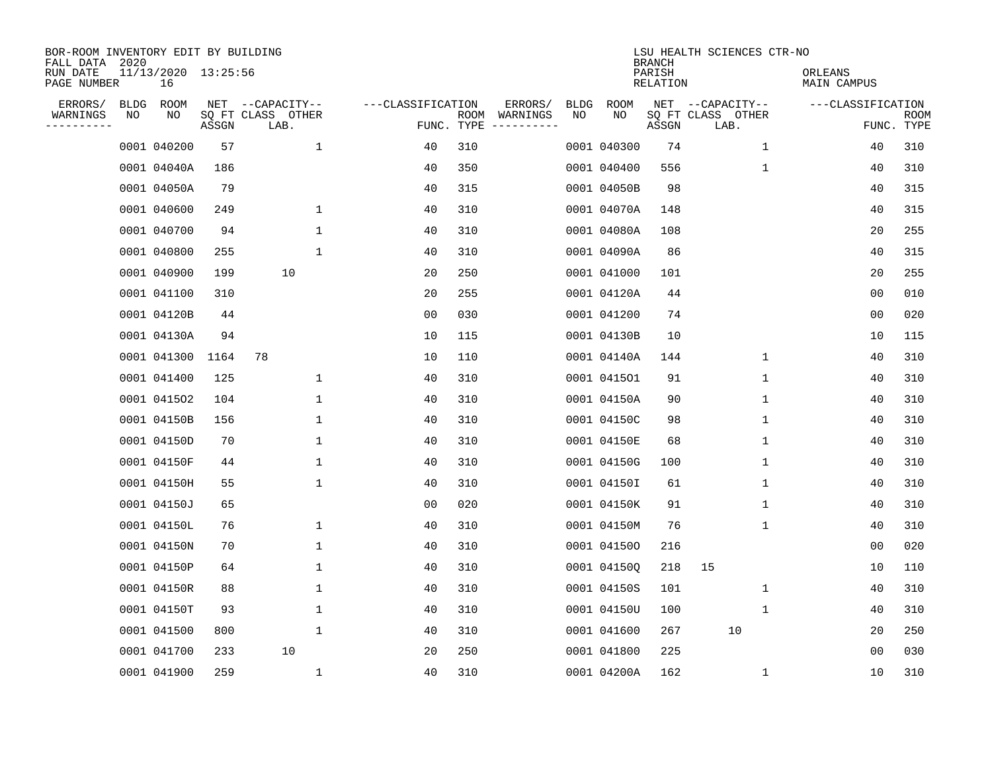| BOR-ROOM INVENTORY EDIT BY BUILDING<br>FALL DATA 2020 |    |                           |       |                           |                   |                    |                         |             |             | <b>BRANCH</b>      | LSU HEALTH SCIENCES CTR-NO |                        |                           |
|-------------------------------------------------------|----|---------------------------|-------|---------------------------|-------------------|--------------------|-------------------------|-------------|-------------|--------------------|----------------------------|------------------------|---------------------------|
| RUN DATE<br>PAGE NUMBER                               |    | 11/13/2020 13:25:56<br>16 |       |                           |                   |                    |                         |             |             | PARISH<br>RELATION |                            | ORLEANS<br>MAIN CAMPUS |                           |
| ERRORS/                                               |    | BLDG ROOM                 |       | NET --CAPACITY--          | ---CLASSIFICATION |                    | ERRORS/                 | <b>BLDG</b> | <b>ROOM</b> |                    | NET --CAPACITY--           | ---CLASSIFICATION      |                           |
| WARNINGS<br>-----------                               | ΝO | ΝO                        | ASSGN | SQ FT CLASS OTHER<br>LAB. |                   | ROOM<br>FUNC. TYPE | WARNINGS<br>----------- | NO          | NO          | ASSGN              | SQ FT CLASS OTHER<br>LAB.  |                        | <b>ROOM</b><br>FUNC. TYPE |
|                                                       |    | 0001 040200               | 57    | 1                         | 40                | 310                |                         |             | 0001 040300 | 74                 | $\mathbf{1}$               | 40                     | 310                       |
|                                                       |    | 0001 04040A               | 186   |                           | 40                | 350                |                         |             | 0001 040400 | 556                | 1                          | 40                     | 310                       |
|                                                       |    | 0001 04050A               | 79    |                           | 40                | 315                |                         |             | 0001 04050B | 98                 |                            | 40                     | 315                       |
|                                                       |    | 0001 040600               | 249   | $\mathbf 1$               | 40                | 310                |                         |             | 0001 04070A | 148                |                            | 40                     | 315                       |
|                                                       |    | 0001 040700               | 94    | $\mathbf 1$               | 40                | 310                |                         |             | 0001 04080A | 108                |                            | 20                     | 255                       |
|                                                       |    | 0001 040800               | 255   | $\mathbf 1$               | 40                | 310                |                         |             | 0001 04090A | 86                 |                            | 40                     | 315                       |
|                                                       |    | 0001 040900               | 199   | 10                        | 20                | 250                |                         |             | 0001 041000 | 101                |                            | 20                     | 255                       |
|                                                       |    | 0001 041100               | 310   |                           | 20                | 255                |                         |             | 0001 04120A | 44                 |                            | 0 <sub>0</sub>         | 010                       |
|                                                       |    | 0001 04120B               | 44    |                           | 0 <sub>0</sub>    | 030                |                         |             | 0001 041200 | 74                 |                            | 0 <sub>0</sub>         | 020                       |
|                                                       |    | 0001 04130A               | 94    |                           | 10                | 115                |                         |             | 0001 04130B | 10                 |                            | 10                     | 115                       |
|                                                       |    | 0001 041300               | 1164  | 78                        | 10                | 110                |                         |             | 0001 04140A | 144                | 1                          | 40                     | 310                       |
|                                                       |    | 0001 041400               | 125   | 1                         | 40                | 310                |                         |             | 0001 041501 | 91                 | 1                          | 40                     | 310                       |
|                                                       |    | 0001 041502               | 104   | $\mathbf 1$               | 40                | 310                |                         |             | 0001 04150A | 90                 | $\mathbf 1$                | 40                     | 310                       |
|                                                       |    | 0001 04150B               | 156   | $\mathbf 1$               | 40                | 310                |                         |             | 0001 04150C | 98                 | 1                          | 40                     | 310                       |
|                                                       |    | 0001 04150D               | 70    | $\mathbf{1}$              | 40                | 310                |                         |             | 0001 04150E | 68                 | 1                          | 40                     | 310                       |
|                                                       |    | 0001 04150F               | 44    | $\mathbf{1}$              | 40                | 310                |                         |             | 0001 04150G | 100                | 1                          | 40                     | 310                       |
|                                                       |    | 0001 04150H               | 55    | 1                         | 40                | 310                |                         |             | 0001 041501 | 61                 | 1                          | 40                     | 310                       |
|                                                       |    | 0001 04150J               | 65    |                           | 00                | 020                |                         |             | 0001 04150K | 91                 | 1                          | 40                     | 310                       |
|                                                       |    | 0001 04150L               | 76    | 1                         | 40                | 310                |                         |             | 0001 04150M | 76                 | 1                          | 40                     | 310                       |
|                                                       |    | 0001 04150N               | 70    | $\mathbf 1$               | 40                | 310                |                         |             | 0001 041500 | 216                |                            | 0 <sub>0</sub>         | 020                       |
|                                                       |    | 0001 04150P               | 64    | 1                         | 40                | 310                |                         |             | 0001 04150Q | 218                | 15                         | 10                     | 110                       |
|                                                       |    | 0001 04150R               | 88    | $\mathbf 1$               | 40                | 310                |                         |             | 0001 04150S | 101                | 1                          | 40                     | 310                       |
|                                                       |    | 0001 04150T               | 93    | $\mathbf 1$               | 40                | 310                |                         |             | 0001 04150U | 100                | 1                          | 40                     | 310                       |
|                                                       |    | 0001 041500               | 800   | $\mathbf{1}$              | 40                | 310                |                         |             | 0001 041600 | 267                | 10                         | 20                     | 250                       |
|                                                       |    | 0001 041700               | 233   | 10                        | 20                | 250                |                         |             | 0001 041800 | 225                |                            | 0 <sub>0</sub>         | 030                       |
|                                                       |    | 0001 041900               | 259   | $\mathbf{1}$              | 40                | 310                |                         |             | 0001 04200A | 162                | 1                          | 10                     | 310                       |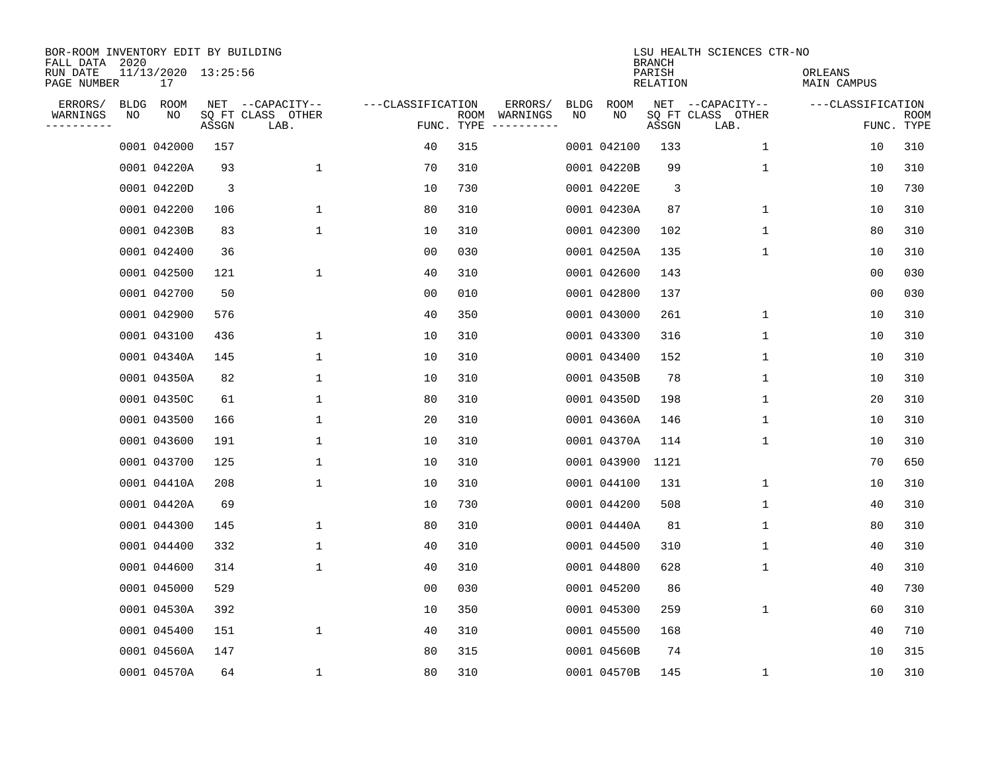| BOR-ROOM INVENTORY EDIT BY BUILDING<br>FALL DATA 2020 |             |                           |       |                           |                   |                    |          |             |             | <b>BRANCH</b>      | LSU HEALTH SCIENCES CTR-NO |                        |                           |
|-------------------------------------------------------|-------------|---------------------------|-------|---------------------------|-------------------|--------------------|----------|-------------|-------------|--------------------|----------------------------|------------------------|---------------------------|
| RUN DATE<br>PAGE NUMBER                               |             | 11/13/2020 13:25:56<br>17 |       |                           |                   |                    |          |             |             | PARISH<br>RELATION |                            | ORLEANS<br>MAIN CAMPUS |                           |
| ERRORS/                                               | <b>BLDG</b> | ROOM                      |       | NET --CAPACITY--          | ---CLASSIFICATION |                    | ERRORS/  | <b>BLDG</b> | <b>ROOM</b> |                    | NET --CAPACITY--           | ---CLASSIFICATION      |                           |
| WARNINGS<br>----------                                | NO          | NO                        | ASSGN | SQ FT CLASS OTHER<br>LAB. |                   | ROOM<br>FUNC. TYPE | WARNINGS | NO          | NO          | ASSGN              | SQ FT CLASS OTHER<br>LAB.  |                        | <b>ROOM</b><br>FUNC. TYPE |
|                                                       |             | 0001 042000               | 157   |                           | 40                | 315                |          |             | 0001 042100 | 133                | 1                          | 10                     | 310                       |
|                                                       |             | 0001 04220A               | 93    | 1                         | 70                | 310                |          |             | 0001 04220B | 99                 | 1                          | 10                     | 310                       |
|                                                       |             | 0001 04220D               | 3     |                           | 10                | 730                |          |             | 0001 04220E | 3                  |                            | 10                     | 730                       |
|                                                       |             | 0001 042200               | 106   | 1                         | 80                | 310                |          |             | 0001 04230A | 87                 | $\mathbf 1$                | 10                     | 310                       |
|                                                       |             | 0001 04230B               | 83    | $\mathbf 1$               | 10                | 310                |          |             | 0001 042300 | 102                | $\mathbf 1$                | 80                     | 310                       |
|                                                       |             | 0001 042400               | 36    |                           | 0 <sub>0</sub>    | 030                |          |             | 0001 04250A | 135                | $\mathbf 1$                | 10                     | 310                       |
|                                                       |             | 0001 042500               | 121   | $\mathbf{1}$              | 40                | 310                |          |             | 0001 042600 | 143                |                            | 00                     | 030                       |
|                                                       |             | 0001 042700               | 50    |                           | 0 <sub>0</sub>    | 010                |          |             | 0001 042800 | 137                |                            | 0 <sub>0</sub>         | 030                       |
|                                                       |             | 0001 042900               | 576   |                           | 40                | 350                |          |             | 0001 043000 | 261                | 1                          | 10                     | 310                       |
|                                                       |             | 0001 043100               | 436   | 1                         | 10                | 310                |          |             | 0001 043300 | 316                | $\mathbf 1$                | 10                     | 310                       |
|                                                       |             | 0001 04340A               | 145   | $\mathbf{1}$              | 10                | 310                |          |             | 0001 043400 | 152                | $\mathbf 1$                | 10                     | 310                       |
|                                                       |             | 0001 04350A               | 82    | 1                         | 10                | 310                |          |             | 0001 04350B | 78                 | 1                          | 10                     | 310                       |
|                                                       |             | 0001 04350C               | 61    | 1                         | 80                | 310                |          |             | 0001 04350D | 198                | 1                          | 20                     | 310                       |
|                                                       |             | 0001 043500               | 166   | $\mathbf{1}$              | 20                | 310                |          |             | 0001 04360A | 146                | 1                          | 10                     | 310                       |
|                                                       |             | 0001 043600               | 191   | 1                         | 10                | 310                |          |             | 0001 04370A | 114                | 1                          | 10                     | 310                       |
|                                                       |             | 0001 043700               | 125   | 1                         | 10                | 310                |          |             | 0001 043900 | 1121               |                            | 70                     | 650                       |
|                                                       |             | 0001 04410A               | 208   | 1                         | 10                | 310                |          |             | 0001 044100 | 131                | 1                          | 10                     | 310                       |
|                                                       |             | 0001 04420A               | 69    |                           | 10                | 730                |          |             | 0001 044200 | 508                | 1                          | 40                     | 310                       |
|                                                       |             | 0001 044300               | 145   | 1                         | 80                | 310                |          |             | 0001 04440A | 81                 | 1                          | 80                     | 310                       |
|                                                       |             | 0001 044400               | 332   | $\mathbf{1}$              | 40                | 310                |          |             | 0001 044500 | 310                | 1                          | 40                     | 310                       |
|                                                       |             | 0001 044600               | 314   | 1                         | 40                | 310                |          |             | 0001 044800 | 628                | 1                          | 40                     | 310                       |
|                                                       |             | 0001 045000               | 529   |                           | 00                | 030                |          |             | 0001 045200 | 86                 |                            | 40                     | 730                       |
|                                                       |             | 0001 04530A               | 392   |                           | 10                | 350                |          |             | 0001 045300 | 259                | 1                          | 60                     | 310                       |
|                                                       |             | 0001 045400               | 151   | $\mathbf{1}$              | 40                | 310                |          |             | 0001 045500 | 168                |                            | 40                     | 710                       |
|                                                       |             | 0001 04560A               | 147   |                           | 80                | 315                |          |             | 0001 04560B | 74                 |                            | 10                     | 315                       |
|                                                       |             | 0001 04570A               | 64    | $\mathbf 1$               | 80                | 310                |          |             | 0001 04570B | 145                | 1                          | 10                     | 310                       |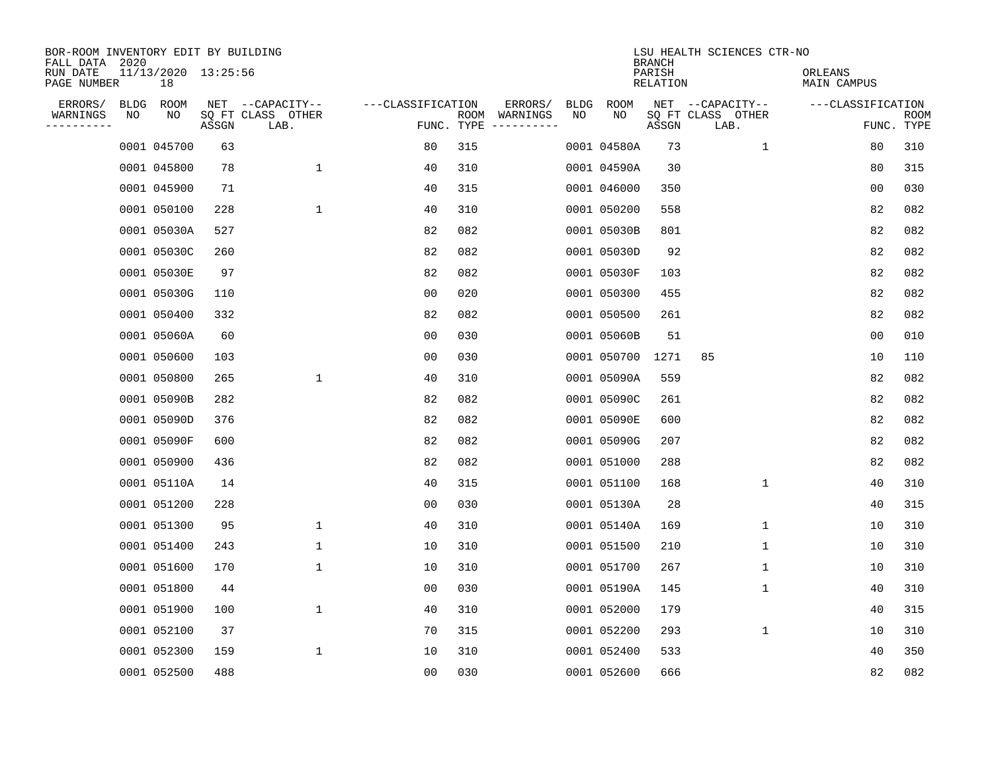| BOR-ROOM INVENTORY EDIT BY BUILDING<br>FALL DATA 2020 |    |                           |       |                           |                   |     |                                      |             |             | <b>BRANCH</b>             | LSU HEALTH SCIENCES CTR-NO |                        |                           |
|-------------------------------------------------------|----|---------------------------|-------|---------------------------|-------------------|-----|--------------------------------------|-------------|-------------|---------------------------|----------------------------|------------------------|---------------------------|
| RUN DATE<br>PAGE NUMBER                               |    | 11/13/2020 13:25:56<br>18 |       |                           |                   |     |                                      |             |             | PARISH<br><b>RELATION</b> |                            | ORLEANS<br>MAIN CAMPUS |                           |
| ERRORS/                                               |    | BLDG ROOM                 |       | NET --CAPACITY--          | ---CLASSIFICATION |     | ERRORS/                              | <b>BLDG</b> | <b>ROOM</b> |                           | NET --CAPACITY--           | ---CLASSIFICATION      |                           |
| WARNINGS<br>----------                                | NO | NO                        | ASSGN | SQ FT CLASS OTHER<br>LAB. |                   |     | ROOM WARNINGS<br>FUNC. TYPE $------$ | NO          | NO          | ASSGN                     | SQ FT CLASS OTHER<br>LAB.  |                        | <b>ROOM</b><br>FUNC. TYPE |
|                                                       |    | 0001 045700               | 63    |                           | 80                | 315 |                                      |             | 0001 04580A | 73                        | $\mathbf{1}$               | 80                     | 310                       |
|                                                       |    | 0001 045800               | 78    | $\mathbf 1$               | 40                | 310 |                                      |             | 0001 04590A | 30                        |                            | 80                     | 315                       |
|                                                       |    | 0001 045900               | 71    |                           | 40                | 315 |                                      |             | 0001 046000 | 350                       |                            | 0 <sub>0</sub>         | 030                       |
|                                                       |    | 0001 050100               | 228   | $\mathbf{1}$              | 40                | 310 |                                      |             | 0001 050200 | 558                       |                            | 82                     | 082                       |
|                                                       |    | 0001 05030A               | 527   |                           | 82                | 082 |                                      |             | 0001 05030B | 801                       |                            | 82                     | 082                       |
|                                                       |    | 0001 05030C               | 260   |                           | 82                | 082 |                                      |             | 0001 05030D | 92                        |                            | 82                     | 082                       |
|                                                       |    | 0001 05030E               | 97    |                           | 82                | 082 |                                      |             | 0001 05030F | 103                       |                            | 82                     | 082                       |
|                                                       |    | 0001 05030G               | 110   |                           | 0 <sub>0</sub>    | 020 |                                      |             | 0001 050300 | 455                       |                            | 82                     | 082                       |
|                                                       |    | 0001 050400               | 332   |                           | 82                | 082 |                                      |             | 0001 050500 | 261                       |                            | 82                     | 082                       |
|                                                       |    | 0001 05060A               | 60    |                           | 0 <sub>0</sub>    | 030 |                                      |             | 0001 05060B | 51                        |                            | 0 <sub>0</sub>         | 010                       |
|                                                       |    | 0001 050600               | 103   |                           | 0 <sub>0</sub>    | 030 |                                      |             | 0001 050700 | 1271                      | 85                         | 10                     | 110                       |
|                                                       |    | 0001 050800               | 265   | $\mathbf 1$               | 40                | 310 |                                      |             | 0001 05090A | 559                       |                            | 82                     | 082                       |
|                                                       |    | 0001 05090B               | 282   |                           | 82                | 082 |                                      |             | 0001 05090C | 261                       |                            | 82                     | 082                       |
|                                                       |    | 0001 05090D               | 376   |                           | 82                | 082 |                                      |             | 0001 05090E | 600                       |                            | 82                     | 082                       |
|                                                       |    | 0001 05090F               | 600   |                           | 82                | 082 |                                      |             | 0001 05090G | 207                       |                            | 82                     | 082                       |
|                                                       |    | 0001 050900               | 436   |                           | 82                | 082 |                                      |             | 0001 051000 | 288                       |                            | 82                     | 082                       |
|                                                       |    | 0001 05110A               | 14    |                           | 40                | 315 |                                      |             | 0001 051100 | 168                       | 1                          | 40                     | 310                       |
|                                                       |    | 0001 051200               | 228   |                           | 0 <sub>0</sub>    | 030 |                                      |             | 0001 05130A | 28                        |                            | 40                     | 315                       |
|                                                       |    | 0001 051300               | 95    | $\mathbf{1}$              | 40                | 310 |                                      |             | 0001 05140A | 169                       | 1                          | 10                     | 310                       |
|                                                       |    | 0001 051400               | 243   | $\mathbf 1$               | 10                | 310 |                                      |             | 0001 051500 | 210                       | 1                          | 10                     | 310                       |
|                                                       |    | 0001 051600               | 170   | $\mathbf{1}$              | 10                | 310 |                                      |             | 0001 051700 | 267                       | 1                          | 10                     | 310                       |
|                                                       |    | 0001 051800               | 44    |                           | 0 <sub>0</sub>    | 030 |                                      |             | 0001 05190A | 145                       | 1                          | 40                     | 310                       |
|                                                       |    | 0001 051900               | 100   | $\mathbf 1$               | 40                | 310 |                                      |             | 0001 052000 | 179                       |                            | 40                     | 315                       |
|                                                       |    | 0001 052100               | 37    |                           | 70                | 315 |                                      |             | 0001 052200 | 293                       | 1                          | 10                     | 310                       |
|                                                       |    | 0001 052300               | 159   | $\mathbf 1$               | 10                | 310 |                                      |             | 0001 052400 | 533                       |                            | 40                     | 350                       |
|                                                       |    | 0001 052500               | 488   |                           | 0 <sub>0</sub>    | 030 |                                      |             | 0001 052600 | 666                       |                            | 82                     | 082                       |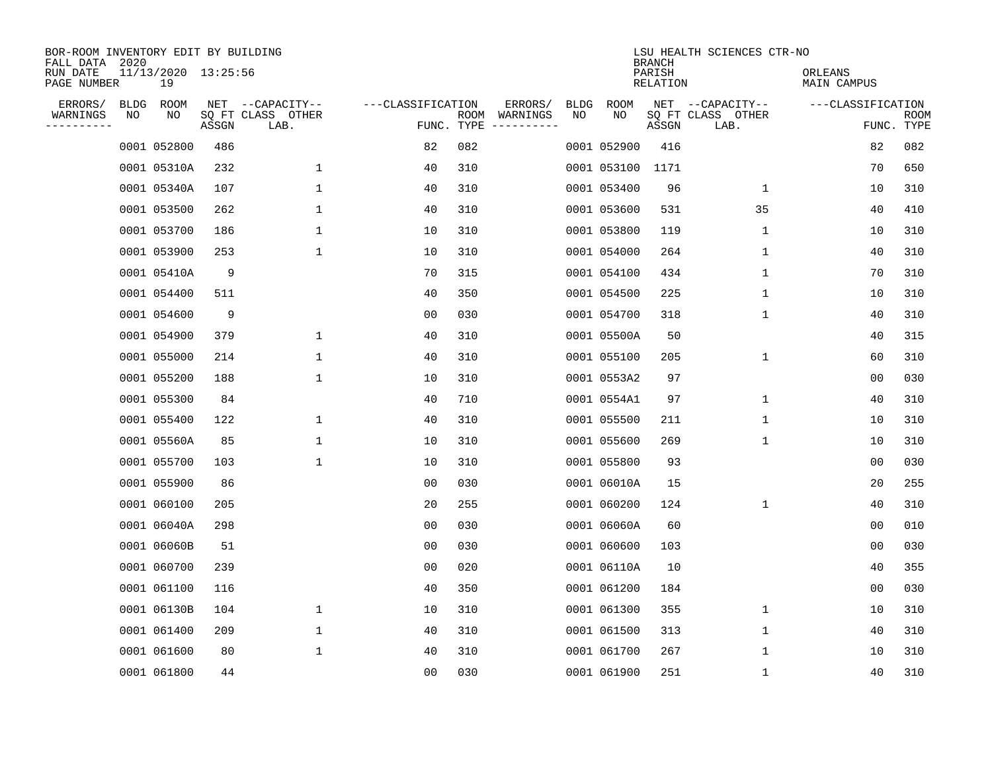| BOR-ROOM INVENTORY EDIT BY BUILDING<br>FALL DATA 2020 |    |                           |       |                           |                   |                    |                         |             |             | <b>BRANCH</b>      | LSU HEALTH SCIENCES CTR-NO |                        |                           |
|-------------------------------------------------------|----|---------------------------|-------|---------------------------|-------------------|--------------------|-------------------------|-------------|-------------|--------------------|----------------------------|------------------------|---------------------------|
| RUN DATE<br>PAGE NUMBER                               |    | 11/13/2020 13:25:56<br>19 |       |                           |                   |                    |                         |             |             | PARISH<br>RELATION |                            | ORLEANS<br>MAIN CAMPUS |                           |
| ERRORS/                                               |    | BLDG ROOM                 |       | NET --CAPACITY--          | ---CLASSIFICATION |                    | ERRORS/                 | <b>BLDG</b> | ROOM        |                    | NET --CAPACITY--           | ---CLASSIFICATION      |                           |
| WARNINGS<br>----------                                | ΝO | ΝO                        | ASSGN | SQ FT CLASS OTHER<br>LAB. |                   | ROOM<br>FUNC. TYPE | WARNINGS<br>----------- | NO          | NO          | ASSGN              | SQ FT CLASS OTHER<br>LAB.  |                        | <b>ROOM</b><br>FUNC. TYPE |
|                                                       |    | 0001 052800               | 486   |                           | 82                | 082                |                         |             | 0001 052900 | 416                |                            | 82                     | 082                       |
|                                                       |    | 0001 05310A               | 232   | 1                         | 40                | 310                |                         |             | 0001 053100 | 1171               |                            | 70                     | 650                       |
|                                                       |    | 0001 05340A               | 107   | 1                         | 40                | 310                |                         |             | 0001 053400 | 96                 | $\mathbf{1}$               | 10                     | 310                       |
|                                                       |    | 0001 053500               | 262   | $\mathbf{1}$              | 40                | 310                |                         |             | 0001 053600 | 531                | 35                         | 40                     | 410                       |
|                                                       |    | 0001 053700               | 186   | $\mathbf 1$               | 10                | 310                |                         |             | 0001 053800 | 119                | 1                          | 10                     | 310                       |
|                                                       |    | 0001 053900               | 253   | $\mathbf 1$               | 10                | 310                |                         |             | 0001 054000 | 264                | 1                          | 40                     | 310                       |
|                                                       |    | 0001 05410A               | 9     |                           | 70                | 315                |                         |             | 0001 054100 | 434                | $\mathbf 1$                | 70                     | 310                       |
|                                                       |    | 0001 054400               | 511   |                           | 40                | 350                |                         |             | 0001 054500 | 225                | 1                          | 10                     | 310                       |
|                                                       |    | 0001 054600               | 9     |                           | 0 <sub>0</sub>    | 030                |                         |             | 0001 054700 | 318                | $\mathbf 1$                | 40                     | 310                       |
|                                                       |    | 0001 054900               | 379   | 1                         | 40                | 310                |                         |             | 0001 05500A | 50                 |                            | 40                     | 315                       |
|                                                       |    | 0001 055000               | 214   | $\mathbf{1}$              | 40                | 310                |                         |             | 0001 055100 | 205                | $\mathbf 1$                | 60                     | 310                       |
|                                                       |    | 0001 055200               | 188   | $\mathbf 1$               | 10                | 310                |                         |             | 0001 0553A2 | 97                 |                            | 0 <sub>0</sub>         | 030                       |
|                                                       |    | 0001 055300               | 84    |                           | 40                | 710                |                         |             | 0001 0554A1 | 97                 | 1                          | 40                     | 310                       |
|                                                       |    | 0001 055400               | 122   | 1                         | 40                | 310                |                         |             | 0001 055500 | 211                | 1                          | 10                     | 310                       |
|                                                       |    | 0001 05560A               | 85    | 1                         | 10                | 310                |                         |             | 0001 055600 | 269                | 1                          | 10                     | 310                       |
|                                                       |    | 0001 055700               | 103   | 1                         | 10                | 310                |                         |             | 0001 055800 | 93                 |                            | 00                     | 030                       |
|                                                       |    | 0001 055900               | 86    |                           | 0 <sub>0</sub>    | 030                |                         |             | 0001 06010A | 15                 |                            | 20                     | 255                       |
|                                                       |    | 0001 060100               | 205   |                           | 20                | 255                |                         |             | 0001 060200 | 124                | 1                          | 40                     | 310                       |
|                                                       |    | 0001 06040A               | 298   |                           | 0 <sub>0</sub>    | 030                |                         |             | 0001 06060A | 60                 |                            | 0 <sub>0</sub>         | 010                       |
|                                                       |    | 0001 06060B               | 51    |                           | 0 <sub>0</sub>    | 030                |                         |             | 0001 060600 | 103                |                            | 0 <sub>0</sub>         | 030                       |
|                                                       |    | 0001 060700               | 239   |                           | 0 <sub>0</sub>    | 020                |                         |             | 0001 06110A | 10                 |                            | 40                     | 355                       |
|                                                       |    | 0001 061100               | 116   |                           | 40                | 350                |                         |             | 0001 061200 | 184                |                            | 00                     | 030                       |
|                                                       |    | 0001 06130B               | 104   | 1                         | 10                | 310                |                         |             | 0001 061300 | 355                | 1                          | 10                     | 310                       |
|                                                       |    | 0001 061400               | 209   | 1                         | 40                | 310                |                         |             | 0001 061500 | 313                | 1                          | 40                     | 310                       |
|                                                       |    | 0001 061600               | 80    | 1                         | 40                | 310                |                         |             | 0001 061700 | 267                | 1                          | 10                     | 310                       |
|                                                       |    | 0001 061800               | 44    |                           | 0 <sub>0</sub>    | 030                |                         |             | 0001 061900 | 251                | 1                          | 40                     | 310                       |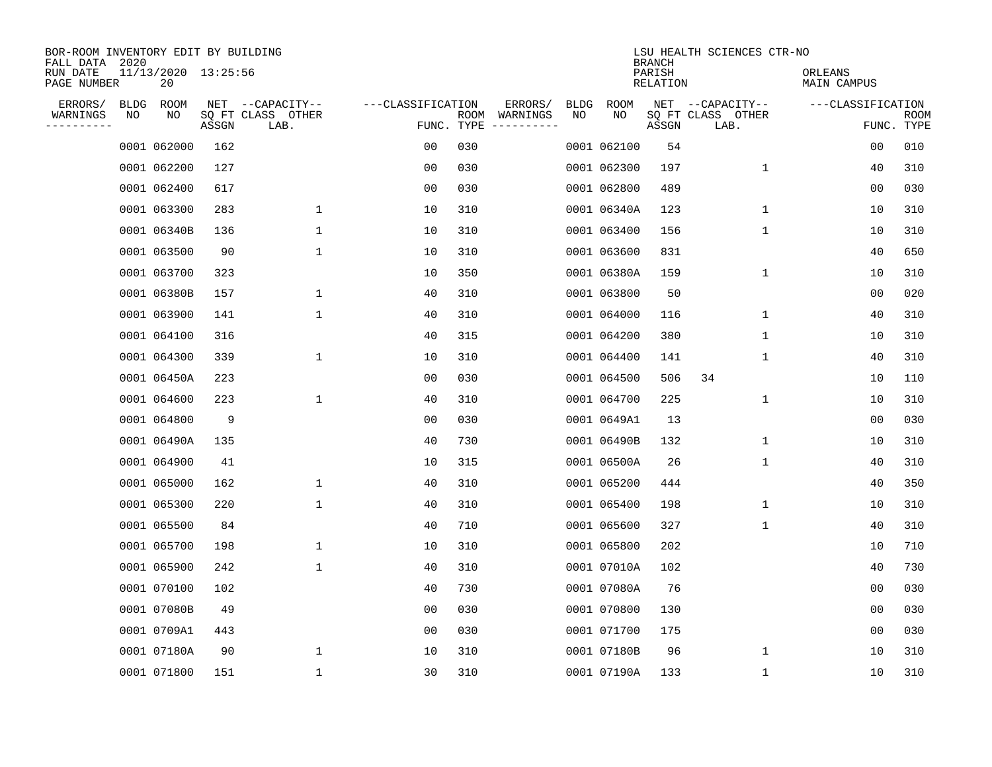| BOR-ROOM INVENTORY EDIT BY BUILDING<br>FALL DATA 2020 |             |                           |       |                           |                   |      |                                 |             |             | <b>BRANCH</b>             | LSU HEALTH SCIENCES CTR-NO |                        |                           |
|-------------------------------------------------------|-------------|---------------------------|-------|---------------------------|-------------------|------|---------------------------------|-------------|-------------|---------------------------|----------------------------|------------------------|---------------------------|
| RUN DATE<br>PAGE NUMBER                               |             | 11/13/2020 13:25:56<br>20 |       |                           |                   |      |                                 |             |             | PARISH<br><b>RELATION</b> |                            | ORLEANS<br>MAIN CAMPUS |                           |
| ERRORS/                                               | <b>BLDG</b> | ROOM                      |       | NET --CAPACITY--          | ---CLASSIFICATION |      | ERRORS/                         | <b>BLDG</b> | <b>ROOM</b> |                           | NET --CAPACITY--           | ---CLASSIFICATION      |                           |
| WARNINGS<br>----------                                | NO          | NO                        | ASSGN | SQ FT CLASS OTHER<br>LAB. |                   | ROOM | WARNINGS<br>FUNC. TYPE $------$ | NO          | NO          | ASSGN                     | SQ FT CLASS OTHER<br>LAB.  |                        | <b>ROOM</b><br>FUNC. TYPE |
|                                                       |             | 0001 062000               | 162   |                           | 00                | 030  |                                 |             | 0001 062100 | 54                        |                            | 0 <sub>0</sub>         | 010                       |
|                                                       |             | 0001 062200               | 127   |                           | 0 <sub>0</sub>    | 030  |                                 |             | 0001 062300 | 197                       | 1                          | 40                     | 310                       |
|                                                       |             | 0001 062400               | 617   |                           | 0 <sub>0</sub>    | 030  |                                 |             | 0001 062800 | 489                       |                            | 0 <sub>0</sub>         | 030                       |
|                                                       |             | 0001 063300               | 283   | $\mathbf 1$               | 10                | 310  |                                 |             | 0001 06340A | 123                       | 1                          | 10                     | 310                       |
|                                                       |             | 0001 06340B               | 136   | $\mathbf 1$               | 10                | 310  |                                 |             | 0001 063400 | 156                       | 1                          | 10                     | 310                       |
|                                                       |             | 0001 063500               | 90    | $\mathbf 1$               | 10                | 310  |                                 |             | 0001 063600 | 831                       |                            | 40                     | 650                       |
|                                                       |             | 0001 063700               | 323   |                           | 10                | 350  |                                 |             | 0001 06380A | 159                       | $\mathbf 1$                | 10                     | 310                       |
|                                                       |             | 0001 06380B               | 157   | 1                         | 40                | 310  |                                 |             | 0001 063800 | 50                        |                            | 0 <sub>0</sub>         | 020                       |
|                                                       |             | 0001 063900               | 141   | 1                         | 40                | 310  |                                 |             | 0001 064000 | 116                       | $\mathbf 1$                | 40                     | 310                       |
|                                                       |             | 0001 064100               | 316   |                           | 40                | 315  |                                 |             | 0001 064200 | 380                       | $\mathbf 1$                | 10                     | 310                       |
|                                                       |             | 0001 064300               | 339   | $\mathbf 1$               | 10                | 310  |                                 |             | 0001 064400 | 141                       | $\mathbf 1$                | 40                     | 310                       |
|                                                       |             | 0001 06450A               | 223   |                           | 0 <sub>0</sub>    | 030  |                                 |             | 0001 064500 | 506                       | 34                         | 10                     | 110                       |
|                                                       |             | 0001 064600               | 223   | 1                         | 40                | 310  |                                 |             | 0001 064700 | 225                       | $\mathbf 1$                | 10                     | 310                       |
|                                                       |             | 0001 064800               | 9     |                           | 00                | 030  |                                 |             | 0001 0649A1 | 13                        |                            | 00                     | 030                       |
|                                                       |             | 0001 06490A               | 135   |                           | 40                | 730  |                                 |             | 0001 06490B | 132                       | 1                          | 10                     | 310                       |
|                                                       |             | 0001 064900               | 41    |                           | 10                | 315  |                                 |             | 0001 06500A | 26                        | 1                          | 40                     | 310                       |
|                                                       |             | 0001 065000               | 162   | 1                         | 40                | 310  |                                 |             | 0001 065200 | 444                       |                            | 40                     | 350                       |
|                                                       |             | 0001 065300               | 220   | $\mathbf{1}$              | 40                | 310  |                                 |             | 0001 065400 | 198                       | 1                          | 10                     | 310                       |
|                                                       |             | 0001 065500               | 84    |                           | 40                | 710  |                                 |             | 0001 065600 | 327                       | 1                          | 40                     | 310                       |
|                                                       |             | 0001 065700               | 198   | 1                         | 10                | 310  |                                 |             | 0001 065800 | 202                       |                            | 10                     | 710                       |
|                                                       |             | 0001 065900               | 242   | 1                         | 40                | 310  |                                 |             | 0001 07010A | 102                       |                            | 40                     | 730                       |
|                                                       |             | 0001 070100               | 102   |                           | 40                | 730  |                                 |             | 0001 07080A | 76                        |                            | 0 <sub>0</sub>         | 030                       |
|                                                       |             | 0001 07080B               | 49    |                           | 0 <sub>0</sub>    | 030  |                                 |             | 0001 070800 | 130                       |                            | 0 <sub>0</sub>         | 030                       |
|                                                       |             | 0001 0709A1               | 443   |                           | 0 <sub>0</sub>    | 030  |                                 |             | 0001 071700 | 175                       |                            | 0 <sub>0</sub>         | 030                       |
|                                                       |             | 0001 07180A               | 90    | 1                         | 10                | 310  |                                 |             | 0001 07180B | 96                        | 1                          | 10                     | 310                       |
|                                                       |             | 0001 071800               | 151   | $\mathbf{1}$              | 30                | 310  |                                 |             | 0001 07190A | 133                       | 1                          | 10                     | 310                       |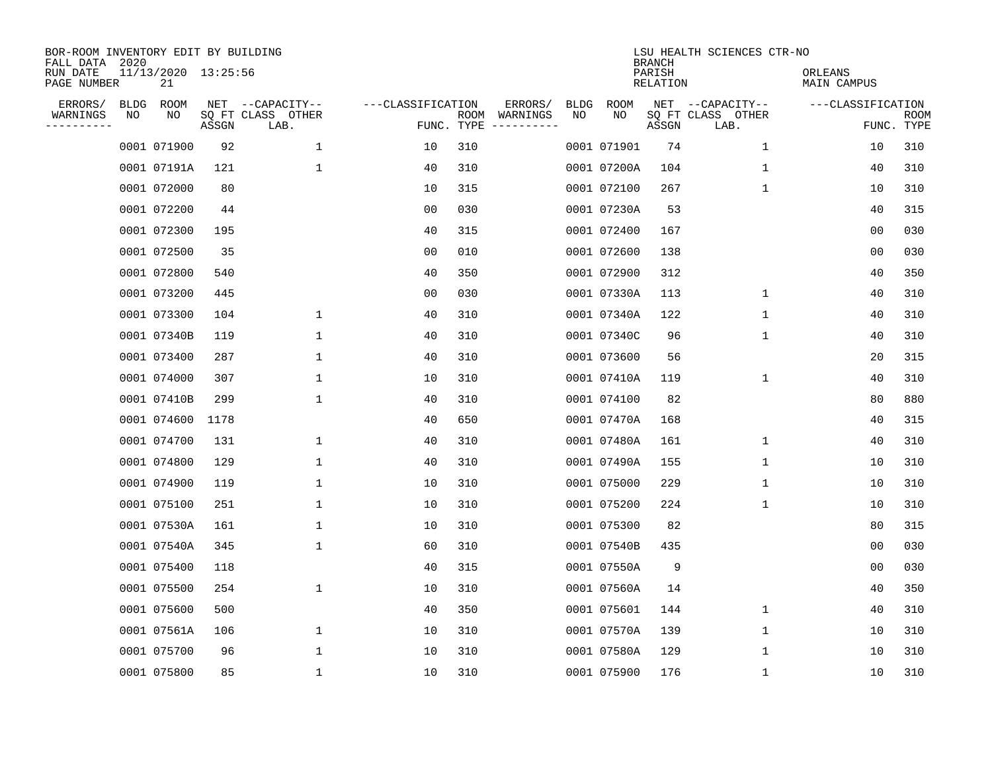| BOR-ROOM INVENTORY EDIT BY BUILDING<br>FALL DATA 2020 |             |                           |       |                           |                   |                    |                         |             |             | <b>BRANCH</b>      | LSU HEALTH SCIENCES CTR-NO |                        |                           |
|-------------------------------------------------------|-------------|---------------------------|-------|---------------------------|-------------------|--------------------|-------------------------|-------------|-------------|--------------------|----------------------------|------------------------|---------------------------|
| RUN DATE<br>PAGE NUMBER                               |             | 11/13/2020 13:25:56<br>21 |       |                           |                   |                    |                         |             |             | PARISH<br>RELATION |                            | ORLEANS<br>MAIN CAMPUS |                           |
| ERRORS/                                               | <b>BLDG</b> | ROOM                      |       | NET --CAPACITY--          | ---CLASSIFICATION |                    | ERRORS/                 | <b>BLDG</b> | <b>ROOM</b> |                    | NET --CAPACITY--           | ---CLASSIFICATION      |                           |
| WARNINGS<br>-----------                               | NO          | NO                        | ASSGN | SQ FT CLASS OTHER<br>LAB. |                   | ROOM<br>FUNC. TYPE | WARNINGS<br>----------- | NO          | NO          | ASSGN              | SQ FT CLASS OTHER<br>LAB.  |                        | <b>ROOM</b><br>FUNC. TYPE |
|                                                       |             | 0001 071900               | 92    | 1                         | 10                | 310                |                         |             | 0001 071901 | 74                 | 1                          | 10                     | 310                       |
|                                                       |             | 0001 07191A               | 121   | 1                         | 40                | 310                |                         |             | 0001 07200A | 104                | 1                          | 40                     | 310                       |
|                                                       |             | 0001 072000               | 80    |                           | 10                | 315                |                         |             | 0001 072100 | 267                | 1                          | 10                     | 310                       |
|                                                       |             | 0001 072200               | 44    |                           | 0 <sub>0</sub>    | 030                |                         |             | 0001 07230A | 53                 |                            | 40                     | 315                       |
|                                                       |             | 0001 072300               | 195   |                           | 40                | 315                |                         |             | 0001 072400 | 167                |                            | 0 <sub>0</sub>         | 030                       |
|                                                       |             | 0001 072500               | 35    |                           | 0 <sub>0</sub>    | 010                |                         |             | 0001 072600 | 138                |                            | 0 <sub>0</sub>         | 030                       |
|                                                       |             | 0001 072800               | 540   |                           | 40                | 350                |                         |             | 0001 072900 | 312                |                            | 40                     | 350                       |
|                                                       |             | 0001 073200               | 445   |                           | 0 <sub>0</sub>    | 030                |                         |             | 0001 07330A | 113                | $\mathbf{1}$               | 40                     | 310                       |
|                                                       |             | 0001 073300               | 104   | 1                         | 40                | 310                |                         |             | 0001 07340A | 122                | $\mathbf{1}$               | 40                     | 310                       |
|                                                       |             | 0001 07340B               | 119   | 1                         | 40                | 310                |                         |             | 0001 07340C | 96                 | 1                          | 40                     | 310                       |
|                                                       |             | 0001 073400               | 287   | 1                         | 40                | 310                |                         |             | 0001 073600 | 56                 |                            | 20                     | 315                       |
|                                                       |             | 0001 074000               | 307   | 1                         | 10                | 310                |                         |             | 0001 07410A | 119                | 1                          | 40                     | 310                       |
|                                                       |             | 0001 07410B               | 299   | 1                         | 40                | 310                |                         |             | 0001 074100 | 82                 |                            | 80                     | 880                       |
|                                                       |             | 0001 074600               | 1178  |                           | 40                | 650                |                         |             | 0001 07470A | 168                |                            | 40                     | 315                       |
|                                                       |             | 0001 074700               | 131   | 1                         | 40                | 310                |                         |             | 0001 07480A | 161                | 1                          | 40                     | 310                       |
|                                                       |             | 0001 074800               | 129   | 1                         | 40                | 310                |                         |             | 0001 07490A | 155                | 1                          | 10                     | 310                       |
|                                                       |             | 0001 074900               | 119   | 1                         | 10                | 310                |                         |             | 0001 075000 | 229                | 1                          | 10                     | 310                       |
|                                                       |             | 0001 075100               | 251   | 1                         | 10                | 310                |                         |             | 0001 075200 | 224                | 1                          | 10                     | 310                       |
|                                                       |             | 0001 07530A               | 161   | 1                         | 10                | 310                |                         |             | 0001 075300 | 82                 |                            | 80                     | 315                       |
|                                                       |             | 0001 07540A               | 345   | 1                         | 60                | 310                |                         |             | 0001 07540B | 435                |                            | 0 <sub>0</sub>         | 030                       |
|                                                       |             | 0001 075400               | 118   |                           | 40                | 315                |                         |             | 0001 07550A | 9                  |                            | 0 <sub>0</sub>         | 030                       |
|                                                       |             | 0001 075500               | 254   | $\mathbf 1$               | 10                | 310                |                         |             | 0001 07560A | 14                 |                            | 40                     | 350                       |
|                                                       |             | 0001 075600               | 500   |                           | 40                | 350                |                         |             | 0001 075601 | 144                | 1                          | 40                     | 310                       |
|                                                       |             | 0001 07561A               | 106   | $\mathbf 1$               | 10                | 310                |                         |             | 0001 07570A | 139                | 1                          | 10                     | 310                       |
|                                                       |             | 0001 075700               | 96    | 1                         | 10                | 310                |                         |             | 0001 07580A | 129                | 1                          | 10                     | 310                       |
|                                                       |             | 0001 075800               | 85    | 1                         | 10                | 310                |                         |             | 0001 075900 | 176                | 1                          | 10                     | 310                       |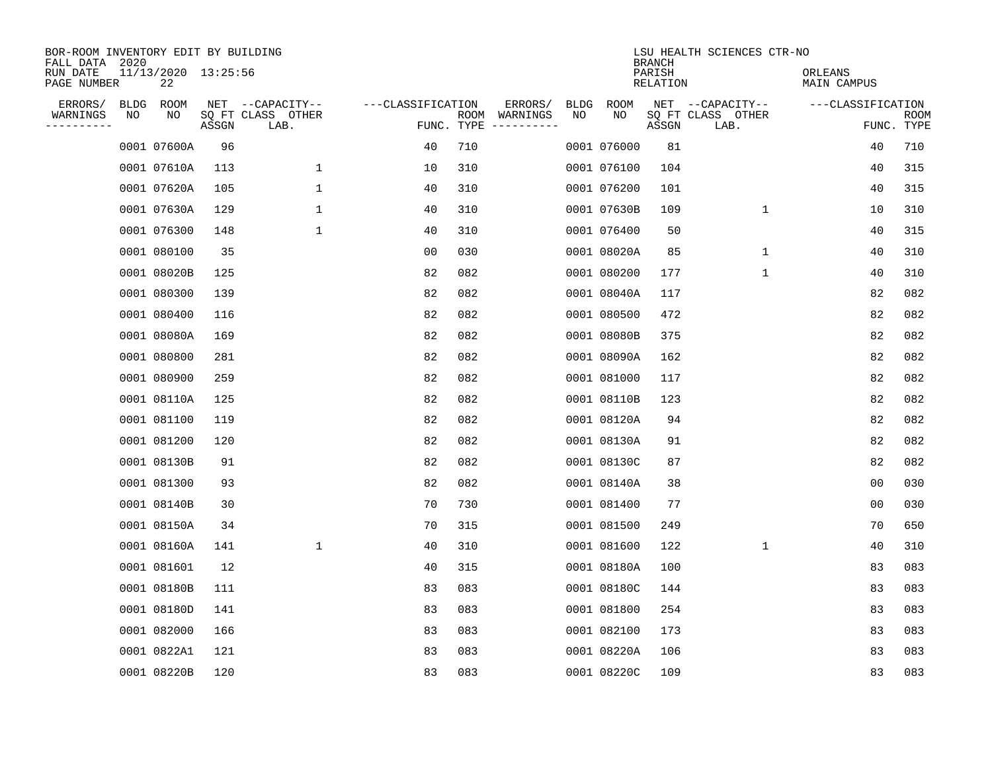| BOR-ROOM INVENTORY EDIT BY BUILDING<br>FALL DATA 2020 |    |                           |       |                           |                   |     |                                      |             |             | <b>BRANCH</b>             | LSU HEALTH SCIENCES CTR-NO |                        |                           |
|-------------------------------------------------------|----|---------------------------|-------|---------------------------|-------------------|-----|--------------------------------------|-------------|-------------|---------------------------|----------------------------|------------------------|---------------------------|
| RUN DATE<br>PAGE NUMBER                               |    | 11/13/2020 13:25:56<br>22 |       |                           |                   |     |                                      |             |             | PARISH<br><b>RELATION</b> |                            | ORLEANS<br>MAIN CAMPUS |                           |
| ERRORS/                                               |    | BLDG ROOM                 |       | NET --CAPACITY--          | ---CLASSIFICATION |     | ERRORS/                              | <b>BLDG</b> | <b>ROOM</b> |                           | NET --CAPACITY--           | ---CLASSIFICATION      |                           |
| WARNINGS<br>----------                                | NO | NO                        | ASSGN | SQ FT CLASS OTHER<br>LAB. |                   |     | ROOM WARNINGS<br>FUNC. TYPE $------$ | NO          | NO          | ASSGN                     | SQ FT CLASS OTHER<br>LAB.  |                        | <b>ROOM</b><br>FUNC. TYPE |
|                                                       |    | 0001 07600A               | 96    |                           | 40                | 710 |                                      |             | 0001 076000 | 81                        |                            | 40                     | 710                       |
|                                                       |    | 0001 07610A               | 113   | 1                         | 10                | 310 |                                      |             | 0001 076100 | 104                       |                            | 40                     | 315                       |
|                                                       |    | 0001 07620A               | 105   | $\mathbf 1$               | 40                | 310 |                                      |             | 0001 076200 | 101                       |                            | 40                     | 315                       |
|                                                       |    | 0001 07630A               | 129   | $\mathbf 1$               | 40                | 310 |                                      |             | 0001 07630B | 109                       | $\mathbf 1$                | 10                     | 310                       |
|                                                       |    | 0001 076300               | 148   | $\mathbf 1$               | 40                | 310 |                                      |             | 0001 076400 | 50                        |                            | 40                     | 315                       |
|                                                       |    | 0001 080100               | 35    |                           | 0 <sub>0</sub>    | 030 |                                      |             | 0001 08020A | 85                        | $\mathbf{1}$               | 40                     | 310                       |
|                                                       |    | 0001 08020B               | 125   |                           | 82                | 082 |                                      |             | 0001 080200 | 177                       | $\mathbf{1}$               | 40                     | 310                       |
|                                                       |    | 0001 080300               | 139   |                           | 82                | 082 |                                      |             | 0001 08040A | 117                       |                            | 82                     | 082                       |
|                                                       |    | 0001 080400               | 116   |                           | 82                | 082 |                                      |             | 0001 080500 | 472                       |                            | 82                     | 082                       |
|                                                       |    | 0001 08080A               | 169   |                           | 82                | 082 |                                      |             | 0001 08080B | 375                       |                            | 82                     | 082                       |
|                                                       |    | 0001 080800               | 281   |                           | 82                | 082 |                                      |             | 0001 08090A | 162                       |                            | 82                     | 082                       |
|                                                       |    | 0001 080900               | 259   |                           | 82                | 082 |                                      |             | 0001 081000 | 117                       |                            | 82                     | 082                       |
|                                                       |    | 0001 08110A               | 125   |                           | 82                | 082 |                                      |             | 0001 08110B | 123                       |                            | 82                     | 082                       |
|                                                       |    | 0001 081100               | 119   |                           | 82                | 082 |                                      |             | 0001 08120A | 94                        |                            | 82                     | 082                       |
|                                                       |    | 0001 081200               | 120   |                           | 82                | 082 |                                      |             | 0001 08130A | 91                        |                            | 82                     | 082                       |
|                                                       |    | 0001 08130B               | 91    |                           | 82                | 082 |                                      |             | 0001 08130C | 87                        |                            | 82                     | 082                       |
|                                                       |    | 0001 081300               | 93    |                           | 82                | 082 |                                      |             | 0001 08140A | 38                        |                            | 00                     | 030                       |
|                                                       |    | 0001 08140B               | 30    |                           | 70                | 730 |                                      |             | 0001 081400 | 77                        |                            | 0 <sub>0</sub>         | 030                       |
|                                                       |    | 0001 08150A               | 34    |                           | 70                | 315 |                                      |             | 0001 081500 | 249                       |                            | 70                     | 650                       |
|                                                       |    | 0001 08160A               | 141   | $\mathbf 1$               | 40                | 310 |                                      |             | 0001 081600 | 122                       | $\mathbf 1$                | 40                     | 310                       |
|                                                       |    | 0001 081601               | 12    |                           | 40                | 315 |                                      |             | 0001 08180A | 100                       |                            | 83                     | 083                       |
|                                                       |    | 0001 08180B               | 111   |                           | 83                | 083 |                                      |             | 0001 08180C | 144                       |                            | 83                     | 083                       |
|                                                       |    | 0001 08180D               | 141   |                           | 83                | 083 |                                      |             | 0001 081800 | 254                       |                            | 83                     | 083                       |
|                                                       |    | 0001 082000               | 166   |                           | 83                | 083 |                                      |             | 0001 082100 | 173                       |                            | 83                     | 083                       |
|                                                       |    | 0001 0822A1               | 121   |                           | 83                | 083 |                                      |             | 0001 08220A | 106                       |                            | 83                     | 083                       |
|                                                       |    | 0001 08220B               | 120   |                           | 83                | 083 |                                      |             | 0001 08220C | 109                       |                            | 83                     | 083                       |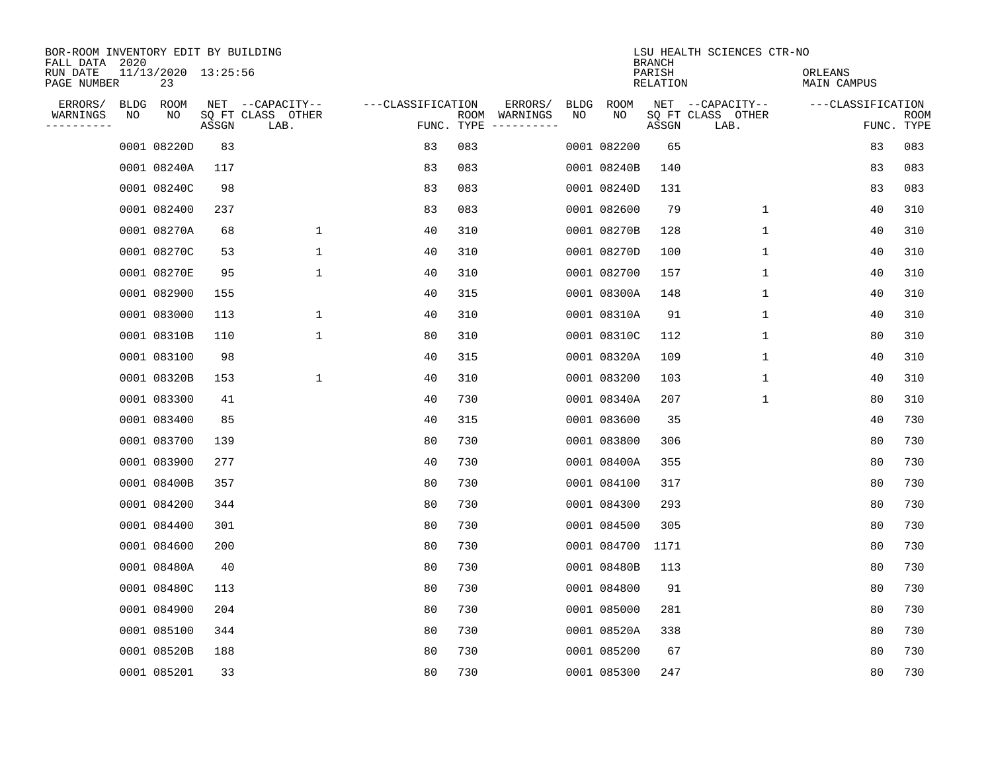| BOR-ROOM INVENTORY EDIT BY BUILDING<br>FALL DATA 2020 |    |                           |       |                           |                   |     |                                      |             |             | <b>BRANCH</b>      | LSU HEALTH SCIENCES CTR-NO |                               |                           |
|-------------------------------------------------------|----|---------------------------|-------|---------------------------|-------------------|-----|--------------------------------------|-------------|-------------|--------------------|----------------------------|-------------------------------|---------------------------|
| RUN DATE<br>PAGE NUMBER                               |    | 11/13/2020 13:25:56<br>23 |       |                           |                   |     |                                      |             |             | PARISH<br>RELATION |                            | ORLEANS<br><b>MAIN CAMPUS</b> |                           |
| ERRORS/                                               |    | BLDG ROOM                 |       | NET --CAPACITY--          | ---CLASSIFICATION |     | ERRORS/                              | <b>BLDG</b> | <b>ROOM</b> |                    | NET --CAPACITY--           | ---CLASSIFICATION             |                           |
| WARNINGS<br>----------                                | NO | NO                        | ASSGN | SQ FT CLASS OTHER<br>LAB. |                   |     | ROOM WARNINGS<br>FUNC. TYPE $------$ | NO          | NO          | ASSGN              | SQ FT CLASS OTHER<br>LAB.  |                               | <b>ROOM</b><br>FUNC. TYPE |
|                                                       |    | 0001 08220D               | 83    |                           | 83                | 083 |                                      |             | 0001 082200 | 65                 |                            | 83                            | 083                       |
|                                                       |    | 0001 08240A               | 117   |                           | 83                | 083 |                                      |             | 0001 08240B | 140                |                            | 83                            | 083                       |
|                                                       |    | 0001 08240C               | 98    |                           | 83                | 083 |                                      |             | 0001 08240D | 131                |                            | 83                            | 083                       |
|                                                       |    | 0001 082400               | 237   |                           | 83                | 083 |                                      |             | 0001 082600 | 79                 | $\mathbf{1}$               | 40                            | 310                       |
|                                                       |    | 0001 08270A               | 68    | $\mathbf 1$               | 40                | 310 |                                      |             | 0001 08270B | 128                | $\mathbf{1}$               | 40                            | 310                       |
|                                                       |    | 0001 08270C               | 53    | 1                         | 40                | 310 |                                      |             | 0001 08270D | 100                | 1                          | 40                            | 310                       |
|                                                       |    | 0001 08270E               | 95    | $\mathbf 1$               | 40                | 310 |                                      |             | 0001 082700 | 157                | $\mathbf 1$                | 40                            | 310                       |
|                                                       |    | 0001 082900               | 155   |                           | 40                | 315 |                                      |             | 0001 08300A | 148                | $\mathbf{1}$               | 40                            | 310                       |
|                                                       |    | 0001 083000               | 113   | $\mathbf 1$               | 40                | 310 |                                      |             | 0001 08310A | 91                 | $\mathbf 1$                | 40                            | 310                       |
|                                                       |    | 0001 08310B               | 110   | $\mathbf{1}$              | 80                | 310 |                                      |             | 0001 08310C | 112                | $\mathbf 1$                | 80                            | 310                       |
|                                                       |    | 0001 083100               | 98    |                           | 40                | 315 |                                      |             | 0001 08320A | 109                | $\mathbf{1}$               | 40                            | 310                       |
|                                                       |    | 0001 08320B               | 153   | $\mathbf{1}$              | 40                | 310 |                                      |             | 0001 083200 | 103                | $\mathbf{1}$               | 40                            | 310                       |
|                                                       |    | 0001 083300               | 41    |                           | 40                | 730 |                                      |             | 0001 08340A | 207                | $\mathbf 1$                | 80                            | 310                       |
|                                                       |    | 0001 083400               | 85    |                           | 40                | 315 |                                      |             | 0001 083600 | 35                 |                            | 40                            | 730                       |
|                                                       |    | 0001 083700               | 139   |                           | 80                | 730 |                                      |             | 0001 083800 | 306                |                            | 80                            | 730                       |
|                                                       |    | 0001 083900               | 277   |                           | 40                | 730 |                                      |             | 0001 08400A | 355                |                            | 80                            | 730                       |
|                                                       |    | 0001 08400B               | 357   |                           | 80                | 730 |                                      |             | 0001 084100 | 317                |                            | 80                            | 730                       |
|                                                       |    | 0001 084200               | 344   |                           | 80                | 730 |                                      |             | 0001 084300 | 293                |                            | 80                            | 730                       |
|                                                       |    | 0001 084400               | 301   |                           | 80                | 730 |                                      |             | 0001 084500 | 305                |                            | 80                            | 730                       |
|                                                       |    | 0001 084600               | 200   |                           | 80                | 730 |                                      |             | 0001 084700 | 1171               |                            | 80                            | 730                       |
|                                                       |    | 0001 08480A               | 40    |                           | 80                | 730 |                                      |             | 0001 08480B | 113                |                            | 80                            | 730                       |
|                                                       |    | 0001 08480C               | 113   |                           | 80                | 730 |                                      |             | 0001 084800 | 91                 |                            | 80                            | 730                       |
|                                                       |    | 0001 084900               | 204   |                           | 80                | 730 |                                      |             | 0001 085000 | 281                |                            | 80                            | 730                       |
|                                                       |    | 0001 085100               | 344   |                           | 80                | 730 |                                      |             | 0001 08520A | 338                |                            | 80                            | 730                       |
|                                                       |    | 0001 08520B               | 188   |                           | 80                | 730 |                                      |             | 0001 085200 | 67                 |                            | 80                            | 730                       |
|                                                       |    | 0001 085201               | 33    |                           | 80                | 730 |                                      |             | 0001 085300 | 247                |                            | 80                            | 730                       |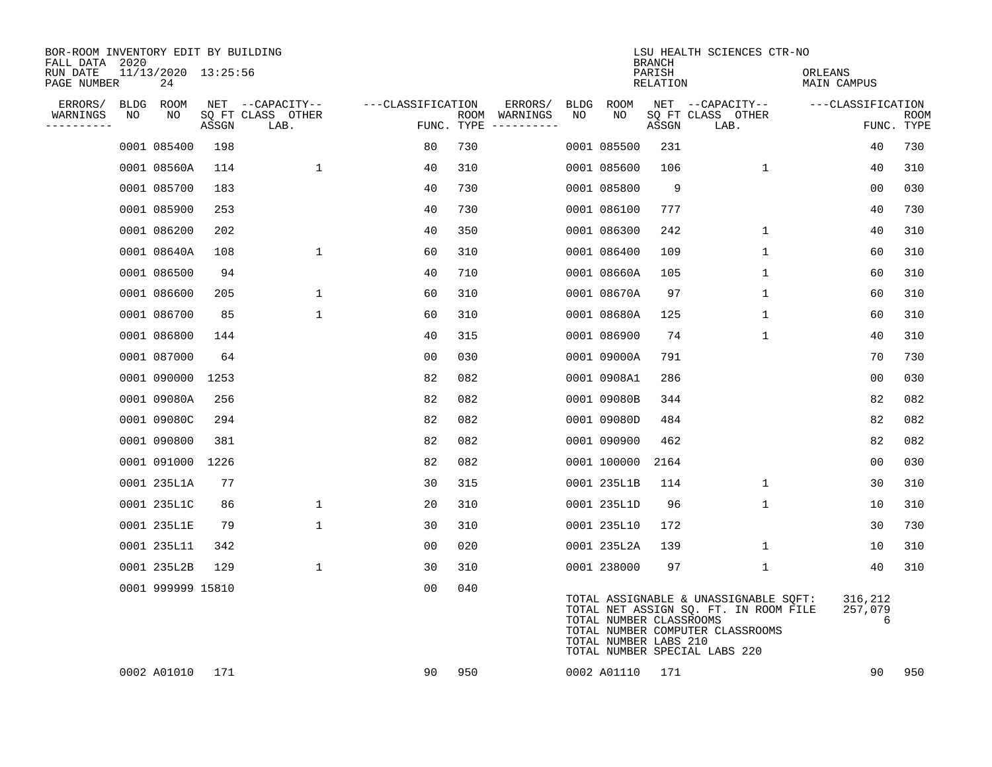| BOR-ROOM INVENTORY EDIT BY BUILDING<br>FALL DATA 2020 |    |                           |       |                           |                   |     |                                      |      |                                                  | <b>BRANCH</b>      | LSU HEALTH SCIENCES CTR-NO                                                                                                                          |                         |                    |
|-------------------------------------------------------|----|---------------------------|-------|---------------------------|-------------------|-----|--------------------------------------|------|--------------------------------------------------|--------------------|-----------------------------------------------------------------------------------------------------------------------------------------------------|-------------------------|--------------------|
| RUN DATE<br>PAGE NUMBER                               |    | 11/13/2020 13:25:56<br>24 |       |                           |                   |     |                                      |      |                                                  | PARISH<br>RELATION |                                                                                                                                                     | ORLEANS<br>MAIN CAMPUS  |                    |
| ERRORS/                                               |    | BLDG ROOM                 |       | NET --CAPACITY--          | ---CLASSIFICATION |     | ERRORS/                              | BLDG | ROOM                                             |                    | NET --CAPACITY--                                                                                                                                    | ---CLASSIFICATION       |                    |
| WARNINGS<br>----------                                | NO | NO                        | ASSGN | SQ FT CLASS OTHER<br>LAB. |                   |     | ROOM WARNINGS<br>FUNC. TYPE $------$ | NO   | NO                                               | ASSGN              | SQ FT CLASS OTHER<br>LAB.                                                                                                                           |                         | ROOM<br>FUNC. TYPE |
|                                                       |    | 0001 085400               | 198   |                           | 80                | 730 |                                      |      | 0001 085500                                      | 231                |                                                                                                                                                     | 40                      | 730                |
|                                                       |    | 0001 08560A               | 114   | $\mathbf{1}$              | 40                | 310 |                                      |      | 0001 085600                                      | 106                | $\mathbf{1}$                                                                                                                                        | 40                      | 310                |
|                                                       |    | 0001 085700               | 183   |                           | 40                | 730 |                                      |      | 0001 085800                                      | 9                  |                                                                                                                                                     | 00                      | 030                |
|                                                       |    | 0001 085900               | 253   |                           | 40                | 730 |                                      |      | 0001 086100                                      | 777                |                                                                                                                                                     | 40                      | 730                |
|                                                       |    | 0001 086200               | 202   |                           | 40                | 350 |                                      |      | 0001 086300                                      | 242                | $\mathbf{1}$                                                                                                                                        | 40                      | 310                |
|                                                       |    | 0001 08640A               | 108   | $\mathbf 1$               | 60                | 310 |                                      |      | 0001 086400                                      | 109                | $\mathbf 1$                                                                                                                                         | 60                      | 310                |
|                                                       |    | 0001 086500               | 94    |                           | 40                | 710 |                                      |      | 0001 08660A                                      | 105                | $\mathbf{1}$                                                                                                                                        | 60                      | 310                |
|                                                       |    | 0001 086600               | 205   | $\mathbf{1}$              | 60                | 310 |                                      |      | 0001 08670A                                      | 97                 | $\mathbf{1}$                                                                                                                                        | 60                      | 310                |
|                                                       |    | 0001 086700               | 85    | 1                         | 60                | 310 |                                      |      | 0001 08680A                                      | 125                | 1                                                                                                                                                   | 60                      | 310                |
|                                                       |    | 0001 086800               | 144   |                           | 40                | 315 |                                      |      | 0001 086900                                      | 74                 | 1                                                                                                                                                   | 40                      | 310                |
|                                                       |    | 0001 087000               | 64    |                           | 0 <sub>0</sub>    | 030 |                                      |      | 0001 09000A                                      | 791                |                                                                                                                                                     | 70                      | 730                |
|                                                       |    | 0001 090000               | 1253  |                           | 82                | 082 |                                      |      | 0001 0908A1                                      | 286                |                                                                                                                                                     | 0 <sub>0</sub>          | 030                |
|                                                       |    | 0001 09080A               | 256   |                           | 82                | 082 |                                      |      | 0001 09080B                                      | 344                |                                                                                                                                                     | 82                      | 082                |
|                                                       |    | 0001 09080C               | 294   |                           | 82                | 082 |                                      |      | 0001 09080D                                      | 484                |                                                                                                                                                     | 82                      | 082                |
|                                                       |    | 0001 090800               | 381   |                           | 82                | 082 |                                      |      | 0001 090900                                      | 462                |                                                                                                                                                     | 82                      | 082                |
|                                                       |    | 0001 091000               | 1226  |                           | 82                | 082 |                                      |      | 0001 100000                                      | 2164               |                                                                                                                                                     | 00                      | 030                |
|                                                       |    | 0001 235L1A               | 77    |                           | 30                | 315 |                                      |      | 0001 235L1B                                      | 114                | 1                                                                                                                                                   | 30                      | 310                |
|                                                       |    | 0001 235L1C               | 86    | $\mathbf{1}$              | 20                | 310 |                                      |      | 0001 235L1D                                      | 96                 | $\mathbf{1}$                                                                                                                                        | 10                      | 310                |
|                                                       |    | 0001 235L1E               | 79    | $\mathbf{1}$              | 30                | 310 |                                      |      | 0001 235L10                                      | 172                |                                                                                                                                                     | 30                      | 730                |
|                                                       |    | 0001 235L11               | 342   |                           | 00                | 020 |                                      |      | 0001 235L2A                                      | 139                | $\mathbf 1$                                                                                                                                         | 10                      | 310                |
|                                                       |    | 0001 235L2B               | 129   | $\mathbf{1}$              | 30                | 310 |                                      |      | 0001 238000                                      | 97                 | $\mathbf 1$                                                                                                                                         | 40                      | 310                |
|                                                       |    | 0001 999999 15810         |       |                           | 00                | 040 |                                      |      | TOTAL NUMBER CLASSROOMS<br>TOTAL NUMBER LABS 210 |                    | TOTAL ASSIGNABLE & UNASSIGNABLE SQFT:<br>TOTAL NET ASSIGN SQ. FT. IN ROOM FILE<br>TOTAL NUMBER COMPUTER CLASSROOMS<br>TOTAL NUMBER SPECIAL LABS 220 | 316,212<br>257,079<br>6 |                    |
|                                                       |    | 0002 A01010               | 171   |                           | 90                | 950 |                                      |      | 0002 A01110                                      | 171                |                                                                                                                                                     | 90                      | 950                |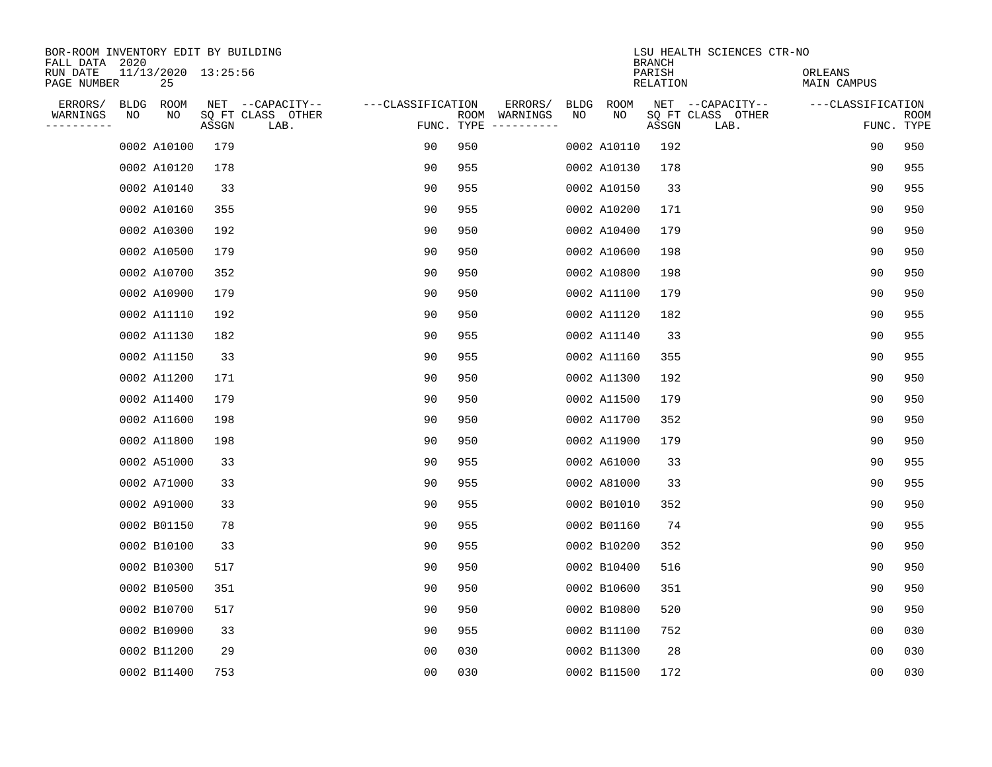| BOR-ROOM INVENTORY EDIT BY BUILDING<br>FALL DATA 2020 |                           |       |                           |                   |            |                                                                                                                                                                                                                                                                                                                                                                                                                                                                                                                           |             |             | <b>BRANCH</b>      | LSU HEALTH SCIENCES CTR-NO |                        |                |                           |
|-------------------------------------------------------|---------------------------|-------|---------------------------|-------------------|------------|---------------------------------------------------------------------------------------------------------------------------------------------------------------------------------------------------------------------------------------------------------------------------------------------------------------------------------------------------------------------------------------------------------------------------------------------------------------------------------------------------------------------------|-------------|-------------|--------------------|----------------------------|------------------------|----------------|---------------------------|
| RUN DATE<br>PAGE NUMBER                               | 11/13/2020 13:25:56<br>25 |       |                           |                   |            |                                                                                                                                                                                                                                                                                                                                                                                                                                                                                                                           |             |             | PARISH<br>RELATION |                            | ORLEANS<br>MAIN CAMPUS |                |                           |
| ERRORS/                                               | <b>BLDG</b><br>ROOM       |       | NET --CAPACITY--          | ---CLASSIFICATION |            | ERRORS/                                                                                                                                                                                                                                                                                                                                                                                                                                                                                                                   | <b>BLDG</b> | ROOM        |                    | NET --CAPACITY--           | ---CLASSIFICATION      |                |                           |
| WARNINGS<br>----------                                | NO<br>NO                  | ASSGN | SQ FT CLASS OTHER<br>LAB. |                   | FUNC. TYPE | ROOM WARNINGS<br>$\begin{tabular}{ccccccccc} \multicolumn{2}{c }{\multicolumn{2}{c }{\multicolumn{2}{c }{\multicolumn{2}{c}}{\multicolumn{2}{c}}{\multicolumn{2}{c}}{\multicolumn{2}{c}}{\multicolumn{2}{c}}{\multicolumn{2}{c}}{\multicolumn{2}{c}}{\multicolumn{2}{c}}{\multicolumn{2}{c}}{\multicolumn{2}{c}}{\multicolumn{2}{c}}{\multicolumn{2}{c}}{\multicolumn{2}{c}}{\multicolumn{2}{c}}{\multicolumn{2}{c}}{\multicolumn{2}{c}}{\multicolumn{2}{c}}{\multicolumn{2}{c}}{\multicolumn{2}{c}}{\multicolumn{2}{c}}$ | NO          | NO          | ASSGN              | SQ FT CLASS OTHER<br>LAB.  |                        |                | <b>ROOM</b><br>FUNC. TYPE |
|                                                       | 0002 A10100               | 179   |                           | 90                | 950        |                                                                                                                                                                                                                                                                                                                                                                                                                                                                                                                           |             | 0002 A10110 | 192                |                            |                        | 90             | 950                       |
|                                                       | 0002 A10120               | 178   |                           | 90                | 955        |                                                                                                                                                                                                                                                                                                                                                                                                                                                                                                                           |             | 0002 A10130 | 178                |                            |                        | 90             | 955                       |
|                                                       | 0002 A10140               | 33    |                           | 90                | 955        |                                                                                                                                                                                                                                                                                                                                                                                                                                                                                                                           |             | 0002 A10150 | 33                 |                            |                        | 90             | 955                       |
|                                                       | 0002 A10160               | 355   |                           | 90                | 955        |                                                                                                                                                                                                                                                                                                                                                                                                                                                                                                                           |             | 0002 A10200 | 171                |                            |                        | 90             | 950                       |
|                                                       | 0002 A10300               | 192   |                           | 90                | 950        |                                                                                                                                                                                                                                                                                                                                                                                                                                                                                                                           |             | 0002 A10400 | 179                |                            |                        | 90             | 950                       |
|                                                       | 0002 A10500               | 179   |                           | 90                | 950        |                                                                                                                                                                                                                                                                                                                                                                                                                                                                                                                           |             | 0002 A10600 | 198                |                            |                        | 90             | 950                       |
|                                                       | 0002 A10700               | 352   |                           | 90                | 950        |                                                                                                                                                                                                                                                                                                                                                                                                                                                                                                                           |             | 0002 A10800 | 198                |                            |                        | 90             | 950                       |
|                                                       | 0002 A10900               | 179   |                           | 90                | 950        |                                                                                                                                                                                                                                                                                                                                                                                                                                                                                                                           |             | 0002 A11100 | 179                |                            |                        | 90             | 950                       |
|                                                       | 0002 A11110               | 192   |                           | 90                | 950        |                                                                                                                                                                                                                                                                                                                                                                                                                                                                                                                           |             | 0002 A11120 | 182                |                            |                        | 90             | 955                       |
|                                                       | 0002 A11130               | 182   |                           | 90                | 955        |                                                                                                                                                                                                                                                                                                                                                                                                                                                                                                                           |             | 0002 A11140 | 33                 |                            |                        | 90             | 955                       |
|                                                       | 0002 A11150               | 33    |                           | 90                | 955        |                                                                                                                                                                                                                                                                                                                                                                                                                                                                                                                           |             | 0002 A11160 | 355                |                            |                        | 90             | 955                       |
|                                                       | 0002 A11200               | 171   |                           | 90                | 950        |                                                                                                                                                                                                                                                                                                                                                                                                                                                                                                                           |             | 0002 A11300 | 192                |                            |                        | 90             | 950                       |
|                                                       | 0002 A11400               | 179   |                           | 90                | 950        |                                                                                                                                                                                                                                                                                                                                                                                                                                                                                                                           |             | 0002 A11500 | 179                |                            |                        | 90             | 950                       |
|                                                       | 0002 A11600               | 198   |                           | 90                | 950        |                                                                                                                                                                                                                                                                                                                                                                                                                                                                                                                           |             | 0002 A11700 | 352                |                            |                        | 90             | 950                       |
|                                                       | 0002 A11800               | 198   |                           | 90                | 950        |                                                                                                                                                                                                                                                                                                                                                                                                                                                                                                                           |             | 0002 A11900 | 179                |                            |                        | 90             | 950                       |
|                                                       | 0002 A51000               | 33    |                           | 90                | 955        |                                                                                                                                                                                                                                                                                                                                                                                                                                                                                                                           |             | 0002 A61000 | 33                 |                            |                        | 90             | 955                       |
|                                                       | 0002 A71000               | 33    |                           | 90                | 955        |                                                                                                                                                                                                                                                                                                                                                                                                                                                                                                                           |             | 0002 A81000 | 33                 |                            |                        | 90             | 955                       |
|                                                       | 0002 A91000               | 33    |                           | 90                | 955        |                                                                                                                                                                                                                                                                                                                                                                                                                                                                                                                           |             | 0002 B01010 | 352                |                            |                        | 90             | 950                       |
|                                                       | 0002 B01150               | 78    |                           | 90                | 955        |                                                                                                                                                                                                                                                                                                                                                                                                                                                                                                                           |             | 0002 B01160 | 74                 |                            |                        | 90             | 955                       |
|                                                       | 0002 B10100               | 33    |                           | 90                | 955        |                                                                                                                                                                                                                                                                                                                                                                                                                                                                                                                           |             | 0002 B10200 | 352                |                            |                        | 90             | 950                       |
|                                                       | 0002 B10300               | 517   |                           | 90                | 950        |                                                                                                                                                                                                                                                                                                                                                                                                                                                                                                                           |             | 0002 B10400 | 516                |                            |                        | 90             | 950                       |
|                                                       | 0002 B10500               | 351   |                           | 90                | 950        |                                                                                                                                                                                                                                                                                                                                                                                                                                                                                                                           |             | 0002 B10600 | 351                |                            |                        | 90             | 950                       |
|                                                       | 0002 B10700               | 517   |                           | 90                | 950        |                                                                                                                                                                                                                                                                                                                                                                                                                                                                                                                           |             | 0002 B10800 | 520                |                            |                        | 90             | 950                       |
|                                                       | 0002 B10900               | 33    |                           | 90                | 955        |                                                                                                                                                                                                                                                                                                                                                                                                                                                                                                                           |             | 0002 B11100 | 752                |                            |                        | 00             | 030                       |
|                                                       | 0002 B11200               | 29    |                           | 0 <sub>0</sub>    | 030        |                                                                                                                                                                                                                                                                                                                                                                                                                                                                                                                           |             | 0002 B11300 | 28                 |                            |                        | 0 <sub>0</sub> | 030                       |
|                                                       | 0002 B11400               | 753   |                           | 0 <sub>0</sub>    | 030        |                                                                                                                                                                                                                                                                                                                                                                                                                                                                                                                           |             | 0002 B11500 | 172                |                            |                        | 0 <sub>0</sub> | 030                       |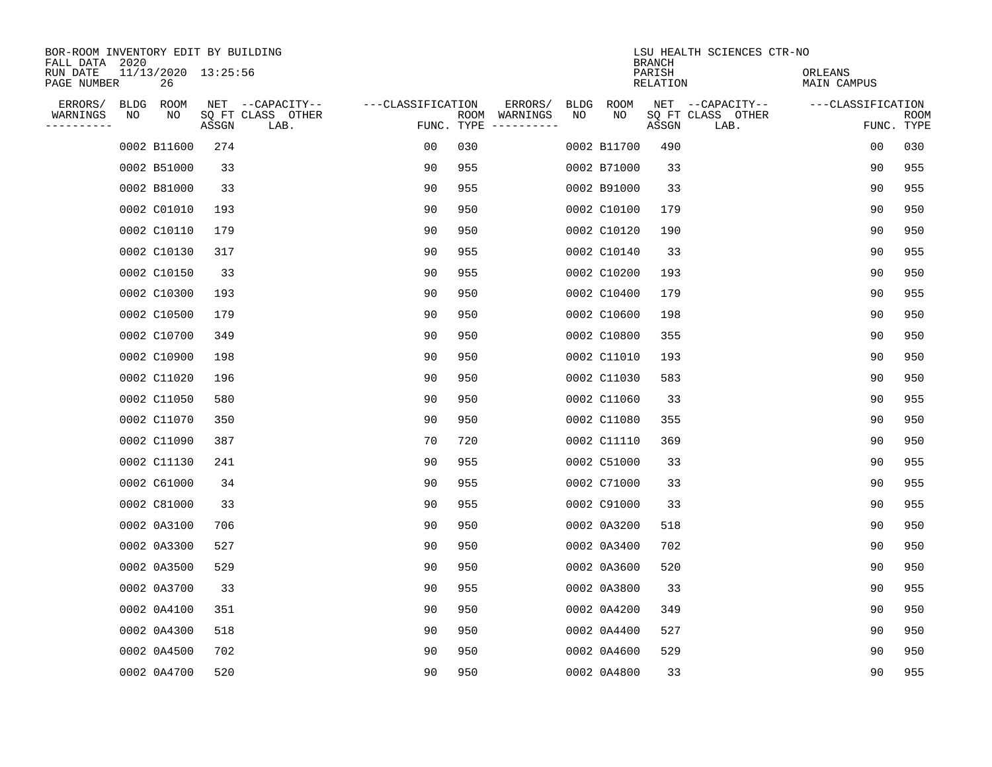| BOR-ROOM INVENTORY EDIT BY BUILDING<br>FALL DATA 2020<br>RUN DATE | 11/13/2020 13:25:56 |       |                                       |                   |     |                          |                   |             | <b>BRANCH</b><br>PARISH | LSU HEALTH SCIENCES CTR-NO            | ORLEANS           |            |
|-------------------------------------------------------------------|---------------------|-------|---------------------------------------|-------------------|-----|--------------------------|-------------------|-------------|-------------------------|---------------------------------------|-------------------|------------|
| PAGE NUMBER                                                       | 26                  |       |                                       |                   |     |                          |                   |             | RELATION                |                                       | MAIN CAMPUS       |            |
| ERRORS/<br>BLDG<br>WARNINGS<br>NO                                 | ROOM<br>NO          |       | NET --CAPACITY--<br>SQ FT CLASS OTHER | ---CLASSIFICATION |     | ERRORS/<br>ROOM WARNINGS | <b>BLDG</b><br>NO | ROOM<br>NO  |                         | NET --CAPACITY--<br>SQ FT CLASS OTHER | ---CLASSIFICATION | ROOM       |
| ----------                                                        |                     | ASSGN | LAB.                                  | FUNC. TYPE        |     |                          |                   |             | ASSGN                   | LAB.                                  |                   | FUNC. TYPE |
|                                                                   | 0002 B11600         | 274   |                                       | 0 <sub>0</sub>    | 030 |                          |                   | 0002 B11700 | 490                     |                                       | 0 <sub>0</sub>    | 030        |
|                                                                   | 0002 B51000         | 33    |                                       | 90                | 955 |                          |                   | 0002 B71000 | 33                      |                                       | 90                | 955        |
|                                                                   | 0002 B81000         | 33    |                                       | 90                | 955 |                          |                   | 0002 B91000 | 33                      |                                       | 90                | 955        |
|                                                                   | 0002 C01010         | 193   |                                       | 90                | 950 |                          |                   | 0002 C10100 | 179                     |                                       | 90                | 950        |
|                                                                   | 0002 C10110         | 179   |                                       | 90                | 950 |                          |                   | 0002 C10120 | 190                     |                                       | 90                | 950        |
|                                                                   | 0002 C10130         | 317   |                                       | 90                | 955 |                          |                   | 0002 C10140 | 33                      |                                       | 90                | 955        |
|                                                                   | 0002 C10150         | 33    |                                       | 90                | 955 |                          |                   | 0002 C10200 | 193                     |                                       | 90                | 950        |
|                                                                   | 0002 C10300         | 193   |                                       | 90                | 950 |                          |                   | 0002 C10400 | 179                     |                                       | 90                | 955        |
|                                                                   | 0002 C10500         | 179   |                                       | 90                | 950 |                          |                   | 0002 C10600 | 198                     |                                       | 90                | 950        |
|                                                                   | 0002 C10700         | 349   |                                       | 90                | 950 |                          |                   | 0002 C10800 | 355                     |                                       | 90                | 950        |
|                                                                   | 0002 C10900         | 198   |                                       | 90                | 950 |                          |                   | 0002 C11010 | 193                     |                                       | 90                | 950        |
|                                                                   | 0002 C11020         | 196   |                                       | 90                | 950 |                          |                   | 0002 C11030 | 583                     |                                       | 90                | 950        |
|                                                                   | 0002 C11050         | 580   |                                       | 90                | 950 |                          |                   | 0002 C11060 | 33                      |                                       | 90                | 955        |
|                                                                   | 0002 C11070         | 350   |                                       | 90                | 950 |                          |                   | 0002 C11080 | 355                     |                                       | 90                | 950        |
|                                                                   | 0002 C11090         | 387   |                                       | 70                | 720 |                          |                   | 0002 C11110 | 369                     |                                       | 90                | 950        |
|                                                                   | 0002 C11130         | 241   |                                       | 90                | 955 |                          |                   | 0002 C51000 | 33                      |                                       | 90                | 955        |
|                                                                   | 0002 C61000         | 34    |                                       | 90                | 955 |                          |                   | 0002 C71000 | 33                      |                                       | 90                | 955        |
|                                                                   | 0002 C81000         | 33    |                                       | 90                | 955 |                          |                   | 0002 C91000 | 33                      |                                       | 90                | 955        |
|                                                                   | 0002 0A3100         | 706   |                                       | 90                | 950 |                          |                   | 0002 0A3200 | 518                     |                                       | 90                | 950        |
|                                                                   | 0002 0A3300         | 527   |                                       | 90                | 950 |                          |                   | 0002 0A3400 | 702                     |                                       | 90                | 950        |
|                                                                   | 0002 0A3500         | 529   |                                       | 90                | 950 |                          |                   | 0002 0A3600 | 520                     |                                       | 90                | 950        |
|                                                                   | 0002 0A3700         | 33    |                                       | 90                | 955 |                          |                   | 0002 0A3800 | 33                      |                                       | 90                | 955        |
|                                                                   | 0002 0A4100         | 351   |                                       | 90                | 950 |                          |                   | 0002 0A4200 | 349                     |                                       | 90                | 950        |
|                                                                   | 0002 0A4300         | 518   |                                       | 90                | 950 |                          |                   | 0002 0A4400 | 527                     |                                       | 90                | 950        |
|                                                                   | 0002 0A4500         | 702   |                                       | 90                | 950 |                          |                   | 0002 0A4600 | 529                     |                                       | 90                | 950        |
|                                                                   | 0002 0A4700         | 520   |                                       | 90                | 950 |                          |                   | 0002 0A4800 | 33                      |                                       | 90                | 955        |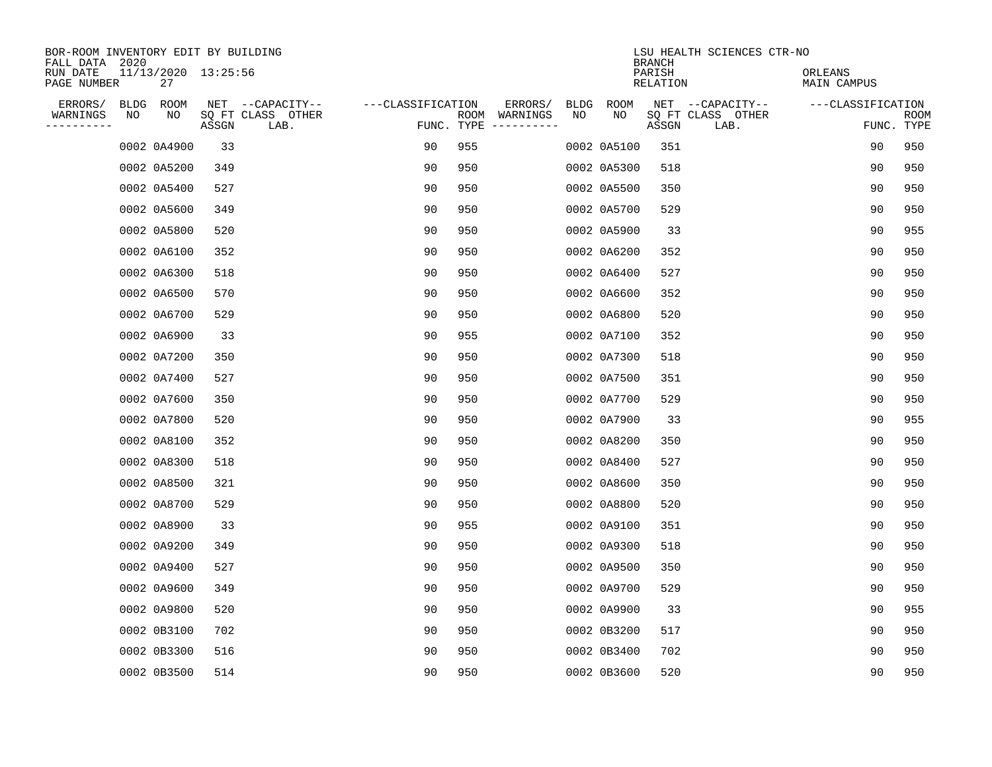| BOR-ROOM INVENTORY EDIT BY BUILDING<br>FALL DATA 2020 |      |                           |       |                           |                   |            |                              |      |             | <b>BRANCH</b>             | LSU HEALTH SCIENCES CTR-NO |                        |    |                           |
|-------------------------------------------------------|------|---------------------------|-------|---------------------------|-------------------|------------|------------------------------|------|-------------|---------------------------|----------------------------|------------------------|----|---------------------------|
| RUN DATE<br>PAGE NUMBER                               |      | 11/13/2020 13:25:56<br>27 |       |                           |                   |            |                              |      |             | PARISH<br><b>RELATION</b> |                            | ORLEANS<br>MAIN CAMPUS |    |                           |
| ERRORS/                                               | BLDG | ROOM                      |       | NET --CAPACITY--          | ---CLASSIFICATION |            | ERRORS/                      | BLDG | ROOM        |                           | NET --CAPACITY--           | ---CLASSIFICATION      |    |                           |
| WARNINGS<br>----------                                | NO   | NO                        | ASSGN | SQ FT CLASS OTHER<br>LAB. |                   | FUNC. TYPE | ROOM WARNINGS<br>----------- | NO   | NO          | ASSGN                     | SQ FT CLASS OTHER<br>LAB.  |                        |    | <b>ROOM</b><br>FUNC. TYPE |
|                                                       |      | 0002 0A4900               | 33    |                           | 90                | 955        |                              |      | 0002 0A5100 | 351                       |                            |                        | 90 | 950                       |
|                                                       |      | 0002 0A5200               | 349   |                           | 90                | 950        |                              |      | 0002 0A5300 | 518                       |                            |                        | 90 | 950                       |
|                                                       |      | 0002 0A5400               | 527   |                           | 90                | 950        |                              |      | 0002 0A5500 | 350                       |                            |                        | 90 | 950                       |
|                                                       |      | 0002 0A5600               | 349   |                           | 90                | 950        |                              |      | 0002 0A5700 | 529                       |                            |                        | 90 | 950                       |
|                                                       |      | 0002 0A5800               | 520   |                           | 90                | 950        |                              |      | 0002 0A5900 | 33                        |                            |                        | 90 | 955                       |
|                                                       |      | 0002 0A6100               | 352   |                           | 90                | 950        |                              |      | 0002 0A6200 | 352                       |                            |                        | 90 | 950                       |
|                                                       |      | 0002 0A6300               | 518   |                           | 90                | 950        |                              |      | 0002 0A6400 | 527                       |                            |                        | 90 | 950                       |
|                                                       |      | 0002 0A6500               | 570   |                           | 90                | 950        |                              |      | 0002 0A6600 | 352                       |                            |                        | 90 | 950                       |
|                                                       |      | 0002 0A6700               | 529   |                           | 90                | 950        |                              |      | 0002 0A6800 | 520                       |                            |                        | 90 | 950                       |
|                                                       |      | 0002 0A6900               | 33    |                           | 90                | 955        |                              |      | 0002 0A7100 | 352                       |                            |                        | 90 | 950                       |
|                                                       |      | 0002 0A7200               | 350   |                           | 90                | 950        |                              |      | 0002 0A7300 | 518                       |                            |                        | 90 | 950                       |
|                                                       |      | 0002 0A7400               | 527   |                           | 90                | 950        |                              |      | 0002 0A7500 | 351                       |                            |                        | 90 | 950                       |
|                                                       |      | 0002 0A7600               | 350   |                           | 90                | 950        |                              |      | 0002 0A7700 | 529                       |                            |                        | 90 | 950                       |
|                                                       |      | 0002 0A7800               | 520   |                           | 90                | 950        |                              |      | 0002 0A7900 | 33                        |                            |                        | 90 | 955                       |
|                                                       |      | 0002 0A8100               | 352   |                           | 90                | 950        |                              |      | 0002 0A8200 | 350                       |                            |                        | 90 | 950                       |
|                                                       |      | 0002 0A8300               | 518   |                           | 90                | 950        |                              |      | 0002 0A8400 | 527                       |                            |                        | 90 | 950                       |
|                                                       |      | 0002 0A8500               | 321   |                           | 90                | 950        |                              |      | 0002 0A8600 | 350                       |                            |                        | 90 | 950                       |
|                                                       |      | 0002 0A8700               | 529   |                           | 90                | 950        |                              |      | 0002 0A8800 | 520                       |                            |                        | 90 | 950                       |
|                                                       |      | 0002 0A8900               | 33    |                           | 90                | 955        |                              |      | 0002 0A9100 | 351                       |                            |                        | 90 | 950                       |
|                                                       |      | 0002 0A9200               | 349   |                           | 90                | 950        |                              |      | 0002 0A9300 | 518                       |                            |                        | 90 | 950                       |
|                                                       |      | 0002 0A9400               | 527   |                           | 90                | 950        |                              |      | 0002 0A9500 | 350                       |                            |                        | 90 | 950                       |
|                                                       |      | 0002 0A9600               | 349   |                           | 90                | 950        |                              |      | 0002 0A9700 | 529                       |                            |                        | 90 | 950                       |
|                                                       |      | 0002 0A9800               | 520   |                           | 90                | 950        |                              |      | 0002 0A9900 | 33                        |                            |                        | 90 | 955                       |
|                                                       |      | 0002 0B3100               | 702   |                           | 90                | 950        |                              |      | 0002 0B3200 | 517                       |                            |                        | 90 | 950                       |
|                                                       |      | 0002 0B3300               | 516   |                           | 90                | 950        |                              |      | 0002 0B3400 | 702                       |                            |                        | 90 | 950                       |
|                                                       |      | 0002 0B3500               | 514   |                           | 90                | 950        |                              |      | 0002 0B3600 | 520                       |                            |                        | 90 | 950                       |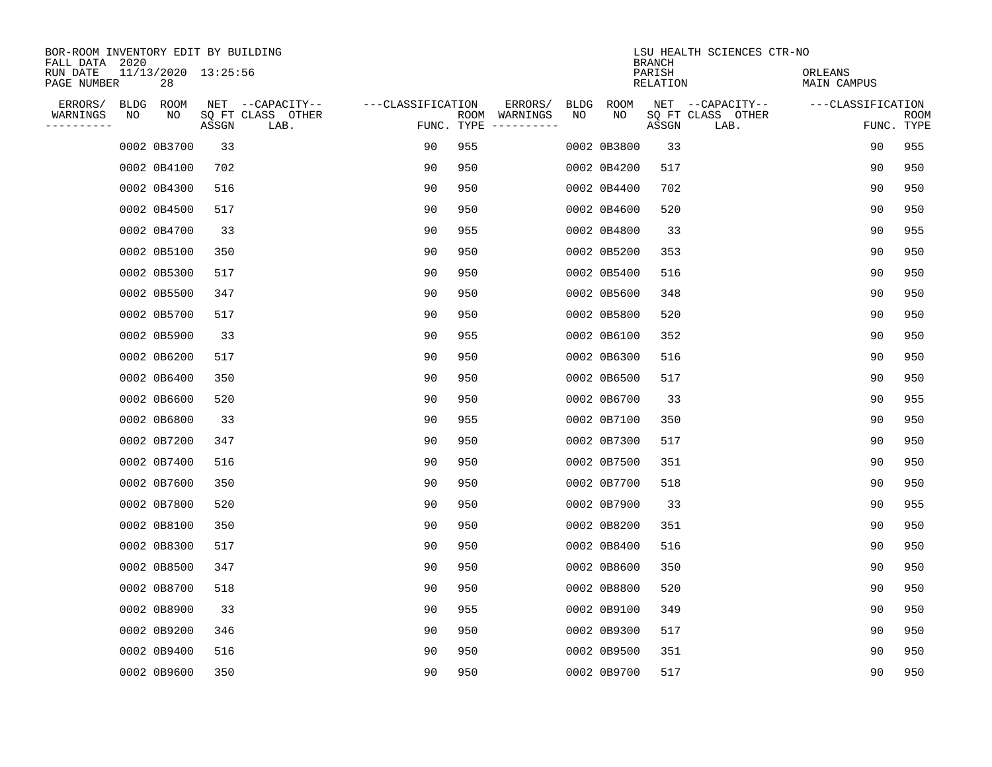| BOR-ROOM INVENTORY EDIT BY BUILDING<br>FALL DATA 2020 |      |             |                     |                           |                   |            |                              |             |             | <b>BRANCH</b>             | LSU HEALTH SCIENCES CTR-NO |                        |                           |
|-------------------------------------------------------|------|-------------|---------------------|---------------------------|-------------------|------------|------------------------------|-------------|-------------|---------------------------|----------------------------|------------------------|---------------------------|
| RUN DATE<br>PAGE NUMBER                               |      | 28          | 11/13/2020 13:25:56 |                           |                   |            |                              |             |             | PARISH<br><b>RELATION</b> |                            | ORLEANS<br>MAIN CAMPUS |                           |
| ERRORS/                                               | BLDG | ROOM        |                     | NET --CAPACITY--          | ---CLASSIFICATION |            | ERRORS/                      | <b>BLDG</b> | <b>ROOM</b> |                           | NET --CAPACITY--           | ---CLASSIFICATION      |                           |
| WARNINGS<br>----------                                | NO   | NO          | ASSGN               | SQ FT CLASS OTHER<br>LAB. |                   | FUNC. TYPE | ROOM WARNINGS<br>----------- | NO          | NO          | ASSGN                     | SQ FT CLASS OTHER<br>LAB.  |                        | <b>ROOM</b><br>FUNC. TYPE |
|                                                       |      | 0002 0B3700 | 33                  |                           | 90                | 955        |                              |             | 0002 0B3800 | 33                        |                            | 90                     | 955                       |
|                                                       |      | 0002 0B4100 | 702                 |                           | 90                | 950        |                              |             | 0002 0B4200 | 517                       |                            | 90                     | 950                       |
|                                                       |      | 0002 0B4300 | 516                 |                           | 90                | 950        |                              |             | 0002 0B4400 | 702                       |                            | 90                     | 950                       |
|                                                       |      | 0002 0B4500 | 517                 |                           | 90                | 950        |                              |             | 0002 0B4600 | 520                       |                            | 90                     | 950                       |
|                                                       |      | 0002 0B4700 | 33                  |                           | 90                | 955        |                              |             | 0002 0B4800 | 33                        |                            | 90                     | 955                       |
|                                                       |      | 0002 0B5100 | 350                 |                           | 90                | 950        |                              |             | 0002 0B5200 | 353                       |                            | 90                     | 950                       |
|                                                       |      | 0002 0B5300 | 517                 |                           | 90                | 950        |                              |             | 0002 0B5400 | 516                       |                            | 90                     | 950                       |
|                                                       |      | 0002 0B5500 | 347                 |                           | 90                | 950        |                              |             | 0002 0B5600 | 348                       |                            | 90                     | 950                       |
|                                                       |      | 0002 0B5700 | 517                 |                           | 90                | 950        |                              |             | 0002 0B5800 | 520                       |                            | 90                     | 950                       |
|                                                       |      | 0002 0B5900 | 33                  |                           | 90                | 955        |                              |             | 0002 0B6100 | 352                       |                            | 90                     | 950                       |
|                                                       |      | 0002 0B6200 | 517                 |                           | 90                | 950        |                              |             | 0002 0B6300 | 516                       |                            | 90                     | 950                       |
|                                                       |      | 0002 0B6400 | 350                 |                           | 90                | 950        |                              |             | 0002 0B6500 | 517                       |                            | 90                     | 950                       |
|                                                       |      | 0002 0B6600 | 520                 |                           | 90                | 950        |                              |             | 0002 0B6700 | 33                        |                            | 90                     | 955                       |
|                                                       |      | 0002 0B6800 | 33                  |                           | 90                | 955        |                              |             | 0002 0B7100 | 350                       |                            | 90                     | 950                       |
|                                                       |      | 0002 0B7200 | 347                 |                           | 90                | 950        |                              |             | 0002 0B7300 | 517                       |                            | 90                     | 950                       |
|                                                       |      | 0002 0B7400 | 516                 |                           | 90                | 950        |                              |             | 0002 0B7500 | 351                       |                            | 90                     | 950                       |
|                                                       |      | 0002 0B7600 | 350                 |                           | 90                | 950        |                              |             | 0002 0B7700 | 518                       |                            | 90                     | 950                       |
|                                                       |      | 0002 0B7800 | 520                 |                           | 90                | 950        |                              |             | 0002 0B7900 | 33                        |                            | 90                     | 955                       |
|                                                       |      | 0002 0B8100 | 350                 |                           | 90                | 950        |                              |             | 0002 0B8200 | 351                       |                            | 90                     | 950                       |
|                                                       |      | 0002 0B8300 | 517                 |                           | 90                | 950        |                              |             | 0002 0B8400 | 516                       |                            | 90                     | 950                       |
|                                                       |      | 0002 0B8500 | 347                 |                           | 90                | 950        |                              |             | 0002 0B8600 | 350                       |                            | 90                     | 950                       |
|                                                       |      | 0002 0B8700 | 518                 |                           | 90                | 950        |                              |             | 0002 0B8800 | 520                       |                            | 90                     | 950                       |
|                                                       |      | 0002 0B8900 | 33                  |                           | 90                | 955        |                              |             | 0002 0B9100 | 349                       |                            | 90                     | 950                       |
|                                                       |      | 0002 0B9200 | 346                 |                           | 90                | 950        |                              |             | 0002 0B9300 | 517                       |                            | 90                     | 950                       |
|                                                       |      | 0002 0B9400 | 516                 |                           | 90                | 950        |                              |             | 0002 0B9500 | 351                       |                            | 90                     | 950                       |
|                                                       |      | 0002 0B9600 | 350                 |                           | 90                | 950        |                              |             | 0002 0B9700 | 517                       |                            | 90                     | 950                       |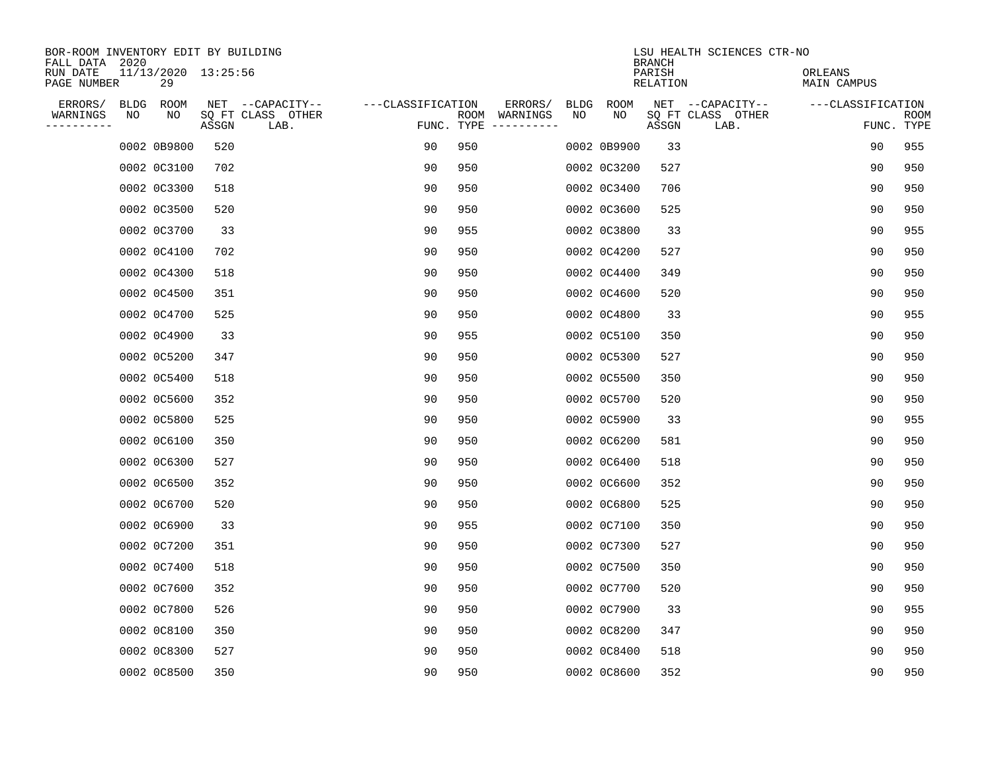| BOR-ROOM INVENTORY EDIT BY BUILDING<br>FALL DATA 2020 |      |                           |       |                           |                   |            |               |      |             | <b>BRANCH</b>             | LSU HEALTH SCIENCES CTR-NO |                        |                           |
|-------------------------------------------------------|------|---------------------------|-------|---------------------------|-------------------|------------|---------------|------|-------------|---------------------------|----------------------------|------------------------|---------------------------|
| RUN DATE<br>PAGE NUMBER                               |      | 11/13/2020 13:25:56<br>29 |       |                           |                   |            |               |      |             | PARISH<br><b>RELATION</b> |                            | ORLEANS<br>MAIN CAMPUS |                           |
| ERRORS/                                               | BLDG | ROOM                      |       | NET --CAPACITY--          | ---CLASSIFICATION |            | ERRORS/       | BLDG | ROOM        |                           | NET --CAPACITY--           | ---CLASSIFICATION      |                           |
| WARNINGS<br>----------                                | ΝO   | NO                        | ASSGN | SQ FT CLASS OTHER<br>LAB. |                   | FUNC. TYPE | ROOM WARNINGS | NO   | NO          | ASSGN                     | SQ FT CLASS OTHER<br>LAB.  |                        | <b>ROOM</b><br>FUNC. TYPE |
|                                                       |      | 0002 0B9800               | 520   |                           | 90                | 950        |               |      | 0002 0B9900 | 33                        |                            | 90                     | 955                       |
|                                                       |      | 0002 0C3100               | 702   |                           | 90                | 950        |               |      | 0002 0C3200 | 527                       |                            | 90                     | 950                       |
|                                                       |      | 0002 0C3300               | 518   |                           | 90                | 950        |               |      | 0002 0C3400 | 706                       |                            | 90                     | 950                       |
|                                                       |      | 0002 0C3500               | 520   |                           | 90                | 950        |               |      | 0002 0C3600 | 525                       |                            | 90                     | 950                       |
|                                                       |      | 0002 0C3700               | 33    |                           | 90                | 955        |               |      | 0002 0C3800 | 33                        |                            | 90                     | 955                       |
|                                                       |      | 0002 0C4100               | 702   |                           | 90                | 950        |               |      | 0002 0C4200 | 527                       |                            | 90                     | 950                       |
|                                                       |      | 0002 0C4300               | 518   |                           | 90                | 950        |               |      | 0002 0C4400 | 349                       |                            | 90                     | 950                       |
|                                                       |      | 0002 0C4500               | 351   |                           | 90                | 950        |               |      | 0002 0C4600 | 520                       |                            | 90                     | 950                       |
|                                                       |      | 0002 0C4700               | 525   |                           | 90                | 950        |               |      | 0002 0C4800 | 33                        |                            | 90                     | 955                       |
|                                                       |      | 0002 0C4900               | 33    |                           | 90                | 955        |               |      | 0002 0C5100 | 350                       |                            | 90                     | 950                       |
|                                                       |      | 0002 0C5200               | 347   |                           | 90                | 950        |               |      | 0002 0C5300 | 527                       |                            | 90                     | 950                       |
|                                                       |      | 0002 0C5400               | 518   |                           | 90                | 950        |               |      | 0002 0C5500 | 350                       |                            | 90                     | 950                       |
|                                                       |      | 0002 0C5600               | 352   |                           | 90                | 950        |               |      | 0002 0C5700 | 520                       |                            | 90                     | 950                       |
|                                                       |      | 0002 0C5800               | 525   |                           | 90                | 950        |               |      | 0002 0C5900 | 33                        |                            | 90                     | 955                       |
|                                                       |      | 0002 0C6100               | 350   |                           | 90                | 950        |               |      | 0002 0C6200 | 581                       |                            | 90                     | 950                       |
|                                                       |      | 0002 0C6300               | 527   |                           | 90                | 950        |               |      | 0002 0C6400 | 518                       |                            | 90                     | 950                       |
|                                                       |      | 0002 0C6500               | 352   |                           | 90                | 950        |               |      | 0002 0C6600 | 352                       |                            | 90                     | 950                       |
|                                                       |      | 0002 0C6700               | 520   |                           | 90                | 950        |               |      | 0002 0C6800 | 525                       |                            | 90                     | 950                       |
|                                                       |      | 0002 0C6900               | 33    |                           | 90                | 955        |               |      | 0002 0C7100 | 350                       |                            | 90                     | 950                       |
|                                                       |      | 0002 0C7200               | 351   |                           | 90                | 950        |               |      | 0002 0C7300 | 527                       |                            | 90                     | 950                       |
|                                                       |      | 0002 0C7400               | 518   |                           | 90                | 950        |               |      | 0002 0C7500 | 350                       |                            | 90                     | 950                       |
|                                                       |      | 0002 0C7600               | 352   |                           | 90                | 950        |               |      | 0002 0C7700 | 520                       |                            | 90                     | 950                       |
|                                                       |      | 0002 0C7800               | 526   |                           | 90                | 950        |               |      | 0002 0C7900 | 33                        |                            | 90                     | 955                       |
|                                                       |      | 0002 0C8100               | 350   |                           | 90                | 950        |               |      | 0002 0C8200 | 347                       |                            | 90                     | 950                       |
|                                                       |      | 0002 0C8300               | 527   |                           | 90                | 950        |               |      | 0002 0C8400 | 518                       |                            | 90                     | 950                       |
|                                                       |      | 0002 0C8500               | 350   |                           | 90                | 950        |               |      | 0002 0C8600 | 352                       |                            | 90                     | 950                       |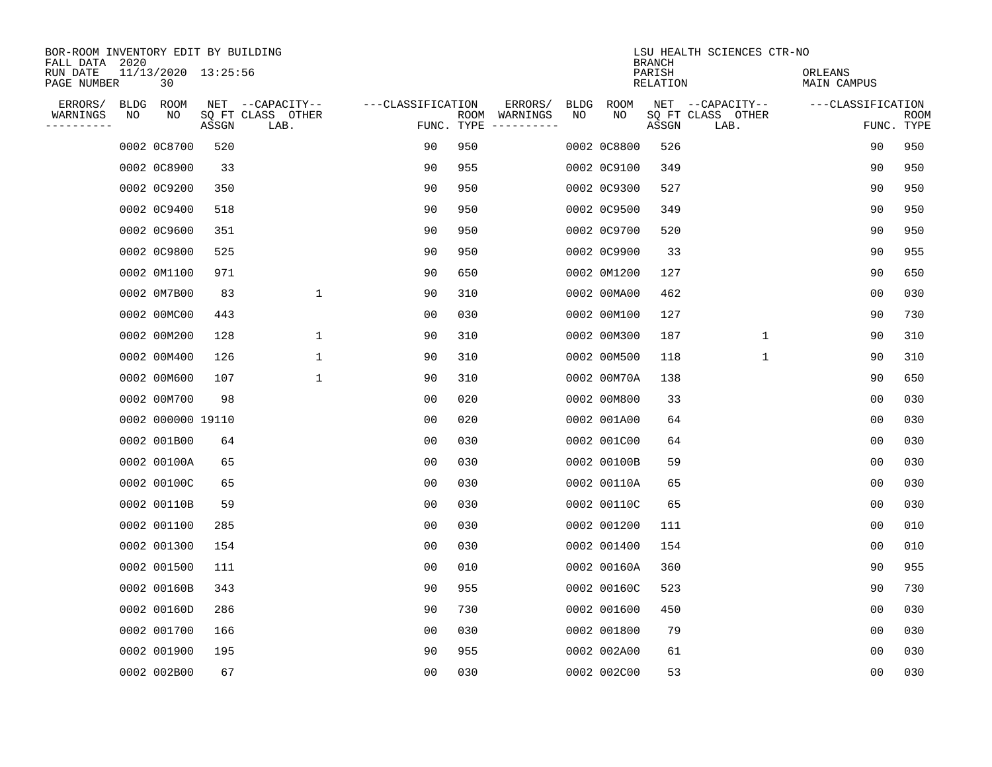| BOR-ROOM INVENTORY EDIT BY BUILDING<br>FALL DATA 2020 |    |                           |       |                           |                   |     |                                      |             |             | <b>BRANCH</b>      | LSU HEALTH SCIENCES CTR-NO |                               |                |                           |
|-------------------------------------------------------|----|---------------------------|-------|---------------------------|-------------------|-----|--------------------------------------|-------------|-------------|--------------------|----------------------------|-------------------------------|----------------|---------------------------|
| RUN DATE<br>PAGE NUMBER                               |    | 11/13/2020 13:25:56<br>30 |       |                           |                   |     |                                      |             |             | PARISH<br>RELATION |                            | ORLEANS<br><b>MAIN CAMPUS</b> |                |                           |
| ERRORS/                                               |    | BLDG ROOM                 |       | NET --CAPACITY--          | ---CLASSIFICATION |     | ERRORS/                              | <b>BLDG</b> | <b>ROOM</b> |                    | NET --CAPACITY--           | ---CLASSIFICATION             |                |                           |
| WARNINGS<br>----------                                | NO | NO                        | ASSGN | SQ FT CLASS OTHER<br>LAB. |                   |     | ROOM WARNINGS<br>FUNC. TYPE $------$ | NO          | NO          | ASSGN              | SQ FT CLASS OTHER<br>LAB.  |                               |                | <b>ROOM</b><br>FUNC. TYPE |
|                                                       |    | 0002 0C8700               | 520   |                           | 90                | 950 |                                      |             | 0002 0C8800 | 526                |                            |                               | 90             | 950                       |
|                                                       |    | 0002 0C8900               | 33    |                           | 90                | 955 |                                      |             | 0002 0C9100 | 349                |                            |                               | 90             | 950                       |
|                                                       |    | 0002 0C9200               | 350   |                           | 90                | 950 |                                      |             | 0002 0C9300 | 527                |                            |                               | 90             | 950                       |
|                                                       |    | 0002 0C9400               | 518   |                           | 90                | 950 |                                      |             | 0002 0C9500 | 349                |                            |                               | 90             | 950                       |
|                                                       |    | 0002 0C9600               | 351   |                           | 90                | 950 |                                      |             | 0002 0C9700 | 520                |                            |                               | 90             | 950                       |
|                                                       |    | 0002 0C9800               | 525   |                           | 90                | 950 |                                      |             | 0002 0C9900 | 33                 |                            |                               | 90             | 955                       |
|                                                       |    | 0002 0M1100               | 971   |                           | 90                | 650 |                                      |             | 0002 0M1200 | 127                |                            |                               | 90             | 650                       |
|                                                       |    | 0002 0M7B00               | 83    | $\mathbf 1$               | 90                | 310 |                                      |             | 0002 00MA00 | 462                |                            |                               | 0 <sub>0</sub> | 030                       |
|                                                       |    | 0002 00MC00               | 443   |                           | 0 <sub>0</sub>    | 030 |                                      |             | 0002 00M100 | 127                |                            |                               | 90             | 730                       |
|                                                       |    | 0002 00M200               | 128   | $\mathbf{1}$              | 90                | 310 |                                      |             | 0002 00M300 | 187                | $\mathbf 1$                |                               | 90             | 310                       |
|                                                       |    | 0002 00M400               | 126   | $\mathbf{1}$              | 90                | 310 |                                      |             | 0002 00M500 | 118                | $\mathbf{1}$               |                               | 90             | 310                       |
|                                                       |    | 0002 00M600               | 107   | $\mathbf{1}$              | 90                | 310 |                                      |             | 0002 00M70A | 138                |                            |                               | 90             | 650                       |
|                                                       |    | 0002 00M700               | 98    |                           | 00                | 020 |                                      |             | 0002 00M800 | 33                 |                            |                               | 0 <sub>0</sub> | 030                       |
|                                                       |    | 0002 000000 19110         |       |                           | 00                | 020 |                                      |             | 0002 001A00 | 64                 |                            |                               | 0 <sub>0</sub> | 030                       |
|                                                       |    | 0002 001B00               | 64    |                           | 00                | 030 |                                      |             | 0002 001C00 | 64                 |                            |                               | 0 <sub>0</sub> | 030                       |
|                                                       |    | 0002 00100A               | 65    |                           | 0 <sub>0</sub>    | 030 |                                      |             | 0002 00100B | 59                 |                            |                               | 0 <sub>0</sub> | 030                       |
|                                                       |    | 0002 00100C               | 65    |                           | 0 <sub>0</sub>    | 030 |                                      |             | 0002 00110A | 65                 |                            |                               | 0 <sub>0</sub> | 030                       |
|                                                       |    | 0002 00110B               | 59    |                           | 0 <sub>0</sub>    | 030 |                                      |             | 0002 00110C | 65                 |                            | 00                            |                | 030                       |
|                                                       |    | 0002 001100               | 285   |                           | 0 <sub>0</sub>    | 030 |                                      |             | 0002 001200 | 111                |                            |                               | 0 <sub>0</sub> | 010                       |
|                                                       |    | 0002 001300               | 154   |                           | 0 <sub>0</sub>    | 030 |                                      |             | 0002 001400 | 154                |                            |                               | 0 <sub>0</sub> | 010                       |
|                                                       |    | 0002 001500               | 111   |                           | 0 <sub>0</sub>    | 010 |                                      |             | 0002 00160A | 360                |                            |                               | 90             | 955                       |
|                                                       |    | 0002 00160B               | 343   |                           | 90                | 955 |                                      |             | 0002 00160C | 523                |                            |                               | 90             | 730                       |
|                                                       |    | 0002 00160D               | 286   |                           | 90                | 730 |                                      |             | 0002 001600 | 450                |                            |                               | 0 <sub>0</sub> | 030                       |
|                                                       |    | 0002 001700               | 166   |                           | 0 <sub>0</sub>    | 030 |                                      |             | 0002 001800 | 79                 |                            |                               | 0 <sub>0</sub> | 030                       |
|                                                       |    | 0002 001900               | 195   |                           | 90                | 955 |                                      |             | 0002 002A00 | 61                 |                            | 0 <sub>0</sub>                |                | 030                       |
|                                                       |    | 0002 002B00               | 67    |                           | 0 <sub>0</sub>    | 030 |                                      |             | 0002 002C00 | 53                 |                            |                               | 0 <sub>0</sub> | 030                       |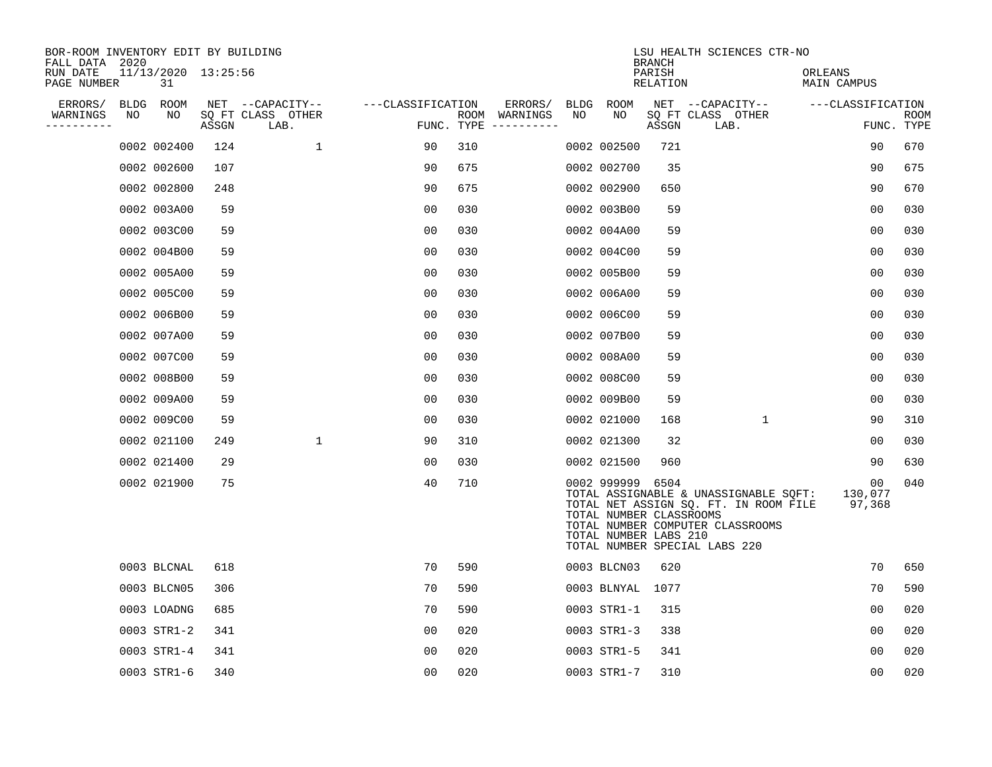| BOR-ROOM INVENTORY EDIT BY BUILDING<br>FALL DATA 2020 |    |                           |       |                           |                   |     |                                      |    |                                                                      | <b>BRANCH</b>      | LSU HEALTH SCIENCES CTR-NO                                                                                                                          |                         |                    |
|-------------------------------------------------------|----|---------------------------|-------|---------------------------|-------------------|-----|--------------------------------------|----|----------------------------------------------------------------------|--------------------|-----------------------------------------------------------------------------------------------------------------------------------------------------|-------------------------|--------------------|
| RUN DATE<br>PAGE NUMBER                               |    | 11/13/2020 13:25:56<br>31 |       |                           |                   |     |                                      |    |                                                                      | PARISH<br>RELATION |                                                                                                                                                     | ORLEANS<br>MAIN CAMPUS  |                    |
| ERRORS/                                               |    | BLDG ROOM                 |       | NET --CAPACITY--          | ---CLASSIFICATION |     | ERRORS/                              |    | BLDG ROOM                                                            |                    | NET --CAPACITY--                                                                                                                                    | ---CLASSIFICATION       |                    |
| WARNINGS<br>----------                                | NO | NO                        | ASSGN | SQ FT CLASS OTHER<br>LAB. |                   |     | ROOM WARNINGS<br>FUNC. TYPE $------$ | NO | NO                                                                   | ASSGN              | SQ FT CLASS OTHER<br>LAB.                                                                                                                           |                         | ROOM<br>FUNC. TYPE |
|                                                       |    | 0002 002400               | 124   | $\mathbf{1}$              | 90                | 310 |                                      |    | 0002 002500                                                          | 721                |                                                                                                                                                     | 90                      | 670                |
|                                                       |    | 0002 002600               | 107   |                           | 90                | 675 |                                      |    | 0002 002700                                                          | 35                 |                                                                                                                                                     | 90                      | 675                |
|                                                       |    | 0002 002800               | 248   |                           | 90                | 675 |                                      |    | 0002 002900                                                          | 650                |                                                                                                                                                     | 90                      | 670                |
|                                                       |    | 0002 003A00               | 59    |                           | 0 <sub>0</sub>    | 030 |                                      |    | 0002 003B00                                                          | 59                 |                                                                                                                                                     | 0 <sub>0</sub>          | 030                |
|                                                       |    | 0002 003C00               | 59    |                           | 0 <sub>0</sub>    | 030 |                                      |    | 0002 004A00                                                          | 59                 |                                                                                                                                                     | 0 <sub>0</sub>          | 030                |
|                                                       |    | 0002 004B00               | 59    |                           | 0 <sub>0</sub>    | 030 |                                      |    | 0002 004C00                                                          | 59                 |                                                                                                                                                     | 0 <sub>0</sub>          | 030                |
|                                                       |    | 0002 005A00               | 59    |                           | 00                | 030 |                                      |    | 0002 005B00                                                          | 59                 |                                                                                                                                                     | 00                      | 030                |
|                                                       |    | 0002 005C00               | 59    |                           | 0 <sub>0</sub>    | 030 |                                      |    | 0002 006A00                                                          | 59                 |                                                                                                                                                     | 0 <sub>0</sub>          | 030                |
|                                                       |    | 0002 006B00               | 59    |                           | 0 <sub>0</sub>    | 030 |                                      |    | 0002 006C00                                                          | 59                 |                                                                                                                                                     | 0 <sub>0</sub>          | 030                |
|                                                       |    | 0002 007A00               | 59    |                           | 0 <sub>0</sub>    | 030 |                                      |    | 0002 007B00                                                          | 59                 |                                                                                                                                                     | 0 <sub>0</sub>          | 030                |
|                                                       |    | 0002 007C00               | 59    |                           | 00                | 030 |                                      |    | 0002 008A00                                                          | 59                 |                                                                                                                                                     | 00                      | 030                |
|                                                       |    | 0002 008B00               | 59    |                           | 00                | 030 |                                      |    | 0002 008C00                                                          | 59                 |                                                                                                                                                     | 0 <sub>0</sub>          | 030                |
|                                                       |    | 0002 009A00               | 59    |                           | 0 <sub>0</sub>    | 030 |                                      |    | 0002 009B00                                                          | 59                 |                                                                                                                                                     | 00                      | 030                |
|                                                       |    | 0002 009C00               | 59    |                           | 0 <sub>0</sub>    | 030 |                                      |    | 0002 021000                                                          | 168                | $\mathbf{1}$                                                                                                                                        | 90                      | 310                |
|                                                       |    | 0002 021100               | 249   | $\mathbf 1$               | 90                | 310 |                                      |    | 0002 021300                                                          | 32                 |                                                                                                                                                     | 0 <sub>0</sub>          | 030                |
|                                                       |    | 0002 021400               | 29    |                           | 0 <sub>0</sub>    | 030 |                                      |    | 0002 021500                                                          | 960                |                                                                                                                                                     | 90                      | 630                |
|                                                       |    | 0002 021900               | 75    |                           | 40                | 710 |                                      |    | 0002 999999 6504<br>TOTAL NUMBER CLASSROOMS<br>TOTAL NUMBER LABS 210 |                    | TOTAL ASSIGNABLE & UNASSIGNABLE SQFT:<br>TOTAL NET ASSIGN SQ. FT. IN ROOM FILE<br>TOTAL NUMBER COMPUTER CLASSROOMS<br>TOTAL NUMBER SPECIAL LABS 220 | 00<br>130,077<br>97,368 | 040                |
|                                                       |    | 0003 BLCNAL               | 618   |                           | 70                | 590 |                                      |    | 0003 BLCN03                                                          | 620                |                                                                                                                                                     | 70                      | 650                |
|                                                       |    | 0003 BLCN05               | 306   |                           | 70                | 590 |                                      |    | 0003 BLNYAL                                                          | 1077               |                                                                                                                                                     | 70                      | 590                |
|                                                       |    | 0003 LOADNG               | 685   |                           | 70                | 590 |                                      |    | 0003 STR1-1                                                          | 315                |                                                                                                                                                     | 0 <sub>0</sub>          | 020                |
|                                                       |    | 0003 STR1-2               | 341   |                           | 00                | 020 |                                      |    | 0003 STR1-3                                                          | 338                |                                                                                                                                                     | 00                      | 020                |
|                                                       |    | 0003 STR1-4               | 341   |                           | 0 <sub>0</sub>    | 020 |                                      |    | 0003 STR1-5                                                          | 341                |                                                                                                                                                     | 0 <sub>0</sub>          | 020                |
|                                                       |    | 0003 STR1-6               | 340   |                           | 0 <sub>0</sub>    | 020 |                                      |    | 0003 STR1-7                                                          | 310                |                                                                                                                                                     | 00                      | 020                |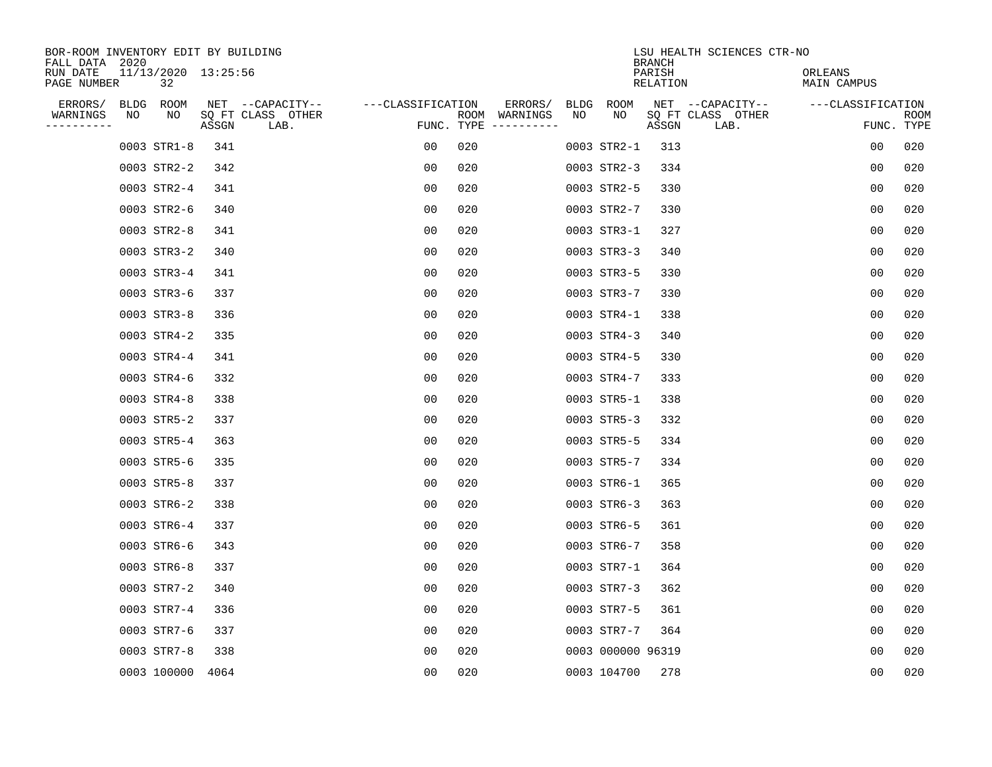| BOR-ROOM INVENTORY EDIT BY BUILDING<br>FALL DATA 2020 |                                    |                       | LSU HEALTH SCIENCES CTR-NO<br><b>BRANCH</b>                     |                               |
|-------------------------------------------------------|------------------------------------|-----------------------|-----------------------------------------------------------------|-------------------------------|
| 11/13/2020 13:25:56<br>RUN DATE<br>PAGE NUMBER<br>32  |                                    |                       | PARISH<br><b>RELATION</b>                                       | ORLEANS<br><b>MAIN CAMPUS</b> |
| ERRORS/<br>BLDG ROOM                                  | NET --CAPACITY--                   | ---CLASSIFICATION     | ERRORS/<br><b>BLDG</b><br><b>ROOM</b><br>NET --CAPACITY--       | ---CLASSIFICATION             |
| WARNINGS<br>NO<br>NO<br>----------                    | SQ FT CLASS OTHER<br>ASSGN<br>LAB. | FUNC. TYPE $------$   | NO<br>NO<br>SQ FT CLASS OTHER<br>ROOM WARNINGS<br>ASSGN<br>LAB. | <b>ROOM</b><br>FUNC. TYPE     |
| 0003 STR1-8                                           | 341                                | 020<br>00             | 0003 STR2-1<br>313                                              | 0 <sub>0</sub><br>020         |
| 0003 STR2-2                                           | 342                                | 00<br>020             | 0003 STR2-3<br>334                                              | 0 <sub>0</sub><br>020         |
| 0003 STR2-4                                           | 341                                | 00<br>020             | 0003 STR2-5<br>330                                              | 0 <sub>0</sub><br>020         |
| 0003 STR2-6                                           | 340                                | 00<br>020             | 0003 STR2-7<br>330                                              | 020<br>0 <sub>0</sub>         |
| 0003 STR2-8                                           | 341                                | 00<br>020             | 0003 STR3-1<br>327                                              | 020<br>0 <sub>0</sub>         |
| 0003 STR3-2                                           | 340                                | 0 <sub>0</sub><br>020 | 340<br>0003 STR3-3                                              | 0 <sub>0</sub><br>020         |
| 0003 STR3-4                                           | 341                                | 020<br>00             | 0003 STR3-5<br>330                                              | 0 <sub>0</sub><br>020         |
| 0003 STR3-6                                           | 337                                | 0 <sub>0</sub><br>020 | 0003 STR3-7<br>330                                              | 020<br>0 <sub>0</sub>         |
| 0003 STR3-8                                           | 336                                | 00<br>020             | 0003 STR4-1<br>338                                              | 020<br>0 <sub>0</sub>         |
| 0003 STR4-2                                           | 335                                | 00<br>020             | 0003 STR4-3<br>340                                              | 0 <sub>0</sub><br>020         |
| 0003 STR4-4                                           | 341                                | 00<br>020             | 0003 STR4-5<br>330                                              | 0 <sub>0</sub><br>020         |
| 0003 STR4-6                                           | 332                                | 0 <sub>0</sub><br>020 | 333<br>0003 STR4-7                                              | 0 <sub>0</sub><br>020         |
| 0003 STR4-8                                           | 338                                | 0 <sub>0</sub><br>020 | 0003 STR5-1<br>338                                              | 0 <sub>0</sub><br>020         |
| 0003 STR5-2                                           | 337                                | 00<br>020             | 0003 STR5-3<br>332                                              | 0 <sub>0</sub><br>020         |
| 0003 STR5-4                                           | 363                                | 00<br>020             | 0003 STR5-5<br>334                                              | 0 <sub>0</sub><br>020         |
| 0003 STR5-6                                           | 335                                | 00<br>020             | 0003 STR5-7<br>334                                              | 0 <sub>0</sub><br>020         |
| 0003 STR5-8                                           | 337                                | 00<br>020             | 0003 STR6-1<br>365                                              | 020<br>00                     |
| 0003 STR6-2                                           | 338                                | 020<br>0 <sub>0</sub> | 0003 STR6-3<br>363                                              | 020<br>0 <sub>0</sub>         |
| 0003 STR6-4                                           | 337                                | 0 <sub>0</sub><br>020 | 0003 STR6-5<br>361                                              | 0 <sub>0</sub><br>020         |
| 0003 STR6-6                                           | 343                                | 00<br>020             | 358<br>0003 STR6-7                                              | 0 <sub>0</sub><br>020         |
| 0003 STR6-8                                           | 337                                | 00<br>020             | 0003 STR7-1<br>364                                              | 0 <sub>0</sub><br>020         |
| 0003 STR7-2                                           | 340                                | 00<br>020             | 0003 STR7-3<br>362                                              | 0 <sub>0</sub><br>020         |
| 0003 STR7-4                                           | 336                                | 020<br>00             | 0003 STR7-5<br>361                                              | 020<br>0 <sub>0</sub>         |
| 0003 STR7-6                                           | 337                                | 00<br>020             | 0003 STR7-7<br>364                                              | 0 <sub>0</sub><br>020         |
| 0003 STR7-8                                           | 338                                | 0 <sub>0</sub><br>020 | 0003 000000 96319                                               | 0 <sub>0</sub><br>020         |
| 0003 100000                                           | 4064                               | 0 <sub>0</sub><br>020 | 0003 104700<br>278                                              | 0 <sub>0</sub><br>020         |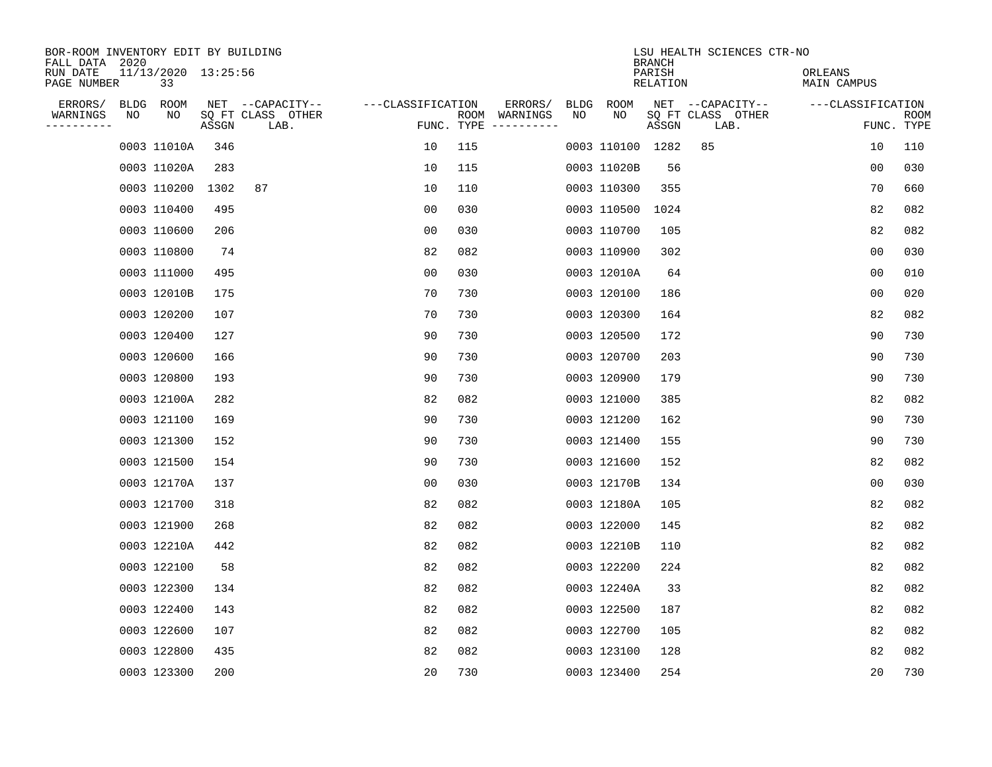| BOR-ROOM INVENTORY EDIT BY BUILDING<br>FALL DATA 2020 |      |                           |       |                           |                   |            |                              |      |                  | <b>BRANCH</b>             | LSU HEALTH SCIENCES CTR-NO |                        |                           |
|-------------------------------------------------------|------|---------------------------|-------|---------------------------|-------------------|------------|------------------------------|------|------------------|---------------------------|----------------------------|------------------------|---------------------------|
| RUN DATE<br>PAGE NUMBER                               |      | 11/13/2020 13:25:56<br>33 |       |                           |                   |            |                              |      |                  | PARISH<br><b>RELATION</b> |                            | ORLEANS<br>MAIN CAMPUS |                           |
| ERRORS/                                               | BLDG | ROOM                      |       | NET --CAPACITY--          | ---CLASSIFICATION |            | ERRORS/                      | BLDG | ROOM             |                           | NET --CAPACITY--           | ---CLASSIFICATION      |                           |
| WARNINGS<br>----------                                | ΝO   | NO                        | ASSGN | SQ FT CLASS OTHER<br>LAB. |                   | FUNC. TYPE | ROOM WARNINGS<br>----------- | NO   | NO               | ASSGN                     | SQ FT CLASS OTHER<br>LAB.  |                        | <b>ROOM</b><br>FUNC. TYPE |
|                                                       |      | 0003 11010A               | 346   |                           | 10                | 115        |                              |      | 0003 110100 1282 |                           | 85                         | 10                     | 110                       |
|                                                       |      | 0003 11020A               | 283   |                           | 10                | 115        |                              |      | 0003 11020B      | 56                        |                            | 00                     | 030                       |
|                                                       |      | 0003 110200               | 1302  | 87                        | 10                | 110        |                              |      | 0003 110300      | 355                       |                            | 70                     | 660                       |
|                                                       |      | 0003 110400               | 495   |                           | 0 <sub>0</sub>    | 030        |                              |      | 0003 110500      | 1024                      |                            | 82                     | 082                       |
|                                                       |      | 0003 110600               | 206   |                           | 0 <sub>0</sub>    | 030        |                              |      | 0003 110700      | 105                       |                            | 82                     | 082                       |
|                                                       |      | 0003 110800               | 74    |                           | 82                | 082        |                              |      | 0003 110900      | 302                       |                            | 0 <sub>0</sub>         | 030                       |
|                                                       |      | 0003 111000               | 495   |                           | 00                | 030        |                              |      | 0003 12010A      | 64                        |                            | 0 <sub>0</sub>         | 010                       |
|                                                       |      | 0003 12010B               | 175   |                           | 70                | 730        |                              |      | 0003 120100      | 186                       |                            | 0 <sub>0</sub>         | 020                       |
|                                                       |      | 0003 120200               | 107   |                           | 70                | 730        |                              |      | 0003 120300      | 164                       |                            | 82                     | 082                       |
|                                                       |      | 0003 120400               | 127   |                           | 90                | 730        |                              |      | 0003 120500      | 172                       |                            | 90                     | 730                       |
|                                                       |      | 0003 120600               | 166   |                           | 90                | 730        |                              |      | 0003 120700      | 203                       |                            | 90                     | 730                       |
|                                                       |      | 0003 120800               | 193   |                           | 90                | 730        |                              |      | 0003 120900      | 179                       |                            | 90                     | 730                       |
|                                                       |      | 0003 12100A               | 282   |                           | 82                | 082        |                              |      | 0003 121000      | 385                       |                            | 82                     | 082                       |
|                                                       |      | 0003 121100               | 169   |                           | 90                | 730        |                              |      | 0003 121200      | 162                       |                            | 90                     | 730                       |
|                                                       |      | 0003 121300               | 152   |                           | 90                | 730        |                              |      | 0003 121400      | 155                       |                            | 90                     | 730                       |
|                                                       |      | 0003 121500               | 154   |                           | 90                | 730        |                              |      | 0003 121600      | 152                       |                            | 82                     | 082                       |
|                                                       |      | 0003 12170A               | 137   |                           | 00                | 030        |                              |      | 0003 12170B      | 134                       |                            | 0 <sub>0</sub>         | 030                       |
|                                                       |      | 0003 121700               | 318   |                           | 82                | 082        |                              |      | 0003 12180A      | 105                       |                            | 82                     | 082                       |
|                                                       |      | 0003 121900               | 268   |                           | 82                | 082        |                              |      | 0003 122000      | 145                       |                            | 82                     | 082                       |
|                                                       |      | 0003 12210A               | 442   |                           | 82                | 082        |                              |      | 0003 12210B      | 110                       |                            | 82                     | 082                       |
|                                                       |      | 0003 122100               | 58    |                           | 82                | 082        |                              |      | 0003 122200      | 224                       |                            | 82                     | 082                       |
|                                                       |      | 0003 122300               | 134   |                           | 82                | 082        |                              |      | 0003 12240A      | 33                        |                            | 82                     | 082                       |
|                                                       |      | 0003 122400               | 143   |                           | 82                | 082        |                              |      | 0003 122500      | 187                       |                            | 82                     | 082                       |
|                                                       |      | 0003 122600               | 107   |                           | 82                | 082        |                              |      | 0003 122700      | 105                       |                            | 82                     | 082                       |
|                                                       |      | 0003 122800               | 435   |                           | 82                | 082        |                              |      | 0003 123100      | 128                       |                            | 82                     | 082                       |
|                                                       |      | 0003 123300               | 200   |                           | 20                | 730        |                              |      | 0003 123400      | 254                       |                            | 20                     | 730                       |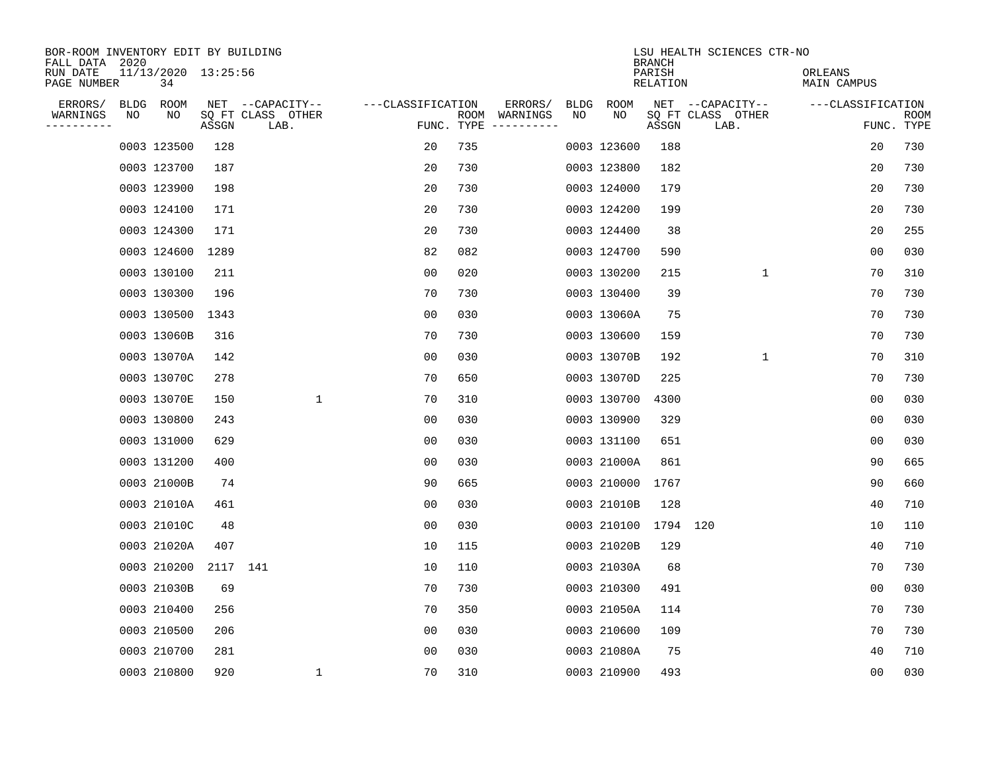| BOR-ROOM INVENTORY EDIT BY BUILDING<br>FALL DATA 2020 |      |                           |          |                           |                   |                    |                         |      |             | <b>BRANCH</b>             | LSU HEALTH SCIENCES CTR-NO |                        |                           |
|-------------------------------------------------------|------|---------------------------|----------|---------------------------|-------------------|--------------------|-------------------------|------|-------------|---------------------------|----------------------------|------------------------|---------------------------|
| RUN DATE<br>PAGE NUMBER                               |      | 11/13/2020 13:25:56<br>34 |          |                           |                   |                    |                         |      |             | PARISH<br><b>RELATION</b> |                            | ORLEANS<br>MAIN CAMPUS |                           |
| ERRORS/                                               | BLDG | ROOM                      |          | NET --CAPACITY--          | ---CLASSIFICATION |                    | ERRORS/                 | BLDG | <b>ROOM</b> |                           | NET --CAPACITY--           | ---CLASSIFICATION      |                           |
| WARNINGS<br>----------                                | ΝO   | NO                        | ASSGN    | SQ FT CLASS OTHER<br>LAB. |                   | ROOM<br>FUNC. TYPE | WARNINGS<br>----------- | NO   | NO          | ASSGN                     | SQ FT CLASS OTHER<br>LAB.  |                        | <b>ROOM</b><br>FUNC. TYPE |
|                                                       |      | 0003 123500               | 128      |                           | 20                | 735                |                         |      | 0003 123600 | 188                       |                            | 20                     | 730                       |
|                                                       |      | 0003 123700               | 187      |                           | 20                | 730                |                         |      | 0003 123800 | 182                       |                            | 20                     | 730                       |
|                                                       |      | 0003 123900               | 198      |                           | 20                | 730                |                         |      | 0003 124000 | 179                       |                            | 20                     | 730                       |
|                                                       |      | 0003 124100               | 171      |                           | 20                | 730                |                         |      | 0003 124200 | 199                       |                            | 20                     | 730                       |
|                                                       |      | 0003 124300               | 171      |                           | 20                | 730                |                         |      | 0003 124400 | 38                        |                            | 20                     | 255                       |
|                                                       |      | 0003 124600               | 1289     |                           | 82                | 082                |                         |      | 0003 124700 | 590                       |                            | 0 <sub>0</sub>         | 030                       |
|                                                       |      | 0003 130100               | 211      |                           | 0 <sub>0</sub>    | 020                |                         |      | 0003 130200 | 215                       | $\mathbf{1}$               | 70                     | 310                       |
|                                                       |      | 0003 130300               | 196      |                           | 70                | 730                |                         |      | 0003 130400 | 39                        |                            | 70                     | 730                       |
|                                                       |      | 0003 130500               | 1343     |                           | 0 <sub>0</sub>    | 030                |                         |      | 0003 13060A | 75                        |                            | 70                     | 730                       |
|                                                       |      | 0003 13060B               | 316      |                           | 70                | 730                |                         |      | 0003 130600 | 159                       |                            | 70                     | 730                       |
|                                                       |      | 0003 13070A               | 142      |                           | 0 <sub>0</sub>    | 030                |                         |      | 0003 13070B | 192                       | $\mathbf 1$                | 70                     | 310                       |
|                                                       |      | 0003 13070C               | 278      |                           | 70                | 650                |                         |      | 0003 13070D | 225                       |                            | 70                     | 730                       |
|                                                       |      | 0003 13070E               | 150      | $\mathbf{1}$              | 70                | 310                |                         |      | 0003 130700 | 4300                      |                            | 0 <sub>0</sub>         | 030                       |
|                                                       |      | 0003 130800               | 243      |                           | 00                | 030                |                         |      | 0003 130900 | 329                       |                            | 0 <sub>0</sub>         | 030                       |
|                                                       |      | 0003 131000               | 629      |                           | 0 <sub>0</sub>    | 030                |                         |      | 0003 131100 | 651                       |                            | 0 <sub>0</sub>         | 030                       |
|                                                       |      | 0003 131200               | 400      |                           | 0 <sub>0</sub>    | 030                |                         |      | 0003 21000A | 861                       |                            | 90                     | 665                       |
|                                                       |      | 0003 21000B               | 74       |                           | 90                | 665                |                         |      | 0003 210000 | 1767                      |                            | 90                     | 660                       |
|                                                       |      | 0003 21010A               | 461      |                           | 00                | 030                |                         |      | 0003 21010B | 128                       |                            | 40                     | 710                       |
|                                                       |      | 0003 21010C               | 48       |                           | 0 <sub>0</sub>    | 030                |                         |      | 0003 210100 | 1794                      | 120                        | 10                     | 110                       |
|                                                       |      | 0003 21020A               | 407      |                           | 10                | 115                |                         |      | 0003 21020B | 129                       |                            | 40                     | 710                       |
|                                                       |      | 0003 210200               | 2117 141 |                           | 10                | 110                |                         |      | 0003 21030A | 68                        |                            | 70                     | 730                       |
|                                                       |      | 0003 21030B               | 69       |                           | 70                | 730                |                         |      | 0003 210300 | 491                       |                            | 0 <sub>0</sub>         | 030                       |
|                                                       |      | 0003 210400               | 256      |                           | 70                | 350                |                         |      | 0003 21050A | 114                       |                            | 70                     | 730                       |
|                                                       |      | 0003 210500               | 206      |                           | 0 <sub>0</sub>    | 030                |                         |      | 0003 210600 | 109                       |                            | 70                     | 730                       |
|                                                       |      | 0003 210700               | 281      |                           | 0 <sub>0</sub>    | 030                |                         |      | 0003 21080A | 75                        |                            | 40                     | 710                       |
|                                                       |      | 0003 210800               | 920      | 1                         | 70                | 310                |                         |      | 0003 210900 | 493                       |                            | 0 <sub>0</sub>         | 030                       |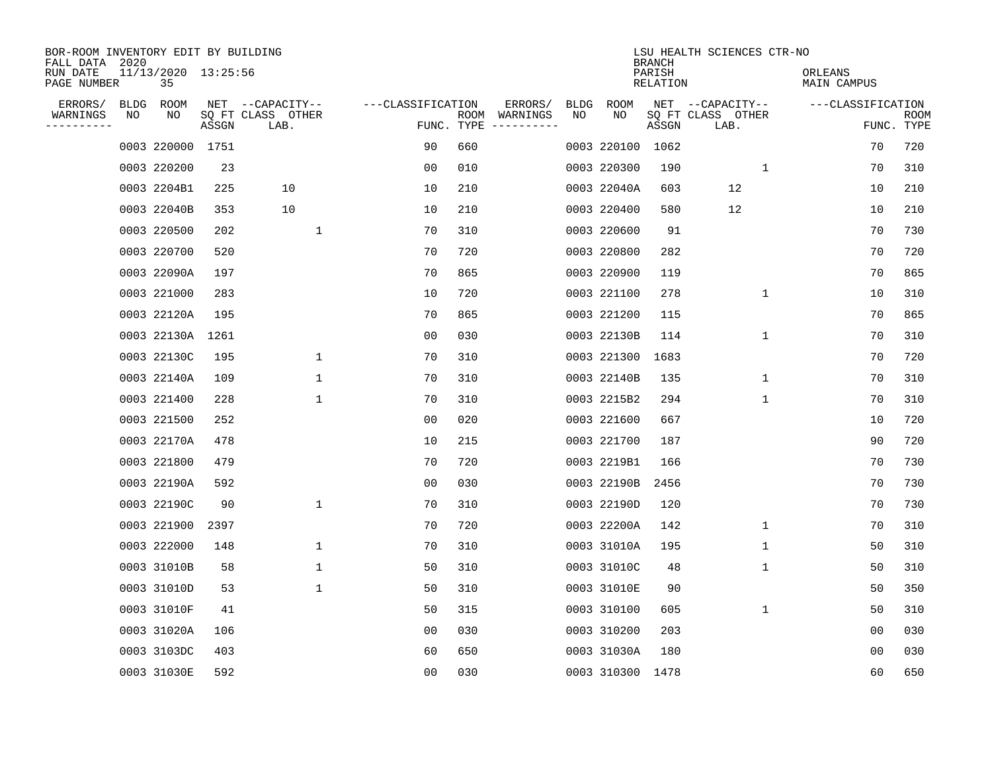| BOR-ROOM INVENTORY EDIT BY BUILDING<br>FALL DATA 2020 |      |                           |       |                           |                   |                    |          |             |             | <b>BRANCH</b>             | LSU HEALTH SCIENCES CTR-NO |                        |                           |
|-------------------------------------------------------|------|---------------------------|-------|---------------------------|-------------------|--------------------|----------|-------------|-------------|---------------------------|----------------------------|------------------------|---------------------------|
| RUN DATE<br>PAGE NUMBER                               |      | 11/13/2020 13:25:56<br>35 |       |                           |                   |                    |          |             |             | PARISH<br><b>RELATION</b> |                            | ORLEANS<br>MAIN CAMPUS |                           |
| ERRORS/                                               | BLDG | ROOM                      |       | NET --CAPACITY--          | ---CLASSIFICATION |                    | ERRORS/  | <b>BLDG</b> | <b>ROOM</b> |                           | NET --CAPACITY--           | ---CLASSIFICATION      |                           |
| WARNINGS<br>----------                                | ΝO   | NO                        | ASSGN | SQ FT CLASS OTHER<br>LAB. |                   | ROOM<br>FUNC. TYPE | WARNINGS | NO          | NO          | ASSGN                     | SQ FT CLASS OTHER<br>LAB.  |                        | <b>ROOM</b><br>FUNC. TYPE |
|                                                       |      | 0003 220000               | 1751  |                           | 90                | 660                |          |             | 0003 220100 | 1062                      |                            | 70                     | 720                       |
|                                                       |      | 0003 220200               | 23    |                           | 00                | 010                |          |             | 0003 220300 | 190                       | 1                          | 70                     | 310                       |
|                                                       |      | 0003 2204B1               | 225   | 10                        | 10                | 210                |          |             | 0003 22040A | 603                       | 12                         | 10                     | 210                       |
|                                                       |      | 0003 22040B               | 353   | 10                        | 10                | 210                |          |             | 0003 220400 | 580                       | 12                         | 10                     | 210                       |
|                                                       |      | 0003 220500               | 202   | $\mathbf{1}$              | 70                | 310                |          |             | 0003 220600 | 91                        |                            | 70                     | 730                       |
|                                                       |      | 0003 220700               | 520   |                           | 70                | 720                |          |             | 0003 220800 | 282                       |                            | 70                     | 720                       |
|                                                       |      | 0003 22090A               | 197   |                           | 70                | 865                |          |             | 0003 220900 | 119                       |                            | 70                     | 865                       |
|                                                       |      | 0003 221000               | 283   |                           | 10                | 720                |          |             | 0003 221100 | 278                       | $\mathbf{1}$               | 10                     | 310                       |
|                                                       |      | 0003 22120A               | 195   |                           | 70                | 865                |          |             | 0003 221200 | 115                       |                            | 70                     | 865                       |
|                                                       |      | 0003 22130A               | 1261  |                           | 00                | 030                |          |             | 0003 22130B | 114                       | 1                          | 70                     | 310                       |
|                                                       |      | 0003 22130C               | 195   | 1                         | 70                | 310                |          |             | 0003 221300 | 1683                      |                            | 70                     | 720                       |
|                                                       |      | 0003 22140A               | 109   | $\mathbf{1}$              | 70                | 310                |          |             | 0003 22140B | 135                       | 1                          | 70                     | 310                       |
|                                                       |      | 0003 221400               | 228   | $\mathbf{1}$              | 70                | 310                |          |             | 0003 2215B2 | 294                       | $\mathbf 1$                | 70                     | 310                       |
|                                                       |      | 0003 221500               | 252   |                           | 00                | 020                |          |             | 0003 221600 | 667                       |                            | 10                     | 720                       |
|                                                       |      | 0003 22170A               | 478   |                           | 10                | 215                |          |             | 0003 221700 | 187                       |                            | 90                     | 720                       |
|                                                       |      | 0003 221800               | 479   |                           | 70                | 720                |          |             | 0003 2219B1 | 166                       |                            | 70                     | 730                       |
|                                                       |      | 0003 22190A               | 592   |                           | 00                | 030                |          |             | 0003 22190B | 2456                      |                            | 70                     | 730                       |
|                                                       |      | 0003 22190C               | 90    | 1                         | 70                | 310                |          |             | 0003 22190D | 120                       |                            | 70                     | 730                       |
|                                                       |      | 0003 221900               | 2397  |                           | 70                | 720                |          |             | 0003 22200A | 142                       | 1                          | 70                     | 310                       |
|                                                       |      | 0003 222000               | 148   | 1                         | 70                | 310                |          |             | 0003 31010A | 195                       | 1                          | 50                     | 310                       |
|                                                       |      | 0003 31010B               | 58    | 1                         | 50                | 310                |          |             | 0003 31010C | 48                        | 1                          | 50                     | 310                       |
|                                                       |      | 0003 31010D               | 53    | $\mathbf{1}$              | 50                | 310                |          |             | 0003 31010E | 90                        |                            | 50                     | 350                       |
|                                                       |      | 0003 31010F               | 41    |                           | 50                | 315                |          |             | 0003 310100 | 605                       | $\mathbf{1}$               | 50                     | 310                       |
|                                                       |      | 0003 31020A               | 106   |                           | 0 <sub>0</sub>    | 030                |          |             | 0003 310200 | 203                       |                            | 0 <sub>0</sub>         | 030                       |
|                                                       |      | 0003 3103DC               | 403   |                           | 60                | 650                |          |             | 0003 31030A | 180                       |                            | 0 <sub>0</sub>         | 030                       |
|                                                       |      | 0003 31030E               | 592   |                           | 0 <sub>0</sub>    | 030                |          |             | 0003 310300 | 1478                      |                            | 60                     | 650                       |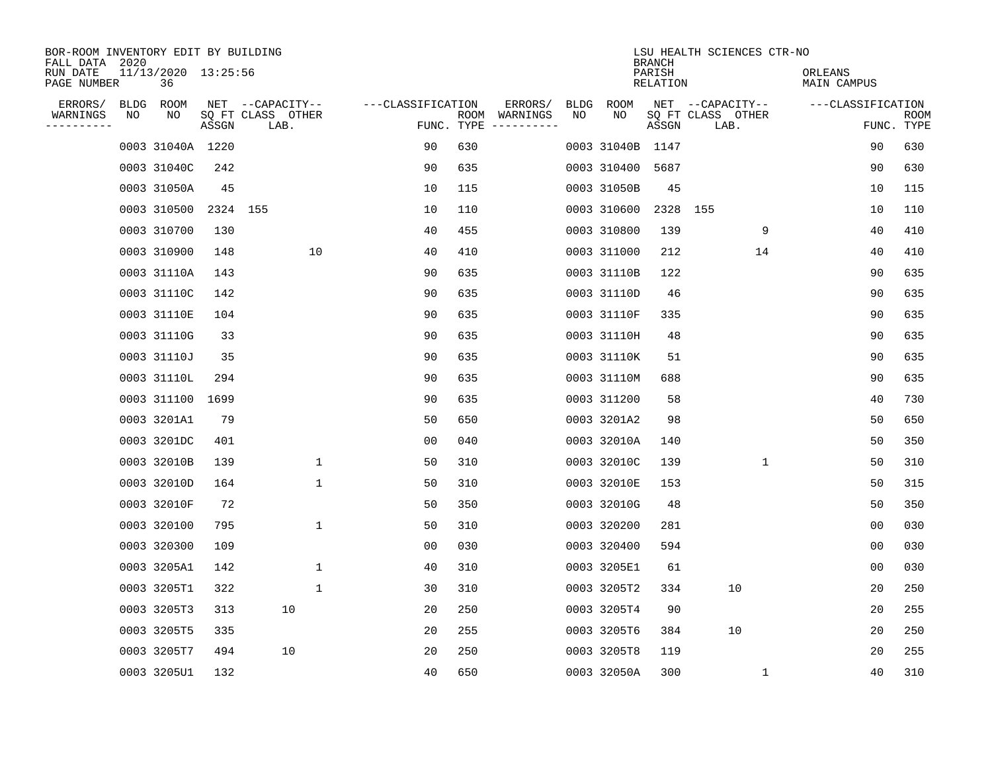| BOR-ROOM INVENTORY EDIT BY BUILDING<br>FALL DATA 2020 |             |                           |          |                           |                   |     |                                      |             |                  | <b>BRANCH</b>             | LSU HEALTH SCIENCES CTR-NO |                        |                           |
|-------------------------------------------------------|-------------|---------------------------|----------|---------------------------|-------------------|-----|--------------------------------------|-------------|------------------|---------------------------|----------------------------|------------------------|---------------------------|
| RUN DATE<br>PAGE NUMBER                               |             | 11/13/2020 13:25:56<br>36 |          |                           |                   |     |                                      |             |                  | PARISH<br><b>RELATION</b> |                            | ORLEANS<br>MAIN CAMPUS |                           |
| ERRORS/                                               | <b>BLDG</b> | ROOM                      |          | NET --CAPACITY--          | ---CLASSIFICATION |     | ERRORS/                              | <b>BLDG</b> | <b>ROOM</b>      |                           | NET --CAPACITY--           | ---CLASSIFICATION      |                           |
| WARNINGS<br>----------                                | NO          | NO                        | ASSGN    | SQ FT CLASS OTHER<br>LAB. |                   |     | ROOM WARNINGS<br>FUNC. TYPE $------$ | NO          | NO               | ASSGN                     | SQ FT CLASS OTHER<br>LAB.  |                        | <b>ROOM</b><br>FUNC. TYPE |
|                                                       |             | 0003 31040A 1220          |          |                           | 90                | 630 |                                      |             | 0003 31040B 1147 |                           |                            | 90                     | 630                       |
|                                                       |             | 0003 31040C               | 242      |                           | 90                | 635 |                                      |             | 0003 310400 5687 |                           |                            | 90                     | 630                       |
|                                                       |             | 0003 31050A               | 45       |                           | 10                | 115 |                                      |             | 0003 31050B      | 45                        |                            | 10                     | 115                       |
|                                                       |             | 0003 310500               | 2324 155 |                           | 10                | 110 |                                      |             | 0003 310600      |                           | 2328 155                   | 10                     | 110                       |
|                                                       |             | 0003 310700               | 130      |                           | 40                | 455 |                                      |             | 0003 310800      | 139                       | 9                          | 40                     | 410                       |
|                                                       |             | 0003 310900               | 148      | 10                        | 40                | 410 |                                      |             | 0003 311000      | 212                       | 14                         | 40                     | 410                       |
|                                                       |             | 0003 31110A               | 143      |                           | 90                | 635 |                                      |             | 0003 31110B      | 122                       |                            | 90                     | 635                       |
|                                                       |             | 0003 31110C               | 142      |                           | 90                | 635 |                                      |             | 0003 31110D      | 46                        |                            | 90                     | 635                       |
|                                                       |             | 0003 31110E               | 104      |                           | 90                | 635 |                                      |             | 0003 31110F      | 335                       |                            | 90                     | 635                       |
|                                                       |             | 0003 31110G               | 33       |                           | 90                | 635 |                                      |             | 0003 31110H      | 48                        |                            | 90                     | 635                       |
|                                                       |             | 0003 31110J               | 35       |                           | 90                | 635 |                                      |             | 0003 31110K      | 51                        |                            | 90                     | 635                       |
|                                                       |             | 0003 31110L               | 294      |                           | 90                | 635 |                                      |             | 0003 31110M      | 688                       |                            | 90                     | 635                       |
|                                                       |             | 0003 311100               | 1699     |                           | 90                | 635 |                                      |             | 0003 311200      | 58                        |                            | 40                     | 730                       |
|                                                       |             | 0003 3201A1               | 79       |                           | 50                | 650 |                                      |             | 0003 3201A2      | 98                        |                            | 50                     | 650                       |
|                                                       |             | 0003 3201DC               | 401      |                           | 00                | 040 |                                      |             | 0003 32010A      | 140                       |                            | 50                     | 350                       |
|                                                       |             | 0003 32010B               | 139      | 1                         | 50                | 310 |                                      |             | 0003 32010C      | 139                       | $\mathbf{1}$               | 50                     | 310                       |
|                                                       |             | 0003 32010D               | 164      | $\mathbf{1}$              | 50                | 310 |                                      |             | 0003 32010E      | 153                       |                            | 50                     | 315                       |
|                                                       |             | 0003 32010F               | 72       |                           | 50                | 350 |                                      |             | 0003 32010G      | 48                        |                            | 50                     | 350                       |
|                                                       |             | 0003 320100               | 795      | $\mathbf{1}$              | 50                | 310 |                                      |             | 0003 320200      | 281                       |                            | 0 <sub>0</sub>         | 030                       |
|                                                       |             | 0003 320300               | 109      |                           | 00                | 030 |                                      |             | 0003 320400      | 594                       |                            | 0 <sub>0</sub>         | 030                       |
|                                                       |             | 0003 3205A1               | 142      | 1                         | 40                | 310 |                                      |             | 0003 3205E1      | 61                        |                            | 0 <sub>0</sub>         | 030                       |
|                                                       |             | 0003 3205T1               | 322      | $\mathbf{1}$              | 30                | 310 |                                      |             | 0003 3205T2      | 334                       | 10                         | 20                     | 250                       |
|                                                       |             | 0003 3205T3               | 313      | 10                        | 20                | 250 |                                      |             | 0003 3205T4      | 90                        |                            | 20                     | 255                       |
|                                                       |             | 0003 3205T5               | 335      |                           | 20                | 255 |                                      |             | 0003 3205T6      | 384                       | 10                         | 20                     | 250                       |
|                                                       |             | 0003 3205T7               | 494      | 10                        | 20                | 250 |                                      |             | 0003 3205T8      | 119                       |                            | 20                     | 255                       |
|                                                       |             | 0003 3205U1               | 132      |                           | 40                | 650 |                                      |             | 0003 32050A      | 300                       | 1                          | 40                     | 310                       |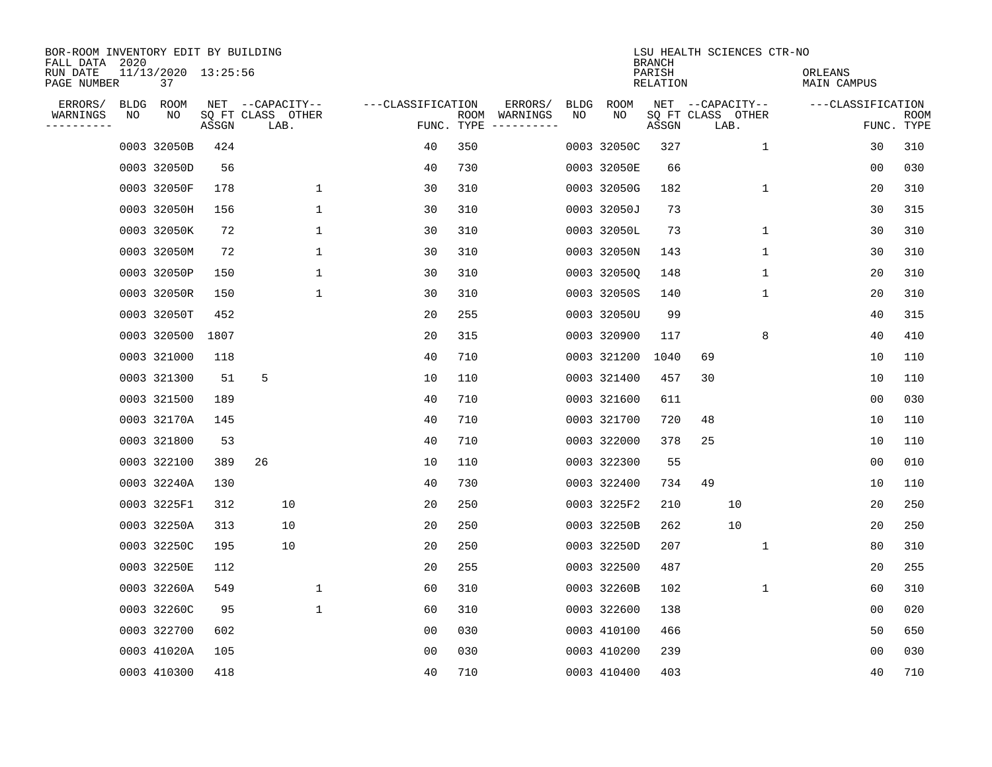| BOR-ROOM INVENTORY EDIT BY BUILDING<br>FALL DATA 2020 |    |                           |       |                           |              |                   |     |                                      |             |             | <b>BRANCH</b>             | LSU HEALTH SCIENCES CTR-NO |             |                        |                           |
|-------------------------------------------------------|----|---------------------------|-------|---------------------------|--------------|-------------------|-----|--------------------------------------|-------------|-------------|---------------------------|----------------------------|-------------|------------------------|---------------------------|
| RUN DATE<br>PAGE NUMBER                               |    | 11/13/2020 13:25:56<br>37 |       |                           |              |                   |     |                                      |             |             | PARISH<br><b>RELATION</b> |                            |             | ORLEANS<br>MAIN CAMPUS |                           |
| ERRORS/                                               |    | BLDG ROOM                 |       | NET --CAPACITY--          |              | ---CLASSIFICATION |     | ERRORS/                              | <b>BLDG</b> | <b>ROOM</b> |                           | NET --CAPACITY--           |             | ---CLASSIFICATION      |                           |
| WARNINGS<br>----------                                | NO | NO                        | ASSGN | SQ FT CLASS OTHER<br>LAB. |              |                   |     | ROOM WARNINGS<br>FUNC. TYPE $------$ | NO          | NO          | ASSGN                     | SQ FT CLASS OTHER<br>LAB.  |             |                        | <b>ROOM</b><br>FUNC. TYPE |
|                                                       |    | 0003 32050B               | 424   |                           |              | 40                | 350 |                                      |             | 0003 32050C | 327                       |                            | $\mathbf 1$ | 30                     | 310                       |
|                                                       |    | 0003 32050D               | 56    |                           |              | 40                | 730 |                                      |             | 0003 32050E | 66                        |                            |             | 00                     | 030                       |
|                                                       |    | 0003 32050F               | 178   |                           | $\mathbf 1$  | 30                | 310 |                                      |             | 0003 32050G | 182                       |                            | 1           | 20                     | 310                       |
|                                                       |    | 0003 32050H               | 156   |                           | 1            | 30                | 310 |                                      |             | 0003 32050J | 73                        |                            |             | 30                     | 315                       |
|                                                       |    | 0003 32050K               | 72    |                           | $\mathbf{1}$ | 30                | 310 |                                      |             | 0003 32050L | 73                        |                            | $\mathbf 1$ | 30                     | 310                       |
|                                                       |    | 0003 32050M               | 72    |                           | $\mathbf{1}$ | 30                | 310 |                                      |             | 0003 32050N | 143                       |                            | 1           | 30                     | 310                       |
|                                                       |    | 0003 32050P               | 150   |                           | $\mathbf 1$  | 30                | 310 |                                      |             | 0003 320500 | 148                       |                            | $\mathbf 1$ | 20                     | 310                       |
|                                                       |    | 0003 32050R               | 150   |                           | $\mathbf 1$  | 30                | 310 |                                      |             | 0003 32050S | 140                       |                            | 1           | 20                     | 310                       |
|                                                       |    | 0003 32050T               | 452   |                           |              | 20                | 255 |                                      |             | 0003 32050U | 99                        |                            |             | 40                     | 315                       |
|                                                       |    | 0003 320500               | 1807  |                           |              | 20                | 315 |                                      |             | 0003 320900 | 117                       |                            | 8           | 40                     | 410                       |
|                                                       |    | 0003 321000               | 118   |                           |              | 40                | 710 |                                      |             | 0003 321200 | 1040                      | 69                         |             | 10                     | 110                       |
|                                                       |    | 0003 321300               | 51    | 5                         |              | 10                | 110 |                                      |             | 0003 321400 | 457                       | 30                         |             | 10                     | 110                       |
|                                                       |    | 0003 321500               | 189   |                           |              | 40                | 710 |                                      |             | 0003 321600 | 611                       |                            |             | 0 <sub>0</sub>         | 030                       |
|                                                       |    | 0003 32170A               | 145   |                           |              | 40                | 710 |                                      |             | 0003 321700 | 720                       | 48                         |             | 10                     | 110                       |
|                                                       |    | 0003 321800               | 53    |                           |              | 40                | 710 |                                      |             | 0003 322000 | 378                       | 25                         |             | 10                     | 110                       |
|                                                       |    | 0003 322100               | 389   | 26                        |              | 10                | 110 |                                      |             | 0003 322300 | 55                        |                            |             | 0 <sub>0</sub>         | 010                       |
|                                                       |    | 0003 32240A               | 130   |                           |              | 40                | 730 |                                      |             | 0003 322400 | 734                       | 49                         |             | 10                     | 110                       |
|                                                       |    | 0003 3225F1               | 312   | 10                        |              | 20                | 250 |                                      |             | 0003 3225F2 | 210                       | 10                         |             | 20                     | 250                       |
|                                                       |    | 0003 32250A               | 313   | 10                        |              | 20                | 250 |                                      |             | 0003 32250B | 262                       | 10                         |             | 20                     | 250                       |
|                                                       |    | 0003 32250C               | 195   | 10                        |              | 20                | 250 |                                      |             | 0003 32250D | 207                       |                            | 1           | 80                     | 310                       |
|                                                       |    | 0003 32250E               | 112   |                           |              | 20                | 255 |                                      |             | 0003 322500 | 487                       |                            |             | 20                     | 255                       |
|                                                       |    | 0003 32260A               | 549   |                           | $\mathbf 1$  | 60                | 310 |                                      |             | 0003 32260B | 102                       |                            | 1           | 60                     | 310                       |
|                                                       |    | 0003 32260C               | 95    |                           | $\mathbf{1}$ | 60                | 310 |                                      |             | 0003 322600 | 138                       |                            |             | 0 <sub>0</sub>         | 020                       |
|                                                       |    | 0003 322700               | 602   |                           |              | 0 <sub>0</sub>    | 030 |                                      |             | 0003 410100 | 466                       |                            |             | 50                     | 650                       |
|                                                       |    | 0003 41020A               | 105   |                           |              | 0 <sub>0</sub>    | 030 |                                      |             | 0003 410200 | 239                       |                            |             | 0 <sub>0</sub>         | 030                       |
|                                                       |    | 0003 410300               | 418   |                           |              | 40                | 710 |                                      |             | 0003 410400 | 403                       |                            |             | 40                     | 710                       |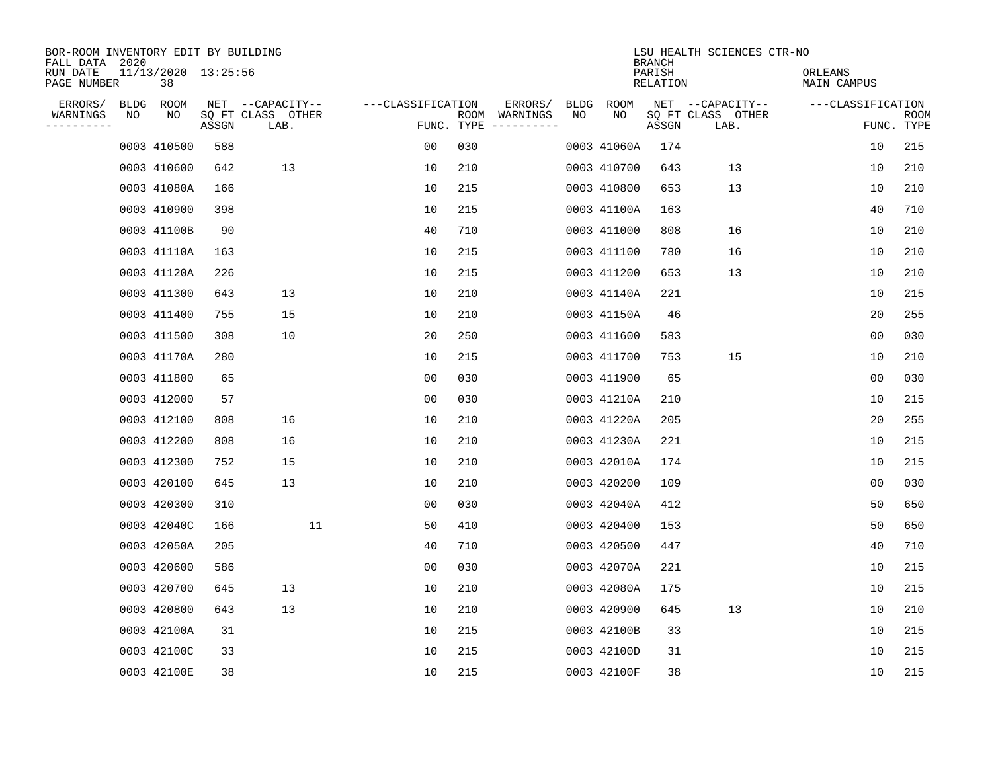| BOR-ROOM INVENTORY EDIT BY BUILDING<br>FALL DATA 2020 |                           |       |                           |                   |     |                                      |             |             | <b>BRANCH</b>             | LSU HEALTH SCIENCES CTR-NO |                               |                           |
|-------------------------------------------------------|---------------------------|-------|---------------------------|-------------------|-----|--------------------------------------|-------------|-------------|---------------------------|----------------------------|-------------------------------|---------------------------|
| RUN DATE<br>PAGE NUMBER                               | 11/13/2020 13:25:56<br>38 |       |                           |                   |     |                                      |             |             | PARISH<br><b>RELATION</b> |                            | ORLEANS<br><b>MAIN CAMPUS</b> |                           |
| ERRORS/                                               | BLDG ROOM                 |       | NET --CAPACITY--          | ---CLASSIFICATION |     | ERRORS/                              | <b>BLDG</b> | <b>ROOM</b> |                           | NET --CAPACITY--           | ---CLASSIFICATION             |                           |
| WARNINGS<br>NO<br>----------                          | NO                        | ASSGN | SQ FT CLASS OTHER<br>LAB. |                   |     | ROOM WARNINGS<br>FUNC. TYPE $------$ | NO          | NO          | ASSGN                     | SQ FT CLASS OTHER<br>LAB.  |                               | <b>ROOM</b><br>FUNC. TYPE |
|                                                       | 0003 410500               | 588   |                           | 00                | 030 |                                      |             | 0003 41060A | 174                       |                            | 10                            | 215                       |
|                                                       | 0003 410600               | 642   | 13                        | 10                | 210 |                                      |             | 0003 410700 | 643                       | 13                         | 10                            | 210                       |
|                                                       | 0003 41080A               | 166   |                           | 10                | 215 |                                      |             | 0003 410800 | 653                       | 13                         | 10                            | 210                       |
|                                                       | 0003 410900               | 398   |                           | 10                | 215 |                                      |             | 0003 41100A | 163                       |                            | 40                            | 710                       |
|                                                       | 0003 41100B               | 90    |                           | 40                | 710 |                                      |             | 0003 411000 | 808                       | 16                         | 10                            | 210                       |
|                                                       | 0003 41110A               | 163   |                           | 10                | 215 |                                      |             | 0003 411100 | 780                       | 16                         | 10                            | 210                       |
|                                                       | 0003 41120A               | 226   |                           | 10                | 215 |                                      |             | 0003 411200 | 653                       | 13                         | 10                            | 210                       |
|                                                       | 0003 411300               | 643   | 13                        | 10                | 210 |                                      |             | 0003 41140A | 221                       |                            | 10                            | 215                       |
|                                                       | 0003 411400               | 755   | 15                        | 10                | 210 |                                      |             | 0003 41150A | 46                        |                            | 20                            | 255                       |
|                                                       | 0003 411500               | 308   | 10                        | 20                | 250 |                                      |             | 0003 411600 | 583                       |                            | 0 <sub>0</sub>                | 030                       |
|                                                       | 0003 41170A               | 280   |                           | 10                | 215 |                                      |             | 0003 411700 | 753                       | 15                         | 10                            | 210                       |
|                                                       | 0003 411800               | 65    |                           | 0 <sub>0</sub>    | 030 |                                      |             | 0003 411900 | 65                        |                            | 0 <sub>0</sub>                | 030                       |
|                                                       | 0003 412000               | 57    |                           | 0 <sub>0</sub>    | 030 |                                      |             | 0003 41210A | 210                       |                            | 10                            | 215                       |
|                                                       | 0003 412100               | 808   | 16                        | 10                | 210 |                                      |             | 0003 41220A | 205                       |                            | 20                            | 255                       |
|                                                       | 0003 412200               | 808   | 16                        | 10                | 210 |                                      |             | 0003 41230A | 221                       |                            | 10                            | 215                       |
|                                                       | 0003 412300               | 752   | 15                        | 10                | 210 |                                      |             | 0003 42010A | 174                       |                            | 10                            | 215                       |
|                                                       | 0003 420100               | 645   | 13                        | 10                | 210 |                                      |             | 0003 420200 | 109                       |                            | 0 <sub>0</sub>                | 030                       |
|                                                       | 0003 420300               | 310   |                           | 0 <sub>0</sub>    | 030 |                                      |             | 0003 42040A | 412                       |                            | 50                            | 650                       |
|                                                       | 0003 42040C               | 166   | 11                        | 50                | 410 |                                      |             | 0003 420400 | 153                       |                            | 50                            | 650                       |
|                                                       | 0003 42050A               | 205   |                           | 40                | 710 |                                      |             | 0003 420500 | 447                       |                            | 40                            | 710                       |
|                                                       | 0003 420600               | 586   |                           | 0 <sub>0</sub>    | 030 |                                      |             | 0003 42070A | 221                       |                            | 10                            | 215                       |
|                                                       | 0003 420700               | 645   | 13                        | 10                | 210 |                                      |             | 0003 42080A | 175                       |                            | 10                            | 215                       |
|                                                       | 0003 420800               | 643   | 13                        | 10                | 210 |                                      |             | 0003 420900 | 645                       | 13                         | 10                            | 210                       |
|                                                       | 0003 42100A               | 31    |                           | 10                | 215 |                                      |             | 0003 42100B | 33                        |                            | 10                            | 215                       |
|                                                       | 0003 42100C               | 33    |                           | 10                | 215 |                                      |             | 0003 42100D | 31                        |                            | 10                            | 215                       |
|                                                       | 0003 42100E               | 38    |                           | 10                | 215 |                                      |             | 0003 42100F | 38                        |                            | 10                            | 215                       |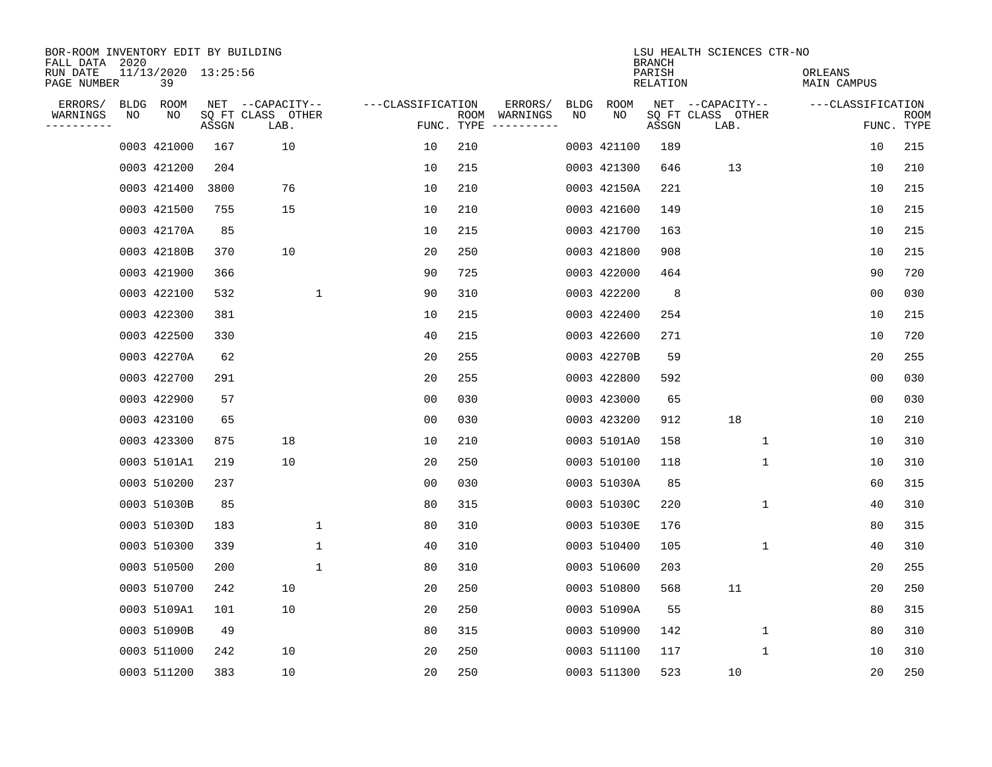| BOR-ROOM INVENTORY EDIT BY BUILDING<br>FALL DATA 2020 |      |                           |       |                           |                   |                    |          |             |             | <b>BRANCH</b>             | LSU HEALTH SCIENCES CTR-NO |                        |                           |
|-------------------------------------------------------|------|---------------------------|-------|---------------------------|-------------------|--------------------|----------|-------------|-------------|---------------------------|----------------------------|------------------------|---------------------------|
| RUN DATE<br>PAGE NUMBER                               |      | 11/13/2020 13:25:56<br>39 |       |                           |                   |                    |          |             |             | PARISH<br><b>RELATION</b> |                            | ORLEANS<br>MAIN CAMPUS |                           |
| ERRORS/                                               | BLDG | ROOM                      |       | NET --CAPACITY--          | ---CLASSIFICATION |                    | ERRORS/  | <b>BLDG</b> | <b>ROOM</b> |                           | NET --CAPACITY--           | ---CLASSIFICATION      |                           |
| WARNINGS<br>----------                                | ΝO   | NO                        | ASSGN | SQ FT CLASS OTHER<br>LAB. |                   | ROOM<br>FUNC. TYPE | WARNINGS | NO          | NO          | ASSGN                     | SQ FT CLASS OTHER<br>LAB.  |                        | <b>ROOM</b><br>FUNC. TYPE |
|                                                       |      | 0003 421000               | 167   | 10                        | 10                | 210                |          |             | 0003 421100 | 189                       |                            | 10                     | 215                       |
|                                                       |      | 0003 421200               | 204   |                           | 10                | 215                |          |             | 0003 421300 | 646                       | 13                         | 10                     | 210                       |
|                                                       |      | 0003 421400               | 3800  | 76                        | 10                | 210                |          |             | 0003 42150A | 221                       |                            | 10                     | 215                       |
|                                                       |      | 0003 421500               | 755   | 15                        | 10                | 210                |          |             | 0003 421600 | 149                       |                            | 10                     | 215                       |
|                                                       |      | 0003 42170A               | 85    |                           | 10                | 215                |          |             | 0003 421700 | 163                       |                            | 10                     | 215                       |
|                                                       |      | 0003 42180B               | 370   | 10                        | 20                | 250                |          |             | 0003 421800 | 908                       |                            | 10                     | 215                       |
|                                                       |      | 0003 421900               | 366   |                           | 90                | 725                |          |             | 0003 422000 | 464                       |                            | 90                     | 720                       |
|                                                       |      | 0003 422100               | 532   | 1                         | 90                | 310                |          |             | 0003 422200 | 8                         |                            | 0 <sub>0</sub>         | 030                       |
|                                                       |      | 0003 422300               | 381   |                           | 10                | 215                |          |             | 0003 422400 | 254                       |                            | 10                     | 215                       |
|                                                       |      | 0003 422500               | 330   |                           | 40                | 215                |          |             | 0003 422600 | 271                       |                            | 10                     | 720                       |
|                                                       |      | 0003 42270A               | 62    |                           | 20                | 255                |          |             | 0003 42270B | 59                        |                            | 20                     | 255                       |
|                                                       |      | 0003 422700               | 291   |                           | 20                | 255                |          |             | 0003 422800 | 592                       |                            | 0 <sub>0</sub>         | 030                       |
|                                                       |      | 0003 422900               | 57    |                           | 0 <sub>0</sub>    | 030                |          |             | 0003 423000 | 65                        |                            | 0 <sub>0</sub>         | 030                       |
|                                                       |      | 0003 423100               | 65    |                           | 00                | 030                |          |             | 0003 423200 | 912                       | 18                         | 10                     | 210                       |
|                                                       |      | 0003 423300               | 875   | 18                        | 10                | 210                |          |             | 0003 5101A0 | 158                       | 1                          | 10                     | 310                       |
|                                                       |      | 0003 5101A1               | 219   | 10                        | 20                | 250                |          |             | 0003 510100 | 118                       | 1                          | 10                     | 310                       |
|                                                       |      | 0003 510200               | 237   |                           | 0 <sub>0</sub>    | 030                |          |             | 0003 51030A | 85                        |                            | 60                     | 315                       |
|                                                       |      | 0003 51030B               | 85    |                           | 80                | 315                |          |             | 0003 51030C | 220                       | 1                          | 40                     | 310                       |
|                                                       |      | 0003 51030D               | 183   | $\mathbf 1$               | 80                | 310                |          |             | 0003 51030E | 176                       |                            | 80                     | 315                       |
|                                                       |      | 0003 510300               | 339   | $\mathbf{1}$              | 40                | 310                |          |             | 0003 510400 | 105                       | 1                          | 40                     | 310                       |
|                                                       |      | 0003 510500               | 200   | 1                         | 80                | 310                |          |             | 0003 510600 | 203                       |                            | 20                     | 255                       |
|                                                       |      | 0003 510700               | 242   | 10                        | 20                | 250                |          |             | 0003 510800 | 568                       | 11                         | 20                     | 250                       |
|                                                       |      | 0003 5109A1               | 101   | 10                        | 20                | 250                |          |             | 0003 51090A | 55                        |                            | 80                     | 315                       |
|                                                       |      | 0003 51090B               | 49    |                           | 80                | 315                |          |             | 0003 510900 | 142                       | 1                          | 80                     | 310                       |
|                                                       |      | 0003 511000               | 242   | 10                        | 20                | 250                |          |             | 0003 511100 | 117                       | 1                          | 10                     | 310                       |
|                                                       |      | 0003 511200               | 383   | 10                        | 20                | 250                |          |             | 0003 511300 | 523                       | 10                         | 20                     | 250                       |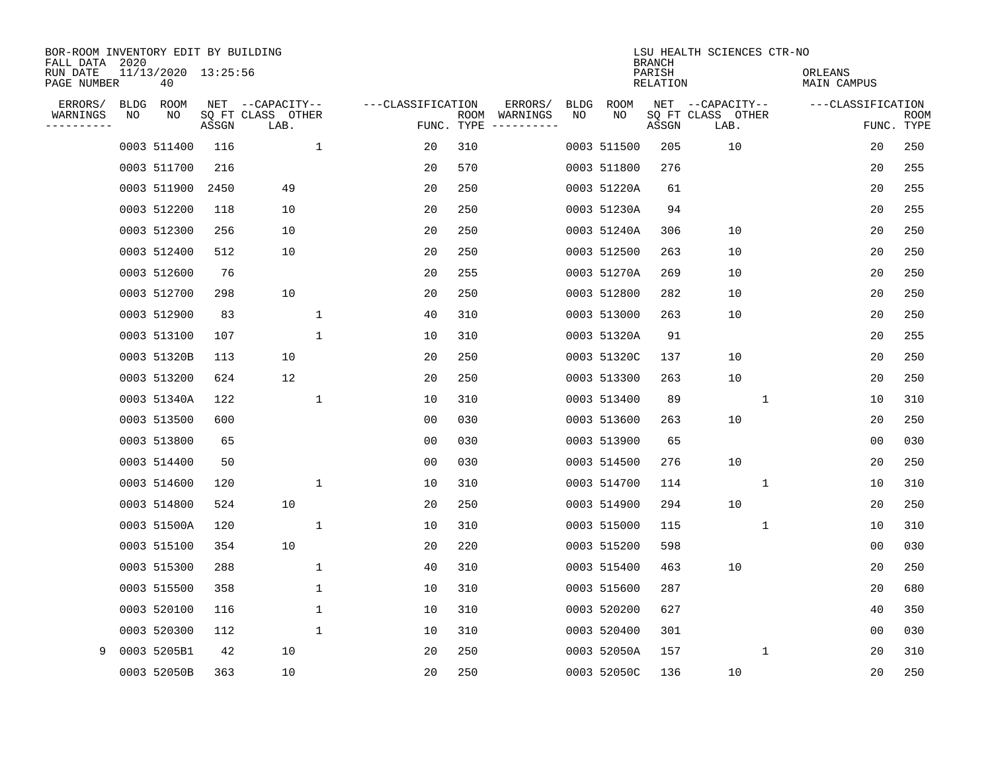| BOR-ROOM INVENTORY EDIT BY BUILDING<br>FALL DATA 2020 |             |                           |       |                           |              |                   |      |          |             |             | <b>BRANCH</b>      | LSU HEALTH SCIENCES CTR-NO |                        |                |                           |
|-------------------------------------------------------|-------------|---------------------------|-------|---------------------------|--------------|-------------------|------|----------|-------------|-------------|--------------------|----------------------------|------------------------|----------------|---------------------------|
| RUN DATE<br>PAGE NUMBER                               |             | 11/13/2020 13:25:56<br>40 |       |                           |              |                   |      |          |             |             | PARISH<br>RELATION |                            | ORLEANS<br>MAIN CAMPUS |                |                           |
| ERRORS/                                               | <b>BLDG</b> | ROOM                      |       | NET --CAPACITY--          |              | ---CLASSIFICATION |      | ERRORS/  | <b>BLDG</b> | ROOM        |                    | NET --CAPACITY--           | ---CLASSIFICATION      |                |                           |
| WARNINGS<br>---------                                 | NO          | NO                        | ASSGN | SQ FT CLASS OTHER<br>LAB. |              | FUNC. TYPE        | ROOM | WARNINGS | NO          | NO          | ASSGN              | SQ FT CLASS OTHER<br>LAB.  |                        |                | <b>ROOM</b><br>FUNC. TYPE |
|                                                       |             | 0003 511400               | 116   |                           | $\mathbf{1}$ | 20                | 310  |          |             | 0003 511500 | 205                | 10                         |                        | 20             | 250                       |
|                                                       |             | 0003 511700               | 216   |                           |              | 20                | 570  |          |             | 0003 511800 | 276                |                            |                        | 20             | 255                       |
|                                                       |             | 0003 511900               | 2450  | 49                        |              | 20                | 250  |          |             | 0003 51220A | 61                 |                            |                        | 20             | 255                       |
|                                                       |             | 0003 512200               | 118   | 10                        |              | 20                | 250  |          |             | 0003 51230A | 94                 |                            |                        | 20             | 255                       |
|                                                       |             | 0003 512300               | 256   | 10                        |              | 20                | 250  |          |             | 0003 51240A | 306                | 10                         |                        | 20             | 250                       |
|                                                       |             | 0003 512400               | 512   | 10                        |              | 20                | 250  |          |             | 0003 512500 | 263                | 10                         |                        | 20             | 250                       |
|                                                       |             | 0003 512600               | 76    |                           |              | 20                | 255  |          |             | 0003 51270A | 269                | 10                         |                        | 20             | 250                       |
|                                                       |             | 0003 512700               | 298   | 10                        |              | 20                | 250  |          |             | 0003 512800 | 282                | 10                         |                        | 20             | 250                       |
|                                                       |             | 0003 512900               | 83    |                           | $\mathbf{1}$ | 40                | 310  |          |             | 0003 513000 | 263                | 10                         |                        | 20             | 250                       |
|                                                       |             | 0003 513100               | 107   |                           | 1            | 10                | 310  |          |             | 0003 51320A | 91                 |                            |                        | 20             | 255                       |
|                                                       |             | 0003 51320B               | 113   | 10                        |              | 20                | 250  |          |             | 0003 51320C | 137                | 10                         |                        | 20             | 250                       |
|                                                       |             | 0003 513200               | 624   | 12                        |              | 20                | 250  |          |             | 0003 513300 | 263                | 10                         |                        | 20             | 250                       |
|                                                       |             | 0003 51340A               | 122   |                           | $\mathbf{1}$ | 10                | 310  |          |             | 0003 513400 | 89                 | $\mathbf{1}$               |                        | 10             | 310                       |
|                                                       |             | 0003 513500               | 600   |                           |              | 0 <sub>0</sub>    | 030  |          |             | 0003 513600 | 263                | 10                         |                        | 20             | 250                       |
|                                                       |             | 0003 513800               | 65    |                           |              | 0 <sub>0</sub>    | 030  |          |             | 0003 513900 | 65                 |                            |                        | 0 <sub>0</sub> | 030                       |
|                                                       |             | 0003 514400               | 50    |                           |              | 00                | 030  |          |             | 0003 514500 | 276                | 10                         |                        | 20             | 250                       |
|                                                       |             | 0003 514600               | 120   |                           | 1            | 10                | 310  |          |             | 0003 514700 | 114                | 1                          |                        | 10             | 310                       |
|                                                       |             | 0003 514800               | 524   | 10                        |              | 20                | 250  |          |             | 0003 514900 | 294                | 10                         |                        | 20             | 250                       |
|                                                       |             | 0003 51500A               | 120   |                           | 1            | 10                | 310  |          |             | 0003 515000 | 115                | 1                          |                        | 10             | 310                       |
|                                                       |             | 0003 515100               | 354   | 10                        |              | 20                | 220  |          |             | 0003 515200 | 598                |                            |                        | 0 <sub>0</sub> | 030                       |
|                                                       |             | 0003 515300               | 288   |                           | $\mathbf 1$  | 40                | 310  |          |             | 0003 515400 | 463                | 10                         |                        | 20             | 250                       |
|                                                       |             | 0003 515500               | 358   |                           | $\mathbf 1$  | 10                | 310  |          |             | 0003 515600 | 287                |                            |                        | 20             | 680                       |
|                                                       |             | 0003 520100               | 116   |                           | $\mathbf{1}$ | 10                | 310  |          |             | 0003 520200 | 627                |                            |                        | 40             | 350                       |
|                                                       |             | 0003 520300               | 112   |                           | $\mathbf 1$  | 10                | 310  |          |             | 0003 520400 | 301                |                            |                        | 0 <sub>0</sub> | 030                       |
| 9                                                     |             | 0003 5205B1               | 42    | 10                        |              | 20                | 250  |          |             | 0003 52050A | 157                | 1                          |                        | 20             | 310                       |
|                                                       |             | 0003 52050B               | 363   | 10                        |              | 20                | 250  |          |             | 0003 52050C | 136                | 10                         |                        | 20             | 250                       |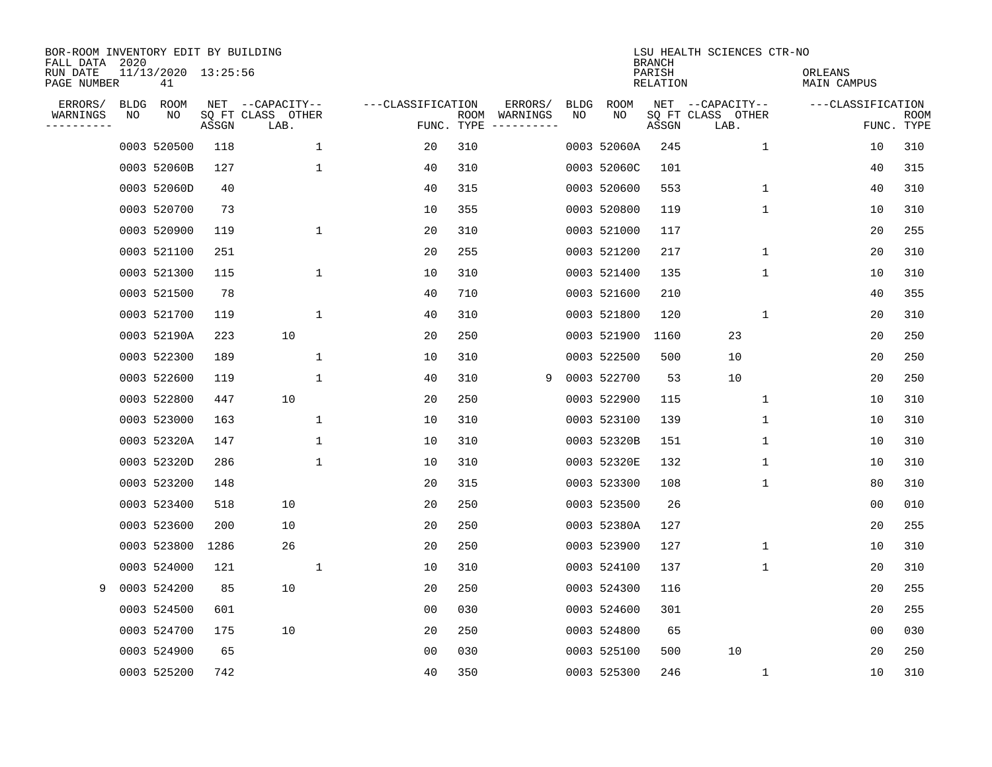| BOR-ROOM INVENTORY EDIT BY BUILDING<br>FALL DATA 2020 |             |                           |       |                           |                   |                    |                         |             |             | <b>BRANCH</b>      | LSU HEALTH SCIENCES CTR-NO |                        |                           |
|-------------------------------------------------------|-------------|---------------------------|-------|---------------------------|-------------------|--------------------|-------------------------|-------------|-------------|--------------------|----------------------------|------------------------|---------------------------|
| RUN DATE<br>PAGE NUMBER                               |             | 11/13/2020 13:25:56<br>41 |       |                           |                   |                    |                         |             |             | PARISH<br>RELATION |                            | ORLEANS<br>MAIN CAMPUS |                           |
| ERRORS/                                               | <b>BLDG</b> | ROOM                      |       | NET --CAPACITY--          | ---CLASSIFICATION |                    | ERRORS/                 | <b>BLDG</b> | ROOM        |                    | NET --CAPACITY--           | ---CLASSIFICATION      |                           |
| WARNINGS<br>---------                                 | NO          | NO                        | ASSGN | SQ FT CLASS OTHER<br>LAB. |                   | ROOM<br>FUNC. TYPE | WARNINGS<br>----------- | NO          | NO          | ASSGN              | SQ FT CLASS OTHER<br>LAB.  |                        | <b>ROOM</b><br>FUNC. TYPE |
|                                                       |             | 0003 520500               | 118   | $\mathbf{1}$              | 20                | 310                |                         |             | 0003 52060A | 245                | $\mathbf{1}$               | 10                     | 310                       |
|                                                       |             | 0003 52060B               | 127   | 1                         | 40                | 310                |                         |             | 0003 52060C | 101                |                            | 40                     | 315                       |
|                                                       |             | 0003 52060D               | 40    |                           | 40                | 315                |                         |             | 0003 520600 | 553                | 1                          | 40                     | 310                       |
|                                                       |             | 0003 520700               | 73    |                           | 10                | 355                |                         |             | 0003 520800 | 119                | 1                          | 10                     | 310                       |
|                                                       |             | 0003 520900               | 119   | 1                         | 20                | 310                |                         |             | 0003 521000 | 117                |                            | 20                     | 255                       |
|                                                       |             | 0003 521100               | 251   |                           | 20                | 255                |                         |             | 0003 521200 | 217                | 1                          | 20                     | 310                       |
|                                                       |             | 0003 521300               | 115   | $\mathbf 1$               | 10                | 310                |                         |             | 0003 521400 | 135                | $\mathbf 1$                | 10                     | 310                       |
|                                                       |             | 0003 521500               | 78    |                           | 40                | 710                |                         |             | 0003 521600 | 210                |                            | 40                     | 355                       |
|                                                       |             | 0003 521700               | 119   | 1                         | 40                | 310                |                         |             | 0003 521800 | 120                | 1                          | 20                     | 310                       |
|                                                       |             | 0003 52190A               | 223   | 10                        | 20                | 250                |                         |             | 0003 521900 | 1160               | 23                         | 20                     | 250                       |
|                                                       |             | 0003 522300               | 189   | 1                         | 10                | 310                |                         |             | 0003 522500 | 500                | 10                         | 20                     | 250                       |
|                                                       |             | 0003 522600               | 119   | $\mathbf 1$               | 40                | 310                | 9                       |             | 0003 522700 | 53                 | 10                         | 20                     | 250                       |
|                                                       |             | 0003 522800               | 447   | 10                        | 20                | 250                |                         |             | 0003 522900 | 115                | 1                          | 10                     | 310                       |
|                                                       |             | 0003 523000               | 163   | 1                         | 10                | 310                |                         |             | 0003 523100 | 139                | 1                          | 10                     | 310                       |
|                                                       |             | 0003 52320A               | 147   | 1                         | 10                | 310                |                         |             | 0003 52320B | 151                | 1                          | 10                     | 310                       |
|                                                       |             | 0003 52320D               | 286   | 1                         | 10                | 310                |                         |             | 0003 52320E | 132                | 1                          | 10                     | 310                       |
|                                                       |             | 0003 523200               | 148   |                           | 20                | 315                |                         |             | 0003 523300 | 108                | 1                          | 80                     | 310                       |
|                                                       |             | 0003 523400               | 518   | 10                        | 20                | 250                |                         |             | 0003 523500 | 26                 |                            | 0 <sub>0</sub>         | 010                       |
|                                                       |             | 0003 523600               | 200   | 10                        | 20                | 250                |                         |             | 0003 52380A | 127                |                            | 20                     | 255                       |
|                                                       |             | 0003 523800               | 1286  | 26                        | 20                | 250                |                         |             | 0003 523900 | 127                | 1                          | 10                     | 310                       |
|                                                       |             | 0003 524000               | 121   | 1                         | 10                | 310                |                         |             | 0003 524100 | 137                | 1                          | 20                     | 310                       |
| 9                                                     |             | 0003 524200               | 85    | 10                        | 20                | 250                |                         |             | 0003 524300 | 116                |                            | 20                     | 255                       |
|                                                       |             | 0003 524500               | 601   |                           | 00                | 030                |                         |             | 0003 524600 | 301                |                            | 20                     | 255                       |
|                                                       |             | 0003 524700               | 175   | 10                        | 20                | 250                |                         |             | 0003 524800 | 65                 |                            | 00                     | 030                       |
|                                                       |             | 0003 524900               | 65    |                           | 0 <sub>0</sub>    | 030                |                         |             | 0003 525100 | 500                | 10                         | 20                     | 250                       |
|                                                       |             | 0003 525200               | 742   |                           | 40                | 350                |                         |             | 0003 525300 | 246                | 1                          | 10                     | 310                       |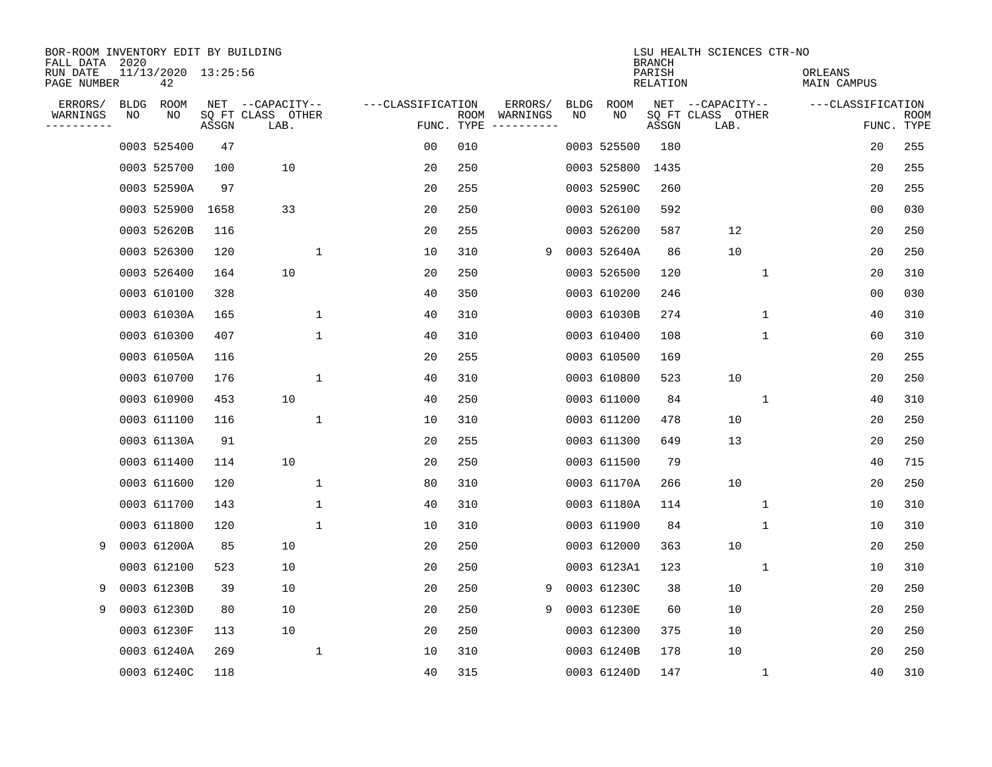| BOR-ROOM INVENTORY EDIT BY BUILDING<br>FALL DATA 2020 |             |                           |       |                           |              |                   |                    |                         |             |             | <b>BRANCH</b>             | LSU HEALTH SCIENCES CTR-NO |                        |                   |                           |
|-------------------------------------------------------|-------------|---------------------------|-------|---------------------------|--------------|-------------------|--------------------|-------------------------|-------------|-------------|---------------------------|----------------------------|------------------------|-------------------|---------------------------|
| RUN DATE<br>PAGE NUMBER                               |             | 11/13/2020 13:25:56<br>42 |       |                           |              |                   |                    |                         |             |             | PARISH<br><b>RELATION</b> |                            | ORLEANS<br>MAIN CAMPUS |                   |                           |
| ERRORS/                                               | <b>BLDG</b> | ROOM                      |       | NET --CAPACITY--          |              | ---CLASSIFICATION |                    | ERRORS/                 | <b>BLDG</b> | <b>ROOM</b> |                           | NET --CAPACITY--           |                        | ---CLASSIFICATION |                           |
| WARNINGS<br>. <u>.</u> .                              | NO          | NO                        | ASSGN | SQ FT CLASS OTHER<br>LAB. |              |                   | ROOM<br>FUNC. TYPE | WARNINGS<br>----------- | NO          | NO          | ASSGN                     | SQ FT CLASS OTHER<br>LAB.  |                        |                   | <b>ROOM</b><br>FUNC. TYPE |
|                                                       |             | 0003 525400               | 47    |                           |              | 0 <sub>0</sub>    | 010                |                         |             | 0003 525500 | 180                       |                            |                        | 20                | 255                       |
|                                                       |             | 0003 525700               | 100   | 10                        |              | 20                | 250                |                         |             | 0003 525800 | 1435                      |                            |                        | 20                | 255                       |
|                                                       |             | 0003 52590A               | 97    |                           |              | 20                | 255                |                         |             | 0003 52590C | 260                       |                            |                        | 20                | 255                       |
|                                                       |             | 0003 525900               | 1658  | 33                        |              | 20                | 250                |                         |             | 0003 526100 | 592                       |                            |                        | 0 <sub>0</sub>    | 030                       |
|                                                       |             | 0003 52620B               | 116   |                           |              | 20                | 255                |                         |             | 0003 526200 | 587                       | 12                         |                        | 20                | 250                       |
|                                                       |             | 0003 526300               | 120   |                           | 1            | 10                | 310                | 9                       |             | 0003 52640A | 86                        | 10                         |                        | 20                | 250                       |
|                                                       |             | 0003 526400               | 164   | 10                        |              | 20                | 250                |                         |             | 0003 526500 | 120                       | $\mathbf 1$                |                        | 20                | 310                       |
|                                                       |             | 0003 610100               | 328   |                           |              | 40                | 350                |                         |             | 0003 610200 | 246                       |                            |                        | 0 <sub>0</sub>    | 030                       |
|                                                       |             | 0003 61030A               | 165   |                           | 1            | 40                | 310                |                         |             | 0003 61030B | 274                       | $\mathbf 1$                |                        | 40                | 310                       |
|                                                       |             | 0003 610300               | 407   |                           | $\mathbf 1$  | 40                | 310                |                         |             | 0003 610400 | 108                       | $\mathbf 1$                |                        | 60                | 310                       |
|                                                       |             | 0003 61050A               | 116   |                           |              | 20                | 255                |                         |             | 0003 610500 | 169                       |                            |                        | 20                | 255                       |
|                                                       |             | 0003 610700               | 176   |                           | $\mathbf{1}$ | 40                | 310                |                         |             | 0003 610800 | 523                       | 10                         |                        | 20                | 250                       |
|                                                       |             | 0003 610900               | 453   | 10                        |              | 40                | 250                |                         |             | 0003 611000 | 84                        | 1                          |                        | 40                | 310                       |
|                                                       |             | 0003 611100               | 116   |                           | $\mathbf{1}$ | 10                | 310                |                         |             | 0003 611200 | 478                       | 10                         |                        | 20                | 250                       |
|                                                       |             | 0003 61130A               | 91    |                           |              | 20                | 255                |                         |             | 0003 611300 | 649                       | 13                         |                        | 20                | 250                       |
|                                                       |             | 0003 611400               | 114   | 10                        |              | 20                | 250                |                         |             | 0003 611500 | 79                        |                            |                        | 40                | 715                       |
|                                                       |             | 0003 611600               | 120   |                           | $\mathbf 1$  | 80                | 310                |                         |             | 0003 61170A | 266                       | 10                         |                        | 20                | 250                       |
|                                                       |             | 0003 611700               | 143   |                           | $\mathbf{1}$ | 40                | 310                |                         |             | 0003 61180A | 114                       | 1                          |                        | 10                | 310                       |
|                                                       |             | 0003 611800               | 120   |                           | $\mathbf{1}$ | 10                | 310                |                         |             | 0003 611900 | 84                        | 1                          |                        | 10                | 310                       |
| 9                                                     |             | 0003 61200A               | 85    | 10                        |              | 20                | 250                |                         |             | 0003 612000 | 363                       | 10                         |                        | 20                | 250                       |
|                                                       |             | 0003 612100               | 523   | 10                        |              | 20                | 250                |                         |             | 0003 6123A1 | 123                       | 1                          |                        | 10                | 310                       |
| 9                                                     |             | 0003 61230B               | 39    | 10                        |              | 20                | 250                | 9                       |             | 0003 61230C | 38                        | 10                         |                        | 20                | 250                       |
| 9                                                     |             | 0003 61230D               | 80    | 10                        |              | 20                | 250                | 9                       |             | 0003 61230E | 60                        | 10                         |                        | 20                | 250                       |
|                                                       |             | 0003 61230F               | 113   | 10                        |              | 20                | 250                |                         |             | 0003 612300 | 375                       | 10                         |                        | 20                | 250                       |
|                                                       |             | 0003 61240A               | 269   |                           | $\mathbf 1$  | 10                | 310                |                         |             | 0003 61240B | 178                       | 10                         |                        | 20                | 250                       |
|                                                       |             | 0003 61240C               | 118   |                           |              | 40                | 315                |                         |             | 0003 61240D | 147                       | 1                          |                        | 40                | 310                       |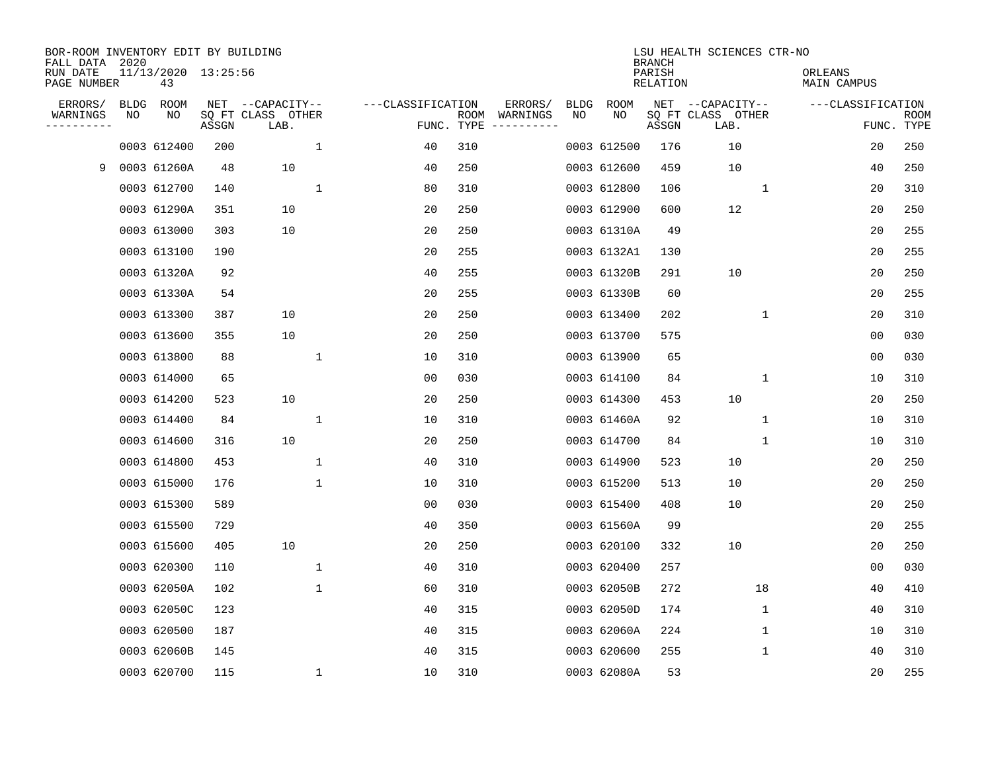| BOR-ROOM INVENTORY EDIT BY BUILDING<br>FALL DATA 2020<br>RUN DATE<br>PAGE NUMBER |            | 11/13/2020 13:25:56<br>43 |       |                                               |              |                   |            |                                                                                                                                                                                                                                                                                                                                                                                                                                                                                                                  |                   |             | <b>BRANCH</b><br>PARISH<br>RELATION | LSU HEALTH SCIENCES CTR-NO                    | ORLEANS<br>MAIN CAMPUS |                |                    |
|----------------------------------------------------------------------------------|------------|---------------------------|-------|-----------------------------------------------|--------------|-------------------|------------|------------------------------------------------------------------------------------------------------------------------------------------------------------------------------------------------------------------------------------------------------------------------------------------------------------------------------------------------------------------------------------------------------------------------------------------------------------------------------------------------------------------|-------------------|-------------|-------------------------------------|-----------------------------------------------|------------------------|----------------|--------------------|
| ERRORS/<br>WARNINGS<br>---------                                                 | BLDG<br>ΝO | ROOM<br>NO                | ASSGN | NET --CAPACITY--<br>SQ FT CLASS OTHER<br>LAB. |              | ---CLASSIFICATION | FUNC. TYPE | ERRORS/<br>ROOM WARNINGS<br>$\begin{tabular}{cccccc} \multicolumn{2}{c}{} & \multicolumn{2}{c}{} & \multicolumn{2}{c}{} & \multicolumn{2}{c}{} & \multicolumn{2}{c}{} & \multicolumn{2}{c}{} & \multicolumn{2}{c}{} & \multicolumn{2}{c}{} & \multicolumn{2}{c}{} & \multicolumn{2}{c}{} & \multicolumn{2}{c}{} & \multicolumn{2}{c}{} & \multicolumn{2}{c}{} & \multicolumn{2}{c}{} & \multicolumn{2}{c}{} & \multicolumn{2}{c}{} & \multicolumn{2}{c}{} & \multicolumn{2}{c}{} & \multicolumn{2}{c}{} & \mult$ | <b>BLDG</b><br>NO | ROOM<br>NO  | ASSGN                               | NET --CAPACITY--<br>SQ FT CLASS OTHER<br>LAB. | ---CLASSIFICATION      |                | ROOM<br>FUNC. TYPE |
|                                                                                  |            | 0003 612400               | 200   |                                               | $\mathbf{1}$ | 40                | 310        |                                                                                                                                                                                                                                                                                                                                                                                                                                                                                                                  |                   | 0003 612500 | 176                                 | 10                                            |                        | 20             | 250                |
| 9                                                                                |            | 0003 61260A               | 48    | 10                                            |              | 40                | 250        |                                                                                                                                                                                                                                                                                                                                                                                                                                                                                                                  |                   | 0003 612600 | 459                                 | 10                                            |                        | 40             | 250                |
|                                                                                  |            | 0003 612700               | 140   |                                               | $\mathbf 1$  | 80                | 310        |                                                                                                                                                                                                                                                                                                                                                                                                                                                                                                                  |                   | 0003 612800 | 106                                 | $\mathbf{1}$                                  |                        | 20             | 310                |
|                                                                                  |            | 0003 61290A               | 351   | 10                                            |              | 20                | 250        |                                                                                                                                                                                                                                                                                                                                                                                                                                                                                                                  |                   | 0003 612900 | 600                                 | 12                                            |                        | 20             | 250                |
|                                                                                  |            | 0003 613000               | 303   | 10                                            |              | 20                | 250        |                                                                                                                                                                                                                                                                                                                                                                                                                                                                                                                  |                   | 0003 61310A | 49                                  |                                               |                        | 20             | 255                |
|                                                                                  |            | 0003 613100               | 190   |                                               |              | 20                | 255        |                                                                                                                                                                                                                                                                                                                                                                                                                                                                                                                  |                   | 0003 6132A1 | 130                                 |                                               |                        | 20             | 255                |
|                                                                                  |            | 0003 61320A               | 92    |                                               |              | 40                | 255        |                                                                                                                                                                                                                                                                                                                                                                                                                                                                                                                  |                   | 0003 61320B | 291                                 | 10                                            |                        | 20             | 250                |
|                                                                                  |            | 0003 61330A               | 54    |                                               |              | 20                | 255        |                                                                                                                                                                                                                                                                                                                                                                                                                                                                                                                  |                   | 0003 61330B | 60                                  |                                               |                        | 20             | 255                |
|                                                                                  |            | 0003 613300               | 387   | 10                                            |              | 20                | 250        |                                                                                                                                                                                                                                                                                                                                                                                                                                                                                                                  |                   | 0003 613400 | 202                                 | $\mathbf 1$                                   |                        | 20             | 310                |
|                                                                                  |            | 0003 613600               | 355   | 10                                            |              | 20                | 250        |                                                                                                                                                                                                                                                                                                                                                                                                                                                                                                                  |                   | 0003 613700 | 575                                 |                                               |                        | 00             | 030                |
|                                                                                  |            | 0003 613800               | 88    |                                               | 1            | 10                | 310        |                                                                                                                                                                                                                                                                                                                                                                                                                                                                                                                  |                   | 0003 613900 | 65                                  |                                               |                        | 00             | 030                |
|                                                                                  |            | 0003 614000               | 65    |                                               |              | 00                | 030        |                                                                                                                                                                                                                                                                                                                                                                                                                                                                                                                  |                   | 0003 614100 | 84                                  | 1                                             |                        | 10             | 310                |
|                                                                                  |            | 0003 614200               | 523   | 10                                            |              | 20                | 250        |                                                                                                                                                                                                                                                                                                                                                                                                                                                                                                                  |                   | 0003 614300 | 453                                 | 10                                            |                        | 20             | 250                |
|                                                                                  |            | 0003 614400               | 84    |                                               | 1            | 10                | 310        |                                                                                                                                                                                                                                                                                                                                                                                                                                                                                                                  |                   | 0003 61460A | 92                                  | 1                                             |                        | 10             | 310                |
|                                                                                  |            | 0003 614600               | 316   | 10                                            |              | 20                | 250        |                                                                                                                                                                                                                                                                                                                                                                                                                                                                                                                  |                   | 0003 614700 | 84                                  | 1                                             |                        | 10             | 310                |
|                                                                                  |            | 0003 614800               | 453   |                                               | $\mathbf{1}$ | 40                | 310        |                                                                                                                                                                                                                                                                                                                                                                                                                                                                                                                  |                   | 0003 614900 | 523                                 | 10                                            |                        | 20             | 250                |
|                                                                                  |            | 0003 615000               | 176   |                                               | $\mathbf{1}$ | 10                | 310        |                                                                                                                                                                                                                                                                                                                                                                                                                                                                                                                  |                   | 0003 615200 | 513                                 | 10                                            |                        | 20             | 250                |
|                                                                                  |            | 0003 615300               | 589   |                                               |              | 00                | 030        |                                                                                                                                                                                                                                                                                                                                                                                                                                                                                                                  |                   | 0003 615400 | 408                                 | 10                                            |                        | 20             | 250                |
|                                                                                  |            | 0003 615500               | 729   |                                               |              | 40                | 350        |                                                                                                                                                                                                                                                                                                                                                                                                                                                                                                                  |                   | 0003 61560A | 99                                  |                                               |                        | 20             | 255                |
|                                                                                  |            | 0003 615600               | 405   | 10                                            |              | 20                | 250        |                                                                                                                                                                                                                                                                                                                                                                                                                                                                                                                  |                   | 0003 620100 | 332                                 | 10                                            |                        | 20             | 250                |
|                                                                                  |            | 0003 620300               | 110   |                                               | $\mathbf 1$  | 40                | 310        |                                                                                                                                                                                                                                                                                                                                                                                                                                                                                                                  |                   | 0003 620400 | 257                                 |                                               |                        | 0 <sub>0</sub> | 030                |
|                                                                                  |            | 0003 62050A               | 102   |                                               | 1            | 60                | 310        |                                                                                                                                                                                                                                                                                                                                                                                                                                                                                                                  |                   | 0003 62050B | 272                                 | 18                                            |                        | 40             | 410                |
|                                                                                  |            | 0003 62050C               | 123   |                                               |              | 40                | 315        |                                                                                                                                                                                                                                                                                                                                                                                                                                                                                                                  |                   | 0003 62050D | 174                                 | $\mathbf{1}$                                  |                        | 40             | 310                |
|                                                                                  |            | 0003 620500               | 187   |                                               |              | 40                | 315        |                                                                                                                                                                                                                                                                                                                                                                                                                                                                                                                  |                   | 0003 62060A | 224                                 | $\mathbf{1}$                                  |                        | 10             | 310                |
|                                                                                  |            | 0003 62060B               | 145   |                                               |              | 40                | 315        |                                                                                                                                                                                                                                                                                                                                                                                                                                                                                                                  |                   | 0003 620600 | 255                                 | 1                                             |                        | 40             | 310                |
|                                                                                  |            | 0003 620700               | 115   |                                               | $\mathbf{1}$ | 10                | 310        |                                                                                                                                                                                                                                                                                                                                                                                                                                                                                                                  |                   | 0003 62080A | 53                                  |                                               |                        | 20             | 255                |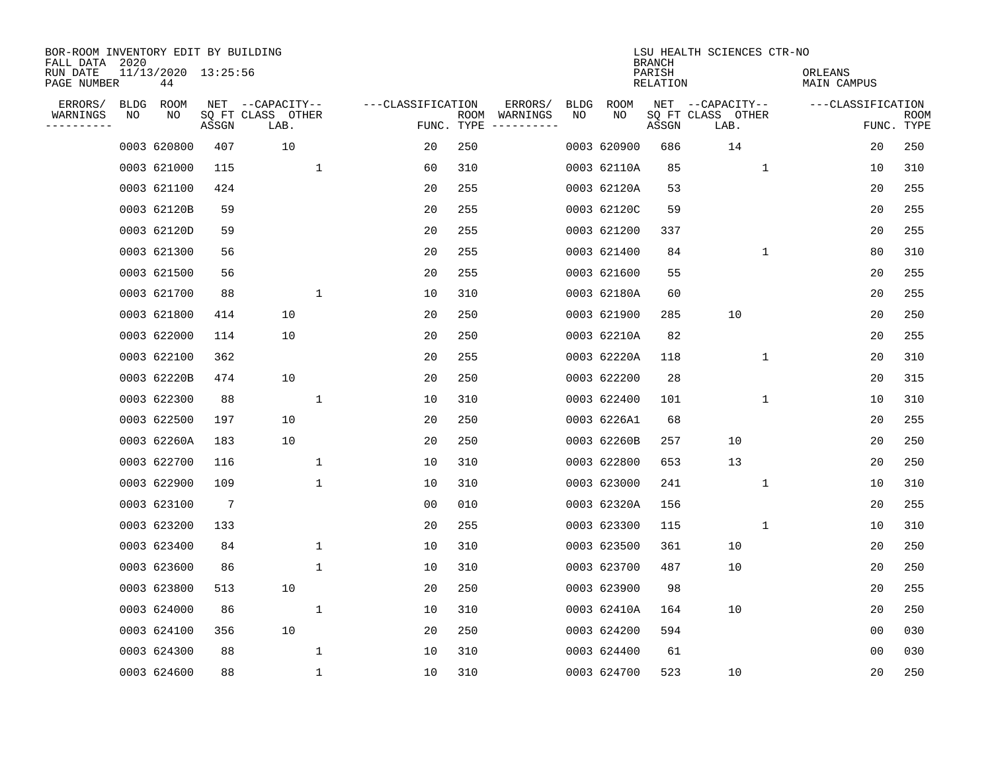| BOR-ROOM INVENTORY EDIT BY BUILDING<br>FALL DATA 2020 |      |                           |                 |                           |              |                   |                    |                        |             |             | <b>BRANCH</b>      | LSU HEALTH SCIENCES CTR-NO |                        |                |                           |
|-------------------------------------------------------|------|---------------------------|-----------------|---------------------------|--------------|-------------------|--------------------|------------------------|-------------|-------------|--------------------|----------------------------|------------------------|----------------|---------------------------|
| RUN DATE<br>PAGE NUMBER                               |      | 11/13/2020 13:25:56<br>44 |                 |                           |              |                   |                    |                        |             |             | PARISH<br>RELATION |                            | ORLEANS<br>MAIN CAMPUS |                |                           |
| ERRORS/                                               | BLDG | ROOM                      |                 | NET --CAPACITY--          |              | ---CLASSIFICATION |                    | ERRORS/                | <b>BLDG</b> | <b>ROOM</b> |                    | NET --CAPACITY--           | ---CLASSIFICATION      |                |                           |
| WARNINGS<br>. <u>.</u> .                              | ΝO   | ΝO                        | ASSGN           | SQ FT CLASS OTHER<br>LAB. |              |                   | ROOM<br>FUNC. TYPE | WARNINGS<br>---------- | NO          | NO          | ASSGN              | SQ FT CLASS OTHER<br>LAB.  |                        |                | <b>ROOM</b><br>FUNC. TYPE |
|                                                       |      | 0003 620800               | 407             | 10                        |              | 20                | 250                |                        |             | 0003 620900 | 686                | 14                         |                        | 20             | 250                       |
|                                                       |      | 0003 621000               | 115             |                           | 1            | 60                | 310                |                        |             | 0003 62110A | 85                 | 1                          |                        | 10             | 310                       |
|                                                       |      | 0003 621100               | 424             |                           |              | 20                | 255                |                        |             | 0003 62120A | 53                 |                            |                        | 20             | 255                       |
|                                                       |      | 0003 62120B               | 59              |                           |              | 20                | 255                |                        |             | 0003 62120C | 59                 |                            |                        | 20             | 255                       |
|                                                       |      | 0003 62120D               | 59              |                           |              | 20                | 255                |                        |             | 0003 621200 | 337                |                            |                        | 20             | 255                       |
|                                                       |      | 0003 621300               | 56              |                           |              | 20                | 255                |                        |             | 0003 621400 | 84                 | $\mathbf{1}$               |                        | 80             | 310                       |
|                                                       |      | 0003 621500               | 56              |                           |              | 20                | 255                |                        |             | 0003 621600 | 55                 |                            |                        | 20             | 255                       |
|                                                       |      | 0003 621700               | 88              |                           | $\mathbf 1$  | 10                | 310                |                        |             | 0003 62180A | 60                 |                            |                        | 20             | 255                       |
|                                                       |      | 0003 621800               | 414             | 10                        |              | 20                | 250                |                        |             | 0003 621900 | 285                | 10                         |                        | 20             | 250                       |
|                                                       |      | 0003 622000               | 114             | 10                        |              | 20                | 250                |                        |             | 0003 62210A | 82                 |                            |                        | 20             | 255                       |
|                                                       |      | 0003 622100               | 362             |                           |              | 20                | 255                |                        |             | 0003 62220A | 118                | 1                          |                        | 20             | 310                       |
|                                                       |      | 0003 62220B               | 474             | 10                        |              | 20                | 250                |                        |             | 0003 622200 | 28                 |                            |                        | 20             | 315                       |
|                                                       |      | 0003 622300               | 88              |                           | $\mathbf{1}$ | 10                | 310                |                        |             | 0003 622400 | 101                | 1                          |                        | 10             | 310                       |
|                                                       |      | 0003 622500               | 197             | 10                        |              | 20                | 250                |                        |             | 0003 6226A1 | 68                 |                            |                        | 20             | 255                       |
|                                                       |      | 0003 62260A               | 183             | 10                        |              | 20                | 250                |                        |             | 0003 62260B | 257                | 10                         |                        | 20             | 250                       |
|                                                       |      | 0003 622700               | 116             |                           | 1            | 10                | 310                |                        |             | 0003 622800 | 653                | 13                         |                        | 20             | 250                       |
|                                                       |      | 0003 622900               | 109             |                           | $\mathbf 1$  | 10                | 310                |                        |             | 0003 623000 | 241                | 1                          |                        | 10             | 310                       |
|                                                       |      | 0003 623100               | $7\phantom{.0}$ |                           |              | 0 <sub>0</sub>    | 010                |                        |             | 0003 62320A | 156                |                            |                        | 20             | 255                       |
|                                                       |      | 0003 623200               | 133             |                           |              | 20                | 255                |                        |             | 0003 623300 | 115                | 1                          |                        | 10             | 310                       |
|                                                       |      | 0003 623400               | 84              |                           | $\mathbf{1}$ | 10                | 310                |                        |             | 0003 623500 | 361                | 10                         |                        | 20             | 250                       |
|                                                       |      | 0003 623600               | 86              |                           | 1            | 10                | 310                |                        |             | 0003 623700 | 487                | 10                         |                        | 20             | 250                       |
|                                                       |      | 0003 623800               | 513             | 10                        |              | 20                | 250                |                        |             | 0003 623900 | 98                 |                            |                        | 20             | 255                       |
|                                                       |      | 0003 624000               | 86              |                           | $\mathbf 1$  | 10                | 310                |                        |             | 0003 62410A | 164                | 10                         |                        | 20             | 250                       |
|                                                       |      | 0003 624100               | 356             | 10                        |              | 20                | 250                |                        |             | 0003 624200 | 594                |                            |                        | 0 <sub>0</sub> | 030                       |
|                                                       |      | 0003 624300               | 88              |                           | $\mathbf 1$  | 10                | 310                |                        |             | 0003 624400 | 61                 |                            |                        | 0 <sub>0</sub> | 030                       |
|                                                       |      | 0003 624600               | 88              |                           | $\mathbf 1$  | 10                | 310                |                        |             | 0003 624700 | 523                | 10                         |                        | 20             | 250                       |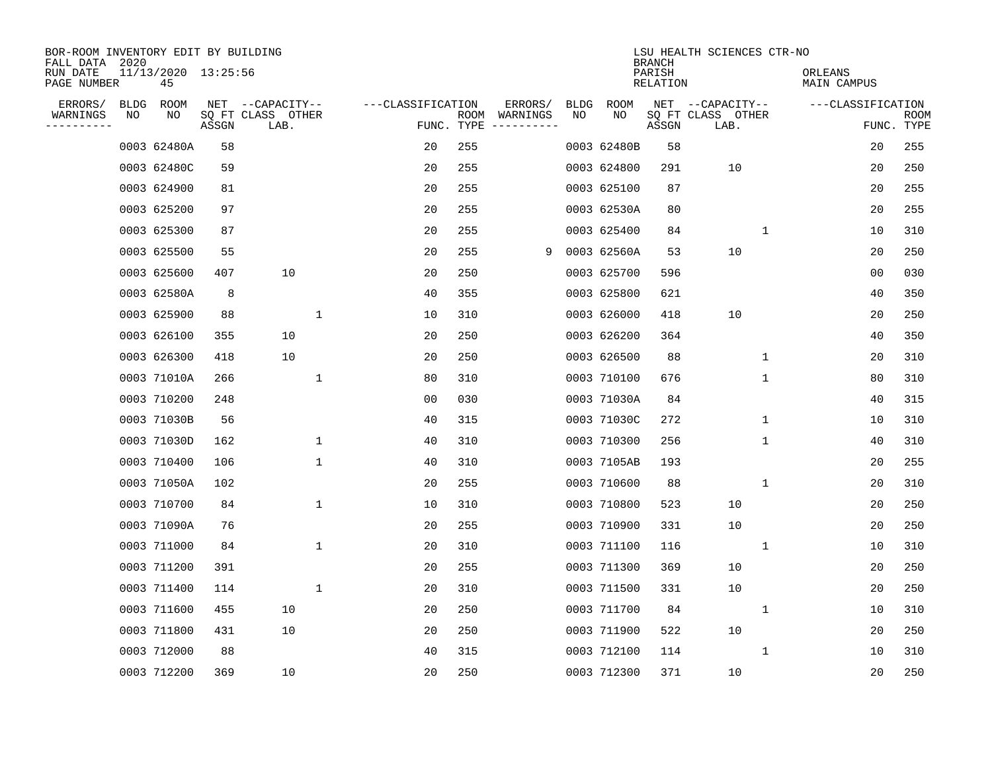| BOR-ROOM INVENTORY EDIT BY BUILDING<br>FALL DATA 2020 |                           |       |                           |                   |                    |                         |             |             | <b>BRANCH</b>             | LSU HEALTH SCIENCES CTR-NO |                        |                           |
|-------------------------------------------------------|---------------------------|-------|---------------------------|-------------------|--------------------|-------------------------|-------------|-------------|---------------------------|----------------------------|------------------------|---------------------------|
| RUN DATE<br>PAGE NUMBER                               | 11/13/2020 13:25:56<br>45 |       |                           |                   |                    |                         |             |             | PARISH<br><b>RELATION</b> |                            | ORLEANS<br>MAIN CAMPUS |                           |
| ERRORS/<br><b>BLDG</b>                                | ROOM                      |       | NET --CAPACITY--          | ---CLASSIFICATION |                    | ERRORS/                 | <b>BLDG</b> | <b>ROOM</b> |                           | NET --CAPACITY--           | ---CLASSIFICATION      |                           |
| WARNINGS<br>NO<br>---------                           | NO                        | ASSGN | SQ FT CLASS OTHER<br>LAB. |                   | ROOM<br>FUNC. TYPE | WARNINGS<br>----------- | NO          | NO          | ASSGN                     | SQ FT CLASS OTHER<br>LAB.  |                        | <b>ROOM</b><br>FUNC. TYPE |
|                                                       | 0003 62480A               | 58    |                           | 20                | 255                |                         |             | 0003 62480B | 58                        |                            | 20                     | 255                       |
|                                                       | 0003 62480C               | 59    |                           | 20                | 255                |                         |             | 0003 624800 | 291                       | 10                         | 20                     | 250                       |
|                                                       | 0003 624900               | 81    |                           | 20                | 255                |                         |             | 0003 625100 | 87                        |                            | 20                     | 255                       |
|                                                       | 0003 625200               | 97    |                           | 20                | 255                |                         |             | 0003 62530A | 80                        |                            | 20                     | 255                       |
|                                                       | 0003 625300               | 87    |                           | 20                | 255                |                         |             | 0003 625400 | 84                        | $\mathbf{1}$               | 10                     | 310                       |
|                                                       | 0003 625500               | 55    |                           | 20                | 255                | 9                       |             | 0003 62560A | 53                        | 10                         | 20                     | 250                       |
|                                                       | 0003 625600               | 407   | 10                        | 20                | 250                |                         |             | 0003 625700 | 596                       |                            | 0 <sub>0</sub>         | 030                       |
|                                                       | 0003 62580A               | 8     |                           | 40                | 355                |                         |             | 0003 625800 | 621                       |                            | 40                     | 350                       |
|                                                       | 0003 625900               | 88    | 1                         | 10                | 310                |                         |             | 0003 626000 | 418                       | 10                         | 20                     | 250                       |
|                                                       | 0003 626100               | 355   | 10                        | 20                | 250                |                         |             | 0003 626200 | 364                       |                            | 40                     | 350                       |
|                                                       | 0003 626300               | 418   | 10                        | 20                | 250                |                         |             | 0003 626500 | 88                        | $\mathbf 1$                | 20                     | 310                       |
|                                                       | 0003 71010A               | 266   | $\mathbf{1}$              | 80                | 310                |                         |             | 0003 710100 | 676                       | $\mathbf 1$                | 80                     | 310                       |
|                                                       | 0003 710200               | 248   |                           | 00                | 030                |                         |             | 0003 71030A | 84                        |                            | 40                     | 315                       |
|                                                       | 0003 71030B               | 56    |                           | 40                | 315                |                         |             | 0003 71030C | 272                       | 1                          | 10                     | 310                       |
|                                                       | 0003 71030D               | 162   | 1                         | 40                | 310                |                         |             | 0003 710300 | 256                       | 1                          | 40                     | 310                       |
|                                                       | 0003 710400               | 106   | 1                         | 40                | 310                |                         |             | 0003 7105AB | 193                       |                            | 20                     | 255                       |
|                                                       | 0003 71050A               | 102   |                           | 20                | 255                |                         |             | 0003 710600 | 88                        | 1                          | 20                     | 310                       |
|                                                       | 0003 710700               | 84    | $\mathbf{1}$              | 10                | 310                |                         |             | 0003 710800 | 523                       | 10                         | 20                     | 250                       |
|                                                       | 0003 71090A               | 76    |                           | 20                | 255                |                         |             | 0003 710900 | 331                       | 10                         | 20                     | 250                       |
|                                                       | 0003 711000               | 84    | $\mathbf 1$               | 20                | 310                |                         |             | 0003 711100 | 116                       | 1                          | 10                     | 310                       |
|                                                       | 0003 711200               | 391   |                           | 20                | 255                |                         |             | 0003 711300 | 369                       | 10                         | 20                     | 250                       |
|                                                       | 0003 711400               | 114   | $\mathbf 1$               | 20                | 310                |                         |             | 0003 711500 | 331                       | 10                         | 20                     | 250                       |
|                                                       | 0003 711600               | 455   | 10                        | 20                | 250                |                         |             | 0003 711700 | 84                        | 1                          | 10                     | 310                       |
|                                                       | 0003 711800               | 431   | 10                        | 20                | 250                |                         |             | 0003 711900 | 522                       | 10                         | 20                     | 250                       |
|                                                       | 0003 712000               | 88    |                           | 40                | 315                |                         |             | 0003 712100 | 114                       | 1                          | 10                     | 310                       |
|                                                       | 0003 712200               | 369   | 10                        | 20                | 250                |                         |             | 0003 712300 | 371                       | 10                         | 20                     | 250                       |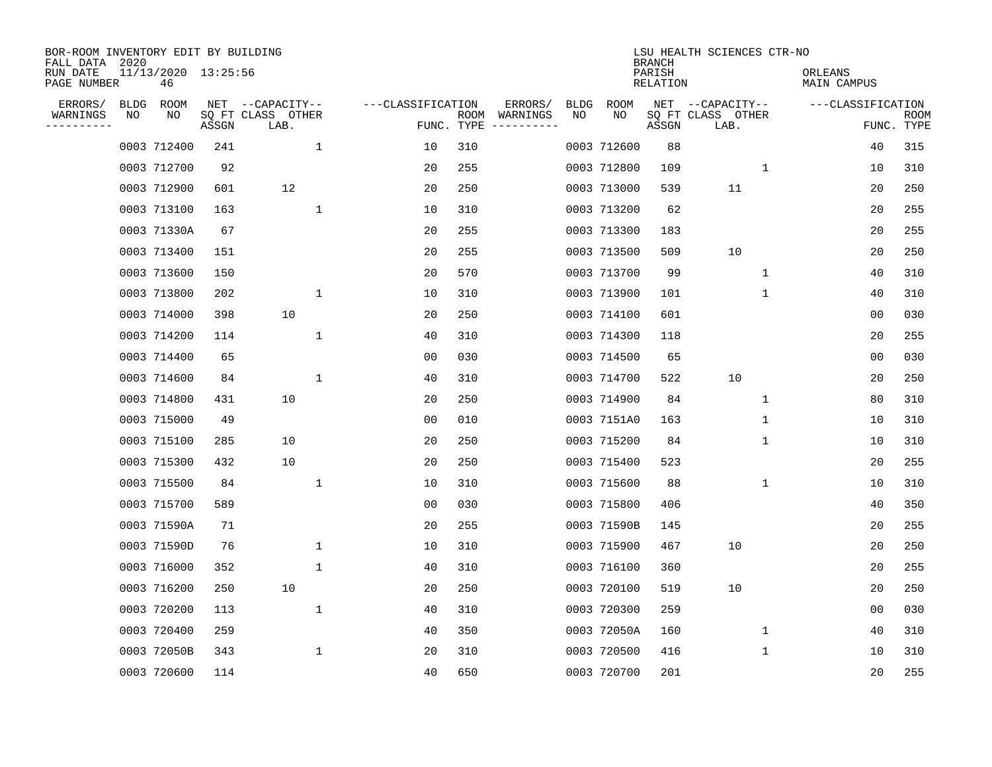| BOR-ROOM INVENTORY EDIT BY BUILDING<br>FALL DATA 2020 |             |                           |       |                           |              |                   |                    |                         |             |             | <b>BRANCH</b>             | LSU HEALTH SCIENCES CTR-NO |                        |                |                           |
|-------------------------------------------------------|-------------|---------------------------|-------|---------------------------|--------------|-------------------|--------------------|-------------------------|-------------|-------------|---------------------------|----------------------------|------------------------|----------------|---------------------------|
| RUN DATE<br>PAGE NUMBER                               |             | 11/13/2020 13:25:56<br>46 |       |                           |              |                   |                    |                         |             |             | PARISH<br><b>RELATION</b> |                            | ORLEANS<br>MAIN CAMPUS |                |                           |
| ERRORS/                                               | <b>BLDG</b> | ROOM                      | NET   | --CAPACITY--              |              | ---CLASSIFICATION |                    | ERRORS/                 | <b>BLDG</b> | <b>ROOM</b> |                           | NET --CAPACITY--           | ---CLASSIFICATION      |                |                           |
| WARNINGS<br>----------                                | ΝO          | ΝO                        | ASSGN | SQ FT CLASS OTHER<br>LAB. |              |                   | ROOM<br>FUNC. TYPE | WARNINGS<br>----------- | NO          | NO          | ASSGN                     | SQ FT CLASS OTHER<br>LAB.  |                        |                | <b>ROOM</b><br>FUNC. TYPE |
|                                                       |             | 0003 712400               | 241   |                           | 1            | 10                | 310                |                         |             | 0003 712600 | 88                        |                            |                        | 40             | 315                       |
|                                                       |             | 0003 712700               | 92    |                           |              | 20                | 255                |                         |             | 0003 712800 | 109                       | 1                          |                        | 10             | 310                       |
|                                                       |             | 0003 712900               | 601   | 12                        |              | 20                | 250                |                         |             | 0003 713000 | 539                       | 11                         |                        | 20             | 250                       |
|                                                       |             | 0003 713100               | 163   |                           | $\mathbf{1}$ | 10                | 310                |                         |             | 0003 713200 | 62                        |                            |                        | 20             | 255                       |
|                                                       |             | 0003 71330A               | 67    |                           |              | 20                | 255                |                         |             | 0003 713300 | 183                       |                            |                        | 20             | 255                       |
|                                                       |             | 0003 713400               | 151   |                           |              | 20                | 255                |                         |             | 0003 713500 | 509                       | 10                         |                        | 20             | 250                       |
|                                                       |             | 0003 713600               | 150   |                           |              | 20                | 570                |                         |             | 0003 713700 | 99                        | $\mathbf{1}$               |                        | 40             | 310                       |
|                                                       |             | 0003 713800               | 202   |                           | $\mathbf{1}$ | 10                | 310                |                         |             | 0003 713900 | 101                       | 1                          |                        | 40             | 310                       |
|                                                       |             | 0003 714000               | 398   | 10                        |              | 20                | 250                |                         |             | 0003 714100 | 601                       |                            |                        | 0 <sub>0</sub> | 030                       |
|                                                       |             | 0003 714200               | 114   |                           | $\mathbf{1}$ | 40                | 310                |                         |             | 0003 714300 | 118                       |                            |                        | 20             | 255                       |
|                                                       |             | 0003 714400               | 65    |                           |              | 00                | 030                |                         |             | 0003 714500 | 65                        |                            |                        | 0 <sub>0</sub> | 030                       |
|                                                       |             | 0003 714600               | 84    |                           | $\mathbf 1$  | 40                | 310                |                         |             | 0003 714700 | 522                       | 10                         |                        | 20             | 250                       |
|                                                       |             | 0003 714800               | 431   | 10                        |              | 20                | 250                |                         |             | 0003 714900 | 84                        | 1                          |                        | 80             | 310                       |
|                                                       |             | 0003 715000               | 49    |                           |              | 00                | 010                |                         |             | 0003 7151A0 | 163                       | 1                          |                        | 10             | 310                       |
|                                                       |             | 0003 715100               | 285   | 10                        |              | 20                | 250                |                         |             | 0003 715200 | 84                        | 1                          |                        | 10             | 310                       |
|                                                       |             | 0003 715300               | 432   | 10                        |              | 20                | 250                |                         |             | 0003 715400 | 523                       |                            |                        | 20             | 255                       |
|                                                       |             | 0003 715500               | 84    |                           | $\mathbf 1$  | 10                | 310                |                         |             | 0003 715600 | 88                        | 1                          |                        | 10             | 310                       |
|                                                       |             | 0003 715700               | 589   |                           |              | 00                | 030                |                         |             | 0003 715800 | 406                       |                            |                        | 40             | 350                       |
|                                                       |             | 0003 71590A               | 71    |                           |              | 20                | 255                |                         |             | 0003 71590B | 145                       |                            |                        | 20             | 255                       |
|                                                       |             | 0003 71590D               | 76    |                           | 1            | 10                | 310                |                         |             | 0003 715900 | 467                       | 10                         |                        | 20             | 250                       |
|                                                       |             | 0003 716000               | 352   |                           | 1            | 40                | 310                |                         |             | 0003 716100 | 360                       |                            |                        | 20             | 255                       |
|                                                       |             | 0003 716200               | 250   | 10                        |              | 20                | 250                |                         |             | 0003 720100 | 519                       | 10                         |                        | 20             | 250                       |
|                                                       |             | 0003 720200               | 113   |                           | 1            | 40                | 310                |                         |             | 0003 720300 | 259                       |                            |                        | 0 <sub>0</sub> | 030                       |
|                                                       |             | 0003 720400               | 259   |                           |              | 40                | 350                |                         |             | 0003 72050A | 160                       | 1                          |                        | 40             | 310                       |
|                                                       |             | 0003 72050B               | 343   |                           | $\mathbf 1$  | 20                | 310                |                         |             | 0003 720500 | 416                       | 1                          |                        | 10             | 310                       |
|                                                       |             | 0003 720600               | 114   |                           |              | 40                | 650                |                         |             | 0003 720700 | 201                       |                            |                        | 20             | 255                       |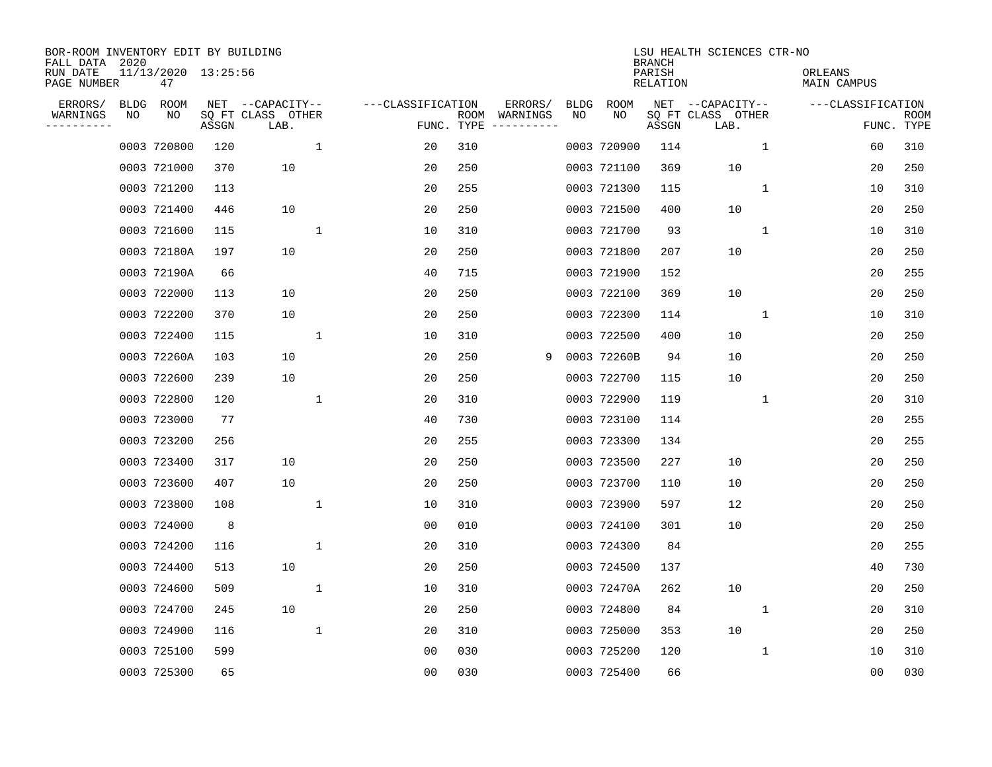| BOR-ROOM INVENTORY EDIT BY BUILDING<br>FALL DATA 2020 |             |                           |       |                           |              |                   |                    |                         |             |             | <b>BRANCH</b>             | LSU HEALTH SCIENCES CTR-NO |              |                        |                           |
|-------------------------------------------------------|-------------|---------------------------|-------|---------------------------|--------------|-------------------|--------------------|-------------------------|-------------|-------------|---------------------------|----------------------------|--------------|------------------------|---------------------------|
| RUN DATE<br>PAGE NUMBER                               |             | 11/13/2020 13:25:56<br>47 |       |                           |              |                   |                    |                         |             |             | PARISH<br><b>RELATION</b> |                            |              | ORLEANS<br>MAIN CAMPUS |                           |
| ERRORS/                                               | <b>BLDG</b> | ROOM                      |       | NET --CAPACITY--          |              | ---CLASSIFICATION |                    | ERRORS/                 | <b>BLDG</b> | <b>ROOM</b> |                           | NET --CAPACITY--           |              | ---CLASSIFICATION      |                           |
| WARNINGS<br>----------                                | NO          | NO                        | ASSGN | SQ FT CLASS OTHER<br>LAB. |              |                   | ROOM<br>FUNC. TYPE | WARNINGS<br>----------- | NO          | NO          | ASSGN                     | SQ FT CLASS OTHER<br>LAB.  |              |                        | <b>ROOM</b><br>FUNC. TYPE |
|                                                       |             | 0003 720800               | 120   |                           | $\mathbf{1}$ | 20                | 310                |                         |             | 0003 720900 | 114                       |                            | 1            | 60                     | 310                       |
|                                                       |             | 0003 721000               | 370   | 10                        |              | 20                | 250                |                         |             | 0003 721100 | 369                       | 10                         |              | 20                     | 250                       |
|                                                       |             | 0003 721200               | 113   |                           |              | 20                | 255                |                         |             | 0003 721300 | 115                       |                            | 1            | 10                     | 310                       |
|                                                       |             | 0003 721400               | 446   | 10                        |              | 20                | 250                |                         |             | 0003 721500 | 400                       | 10                         |              | 20                     | 250                       |
|                                                       |             | 0003 721600               | 115   |                           | $\mathbf 1$  | 10                | 310                |                         |             | 0003 721700 | 93                        |                            | $\mathbf 1$  | 10                     | 310                       |
|                                                       |             | 0003 72180A               | 197   | 10                        |              | 20                | 250                |                         |             | 0003 721800 | 207                       | 10                         |              | 20                     | 250                       |
|                                                       |             | 0003 72190A               | 66    |                           |              | 40                | 715                |                         |             | 0003 721900 | 152                       |                            |              | 20                     | 255                       |
|                                                       |             | 0003 722000               | 113   | 10                        |              | 20                | 250                |                         |             | 0003 722100 | 369                       | 10                         |              | 20                     | 250                       |
|                                                       |             | 0003 722200               | 370   | 10                        |              | 20                | 250                |                         |             | 0003 722300 | 114                       |                            | $\mathbf{1}$ | 10                     | 310                       |
|                                                       |             | 0003 722400               | 115   |                           | 1            | 10                | 310                |                         |             | 0003 722500 | 400                       | 10                         |              | 20                     | 250                       |
|                                                       |             | 0003 72260A               | 103   | 10                        |              | 20                | 250                | 9                       |             | 0003 72260B | 94                        | 10                         |              | 20                     | 250                       |
|                                                       |             | 0003 722600               | 239   | 10                        |              | 20                | 250                |                         |             | 0003 722700 | 115                       | 10                         |              | 20                     | 250                       |
|                                                       |             | 0003 722800               | 120   |                           | 1            | 20                | 310                |                         |             | 0003 722900 | 119                       |                            | $\mathbf 1$  | 20                     | 310                       |
|                                                       |             | 0003 723000               | 77    |                           |              | 40                | 730                |                         |             | 0003 723100 | 114                       |                            |              | 20                     | 255                       |
|                                                       |             | 0003 723200               | 256   |                           |              | 20                | 255                |                         |             | 0003 723300 | 134                       |                            |              | 20                     | 255                       |
|                                                       |             | 0003 723400               | 317   | 10                        |              | 20                | 250                |                         |             | 0003 723500 | 227                       | 10                         |              | 20                     | 250                       |
|                                                       |             | 0003 723600               | 407   | 10                        |              | 20                | 250                |                         |             | 0003 723700 | 110                       | 10                         |              | 20                     | 250                       |
|                                                       |             | 0003 723800               | 108   |                           | 1            | 10                | 310                |                         |             | 0003 723900 | 597                       | 12                         |              | 20                     | 250                       |
|                                                       |             | 0003 724000               | 8     |                           |              | 0 <sub>0</sub>    | 010                |                         |             | 0003 724100 | 301                       | 10                         |              | 20                     | 250                       |
|                                                       |             | 0003 724200               | 116   |                           | $\mathbf 1$  | 20                | 310                |                         |             | 0003 724300 | 84                        |                            |              | 20                     | 255                       |
|                                                       |             | 0003 724400               | 513   | 10                        |              | 20                | 250                |                         |             | 0003 724500 | 137                       |                            |              | 40                     | 730                       |
|                                                       |             | 0003 724600               | 509   |                           | 1            | 10                | 310                |                         |             | 0003 72470A | 262                       | 10                         |              | 20                     | 250                       |
|                                                       |             | 0003 724700               | 245   | 10                        |              | 20                | 250                |                         |             | 0003 724800 | 84                        |                            | 1            | 20                     | 310                       |
|                                                       |             | 0003 724900               | 116   |                           | $\mathbf 1$  | 20                | 310                |                         |             | 0003 725000 | 353                       | 10                         |              | 20                     | 250                       |
|                                                       |             | 0003 725100               | 599   |                           |              | 0 <sub>0</sub>    | 030                |                         |             | 0003 725200 | 120                       |                            | 1            | 10                     | 310                       |
|                                                       |             | 0003 725300               | 65    |                           |              | 0 <sub>0</sub>    | 030                |                         |             | 0003 725400 | 66                        |                            |              | 00                     | 030                       |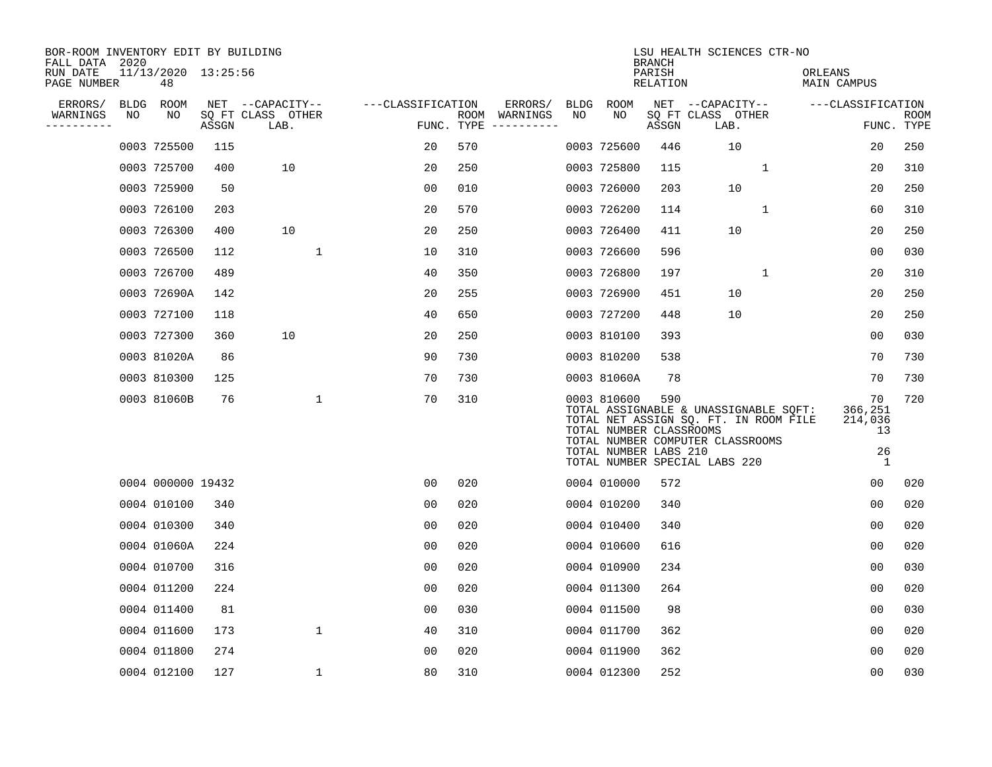| BOR-ROOM INVENTORY EDIT BY BUILDING<br>FALL DATA 2020 |    |                           |       |                           |                   |     |                                      |     |                                                                 | <b>BRANCH</b>      | LSU HEALTH SCIENCES CTR-NO                                                                                                                          |                                                        |                    |
|-------------------------------------------------------|----|---------------------------|-------|---------------------------|-------------------|-----|--------------------------------------|-----|-----------------------------------------------------------------|--------------------|-----------------------------------------------------------------------------------------------------------------------------------------------------|--------------------------------------------------------|--------------------|
| RUN DATE<br>PAGE NUMBER                               |    | 11/13/2020 13:25:56<br>48 |       |                           |                   |     |                                      |     |                                                                 | PARISH<br>RELATION |                                                                                                                                                     | ORLEANS<br>MAIN CAMPUS                                 |                    |
| ERRORS/                                               |    | BLDG ROOM                 |       | NET --CAPACITY--          | ---CLASSIFICATION |     | ERRORS/                              |     | BLDG ROOM                                                       |                    | NET --CAPACITY--                                                                                                                                    | ---CLASSIFICATION                                      |                    |
| WARNINGS<br>----------                                | NO | NO                        | ASSGN | SQ FT CLASS OTHER<br>LAB. |                   |     | ROOM WARNINGS<br>FUNC. TYPE $------$ | NO. | NO.                                                             | ASSGN              | SQ FT CLASS OTHER<br>LAB.                                                                                                                           |                                                        | ROOM<br>FUNC. TYPE |
|                                                       |    | 0003 725500               | 115   |                           | 20                | 570 |                                      |     | 0003 725600                                                     | 446                | 10                                                                                                                                                  | 20                                                     | 250                |
|                                                       |    | 0003 725700               | 400   | 10                        | 20                | 250 |                                      |     | 0003 725800                                                     | 115                | 1                                                                                                                                                   | 20                                                     | 310                |
|                                                       |    | 0003 725900               | 50    |                           | 00                | 010 |                                      |     | 0003 726000                                                     | 203                | 10                                                                                                                                                  | 20                                                     | 250                |
|                                                       |    | 0003 726100               | 203   |                           | 20                | 570 |                                      |     | 0003 726200                                                     | 114                | $\mathbf{1}$                                                                                                                                        | 60                                                     | 310                |
|                                                       |    | 0003 726300               | 400   | 10                        | 20                | 250 |                                      |     | 0003 726400                                                     | 411                | 10                                                                                                                                                  | 20                                                     | 250                |
|                                                       |    | 0003 726500               | 112   | 1                         | 10                | 310 |                                      |     | 0003 726600                                                     | 596                |                                                                                                                                                     | 00                                                     | 030                |
|                                                       |    | 0003 726700               | 489   |                           | 40                | 350 |                                      |     | 0003 726800                                                     | 197                | $\mathbf{1}$                                                                                                                                        | 20                                                     | 310                |
|                                                       |    | 0003 72690A               | 142   |                           | 20                | 255 |                                      |     | 0003 726900                                                     | 451                | 10                                                                                                                                                  | 20                                                     | 250                |
|                                                       |    | 0003 727100               | 118   |                           | 40                | 650 |                                      |     | 0003 727200                                                     | 448                | 10                                                                                                                                                  | 20                                                     | 250                |
|                                                       |    | 0003 727300               | 360   | 10                        | 20                | 250 |                                      |     | 0003 810100                                                     | 393                |                                                                                                                                                     | 0 <sub>0</sub>                                         | 030                |
|                                                       |    | 0003 81020A               | 86    |                           | 90                | 730 |                                      |     | 0003 810200                                                     | 538                |                                                                                                                                                     | 70                                                     | 730                |
|                                                       |    | 0003 810300               | 125   |                           | 70                | 730 |                                      |     | 0003 81060A                                                     | 78                 |                                                                                                                                                     | 70                                                     | 730                |
|                                                       |    | 0003 81060B               | 76    | 1                         | 70                | 310 |                                      |     | 0003 810600<br>TOTAL NUMBER CLASSROOMS<br>TOTAL NUMBER LABS 210 | 590                | TOTAL ASSIGNABLE & UNASSIGNABLE SQFT:<br>TOTAL NET ASSIGN SQ. FT. IN ROOM FILE<br>TOTAL NUMBER COMPUTER CLASSROOMS<br>TOTAL NUMBER SPECIAL LABS 220 | 70<br>366,251<br>214,036<br>13<br>26<br>$\overline{1}$ | 720                |
|                                                       |    | 0004 000000 19432         |       |                           | 0 <sub>0</sub>    | 020 |                                      |     | 0004 010000                                                     | 572                |                                                                                                                                                     | 0 <sub>0</sub>                                         | 020                |
|                                                       |    | 0004 010100               | 340   |                           | 0 <sub>0</sub>    | 020 |                                      |     | 0004 010200                                                     | 340                |                                                                                                                                                     | 0 <sub>0</sub>                                         | 020                |
|                                                       |    | 0004 010300               | 340   |                           | 0 <sub>0</sub>    | 020 |                                      |     | 0004 010400                                                     | 340                |                                                                                                                                                     | 0 <sub>0</sub>                                         | 020                |
|                                                       |    | 0004 01060A               | 224   |                           | 00                | 020 |                                      |     | 0004 010600                                                     | 616                |                                                                                                                                                     | 00                                                     | 020                |
|                                                       |    | 0004 010700               | 316   |                           | 0 <sub>0</sub>    | 020 |                                      |     | 0004 010900                                                     | 234                |                                                                                                                                                     | 0 <sub>0</sub>                                         | 030                |
|                                                       |    | 0004 011200               | 224   |                           | 0 <sub>0</sub>    | 020 |                                      |     | 0004 011300                                                     | 264                |                                                                                                                                                     | 00                                                     | 020                |
|                                                       |    | 0004 011400               | 81    |                           | 0 <sub>0</sub>    | 030 |                                      |     | 0004 011500                                                     | 98                 |                                                                                                                                                     | 00                                                     | 030                |
|                                                       |    | 0004 011600               | 173   | $\mathbf 1$               | 40                | 310 |                                      |     | 0004 011700                                                     | 362                |                                                                                                                                                     | 0 <sub>0</sub>                                         | 020                |
|                                                       |    | 0004 011800               | 274   |                           | 0 <sub>0</sub>    | 020 |                                      |     | 0004 011900                                                     | 362                |                                                                                                                                                     | 0 <sub>0</sub>                                         | 020                |
|                                                       |    | 0004 012100               | 127   | 1                         | 80                | 310 |                                      |     | 0004 012300                                                     | 252                |                                                                                                                                                     | 0 <sub>0</sub>                                         | 030                |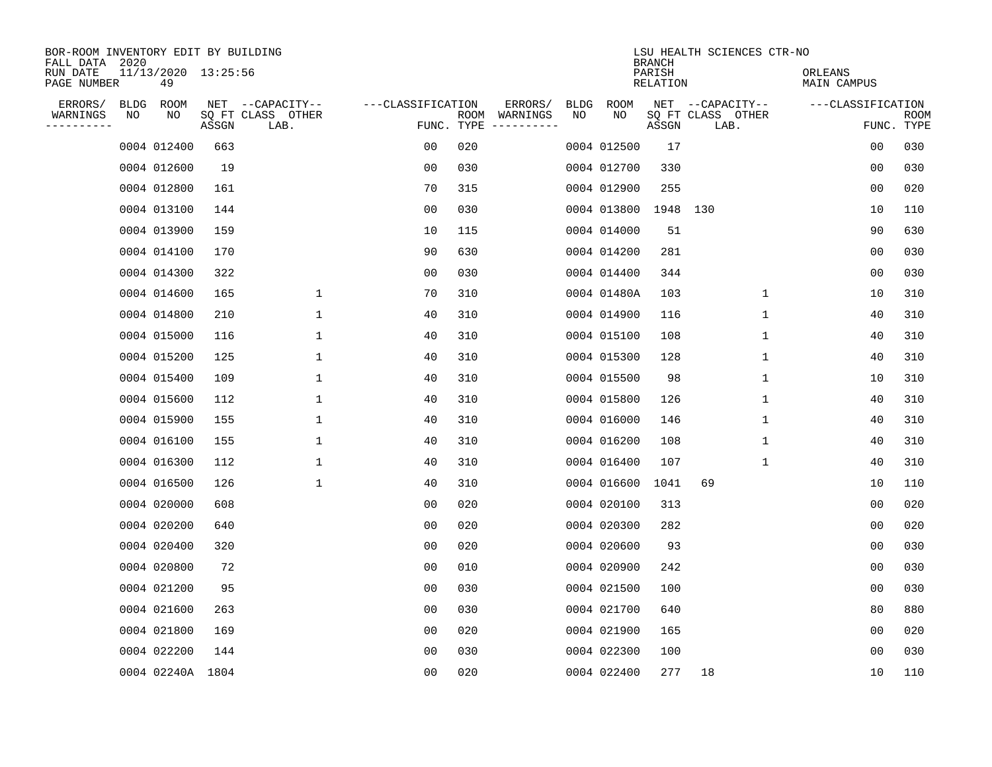| BOR-ROOM INVENTORY EDIT BY BUILDING<br>FALL DATA 2020 |    |                           |       |                           |                   |     |                                      |             |             | <b>BRANCH</b>             | LSU HEALTH SCIENCES CTR-NO |                        |                           |
|-------------------------------------------------------|----|---------------------------|-------|---------------------------|-------------------|-----|--------------------------------------|-------------|-------------|---------------------------|----------------------------|------------------------|---------------------------|
| RUN DATE<br>PAGE NUMBER                               |    | 11/13/2020 13:25:56<br>49 |       |                           |                   |     |                                      |             |             | PARISH<br><b>RELATION</b> |                            | ORLEANS<br>MAIN CAMPUS |                           |
| ERRORS/                                               |    | BLDG ROOM                 |       | NET --CAPACITY--          | ---CLASSIFICATION |     | ERRORS/                              | <b>BLDG</b> | <b>ROOM</b> |                           | NET --CAPACITY--           | ---CLASSIFICATION      |                           |
| WARNINGS<br>----------                                | NO | NO                        | ASSGN | SQ FT CLASS OTHER<br>LAB. |                   |     | ROOM WARNINGS<br>FUNC. TYPE $------$ | NO          | NO          | ASSGN                     | SQ FT CLASS OTHER<br>LAB.  |                        | <b>ROOM</b><br>FUNC. TYPE |
|                                                       |    | 0004 012400               | 663   |                           | 00                | 020 |                                      |             | 0004 012500 | 17                        |                            | 0 <sub>0</sub>         | 030                       |
|                                                       |    | 0004 012600               | 19    |                           | 0 <sub>0</sub>    | 030 |                                      |             | 0004 012700 | 330                       |                            | 0 <sub>0</sub>         | 030                       |
|                                                       |    | 0004 012800               | 161   |                           | 70                | 315 |                                      |             | 0004 012900 | 255                       |                            | 0 <sub>0</sub>         | 020                       |
|                                                       |    | 0004 013100               | 144   |                           | 0 <sub>0</sub>    | 030 |                                      |             | 0004 013800 | 1948 130                  |                            | 10                     | 110                       |
|                                                       |    | 0004 013900               | 159   |                           | 10                | 115 |                                      |             | 0004 014000 | 51                        |                            | 90                     | 630                       |
|                                                       |    | 0004 014100               | 170   |                           | 90                | 630 |                                      |             | 0004 014200 | 281                       |                            | 0 <sub>0</sub>         | 030                       |
|                                                       |    | 0004 014300               | 322   |                           | 0 <sub>0</sub>    | 030 |                                      |             | 0004 014400 | 344                       |                            | 0 <sub>0</sub>         | 030                       |
|                                                       |    | 0004 014600               | 165   | $\mathbf 1$               | 70                | 310 |                                      |             | 0004 01480A | 103                       | $\mathbf 1$                | 10                     | 310                       |
|                                                       |    | 0004 014800               | 210   | $\mathbf 1$               | 40                | 310 |                                      |             | 0004 014900 | 116                       | $\mathbf 1$                | 40                     | 310                       |
|                                                       |    | 0004 015000               | 116   | 1                         | 40                | 310 |                                      |             | 0004 015100 | 108                       | $\mathbf 1$                | 40                     | 310                       |
|                                                       |    | 0004 015200               | 125   | $\mathbf{1}$              | 40                | 310 |                                      |             | 0004 015300 | 128                       | $\mathbf{1}$               | 40                     | 310                       |
|                                                       |    | 0004 015400               | 109   | $\mathbf{1}$              | 40                | 310 |                                      |             | 0004 015500 | 98                        | $\mathbf{1}$               | 10                     | 310                       |
|                                                       |    | 0004 015600               | 112   | 1                         | 40                | 310 |                                      |             | 0004 015800 | 126                       | 1                          | 40                     | 310                       |
|                                                       |    | 0004 015900               | 155   | 1                         | 40                | 310 |                                      |             | 0004 016000 | 146                       | 1                          | 40                     | 310                       |
|                                                       |    | 0004 016100               | 155   | 1                         | 40                | 310 |                                      |             | 0004 016200 | 108                       | 1                          | 40                     | 310                       |
|                                                       |    | 0004 016300               | 112   | 1                         | 40                | 310 |                                      |             | 0004 016400 | 107                       | 1                          | 40                     | 310                       |
|                                                       |    | 0004 016500               | 126   | 1                         | 40                | 310 |                                      |             | 0004 016600 | 1041                      | 69                         | 10                     | 110                       |
|                                                       |    | 0004 020000               | 608   |                           | 0 <sub>0</sub>    | 020 |                                      |             | 0004 020100 | 313                       |                            | 0 <sub>0</sub>         | 020                       |
|                                                       |    | 0004 020200               | 640   |                           | 0 <sub>0</sub>    | 020 |                                      |             | 0004 020300 | 282                       |                            | 0 <sub>0</sub>         | 020                       |
|                                                       |    | 0004 020400               | 320   |                           | 0 <sub>0</sub>    | 020 |                                      |             | 0004 020600 | 93                        |                            | 0 <sub>0</sub>         | 030                       |
|                                                       |    | 0004 020800               | 72    |                           | 0 <sub>0</sub>    | 010 |                                      |             | 0004 020900 | 242                       |                            | 0 <sub>0</sub>         | 030                       |
|                                                       |    | 0004 021200               | 95    |                           | 0 <sub>0</sub>    | 030 |                                      |             | 0004 021500 | 100                       |                            | 0 <sub>0</sub>         | 030                       |
|                                                       |    | 0004 021600               | 263   |                           | 0 <sub>0</sub>    | 030 |                                      |             | 0004 021700 | 640                       |                            | 80                     | 880                       |
|                                                       |    | 0004 021800               | 169   |                           | 0 <sub>0</sub>    | 020 |                                      |             | 0004 021900 | 165                       |                            | 0 <sub>0</sub>         | 020                       |
|                                                       |    | 0004 022200               | 144   |                           | 0 <sub>0</sub>    | 030 |                                      |             | 0004 022300 | 100                       |                            | 0 <sub>0</sub>         | 030                       |
|                                                       |    | 0004 02240A 1804          |       |                           | 0 <sub>0</sub>    | 020 |                                      |             | 0004 022400 | 277                       | 18                         | 10                     | 110                       |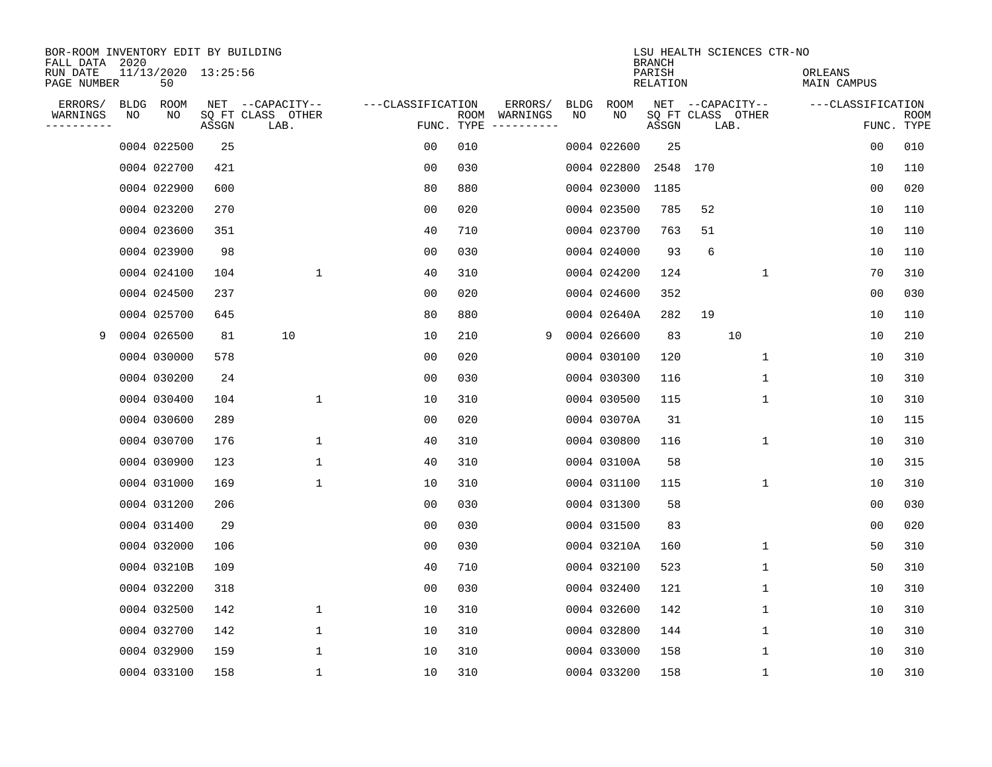| BOR-ROOM INVENTORY EDIT BY BUILDING<br>FALL DATA 2020 |             |                           |       |                           |                   |      |                                 |             |             | <b>BRANCH</b>      |                           | LSU HEALTH SCIENCES CTR-NO |                        |                |                           |
|-------------------------------------------------------|-------------|---------------------------|-------|---------------------------|-------------------|------|---------------------------------|-------------|-------------|--------------------|---------------------------|----------------------------|------------------------|----------------|---------------------------|
| RUN DATE<br>PAGE NUMBER                               |             | 11/13/2020 13:25:56<br>50 |       |                           |                   |      |                                 |             |             | PARISH<br>RELATION |                           |                            | ORLEANS<br>MAIN CAMPUS |                |                           |
| ERRORS/                                               | <b>BLDG</b> | ROOM                      |       | NET --CAPACITY--          | ---CLASSIFICATION |      | ERRORS/                         | <b>BLDG</b> | <b>ROOM</b> |                    | NET --CAPACITY--          |                            | ---CLASSIFICATION      |                |                           |
| WARNINGS<br>----------                                | NO          | NO                        | ASSGN | SQ FT CLASS OTHER<br>LAB. |                   | ROOM | WARNINGS<br>FUNC. TYPE $------$ | NO          | NO          | ASSGN              | SQ FT CLASS OTHER<br>LAB. |                            |                        |                | <b>ROOM</b><br>FUNC. TYPE |
|                                                       |             | 0004 022500               | 25    |                           | 00                | 010  |                                 |             | 0004 022600 | 25                 |                           |                            |                        | 0 <sub>0</sub> | 010                       |
|                                                       |             | 0004 022700               | 421   |                           | 0 <sub>0</sub>    | 030  |                                 |             | 0004 022800 | 2548               | 170                       |                            |                        | 10             | 110                       |
|                                                       |             | 0004 022900               | 600   |                           | 80                | 880  |                                 |             | 0004 023000 | 1185               |                           |                            |                        | 0 <sub>0</sub> | 020                       |
|                                                       |             | 0004 023200               | 270   |                           | 0 <sub>0</sub>    | 020  |                                 |             | 0004 023500 | 785                | 52                        |                            |                        | 10             | 110                       |
|                                                       |             | 0004 023600               | 351   |                           | 40                | 710  |                                 |             | 0004 023700 | 763                | 51                        |                            |                        | 10             | 110                       |
|                                                       |             | 0004 023900               | 98    |                           | 00                | 030  |                                 |             | 0004 024000 | 93                 | 6                         |                            |                        | 10             | 110                       |
|                                                       |             | 0004 024100               | 104   | $\mathbf 1$               | 40                | 310  |                                 |             | 0004 024200 | 124                |                           | 1                          |                        | 70             | 310                       |
|                                                       |             | 0004 024500               | 237   |                           | 0 <sub>0</sub>    | 020  |                                 |             | 0004 024600 | 352                |                           |                            |                        | 0 <sub>0</sub> | 030                       |
|                                                       |             | 0004 025700               | 645   |                           | 80                | 880  |                                 |             | 0004 02640A | 282                | 19                        |                            |                        | 10             | 110                       |
| 9                                                     |             | 0004 026500               | 81    | 10                        | 10                | 210  | 9                               |             | 0004 026600 | 83                 |                           | 10                         |                        | 10             | 210                       |
|                                                       |             | 0004 030000               | 578   |                           | 0 <sub>0</sub>    | 020  |                                 |             | 0004 030100 | 120                |                           | $\mathbf 1$                |                        | 10             | 310                       |
|                                                       |             | 0004 030200               | 24    |                           | 0 <sub>0</sub>    | 030  |                                 |             | 0004 030300 | 116                |                           | $\mathbf 1$                |                        | 10             | 310                       |
|                                                       |             | 0004 030400               | 104   | 1                         | 10                | 310  |                                 |             | 0004 030500 | 115                |                           | 1                          |                        | 10             | 310                       |
|                                                       |             | 0004 030600               | 289   |                           | 00                | 020  |                                 |             | 0004 03070A | 31                 |                           |                            |                        | 10             | 115                       |
|                                                       |             | 0004 030700               | 176   | 1                         | 40                | 310  |                                 |             | 0004 030800 | 116                |                           | 1                          |                        | 10             | 310                       |
|                                                       |             | 0004 030900               | 123   | 1                         | 40                | 310  |                                 |             | 0004 03100A | 58                 |                           |                            |                        | 10             | 315                       |
|                                                       |             | 0004 031000               | 169   | 1                         | 10                | 310  |                                 |             | 0004 031100 | 115                |                           | 1                          |                        | 10             | 310                       |
|                                                       |             | 0004 031200               | 206   |                           | 0 <sub>0</sub>    | 030  |                                 |             | 0004 031300 | 58                 |                           |                            |                        | 0 <sub>0</sub> | 030                       |
|                                                       |             | 0004 031400               | 29    |                           | 0 <sub>0</sub>    | 030  |                                 |             | 0004 031500 | 83                 |                           |                            |                        | 0 <sub>0</sub> | 020                       |
|                                                       |             | 0004 032000               | 106   |                           | 0 <sub>0</sub>    | 030  |                                 |             | 0004 03210A | 160                |                           | 1                          |                        | 50             | 310                       |
|                                                       |             | 0004 03210B               | 109   |                           | 40                | 710  |                                 |             | 0004 032100 | 523                |                           | 1                          |                        | 50             | 310                       |
|                                                       |             | 0004 032200               | 318   |                           | 0 <sub>0</sub>    | 030  |                                 |             | 0004 032400 | 121                |                           | 1                          |                        | 10             | 310                       |
|                                                       |             | 0004 032500               | 142   | 1                         | 10                | 310  |                                 |             | 0004 032600 | 142                |                           | 1                          |                        | 10             | 310                       |
|                                                       |             | 0004 032700               | 142   | $\mathbf 1$               | 10                | 310  |                                 |             | 0004 032800 | 144                |                           | 1                          |                        | 10             | 310                       |
|                                                       |             | 0004 032900               | 159   | 1                         | 10                | 310  |                                 |             | 0004 033000 | 158                |                           | 1                          |                        | 10             | 310                       |
|                                                       |             | 0004 033100               | 158   | 1                         | 10                | 310  |                                 |             | 0004 033200 | 158                |                           | 1                          |                        | 10             | 310                       |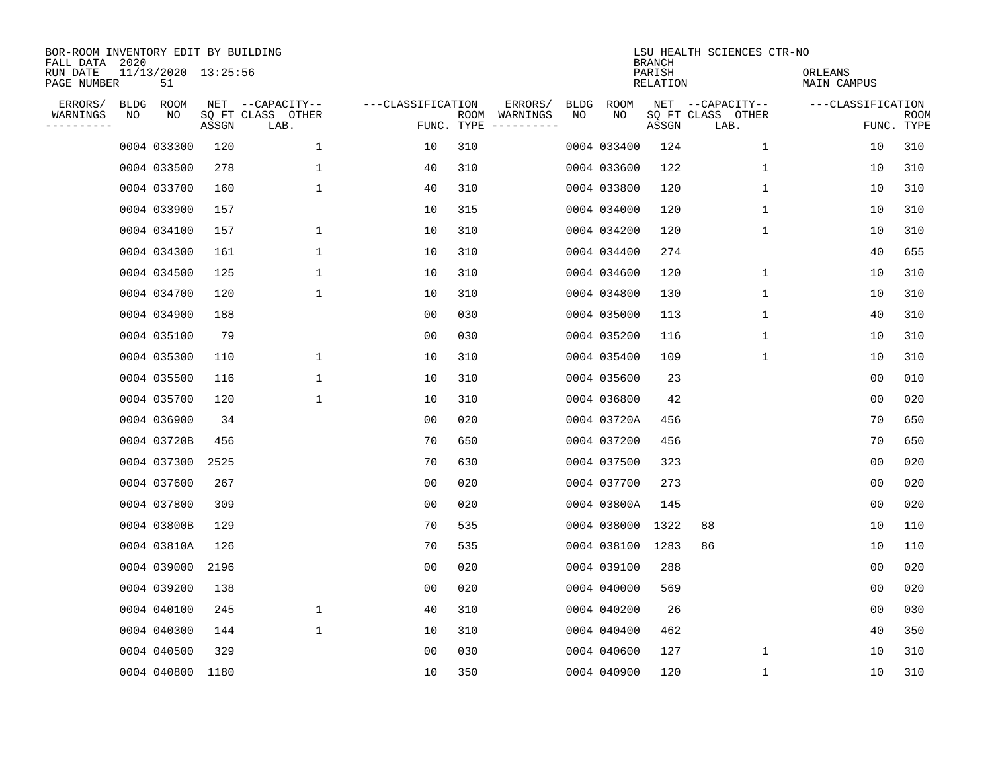| BOR-ROOM INVENTORY EDIT BY BUILDING<br>FALL DATA 2020 |    |                           |       |                           |                   |            |               |      |             | <b>BRANCH</b>      | LSU HEALTH SCIENCES CTR-NO |                        |                    |
|-------------------------------------------------------|----|---------------------------|-------|---------------------------|-------------------|------------|---------------|------|-------------|--------------------|----------------------------|------------------------|--------------------|
| RUN DATE<br>PAGE NUMBER                               |    | 11/13/2020 13:25:56<br>51 |       |                           |                   |            |               |      |             | PARISH<br>RELATION |                            | ORLEANS<br>MAIN CAMPUS |                    |
| ERRORS/                                               |    | BLDG ROOM                 |       | NET --CAPACITY--          | ---CLASSIFICATION |            | ERRORS/       | BLDG | <b>ROOM</b> |                    | NET --CAPACITY--           | ---CLASSIFICATION      |                    |
| WARNINGS<br>---------                                 | ΝO | NO                        | ASSGN | SQ FT CLASS OTHER<br>LAB. |                   | FUNC. TYPE | ROOM WARNINGS | NO   | NO          | ASSGN              | SQ FT CLASS OTHER<br>LAB.  |                        | ROOM<br>FUNC. TYPE |
|                                                       |    | 0004 033300               | 120   | $\mathbf 1$               | 10                | 310        |               |      | 0004 033400 | 124                | 1                          | 10                     | 310                |
|                                                       |    | 0004 033500               | 278   | $\mathbf 1$               | 40                | 310        |               |      | 0004 033600 | 122                | 1                          | 10                     | 310                |
|                                                       |    | 0004 033700               | 160   | $\mathbf{1}$              | 40                | 310        |               |      | 0004 033800 | 120                | $\mathbf 1$                | 10                     | 310                |
|                                                       |    | 0004 033900               | 157   |                           | 10                | 315        |               |      | 0004 034000 | 120                | $\mathbf 1$                | 10                     | 310                |
|                                                       |    | 0004 034100               | 157   | $\mathbf 1$               | 10                | 310        |               |      | 0004 034200 | 120                | $\mathbf{1}$               | 10                     | 310                |
|                                                       |    | 0004 034300               | 161   | $\mathbf{1}$              | 10                | 310        |               |      | 0004 034400 | 274                |                            | 40                     | 655                |
|                                                       |    | 0004 034500               | 125   | $\mathbf{1}$              | 10                | 310        |               |      | 0004 034600 | 120                | $\mathbf{1}$               | 10                     | 310                |
|                                                       |    | 0004 034700               | 120   | $\mathbf{1}$              | 10                | 310        |               |      | 0004 034800 | 130                | $\mathbf 1$                | 10                     | 310                |
|                                                       |    | 0004 034900               | 188   |                           | 00                | 030        |               |      | 0004 035000 | 113                | 1                          | 40                     | 310                |
|                                                       |    | 0004 035100               | 79    |                           | 0 <sub>0</sub>    | 030        |               |      | 0004 035200 | 116                | 1                          | 10                     | 310                |
|                                                       |    | 0004 035300               | 110   | $\mathbf 1$               | 10                | 310        |               |      | 0004 035400 | 109                | 1                          | 10                     | 310                |
|                                                       |    | 0004 035500               | 116   | 1                         | 10                | 310        |               |      | 0004 035600 | 23                 |                            | 0 <sub>0</sub>         | 010                |
|                                                       |    | 0004 035700               | 120   | $\mathbf 1$               | 10                | 310        |               |      | 0004 036800 | 42                 |                            | 0 <sub>0</sub>         | 020                |
|                                                       |    | 0004 036900               | 34    |                           | 0 <sub>0</sub>    | 020        |               |      | 0004 03720A | 456                |                            | 70                     | 650                |
|                                                       |    | 0004 03720B               | 456   |                           | 70                | 650        |               |      | 0004 037200 | 456                |                            | 70                     | 650                |
|                                                       |    | 0004 037300               | 2525  |                           | 70                | 630        |               |      | 0004 037500 | 323                |                            | 0 <sub>0</sub>         | 020                |
|                                                       |    | 0004 037600               | 267   |                           | 0 <sub>0</sub>    | 020        |               |      | 0004 037700 | 273                |                            | 0 <sub>0</sub>         | 020                |
|                                                       |    | 0004 037800               | 309   |                           | 0 <sub>0</sub>    | 020        |               |      | 0004 03800A | 145                |                            | 0 <sub>0</sub>         | 020                |
|                                                       |    | 0004 03800B               | 129   |                           | 70                | 535        |               |      | 0004 038000 | 1322               | 88                         | 10                     | 110                |
|                                                       |    | 0004 03810A               | 126   |                           | 70                | 535        |               |      | 0004 038100 | 1283               | 86                         | 10                     | 110                |
|                                                       |    | 0004 039000               | 2196  |                           | 0 <sub>0</sub>    | 020        |               |      | 0004 039100 | 288                |                            | 0 <sub>0</sub>         | 020                |
|                                                       |    | 0004 039200               | 138   |                           | 0 <sub>0</sub>    | 020        |               |      | 0004 040000 | 569                |                            | 0 <sub>0</sub>         | 020                |
|                                                       |    | 0004 040100               | 245   | 1                         | 40                | 310        |               |      | 0004 040200 | 26                 |                            | 0 <sub>0</sub>         | 030                |
|                                                       |    | 0004 040300               | 144   | $\mathbf{1}$              | 10                | 310        |               |      | 0004 040400 | 462                |                            | 40                     | 350                |
|                                                       |    | 0004 040500               | 329   |                           | 0 <sub>0</sub>    | 030        |               |      | 0004 040600 | 127                | 1                          | 10                     | 310                |
|                                                       |    | 0004 040800               | 1180  |                           | 10                | 350        |               |      | 0004 040900 | 120                | 1                          | 10                     | 310                |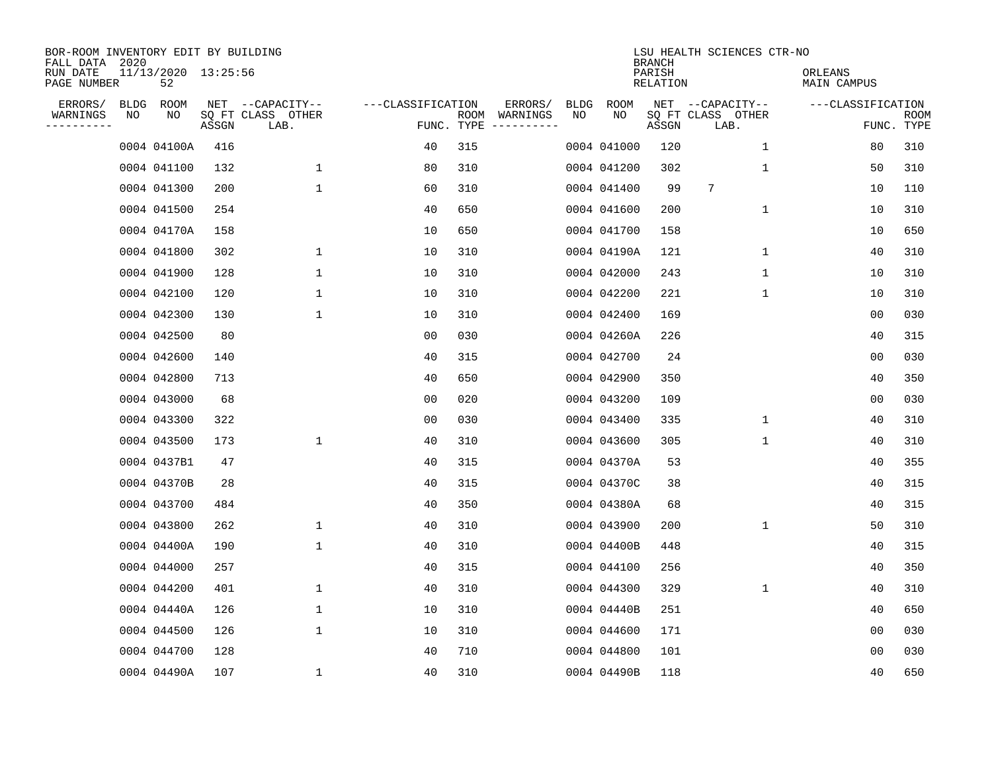| BOR-ROOM INVENTORY EDIT BY BUILDING<br>FALL DATA 2020 |    |                           |       |                           |                   |     |                                      |             |             | <b>BRANCH</b>      | LSU HEALTH SCIENCES CTR-NO |                        |                           |
|-------------------------------------------------------|----|---------------------------|-------|---------------------------|-------------------|-----|--------------------------------------|-------------|-------------|--------------------|----------------------------|------------------------|---------------------------|
| RUN DATE<br>PAGE NUMBER                               |    | 11/13/2020 13:25:56<br>52 |       |                           |                   |     |                                      |             |             | PARISH<br>RELATION |                            | ORLEANS<br>MAIN CAMPUS |                           |
| ERRORS/                                               |    | BLDG ROOM                 |       | NET --CAPACITY--          | ---CLASSIFICATION |     | ERRORS/                              | <b>BLDG</b> | <b>ROOM</b> |                    | NET --CAPACITY--           | ---CLASSIFICATION      |                           |
| WARNINGS<br>----------                                | NO | NO                        | ASSGN | SQ FT CLASS OTHER<br>LAB. |                   |     | ROOM WARNINGS<br>FUNC. TYPE $------$ | NO          | NO          | ASSGN              | SQ FT CLASS OTHER<br>LAB.  |                        | <b>ROOM</b><br>FUNC. TYPE |
|                                                       |    | 0004 04100A               | 416   |                           | 40                | 315 |                                      |             | 0004 041000 | 120                | $\mathbf 1$                | 80                     | 310                       |
|                                                       |    | 0004 041100               | 132   | 1                         | 80                | 310 |                                      |             | 0004 041200 | 302                | 1                          | 50                     | 310                       |
|                                                       |    | 0004 041300               | 200   | $\mathbf 1$               | 60                | 310 |                                      |             | 0004 041400 | 99                 | 7                          | 10                     | 110                       |
|                                                       |    | 0004 041500               | 254   |                           | 40                | 650 |                                      |             | 0004 041600 | 200                | $\mathbf 1$                | 10                     | 310                       |
|                                                       |    | 0004 04170A               | 158   |                           | 10                | 650 |                                      |             | 0004 041700 | 158                |                            | 10                     | 650                       |
|                                                       |    | 0004 041800               | 302   | $\mathbf 1$               | 10                | 310 |                                      |             | 0004 04190A | 121                | $\mathbf 1$                | 40                     | 310                       |
|                                                       |    | 0004 041900               | 128   | $\mathbf{1}$              | 10                | 310 |                                      |             | 0004 042000 | 243                | $\mathbf{1}$               | 10                     | 310                       |
|                                                       |    | 0004 042100               | 120   | $\mathbf{1}$              | 10                | 310 |                                      |             | 0004 042200 | 221                | 1                          | 10                     | 310                       |
|                                                       |    | 0004 042300               | 130   | $\mathbf{1}$              | 10                | 310 |                                      |             | 0004 042400 | 169                |                            | 0 <sub>0</sub>         | 030                       |
|                                                       |    | 0004 042500               | 80    |                           | 0 <sub>0</sub>    | 030 |                                      |             | 0004 04260A | 226                |                            | 40                     | 315                       |
|                                                       |    | 0004 042600               | 140   |                           | 40                | 315 |                                      |             | 0004 042700 | 24                 |                            | 0 <sub>0</sub>         | 030                       |
|                                                       |    | 0004 042800               | 713   |                           | 40                | 650 |                                      |             | 0004 042900 | 350                |                            | 40                     | 350                       |
|                                                       |    | 0004 043000               | 68    |                           | 0 <sub>0</sub>    | 020 |                                      |             | 0004 043200 | 109                |                            | 0 <sub>0</sub>         | 030                       |
|                                                       |    | 0004 043300               | 322   |                           | 0 <sub>0</sub>    | 030 |                                      |             | 0004 043400 | 335                | $\mathbf 1$                | 40                     | 310                       |
|                                                       |    | 0004 043500               | 173   | $\mathbf{1}$              | 40                | 310 |                                      |             | 0004 043600 | 305                | $\mathbf{1}$               | 40                     | 310                       |
|                                                       |    | 0004 0437B1               | 47    |                           | 40                | 315 |                                      |             | 0004 04370A | 53                 |                            | 40                     | 355                       |
|                                                       |    | 0004 04370B               | 28    |                           | 40                | 315 |                                      |             | 0004 04370C | 38                 |                            | 40                     | 315                       |
|                                                       |    | 0004 043700               | 484   |                           | 40                | 350 |                                      |             | 0004 04380A | 68                 |                            | 40                     | 315                       |
|                                                       |    | 0004 043800               | 262   | $\mathbf 1$               | 40                | 310 |                                      |             | 0004 043900 | 200                | 1                          | 50                     | 310                       |
|                                                       |    | 0004 04400A               | 190   | $\mathbf 1$               | 40                | 310 |                                      |             | 0004 04400B | 448                |                            | 40                     | 315                       |
|                                                       |    | 0004 044000               | 257   |                           | 40                | 315 |                                      |             | 0004 044100 | 256                |                            | 40                     | 350                       |
|                                                       |    | 0004 044200               | 401   | $\mathbf{1}$              | 40                | 310 |                                      |             | 0004 044300 | 329                | $\mathbf 1$                | 40                     | 310                       |
|                                                       |    | 0004 04440A               | 126   | $\mathbf 1$               | 10                | 310 |                                      |             | 0004 04440B | 251                |                            | 40                     | 650                       |
|                                                       |    | 0004 044500               | 126   | $\mathbf{1}$              | 10                | 310 |                                      |             | 0004 044600 | 171                |                            | 0 <sub>0</sub>         | 030                       |
|                                                       |    | 0004 044700               | 128   |                           | 40                | 710 |                                      |             | 0004 044800 | 101                |                            | 0 <sub>0</sub>         | 030                       |
|                                                       |    | 0004 04490A               | 107   | $\mathbf 1$               | 40                | 310 |                                      |             | 0004 04490B | 118                |                            | 40                     | 650                       |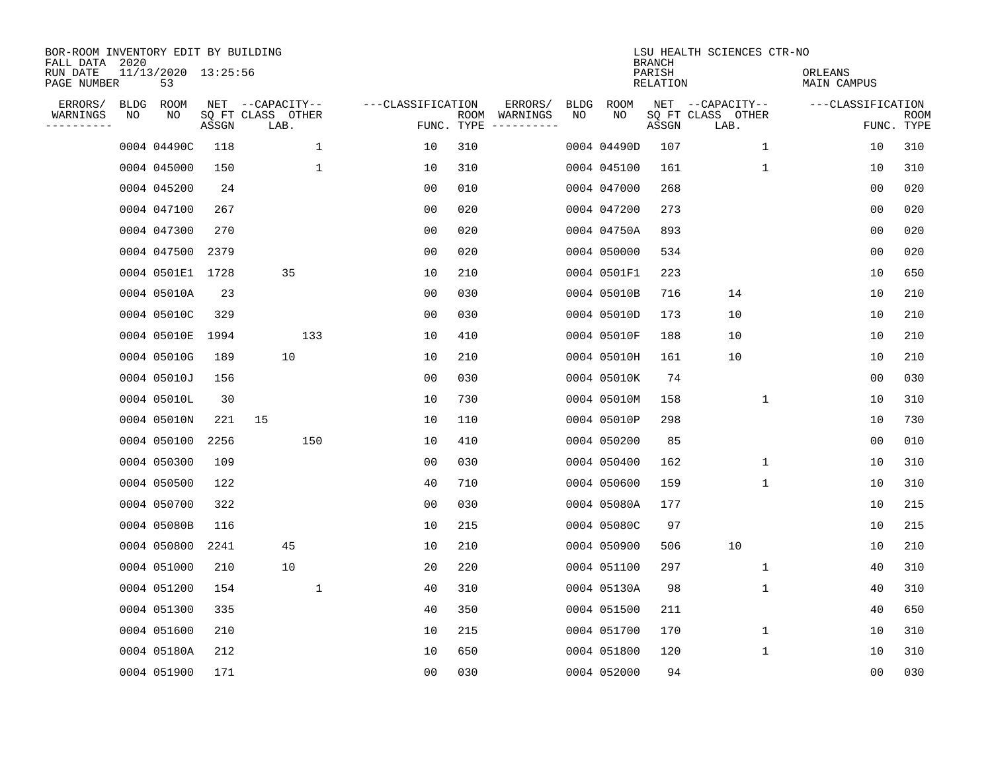| BOR-ROOM INVENTORY EDIT BY BUILDING<br>FALL DATA 2020 |      |                           |       |                           |                   |                    |                         |             |             | <b>BRANCH</b>             | LSU HEALTH SCIENCES CTR-NO |                        |                           |
|-------------------------------------------------------|------|---------------------------|-------|---------------------------|-------------------|--------------------|-------------------------|-------------|-------------|---------------------------|----------------------------|------------------------|---------------------------|
| RUN DATE<br>PAGE NUMBER                               |      | 11/13/2020 13:25:56<br>53 |       |                           |                   |                    |                         |             |             | PARISH<br><b>RELATION</b> |                            | ORLEANS<br>MAIN CAMPUS |                           |
| ERRORS/                                               | BLDG | ROOM                      |       | NET --CAPACITY--          | ---CLASSIFICATION |                    | ERRORS/                 | <b>BLDG</b> | <b>ROOM</b> |                           | NET --CAPACITY--           | ---CLASSIFICATION      |                           |
| WARNINGS<br>----------                                | ΝO   | NO                        | ASSGN | SQ FT CLASS OTHER<br>LAB. |                   | ROOM<br>FUNC. TYPE | WARNINGS<br>----------- | NO          | NO          | ASSGN                     | SQ FT CLASS OTHER<br>LAB.  |                        | <b>ROOM</b><br>FUNC. TYPE |
|                                                       |      | 0004 04490C               | 118   | 1                         | 10                | 310                |                         |             | 0004 04490D | 107                       | $\mathbf{1}$               | 10                     | 310                       |
|                                                       |      | 0004 045000               | 150   | 1                         | 10                | 310                |                         |             | 0004 045100 | 161                       | 1                          | 10                     | 310                       |
|                                                       |      | 0004 045200               | 24    |                           | 00                | 010                |                         |             | 0004 047000 | 268                       |                            | 00                     | 020                       |
|                                                       |      | 0004 047100               | 267   |                           | 0 <sub>0</sub>    | 020                |                         |             | 0004 047200 | 273                       |                            | 0 <sub>0</sub>         | 020                       |
|                                                       |      | 0004 047300               | 270   |                           | 0 <sub>0</sub>    | 020                |                         |             | 0004 04750A | 893                       |                            | 00                     | 020                       |
|                                                       |      | 0004 047500               | 2379  |                           | 0 <sub>0</sub>    | 020                |                         |             | 0004 050000 | 534                       |                            | 0 <sub>0</sub>         | 020                       |
|                                                       |      | 0004 0501E1 1728          |       | 35                        | 10                | 210                |                         |             | 0004 0501F1 | 223                       |                            | 10                     | 650                       |
|                                                       |      | 0004 05010A               | 23    |                           | 0 <sub>0</sub>    | 030                |                         |             | 0004 05010B | 716                       | 14                         | 10                     | 210                       |
|                                                       |      | 0004 05010C               | 329   |                           | 0 <sub>0</sub>    | 030                |                         |             | 0004 05010D | 173                       | 10                         | 10                     | 210                       |
|                                                       |      | 0004 05010E               | 1994  | 133                       | 10                | 410                |                         |             | 0004 05010F | 188                       | 10                         | 10                     | 210                       |
|                                                       |      | 0004 05010G               | 189   | 10                        | 10                | 210                |                         |             | 0004 05010H | 161                       | 10                         | 10                     | 210                       |
|                                                       |      | 0004 05010J               | 156   |                           | 0 <sub>0</sub>    | 030                |                         |             | 0004 05010K | 74                        |                            | 0 <sub>0</sub>         | 030                       |
|                                                       |      | 0004 05010L               | 30    |                           | 10                | 730                |                         |             | 0004 05010M | 158                       | 1                          | 10                     | 310                       |
|                                                       |      | 0004 05010N               | 221   | 15                        | 10                | 110                |                         |             | 0004 05010P | 298                       |                            | 10                     | 730                       |
|                                                       |      | 0004 050100               | 2256  | 150                       | 10                | 410                |                         |             | 0004 050200 | 85                        |                            | 0 <sub>0</sub>         | 010                       |
|                                                       |      | 0004 050300               | 109   |                           | 0 <sub>0</sub>    | 030                |                         |             | 0004 050400 | 162                       | 1                          | 10                     | 310                       |
|                                                       |      | 0004 050500               | 122   |                           | 40                | 710                |                         |             | 0004 050600 | 159                       | 1                          | 10                     | 310                       |
|                                                       |      | 0004 050700               | 322   |                           | 00                | 030                |                         |             | 0004 05080A | 177                       |                            | 10                     | 215                       |
|                                                       |      | 0004 05080B               | 116   |                           | 10                | 215                |                         |             | 0004 05080C | 97                        |                            | 10                     | 215                       |
|                                                       |      | 0004 050800               | 2241  | 45                        | 10                | 210                |                         |             | 0004 050900 | 506                       | 10                         | 10                     | 210                       |
|                                                       |      | 0004 051000               | 210   | 10                        | 20                | 220                |                         |             | 0004 051100 | 297                       | 1                          | 40                     | 310                       |
|                                                       |      | 0004 051200               | 154   | 1                         | 40                | 310                |                         |             | 0004 05130A | 98                        | 1                          | 40                     | 310                       |
|                                                       |      | 0004 051300               | 335   |                           | 40                | 350                |                         |             | 0004 051500 | 211                       |                            | 40                     | 650                       |
|                                                       |      | 0004 051600               | 210   |                           | 10                | 215                |                         |             | 0004 051700 | 170                       | 1                          | 10                     | 310                       |
|                                                       |      | 0004 05180A               | 212   |                           | 10                | 650                |                         |             | 0004 051800 | 120                       | $\mathbf 1$                | 10                     | 310                       |
|                                                       |      | 0004 051900               | 171   |                           | 0 <sub>0</sub>    | 030                |                         |             | 0004 052000 | 94                        |                            | 0 <sub>0</sub>         | 030                       |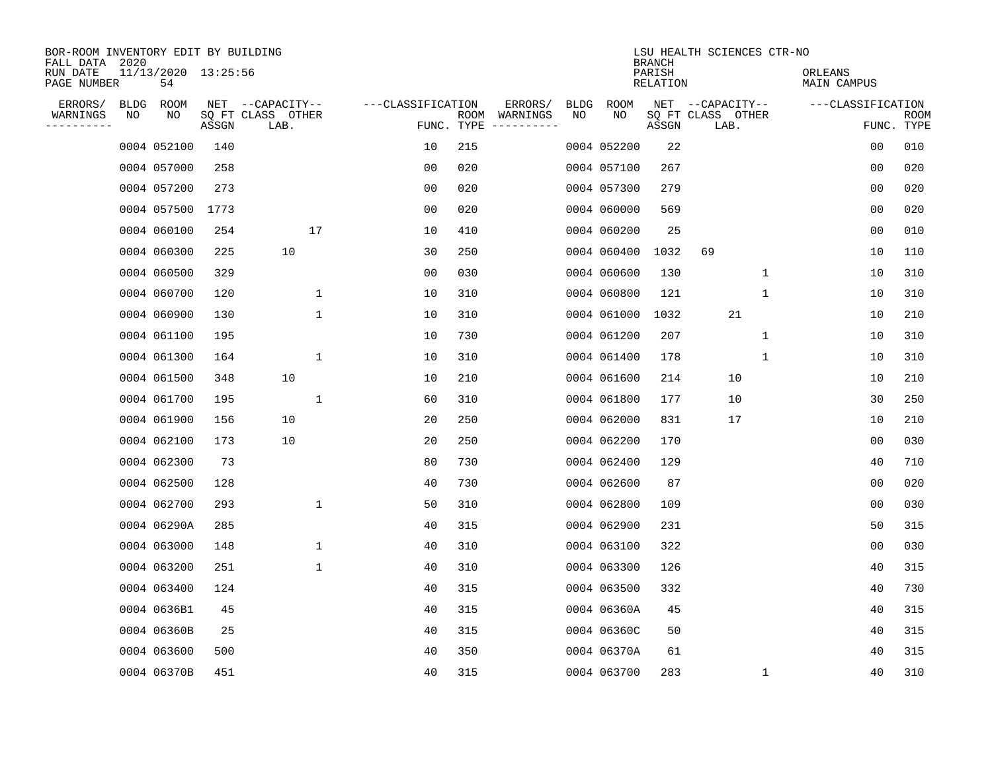| BOR-ROOM INVENTORY EDIT BY BUILDING<br>FALL DATA 2020 |             |                           |       |                           |                   |            |                              |             |             | <b>BRANCH</b>             | LSU HEALTH SCIENCES CTR-NO |              |                               |                |                           |
|-------------------------------------------------------|-------------|---------------------------|-------|---------------------------|-------------------|------------|------------------------------|-------------|-------------|---------------------------|----------------------------|--------------|-------------------------------|----------------|---------------------------|
| RUN DATE<br>PAGE NUMBER                               |             | 11/13/2020 13:25:56<br>54 |       |                           |                   |            |                              |             |             | PARISH<br><b>RELATION</b> |                            |              | ORLEANS<br><b>MAIN CAMPUS</b> |                |                           |
| ERRORS/                                               | <b>BLDG</b> | ROOM                      |       | NET --CAPACITY--          | ---CLASSIFICATION |            | ERRORS/                      | <b>BLDG</b> | <b>ROOM</b> |                           | NET --CAPACITY--           |              | ---CLASSIFICATION             |                |                           |
| WARNINGS<br>----------                                | NO          | NO                        | ASSGN | SQ FT CLASS OTHER<br>LAB. |                   | FUNC. TYPE | ROOM WARNINGS<br>----------- | NO          | NO          | ASSGN                     | SQ FT CLASS OTHER<br>LAB.  |              |                               |                | <b>ROOM</b><br>FUNC. TYPE |
|                                                       |             | 0004 052100               | 140   |                           | 10                | 215        |                              |             | 0004 052200 | 22                        |                            |              |                               | 0 <sub>0</sub> | 010                       |
|                                                       |             | 0004 057000               | 258   |                           | 0 <sub>0</sub>    | 020        |                              |             | 0004 057100 | 267                       |                            |              |                               | 0 <sub>0</sub> | 020                       |
|                                                       |             | 0004 057200               | 273   |                           | 0 <sub>0</sub>    | 020        |                              |             | 0004 057300 | 279                       |                            |              |                               | 0 <sub>0</sub> | 020                       |
|                                                       |             | 0004 057500               | 1773  |                           | 0 <sub>0</sub>    | 020        |                              |             | 0004 060000 | 569                       |                            |              |                               | 0 <sub>0</sub> | 020                       |
|                                                       |             | 0004 060100               | 254   | 17                        | 10                | 410        |                              |             | 0004 060200 | 25                        |                            |              |                               | 00             | 010                       |
|                                                       |             | 0004 060300               | 225   | 10                        | 30                | 250        |                              |             | 0004 060400 | 1032                      | 69                         |              |                               | 10             | 110                       |
|                                                       |             | 0004 060500               | 329   |                           | 0 <sub>0</sub>    | 030        |                              |             | 0004 060600 | 130                       |                            | $\mathbf 1$  |                               | 10             | 310                       |
|                                                       |             | 0004 060700               | 120   | 1                         | 10                | 310        |                              |             | 0004 060800 | 121                       |                            | $\mathbf{1}$ |                               | 10             | 310                       |
|                                                       |             | 0004 060900               | 130   | $\mathbf 1$               | 10                | 310        |                              |             | 0004 061000 | 1032                      | 21                         |              |                               | 10             | 210                       |
|                                                       |             | 0004 061100               | 195   |                           | 10                | 730        |                              |             | 0004 061200 | 207                       |                            | $\mathbf 1$  |                               | 10             | 310                       |
|                                                       |             | 0004 061300               | 164   | $\mathbf{1}$              | 10                | 310        |                              |             | 0004 061400 | 178                       |                            | $\mathbf{1}$ |                               | 10             | 310                       |
|                                                       |             | 0004 061500               | 348   | 10                        | 10                | 210        |                              |             | 0004 061600 | 214                       | 10                         |              |                               | 10             | 210                       |
|                                                       |             | 0004 061700               | 195   | 1                         | 60                | 310        |                              |             | 0004 061800 | 177                       | 10                         |              |                               | 30             | 250                       |
|                                                       |             | 0004 061900               | 156   | 10                        | 20                | 250        |                              |             | 0004 062000 | 831                       | 17                         |              |                               | 10             | 210                       |
|                                                       |             | 0004 062100               | 173   | 10                        | 20                | 250        |                              |             | 0004 062200 | 170                       |                            |              |                               | 00             | 030                       |
|                                                       |             | 0004 062300               | 73    |                           | 80                | 730        |                              |             | 0004 062400 | 129                       |                            |              |                               | 40             | 710                       |
|                                                       |             | 0004 062500               | 128   |                           | 40                | 730        |                              |             | 0004 062600 | 87                        |                            |              |                               | 0 <sub>0</sub> | 020                       |
|                                                       |             | 0004 062700               | 293   | 1                         | 50                | 310        |                              |             | 0004 062800 | 109                       |                            |              |                               | 00             | 030                       |
|                                                       |             | 0004 06290A               | 285   |                           | 40                | 315        |                              |             | 0004 062900 | 231                       |                            |              |                               | 50             | 315                       |
|                                                       |             | 0004 063000               | 148   | 1                         | 40                | 310        |                              |             | 0004 063100 | 322                       |                            |              |                               | 0 <sub>0</sub> | 030                       |
|                                                       |             | 0004 063200               | 251   | 1                         | 40                | 310        |                              |             | 0004 063300 | 126                       |                            |              |                               | 40             | 315                       |
|                                                       |             | 0004 063400               | 124   |                           | 40                | 315        |                              |             | 0004 063500 | 332                       |                            |              |                               | 40             | 730                       |
|                                                       |             | 0004 0636B1               | 45    |                           | 40                | 315        |                              |             | 0004 06360A | 45                        |                            |              |                               | 40             | 315                       |
|                                                       |             | 0004 06360B               | 25    |                           | 40                | 315        |                              |             | 0004 06360C | 50                        |                            |              |                               | 40             | 315                       |
|                                                       |             | 0004 063600               | 500   |                           | 40                | 350        |                              |             | 0004 06370A | 61                        |                            |              |                               | 40             | 315                       |
|                                                       |             | 0004 06370B               | 451   |                           | 40                | 315        |                              |             | 0004 063700 | 283                       |                            | 1            |                               | 40             | 310                       |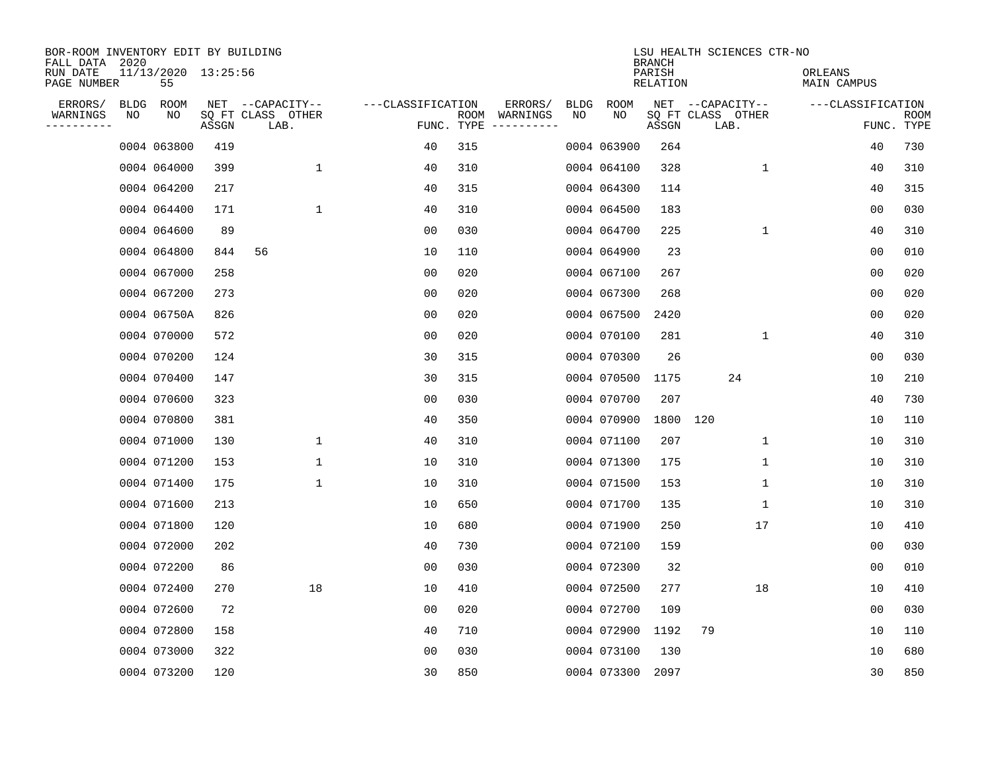| BOR-ROOM INVENTORY EDIT BY BUILDING<br>FALL DATA 2020 |      |                           |       |                           |                   |                    |                         |             |             | <b>BRANCH</b>             | LSU HEALTH SCIENCES CTR-NO |                        |                           |
|-------------------------------------------------------|------|---------------------------|-------|---------------------------|-------------------|--------------------|-------------------------|-------------|-------------|---------------------------|----------------------------|------------------------|---------------------------|
| RUN DATE<br>PAGE NUMBER                               |      | 11/13/2020 13:25:56<br>55 |       |                           |                   |                    |                         |             |             | PARISH<br><b>RELATION</b> |                            | ORLEANS<br>MAIN CAMPUS |                           |
| ERRORS/                                               | BLDG | ROOM                      |       | NET --CAPACITY--          | ---CLASSIFICATION |                    | ERRORS/                 | <b>BLDG</b> | <b>ROOM</b> |                           | NET --CAPACITY--           | ---CLASSIFICATION      |                           |
| WARNINGS<br>----------                                | ΝO   | NO                        | ASSGN | SQ FT CLASS OTHER<br>LAB. |                   | ROOM<br>FUNC. TYPE | WARNINGS<br>----------- | NO          | NO          | ASSGN                     | SQ FT CLASS OTHER<br>LAB.  |                        | <b>ROOM</b><br>FUNC. TYPE |
|                                                       |      | 0004 063800               | 419   |                           | 40                | 315                |                         |             | 0004 063900 | 264                       |                            | 40                     | 730                       |
|                                                       |      | 0004 064000               | 399   | 1                         | 40                | 310                |                         |             | 0004 064100 | 328                       | 1                          | 40                     | 310                       |
|                                                       |      | 0004 064200               | 217   |                           | 40                | 315                |                         |             | 0004 064300 | 114                       |                            | 40                     | 315                       |
|                                                       |      | 0004 064400               | 171   | 1                         | 40                | 310                |                         |             | 0004 064500 | 183                       |                            | 0 <sub>0</sub>         | 030                       |
|                                                       |      | 0004 064600               | 89    |                           | 0 <sub>0</sub>    | 030                |                         |             | 0004 064700 | 225                       | $\mathbf 1$                | 40                     | 310                       |
|                                                       |      | 0004 064800               | 844   | 56                        | 10                | 110                |                         |             | 0004 064900 | 23                        |                            | 0 <sub>0</sub>         | 010                       |
|                                                       |      | 0004 067000               | 258   |                           | 0 <sub>0</sub>    | 020                |                         |             | 0004 067100 | 267                       |                            | 0 <sub>0</sub>         | 020                       |
|                                                       |      | 0004 067200               | 273   |                           | 0 <sub>0</sub>    | 020                |                         |             | 0004 067300 | 268                       |                            | 0 <sub>0</sub>         | 020                       |
|                                                       |      | 0004 06750A               | 826   |                           | 0 <sub>0</sub>    | 020                |                         |             | 0004 067500 | 2420                      |                            | 0 <sub>0</sub>         | 020                       |
|                                                       |      | 0004 070000               | 572   |                           | 00                | 020                |                         |             | 0004 070100 | 281                       | $\mathbf{1}$               | 40                     | 310                       |
|                                                       |      | 0004 070200               | 124   |                           | 30                | 315                |                         |             | 0004 070300 | 26                        |                            | 00                     | 030                       |
|                                                       |      | 0004 070400               | 147   |                           | 30                | 315                |                         |             | 0004 070500 | 1175                      | 24                         | 10                     | 210                       |
|                                                       |      | 0004 070600               | 323   |                           | 0 <sub>0</sub>    | 030                |                         |             | 0004 070700 | 207                       |                            | 40                     | 730                       |
|                                                       |      | 0004 070800               | 381   |                           | 40                | 350                |                         |             | 0004 070900 | 1800                      | 120                        | 10                     | 110                       |
|                                                       |      | 0004 071000               | 130   | 1                         | 40                | 310                |                         |             | 0004 071100 | 207                       | 1                          | 10                     | 310                       |
|                                                       |      | 0004 071200               | 153   | 1                         | 10                | 310                |                         |             | 0004 071300 | 175                       | 1                          | 10                     | 310                       |
|                                                       |      | 0004 071400               | 175   | 1                         | 10                | 310                |                         |             | 0004 071500 | 153                       | 1                          | 10                     | 310                       |
|                                                       |      | 0004 071600               | 213   |                           | 10                | 650                |                         |             | 0004 071700 | 135                       | 1                          | 10                     | 310                       |
|                                                       |      | 0004 071800               | 120   |                           | 10                | 680                |                         |             | 0004 071900 | 250                       | 17                         | 10                     | 410                       |
|                                                       |      | 0004 072000               | 202   |                           | 40                | 730                |                         |             | 0004 072100 | 159                       |                            | 0 <sub>0</sub>         | 030                       |
|                                                       |      | 0004 072200               | 86    |                           | 0 <sub>0</sub>    | 030                |                         |             | 0004 072300 | 32                        |                            | 0 <sub>0</sub>         | 010                       |
|                                                       |      | 0004 072400               | 270   | 18                        | 10                | 410                |                         |             | 0004 072500 | 277                       | 18                         | 10                     | 410                       |
|                                                       |      | 0004 072600               | 72    |                           | 0 <sub>0</sub>    | 020                |                         |             | 0004 072700 | 109                       |                            | 0 <sub>0</sub>         | 030                       |
|                                                       |      | 0004 072800               | 158   |                           | 40                | 710                |                         |             | 0004 072900 | 1192                      | 79                         | 10                     | 110                       |
|                                                       |      | 0004 073000               | 322   |                           | 0 <sub>0</sub>    | 030                |                         |             | 0004 073100 | 130                       |                            | 10                     | 680                       |
|                                                       |      | 0004 073200               | 120   |                           | 30                | 850                |                         |             | 0004 073300 | 2097                      |                            | 30                     | 850                       |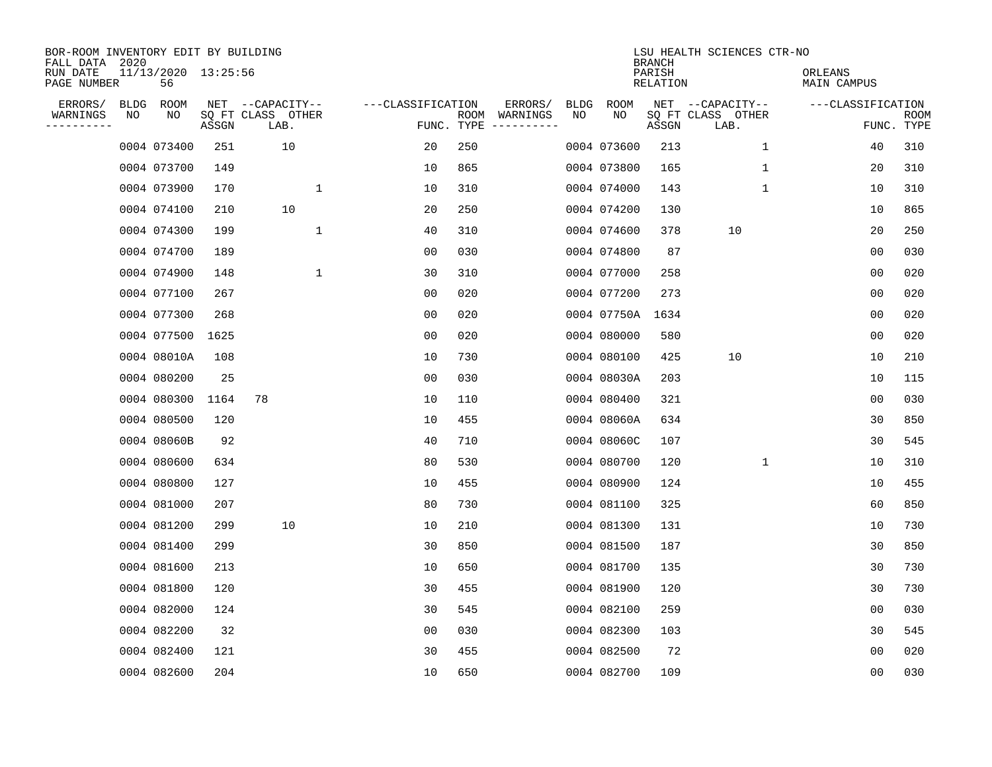| BOR-ROOM INVENTORY EDIT BY BUILDING<br>FALL DATA 2020 |      |                           |       |                           |                   |                    |                         |             |             | <b>BRANCH</b>             | LSU HEALTH SCIENCES CTR-NO |                        |                           |
|-------------------------------------------------------|------|---------------------------|-------|---------------------------|-------------------|--------------------|-------------------------|-------------|-------------|---------------------------|----------------------------|------------------------|---------------------------|
| RUN DATE<br>PAGE NUMBER                               |      | 11/13/2020 13:25:56<br>56 |       |                           |                   |                    |                         |             |             | PARISH<br><b>RELATION</b> |                            | ORLEANS<br>MAIN CAMPUS |                           |
| ERRORS/                                               | BLDG | ROOM                      |       | NET --CAPACITY--          | ---CLASSIFICATION |                    | ERRORS/                 | <b>BLDG</b> | <b>ROOM</b> |                           | NET --CAPACITY--           | ---CLASSIFICATION      |                           |
| WARNINGS<br>----------                                | NO   | NO                        | ASSGN | SQ FT CLASS OTHER<br>LAB. |                   | ROOM<br>FUNC. TYPE | WARNINGS<br>----------- | NO          | NO          | ASSGN                     | SQ FT CLASS OTHER<br>LAB.  |                        | <b>ROOM</b><br>FUNC. TYPE |
|                                                       |      | 0004 073400               | 251   | 10                        | 20                | 250                |                         |             | 0004 073600 | 213                       | $\mathbf 1$                | 40                     | 310                       |
|                                                       |      | 0004 073700               | 149   |                           | 10                | 865                |                         |             | 0004 073800 | 165                       | 1                          | 20                     | 310                       |
|                                                       |      | 0004 073900               | 170   | $\mathbf{1}$              | 10                | 310                |                         |             | 0004 074000 | 143                       | $\mathbf 1$                | 10                     | 310                       |
|                                                       |      | 0004 074100               | 210   | 10                        | 20                | 250                |                         |             | 0004 074200 | 130                       |                            | 10                     | 865                       |
|                                                       |      | 0004 074300               | 199   | $\mathbf{1}$              | 40                | 310                |                         |             | 0004 074600 | 378                       | 10                         | 20                     | 250                       |
|                                                       |      | 0004 074700               | 189   |                           | 0 <sub>0</sub>    | 030                |                         |             | 0004 074800 | 87                        |                            | 0 <sub>0</sub>         | 030                       |
|                                                       |      | 0004 074900               | 148   | $\mathbf{1}$              | 30                | 310                |                         |             | 0004 077000 | 258                       |                            | 0 <sub>0</sub>         | 020                       |
|                                                       |      | 0004 077100               | 267   |                           | 0 <sub>0</sub>    | 020                |                         |             | 0004 077200 | 273                       |                            | 0 <sub>0</sub>         | 020                       |
|                                                       |      | 0004 077300               | 268   |                           | 00                | 020                |                         |             | 0004 07750A | 1634                      |                            | 0 <sub>0</sub>         | 020                       |
|                                                       |      | 0004 077500               | 1625  |                           | 0 <sub>0</sub>    | 020                |                         |             | 0004 080000 | 580                       |                            | 0 <sub>0</sub>         | 020                       |
|                                                       |      | 0004 08010A               | 108   |                           | 10                | 730                |                         |             | 0004 080100 | 425                       | 10                         | 10                     | 210                       |
|                                                       |      | 0004 080200               | 25    |                           | 0 <sub>0</sub>    | 030                |                         |             | 0004 08030A | 203                       |                            | 10                     | 115                       |
|                                                       |      | 0004 080300               | 1164  | 78                        | 10                | 110                |                         |             | 0004 080400 | 321                       |                            | 00                     | 030                       |
|                                                       |      | 0004 080500               | 120   |                           | 10                | 455                |                         |             | 0004 08060A | 634                       |                            | 30                     | 850                       |
|                                                       |      | 0004 08060B               | 92    |                           | 40                | 710                |                         |             | 0004 08060C | 107                       |                            | 30                     | 545                       |
|                                                       |      | 0004 080600               | 634   |                           | 80                | 530                |                         |             | 0004 080700 | 120                       | 1                          | 10                     | 310                       |
|                                                       |      | 0004 080800               | 127   |                           | 10                | 455                |                         |             | 0004 080900 | 124                       |                            | 10                     | 455                       |
|                                                       |      | 0004 081000               | 207   |                           | 80                | 730                |                         |             | 0004 081100 | 325                       |                            | 60                     | 850                       |
|                                                       |      | 0004 081200               | 299   | 10                        | 10                | 210                |                         |             | 0004 081300 | 131                       |                            | 10                     | 730                       |
|                                                       |      | 0004 081400               | 299   |                           | 30                | 850                |                         |             | 0004 081500 | 187                       |                            | 30                     | 850                       |
|                                                       |      | 0004 081600               | 213   |                           | 10                | 650                |                         |             | 0004 081700 | 135                       |                            | 30                     | 730                       |
|                                                       |      | 0004 081800               | 120   |                           | 30                | 455                |                         |             | 0004 081900 | 120                       |                            | 30                     | 730                       |
|                                                       |      | 0004 082000               | 124   |                           | 30                | 545                |                         |             | 0004 082100 | 259                       |                            | 0 <sub>0</sub>         | 030                       |
|                                                       |      | 0004 082200               | 32    |                           | 0 <sub>0</sub>    | 030                |                         |             | 0004 082300 | 103                       |                            | 30                     | 545                       |
|                                                       |      | 0004 082400               | 121   |                           | 30                | 455                |                         |             | 0004 082500 | 72                        |                            | 0 <sub>0</sub>         | 020                       |
|                                                       |      | 0004 082600               | 204   |                           | 10                | 650                |                         |             | 0004 082700 | 109                       |                            | 0 <sub>0</sub>         | 030                       |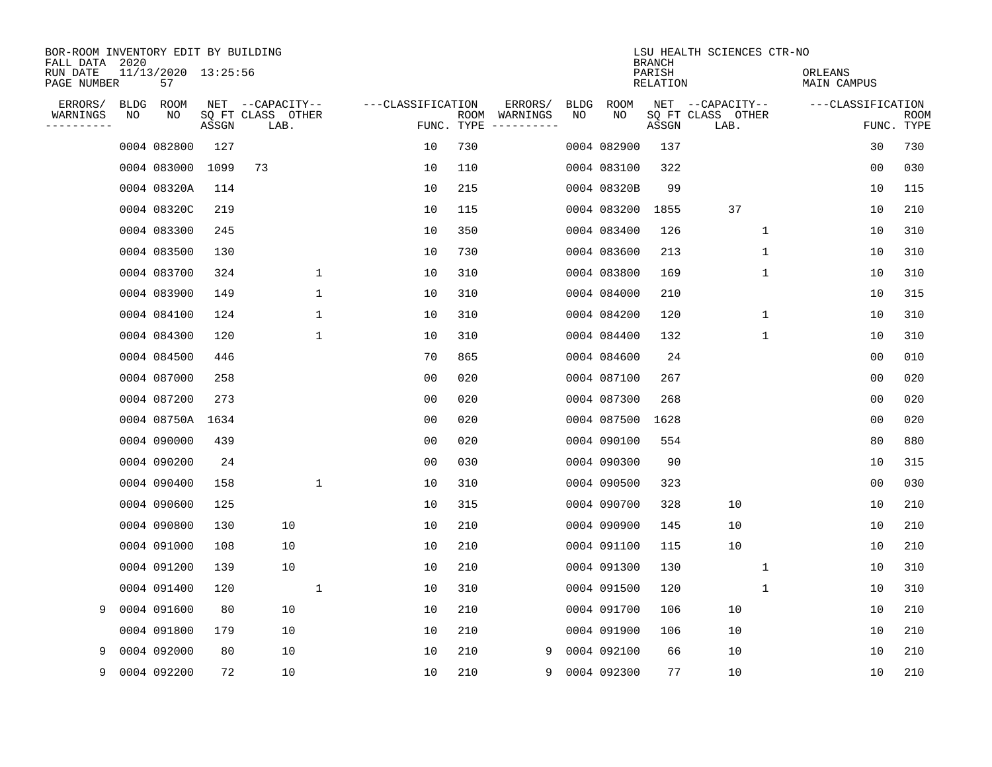| BOR-ROOM INVENTORY EDIT BY BUILDING<br>FALL DATA 2020 |             |                           |       |                           |              |                   |                    |          |             |             | <b>BRANCH</b>      | LSU HEALTH SCIENCES CTR-NO |              |                        |                           |
|-------------------------------------------------------|-------------|---------------------------|-------|---------------------------|--------------|-------------------|--------------------|----------|-------------|-------------|--------------------|----------------------------|--------------|------------------------|---------------------------|
| RUN DATE<br>PAGE NUMBER                               |             | 11/13/2020 13:25:56<br>57 |       |                           |              |                   |                    |          |             |             | PARISH<br>RELATION |                            |              | ORLEANS<br>MAIN CAMPUS |                           |
| ERRORS/                                               | <b>BLDG</b> | ROOM                      |       | NET --CAPACITY--          |              | ---CLASSIFICATION |                    | ERRORS/  | <b>BLDG</b> | ROOM        |                    | NET --CAPACITY--           |              | ---CLASSIFICATION      |                           |
| WARNINGS<br>---------                                 | NO          | NO                        | ASSGN | SQ FT CLASS OTHER<br>LAB. |              |                   | ROOM<br>FUNC. TYPE | WARNINGS | NO          | NO          | ASSGN              | SQ FT CLASS OTHER<br>LAB.  |              |                        | <b>ROOM</b><br>FUNC. TYPE |
|                                                       |             | 0004 082800               | 127   |                           |              | 10                | 730                |          |             | 0004 082900 | 137                |                            |              | 30                     | 730                       |
|                                                       |             | 0004 083000               | 1099  | 73                        |              | 10                | 110                |          |             | 0004 083100 | 322                |                            |              | 0 <sub>0</sub>         | 030                       |
|                                                       |             | 0004 08320A               | 114   |                           |              | 10                | 215                |          |             | 0004 08320B | 99                 |                            |              | 10                     | 115                       |
|                                                       |             | 0004 08320C               | 219   |                           |              | 10                | 115                |          |             | 0004 083200 | 1855               | 37                         |              | 10                     | 210                       |
|                                                       |             | 0004 083300               | 245   |                           |              | 10                | 350                |          |             | 0004 083400 | 126                |                            | 1            | 10                     | 310                       |
|                                                       |             | 0004 083500               | 130   |                           |              | 10                | 730                |          |             | 0004 083600 | 213                |                            | 1            | 10                     | 310                       |
|                                                       |             | 0004 083700               | 324   |                           | $\mathbf{1}$ | 10                | 310                |          |             | 0004 083800 | 169                |                            | $\mathbf{1}$ | 10                     | 310                       |
|                                                       |             | 0004 083900               | 149   |                           | $\mathbf{1}$ | 10                | 310                |          |             | 0004 084000 | 210                |                            |              | 10                     | 315                       |
|                                                       |             | 0004 084100               | 124   |                           | $\mathbf{1}$ | 10                | 310                |          |             | 0004 084200 | 120                |                            | 1            | 10                     | 310                       |
|                                                       |             | 0004 084300               | 120   |                           | 1            | 10                | 310                |          |             | 0004 084400 | 132                |                            | 1            | 10                     | 310                       |
|                                                       |             | 0004 084500               | 446   |                           |              | 70                | 865                |          |             | 0004 084600 | 24                 |                            |              | 0 <sub>0</sub>         | 010                       |
|                                                       |             | 0004 087000               | 258   |                           |              | 00                | 020                |          |             | 0004 087100 | 267                |                            |              | 0 <sub>0</sub>         | 020                       |
|                                                       |             | 0004 087200               | 273   |                           |              | 00                | 020                |          |             | 0004 087300 | 268                |                            |              | 0 <sub>0</sub>         | 020                       |
|                                                       |             | 0004 08750A               | 1634  |                           |              | 00                | 020                |          |             | 0004 087500 | 1628               |                            |              | 0 <sub>0</sub>         | 020                       |
|                                                       |             | 0004 090000               | 439   |                           |              | 00                | 020                |          |             | 0004 090100 | 554                |                            |              | 80                     | 880                       |
|                                                       |             | 0004 090200               | 24    |                           |              | 00                | 030                |          |             | 0004 090300 | 90                 |                            |              | 10                     | 315                       |
|                                                       |             | 0004 090400               | 158   |                           | $\mathbf{1}$ | 10                | 310                |          |             | 0004 090500 | 323                |                            |              | 00                     | 030                       |
|                                                       |             | 0004 090600               | 125   |                           |              | 10                | 315                |          |             | 0004 090700 | 328                | 10                         |              | 10                     | 210                       |
|                                                       |             | 0004 090800               | 130   | 10                        |              | 10                | 210                |          |             | 0004 090900 | 145                | 10                         |              | 10                     | 210                       |
|                                                       |             | 0004 091000               | 108   | 10                        |              | 10                | 210                |          |             | 0004 091100 | 115                | 10                         |              | 10                     | 210                       |
|                                                       |             | 0004 091200               | 139   | 10                        |              | 10                | 210                |          |             | 0004 091300 | 130                |                            | 1            | 10                     | 310                       |
|                                                       |             | 0004 091400               | 120   |                           | 1            | 10                | 310                |          |             | 0004 091500 | 120                |                            | $\mathbf 1$  | 10                     | 310                       |
| 9                                                     |             | 0004 091600               | 80    | 10                        |              | 10                | 210                |          |             | 0004 091700 | 106                | 10                         |              | 10                     | 210                       |
|                                                       |             | 0004 091800               | 179   | 10                        |              | 10                | 210                |          |             | 0004 091900 | 106                | 10                         |              | 10                     | 210                       |
| 9                                                     |             | 0004 092000               | 80    | 10                        |              | 10                | 210                |          | 9           | 0004 092100 | 66                 | 10                         |              | 10                     | 210                       |
| 9                                                     |             | 0004 092200               | 72    | 10                        |              | 10                | 210                |          | 9           | 0004 092300 | 77                 | 10                         |              | 10                     | 210                       |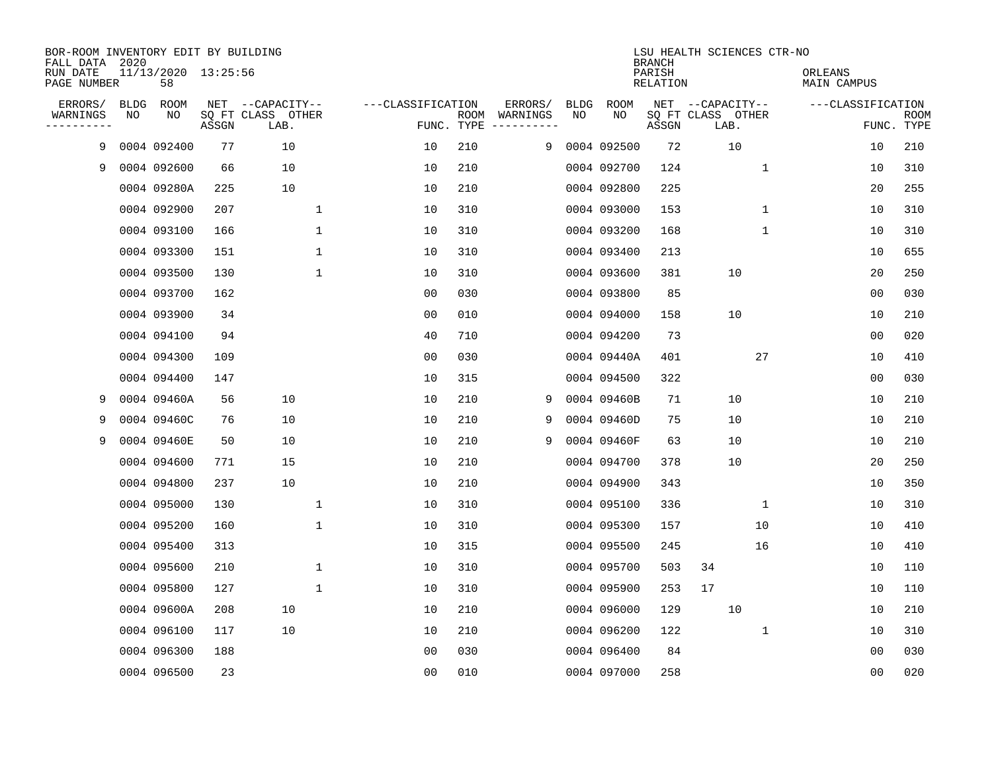| BOR-ROOM INVENTORY EDIT BY BUILDING<br>FALL DATA 2020 |             |                           |       |                           |              |                   |                    |                         |             |             | <b>BRANCH</b>             | LSU HEALTH SCIENCES CTR-NO |             |                        |                           |
|-------------------------------------------------------|-------------|---------------------------|-------|---------------------------|--------------|-------------------|--------------------|-------------------------|-------------|-------------|---------------------------|----------------------------|-------------|------------------------|---------------------------|
| RUN DATE<br>PAGE NUMBER                               |             | 11/13/2020 13:25:56<br>58 |       |                           |              |                   |                    |                         |             |             | PARISH<br><b>RELATION</b> |                            |             | ORLEANS<br>MAIN CAMPUS |                           |
| ERRORS/                                               | <b>BLDG</b> | ROOM                      |       | NET --CAPACITY--          |              | ---CLASSIFICATION |                    | ERRORS/                 | <b>BLDG</b> | <b>ROOM</b> |                           | NET --CAPACITY--           |             | ---CLASSIFICATION      |                           |
| WARNINGS<br>----------                                | NO          | NO                        | ASSGN | SQ FT CLASS OTHER<br>LAB. |              |                   | ROOM<br>FUNC. TYPE | WARNINGS<br>----------- | NO          | NO          | ASSGN                     | SQ FT CLASS OTHER<br>LAB.  |             |                        | <b>ROOM</b><br>FUNC. TYPE |
| 9                                                     |             | 0004 092400               | 77    | 10                        |              | 10                | 210                | 9                       |             | 0004 092500 | 72                        | 10                         |             | 10                     | 210                       |
| 9                                                     |             | 0004 092600               | 66    | 10                        |              | 10                | 210                |                         |             | 0004 092700 | 124                       |                            | 1           | 10                     | 310                       |
|                                                       |             | 0004 09280A               | 225   | 10                        |              | 10                | 210                |                         |             | 0004 092800 | 225                       |                            |             | 20                     | 255                       |
|                                                       |             | 0004 092900               | 207   |                           | 1            | 10                | 310                |                         |             | 0004 093000 | 153                       |                            | $\mathbf 1$ | 10                     | 310                       |
|                                                       |             | 0004 093100               | 166   |                           | 1            | 10                | 310                |                         |             | 0004 093200 | 168                       |                            | $\mathbf 1$ | 10                     | 310                       |
|                                                       |             | 0004 093300               | 151   |                           | $\mathbf{1}$ | 10                | 310                |                         |             | 0004 093400 | 213                       |                            |             | 10                     | 655                       |
|                                                       |             | 0004 093500               | 130   |                           | $\mathbf 1$  | 10                | 310                |                         |             | 0004 093600 | 381                       | 10                         |             | 20                     | 250                       |
|                                                       |             | 0004 093700               | 162   |                           |              | 0 <sub>0</sub>    | 030                |                         |             | 0004 093800 | 85                        |                            |             | 0 <sub>0</sub>         | 030                       |
|                                                       |             | 0004 093900               | 34    |                           |              | 0 <sub>0</sub>    | 010                |                         |             | 0004 094000 | 158                       | 10                         |             | 10                     | 210                       |
|                                                       |             | 0004 094100               | 94    |                           |              | 40                | 710                |                         |             | 0004 094200 | 73                        |                            |             | 0 <sub>0</sub>         | 020                       |
|                                                       |             | 0004 094300               | 109   |                           |              | 0 <sub>0</sub>    | 030                |                         |             | 0004 09440A | 401                       |                            | 27          | 10                     | 410                       |
|                                                       |             | 0004 094400               | 147   |                           |              | 10                | 315                |                         |             | 0004 094500 | 322                       |                            |             | 0 <sub>0</sub>         | 030                       |
| 9                                                     |             | 0004 09460A               | 56    | 10                        |              | 10                | 210                | 9                       |             | 0004 09460B | 71                        | 10                         |             | 10                     | 210                       |
| 9                                                     |             | 0004 09460C               | 76    | 10                        |              | 10                | 210                | 9                       |             | 0004 09460D | 75                        | 10                         |             | 10                     | 210                       |
| 9                                                     |             | 0004 09460E               | 50    | 10                        |              | 10                | 210                | 9                       |             | 0004 09460F | 63                        | 10                         |             | 10                     | 210                       |
|                                                       |             | 0004 094600               | 771   | 15                        |              | 10                | 210                |                         |             | 0004 094700 | 378                       | 10                         |             | 20                     | 250                       |
|                                                       |             | 0004 094800               | 237   | 10                        |              | 10                | 210                |                         |             | 0004 094900 | 343                       |                            |             | 10                     | 350                       |
|                                                       |             | 0004 095000               | 130   |                           | 1            | 10                | 310                |                         |             | 0004 095100 | 336                       |                            | 1           | 10                     | 310                       |
|                                                       |             | 0004 095200               | 160   |                           | 1            | 10                | 310                |                         |             | 0004 095300 | 157                       |                            | 10          | 10                     | 410                       |
|                                                       |             | 0004 095400               | 313   |                           |              | 10                | 315                |                         |             | 0004 095500 | 245                       |                            | 16          | 10                     | 410                       |
|                                                       |             | 0004 095600               | 210   |                           | 1            | 10                | 310                |                         |             | 0004 095700 | 503                       | 34                         |             | 10                     | 110                       |
|                                                       |             | 0004 095800               | 127   |                           | $\mathbf{1}$ | 10                | 310                |                         |             | 0004 095900 | 253                       | 17                         |             | 10                     | 110                       |
|                                                       |             | 0004 09600A               | 208   | 10                        |              | 10                | 210                |                         |             | 0004 096000 | 129                       | 10                         |             | 10                     | 210                       |
|                                                       |             | 0004 096100               | 117   | 10                        |              | 10                | 210                |                         |             | 0004 096200 | 122                       |                            | $\mathbf 1$ | 10                     | 310                       |
|                                                       |             | 0004 096300               | 188   |                           |              | 0 <sub>0</sub>    | 030                |                         |             | 0004 096400 | 84                        |                            |             | 0 <sub>0</sub>         | 030                       |
|                                                       |             | 0004 096500               | 23    |                           |              | 0 <sub>0</sub>    | 010                |                         |             | 0004 097000 | 258                       |                            |             | 00                     | 020                       |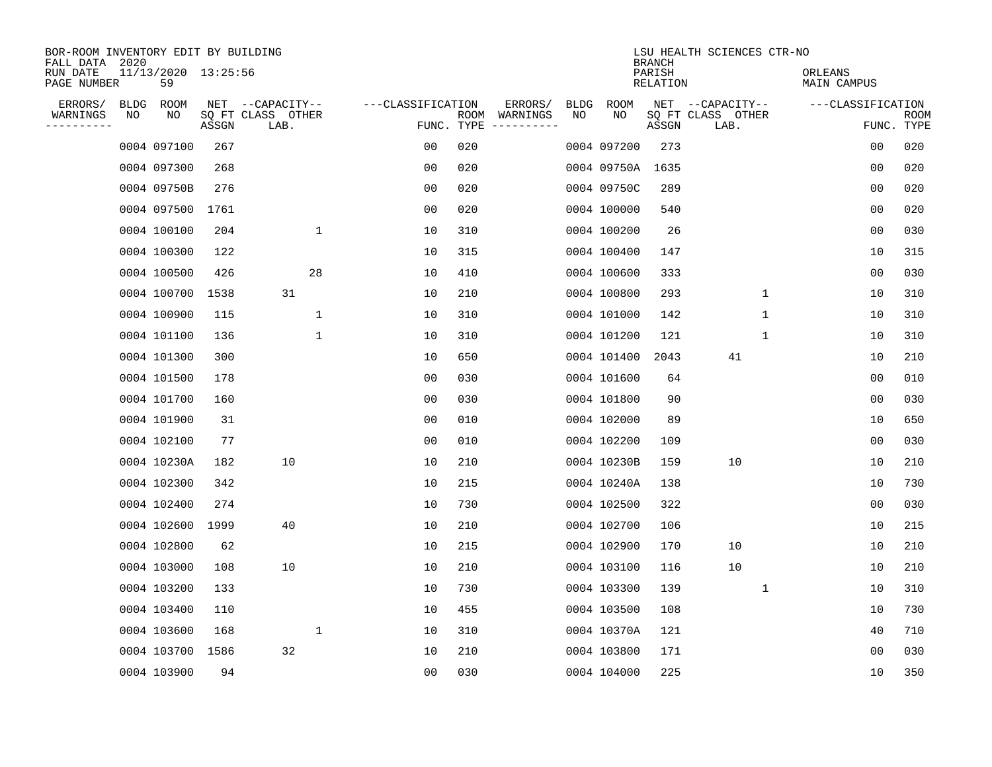| BOR-ROOM INVENTORY EDIT BY BUILDING<br>FALL DATA | 2020 |                           |       |                           |              |                   |                    |                         |      |             | <b>BRANCH</b>             | LSU HEALTH SCIENCES CTR-NO |              |                        |                |                           |
|--------------------------------------------------|------|---------------------------|-------|---------------------------|--------------|-------------------|--------------------|-------------------------|------|-------------|---------------------------|----------------------------|--------------|------------------------|----------------|---------------------------|
| RUN DATE<br>PAGE NUMBER                          |      | 11/13/2020 13:25:56<br>59 |       |                           |              |                   |                    |                         |      |             | PARISH<br><b>RELATION</b> |                            |              | ORLEANS<br>MAIN CAMPUS |                |                           |
| ERRORS/                                          |      | BLDG ROOM                 |       | NET --CAPACITY--          |              | ---CLASSIFICATION |                    | ERRORS/                 | BLDG | ROOM        |                           | NET --CAPACITY--           |              | ---CLASSIFICATION      |                |                           |
| WARNINGS<br>----------                           | NO   | NO                        | ASSGN | SQ FT CLASS OTHER<br>LAB. |              |                   | ROOM<br>FUNC. TYPE | WARNINGS<br>----------- | NO   | NO          | ASSGN                     | SQ FT CLASS OTHER<br>LAB.  |              |                        |                | <b>ROOM</b><br>FUNC. TYPE |
|                                                  |      | 0004 097100               | 267   |                           |              | 0 <sub>0</sub>    | 020                |                         |      | 0004 097200 | 273                       |                            |              |                        | 0 <sub>0</sub> | 020                       |
|                                                  |      | 0004 097300               | 268   |                           |              | 0 <sub>0</sub>    | 020                |                         |      | 0004 09750A | 1635                      |                            |              |                        | 0 <sub>0</sub> | 020                       |
|                                                  |      | 0004 09750B               | 276   |                           |              | 0 <sub>0</sub>    | 020                |                         |      | 0004 09750C | 289                       |                            |              |                        | 0 <sub>0</sub> | 020                       |
|                                                  |      | 0004 097500               | 1761  |                           |              | 0 <sub>0</sub>    | 020                |                         |      | 0004 100000 | 540                       |                            |              |                        | 0 <sub>0</sub> | 020                       |
|                                                  |      | 0004 100100               | 204   |                           | $\mathbf 1$  | 10                | 310                |                         |      | 0004 100200 | 26                        |                            |              |                        | 0 <sub>0</sub> | 030                       |
|                                                  |      | 0004 100300               | 122   |                           |              | 10                | 315                |                         |      | 0004 100400 | 147                       |                            |              |                        | 10             | 315                       |
|                                                  |      | 0004 100500               | 426   |                           | 28           | 10                | 410                |                         |      | 0004 100600 | 333                       |                            |              |                        | 0 <sub>0</sub> | 030                       |
|                                                  |      | 0004 100700               | 1538  | 31                        |              | 10                | 210                |                         |      | 0004 100800 | 293                       |                            | $\mathbf 1$  |                        | 10             | 310                       |
|                                                  |      | 0004 100900               | 115   |                           | $\mathbf 1$  | 10                | 310                |                         |      | 0004 101000 | 142                       |                            | $\mathbf{1}$ |                        | 10             | 310                       |
|                                                  |      | 0004 101100               | 136   |                           | $\mathbf{1}$ | 10                | 310                |                         |      | 0004 101200 | 121                       |                            | 1            |                        | 10             | 310                       |
|                                                  |      | 0004 101300               | 300   |                           |              | 10                | 650                |                         |      | 0004 101400 | 2043                      | 41                         |              |                        | 10             | 210                       |
|                                                  |      | 0004 101500               | 178   |                           |              | 0 <sub>0</sub>    | 030                |                         |      | 0004 101600 | 64                        |                            |              |                        | 0 <sub>0</sub> | 010                       |
|                                                  |      | 0004 101700               | 160   |                           |              | 0 <sub>0</sub>    | 030                |                         |      | 0004 101800 | 90                        |                            |              |                        | 0 <sub>0</sub> | 030                       |
|                                                  |      | 0004 101900               | 31    |                           |              | 0 <sub>0</sub>    | 010                |                         |      | 0004 102000 | 89                        |                            |              |                        | 10             | 650                       |
|                                                  |      | 0004 102100               | 77    |                           |              | 0 <sub>0</sub>    | 010                |                         |      | 0004 102200 | 109                       |                            |              |                        | 0 <sub>0</sub> | 030                       |
|                                                  |      | 0004 10230A               | 182   | 10                        |              | 10                | 210                |                         |      | 0004 10230B | 159                       | 10                         |              |                        | 10             | 210                       |
|                                                  |      | 0004 102300               | 342   |                           |              | 10                | 215                |                         |      | 0004 10240A | 138                       |                            |              |                        | 10             | 730                       |
|                                                  |      | 0004 102400               | 274   |                           |              | 10                | 730                |                         |      | 0004 102500 | 322                       |                            |              |                        | 00             | 030                       |
|                                                  |      | 0004 102600               | 1999  | 40                        |              | 10                | 210                |                         |      | 0004 102700 | 106                       |                            |              |                        | 10             | 215                       |
|                                                  |      | 0004 102800               | 62    |                           |              | 10                | 215                |                         |      | 0004 102900 | 170                       | 10                         |              |                        | 10             | 210                       |
|                                                  |      | 0004 103000               | 108   | 10                        |              | 10                | 210                |                         |      | 0004 103100 | 116                       | 10                         |              |                        | 10             | 210                       |
|                                                  |      | 0004 103200               | 133   |                           |              | 10                | 730                |                         |      | 0004 103300 | 139                       |                            | 1            |                        | 10             | 310                       |
|                                                  |      | 0004 103400               | 110   |                           |              | 10                | 455                |                         |      | 0004 103500 | 108                       |                            |              |                        | 10             | 730                       |
|                                                  |      | 0004 103600               | 168   |                           | $\mathbf 1$  | 10                | 310                |                         |      | 0004 10370A | 121                       |                            |              |                        | 40             | 710                       |
|                                                  |      | 0004 103700               | 1586  | 32                        |              | 10                | 210                |                         |      | 0004 103800 | 171                       |                            |              |                        | 0 <sub>0</sub> | 030                       |
|                                                  |      | 0004 103900               | 94    |                           |              | 0 <sub>0</sub>    | 030                |                         |      | 0004 104000 | 225                       |                            |              |                        | 10             | 350                       |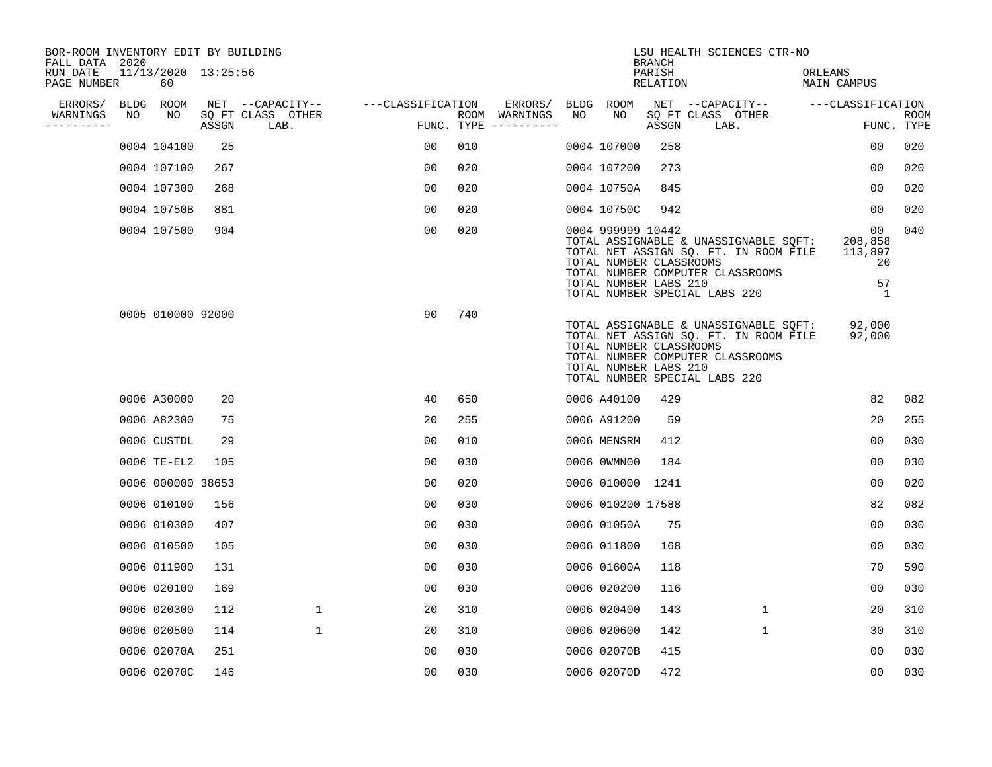| BOR-ROOM INVENTORY EDIT BY BUILDING<br>FALL DATA 2020 |    |                           |       |                           |                   |     |                                      |    |                                                                       | <b>BRANCH</b>      | LSU HEALTH SCIENCES CTR-NO                                                                                                                          |                                                        |                           |
|-------------------------------------------------------|----|---------------------------|-------|---------------------------|-------------------|-----|--------------------------------------|----|-----------------------------------------------------------------------|--------------------|-----------------------------------------------------------------------------------------------------------------------------------------------------|--------------------------------------------------------|---------------------------|
| RUN DATE<br>PAGE NUMBER                               |    | 11/13/2020 13:25:56<br>60 |       |                           |                   |     |                                      |    |                                                                       | PARISH<br>RELATION |                                                                                                                                                     | ORLEANS<br>MAIN CAMPUS                                 |                           |
| ERRORS/                                               |    | BLDG ROOM                 |       | NET --CAPACITY--          | ---CLASSIFICATION |     | ERRORS/                              |    | BLDG ROOM                                                             |                    | NET --CAPACITY--                                                                                                                                    | ---CLASSIFICATION                                      |                           |
| WARNINGS<br>----------                                | NO | NO                        | ASSGN | SQ FT CLASS OTHER<br>LAB. |                   |     | ROOM WARNINGS<br>FUNC. TYPE $------$ | NO | NO                                                                    | ASSGN              | SQ FT CLASS OTHER<br>LAB.                                                                                                                           |                                                        | <b>ROOM</b><br>FUNC. TYPE |
|                                                       |    | 0004 104100               | 25    |                           | 00                | 010 |                                      |    | 0004 107000                                                           | 258                |                                                                                                                                                     | 00                                                     | 020                       |
|                                                       |    | 0004 107100               | 267   |                           | 0 <sub>0</sub>    | 020 |                                      |    | 0004 107200                                                           | 273                |                                                                                                                                                     | 00                                                     | 020                       |
|                                                       |    | 0004 107300               | 268   |                           | 00                | 020 |                                      |    | 0004 10750A                                                           | 845                |                                                                                                                                                     | 00                                                     | 020                       |
|                                                       |    | 0004 10750B               | 881   |                           | 0 <sub>0</sub>    | 020 |                                      |    | 0004 10750C                                                           | 942                |                                                                                                                                                     | 00                                                     | 020                       |
|                                                       |    | 0004 107500               | 904   |                           | 00                | 020 |                                      |    | 0004 999999 10442<br>TOTAL NUMBER CLASSROOMS<br>TOTAL NUMBER LABS 210 |                    | TOTAL ASSIGNABLE & UNASSIGNABLE SQFT:<br>TOTAL NET ASSIGN SQ. FT. IN ROOM FILE<br>TOTAL NUMBER COMPUTER CLASSROOMS<br>TOTAL NUMBER SPECIAL LABS 220 | 00 <sub>o</sub><br>208,858<br>113,897<br>20<br>57<br>1 | 040                       |
|                                                       |    | 0005 010000 92000         |       |                           | 90                | 740 |                                      |    | TOTAL NUMBER CLASSROOMS<br>TOTAL NUMBER LABS 210                      |                    | TOTAL ASSIGNABLE & UNASSIGNABLE SQFT:<br>TOTAL NET ASSIGN SQ. FT. IN ROOM FILE<br>TOTAL NUMBER COMPUTER CLASSROOMS<br>TOTAL NUMBER SPECIAL LABS 220 | 92,000<br>92,000                                       |                           |
|                                                       |    | 0006 A30000               | 20    |                           | 40                | 650 |                                      |    | 0006 A40100                                                           | 429                |                                                                                                                                                     | 82                                                     | 082                       |
|                                                       |    | 0006 A82300               | 75    |                           | 20                | 255 |                                      |    | 0006 A91200                                                           | 59                 |                                                                                                                                                     | 20                                                     | 255                       |
|                                                       |    | 0006 CUSTDL               | 29    |                           | 00                | 010 |                                      |    | 0006 MENSRM                                                           | 412                |                                                                                                                                                     | 0 <sub>0</sub>                                         | 030                       |
|                                                       |    | 0006 TE-EL2               | 105   |                           | 0 <sub>0</sub>    | 030 |                                      |    | 0006 0WMN00                                                           | 184                |                                                                                                                                                     | 0 <sub>0</sub>                                         | 030                       |
|                                                       |    | 0006 000000 38653         |       |                           | 0 <sub>0</sub>    | 020 |                                      |    | 0006 010000 1241                                                      |                    |                                                                                                                                                     | 0 <sub>0</sub>                                         | 020                       |
|                                                       |    | 0006 010100               | 156   |                           | 0 <sub>0</sub>    | 030 |                                      |    | 0006 010200 17588                                                     |                    |                                                                                                                                                     | 82                                                     | 082                       |
|                                                       |    | 0006 010300               | 407   |                           | 0 <sub>0</sub>    | 030 |                                      |    | 0006 01050A                                                           | 75                 |                                                                                                                                                     | 0 <sub>0</sub>                                         | 030                       |
|                                                       |    | 0006 010500               | 105   |                           | 00                | 030 |                                      |    | 0006 011800                                                           | 168                |                                                                                                                                                     | 0 <sub>0</sub>                                         | 030                       |
|                                                       |    | 0006 011900               | 131   |                           | 0 <sub>0</sub>    | 030 |                                      |    | 0006 01600A                                                           | 118                |                                                                                                                                                     | 70                                                     | 590                       |
|                                                       |    | 0006 020100               | 169   |                           | 0 <sub>0</sub>    | 030 |                                      |    | 0006 020200                                                           | 116                |                                                                                                                                                     | 00                                                     | 030                       |
|                                                       |    | 0006 020300               | 112   | $\mathbf{1}$              | 20                | 310 |                                      |    | 0006 020400                                                           | 143                | $\mathbf{1}$                                                                                                                                        | 20                                                     | 310                       |
|                                                       |    | 0006 020500               | 114   | $\mathbf{1}$              | 20                | 310 |                                      |    | 0006 020600                                                           | 142                | $\mathbf 1$                                                                                                                                         | 30                                                     | 310                       |
|                                                       |    | 0006 02070A               | 251   |                           | 0 <sub>0</sub>    | 030 |                                      |    | 0006 02070B                                                           | 415                |                                                                                                                                                     | 0 <sub>0</sub>                                         | 030                       |
|                                                       |    | 0006 02070C               | 146   |                           | 0 <sub>0</sub>    | 030 |                                      |    | 0006 02070D                                                           | 472                |                                                                                                                                                     | 0 <sub>0</sub>                                         | 030                       |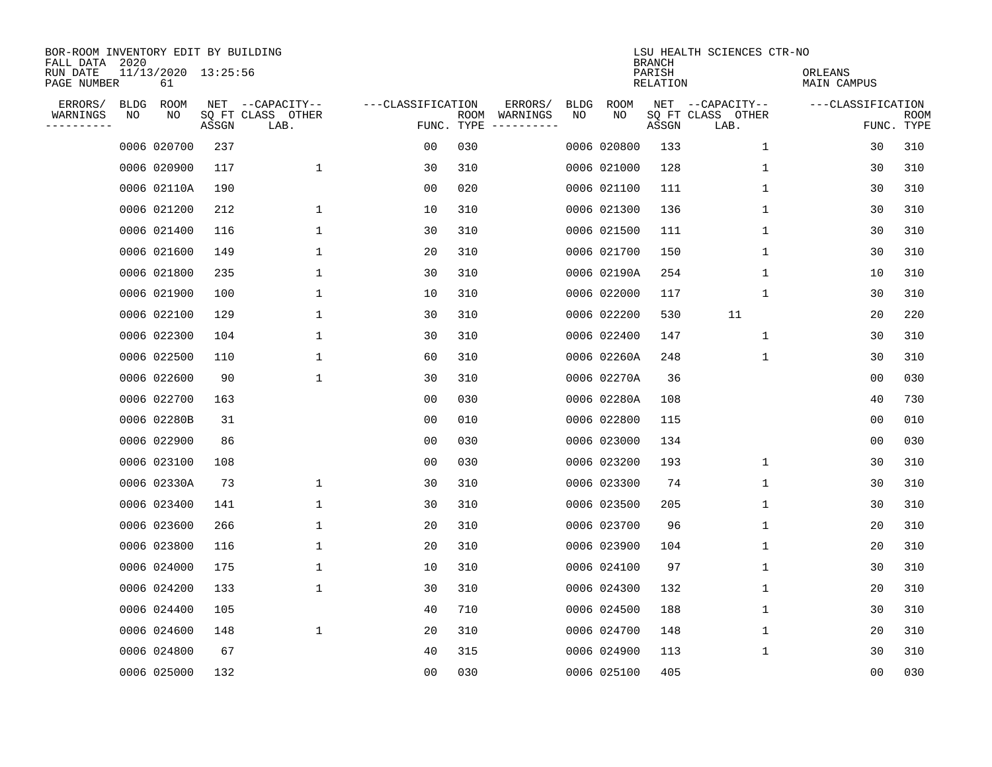| BOR-ROOM INVENTORY EDIT BY BUILDING<br>FALL DATA 2020 |             |                           |       |                           |                   |                    |          |             |             | <b>BRANCH</b>      | LSU HEALTH SCIENCES CTR-NO |                        |                           |
|-------------------------------------------------------|-------------|---------------------------|-------|---------------------------|-------------------|--------------------|----------|-------------|-------------|--------------------|----------------------------|------------------------|---------------------------|
| RUN DATE<br>PAGE NUMBER                               |             | 11/13/2020 13:25:56<br>61 |       |                           |                   |                    |          |             |             | PARISH<br>RELATION |                            | ORLEANS<br>MAIN CAMPUS |                           |
| ERRORS/                                               | <b>BLDG</b> | ROOM                      |       | NET --CAPACITY--          | ---CLASSIFICATION |                    | ERRORS/  | <b>BLDG</b> | <b>ROOM</b> |                    | NET --CAPACITY--           | ---CLASSIFICATION      |                           |
| WARNINGS<br>----------                                | ΝO          | NO                        | ASSGN | SQ FT CLASS OTHER<br>LAB. |                   | ROOM<br>FUNC. TYPE | WARNINGS | NO          | NO          | ASSGN              | SQ FT CLASS OTHER<br>LAB.  |                        | <b>ROOM</b><br>FUNC. TYPE |
|                                                       |             | 0006 020700               | 237   |                           | 00                | 030                |          |             | 0006 020800 | 133                | 1                          | 30                     | 310                       |
|                                                       |             | 0006 020900               | 117   | 1                         | 30                | 310                |          |             | 0006 021000 | 128                | 1                          | 30                     | 310                       |
|                                                       |             | 0006 02110A               | 190   |                           | 00                | 020                |          |             | 0006 021100 | 111                | 1                          | 30                     | 310                       |
|                                                       |             | 0006 021200               | 212   | 1                         | 10                | 310                |          |             | 0006 021300 | 136                | 1                          | 30                     | 310                       |
|                                                       |             | 0006 021400               | 116   | 1                         | 30                | 310                |          |             | 0006 021500 | 111                | $\mathbf{1}$               | 30                     | 310                       |
|                                                       |             | 0006 021600               | 149   | $\mathbf{1}$              | 20                | 310                |          |             | 0006 021700 | 150                | $\mathbf 1$                | 30                     | 310                       |
|                                                       |             | 0006 021800               | 235   | $\mathbf{1}$              | 30                | 310                |          |             | 0006 02190A | 254                | $\mathbf{1}$               | 10                     | 310                       |
|                                                       |             | 0006 021900               | 100   | $\mathbf{1}$              | 10                | 310                |          |             | 0006 022000 | 117                | $\mathbf 1$                | 30                     | 310                       |
|                                                       |             | 0006 022100               | 129   | $\mathbf{1}$              | 30                | 310                |          |             | 0006 022200 | 530                | 11                         | 20                     | 220                       |
|                                                       |             | 0006 022300               | 104   | 1                         | 30                | 310                |          |             | 0006 022400 | 147                | 1                          | 30                     | 310                       |
|                                                       |             | 0006 022500               | 110   | 1                         | 60                | 310                |          |             | 0006 02260A | 248                | 1                          | 30                     | 310                       |
|                                                       |             | 0006 022600               | 90    | $\mathbf{1}$              | 30                | 310                |          |             | 0006 02270A | 36                 |                            | 0 <sub>0</sub>         | 030                       |
|                                                       |             | 0006 022700               | 163   |                           | 0 <sub>0</sub>    | 030                |          |             | 0006 02280A | 108                |                            | 40                     | 730                       |
|                                                       |             | 0006 02280B               | 31    |                           | 00                | 010                |          |             | 0006 022800 | 115                |                            | 0 <sub>0</sub>         | 010                       |
|                                                       |             | 0006 022900               | 86    |                           | 0 <sub>0</sub>    | 030                |          |             | 0006 023000 | 134                |                            | 0 <sub>0</sub>         | 030                       |
|                                                       |             | 0006 023100               | 108   |                           | 0 <sub>0</sub>    | 030                |          |             | 0006 023200 | 193                | 1                          | 30                     | 310                       |
|                                                       |             | 0006 02330A               | 73    | 1                         | 30                | 310                |          |             | 0006 023300 | 74                 | 1                          | 30                     | 310                       |
|                                                       |             | 0006 023400               | 141   | 1                         | 30                | 310                |          |             | 0006 023500 | 205                | 1                          | 30                     | 310                       |
|                                                       |             | 0006 023600               | 266   | 1                         | 20                | 310                |          |             | 0006 023700 | 96                 | 1                          | 20                     | 310                       |
|                                                       |             | 0006 023800               | 116   | 1                         | 20                | 310                |          |             | 0006 023900 | 104                | 1                          | 20                     | 310                       |
|                                                       |             | 0006 024000               | 175   | 1                         | 10                | 310                |          |             | 0006 024100 | 97                 | 1                          | 30                     | 310                       |
|                                                       |             | 0006 024200               | 133   | $\mathbf{1}$              | 30                | 310                |          |             | 0006 024300 | 132                | 1                          | 20                     | 310                       |
|                                                       |             | 0006 024400               | 105   |                           | 40                | 710                |          |             | 0006 024500 | 188                | 1                          | 30                     | 310                       |
|                                                       |             | 0006 024600               | 148   | $\mathbf 1$               | 20                | 310                |          |             | 0006 024700 | 148                | 1                          | 20                     | 310                       |
|                                                       |             | 0006 024800               | 67    |                           | 40                | 315                |          |             | 0006 024900 | 113                | $\mathbf 1$                | 30                     | 310                       |
|                                                       |             | 0006 025000               | 132   |                           | 0 <sub>0</sub>    | 030                |          |             | 0006 025100 | 405                |                            | 0 <sub>0</sub>         | 030                       |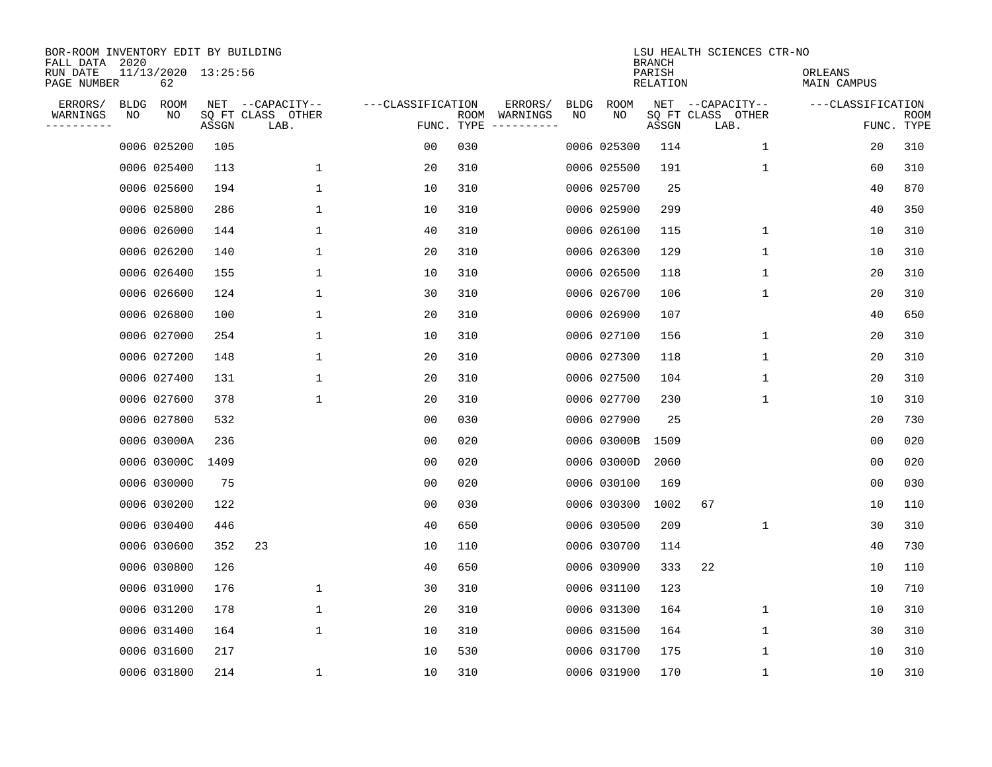| BOR-ROOM INVENTORY EDIT BY BUILDING<br>FALL DATA 2020 |             |                           |       |                           |                   |                    |                         |             |             | <b>BRANCH</b>      | LSU HEALTH SCIENCES CTR-NO |                        |                           |
|-------------------------------------------------------|-------------|---------------------------|-------|---------------------------|-------------------|--------------------|-------------------------|-------------|-------------|--------------------|----------------------------|------------------------|---------------------------|
| RUN DATE<br>PAGE NUMBER                               |             | 11/13/2020 13:25:56<br>62 |       |                           |                   |                    |                         |             |             | PARISH<br>RELATION |                            | ORLEANS<br>MAIN CAMPUS |                           |
| ERRORS/                                               | <b>BLDG</b> | ROOM                      |       | NET --CAPACITY--          | ---CLASSIFICATION |                    | ERRORS/                 | <b>BLDG</b> | <b>ROOM</b> |                    | NET --CAPACITY--           | ---CLASSIFICATION      |                           |
| WARNINGS<br>----------                                | NO          | NO                        | ASSGN | SQ FT CLASS OTHER<br>LAB. |                   | ROOM<br>FUNC. TYPE | WARNINGS<br>----------- | NO          | NO          | ASSGN              | SQ FT CLASS OTHER<br>LAB.  |                        | <b>ROOM</b><br>FUNC. TYPE |
|                                                       |             | 0006 025200               | 105   |                           | 00                | 030                |                         |             | 0006 025300 | 114                | $\mathbf 1$                | 20                     | 310                       |
|                                                       |             | 0006 025400               | 113   | 1                         | 20                | 310                |                         |             | 0006 025500 | 191                | 1                          | 60                     | 310                       |
|                                                       |             | 0006 025600               | 194   | $\mathbf 1$               | 10                | 310                |                         |             | 0006 025700 | 25                 |                            | 40                     | 870                       |
|                                                       |             | 0006 025800               | 286   | 1                         | 10                | 310                |                         |             | 0006 025900 | 299                |                            | 40                     | 350                       |
|                                                       |             | 0006 026000               | 144   | $\mathbf 1$               | 40                | 310                |                         |             | 0006 026100 | 115                | $\mathbf{1}$               | 10                     | 310                       |
|                                                       |             | 0006 026200               | 140   | $\mathbf{1}$              | 20                | 310                |                         |             | 0006 026300 | 129                | 1                          | 10                     | 310                       |
|                                                       |             | 0006 026400               | 155   | $\mathbf 1$               | 10                | 310                |                         |             | 0006 026500 | 118                | $\mathbf 1$                | 20                     | 310                       |
|                                                       |             | 0006 026600               | 124   | 1                         | 30                | 310                |                         |             | 0006 026700 | 106                | 1                          | 20                     | 310                       |
|                                                       |             | 0006 026800               | 100   | 1                         | 20                | 310                |                         |             | 0006 026900 | 107                |                            | 40                     | 650                       |
|                                                       |             | 0006 027000               | 254   | 1                         | 10                | 310                |                         |             | 0006 027100 | 156                | $\mathbf 1$                | 20                     | 310                       |
|                                                       |             | 0006 027200               | 148   | 1                         | 20                | 310                |                         |             | 0006 027300 | 118                | $\mathbf 1$                | 20                     | 310                       |
|                                                       |             | 0006 027400               | 131   | 1                         | 20                | 310                |                         |             | 0006 027500 | 104                | 1                          | 20                     | 310                       |
|                                                       |             | 0006 027600               | 378   | 1                         | 20                | 310                |                         |             | 0006 027700 | 230                | 1                          | 10                     | 310                       |
|                                                       |             | 0006 027800               | 532   |                           | 00                | 030                |                         |             | 0006 027900 | 25                 |                            | 20                     | 730                       |
|                                                       |             | 0006 03000A               | 236   |                           | 0 <sub>0</sub>    | 020                |                         |             | 0006 03000B | 1509               |                            | 0 <sub>0</sub>         | 020                       |
|                                                       |             | 0006 03000C               | 1409  |                           | 0 <sub>0</sub>    | 020                |                         |             | 0006 03000D | 2060               |                            | 0 <sub>0</sub>         | 020                       |
|                                                       |             | 0006 030000               | 75    |                           | 0 <sub>0</sub>    | 020                |                         |             | 0006 030100 | 169                |                            | 0 <sub>0</sub>         | 030                       |
|                                                       |             | 0006 030200               | 122   |                           | 0 <sub>0</sub>    | 030                |                         |             | 0006 030300 | 1002               | 67                         | 10                     | 110                       |
|                                                       |             | 0006 030400               | 446   |                           | 40                | 650                |                         |             | 0006 030500 | 209                | 1                          | 30                     | 310                       |
|                                                       |             | 0006 030600               | 352   | 23                        | 10                | 110                |                         |             | 0006 030700 | 114                |                            | 40                     | 730                       |
|                                                       |             | 0006 030800               | 126   |                           | 40                | 650                |                         |             | 0006 030900 | 333                | 22                         | 10                     | 110                       |
|                                                       |             | 0006 031000               | 176   | $\mathbf 1$               | 30                | 310                |                         |             | 0006 031100 | 123                |                            | 10                     | 710                       |
|                                                       |             | 0006 031200               | 178   | 1                         | 20                | 310                |                         |             | 0006 031300 | 164                | 1                          | 10                     | 310                       |
|                                                       |             | 0006 031400               | 164   | $\mathbf 1$               | 10                | 310                |                         |             | 0006 031500 | 164                | 1                          | 30                     | 310                       |
|                                                       |             | 0006 031600               | 217   |                           | 10                | 530                |                         |             | 0006 031700 | 175                | 1                          | 10                     | 310                       |
|                                                       |             | 0006 031800               | 214   | 1                         | 10                | 310                |                         |             | 0006 031900 | 170                | 1                          | 10                     | 310                       |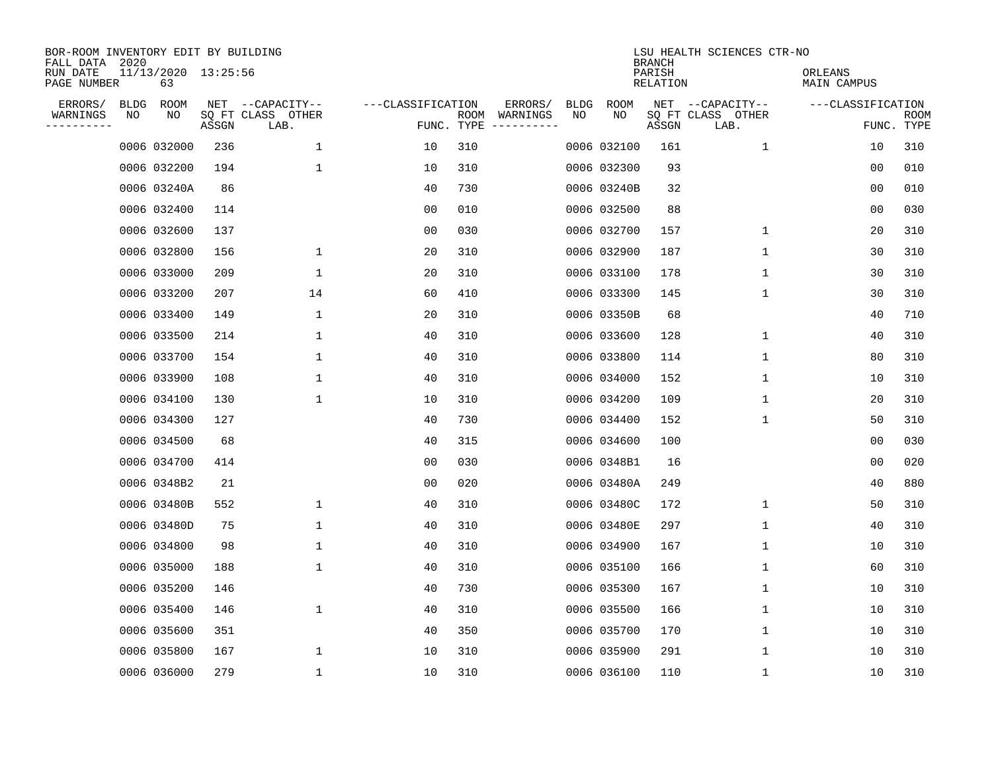| BOR-ROOM INVENTORY EDIT BY BUILDING<br>FALL DATA 2020 |      |                           |       |                           |                   |                    |                         |             |             | <b>BRANCH</b>             | LSU HEALTH SCIENCES CTR-NO |                        |                           |
|-------------------------------------------------------|------|---------------------------|-------|---------------------------|-------------------|--------------------|-------------------------|-------------|-------------|---------------------------|----------------------------|------------------------|---------------------------|
| RUN DATE<br>PAGE NUMBER                               |      | 11/13/2020 13:25:56<br>63 |       |                           |                   |                    |                         |             |             | PARISH<br><b>RELATION</b> |                            | ORLEANS<br>MAIN CAMPUS |                           |
| ERRORS/                                               | BLDG | ROOM                      |       | NET --CAPACITY--          | ---CLASSIFICATION |                    | ERRORS/                 | <b>BLDG</b> | <b>ROOM</b> |                           | NET --CAPACITY--           | ---CLASSIFICATION      |                           |
| WARNINGS<br>----------                                | NO   | NO                        | ASSGN | SQ FT CLASS OTHER<br>LAB. |                   | ROOM<br>FUNC. TYPE | WARNINGS<br>----------- | NO.         | NO          | ASSGN                     | SQ FT CLASS OTHER<br>LAB.  |                        | <b>ROOM</b><br>FUNC. TYPE |
|                                                       |      | 0006 032000               | 236   | $\mathbf{1}$              | 10                | 310                |                         |             | 0006 032100 | 161                       | $\mathbf{1}$               | 10                     | 310                       |
|                                                       |      | 0006 032200               | 194   | $\mathbf 1$               | 10                | 310                |                         |             | 0006 032300 | 93                        |                            | 0 <sub>0</sub>         | 010                       |
|                                                       |      | 0006 03240A               | 86    |                           | 40                | 730                |                         |             | 0006 03240B | 32                        |                            | 0 <sub>0</sub>         | 010                       |
|                                                       |      | 0006 032400               | 114   |                           | 0 <sub>0</sub>    | 010                |                         |             | 0006 032500 | 88                        |                            | 0 <sub>0</sub>         | 030                       |
|                                                       |      | 0006 032600               | 137   |                           | 0 <sub>0</sub>    | 030                |                         |             | 0006 032700 | 157                       | $\mathbf 1$                | 20                     | 310                       |
|                                                       |      | 0006 032800               | 156   | 1                         | 20                | 310                |                         |             | 0006 032900 | 187                       | 1                          | 30                     | 310                       |
|                                                       |      | 0006 033000               | 209   | $\mathbf 1$               | 20                | 310                |                         |             | 0006 033100 | 178                       | $\mathbf 1$                | 30                     | 310                       |
|                                                       |      | 0006 033200               | 207   | 14                        | 60                | 410                |                         |             | 0006 033300 | 145                       | 1                          | 30                     | 310                       |
|                                                       |      | 0006 033400               | 149   | 1                         | 20                | 310                |                         |             | 0006 03350B | 68                        |                            | 40                     | 710                       |
|                                                       |      | 0006 033500               | 214   | 1                         | 40                | 310                |                         |             | 0006 033600 | 128                       | $\mathbf 1$                | 40                     | 310                       |
|                                                       |      | 0006 033700               | 154   | 1                         | 40                | 310                |                         |             | 0006 033800 | 114                       | $\mathbf 1$                | 80                     | 310                       |
|                                                       |      | 0006 033900               | 108   | $\mathbf 1$               | 40                | 310                |                         |             | 0006 034000 | 152                       | 1                          | 10                     | 310                       |
|                                                       |      | 0006 034100               | 130   | $\mathbf 1$               | 10                | 310                |                         |             | 0006 034200 | 109                       | 1                          | 20                     | 310                       |
|                                                       |      | 0006 034300               | 127   |                           | 40                | 730                |                         |             | 0006 034400 | 152                       | 1                          | 50                     | 310                       |
|                                                       |      | 0006 034500               | 68    |                           | 40                | 315                |                         |             | 0006 034600 | 100                       |                            | 0 <sub>0</sub>         | 030                       |
|                                                       |      | 0006 034700               | 414   |                           | 0 <sub>0</sub>    | 030                |                         |             | 0006 0348B1 | 16                        |                            | 0 <sub>0</sub>         | 020                       |
|                                                       |      | 0006 0348B2               | 21    |                           | 0 <sub>0</sub>    | 020                |                         |             | 0006 03480A | 249                       |                            | 40                     | 880                       |
|                                                       |      | 0006 03480B               | 552   | $\mathbf 1$               | 40                | 310                |                         |             | 0006 03480C | 172                       | 1                          | 50                     | 310                       |
|                                                       |      | 0006 03480D               | 75    | $\mathbf{1}$              | 40                | 310                |                         |             | 0006 03480E | 297                       | 1                          | 40                     | 310                       |
|                                                       |      | 0006 034800               | 98    | $\mathbf 1$               | 40                | 310                |                         |             | 0006 034900 | 167                       | 1                          | 10                     | 310                       |
|                                                       |      | 0006 035000               | 188   | $\mathbf{1}$              | 40                | 310                |                         |             | 0006 035100 | 166                       | 1                          | 60                     | 310                       |
|                                                       |      | 0006 035200               | 146   |                           | 40                | 730                |                         |             | 0006 035300 | 167                       | 1                          | 10                     | 310                       |
|                                                       |      | 0006 035400               | 146   | $\mathbf 1$               | 40                | 310                |                         |             | 0006 035500 | 166                       | 1                          | 10                     | 310                       |
|                                                       |      | 0006 035600               | 351   |                           | 40                | 350                |                         |             | 0006 035700 | 170                       | 1                          | 10                     | 310                       |
|                                                       |      | 0006 035800               | 167   | $\mathbf{1}$              | 10                | 310                |                         |             | 0006 035900 | 291                       | 1                          | 10                     | 310                       |
|                                                       |      | 0006 036000               | 279   | $\mathbf{1}$              | 10                | 310                |                         |             | 0006 036100 | 110                       | 1                          | 10                     | 310                       |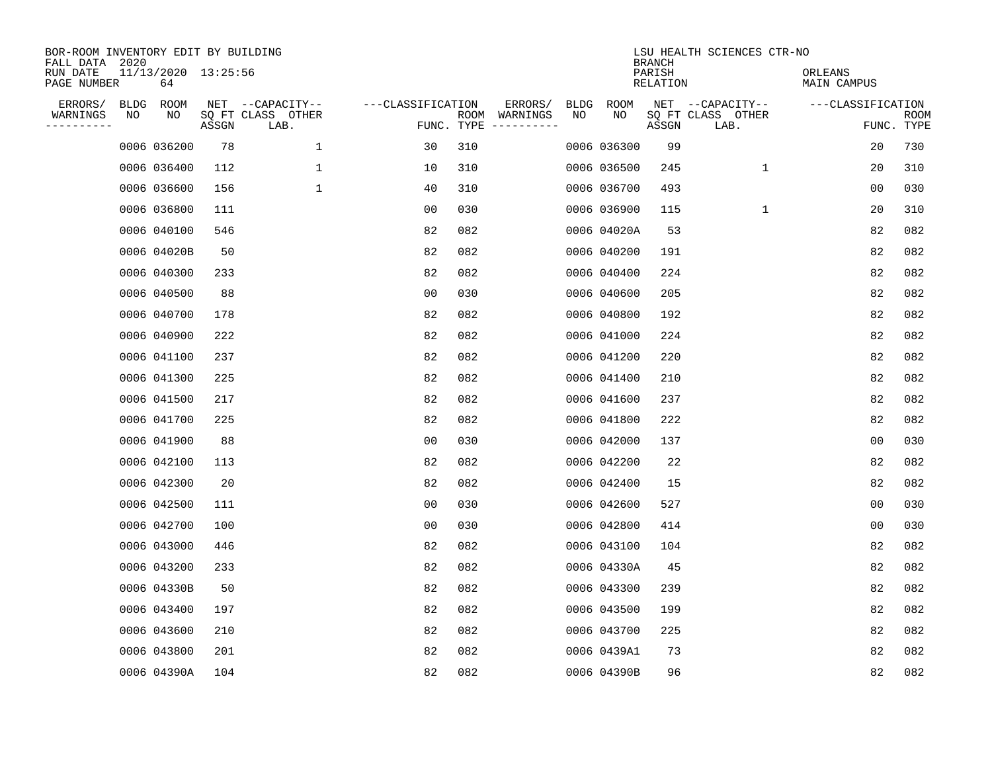| BOR-ROOM INVENTORY EDIT BY BUILDING<br>FALL DATA 2020<br>RUN DATE |    | 11/13/2020 13:25:56 |       |                                               |                                 |     |                          |            |             | <b>BRANCH</b><br>PARISH | LSU HEALTH SCIENCES CTR-NO                    | ORLEANS           |                    |
|-------------------------------------------------------------------|----|---------------------|-------|-----------------------------------------------|---------------------------------|-----|--------------------------|------------|-------------|-------------------------|-----------------------------------------------|-------------------|--------------------|
| PAGE NUMBER                                                       |    | 64                  |       |                                               |                                 |     |                          |            |             | RELATION                |                                               | MAIN CAMPUS       |                    |
| ERRORS/<br>WARNINGS<br>---------                                  | ΝO | BLDG ROOM<br>NO     | ASSGN | NET --CAPACITY--<br>SQ FT CLASS OTHER<br>LAB. | ---CLASSIFICATION<br>FUNC. TYPE |     | ERRORS/<br>ROOM WARNINGS | BLDG<br>NO | ROOM<br>NO  | ASSGN                   | NET --CAPACITY--<br>SQ FT CLASS OTHER<br>LAB. | ---CLASSIFICATION | ROOM<br>FUNC. TYPE |
|                                                                   |    | 0006 036200         | 78    | $\mathbf{1}$                                  | 30                              | 310 |                          |            | 0006 036300 | 99                      |                                               | 20                | 730                |
|                                                                   |    | 0006 036400         | 112   | $\mathbf 1$                                   | 10                              | 310 |                          |            | 0006 036500 | 245                     | $\mathbf 1$                                   | 20                | 310                |
|                                                                   |    | 0006 036600         | 156   | $\mathbf{1}$                                  | 40                              | 310 |                          |            | 0006 036700 | 493                     |                                               | 00                | 030                |
|                                                                   |    | 0006 036800         | 111   |                                               | 0 <sub>0</sub>                  | 030 |                          |            | 0006 036900 | 115                     | $\mathbf{1}$                                  | 20                | 310                |
|                                                                   |    | 0006 040100         | 546   |                                               | 82                              | 082 |                          |            | 0006 04020A | 53                      |                                               | 82                | 082                |
|                                                                   |    | 0006 04020B         | 50    |                                               | 82                              | 082 |                          |            | 0006 040200 | 191                     |                                               | 82                | 082                |
|                                                                   |    | 0006 040300         | 233   |                                               | 82                              | 082 |                          |            | 0006 040400 | 224                     |                                               | 82                | 082                |
|                                                                   |    | 0006 040500         | 88    |                                               | 0 <sub>0</sub>                  | 030 |                          |            | 0006 040600 | 205                     |                                               | 82                | 082                |
|                                                                   |    | 0006 040700         | 178   |                                               | 82                              | 082 |                          |            | 0006 040800 | 192                     |                                               | 82                | 082                |
|                                                                   |    | 0006 040900         | 222   |                                               | 82                              | 082 |                          |            | 0006 041000 | 224                     |                                               | 82                | 082                |
|                                                                   |    | 0006 041100         | 237   |                                               | 82                              | 082 |                          |            | 0006 041200 | 220                     |                                               | 82                | 082                |
|                                                                   |    | 0006 041300         | 225   |                                               | 82                              | 082 |                          |            | 0006 041400 | 210                     |                                               | 82                | 082                |
|                                                                   |    | 0006 041500         | 217   |                                               | 82                              | 082 |                          |            | 0006 041600 | 237                     |                                               | 82                | 082                |
|                                                                   |    | 0006 041700         | 225   |                                               | 82                              | 082 |                          |            | 0006 041800 | 222                     |                                               | 82                | 082                |
|                                                                   |    | 0006 041900         | 88    |                                               | 00                              | 030 |                          |            | 0006 042000 | 137                     |                                               | 0 <sub>0</sub>    | 030                |
|                                                                   |    | 0006 042100         | 113   |                                               | 82                              | 082 |                          |            | 0006 042200 | 22                      |                                               | 82                | 082                |
|                                                                   |    | 0006 042300         | 20    |                                               | 82                              | 082 |                          |            | 0006 042400 | 15                      |                                               | 82                | 082                |
|                                                                   |    | 0006 042500         | 111   |                                               | 0 <sub>0</sub>                  | 030 |                          |            | 0006 042600 | 527                     |                                               | 0 <sub>0</sub>    | 030                |
|                                                                   |    | 0006 042700         | 100   |                                               | 0 <sub>0</sub>                  | 030 |                          |            | 0006 042800 | 414                     |                                               | 0 <sub>0</sub>    | 030                |
|                                                                   |    | 0006 043000         | 446   |                                               | 82                              | 082 |                          |            | 0006 043100 | 104                     |                                               | 82                | 082                |
|                                                                   |    | 0006 043200         | 233   |                                               | 82                              | 082 |                          |            | 0006 04330A | 45                      |                                               | 82                | 082                |
|                                                                   |    | 0006 04330B         | 50    |                                               | 82                              | 082 |                          |            | 0006 043300 | 239                     |                                               | 82                | 082                |
|                                                                   |    | 0006 043400         | 197   |                                               | 82                              | 082 |                          |            | 0006 043500 | 199                     |                                               | 82                | 082                |
|                                                                   |    | 0006 043600         | 210   |                                               | 82                              | 082 |                          |            | 0006 043700 | 225                     |                                               | 82                | 082                |
|                                                                   |    | 0006 043800         | 201   |                                               | 82                              | 082 |                          |            | 0006 0439A1 | 73                      |                                               | 82                | 082                |
|                                                                   |    | 0006 04390A         | 104   |                                               | 82                              | 082 |                          |            | 0006 04390B | 96                      |                                               | 82                | 082                |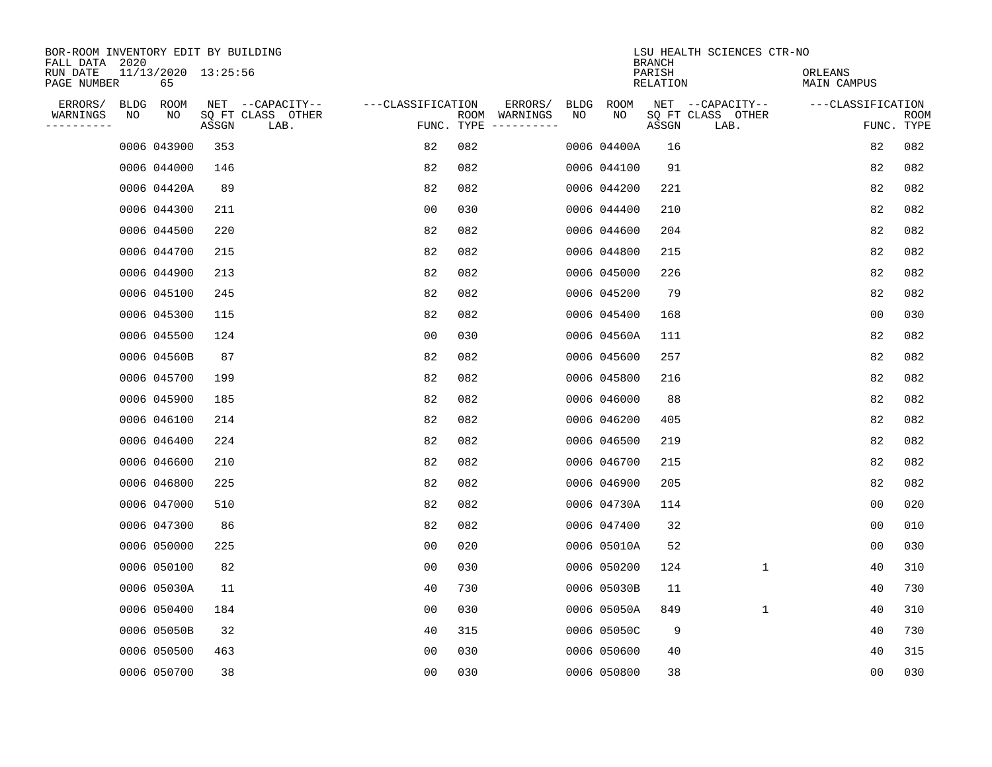| BOR-ROOM INVENTORY EDIT BY BUILDING<br>FALL DATA 2020 |    |                           |       |                           |                   |     |               |      |             | <b>BRANCH</b>      | LSU HEALTH SCIENCES CTR-NO |                        |                    |
|-------------------------------------------------------|----|---------------------------|-------|---------------------------|-------------------|-----|---------------|------|-------------|--------------------|----------------------------|------------------------|--------------------|
| RUN DATE<br>PAGE NUMBER                               |    | 11/13/2020 13:25:56<br>65 |       |                           |                   |     |               |      |             | PARISH<br>RELATION |                            | ORLEANS<br>MAIN CAMPUS |                    |
| ERRORS/                                               |    | BLDG ROOM                 |       | NET --CAPACITY--          | ---CLASSIFICATION |     | ERRORS/       | BLDG | ROOM        |                    | NET --CAPACITY--           | ---CLASSIFICATION      |                    |
| WARNINGS<br>---------                                 | NO | NO                        | ASSGN | SQ FT CLASS OTHER<br>LAB. | FUNC. TYPE        |     | ROOM WARNINGS | NO   | NO          | ASSGN              | SQ FT CLASS OTHER<br>LAB.  |                        | ROOM<br>FUNC. TYPE |
|                                                       |    | 0006 043900               | 353   |                           | 82                | 082 |               |      | 0006 04400A | 16                 |                            | 82                     | 082                |
|                                                       |    | 0006 044000               | 146   |                           | 82                | 082 |               |      | 0006 044100 | 91                 |                            | 82                     | 082                |
|                                                       |    | 0006 04420A               | 89    |                           | 82                | 082 |               |      | 0006 044200 | 221                |                            | 82                     | 082                |
|                                                       |    | 0006 044300               | 211   |                           | 0 <sub>0</sub>    | 030 |               |      | 0006 044400 | 210                |                            | 82                     | 082                |
|                                                       |    | 0006 044500               | 220   |                           | 82                | 082 |               |      | 0006 044600 | 204                |                            | 82                     | 082                |
|                                                       |    | 0006 044700               | 215   |                           | 82                | 082 |               |      | 0006 044800 | 215                |                            | 82                     | 082                |
|                                                       |    | 0006 044900               | 213   |                           | 82                | 082 |               |      | 0006 045000 | 226                |                            | 82                     | 082                |
|                                                       |    | 0006 045100               | 245   |                           | 82                | 082 |               |      | 0006 045200 | 79                 |                            | 82                     | 082                |
|                                                       |    | 0006 045300               | 115   |                           | 82                | 082 |               |      | 0006 045400 | 168                |                            | 0 <sub>0</sub>         | 030                |
|                                                       |    | 0006 045500               | 124   |                           | 0 <sub>0</sub>    | 030 |               |      | 0006 04560A | 111                |                            | 82                     | 082                |
|                                                       |    | 0006 04560B               | 87    |                           | 82                | 082 |               |      | 0006 045600 | 257                |                            | 82                     | 082                |
|                                                       |    | 0006 045700               | 199   |                           | 82                | 082 |               |      | 0006 045800 | 216                |                            | 82                     | 082                |
|                                                       |    | 0006 045900               | 185   |                           | 82                | 082 |               |      | 0006 046000 | 88                 |                            | 82                     | 082                |
|                                                       |    | 0006 046100               | 214   |                           | 82                | 082 |               |      | 0006 046200 | 405                |                            | 82                     | 082                |
|                                                       |    | 0006 046400               | 224   |                           | 82                | 082 |               |      | 0006 046500 | 219                |                            | 82                     | 082                |
|                                                       |    | 0006 046600               | 210   |                           | 82                | 082 |               |      | 0006 046700 | 215                |                            | 82                     | 082                |
|                                                       |    | 0006 046800               | 225   |                           | 82                | 082 |               |      | 0006 046900 | 205                |                            | 82                     | 082                |
|                                                       |    | 0006 047000               | 510   |                           | 82                | 082 |               |      | 0006 04730A | 114                |                            | 0 <sub>0</sub>         | 020                |
|                                                       |    | 0006 047300               | 86    |                           | 82                | 082 |               |      | 0006 047400 | 32                 |                            | 0 <sub>0</sub>         | 010                |
|                                                       |    | 0006 050000               | 225   |                           | 0 <sub>0</sub>    | 020 |               |      | 0006 05010A | 52                 |                            | 0 <sub>0</sub>         | 030                |
|                                                       |    | 0006 050100               | 82    |                           | 0 <sub>0</sub>    | 030 |               |      | 0006 050200 | 124                | $\mathbf 1$                | 40                     | 310                |
|                                                       |    | 0006 05030A               | 11    |                           | 40                | 730 |               |      | 0006 05030B | 11                 |                            | 40                     | 730                |
|                                                       |    | 0006 050400               | 184   |                           | 0 <sub>0</sub>    | 030 |               |      | 0006 05050A | 849                | $\mathbf{1}$               | 40                     | 310                |
|                                                       |    | 0006 05050B               | 32    |                           | 40                | 315 |               |      | 0006 05050C | 9                  |                            | 40                     | 730                |
|                                                       |    | 0006 050500               | 463   |                           | 00                | 030 |               |      | 0006 050600 | 40                 |                            | 40                     | 315                |
|                                                       |    | 0006 050700               | 38    |                           | 0 <sub>0</sub>    | 030 |               |      | 0006 050800 | 38                 |                            | 0 <sub>0</sub>         | 030                |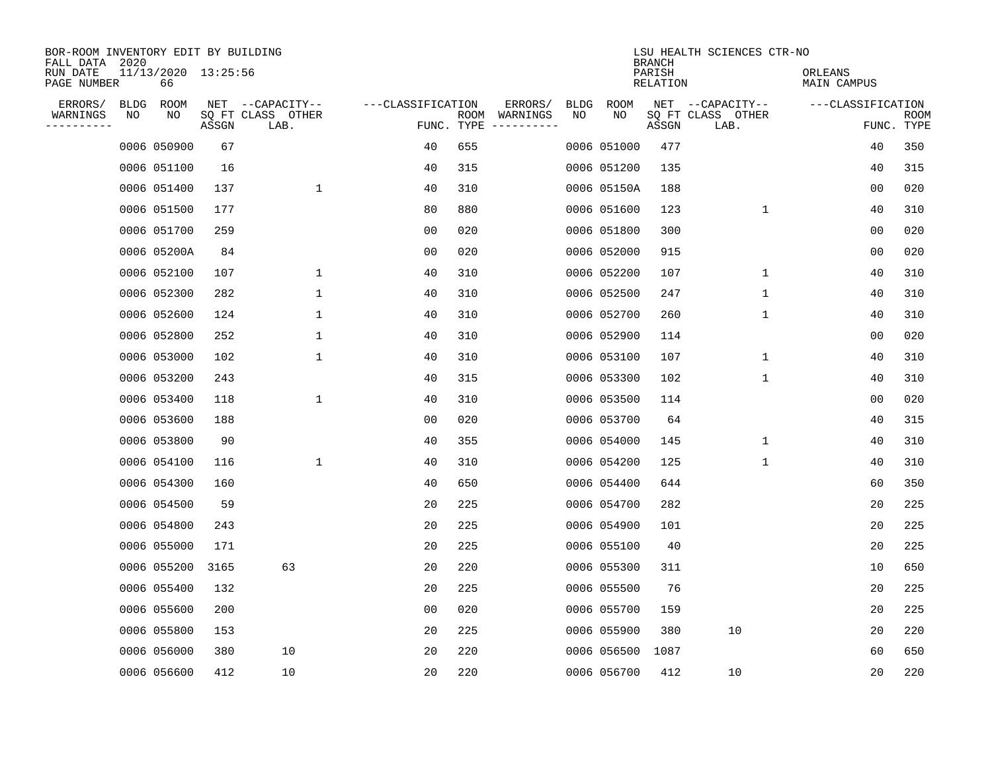| BOR-ROOM INVENTORY EDIT BY BUILDING<br>FALL DATA 2020 |      |                           |       |                           |                   |                    |                         |             |             | <b>BRANCH</b>             | LSU HEALTH SCIENCES CTR-NO |                        |                           |
|-------------------------------------------------------|------|---------------------------|-------|---------------------------|-------------------|--------------------|-------------------------|-------------|-------------|---------------------------|----------------------------|------------------------|---------------------------|
| RUN DATE<br>PAGE NUMBER                               |      | 11/13/2020 13:25:56<br>66 |       |                           |                   |                    |                         |             |             | PARISH<br><b>RELATION</b> |                            | ORLEANS<br>MAIN CAMPUS |                           |
| ERRORS/                                               | BLDG | ROOM                      |       | NET --CAPACITY--          | ---CLASSIFICATION |                    | ERRORS/                 | <b>BLDG</b> | <b>ROOM</b> |                           | NET --CAPACITY--           | ---CLASSIFICATION      |                           |
| WARNINGS<br>----------                                | NO   | NO                        | ASSGN | SQ FT CLASS OTHER<br>LAB. |                   | ROOM<br>FUNC. TYPE | WARNINGS<br>----------- | NO          | NO          | ASSGN                     | SQ FT CLASS OTHER<br>LAB.  |                        | <b>ROOM</b><br>FUNC. TYPE |
|                                                       |      | 0006 050900               | 67    |                           | 40                | 655                |                         |             | 0006 051000 | 477                       |                            | 40                     | 350                       |
|                                                       |      | 0006 051100               | 16    |                           | 40                | 315                |                         |             | 0006 051200 | 135                       |                            | 40                     | 315                       |
|                                                       |      | 0006 051400               | 137   | $\mathbf{1}$              | 40                | 310                |                         |             | 0006 05150A | 188                       |                            | 0 <sub>0</sub>         | 020                       |
|                                                       |      | 0006 051500               | 177   |                           | 80                | 880                |                         |             | 0006 051600 | 123                       | $\mathbf 1$                | 40                     | 310                       |
|                                                       |      | 0006 051700               | 259   |                           | 0 <sub>0</sub>    | 020                |                         |             | 0006 051800 | 300                       |                            | 00                     | 020                       |
|                                                       |      | 0006 05200A               | 84    |                           | 00                | 020                |                         |             | 0006 052000 | 915                       |                            | 00                     | 020                       |
|                                                       |      | 0006 052100               | 107   | $\mathbf 1$               | 40                | 310                |                         |             | 0006 052200 | 107                       | $\mathbf 1$                | 40                     | 310                       |
|                                                       |      | 0006 052300               | 282   | $\mathbf 1$               | 40                | 310                |                         |             | 0006 052500 | 247                       | 1                          | 40                     | 310                       |
|                                                       |      | 0006 052600               | 124   | $\mathbf 1$               | 40                | 310                |                         |             | 0006 052700 | 260                       | $\mathbf 1$                | 40                     | 310                       |
|                                                       |      | 0006 052800               | 252   | $\mathbf 1$               | 40                | 310                |                         |             | 0006 052900 | 114                       |                            | 00                     | 020                       |
|                                                       |      | 0006 053000               | 102   | $\mathbf 1$               | 40                | 310                |                         |             | 0006 053100 | 107                       | $\mathbf 1$                | 40                     | 310                       |
|                                                       |      | 0006 053200               | 243   |                           | 40                | 315                |                         |             | 0006 053300 | 102                       | $\mathbf 1$                | 40                     | 310                       |
|                                                       |      | 0006 053400               | 118   | 1                         | 40                | 310                |                         |             | 0006 053500 | 114                       |                            | 0 <sub>0</sub>         | 020                       |
|                                                       |      | 0006 053600               | 188   |                           | 0 <sub>0</sub>    | 020                |                         |             | 0006 053700 | 64                        |                            | 40                     | 315                       |
|                                                       |      | 0006 053800               | 90    |                           | 40                | 355                |                         |             | 0006 054000 | 145                       | 1                          | 40                     | 310                       |
|                                                       |      | 0006 054100               | 116   | $\mathbf 1$               | 40                | 310                |                         |             | 0006 054200 | 125                       | 1                          | 40                     | 310                       |
|                                                       |      | 0006 054300               | 160   |                           | 40                | 650                |                         |             | 0006 054400 | 644                       |                            | 60                     | 350                       |
|                                                       |      | 0006 054500               | 59    |                           | 20                | 225                |                         |             | 0006 054700 | 282                       |                            | 20                     | 225                       |
|                                                       |      | 0006 054800               | 243   |                           | 20                | 225                |                         |             | 0006 054900 | 101                       |                            | 20                     | 225                       |
|                                                       |      | 0006 055000               | 171   |                           | 20                | 225                |                         |             | 0006 055100 | 40                        |                            | 20                     | 225                       |
|                                                       |      | 0006 055200               | 3165  | 63                        | 20                | 220                |                         |             | 0006 055300 | 311                       |                            | 10                     | 650                       |
|                                                       |      | 0006 055400               | 132   |                           | 20                | 225                |                         |             | 0006 055500 | 76                        |                            | 20                     | 225                       |
|                                                       |      | 0006 055600               | 200   |                           | 0 <sub>0</sub>    | 020                |                         |             | 0006 055700 | 159                       |                            | 20                     | 225                       |
|                                                       |      | 0006 055800               | 153   |                           | 20                | 225                |                         |             | 0006 055900 | 380                       | 10                         | 20                     | 220                       |
|                                                       |      | 0006 056000               | 380   | 10                        | 20                | 220                |                         |             | 0006 056500 | 1087                      |                            | 60                     | 650                       |
|                                                       |      | 0006 056600               | 412   | 10                        | 20                | 220                |                         |             | 0006 056700 | 412                       | 10                         | 20                     | 220                       |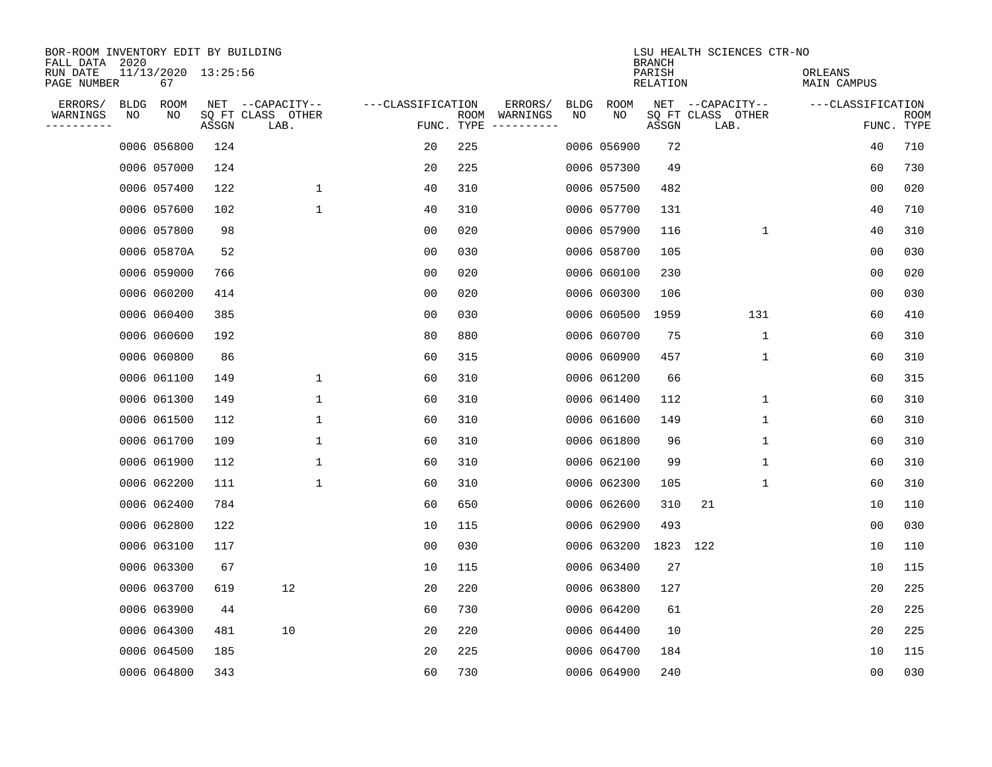| BOR-ROOM INVENTORY EDIT BY BUILDING<br>FALL DATA 2020 |             |                           |       |                           |                   |                    |          |             |             | <b>BRANCH</b>      | LSU HEALTH SCIENCES CTR-NO |                        |                           |
|-------------------------------------------------------|-------------|---------------------------|-------|---------------------------|-------------------|--------------------|----------|-------------|-------------|--------------------|----------------------------|------------------------|---------------------------|
| RUN DATE<br>PAGE NUMBER                               |             | 11/13/2020 13:25:56<br>67 |       |                           |                   |                    |          |             |             | PARISH<br>RELATION |                            | ORLEANS<br>MAIN CAMPUS |                           |
| ERRORS/                                               | <b>BLDG</b> | ROOM                      |       | NET --CAPACITY--          | ---CLASSIFICATION |                    | ERRORS/  | <b>BLDG</b> | <b>ROOM</b> |                    | NET --CAPACITY--           | ---CLASSIFICATION      |                           |
| WARNINGS<br>-----------                               | NO          | NO                        | ASSGN | SQ FT CLASS OTHER<br>LAB. |                   | ROOM<br>FUNC. TYPE | WARNINGS | NO          | NO          | ASSGN              | SQ FT CLASS OTHER<br>LAB.  |                        | <b>ROOM</b><br>FUNC. TYPE |
|                                                       |             | 0006 056800               | 124   |                           | 20                | 225                |          |             | 0006 056900 | 72                 |                            | 40                     | 710                       |
|                                                       |             | 0006 057000               | 124   |                           | 20                | 225                |          |             | 0006 057300 | 49                 |                            | 60                     | 730                       |
|                                                       |             | 0006 057400               | 122   | 1                         | 40                | 310                |          |             | 0006 057500 | 482                |                            | 00                     | 020                       |
|                                                       |             | 0006 057600               | 102   | $\mathbf{1}$              | 40                | 310                |          |             | 0006 057700 | 131                |                            | 40                     | 710                       |
|                                                       |             | 0006 057800               | 98    |                           | 0 <sub>0</sub>    | 020                |          |             | 0006 057900 | 116                | $\mathbf 1$                | 40                     | 310                       |
|                                                       |             | 0006 05870A               | 52    |                           | 0 <sub>0</sub>    | 030                |          |             | 0006 058700 | 105                |                            | 0 <sub>0</sub>         | 030                       |
|                                                       |             | 0006 059000               | 766   |                           | 0 <sub>0</sub>    | 020                |          |             | 0006 060100 | 230                |                            | 0 <sub>0</sub>         | 020                       |
|                                                       |             | 0006 060200               | 414   |                           | 0 <sub>0</sub>    | 020                |          |             | 0006 060300 | 106                |                            | 0 <sub>0</sub>         | 030                       |
|                                                       |             | 0006 060400               | 385   |                           | 0 <sub>0</sub>    | 030                |          |             | 0006 060500 | 1959               | 131                        | 60                     | 410                       |
|                                                       |             | 0006 060600               | 192   |                           | 80                | 880                |          |             | 0006 060700 | 75                 | $\mathbf{1}$               | 60                     | 310                       |
|                                                       |             | 0006 060800               | 86    |                           | 60                | 315                |          |             | 0006 060900 | 457                | $\mathbf 1$                | 60                     | 310                       |
|                                                       |             | 0006 061100               | 149   | 1                         | 60                | 310                |          |             | 0006 061200 | 66                 |                            | 60                     | 315                       |
|                                                       |             | 0006 061300               | 149   | $\mathbf{1}$              | 60                | 310                |          |             | 0006 061400 | 112                | 1                          | 60                     | 310                       |
|                                                       |             | 0006 061500               | 112   | 1                         | 60                | 310                |          |             | 0006 061600 | 149                | 1                          | 60                     | 310                       |
|                                                       |             | 0006 061700               | 109   | 1                         | 60                | 310                |          |             | 0006 061800 | 96                 | 1                          | 60                     | 310                       |
|                                                       |             | 0006 061900               | 112   | 1                         | 60                | 310                |          |             | 0006 062100 | 99                 | 1                          | 60                     | 310                       |
|                                                       |             | 0006 062200               | 111   | $\mathbf 1$               | 60                | 310                |          |             | 0006 062300 | 105                | 1                          | 60                     | 310                       |
|                                                       |             | 0006 062400               | 784   |                           | 60                | 650                |          |             | 0006 062600 | 310                | 21                         | 10                     | 110                       |
|                                                       |             | 0006 062800               | 122   |                           | 10                | 115                |          |             | 0006 062900 | 493                |                            | 0 <sub>0</sub>         | 030                       |
|                                                       |             | 0006 063100               | 117   |                           | 0 <sub>0</sub>    | 030                |          |             | 0006 063200 | 1823               | 122                        | 10                     | 110                       |
|                                                       |             | 0006 063300               | 67    |                           | 10                | 115                |          |             | 0006 063400 | 27                 |                            | 10                     | 115                       |
|                                                       |             | 0006 063700               | 619   | 12                        | 20                | 220                |          |             | 0006 063800 | 127                |                            | 20                     | 225                       |
|                                                       |             | 0006 063900               | 44    |                           | 60                | 730                |          |             | 0006 064200 | 61                 |                            | 20                     | 225                       |
|                                                       |             | 0006 064300               | 481   | 10                        | 20                | 220                |          |             | 0006 064400 | 10                 |                            | 20                     | 225                       |
|                                                       |             | 0006 064500               | 185   |                           | 20                | 225                |          |             | 0006 064700 | 184                |                            | 10                     | 115                       |
|                                                       |             | 0006 064800               | 343   |                           | 60                | 730                |          |             | 0006 064900 | 240                |                            | 00                     | 030                       |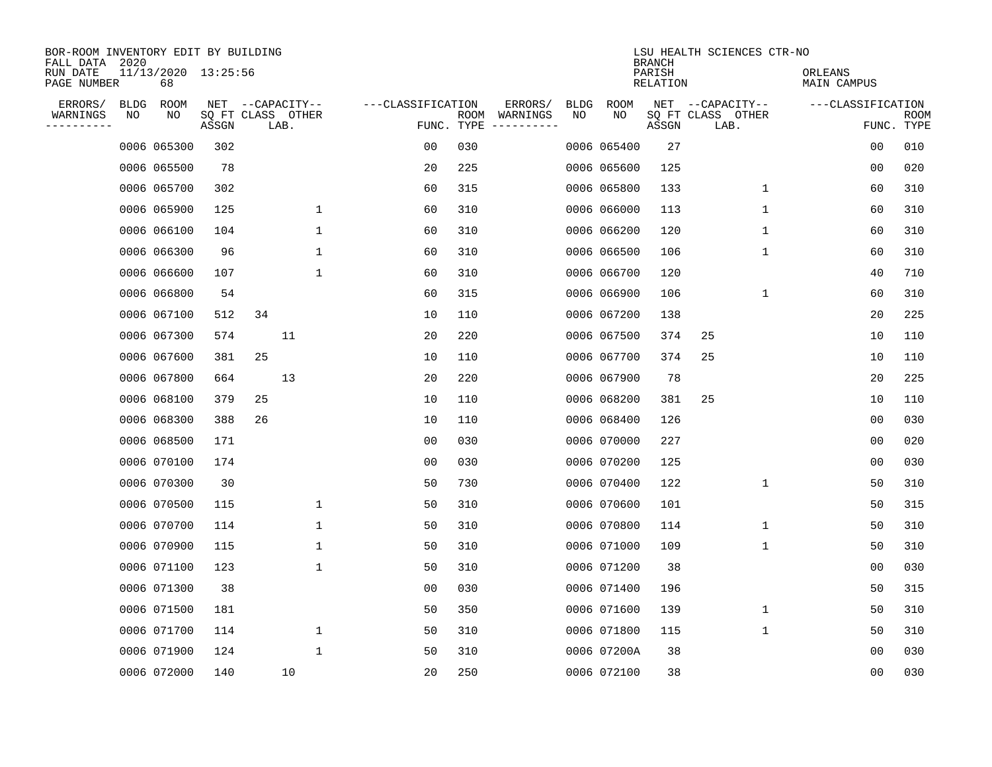| BOR-ROOM INVENTORY EDIT BY BUILDING<br>FALL DATA 2020 |             |                           |                            |    |                  |              |                   |                    |                         |             |             | <b>BRANCH</b>      | LSU HEALTH SCIENCES CTR-NO |                        |                |                           |
|-------------------------------------------------------|-------------|---------------------------|----------------------------|----|------------------|--------------|-------------------|--------------------|-------------------------|-------------|-------------|--------------------|----------------------------|------------------------|----------------|---------------------------|
| RUN DATE<br>PAGE NUMBER                               |             | 11/13/2020 13:25:56<br>68 |                            |    |                  |              |                   |                    |                         |             |             | PARISH<br>RELATION |                            | ORLEANS<br>MAIN CAMPUS |                |                           |
| ERRORS/                                               | <b>BLDG</b> | ROOM                      |                            |    | NET --CAPACITY-- |              | ---CLASSIFICATION |                    | ERRORS/                 | <b>BLDG</b> | <b>ROOM</b> |                    | NET --CAPACITY--           | ---CLASSIFICATION      |                |                           |
| WARNINGS<br>. <u>.</u> .                              | NO          | NO                        | SQ FT CLASS OTHER<br>ASSGN |    | LAB.             |              |                   | ROOM<br>FUNC. TYPE | WARNINGS<br>----------- | NO          | NO          | ASSGN              | SQ FT CLASS OTHER<br>LAB.  |                        |                | <b>ROOM</b><br>FUNC. TYPE |
|                                                       |             | 0006 065300               | 302                        |    |                  |              | 00                | 030                |                         |             | 0006 065400 | 27                 |                            |                        | 00             | 010                       |
|                                                       |             | 0006 065500               | 78                         |    |                  |              | 20                | 225                |                         |             | 0006 065600 | 125                |                            |                        | 00             | 020                       |
|                                                       |             | 0006 065700               | 302                        |    |                  |              | 60                | 315                |                         |             | 0006 065800 | 133                | 1                          |                        | 60             | 310                       |
|                                                       |             | 0006 065900               | 125                        |    |                  | $\mathbf 1$  | 60                | 310                |                         |             | 0006 066000 | 113                | 1                          |                        | 60             | 310                       |
|                                                       |             | 0006 066100               | 104                        |    |                  | $\mathbf 1$  | 60                | 310                |                         |             | 0006 066200 | 120                | $\mathbf 1$                |                        | 60             | 310                       |
|                                                       |             | 0006 066300               | 96                         |    |                  | $\mathbf{1}$ | 60                | 310                |                         |             | 0006 066500 | 106                | 1                          |                        | 60             | 310                       |
|                                                       |             | 0006 066600               | 107                        |    |                  | $\mathbf 1$  | 60                | 310                |                         |             | 0006 066700 | 120                |                            |                        | 40             | 710                       |
|                                                       |             | 0006 066800               | 54                         |    |                  |              | 60                | 315                |                         |             | 0006 066900 | 106                | 1                          |                        | 60             | 310                       |
|                                                       |             | 0006 067100               | 512                        | 34 |                  |              | 10                | 110                |                         |             | 0006 067200 | 138                |                            |                        | 20             | 225                       |
|                                                       |             | 0006 067300               | 574                        |    | 11               |              | 20                | 220                |                         |             | 0006 067500 | 374                | 25                         |                        | 10             | 110                       |
|                                                       |             | 0006 067600               | 381                        | 25 |                  |              | 10                | 110                |                         |             | 0006 067700 | 374                | 25                         |                        | 10             | 110                       |
|                                                       |             | 0006 067800               | 664                        |    | 13               |              | 20                | 220                |                         |             | 0006 067900 | 78                 |                            |                        | 20             | 225                       |
|                                                       |             | 0006 068100               | 379                        | 25 |                  |              | 10                | 110                |                         |             | 0006 068200 | 381                | 25                         |                        | 10             | 110                       |
|                                                       |             | 0006 068300               | 388                        | 26 |                  |              | 10                | 110                |                         |             | 0006 068400 | 126                |                            |                        | 00             | 030                       |
|                                                       |             | 0006 068500               | 171                        |    |                  |              | 00                | 030                |                         |             | 0006 070000 | 227                |                            |                        | 0 <sub>0</sub> | 020                       |
|                                                       |             | 0006 070100               | 174                        |    |                  |              | 0 <sub>0</sub>    | 030                |                         |             | 0006 070200 | 125                |                            |                        | 0 <sub>0</sub> | 030                       |
|                                                       |             | 0006 070300               | 30                         |    |                  |              | 50                | 730                |                         |             | 0006 070400 | 122                | 1                          |                        | 50             | 310                       |
|                                                       |             | 0006 070500               | 115                        |    |                  | 1            | 50                | 310                |                         |             | 0006 070600 | 101                |                            |                        | 50             | 315                       |
|                                                       |             | 0006 070700               | 114                        |    |                  | $\mathbf{1}$ | 50                | 310                |                         |             | 0006 070800 | 114                | 1                          |                        | 50             | 310                       |
|                                                       |             | 0006 070900               | 115                        |    |                  | 1            | 50                | 310                |                         |             | 0006 071000 | 109                | 1                          |                        | 50             | 310                       |
|                                                       |             | 0006 071100               | 123                        |    |                  | 1            | 50                | 310                |                         |             | 0006 071200 | 38                 |                            |                        | 0 <sub>0</sub> | 030                       |
|                                                       |             | 0006 071300               | 38                         |    |                  |              | 0 <sub>0</sub>    | 030                |                         |             | 0006 071400 | 196                |                            |                        | 50             | 315                       |
|                                                       |             | 0006 071500               | 181                        |    |                  |              | 50                | 350                |                         |             | 0006 071600 | 139                | 1                          |                        | 50             | 310                       |
|                                                       |             | 0006 071700               | 114                        |    |                  | $\mathbf 1$  | 50                | 310                |                         |             | 0006 071800 | 115                | 1                          |                        | 50             | 310                       |
|                                                       |             | 0006 071900               | 124                        |    |                  | 1            | 50                | 310                |                         |             | 0006 07200A | 38                 |                            |                        | 0 <sub>0</sub> | 030                       |
|                                                       |             | 0006 072000               | 140                        |    | 10               |              | 20                | 250                |                         |             | 0006 072100 | 38                 |                            |                        | 00             | 030                       |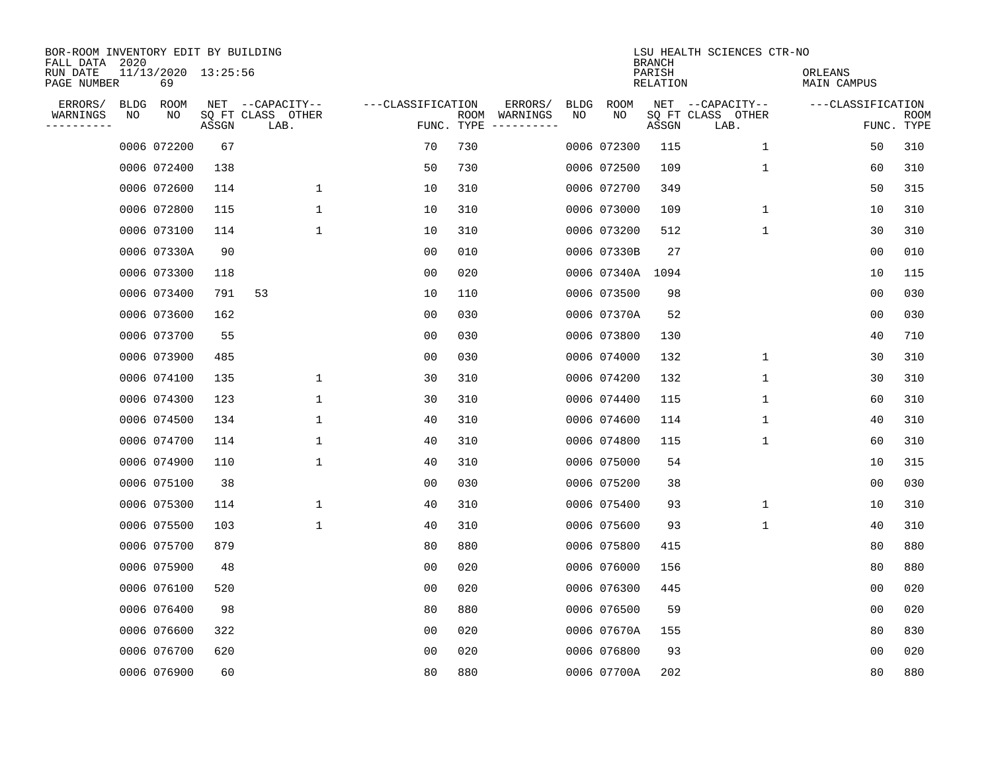| BOR-ROOM INVENTORY EDIT BY BUILDING<br>FALL DATA 2020 |             |                           |       |                           |                   |                    |          |             |                  | <b>BRANCH</b>             | LSU HEALTH SCIENCES CTR-NO |                        |                           |
|-------------------------------------------------------|-------------|---------------------------|-------|---------------------------|-------------------|--------------------|----------|-------------|------------------|---------------------------|----------------------------|------------------------|---------------------------|
| RUN DATE<br>PAGE NUMBER                               |             | 11/13/2020 13:25:56<br>69 |       |                           |                   |                    |          |             |                  | PARISH<br><b>RELATION</b> |                            | ORLEANS<br>MAIN CAMPUS |                           |
| ERRORS/                                               | <b>BLDG</b> | ROOM                      |       | NET --CAPACITY--          | ---CLASSIFICATION |                    | ERRORS/  | <b>BLDG</b> | <b>ROOM</b>      |                           | NET --CAPACITY--           | ---CLASSIFICATION      |                           |
| WARNINGS<br>----------                                | NO          | NO                        | ASSGN | SQ FT CLASS OTHER<br>LAB. |                   | ROOM<br>FUNC. TYPE | WARNINGS | NO          | NO               | ASSGN                     | SQ FT CLASS OTHER<br>LAB.  |                        | <b>ROOM</b><br>FUNC. TYPE |
|                                                       |             | 0006 072200               | 67    |                           | 70                | 730                |          |             | 0006 072300      | 115                       | 1                          | 50                     | 310                       |
|                                                       |             | 0006 072400               | 138   |                           | 50                | 730                |          |             | 0006 072500      | 109                       | $\mathbf 1$                | 60                     | 310                       |
|                                                       |             | 0006 072600               | 114   | $\mathbf 1$               | 10                | 310                |          |             | 0006 072700      | 349                       |                            | 50                     | 315                       |
|                                                       |             | 0006 072800               | 115   | $\mathbf{1}$              | 10                | 310                |          |             | 0006 073000      | 109                       | $\mathbf{1}$               | 10                     | 310                       |
|                                                       |             | 0006 073100               | 114   | 1                         | 10                | 310                |          |             | 0006 073200      | 512                       | $\mathbf{1}$               | 30                     | 310                       |
|                                                       |             | 0006 07330A               | 90    |                           | 0 <sub>0</sub>    | 010                |          |             | 0006 07330B      | 27                        |                            | 0 <sub>0</sub>         | 010                       |
|                                                       |             | 0006 073300               | 118   |                           | 0 <sub>0</sub>    | 020                |          |             | 0006 07340A 1094 |                           |                            | 10                     | 115                       |
|                                                       |             | 0006 073400               | 791   | 53                        | 10                | 110                |          |             | 0006 073500      | 98                        |                            | 0 <sub>0</sub>         | 030                       |
|                                                       |             | 0006 073600               | 162   |                           | 0 <sub>0</sub>    | 030                |          |             | 0006 07370A      | 52                        |                            | 0 <sub>0</sub>         | 030                       |
|                                                       |             | 0006 073700               | 55    |                           | 00                | 030                |          |             | 0006 073800      | 130                       |                            | 40                     | 710                       |
|                                                       |             | 0006 073900               | 485   |                           | 00                | 030                |          |             | 0006 074000      | 132                       | 1                          | 30                     | 310                       |
|                                                       |             | 0006 074100               | 135   | 1                         | 30                | 310                |          |             | 0006 074200      | 132                       | $\mathbf 1$                | 30                     | 310                       |
|                                                       |             | 0006 074300               | 123   | 1                         | 30                | 310                |          |             | 0006 074400      | 115                       | $\mathbf 1$                | 60                     | 310                       |
|                                                       |             | 0006 074500               | 134   | 1                         | 40                | 310                |          |             | 0006 074600      | 114                       | 1                          | 40                     | 310                       |
|                                                       |             | 0006 074700               | 114   | 1                         | 40                | 310                |          |             | 0006 074800      | 115                       | 1                          | 60                     | 310                       |
|                                                       |             | 0006 074900               | 110   | 1                         | 40                | 310                |          |             | 0006 075000      | 54                        |                            | 10                     | 315                       |
|                                                       |             | 0006 075100               | 38    |                           | 0 <sub>0</sub>    | 030                |          |             | 0006 075200      | 38                        |                            | 0 <sub>0</sub>         | 030                       |
|                                                       |             | 0006 075300               | 114   | 1                         | 40                | 310                |          |             | 0006 075400      | 93                        | 1                          | 10                     | 310                       |
|                                                       |             | 0006 075500               | 103   | $\mathbf{1}$              | 40                | 310                |          |             | 0006 075600      | 93                        | 1                          | 40                     | 310                       |
|                                                       |             | 0006 075700               | 879   |                           | 80                | 880                |          |             | 0006 075800      | 415                       |                            | 80                     | 880                       |
|                                                       |             | 0006 075900               | 48    |                           | 0 <sub>0</sub>    | 020                |          |             | 0006 076000      | 156                       |                            | 80                     | 880                       |
|                                                       |             | 0006 076100               | 520   |                           | 00                | 020                |          |             | 0006 076300      | 445                       |                            | 0 <sub>0</sub>         | 020                       |
|                                                       |             | 0006 076400               | 98    |                           | 80                | 880                |          |             | 0006 076500      | 59                        |                            | 0 <sub>0</sub>         | 020                       |
|                                                       |             | 0006 076600               | 322   |                           | 0 <sub>0</sub>    | 020                |          |             | 0006 07670A      | 155                       |                            | 80                     | 830                       |
|                                                       |             | 0006 076700               | 620   |                           | 0 <sub>0</sub>    | 020                |          |             | 0006 076800      | 93                        |                            | 0 <sub>0</sub>         | 020                       |
|                                                       |             | 0006 076900               | 60    |                           | 80                | 880                |          |             | 0006 07700A      | 202                       |                            | 80                     | 880                       |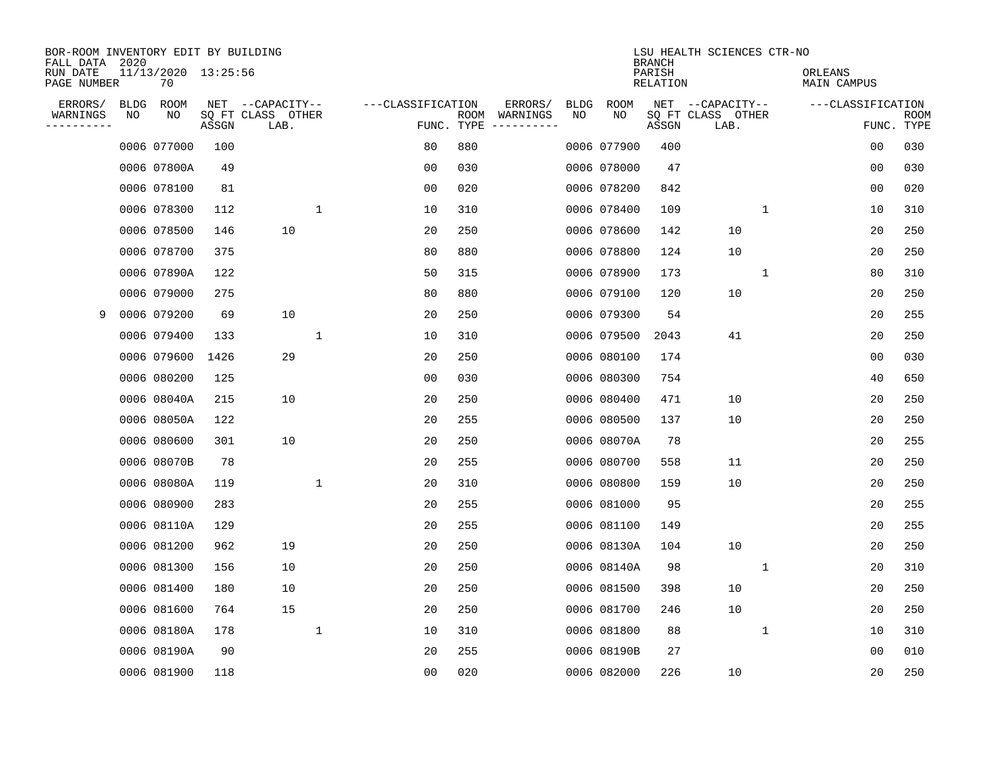| BOR-ROOM INVENTORY EDIT BY BUILDING<br>FALL DATA 2020 |             |                           |       |                           |                   |                    |                         |             |             | <b>BRANCH</b>             | LSU HEALTH SCIENCES CTR-NO |             |                        |                |                           |
|-------------------------------------------------------|-------------|---------------------------|-------|---------------------------|-------------------|--------------------|-------------------------|-------------|-------------|---------------------------|----------------------------|-------------|------------------------|----------------|---------------------------|
| RUN DATE<br>PAGE NUMBER                               |             | 11/13/2020 13:25:56<br>70 |       |                           |                   |                    |                         |             |             | PARISH<br><b>RELATION</b> |                            |             | ORLEANS<br>MAIN CAMPUS |                |                           |
| ERRORS/                                               | <b>BLDG</b> | ROOM                      |       | NET --CAPACITY--          | ---CLASSIFICATION |                    | ERRORS/                 | <b>BLDG</b> | <b>ROOM</b> |                           | NET --CAPACITY--           |             | ---CLASSIFICATION      |                |                           |
| WARNINGS<br>----------                                | NO          | NO                        | ASSGN | SQ FT CLASS OTHER<br>LAB. |                   | ROOM<br>FUNC. TYPE | WARNINGS<br>----------- | NO          | NO          | ASSGN                     | SQ FT CLASS OTHER<br>LAB.  |             |                        |                | <b>ROOM</b><br>FUNC. TYPE |
|                                                       |             | 0006 077000               | 100   |                           | 80                | 880                |                         |             | 0006 077900 | 400                       |                            |             |                        | 0 <sub>0</sub> | 030                       |
|                                                       |             | 0006 07800A               | 49    |                           | 0 <sub>0</sub>    | 030                |                         |             | 0006 078000 | 47                        |                            |             |                        | 00             | 030                       |
|                                                       |             | 0006 078100               | 81    |                           | 0 <sub>0</sub>    | 020                |                         |             | 0006 078200 | 842                       |                            |             |                        | 0 <sub>0</sub> | 020                       |
|                                                       |             | 0006 078300               | 112   | 1                         | 10                | 310                |                         |             | 0006 078400 | 109                       |                            | $\mathbf 1$ |                        | 10             | 310                       |
|                                                       |             | 0006 078500               | 146   | 10                        | 20                | 250                |                         |             | 0006 078600 | 142                       | 10                         |             |                        | 20             | 250                       |
|                                                       |             | 0006 078700               | 375   |                           | 80                | 880                |                         |             | 0006 078800 | 124                       | 10                         |             |                        | 20             | 250                       |
|                                                       |             | 0006 07890A               | 122   |                           | 50                | 315                |                         |             | 0006 078900 | 173                       |                            | $\mathbf 1$ |                        | 80             | 310                       |
|                                                       |             | 0006 079000               | 275   |                           | 80                | 880                |                         |             | 0006 079100 | 120                       | 10                         |             |                        | 20             | 250                       |
| 9                                                     |             | 0006 079200               | 69    | 10                        | 20                | 250                |                         |             | 0006 079300 | 54                        |                            |             |                        | 20             | 255                       |
|                                                       |             | 0006 079400               | 133   | 1                         | 10                | 310                |                         |             | 0006 079500 | 2043                      | 41                         |             |                        | 20             | 250                       |
|                                                       |             | 0006 079600               | 1426  | 29                        | 20                | 250                |                         |             | 0006 080100 | 174                       |                            |             |                        | 0 <sub>0</sub> | 030                       |
|                                                       |             | 0006 080200               | 125   |                           | 0 <sub>0</sub>    | 030                |                         |             | 0006 080300 | 754                       |                            |             |                        | 40             | 650                       |
|                                                       |             | 0006 08040A               | 215   | 10                        | 20                | 250                |                         |             | 0006 080400 | 471                       | 10                         |             |                        | 20             | 250                       |
|                                                       |             | 0006 08050A               | 122   |                           | 20                | 255                |                         |             | 0006 080500 | 137                       | 10                         |             |                        | 20             | 250                       |
|                                                       |             | 0006 080600               | 301   | 10                        | 20                | 250                |                         |             | 0006 08070A | 78                        |                            |             |                        | 20             | 255                       |
|                                                       |             | 0006 08070B               | 78    |                           | 20                | 255                |                         |             | 0006 080700 | 558                       | 11                         |             |                        | 20             | 250                       |
|                                                       |             | 0006 08080A               | 119   | $\mathbf{1}$              | 20                | 310                |                         |             | 0006 080800 | 159                       | 10                         |             |                        | 20             | 250                       |
|                                                       |             | 0006 080900               | 283   |                           | 20                | 255                |                         |             | 0006 081000 | 95                        |                            |             |                        | 20             | 255                       |
|                                                       |             | 0006 08110A               | 129   |                           | 20                | 255                |                         |             | 0006 081100 | 149                       |                            |             |                        | 20             | 255                       |
|                                                       |             | 0006 081200               | 962   | 19                        | 20                | 250                |                         |             | 0006 08130A | 104                       | 10                         |             |                        | 20             | 250                       |
|                                                       |             | 0006 081300               | 156   | 10                        | 20                | 250                |                         |             | 0006 08140A | 98                        |                            | 1           |                        | 20             | 310                       |
|                                                       |             | 0006 081400               | 180   | 10                        | 20                | 250                |                         |             | 0006 081500 | 398                       | 10                         |             |                        | 20             | 250                       |
|                                                       |             | 0006 081600               | 764   | 15                        | 20                | 250                |                         |             | 0006 081700 | 246                       | 10                         |             |                        | 20             | 250                       |
|                                                       |             | 0006 08180A               | 178   | $\mathbf{1}$              | 10                | 310                |                         |             | 0006 081800 | 88                        |                            | $\mathbf 1$ |                        | 10             | 310                       |
|                                                       |             | 0006 08190A               | 90    |                           | 20                | 255                |                         |             | 0006 08190B | 27                        |                            |             |                        | 0 <sub>0</sub> | 010                       |
|                                                       |             | 0006 081900               | 118   |                           | 0 <sub>0</sub>    | 020                |                         |             | 0006 082000 | 226                       | 10                         |             |                        | 20             | 250                       |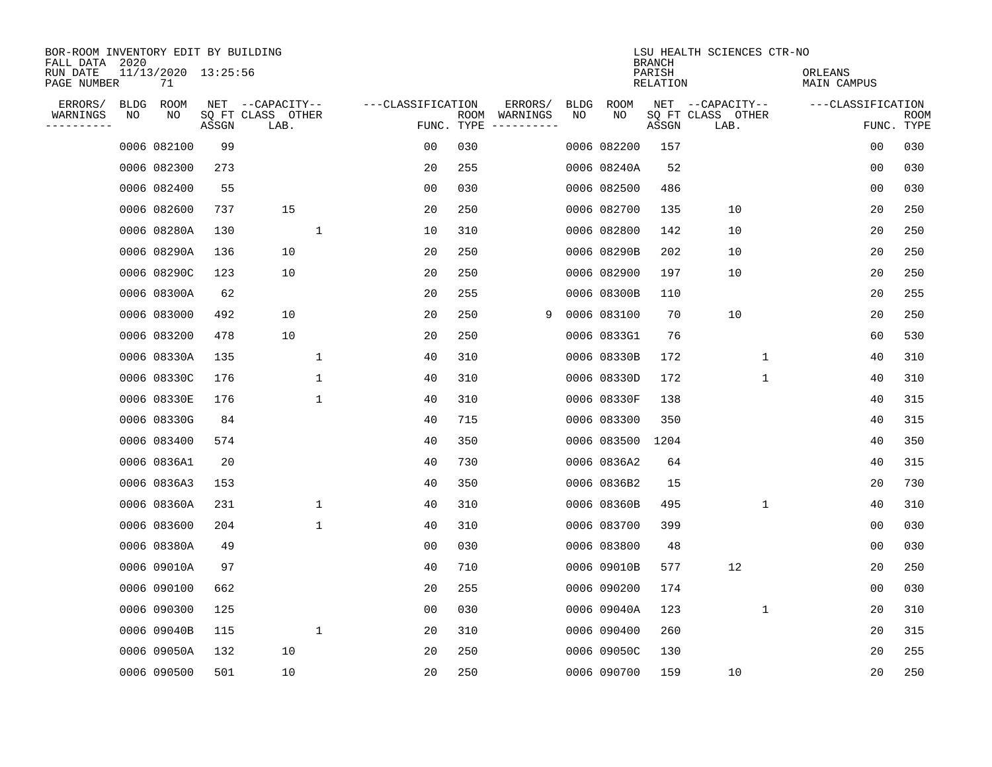| BOR-ROOM INVENTORY EDIT BY BUILDING<br>FALL DATA 2020 |             |                           |       |                           |              |                   |      |                                 |   |             |             | <b>BRANCH</b>      | LSU HEALTH SCIENCES CTR-NO |                        |                |                           |
|-------------------------------------------------------|-------------|---------------------------|-------|---------------------------|--------------|-------------------|------|---------------------------------|---|-------------|-------------|--------------------|----------------------------|------------------------|----------------|---------------------------|
| RUN DATE<br>PAGE NUMBER                               |             | 11/13/2020 13:25:56<br>71 |       |                           |              |                   |      |                                 |   |             |             | PARISH<br>RELATION |                            | ORLEANS<br>MAIN CAMPUS |                |                           |
| ERRORS/                                               | <b>BLDG</b> | ROOM                      |       | NET --CAPACITY--          |              | ---CLASSIFICATION |      | ERRORS/                         |   | <b>BLDG</b> | <b>ROOM</b> |                    | NET --CAPACITY--           | ---CLASSIFICATION      |                |                           |
| WARNINGS<br>----------                                | NO          | NO                        | ASSGN | SQ FT CLASS OTHER<br>LAB. |              |                   | ROOM | WARNINGS<br>FUNC. TYPE $------$ |   | NO          | NO          | ASSGN              | SQ FT CLASS OTHER<br>LAB.  |                        |                | <b>ROOM</b><br>FUNC. TYPE |
|                                                       |             | 0006 082100               | 99    |                           |              | 00                | 030  |                                 |   |             | 0006 082200 | 157                |                            |                        | 0 <sub>0</sub> | 030                       |
|                                                       |             | 0006 082300               | 273   |                           |              | 20                | 255  |                                 |   |             | 0006 08240A | 52                 |                            |                        | 00             | 030                       |
|                                                       |             | 0006 082400               | 55    |                           |              | 0 <sub>0</sub>    | 030  |                                 |   |             | 0006 082500 | 486                |                            |                        | 0 <sub>0</sub> | 030                       |
|                                                       |             | 0006 082600               | 737   | 15                        |              | 20                | 250  |                                 |   |             | 0006 082700 | 135                | 10                         |                        | 20             | 250                       |
|                                                       |             | 0006 08280A               | 130   |                           | $\mathbf{1}$ | 10                | 310  |                                 |   |             | 0006 082800 | 142                | 10                         |                        | 20             | 250                       |
|                                                       |             | 0006 08290A               | 136   | 10                        |              | 20                | 250  |                                 |   |             | 0006 08290B | 202                | 10                         |                        | 20             | 250                       |
|                                                       |             | 0006 08290C               | 123   | 10                        |              | 20                | 250  |                                 |   |             | 0006 082900 | 197                | 10                         |                        | 20             | 250                       |
|                                                       |             | 0006 08300A               | 62    |                           |              | 20                | 255  |                                 |   |             | 0006 08300B | 110                |                            |                        | 20             | 255                       |
|                                                       |             | 0006 083000               | 492   | 10                        |              | 20                | 250  |                                 | 9 |             | 0006 083100 | 70                 | 10                         |                        | 20             | 250                       |
|                                                       |             | 0006 083200               | 478   | 10                        |              | 20                | 250  |                                 |   |             | 0006 0833G1 | 76                 |                            |                        | 60             | 530                       |
|                                                       |             | 0006 08330A               | 135   |                           | 1            | 40                | 310  |                                 |   |             | 0006 08330B | 172                | $\mathbf 1$                |                        | 40             | 310                       |
|                                                       |             | 0006 08330C               | 176   |                           | 1            | 40                | 310  |                                 |   |             | 0006 08330D | 172                | $\mathbf 1$                |                        | 40             | 310                       |
|                                                       |             | 0006 08330E               | 176   |                           | 1            | 40                | 310  |                                 |   |             | 0006 08330F | 138                |                            |                        | 40             | 315                       |
|                                                       |             | 0006 08330G               | 84    |                           |              | 40                | 715  |                                 |   |             | 0006 083300 | 350                |                            |                        | 40             | 315                       |
|                                                       |             | 0006 083400               | 574   |                           |              | 40                | 350  |                                 |   |             | 0006 083500 | 1204               |                            |                        | 40             | 350                       |
|                                                       |             | 0006 0836A1               | 20    |                           |              | 40                | 730  |                                 |   |             | 0006 0836A2 | 64                 |                            |                        | 40             | 315                       |
|                                                       |             | 0006 0836A3               | 153   |                           |              | 40                | 350  |                                 |   |             | 0006 0836B2 | 15                 |                            |                        | 20             | 730                       |
|                                                       |             | 0006 08360A               | 231   |                           | 1            | 40                | 310  |                                 |   |             | 0006 08360B | 495                | $\mathbf 1$                |                        | 40             | 310                       |
|                                                       |             | 0006 083600               | 204   |                           | $\mathbf{1}$ | 40                | 310  |                                 |   |             | 0006 083700 | 399                |                            |                        | 0 <sub>0</sub> | 030                       |
|                                                       |             | 0006 08380A               | 49    |                           |              | 0 <sub>0</sub>    | 030  |                                 |   |             | 0006 083800 | 48                 |                            |                        | 0 <sub>0</sub> | 030                       |
|                                                       |             | 0006 09010A               | 97    |                           |              | 40                | 710  |                                 |   |             | 0006 09010B | 577                | 12                         |                        | 20             | 250                       |
|                                                       |             | 0006 090100               | 662   |                           |              | 20                | 255  |                                 |   |             | 0006 090200 | 174                |                            |                        | 00             | 030                       |
|                                                       |             | 0006 090300               | 125   |                           |              | 0 <sub>0</sub>    | 030  |                                 |   |             | 0006 09040A | 123                | $\mathbf 1$                |                        | 20             | 310                       |
|                                                       |             | 0006 09040B               | 115   |                           | $\mathbf 1$  | 20                | 310  |                                 |   |             | 0006 090400 | 260                |                            |                        | 20             | 315                       |
|                                                       |             | 0006 09050A               | 132   | 10                        |              | 20                | 250  |                                 |   |             | 0006 09050C | 130                |                            |                        | 20             | 255                       |
|                                                       |             | 0006 090500               | 501   | 10                        |              | 20                | 250  |                                 |   |             | 0006 090700 | 159                | 10                         |                        | 20             | 250                       |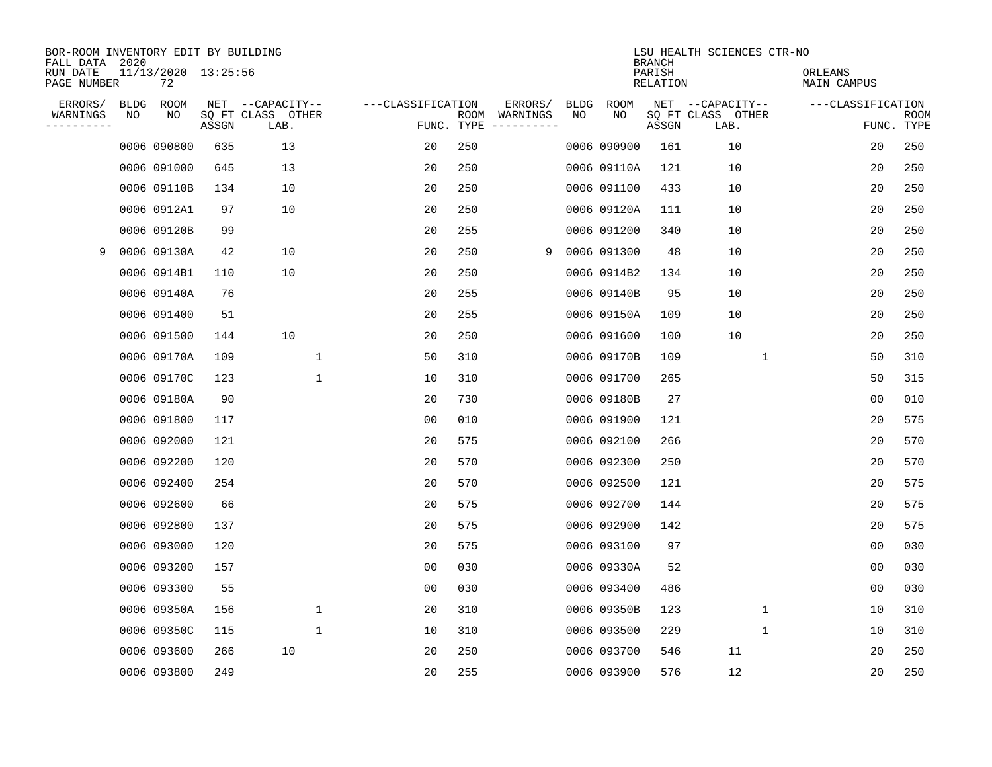| BOR-ROOM INVENTORY EDIT BY BUILDING<br>FALL DATA 2020 |             |                           |       |                           |                   |                    |          |             |             | <b>BRANCH</b>             | LSU HEALTH SCIENCES CTR-NO |                        |                           |
|-------------------------------------------------------|-------------|---------------------------|-------|---------------------------|-------------------|--------------------|----------|-------------|-------------|---------------------------|----------------------------|------------------------|---------------------------|
| RUN DATE<br>PAGE NUMBER                               |             | 11/13/2020 13:25:56<br>72 |       |                           |                   |                    |          |             |             | PARISH<br><b>RELATION</b> |                            | ORLEANS<br>MAIN CAMPUS |                           |
| ERRORS/                                               | <b>BLDG</b> | ROOM                      |       | NET --CAPACITY--          | ---CLASSIFICATION |                    | ERRORS/  | <b>BLDG</b> | <b>ROOM</b> |                           | NET --CAPACITY--           | ---CLASSIFICATION      |                           |
| WARNINGS<br>----------                                | NO          | NO                        | ASSGN | SQ FT CLASS OTHER<br>LAB. |                   | ROOM<br>FUNC. TYPE | WARNINGS | NO          | NO          | ASSGN                     | SQ FT CLASS OTHER<br>LAB.  |                        | <b>ROOM</b><br>FUNC. TYPE |
|                                                       |             | 0006 090800               | 635   | 13                        | 20                | 250                |          |             | 0006 090900 | 161                       | 10                         | 20                     | 250                       |
|                                                       |             | 0006 091000               | 645   | 13                        | 20                | 250                |          |             | 0006 09110A | 121                       | 10                         | 20                     | 250                       |
|                                                       |             | 0006 09110B               | 134   | 10                        | 20                | 250                |          |             | 0006 091100 | 433                       | 10                         | 20                     | 250                       |
|                                                       |             | 0006 0912A1               | 97    | 10                        | 20                | 250                |          |             | 0006 09120A | 111                       | 10                         | 20                     | 250                       |
|                                                       |             | 0006 09120B               | 99    |                           | 20                | 255                |          |             | 0006 091200 | 340                       | 10                         | 20                     | 250                       |
| 9                                                     |             | 0006 09130A               | 42    | 10                        | 20                | 250                | 9        |             | 0006 091300 | 48                        | 10                         | 20                     | 250                       |
|                                                       |             | 0006 0914B1               | 110   | 10                        | 20                | 250                |          |             | 0006 0914B2 | 134                       | 10                         | 20                     | 250                       |
|                                                       |             | 0006 09140A               | 76    |                           | 20                | 255                |          |             | 0006 09140B | 95                        | 10                         | 20                     | 250                       |
|                                                       |             | 0006 091400               | 51    |                           | 20                | 255                |          |             | 0006 09150A | 109                       | 10                         | 20                     | 250                       |
|                                                       |             | 0006 091500               | 144   | 10                        | 20                | 250                |          |             | 0006 091600 | 100                       | 10                         | 20                     | 250                       |
|                                                       |             | 0006 09170A               | 109   | 1                         | 50                | 310                |          |             | 0006 09170B | 109                       | 1                          | 50                     | 310                       |
|                                                       |             | 0006 09170C               | 123   | 1                         | 10                | 310                |          |             | 0006 091700 | 265                       |                            | 50                     | 315                       |
|                                                       |             | 0006 09180A               | 90    |                           | 20                | 730                |          |             | 0006 09180B | 27                        |                            | 0 <sub>0</sub>         | 010                       |
|                                                       |             | 0006 091800               | 117   |                           | 0 <sub>0</sub>    | 010                |          |             | 0006 091900 | 121                       |                            | 20                     | 575                       |
|                                                       |             | 0006 092000               | 121   |                           | 20                | 575                |          |             | 0006 092100 | 266                       |                            | 20                     | 570                       |
|                                                       |             | 0006 092200               | 120   |                           | 20                | 570                |          |             | 0006 092300 | 250                       |                            | 20                     | 570                       |
|                                                       |             | 0006 092400               | 254   |                           | 20                | 570                |          |             | 0006 092500 | 121                       |                            | 20                     | 575                       |
|                                                       |             | 0006 092600               | 66    |                           | 20                | 575                |          |             | 0006 092700 | 144                       |                            | 20                     | 575                       |
|                                                       |             | 0006 092800               | 137   |                           | 20                | 575                |          |             | 0006 092900 | 142                       |                            | 20                     | 575                       |
|                                                       |             | 0006 093000               | 120   |                           | 20                | 575                |          |             | 0006 093100 | 97                        |                            | 0 <sub>0</sub>         | 030                       |
|                                                       |             | 0006 093200               | 157   |                           | 0 <sub>0</sub>    | 030                |          |             | 0006 09330A | 52                        |                            | 0 <sub>0</sub>         | 030                       |
|                                                       |             | 0006 093300               | 55    |                           | 0 <sub>0</sub>    | 030                |          |             | 0006 093400 | 486                       |                            | 0 <sub>0</sub>         | 030                       |
|                                                       |             | 0006 09350A               | 156   | 1                         | 20                | 310                |          |             | 0006 09350B | 123                       | $\mathbf 1$                | 10                     | 310                       |
|                                                       |             | 0006 09350C               | 115   | $\mathbf{1}$              | 10                | 310                |          |             | 0006 093500 | 229                       | $\mathbf 1$                | 10                     | 310                       |
|                                                       |             | 0006 093600               | 266   | 10                        | 20                | 250                |          |             | 0006 093700 | 546                       | 11                         | 20                     | 250                       |
|                                                       |             | 0006 093800               | 249   |                           | 20                | 255                |          |             | 0006 093900 | 576                       | 12                         | 20                     | 250                       |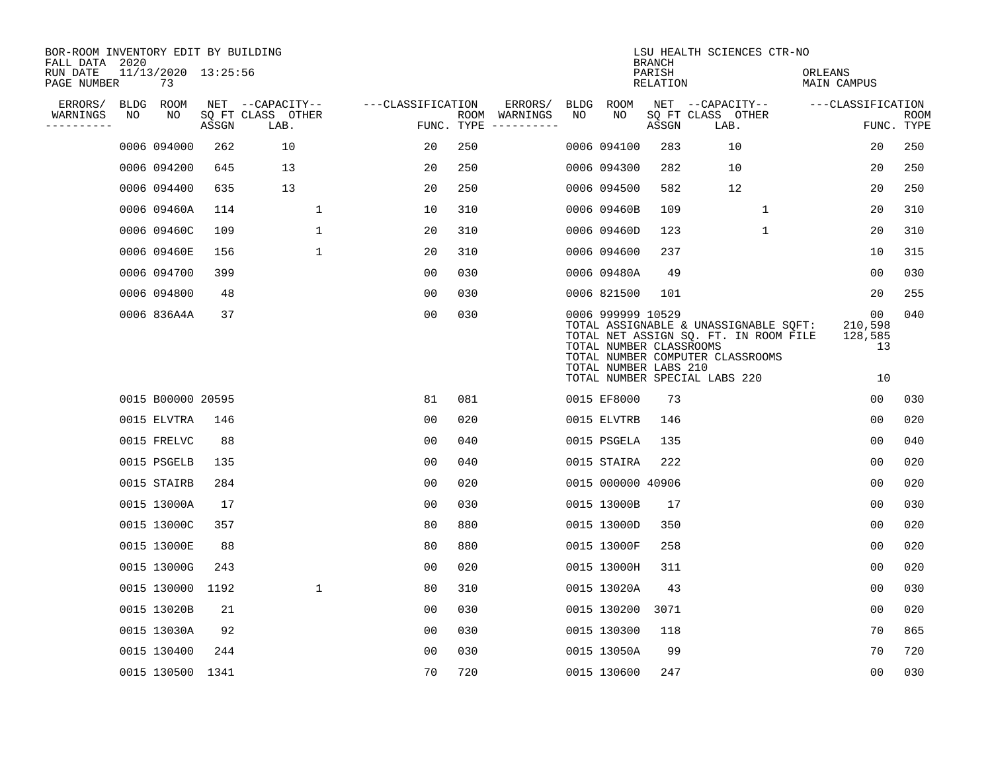| BOR-ROOM INVENTORY EDIT BY BUILDING<br>FALL DATA 2020 |    |                           |       |                           |                   |      |                                      |      |                                                                       | <b>BRANCH</b>             | LSU HEALTH SCIENCES CTR-NO                                                                                         |                                |                           |
|-------------------------------------------------------|----|---------------------------|-------|---------------------------|-------------------|------|--------------------------------------|------|-----------------------------------------------------------------------|---------------------------|--------------------------------------------------------------------------------------------------------------------|--------------------------------|---------------------------|
| RUN DATE<br>PAGE NUMBER                               |    | 11/13/2020 13:25:56<br>73 |       |                           |                   |      |                                      |      |                                                                       | PARISH<br><b>RELATION</b> |                                                                                                                    | ORLEANS<br><b>MAIN CAMPUS</b>  |                           |
| ERRORS/                                               |    | BLDG ROOM                 |       | NET --CAPACITY--          | ---CLASSIFICATION |      | ERRORS/                              | BLDG | <b>ROOM</b>                                                           |                           | NET --CAPACITY--                                                                                                   | ---CLASSIFICATION              |                           |
| WARNINGS<br>----------                                | NO | NO                        | ASSGN | SQ FT CLASS OTHER<br>LAB. |                   |      | ROOM WARNINGS<br>FUNC. TYPE $------$ | NO   | NO                                                                    | ASSGN                     | SQ FT CLASS OTHER<br>LAB.                                                                                          |                                | <b>ROOM</b><br>FUNC. TYPE |
|                                                       |    | 0006 094000               | 262   | 10                        | 20                | 250  |                                      |      | 0006 094100                                                           | 283                       | 10                                                                                                                 | 20                             | 250                       |
|                                                       |    | 0006 094200               | 645   | 13                        | 20                | 250  |                                      |      | 0006 094300                                                           | 282                       | 10                                                                                                                 | 20                             | 250                       |
|                                                       |    | 0006 094400               | 635   | 13                        | 20                | 250  |                                      |      | 0006 094500                                                           | 582                       | 12                                                                                                                 | 20                             | 250                       |
|                                                       |    | 0006 09460A               | 114   | $\mathbf 1$               | 10                | 310  |                                      |      | 0006 09460B                                                           | 109                       | $\mathbf 1$                                                                                                        | 20                             | 310                       |
|                                                       |    | 0006 09460C               | 109   | $\mathbf{1}$              | 20                | 310  |                                      |      | 0006 09460D                                                           | 123                       | $\mathbf{1}$                                                                                                       | 20                             | 310                       |
|                                                       |    | 0006 09460E               | 156   | $\mathbf{1}$              | 20                | 310  |                                      |      | 0006 094600                                                           | 237                       |                                                                                                                    | 10                             | 315                       |
|                                                       |    | 0006 094700               | 399   |                           | 00                | 0.30 |                                      |      | 0006 09480A                                                           | 49                        |                                                                                                                    | 0 <sub>0</sub>                 | 030                       |
|                                                       |    | 0006 094800               | 48    |                           | 0 <sub>0</sub>    | 030  |                                      |      | 0006 821500                                                           | 101                       |                                                                                                                    | 20                             | 255                       |
|                                                       |    | 0006 836A4A               | 37    |                           | 00                | 030  |                                      |      | 0006 999999 10529<br>TOTAL NUMBER CLASSROOMS<br>TOTAL NUMBER LABS 210 |                           | TOTAL ASSIGNABLE & UNASSIGNABLE SQFT:<br>TOTAL NET ASSIGN SQ. FT. IN ROOM FILE<br>TOTAL NUMBER COMPUTER CLASSROOMS | 00<br>210,598<br>128,585<br>13 | 040                       |
|                                                       |    |                           |       |                           |                   |      |                                      |      |                                                                       |                           | TOTAL NUMBER SPECIAL LABS 220                                                                                      | 10                             |                           |
|                                                       |    | 0015 B00000 20595         |       |                           | 81                | 081  |                                      |      | 0015 EF8000                                                           | 73                        |                                                                                                                    | 00                             | 030                       |
|                                                       |    | 0015 ELVTRA               | 146   |                           | 00                | 020  |                                      |      | 0015 ELVTRB                                                           | 146                       |                                                                                                                    | 0 <sub>0</sub>                 | 020                       |
|                                                       |    | 0015 FRELVC               | 88    |                           | 0 <sub>0</sub>    | 040  |                                      |      | 0015 PSGELA                                                           | 135                       |                                                                                                                    | 0 <sub>0</sub>                 | 040                       |
|                                                       |    | 0015 PSGELB               | 135   |                           | 0 <sub>0</sub>    | 040  |                                      |      | 0015 STAIRA                                                           | 222                       |                                                                                                                    | 00                             | 020                       |
|                                                       |    | 0015 STAIRB               | 284   |                           | 0 <sub>0</sub>    | 020  |                                      |      | 0015 000000 40906                                                     |                           |                                                                                                                    | 0 <sub>0</sub>                 | 020                       |
|                                                       |    | 0015 13000A               | 17    |                           | 0 <sub>0</sub>    | 030  |                                      |      | 0015 13000B                                                           | 17                        |                                                                                                                    | 00                             | 030                       |
|                                                       |    | 0015 13000C               | 357   |                           | 80                | 880  |                                      |      | 0015 13000D                                                           | 350                       |                                                                                                                    | 0 <sub>0</sub>                 | 020                       |
|                                                       |    | 0015 13000E               | 88    |                           | 80                | 880  |                                      |      | 0015 13000F                                                           | 258                       |                                                                                                                    | 0 <sub>0</sub>                 | 020                       |
|                                                       |    | 0015 13000G               | 243   |                           | 0 <sub>0</sub>    | 020  |                                      |      | 0015 13000H                                                           | 311                       |                                                                                                                    | 0 <sub>0</sub>                 | 020                       |
|                                                       |    | 0015 130000               | 1192  | $\mathbf 1$               | 80                | 310  |                                      |      | 0015 13020A                                                           | 43                        |                                                                                                                    | 0 <sub>0</sub>                 | 030                       |
|                                                       |    | 0015 13020B               | 21    |                           | 0 <sub>0</sub>    | 030  |                                      |      | 0015 130200                                                           | 3071                      |                                                                                                                    | 0 <sub>0</sub>                 | 020                       |
|                                                       |    | 0015 13030A               | 92    |                           | 0 <sub>0</sub>    | 030  |                                      |      | 0015 130300                                                           | 118                       |                                                                                                                    | 70                             | 865                       |
|                                                       |    | 0015 130400               | 244   |                           | 0 <sub>0</sub>    | 030  |                                      |      | 0015 13050A                                                           | 99                        |                                                                                                                    | 70                             | 720                       |
|                                                       |    | 0015 130500 1341          |       |                           | 70                | 720  |                                      |      | 0015 130600                                                           | 247                       |                                                                                                                    | 0 <sub>0</sub>                 | 030                       |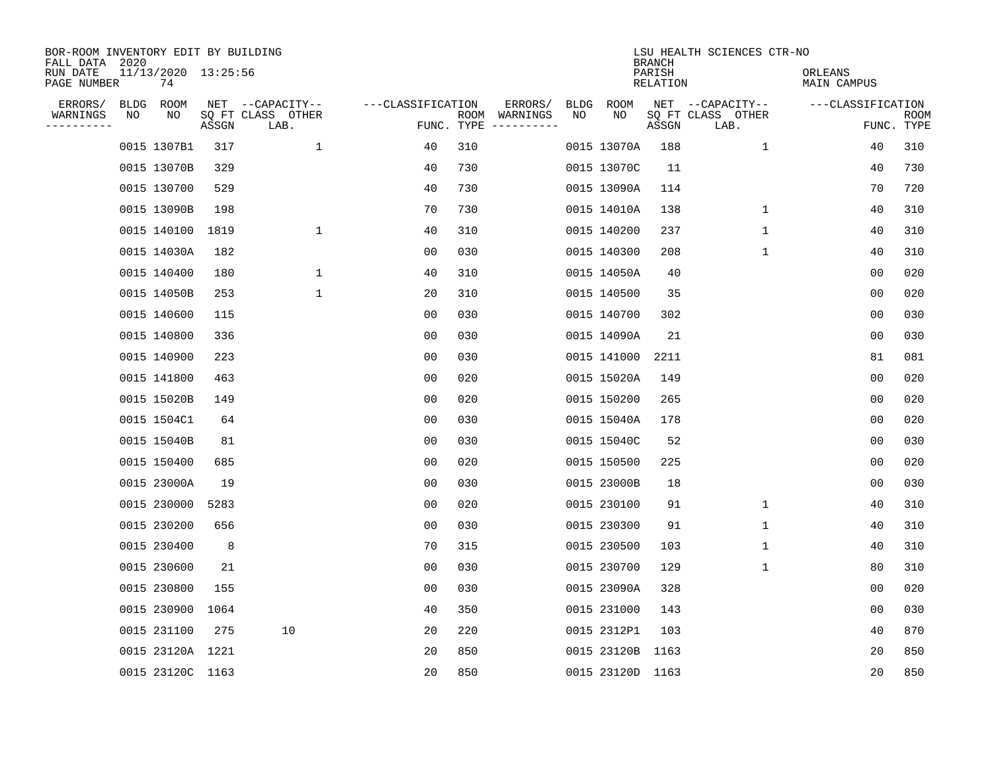| BOR-ROOM INVENTORY EDIT BY BUILDING<br>FALL DATA 2020 |    |                           |       |                           |                   |      |                                 |      |                  | <b>BRANCH</b>             | LSU HEALTH SCIENCES CTR-NO |                        |                           |
|-------------------------------------------------------|----|---------------------------|-------|---------------------------|-------------------|------|---------------------------------|------|------------------|---------------------------|----------------------------|------------------------|---------------------------|
| RUN DATE<br>PAGE NUMBER                               |    | 11/13/2020 13:25:56<br>74 |       |                           |                   |      |                                 |      |                  | PARISH<br><b>RELATION</b> |                            | ORLEANS<br>MAIN CAMPUS |                           |
| ERRORS/                                               |    | BLDG ROOM                 |       | NET --CAPACITY--          | ---CLASSIFICATION |      | ERRORS/                         | BLDG | ROOM             |                           | NET --CAPACITY--           | ---CLASSIFICATION      |                           |
| WARNINGS<br>----------                                | NO | NO                        | ASSGN | SQ FT CLASS OTHER<br>LAB. |                   | ROOM | WARNINGS<br>FUNC. TYPE $------$ | NO   | NO               | ASSGN                     | SQ FT CLASS OTHER<br>LAB.  |                        | <b>ROOM</b><br>FUNC. TYPE |
|                                                       |    | 0015 1307B1               | 317   | $\mathbf{1}$              | 40                | 310  |                                 |      | 0015 13070A      | 188                       | 1                          | 40                     | 310                       |
|                                                       |    | 0015 13070B               | 329   |                           | 40                | 730  |                                 |      | 0015 13070C      | 11                        |                            | 40                     | 730                       |
|                                                       |    | 0015 130700               | 529   |                           | 40                | 730  |                                 |      | 0015 13090A      | 114                       |                            | 70                     | 720                       |
|                                                       |    | 0015 13090B               | 198   |                           | 70                | 730  |                                 |      | 0015 14010A      | 138                       | $\mathbf 1$                | 40                     | 310                       |
|                                                       |    | 0015 140100               | 1819  | $\mathbf 1$               | 40                | 310  |                                 |      | 0015 140200      | 237                       | $\mathbf{1}$               | 40                     | 310                       |
|                                                       |    | 0015 14030A               | 182   |                           | 0 <sub>0</sub>    | 030  |                                 |      | 0015 140300      | 208                       | $\mathbf 1$                | 40                     | 310                       |
|                                                       |    | 0015 140400               | 180   | $\mathbf{1}$              | 40                | 310  |                                 |      | 0015 14050A      | 40                        |                            | 00                     | 020                       |
|                                                       |    | 0015 14050B               | 253   | $\mathbf{1}$              | 20                | 310  |                                 |      | 0015 140500      | 35                        |                            | 0 <sub>0</sub>         | 020                       |
|                                                       |    | 0015 140600               | 115   |                           | 0 <sub>0</sub>    | 030  |                                 |      | 0015 140700      | 302                       |                            | 0 <sub>0</sub>         | 030                       |
|                                                       |    | 0015 140800               | 336   |                           | 00                | 030  |                                 |      | 0015 14090A      | 21                        |                            | 00                     | 030                       |
|                                                       |    | 0015 140900               | 223   |                           | 00                | 030  |                                 |      | 0015 141000      | 2211                      |                            | 81                     | 081                       |
|                                                       |    | 0015 141800               | 463   |                           | 0 <sub>0</sub>    | 020  |                                 |      | 0015 15020A      | 149                       |                            | 0 <sub>0</sub>         | 020                       |
|                                                       |    | 0015 15020B               | 149   |                           | 0 <sub>0</sub>    | 020  |                                 |      | 0015 150200      | 265                       |                            | 0 <sub>0</sub>         | 020                       |
|                                                       |    | 0015 1504C1               | 64    |                           | 00                | 030  |                                 |      | 0015 15040A      | 178                       |                            | 0 <sub>0</sub>         | 020                       |
|                                                       |    | 0015 15040B               | 81    |                           | 0 <sub>0</sub>    | 030  |                                 |      | 0015 15040C      | 52                        |                            | 0 <sub>0</sub>         | 030                       |
|                                                       |    | 0015 150400               | 685   |                           | 0 <sub>0</sub>    | 020  |                                 |      | 0015 150500      | 225                       |                            | 00                     | 020                       |
|                                                       |    | 0015 23000A               | 19    |                           | 00                | 030  |                                 |      | 0015 23000B      | 18                        |                            | 00                     | 030                       |
|                                                       |    | 0015 230000               | 5283  |                           | 00                | 020  |                                 |      | 0015 230100      | 91                        | 1                          | 40                     | 310                       |
|                                                       |    | 0015 230200               | 656   |                           | 0 <sub>0</sub>    | 030  |                                 |      | 0015 230300      | 91                        | 1                          | 40                     | 310                       |
|                                                       |    | 0015 230400               | 8     |                           | 70                | 315  |                                 |      | 0015 230500      | 103                       | 1                          | 40                     | 310                       |
|                                                       |    | 0015 230600               | 21    |                           | 0 <sub>0</sub>    | 030  |                                 |      | 0015 230700      | 129                       | 1                          | 80                     | 310                       |
|                                                       |    | 0015 230800               | 155   |                           | 0 <sub>0</sub>    | 030  |                                 |      | 0015 23090A      | 328                       |                            | 0 <sub>0</sub>         | 020                       |
|                                                       |    | 0015 230900               | 1064  |                           | 40                | 350  |                                 |      | 0015 231000      | 143                       |                            | 0 <sub>0</sub>         | 030                       |
|                                                       |    | 0015 231100               | 275   | 10                        | 20                | 220  |                                 |      | 0015 2312P1      | 103                       |                            | 40                     | 870                       |
|                                                       |    | 0015 23120A 1221          |       |                           | 20                | 850  |                                 |      | 0015 23120B 1163 |                           |                            | 20                     | 850                       |
|                                                       |    | 0015 23120C 1163          |       |                           | 20                | 850  |                                 |      | 0015 23120D 1163 |                           |                            | 20                     | 850                       |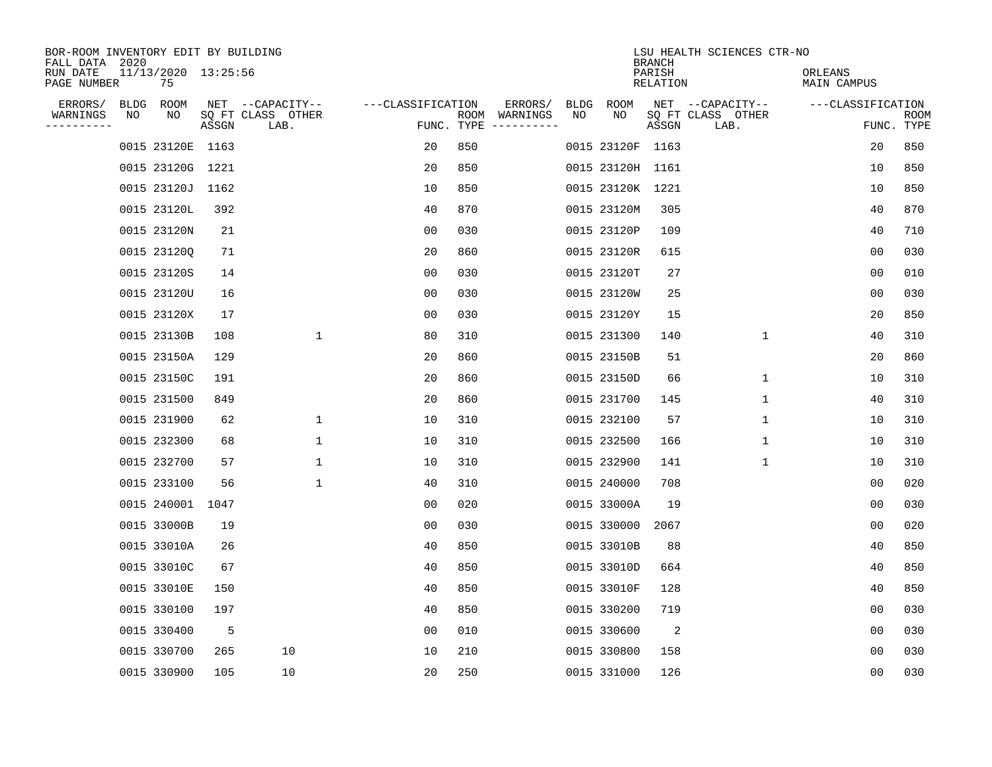| BOR-ROOM INVENTORY EDIT BY BUILDING<br>FALL DATA 2020 |                           |       |                           |                   |     |                                      |             |                  | <b>BRANCH</b>      | LSU HEALTH SCIENCES CTR-NO |                        |                           |
|-------------------------------------------------------|---------------------------|-------|---------------------------|-------------------|-----|--------------------------------------|-------------|------------------|--------------------|----------------------------|------------------------|---------------------------|
| RUN DATE<br>PAGE NUMBER                               | 11/13/2020 13:25:56<br>75 |       |                           |                   |     |                                      |             |                  | PARISH<br>RELATION |                            | ORLEANS<br>MAIN CAMPUS |                           |
| ERRORS/                                               | BLDG ROOM                 |       | NET --CAPACITY--          | ---CLASSIFICATION |     | ERRORS/                              | <b>BLDG</b> | <b>ROOM</b>      |                    | NET --CAPACITY--           | ---CLASSIFICATION      |                           |
| WARNINGS<br>NO<br>----------                          | NO                        | ASSGN | SQ FT CLASS OTHER<br>LAB. |                   |     | ROOM WARNINGS<br>FUNC. TYPE $------$ | NO          | NO               | ASSGN              | SQ FT CLASS OTHER<br>LAB.  |                        | <b>ROOM</b><br>FUNC. TYPE |
|                                                       | 0015 23120E 1163          |       |                           | 20                | 850 |                                      |             | 0015 23120F 1163 |                    |                            | 20                     | 850                       |
|                                                       | 0015 23120G 1221          |       |                           | 20                | 850 |                                      |             | 0015 23120H 1161 |                    |                            | 10                     | 850                       |
|                                                       | 0015 23120J               | 1162  |                           | 10                | 850 |                                      |             | 0015 23120K 1221 |                    |                            | 10                     | 850                       |
|                                                       | 0015 23120L               | 392   |                           | 40                | 870 |                                      |             | 0015 23120M      | 305                |                            | 40                     | 870                       |
|                                                       | 0015 23120N               | 21    |                           | 0 <sub>0</sub>    | 030 |                                      |             | 0015 23120P      | 109                |                            | 40                     | 710                       |
|                                                       | 0015 231200               | 71    |                           | 20                | 860 |                                      |             | 0015 23120R      | 615                |                            | 0 <sub>0</sub>         | 030                       |
|                                                       | 0015 23120S               | 14    |                           | 0 <sub>0</sub>    | 030 |                                      |             | 0015 23120T      | 27                 |                            | 0 <sub>0</sub>         | 010                       |
|                                                       | 0015 23120U               | 16    |                           | 0 <sub>0</sub>    | 030 |                                      |             | 0015 23120W      | 25                 |                            | 0 <sub>0</sub>         | 030                       |
|                                                       | 0015 23120X               | 17    |                           | 0 <sub>0</sub>    | 030 |                                      |             | 0015 23120Y      | 15                 |                            | 20                     | 850                       |
|                                                       | 0015 23130B               | 108   | $\mathbf{1}$              | 80                | 310 |                                      |             | 0015 231300      | 140                | $\mathbf 1$                | 40                     | 310                       |
|                                                       | 0015 23150A               | 129   |                           | 20                | 860 |                                      |             | 0015 23150B      | 51                 |                            | 20                     | 860                       |
|                                                       | 0015 23150C               | 191   |                           | 20                | 860 |                                      |             | 0015 23150D      | 66                 | $\mathbf{1}$               | 10                     | 310                       |
|                                                       | 0015 231500               | 849   |                           | 20                | 860 |                                      |             | 0015 231700      | 145                | 1                          | 40                     | 310                       |
|                                                       | 0015 231900               | 62    | 1                         | 10                | 310 |                                      |             | 0015 232100      | 57                 | 1                          | 10                     | 310                       |
|                                                       | 0015 232300               | 68    | 1                         | 10                | 310 |                                      |             | 0015 232500      | 166                | 1                          | 10                     | 310                       |
|                                                       | 0015 232700               | 57    | 1                         | 10                | 310 |                                      |             | 0015 232900      | 141                | 1                          | 10                     | 310                       |
|                                                       | 0015 233100               | 56    | $\mathbf{1}$              | 40                | 310 |                                      |             | 0015 240000      | 708                |                            | 0 <sub>0</sub>         | 020                       |
|                                                       | 0015 240001               | 1047  |                           | 0 <sub>0</sub>    | 020 |                                      |             | 0015 33000A      | 19                 |                            | 0 <sub>0</sub>         | 030                       |
|                                                       | 0015 33000B               | 19    |                           | 0 <sub>0</sub>    | 030 |                                      |             | 0015 330000      | 2067               |                            | 0 <sub>0</sub>         | 020                       |
|                                                       | 0015 33010A               | 26    |                           | 40                | 850 |                                      |             | 0015 33010B      | 88                 |                            | 40                     | 850                       |
|                                                       | 0015 33010C               | 67    |                           | 40                | 850 |                                      |             | 0015 33010D      | 664                |                            | 40                     | 850                       |
|                                                       | 0015 33010E               | 150   |                           | 40                | 850 |                                      |             | 0015 33010F      | 128                |                            | 40                     | 850                       |
|                                                       | 0015 330100               | 197   |                           | 40                | 850 |                                      |             | 0015 330200      | 719                |                            | 0 <sub>0</sub>         | 030                       |
|                                                       | 0015 330400               | 5     |                           | 0 <sub>0</sub>    | 010 |                                      |             | 0015 330600      | 2                  |                            | 0 <sub>0</sub>         | 030                       |
|                                                       | 0015 330700               | 265   | 10                        | 10                | 210 |                                      |             | 0015 330800      | 158                |                            | 0 <sub>0</sub>         | 030                       |
|                                                       | 0015 330900               | 105   | 10                        | 20                | 250 |                                      |             | 0015 331000      | 126                |                            | 0 <sub>0</sub>         | 030                       |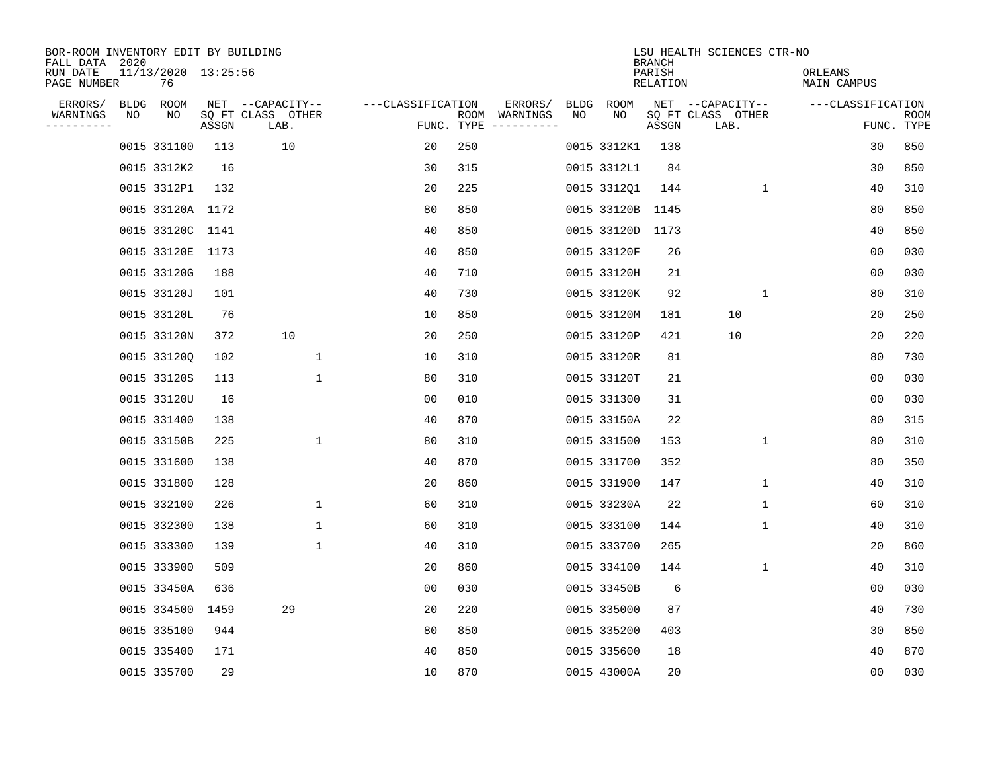| BOR-ROOM INVENTORY EDIT BY BUILDING<br>FALL DATA 2020 |      |                           |       |                           |                   |            |               |             |                  | <b>BRANCH</b>      | LSU HEALTH SCIENCES CTR-NO |                        |                           |
|-------------------------------------------------------|------|---------------------------|-------|---------------------------|-------------------|------------|---------------|-------------|------------------|--------------------|----------------------------|------------------------|---------------------------|
| RUN DATE<br>PAGE NUMBER                               |      | 11/13/2020 13:25:56<br>76 |       |                           |                   |            |               |             |                  | PARISH<br>RELATION |                            | ORLEANS<br>MAIN CAMPUS |                           |
| ERRORS/                                               | BLDG | ROOM                      |       | NET --CAPACITY--          | ---CLASSIFICATION |            | ERRORS/       | <b>BLDG</b> | ROOM             |                    | NET --CAPACITY--           | ---CLASSIFICATION      |                           |
| WARNINGS<br>----------                                | NO   | NO                        | ASSGN | SQ FT CLASS OTHER<br>LAB. |                   | FUNC. TYPE | ROOM WARNINGS | NO          | NO               | ASSGN              | SQ FT CLASS OTHER<br>LAB.  |                        | <b>ROOM</b><br>FUNC. TYPE |
|                                                       |      | 0015 331100               | 113   | 10                        | 20                | 250        |               |             | 0015 3312K1      | 138                |                            | 30                     | 850                       |
|                                                       |      | 0015 3312K2               | 16    |                           | 30                | 315        |               |             | 0015 3312L1      | 84                 |                            | 30                     | 850                       |
|                                                       |      | 0015 3312P1               | 132   |                           | 20                | 225        |               |             | 0015 331201      | 144                | 1                          | 40                     | 310                       |
|                                                       |      | 0015 33120A 1172          |       |                           | 80                | 850        |               |             | 0015 33120B 1145 |                    |                            | 80                     | 850                       |
|                                                       |      | 0015 33120C               | 1141  |                           | 40                | 850        |               |             | 0015 33120D      | 1173               |                            | 40                     | 850                       |
|                                                       |      | 0015 33120E               | 1173  |                           | 40                | 850        |               |             | 0015 33120F      | 26                 |                            | 0 <sub>0</sub>         | 030                       |
|                                                       |      | 0015 33120G               | 188   |                           | 40                | 710        |               |             | 0015 33120H      | 21                 |                            | 0 <sub>0</sub>         | 030                       |
|                                                       |      | 0015 33120J               | 101   |                           | 40                | 730        |               |             | 0015 33120K      | 92                 | $\mathbf{1}$               | 80                     | 310                       |
|                                                       |      | 0015 33120L               | 76    |                           | 10                | 850        |               |             | 0015 33120M      | 181                | 10                         | 20                     | 250                       |
|                                                       |      | 0015 33120N               | 372   | 10                        | 20                | 250        |               |             | 0015 33120P      | 421                | 10                         | 20                     | 220                       |
|                                                       |      | 0015 33120Q               | 102   | $\mathbf{1}$              | 10                | 310        |               |             | 0015 33120R      | 81                 |                            | 80                     | 730                       |
|                                                       |      | 0015 33120S               | 113   | $\mathbf 1$               | 80                | 310        |               |             | 0015 33120T      | 21                 |                            | 0 <sub>0</sub>         | 030                       |
|                                                       |      | 0015 33120U               | 16    |                           | 0 <sub>0</sub>    | 010        |               |             | 0015 331300      | 31                 |                            | 0 <sub>0</sub>         | 030                       |
|                                                       |      | 0015 331400               | 138   |                           | 40                | 870        |               |             | 0015 33150A      | 22                 |                            | 80                     | 315                       |
|                                                       |      | 0015 33150B               | 225   | $\mathbf 1$               | 80                | 310        |               |             | 0015 331500      | 153                | $\mathbf 1$                | 80                     | 310                       |
|                                                       |      | 0015 331600               | 138   |                           | 40                | 870        |               |             | 0015 331700      | 352                |                            | 80                     | 350                       |
|                                                       |      | 0015 331800               | 128   |                           | 20                | 860        |               |             | 0015 331900      | 147                | 1                          | 40                     | 310                       |
|                                                       |      | 0015 332100               | 226   | 1                         | 60                | 310        |               |             | 0015 33230A      | 22                 | 1                          | 60                     | 310                       |
|                                                       |      | 0015 332300               | 138   | $\mathbf{1}$              | 60                | 310        |               |             | 0015 333100      | 144                | 1                          | 40                     | 310                       |
|                                                       |      | 0015 333300               | 139   | $\mathbf{1}$              | 40                | 310        |               |             | 0015 333700      | 265                |                            | 20                     | 860                       |
|                                                       |      | 0015 333900               | 509   |                           | 20                | 860        |               |             | 0015 334100      | 144                | $\mathbf 1$                | 40                     | 310                       |
|                                                       |      | 0015 33450A               | 636   |                           | 0 <sub>0</sub>    | 030        |               |             | 0015 33450B      | 6                  |                            | 0 <sub>0</sub>         | 030                       |
|                                                       |      | 0015 334500               | 1459  | 29                        | 20                | 220        |               |             | 0015 335000      | 87                 |                            | 40                     | 730                       |
|                                                       |      | 0015 335100               | 944   |                           | 80                | 850        |               |             | 0015 335200      | 403                |                            | 30                     | 850                       |
|                                                       |      | 0015 335400               | 171   |                           | 40                | 850        |               |             | 0015 335600      | 18                 |                            | 40                     | 870                       |
|                                                       |      | 0015 335700               | 29    |                           | 10                | 870        |               |             | 0015 43000A      | 20                 |                            | 0 <sub>0</sub>         | 030                       |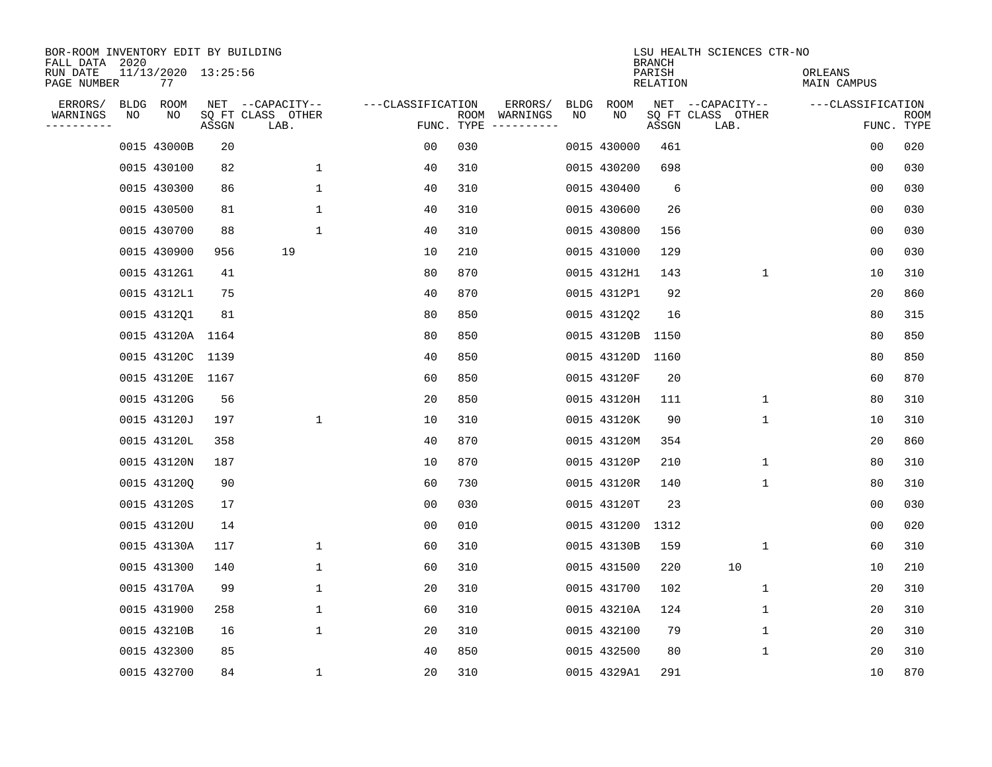| BOR-ROOM INVENTORY EDIT BY BUILDING<br>FALL DATA 2020 |    |                           |       |                           |                   |                    |                         |      |             | <b>BRANCH</b>      | LSU HEALTH SCIENCES CTR-NO |                        |                           |
|-------------------------------------------------------|----|---------------------------|-------|---------------------------|-------------------|--------------------|-------------------------|------|-------------|--------------------|----------------------------|------------------------|---------------------------|
| RUN DATE<br>PAGE NUMBER                               |    | 11/13/2020 13:25:56<br>77 |       |                           |                   |                    |                         |      |             | PARISH<br>RELATION |                            | ORLEANS<br>MAIN CAMPUS |                           |
| ERRORS/                                               |    | BLDG ROOM                 |       | NET --CAPACITY--          | ---CLASSIFICATION |                    | ERRORS/                 | BLDG | ROOM        |                    | NET --CAPACITY--           | ---CLASSIFICATION      |                           |
| WARNINGS<br>----------                                | NO | ΝO                        | ASSGN | SQ FT CLASS OTHER<br>LAB. |                   | ROOM<br>FUNC. TYPE | WARNINGS<br>----------- | NO   | NO          | ASSGN              | SQ FT CLASS OTHER<br>LAB.  |                        | <b>ROOM</b><br>FUNC. TYPE |
|                                                       |    | 0015 43000B               | 20    |                           | 00                | 030                |                         |      | 0015 430000 | 461                |                            | 00                     | 020                       |
|                                                       |    | 0015 430100               | 82    | $\mathbf{1}$              | 40                | 310                |                         |      | 0015 430200 | 698                |                            | 00                     | 030                       |
|                                                       |    | 0015 430300               | 86    | $\mathbf 1$               | 40                | 310                |                         |      | 0015 430400 | 6                  |                            | 00                     | 030                       |
|                                                       |    | 0015 430500               | 81    | $\mathbf 1$               | 40                | 310                |                         |      | 0015 430600 | 26                 |                            | 0 <sub>0</sub>         | 030                       |
|                                                       |    | 0015 430700               | 88    | $\mathbf{1}$              | 40                | 310                |                         |      | 0015 430800 | 156                |                            | 00                     | 030                       |
|                                                       |    | 0015 430900               | 956   | 19                        | 10                | 210                |                         |      | 0015 431000 | 129                |                            | 0 <sub>0</sub>         | 030                       |
|                                                       |    | 0015 4312G1               | 41    |                           | 80                | 870                |                         |      | 0015 4312H1 | 143                | $\mathbf{1}$               | 10                     | 310                       |
|                                                       |    | 0015 4312L1               | 75    |                           | 40                | 870                |                         |      | 0015 4312P1 | 92                 |                            | 20                     | 860                       |
|                                                       |    | 0015 4312Q1               | 81    |                           | 80                | 850                |                         |      | 0015 4312Q2 | 16                 |                            | 80                     | 315                       |
|                                                       |    | 0015 43120A 1164          |       |                           | 80                | 850                |                         |      | 0015 43120B | 1150               |                            | 80                     | 850                       |
|                                                       |    | 0015 43120C 1139          |       |                           | 40                | 850                |                         |      | 0015 43120D | 1160               |                            | 80                     | 850                       |
|                                                       |    | 0015 43120E 1167          |       |                           | 60                | 850                |                         |      | 0015 43120F | 20                 |                            | 60                     | 870                       |
|                                                       |    | 0015 43120G               | 56    |                           | 20                | 850                |                         |      | 0015 43120H | 111                | $\mathbf 1$                | 80                     | 310                       |
|                                                       |    | 0015 43120J               | 197   | $\mathbf 1$               | 10                | 310                |                         |      | 0015 43120K | 90                 | 1                          | 10                     | 310                       |
|                                                       |    | 0015 43120L               | 358   |                           | 40                | 870                |                         |      | 0015 43120M | 354                |                            | 20                     | 860                       |
|                                                       |    | 0015 43120N               | 187   |                           | 10                | 870                |                         |      | 0015 43120P | 210                | 1                          | 80                     | 310                       |
|                                                       |    | 0015 431200               | 90    |                           | 60                | 730                |                         |      | 0015 43120R | 140                | 1                          | 80                     | 310                       |
|                                                       |    | 0015 43120S               | 17    |                           | 00                | 030                |                         |      | 0015 43120T | 23                 |                            | 00                     | 030                       |
|                                                       |    | 0015 43120U               | 14    |                           | 0 <sub>0</sub>    | 010                |                         |      | 0015 431200 | 1312               |                            | 0 <sub>0</sub>         | 020                       |
|                                                       |    | 0015 43130A               | 117   | 1                         | 60                | 310                |                         |      | 0015 43130B | 159                | 1                          | 60                     | 310                       |
|                                                       |    | 0015 431300               | 140   | 1                         | 60                | 310                |                         |      | 0015 431500 | 220                | 10                         | 10                     | 210                       |
|                                                       |    | 0015 43170A               | 99    | $\mathbf 1$               | 20                | 310                |                         |      | 0015 431700 | 102                | 1                          | 20                     | 310                       |
|                                                       |    | 0015 431900               | 258   | $\mathbf 1$               | 60                | 310                |                         |      | 0015 43210A | 124                | 1                          | 20                     | 310                       |
|                                                       |    | 0015 43210B               | 16    | $\mathbf{1}$              | 20                | 310                |                         |      | 0015 432100 | 79                 | 1                          | 20                     | 310                       |
|                                                       |    | 0015 432300               | 85    |                           | 40                | 850                |                         |      | 0015 432500 | 80                 | 1                          | 20                     | 310                       |
|                                                       |    | 0015 432700               | 84    | $\mathbf{1}$              | 20                | 310                |                         |      | 0015 4329A1 | 291                |                            | 10                     | 870                       |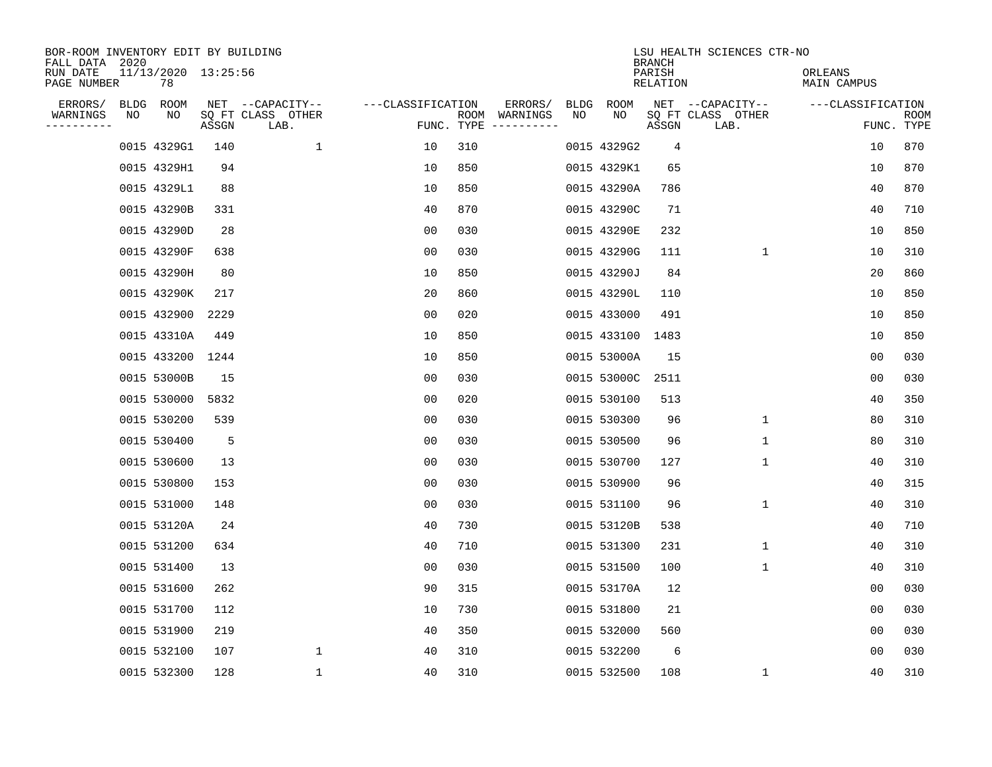| BOR-ROOM INVENTORY EDIT BY BUILDING<br>FALL DATA 2020 |    |                           |       |                           |                   |                    |                         |      |             | <b>BRANCH</b>             | LSU HEALTH SCIENCES CTR-NO |                        |                           |
|-------------------------------------------------------|----|---------------------------|-------|---------------------------|-------------------|--------------------|-------------------------|------|-------------|---------------------------|----------------------------|------------------------|---------------------------|
| RUN DATE<br>PAGE NUMBER                               |    | 11/13/2020 13:25:56<br>78 |       |                           |                   |                    |                         |      |             | PARISH<br><b>RELATION</b> |                            | ORLEANS<br>MAIN CAMPUS |                           |
| ERRORS/                                               |    | BLDG ROOM                 |       | NET --CAPACITY--          | ---CLASSIFICATION |                    | ERRORS/                 | BLDG | ROOM        |                           | NET --CAPACITY--           | ---CLASSIFICATION      |                           |
| WARNINGS<br>----------                                | NO | NO                        | ASSGN | SQ FT CLASS OTHER<br>LAB. |                   | ROOM<br>FUNC. TYPE | WARNINGS<br>----------- | NO   | NO          | ASSGN                     | SQ FT CLASS OTHER<br>LAB.  |                        | <b>ROOM</b><br>FUNC. TYPE |
|                                                       |    | 0015 4329G1               | 140   | 1                         | 10                | 310                |                         |      | 0015 4329G2 | 4                         |                            | 10                     | 870                       |
|                                                       |    | 0015 4329H1               | 94    |                           | 10                | 850                |                         |      | 0015 4329K1 | 65                        |                            | 10                     | 870                       |
|                                                       |    | 0015 4329L1               | 88    |                           | 10                | 850                |                         |      | 0015 43290A | 786                       |                            | 40                     | 870                       |
|                                                       |    | 0015 43290B               | 331   |                           | 40                | 870                |                         |      | 0015 43290C | 71                        |                            | 40                     | 710                       |
|                                                       |    | 0015 43290D               | 28    |                           | 0 <sub>0</sub>    | 030                |                         |      | 0015 43290E | 232                       |                            | 10                     | 850                       |
|                                                       |    | 0015 43290F               | 638   |                           | 0 <sub>0</sub>    | 030                |                         |      | 0015 43290G | 111                       | $\mathbf 1$                | 10                     | 310                       |
|                                                       |    | 0015 43290H               | 80    |                           | 10                | 850                |                         |      | 0015 43290J | 84                        |                            | 20                     | 860                       |
|                                                       |    | 0015 43290K               | 217   |                           | 20                | 860                |                         |      | 0015 43290L | 110                       |                            | 10                     | 850                       |
|                                                       |    | 0015 432900               | 2229  |                           | 0 <sub>0</sub>    | 020                |                         |      | 0015 433000 | 491                       |                            | 10                     | 850                       |
|                                                       |    | 0015 43310A               | 449   |                           | 10                | 850                |                         |      | 0015 433100 | 1483                      |                            | 10                     | 850                       |
|                                                       |    | 0015 433200               | 1244  |                           | 10                | 850                |                         |      | 0015 53000A | 15                        |                            | 0 <sub>0</sub>         | 030                       |
|                                                       |    | 0015 53000B               | 15    |                           | 0 <sub>0</sub>    | 030                |                         |      | 0015 53000C | 2511                      |                            | 0 <sub>0</sub>         | 030                       |
|                                                       |    | 0015 530000               | 5832  |                           | 0 <sub>0</sub>    | 020                |                         |      | 0015 530100 | 513                       |                            | 40                     | 350                       |
|                                                       |    | 0015 530200               | 539   |                           | 00                | 030                |                         |      | 0015 530300 | 96                        | 1                          | 80                     | 310                       |
|                                                       |    | 0015 530400               | 5     |                           | 0 <sub>0</sub>    | 030                |                         |      | 0015 530500 | 96                        | 1                          | 80                     | 310                       |
|                                                       |    | 0015 530600               | 13    |                           | 0 <sub>0</sub>    | 030                |                         |      | 0015 530700 | 127                       | 1                          | 40                     | 310                       |
|                                                       |    | 0015 530800               | 153   |                           | 00                | 030                |                         |      | 0015 530900 | 96                        |                            | 40                     | 315                       |
|                                                       |    | 0015 531000               | 148   |                           | 00                | 0.30               |                         |      | 0015 531100 | 96                        | 1                          | 40                     | 310                       |
|                                                       |    | 0015 53120A               | 24    |                           | 40                | 730                |                         |      | 0015 53120B | 538                       |                            | 40                     | 710                       |
|                                                       |    | 0015 531200               | 634   |                           | 40                | 710                |                         |      | 0015 531300 | 231                       | 1                          | 40                     | 310                       |
|                                                       |    | 0015 531400               | 13    |                           | 0 <sub>0</sub>    | 030                |                         |      | 0015 531500 | 100                       | 1                          | 40                     | 310                       |
|                                                       |    | 0015 531600               | 262   |                           | 90                | 315                |                         |      | 0015 53170A | 12                        |                            | 0 <sub>0</sub>         | 030                       |
|                                                       |    | 0015 531700               | 112   |                           | 10                | 730                |                         |      | 0015 531800 | 21                        |                            | 0 <sub>0</sub>         | 030                       |
|                                                       |    | 0015 531900               | 219   |                           | 40                | 350                |                         |      | 0015 532000 | 560                       |                            | 0 <sub>0</sub>         | 030                       |
|                                                       |    | 0015 532100               | 107   | $\mathbf{1}$              | 40                | 310                |                         |      | 0015 532200 | 6                         |                            | 0 <sub>0</sub>         | 030                       |
|                                                       |    | 0015 532300               | 128   | $\mathbf{1}$              | 40                | 310                |                         |      | 0015 532500 | 108                       | 1                          | 40                     | 310                       |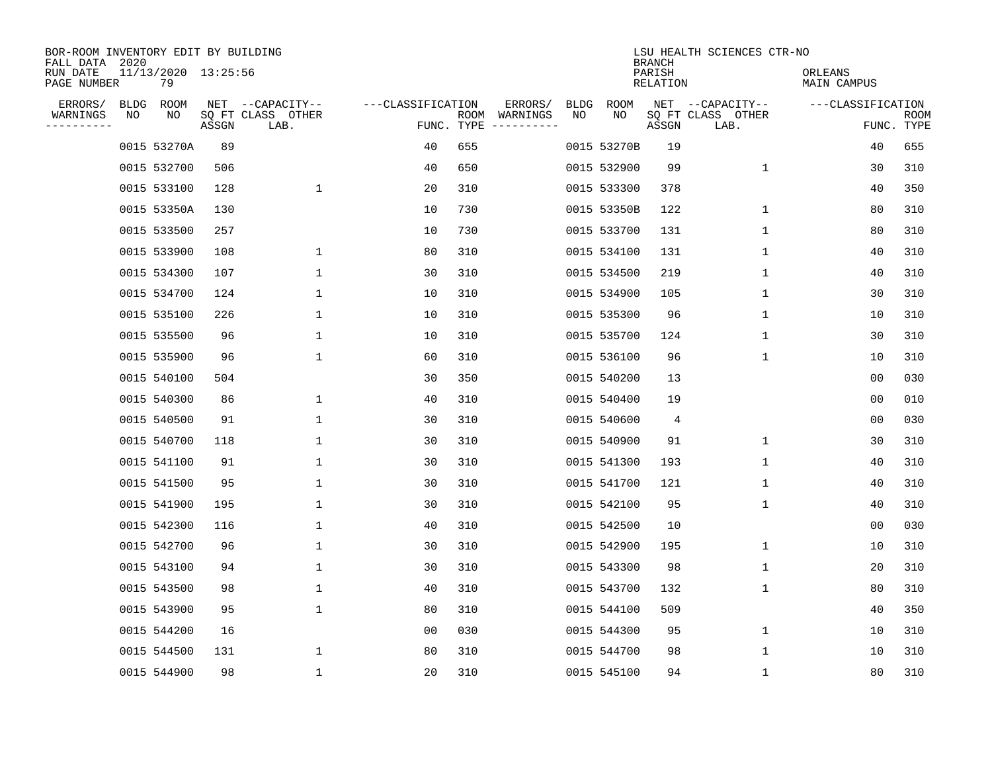| BOR-ROOM INVENTORY EDIT BY BUILDING<br>FALL DATA 2020 |             |                           |       |                           |                   |      |                                 |             |             | <b>BRANCH</b>      | LSU HEALTH SCIENCES CTR-NO |                        |                           |
|-------------------------------------------------------|-------------|---------------------------|-------|---------------------------|-------------------|------|---------------------------------|-------------|-------------|--------------------|----------------------------|------------------------|---------------------------|
| RUN DATE<br>PAGE NUMBER                               |             | 11/13/2020 13:25:56<br>79 |       |                           |                   |      |                                 |             |             | PARISH<br>RELATION |                            | ORLEANS<br>MAIN CAMPUS |                           |
| ERRORS/                                               | <b>BLDG</b> | ROOM                      |       | NET --CAPACITY--          | ---CLASSIFICATION |      | ERRORS/                         | <b>BLDG</b> | <b>ROOM</b> |                    | NET --CAPACITY--           | ---CLASSIFICATION      |                           |
| WARNINGS<br>----------                                | NO          | NO                        | ASSGN | SQ FT CLASS OTHER<br>LAB. |                   | ROOM | WARNINGS<br>FUNC. TYPE $------$ | NO          | NO          | ASSGN              | SQ FT CLASS OTHER<br>LAB.  |                        | <b>ROOM</b><br>FUNC. TYPE |
|                                                       |             | 0015 53270A               | 89    |                           | 40                | 655  |                                 |             | 0015 53270B | 19                 |                            | 40                     | 655                       |
|                                                       |             | 0015 532700               | 506   |                           | 40                | 650  |                                 |             | 0015 532900 | 99                 | 1                          | 30                     | 310                       |
|                                                       |             | 0015 533100               | 128   | $\mathbf 1$               | 20                | 310  |                                 |             | 0015 533300 | 378                |                            | 40                     | 350                       |
|                                                       |             | 0015 53350A               | 130   |                           | 10                | 730  |                                 |             | 0015 53350B | 122                | 1                          | 80                     | 310                       |
|                                                       |             | 0015 533500               | 257   |                           | 10                | 730  |                                 |             | 0015 533700 | 131                | $\mathbf 1$                | 80                     | 310                       |
|                                                       |             | 0015 533900               | 108   | 1                         | 80                | 310  |                                 |             | 0015 534100 | 131                | 1                          | 40                     | 310                       |
|                                                       |             | 0015 534300               | 107   | $\mathbf 1$               | 30                | 310  |                                 |             | 0015 534500 | 219                | $\mathbf{1}$               | 40                     | 310                       |
|                                                       |             | 0015 534700               | 124   | 1                         | 10                | 310  |                                 |             | 0015 534900 | 105                | 1                          | 30                     | 310                       |
|                                                       |             | 0015 535100               | 226   | 1                         | 10                | 310  |                                 |             | 0015 535300 | 96                 | 1                          | 10                     | 310                       |
|                                                       |             | 0015 535500               | 96    | 1                         | 10                | 310  |                                 |             | 0015 535700 | 124                | $\mathbf 1$                | 30                     | 310                       |
|                                                       |             | 0015 535900               | 96    | 1                         | 60                | 310  |                                 |             | 0015 536100 | 96                 | $\mathbf 1$                | 10                     | 310                       |
|                                                       |             | 0015 540100               | 504   |                           | 30                | 350  |                                 |             | 0015 540200 | 13                 |                            | 0 <sub>0</sub>         | 030                       |
|                                                       |             | 0015 540300               | 86    | 1                         | 40                | 310  |                                 |             | 0015 540400 | 19                 |                            | 0 <sub>0</sub>         | 010                       |
|                                                       |             | 0015 540500               | 91    | 1                         | 30                | 310  |                                 |             | 0015 540600 | 4                  |                            | 00                     | 030                       |
|                                                       |             | 0015 540700               | 118   | 1                         | 30                | 310  |                                 |             | 0015 540900 | 91                 | 1                          | 30                     | 310                       |
|                                                       |             | 0015 541100               | 91    | 1                         | 30                | 310  |                                 |             | 0015 541300 | 193                | 1                          | 40                     | 310                       |
|                                                       |             | 0015 541500               | 95    | 1                         | 30                | 310  |                                 |             | 0015 541700 | 121                | 1                          | 40                     | 310                       |
|                                                       |             | 0015 541900               | 195   | 1                         | 30                | 310  |                                 |             | 0015 542100 | 95                 | 1                          | 40                     | 310                       |
|                                                       |             | 0015 542300               | 116   | 1                         | 40                | 310  |                                 |             | 0015 542500 | 10                 |                            | 0 <sub>0</sub>         | 030                       |
|                                                       |             | 0015 542700               | 96    | $\mathbf 1$               | 30                | 310  |                                 |             | 0015 542900 | 195                | 1                          | 10                     | 310                       |
|                                                       |             | 0015 543100               | 94    | 1                         | 30                | 310  |                                 |             | 0015 543300 | 98                 | 1                          | 20                     | 310                       |
|                                                       |             | 0015 543500               | 98    | $\mathbf 1$               | 40                | 310  |                                 |             | 0015 543700 | 132                | 1                          | 80                     | 310                       |
|                                                       |             | 0015 543900               | 95    | $\mathbf 1$               | 80                | 310  |                                 |             | 0015 544100 | 509                |                            | 40                     | 350                       |
|                                                       |             | 0015 544200               | 16    |                           | 0 <sub>0</sub>    | 030  |                                 |             | 0015 544300 | 95                 | 1                          | 10                     | 310                       |
|                                                       |             | 0015 544500               | 131   | 1                         | 80                | 310  |                                 |             | 0015 544700 | 98                 | 1                          | 10                     | 310                       |
|                                                       |             | 0015 544900               | 98    | $\mathbf{1}$              | 20                | 310  |                                 |             | 0015 545100 | 94                 | 1                          | 80                     | 310                       |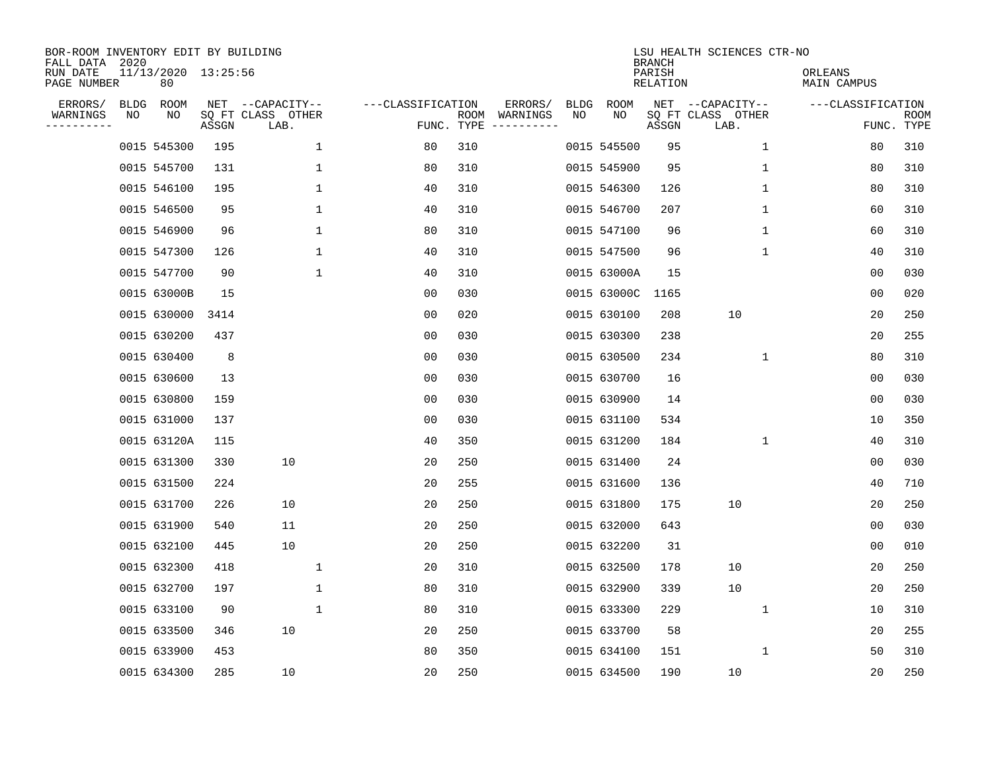| BOR-ROOM INVENTORY EDIT BY BUILDING<br>FALL DATA 2020<br>RUN DATE<br>PAGE NUMBER |    | 11/13/2020 13:25:56<br>80 |       |                                               |                   |            |                          |            |             | <b>BRANCH</b><br>PARISH<br>RELATION | LSU HEALTH SCIENCES CTR-NO                    | ORLEANS<br>MAIN CAMPUS |                    |
|----------------------------------------------------------------------------------|----|---------------------------|-------|-----------------------------------------------|-------------------|------------|--------------------------|------------|-------------|-------------------------------------|-----------------------------------------------|------------------------|--------------------|
| ERRORS/<br>WARNINGS<br>--------                                                  | ΝO | BLDG ROOM<br>ΝO           | ASSGN | NET --CAPACITY--<br>SQ FT CLASS OTHER<br>LAB. | ---CLASSIFICATION | FUNC. TYPE | ERRORS/<br>ROOM WARNINGS | BLDG<br>NO | ROOM<br>NO  | ASSGN                               | NET --CAPACITY--<br>SQ FT CLASS OTHER<br>LAB. | ---CLASSIFICATION      | ROOM<br>FUNC. TYPE |
|                                                                                  |    | 0015 545300               | 195   | $\mathbf 1$                                   | 80                | 310        |                          |            | 0015 545500 | 95                                  | $\mathbf 1$                                   | 80                     | 310                |
|                                                                                  |    | 0015 545700               | 131   | $\mathbf{1}$                                  | 80                | 310        |                          |            | 0015 545900 | 95                                  | $\mathbf{1}$                                  | 80                     | 310                |
|                                                                                  |    | 0015 546100               | 195   | $\mathbf 1$                                   | 40                | 310        |                          |            | 0015 546300 | 126                                 | $\mathbf{1}$                                  | 80                     | 310                |
|                                                                                  |    | 0015 546500               | 95    | $\mathbf 1$                                   | 40                | 310        |                          |            | 0015 546700 | 207                                 | 1                                             | 60                     | 310                |
|                                                                                  |    | 0015 546900               | 96    | $\mathbf 1$                                   | 80                | 310        |                          |            | 0015 547100 | 96                                  | $\mathbf 1$                                   | 60                     | 310                |
|                                                                                  |    | 0015 547300               | 126   | $\mathbf 1$                                   | 40                | 310        |                          |            | 0015 547500 | 96                                  | $\mathbf 1$                                   | 40                     | 310                |
|                                                                                  |    | 0015 547700               | 90    | $\mathbf 1$                                   | 40                | 310        |                          |            | 0015 63000A | 15                                  |                                               | 0 <sub>0</sub>         | 030                |
|                                                                                  |    | 0015 63000B               | 15    |                                               | 0 <sub>0</sub>    | 030        |                          |            | 0015 63000C | 1165                                |                                               | 0 <sub>0</sub>         | 020                |
|                                                                                  |    | 0015 630000               | 3414  |                                               | 0 <sub>0</sub>    | 020        |                          |            | 0015 630100 | 208                                 | 10                                            | 20                     | 250                |
|                                                                                  |    | 0015 630200               | 437   |                                               | 00                | 030        |                          |            | 0015 630300 | 238                                 |                                               | 20                     | 255                |
|                                                                                  |    | 0015 630400               | 8     |                                               | 00                | 030        |                          |            | 0015 630500 | 234                                 | 1                                             | 80                     | 310                |
|                                                                                  |    | 0015 630600               | 13    |                                               | 0 <sub>0</sub>    | 030        |                          |            | 0015 630700 | 16                                  |                                               | 00                     | 030                |
|                                                                                  |    | 0015 630800               | 159   |                                               | 0 <sub>0</sub>    | 030        |                          |            | 0015 630900 | 14                                  |                                               | 0 <sub>0</sub>         | 030                |
|                                                                                  |    | 0015 631000               | 137   |                                               | 0 <sub>0</sub>    | 030        |                          |            | 0015 631100 | 534                                 |                                               | 10                     | 350                |
|                                                                                  |    | 0015 63120A               | 115   |                                               | 40                | 350        |                          |            | 0015 631200 | 184                                 | 1                                             | 40                     | 310                |
|                                                                                  |    | 0015 631300               | 330   | 10                                            | 20                | 250        |                          |            | 0015 631400 | 24                                  |                                               | 00                     | 030                |
|                                                                                  |    | 0015 631500               | 224   |                                               | 20                | 255        |                          |            | 0015 631600 | 136                                 |                                               | 40                     | 710                |
|                                                                                  |    | 0015 631700               | 226   | 10                                            | 20                | 250        |                          |            | 0015 631800 | 175                                 | 10                                            | 20                     | 250                |
|                                                                                  |    | 0015 631900               | 540   | 11                                            | 20                | 250        |                          |            | 0015 632000 | 643                                 |                                               | 00                     | 030                |
|                                                                                  |    | 0015 632100               | 445   | 10                                            | 20                | 250        |                          |            | 0015 632200 | 31                                  |                                               | 00                     | 010                |
|                                                                                  |    | 0015 632300               | 418   | $\mathbf 1$                                   | 20                | 310        |                          |            | 0015 632500 | 178                                 | 10                                            | 20                     | 250                |
|                                                                                  |    | 0015 632700               | 197   | $\mathbf 1$                                   | 80                | 310        |                          |            | 0015 632900 | 339                                 | 10                                            | 20                     | 250                |
|                                                                                  |    | 0015 633100               | 90    | $\mathbf 1$                                   | 80                | 310        |                          |            | 0015 633300 | 229                                 | 1                                             | 10                     | 310                |
|                                                                                  |    | 0015 633500               | 346   | 10                                            | 20                | 250        |                          |            | 0015 633700 | 58                                  |                                               | 20                     | 255                |
|                                                                                  |    | 0015 633900               | 453   |                                               | 80                | 350        |                          |            | 0015 634100 | 151                                 | 1                                             | 50                     | 310                |
|                                                                                  |    | 0015 634300               | 285   | 10                                            | 20                | 250        |                          |            | 0015 634500 | 190                                 | 10                                            | 20                     | 250                |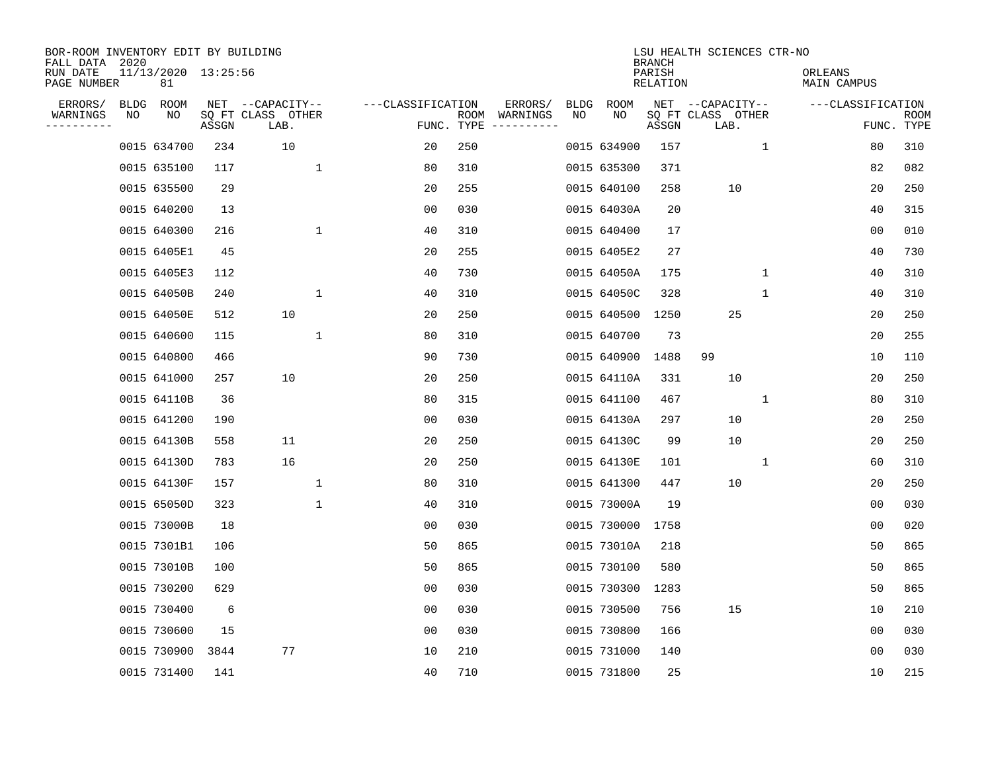| BOR-ROOM INVENTORY EDIT BY BUILDING<br>FALL DATA 2020 |    |                           |       |                           |              |                   |     |                                      |      |             | <b>BRANCH</b>             | LSU HEALTH SCIENCES CTR-NO |              |                        |                |                           |
|-------------------------------------------------------|----|---------------------------|-------|---------------------------|--------------|-------------------|-----|--------------------------------------|------|-------------|---------------------------|----------------------------|--------------|------------------------|----------------|---------------------------|
| RUN DATE<br>PAGE NUMBER                               |    | 11/13/2020 13:25:56<br>81 |       |                           |              |                   |     |                                      |      |             | PARISH<br><b>RELATION</b> |                            |              | ORLEANS<br>MAIN CAMPUS |                |                           |
| ERRORS/                                               |    | BLDG ROOM                 |       | NET --CAPACITY--          |              | ---CLASSIFICATION |     | ERRORS/                              | BLDG | ROOM        |                           | NET --CAPACITY--           |              | ---CLASSIFICATION      |                |                           |
| WARNINGS<br>----------                                | NO | NO                        | ASSGN | SQ FT CLASS OTHER<br>LAB. |              |                   |     | ROOM WARNINGS<br>FUNC. TYPE $------$ | NO   | NO          | ASSGN                     | SQ FT CLASS OTHER<br>LAB.  |              |                        |                | <b>ROOM</b><br>FUNC. TYPE |
|                                                       |    | 0015 634700               | 234   | 10                        |              | 20                | 250 |                                      |      | 0015 634900 | 157                       |                            | $\mathbf{1}$ |                        | 80             | 310                       |
|                                                       |    | 0015 635100               | 117   |                           | $\mathbf 1$  | 80                | 310 |                                      |      | 0015 635300 | 371                       |                            |              |                        | 82             | 082                       |
|                                                       |    | 0015 635500               | 29    |                           |              | 20                | 255 |                                      |      | 0015 640100 | 258                       | 10                         |              |                        | 20             | 250                       |
|                                                       |    | 0015 640200               | 13    |                           |              | 00                | 030 |                                      |      | 0015 64030A | 20                        |                            |              |                        | 40             | 315                       |
|                                                       |    | 0015 640300               | 216   |                           | $\mathbf 1$  | 40                | 310 |                                      |      | 0015 640400 | 17                        |                            |              |                        | 0 <sub>0</sub> | 010                       |
|                                                       |    | 0015 6405E1               | 45    |                           |              | 20                | 255 |                                      |      | 0015 6405E2 | 27                        |                            |              |                        | 40             | 730                       |
|                                                       |    | 0015 6405E3               | 112   |                           |              | 40                | 730 |                                      |      | 0015 64050A | 175                       |                            | $\mathbf{1}$ |                        | 40             | 310                       |
|                                                       |    | 0015 64050B               | 240   |                           | $\mathbf{1}$ | 40                | 310 |                                      |      | 0015 64050C | 328                       |                            | 1            |                        | 40             | 310                       |
|                                                       |    | 0015 64050E               | 512   | 10                        |              | 20                | 250 |                                      |      | 0015 640500 | 1250                      | 25                         |              |                        | 20             | 250                       |
|                                                       |    | 0015 640600               | 115   |                           | $\mathbf{1}$ | 80                | 310 |                                      |      | 0015 640700 | 73                        |                            |              |                        | 20             | 255                       |
|                                                       |    | 0015 640800               | 466   |                           |              | 90                | 730 |                                      |      | 0015 640900 | 1488                      | 99                         |              |                        | 10             | 110                       |
|                                                       |    | 0015 641000               | 257   | 10                        |              | 20                | 250 |                                      |      | 0015 64110A | 331                       | 10                         |              |                        | 20             | 250                       |
|                                                       |    | 0015 64110B               | 36    |                           |              | 80                | 315 |                                      |      | 0015 641100 | 467                       |                            | 1            |                        | 80             | 310                       |
|                                                       |    | 0015 641200               | 190   |                           |              | 00                | 030 |                                      |      | 0015 64130A | 297                       | 10                         |              |                        | 20             | 250                       |
|                                                       |    | 0015 64130B               | 558   | 11                        |              | 20                | 250 |                                      |      | 0015 64130C | 99                        | 10                         |              |                        | 20             | 250                       |
|                                                       |    | 0015 64130D               | 783   | 16                        |              | 20                | 250 |                                      |      | 0015 64130E | 101                       |                            | 1            |                        | 60             | 310                       |
|                                                       |    | 0015 64130F               | 157   |                           | $\mathbf{1}$ | 80                | 310 |                                      |      | 0015 641300 | 447                       | 10                         |              |                        | 20             | 250                       |
|                                                       |    | 0015 65050D               | 323   |                           | $\mathbf{1}$ | 40                | 310 |                                      |      | 0015 73000A | 19                        |                            |              |                        | 0 <sub>0</sub> | 030                       |
|                                                       |    | 0015 73000B               | 18    |                           |              | 0 <sub>0</sub>    | 030 |                                      |      | 0015 730000 | 1758                      |                            |              |                        | 0 <sub>0</sub> | 020                       |
|                                                       |    | 0015 7301B1               | 106   |                           |              | 50                | 865 |                                      |      | 0015 73010A | 218                       |                            |              |                        | 50             | 865                       |
|                                                       |    | 0015 73010B               | 100   |                           |              | 50                | 865 |                                      |      | 0015 730100 | 580                       |                            |              |                        | 50             | 865                       |
|                                                       |    | 0015 730200               | 629   |                           |              | 0 <sub>0</sub>    | 030 |                                      |      | 0015 730300 | 1283                      |                            |              |                        | 50             | 865                       |
|                                                       |    | 0015 730400               | 6     |                           |              | 00                | 030 |                                      |      | 0015 730500 | 756                       | 15                         |              |                        | 10             | 210                       |
|                                                       |    | 0015 730600               | 15    |                           |              | 0 <sub>0</sub>    | 030 |                                      |      | 0015 730800 | 166                       |                            |              |                        | 00             | 030                       |
|                                                       |    | 0015 730900               | 3844  | 77                        |              | 10                | 210 |                                      |      | 0015 731000 | 140                       |                            |              |                        | 0 <sub>0</sub> | 030                       |
|                                                       |    | 0015 731400               | 141   |                           |              | 40                | 710 |                                      |      | 0015 731800 | 25                        |                            |              |                        | 10             | 215                       |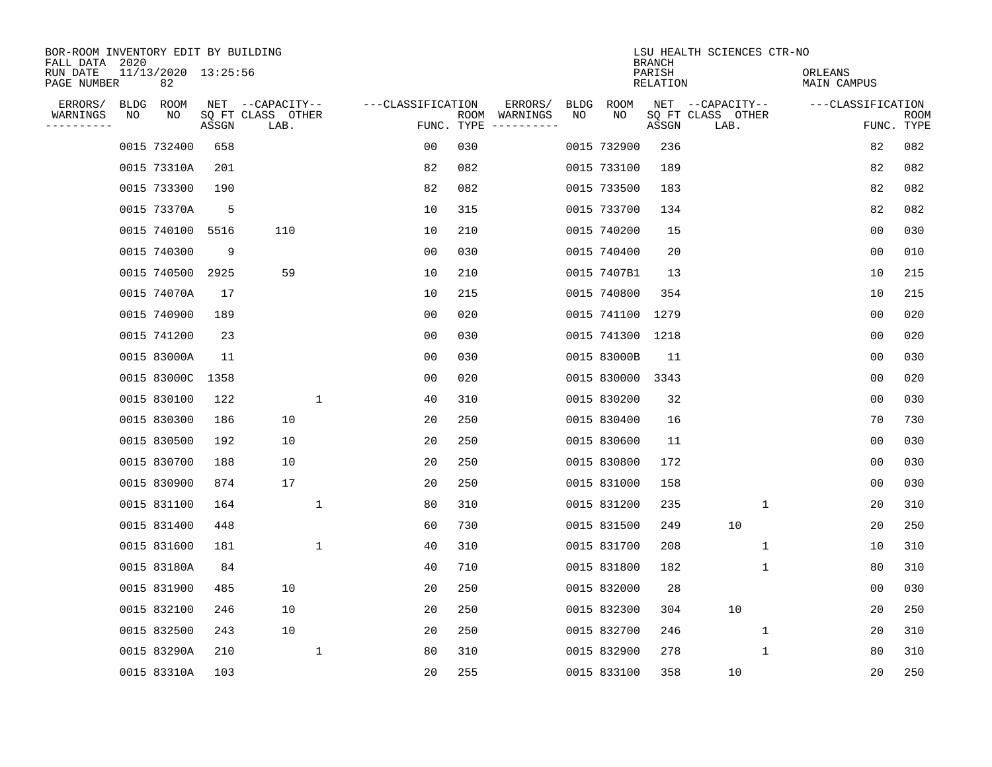| BOR-ROOM INVENTORY EDIT BY BUILDING<br>FALL DATA 2020 |                           |       |                           |                    |      |                                 |             |                  | <b>BRANCH</b>             | LSU HEALTH SCIENCES CTR-NO |                        |                           |
|-------------------------------------------------------|---------------------------|-------|---------------------------|--------------------|------|---------------------------------|-------------|------------------|---------------------------|----------------------------|------------------------|---------------------------|
| RUN DATE<br>PAGE NUMBER                               | 11/13/2020 13:25:56<br>82 |       |                           |                    |      |                                 |             |                  | PARISH<br><b>RELATION</b> |                            | ORLEANS<br>MAIN CAMPUS |                           |
| ERRORS/<br><b>BLDG</b>                                | ROOM                      |       | NET --CAPACITY--          | ---CLASSIFICATION  |      | ERRORS/                         | <b>BLDG</b> | <b>ROOM</b>      |                           | NET --CAPACITY--           | ---CLASSIFICATION      |                           |
| WARNINGS<br>NO<br>----------                          | NO                        | ASSGN | SQ FT CLASS OTHER<br>LAB. |                    | ROOM | WARNINGS<br>FUNC. TYPE $------$ | NO          | NO               | ASSGN                     | SQ FT CLASS OTHER<br>LAB.  |                        | <b>ROOM</b><br>FUNC. TYPE |
|                                                       | 0015 732400               | 658   |                           | 00                 | 030  |                                 |             | 0015 732900      | 236                       |                            | 82                     | 082                       |
|                                                       | 0015 73310A               | 201   |                           | 82                 | 082  |                                 |             | 0015 733100      | 189                       |                            | 82                     | 082                       |
|                                                       | 0015 733300               | 190   |                           | 82                 | 082  |                                 |             | 0015 733500      | 183                       |                            | 82                     | 082                       |
|                                                       | 0015 73370A               | 5     |                           | 10                 | 315  |                                 |             | 0015 733700      | 134                       |                            | 82                     | 082                       |
|                                                       | 0015 740100               | 5516  | 110                       | 10                 | 210  |                                 |             | 0015 740200      | 15                        |                            | 0 <sub>0</sub>         | 030                       |
|                                                       | 0015 740300               | 9     |                           | 00                 | 030  |                                 |             | 0015 740400      | 20                        |                            | 0 <sub>0</sub>         | 010                       |
|                                                       | 0015 740500               | 2925  | 59                        | 10                 | 210  |                                 |             | 0015 7407B1      | 13                        |                            | 10                     | 215                       |
|                                                       | 0015 74070A               | 17    |                           | 10                 | 215  |                                 |             | 0015 740800      | 354                       |                            | 10                     | 215                       |
|                                                       | 0015 740900               | 189   |                           | 0 <sub>0</sub>     | 020  |                                 |             | 0015 741100      | 1279                      |                            | 0 <sub>0</sub>         | 020                       |
|                                                       | 0015 741200               | 23    |                           | 0 <sub>0</sub>     | 030  |                                 |             | 0015 741300 1218 |                           |                            | 0 <sub>0</sub>         | 020                       |
|                                                       | 0015 83000A               | 11    |                           | 00                 | 030  |                                 |             | 0015 83000B      | 11                        |                            | 0 <sub>0</sub>         | 030                       |
|                                                       | 0015 83000C               | 1358  |                           | 0 <sub>0</sub>     | 020  |                                 |             | 0015 830000      | 3343                      |                            | 0 <sub>0</sub>         | 020                       |
|                                                       | 0015 830100               | 122   |                           | $\mathbf 1$<br>40  | 310  |                                 |             | 0015 830200      | 32                        |                            | 0 <sub>0</sub>         | 030                       |
|                                                       | 0015 830300               | 186   | 10                        | 20                 | 250  |                                 |             | 0015 830400      | 16                        |                            | 70                     | 730                       |
|                                                       | 0015 830500               | 192   | 10                        | 20                 | 250  |                                 |             | 0015 830600      | 11                        |                            | 0 <sub>0</sub>         | 030                       |
|                                                       | 0015 830700               | 188   | 10                        | 20                 | 250  |                                 |             | 0015 830800      | 172                       |                            | 0 <sub>0</sub>         | 030                       |
|                                                       | 0015 830900               | 874   | 17                        | 20                 | 250  |                                 |             | 0015 831000      | 158                       |                            | 00                     | 030                       |
|                                                       | 0015 831100               | 164   |                           | $\mathbf{1}$<br>80 | 310  |                                 |             | 0015 831200      | 235                       | 1                          | 20                     | 310                       |
|                                                       | 0015 831400               | 448   |                           | 60                 | 730  |                                 |             | 0015 831500      | 249                       | 10                         | 20                     | 250                       |
|                                                       | 0015 831600               | 181   |                           | $\mathbf 1$<br>40  | 310  |                                 |             | 0015 831700      | 208                       | 1                          | 10                     | 310                       |
|                                                       | 0015 83180A               | 84    |                           | 40                 | 710  |                                 |             | 0015 831800      | 182                       | 1                          | 80                     | 310                       |
|                                                       | 0015 831900               | 485   | 10                        | 20                 | 250  |                                 |             | 0015 832000      | 28                        |                            | 0 <sub>0</sub>         | 030                       |
|                                                       | 0015 832100               | 246   | 10                        | 20                 | 250  |                                 |             | 0015 832300      | 304                       | 10                         | 20                     | 250                       |
|                                                       | 0015 832500               | 243   | 10                        | 20                 | 250  |                                 |             | 0015 832700      | 246                       | 1                          | 20                     | 310                       |
|                                                       | 0015 83290A               | 210   |                           | $\mathbf{1}$<br>80 | 310  |                                 |             | 0015 832900      | 278                       | 1                          | 80                     | 310                       |
|                                                       | 0015 83310A               | 103   |                           | 20                 | 255  |                                 |             | 0015 833100      | 358                       | 10                         | 20                     | 250                       |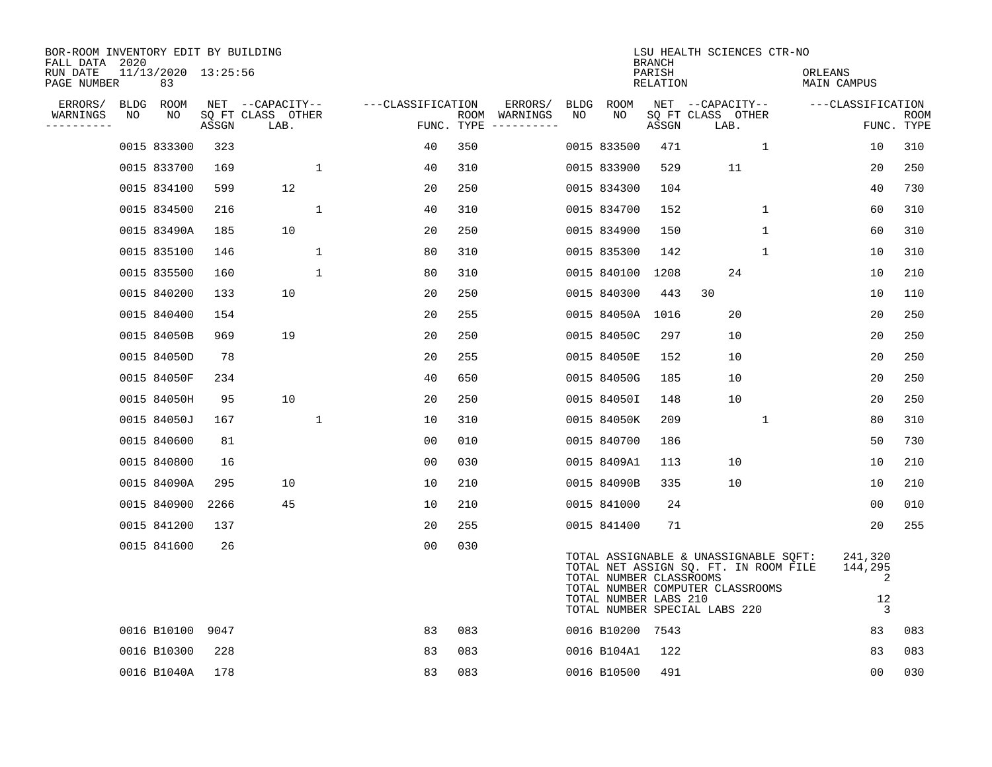| BOR-ROOM INVENTORY EDIT BY BUILDING<br>FALL DATA 2020 |    |                           |       |                           |              |                   |     |                                      |    |                                                  | <b>BRANCH</b>      | LSU HEALTH SCIENCES CTR-NO                                                                                                                          |              |                        |                                                 |                    |
|-------------------------------------------------------|----|---------------------------|-------|---------------------------|--------------|-------------------|-----|--------------------------------------|----|--------------------------------------------------|--------------------|-----------------------------------------------------------------------------------------------------------------------------------------------------|--------------|------------------------|-------------------------------------------------|--------------------|
| RUN DATE<br>PAGE NUMBER                               |    | 11/13/2020 13:25:56<br>83 |       |                           |              |                   |     |                                      |    |                                                  | PARISH<br>RELATION |                                                                                                                                                     |              | ORLEANS<br>MAIN CAMPUS |                                                 |                    |
| ERRORS/                                               |    | BLDG ROOM                 |       | NET --CAPACITY--          |              | ---CLASSIFICATION |     | ERRORS/                              |    | BLDG ROOM                                        |                    | NET --CAPACITY--                                                                                                                                    |              | ---CLASSIFICATION      |                                                 |                    |
| WARNINGS<br>----------                                | NO | NO                        | ASSGN | SO FT CLASS OTHER<br>LAB. |              |                   |     | ROOM WARNINGS<br>FUNC. TYPE $------$ | NO | NO                                               | ASSGN              | SQ FT CLASS OTHER<br>LAB.                                                                                                                           |              |                        |                                                 | ROOM<br>FUNC. TYPE |
|                                                       |    | 0015 833300               | 323   |                           |              | 40                | 350 |                                      |    | 0015 833500                                      | 471                |                                                                                                                                                     | $\mathbf{1}$ |                        | 10                                              | 310                |
|                                                       |    | 0015 833700               | 169   |                           | 1            | 40                | 310 |                                      |    | 0015 833900                                      | 529                | 11                                                                                                                                                  |              |                        | 20                                              | 250                |
|                                                       |    | 0015 834100               | 599   | 12                        |              | 20                | 250 |                                      |    | 0015 834300                                      | 104                |                                                                                                                                                     |              |                        | 40                                              | 730                |
|                                                       |    | 0015 834500               | 216   |                           | $\mathbf{1}$ | 40                | 310 |                                      |    | 0015 834700                                      | 152                |                                                                                                                                                     | $\mathbf 1$  |                        | 60                                              | 310                |
|                                                       |    | 0015 83490A               | 185   | 10                        |              | 20                | 250 |                                      |    | 0015 834900                                      | 150                |                                                                                                                                                     | $\mathbf{1}$ |                        | 60                                              | 310                |
|                                                       |    | 0015 835100               | 146   |                           | $\mathbf 1$  | 80                | 310 |                                      |    | 0015 835300                                      | 142                |                                                                                                                                                     | $\mathbf 1$  |                        | 10                                              | 310                |
|                                                       |    | 0015 835500               | 160   |                           | $\mathbf{1}$ | 80                | 310 |                                      |    | 0015 840100                                      | 1208               | 24                                                                                                                                                  |              |                        | 10                                              | 210                |
|                                                       |    | 0015 840200               | 133   | 10                        |              | 20                | 250 |                                      |    | 0015 840300                                      | 443                | 30                                                                                                                                                  |              |                        | 10                                              | 110                |
|                                                       |    | 0015 840400               | 154   |                           |              | 20                | 255 |                                      |    | 0015 84050A                                      | 1016               | 20                                                                                                                                                  |              |                        | 20                                              | 250                |
|                                                       |    | 0015 84050B               | 969   | 19                        |              | 20                | 250 |                                      |    | 0015 84050C                                      | 297                | 10                                                                                                                                                  |              |                        | 20                                              | 250                |
|                                                       |    | 0015 84050D               | 78    |                           |              | 20                | 255 |                                      |    | 0015 84050E                                      | 152                | 10                                                                                                                                                  |              |                        | 20                                              | 250                |
|                                                       |    | 0015 84050F               | 234   |                           |              | 40                | 650 |                                      |    | 0015 84050G                                      | 185                | 10                                                                                                                                                  |              |                        | 20                                              | 250                |
|                                                       |    | 0015 84050H               | 95    | 10                        |              | 20                | 250 |                                      |    | 0015 84050I                                      | 148                | 10                                                                                                                                                  |              |                        | 20                                              | 250                |
|                                                       |    | 0015 84050J               | 167   |                           | $\mathbf 1$  | 10                | 310 |                                      |    | 0015 84050K                                      | 209                |                                                                                                                                                     | 1            |                        | 80                                              | 310                |
|                                                       |    | 0015 840600               | 81    |                           |              | 0 <sub>0</sub>    | 010 |                                      |    | 0015 840700                                      | 186                |                                                                                                                                                     |              |                        | 50                                              | 730                |
|                                                       |    | 0015 840800               | 16    |                           |              | 0 <sub>0</sub>    | 030 |                                      |    | 0015 8409A1                                      | 113                | 10                                                                                                                                                  |              |                        | 10                                              | 210                |
|                                                       |    | 0015 84090A               | 295   | 10                        |              | 10                | 210 |                                      |    | 0015 84090B                                      | 335                | 10                                                                                                                                                  |              |                        | 10                                              | 210                |
|                                                       |    | 0015 840900               | 2266  | 45                        |              | 10                | 210 |                                      |    | 0015 841000                                      | 24                 |                                                                                                                                                     |              |                        | 0 <sub>0</sub>                                  | 010                |
|                                                       |    | 0015 841200               | 137   |                           |              | 20                | 255 |                                      |    | 0015 841400                                      | 71                 |                                                                                                                                                     |              |                        | 20                                              | 255                |
|                                                       |    | 0015 841600               | 26    |                           |              | 0 <sub>0</sub>    | 030 |                                      |    | TOTAL NUMBER CLASSROOMS<br>TOTAL NUMBER LABS 210 |                    | TOTAL ASSIGNABLE & UNASSIGNABLE SQFT:<br>TOTAL NET ASSIGN SQ. FT. IN ROOM FILE<br>TOTAL NUMBER COMPUTER CLASSROOMS<br>TOTAL NUMBER SPECIAL LABS 220 |              |                        | 241,320<br>144,295<br>2<br>12<br>$\overline{3}$ |                    |
|                                                       |    | 0016 B10100 9047          |       |                           |              | 83                | 083 |                                      |    | 0016 B10200 7543                                 |                    |                                                                                                                                                     |              |                        | 83                                              | 083                |
|                                                       |    | 0016 B10300               | 228   |                           |              | 83                | 083 |                                      |    | 0016 B104A1                                      | 122                |                                                                                                                                                     |              |                        | 83                                              | 083                |
|                                                       |    | 0016 B1040A               | 178   |                           |              | 83                | 083 |                                      |    | 0016 B10500                                      | 491                |                                                                                                                                                     |              |                        | 00                                              | 030                |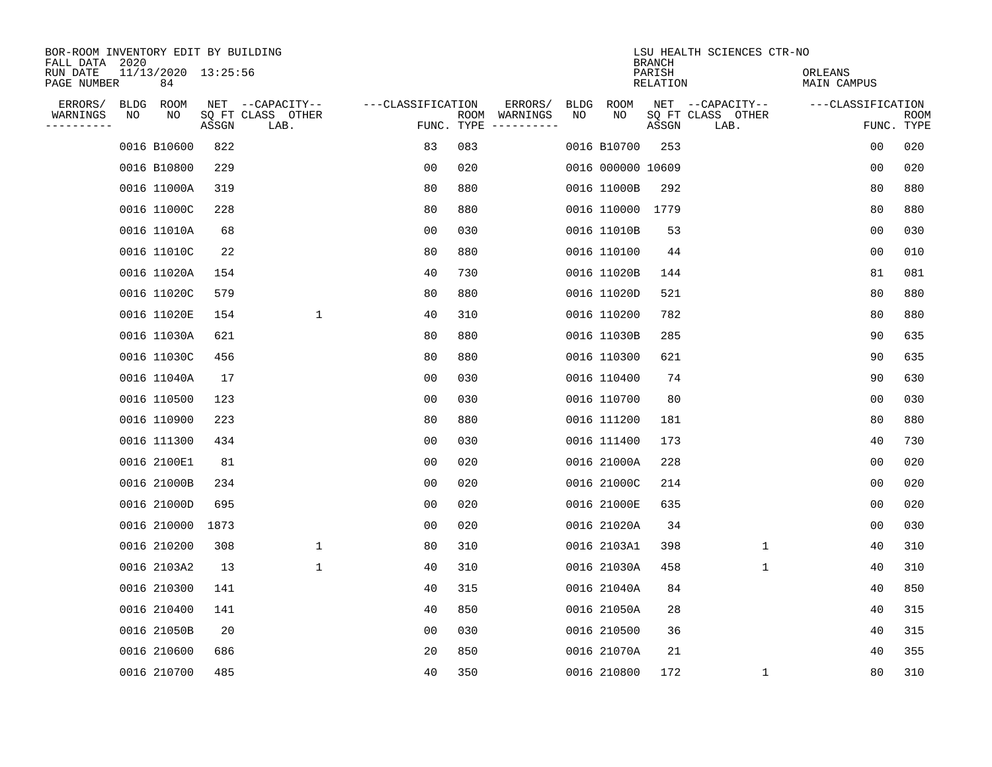| BOR-ROOM INVENTORY EDIT BY BUILDING<br>FALL DATA 2020 |             |                           |       |                           |                   |            |               |             |                   | <b>BRANCH</b>      | LSU HEALTH SCIENCES CTR-NO |                        |                           |
|-------------------------------------------------------|-------------|---------------------------|-------|---------------------------|-------------------|------------|---------------|-------------|-------------------|--------------------|----------------------------|------------------------|---------------------------|
| RUN DATE<br>PAGE NUMBER                               |             | 11/13/2020 13:25:56<br>84 |       |                           |                   |            |               |             |                   | PARISH<br>RELATION |                            | ORLEANS<br>MAIN CAMPUS |                           |
| ERRORS/                                               | <b>BLDG</b> | ROOM                      |       | NET --CAPACITY--          | ---CLASSIFICATION |            | ERRORS/       | <b>BLDG</b> | <b>ROOM</b>       |                    | NET --CAPACITY--           | ---CLASSIFICATION      |                           |
| WARNINGS<br>----------                                | NO          | NO                        | ASSGN | SQ FT CLASS OTHER<br>LAB. |                   | FUNC. TYPE | ROOM WARNINGS | NO          | NO                | ASSGN              | SQ FT CLASS OTHER<br>LAB.  |                        | <b>ROOM</b><br>FUNC. TYPE |
|                                                       |             | 0016 B10600               | 822   |                           | 83                | 083        |               |             | 0016 B10700       | 253                |                            | 00                     | 020                       |
|                                                       |             | 0016 B10800               | 229   |                           | 0 <sub>0</sub>    | 020        |               |             | 0016 000000 10609 |                    |                            | 0 <sub>0</sub>         | 020                       |
|                                                       |             | 0016 11000A               | 319   |                           | 80                | 880        |               |             | 0016 11000B       | 292                |                            | 80                     | 880                       |
|                                                       |             | 0016 11000C               | 228   |                           | 80                | 880        |               |             | 0016 110000 1779  |                    |                            | 80                     | 880                       |
|                                                       |             | 0016 11010A               | 68    |                           | 0 <sub>0</sub>    | 030        |               |             | 0016 11010B       | 53                 |                            | 0 <sub>0</sub>         | 030                       |
|                                                       |             | 0016 11010C               | 22    |                           | 80                | 880        |               |             | 0016 110100       | 44                 |                            | 0 <sub>0</sub>         | 010                       |
|                                                       |             | 0016 11020A               | 154   |                           | 40                | 730        |               |             | 0016 11020B       | 144                |                            | 81                     | 081                       |
|                                                       |             | 0016 11020C               | 579   |                           | 80                | 880        |               |             | 0016 11020D       | 521                |                            | 80                     | 880                       |
|                                                       |             | 0016 11020E               | 154   | $\mathbf{1}$              | 40                | 310        |               |             | 0016 110200       | 782                |                            | 80                     | 880                       |
|                                                       |             | 0016 11030A               | 621   |                           | 80                | 880        |               |             | 0016 11030B       | 285                |                            | 90                     | 635                       |
|                                                       |             | 0016 11030C               | 456   |                           | 80                | 880        |               |             | 0016 110300       | 621                |                            | 90                     | 635                       |
|                                                       |             | 0016 11040A               | 17    |                           | 0 <sub>0</sub>    | 030        |               |             | 0016 110400       | 74                 |                            | 90                     | 630                       |
|                                                       |             | 0016 110500               | 123   |                           | 00                | 030        |               |             | 0016 110700       | 80                 |                            | 00                     | 030                       |
|                                                       |             | 0016 110900               | 223   |                           | 80                | 880        |               |             | 0016 111200       | 181                |                            | 80                     | 880                       |
|                                                       |             | 0016 111300               | 434   |                           | 0 <sub>0</sub>    | 030        |               |             | 0016 111400       | 173                |                            | 40                     | 730                       |
|                                                       |             | 0016 2100E1               | 81    |                           | 0 <sub>0</sub>    | 020        |               |             | 0016 21000A       | 228                |                            | 0 <sub>0</sub>         | 020                       |
|                                                       |             | 0016 21000B               | 234   |                           | 0 <sub>0</sub>    | 020        |               |             | 0016 21000C       | 214                |                            | 0 <sub>0</sub>         | 020                       |
|                                                       |             | 0016 21000D               | 695   |                           | 0 <sub>0</sub>    | 020        |               |             | 0016 21000E       | 635                |                            | 0 <sub>0</sub>         | 020                       |
|                                                       |             | 0016 210000               | 1873  |                           | 0 <sub>0</sub>    | 020        |               |             | 0016 21020A       | 34                 |                            | 0 <sub>0</sub>         | 030                       |
|                                                       |             | 0016 210200               | 308   | 1                         | 80                | 310        |               |             | 0016 2103A1       | 398                | $\mathbf{1}$               | 40                     | 310                       |
|                                                       |             | 0016 2103A2               | 13    | $\mathbf 1$               | 40                | 310        |               |             | 0016 21030A       | 458                | 1                          | 40                     | 310                       |
|                                                       |             | 0016 210300               | 141   |                           | 40                | 315        |               |             | 0016 21040A       | 84                 |                            | 40                     | 850                       |
|                                                       |             | 0016 210400               | 141   |                           | 40                | 850        |               |             | 0016 21050A       | 28                 |                            | 40                     | 315                       |
|                                                       |             | 0016 21050B               | 20    |                           | 0 <sub>0</sub>    | 030        |               |             | 0016 210500       | 36                 |                            | 40                     | 315                       |
|                                                       |             | 0016 210600               | 686   |                           | 20                | 850        |               |             | 0016 21070A       | 21                 |                            | 40                     | 355                       |
|                                                       |             | 0016 210700               | 485   |                           | 40                | 350        |               |             | 0016 210800       | 172                | 1                          | 80                     | 310                       |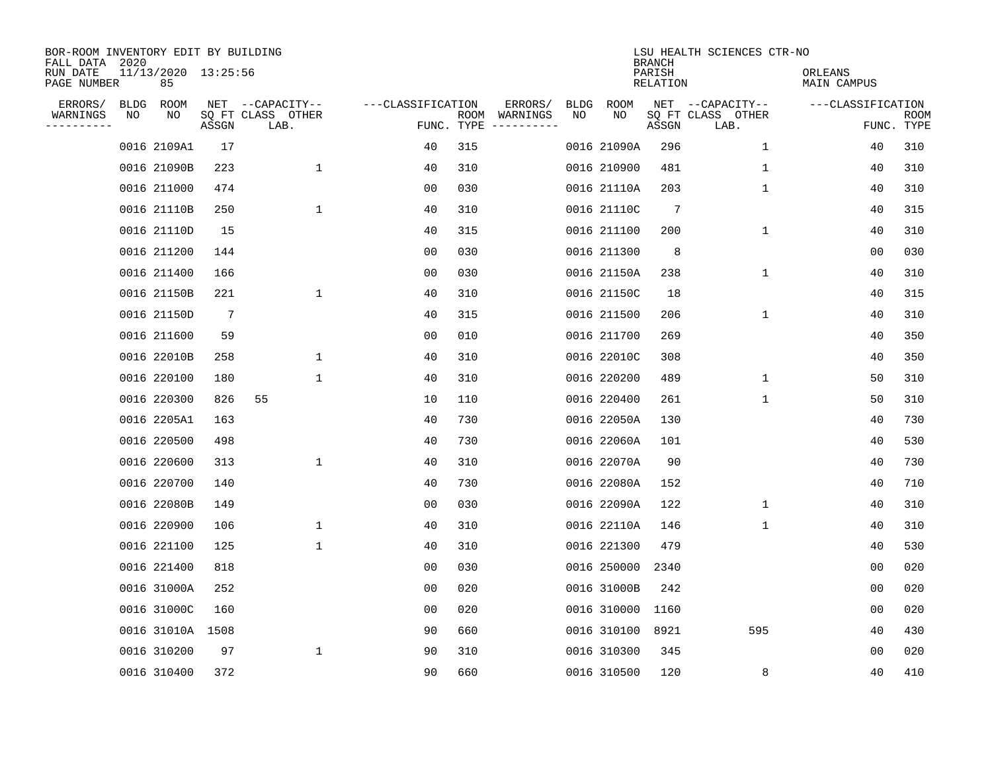| BOR-ROOM INVENTORY EDIT BY BUILDING<br>FALL DATA 2020 |      |                           |       |                           |                   |                    |          |             |             | <b>BRANCH</b>      | LSU HEALTH SCIENCES CTR-NO |                        |                           |
|-------------------------------------------------------|------|---------------------------|-------|---------------------------|-------------------|--------------------|----------|-------------|-------------|--------------------|----------------------------|------------------------|---------------------------|
| RUN DATE<br>PAGE NUMBER                               |      | 11/13/2020 13:25:56<br>85 |       |                           |                   |                    |          |             |             | PARISH<br>RELATION |                            | ORLEANS<br>MAIN CAMPUS |                           |
| ERRORS/                                               | BLDG | ROOM                      |       | NET --CAPACITY--          | ---CLASSIFICATION |                    | ERRORS/  | <b>BLDG</b> | <b>ROOM</b> |                    | NET --CAPACITY--           | ---CLASSIFICATION      |                           |
| WARNINGS<br>----------                                | NO   | NO                        | ASSGN | SQ FT CLASS OTHER<br>LAB. |                   | ROOM<br>FUNC. TYPE | WARNINGS | NO          | NO          | ASSGN              | SQ FT CLASS OTHER<br>LAB.  |                        | <b>ROOM</b><br>FUNC. TYPE |
|                                                       |      | 0016 2109A1               | 17    |                           | 40                | 315                |          |             | 0016 21090A | 296                | $\mathbf 1$                | 40                     | 310                       |
|                                                       |      | 0016 21090B               | 223   | 1                         | 40                | 310                |          |             | 0016 210900 | 481                | 1                          | 40                     | 310                       |
|                                                       |      | 0016 211000               | 474   |                           | 00                | 030                |          |             | 0016 21110A | 203                | 1                          | 40                     | 310                       |
|                                                       |      | 0016 21110B               | 250   | 1                         | 40                | 310                |          |             | 0016 21110C | $\overline{7}$     |                            | 40                     | 315                       |
|                                                       |      | 0016 21110D               | 15    |                           | 40                | 315                |          |             | 0016 211100 | 200                | $\mathbf 1$                | 40                     | 310                       |
|                                                       |      | 0016 211200               | 144   |                           | 0 <sub>0</sub>    | 030                |          |             | 0016 211300 | 8                  |                            | 0 <sub>0</sub>         | 030                       |
|                                                       |      | 0016 211400               | 166   |                           | 00                | 030                |          |             | 0016 21150A | 238                | 1                          | 40                     | 310                       |
|                                                       |      | 0016 21150B               | 221   | $\mathbf 1$               | 40                | 310                |          |             | 0016 21150C | 18                 |                            | 40                     | 315                       |
|                                                       |      | 0016 21150D               | 7     |                           | 40                | 315                |          |             | 0016 211500 | 206                | 1                          | 40                     | 310                       |
|                                                       |      | 0016 211600               | 59    |                           | 00                | 010                |          |             | 0016 211700 | 269                |                            | 40                     | 350                       |
|                                                       |      | 0016 22010B               | 258   | 1                         | 40                | 310                |          |             | 0016 22010C | 308                |                            | 40                     | 350                       |
|                                                       |      | 0016 220100               | 180   | 1                         | 40                | 310                |          |             | 0016 220200 | 489                | $\mathbf 1$                | 50                     | 310                       |
|                                                       |      | 0016 220300               | 826   | 55                        | 10                | 110                |          |             | 0016 220400 | 261                | 1                          | 50                     | 310                       |
|                                                       |      | 0016 2205A1               | 163   |                           | 40                | 730                |          |             | 0016 22050A | 130                |                            | 40                     | 730                       |
|                                                       |      | 0016 220500               | 498   |                           | 40                | 730                |          |             | 0016 22060A | 101                |                            | 40                     | 530                       |
|                                                       |      | 0016 220600               | 313   | $\mathbf 1$               | 40                | 310                |          |             | 0016 22070A | 90                 |                            | 40                     | 730                       |
|                                                       |      | 0016 220700               | 140   |                           | 40                | 730                |          |             | 0016 22080A | 152                |                            | 40                     | 710                       |
|                                                       |      | 0016 22080B               | 149   |                           | 0 <sub>0</sub>    | 030                |          |             | 0016 22090A | 122                | $\mathbf 1$                | 40                     | 310                       |
|                                                       |      | 0016 220900               | 106   | 1                         | 40                | 310                |          |             | 0016 22110A | 146                | 1                          | 40                     | 310                       |
|                                                       |      | 0016 221100               | 125   | $\mathbf{1}$              | 40                | 310                |          |             | 0016 221300 | 479                |                            | 40                     | 530                       |
|                                                       |      | 0016 221400               | 818   |                           | 00                | 030                |          |             | 0016 250000 | 2340               |                            | 0 <sub>0</sub>         | 020                       |
|                                                       |      | 0016 31000A               | 252   |                           | 00                | 020                |          |             | 0016 31000B | 242                |                            | 00                     | 020                       |
|                                                       |      | 0016 31000C               | 160   |                           | 0 <sub>0</sub>    | 020                |          |             | 0016 310000 | 1160               |                            | 0 <sub>0</sub>         | 020                       |
|                                                       |      | 0016 31010A               | 1508  |                           | 90                | 660                |          |             | 0016 310100 | 8921               | 595                        | 40                     | 430                       |
|                                                       |      | 0016 310200               | 97    | $\mathbf{1}$              | 90                | 310                |          |             | 0016 310300 | 345                |                            | 0 <sub>0</sub>         | 020                       |
|                                                       |      | 0016 310400               | 372   |                           | 90                | 660                |          |             | 0016 310500 | 120                | 8                          | 40                     | 410                       |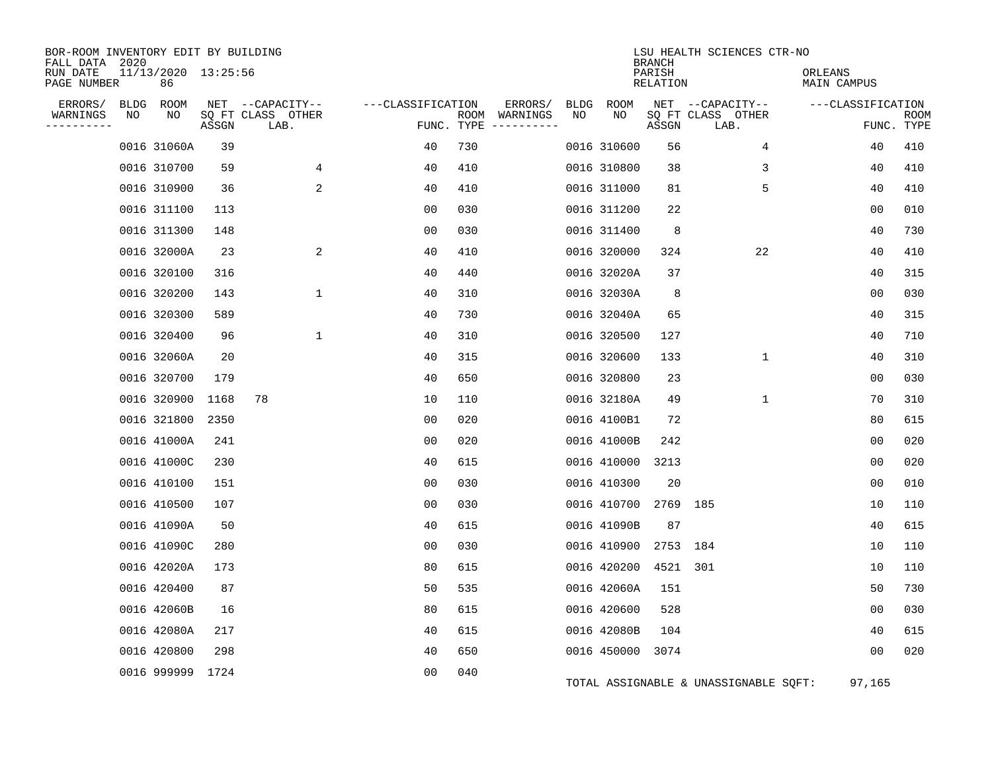| BOR-ROOM INVENTORY EDIT BY BUILDING<br>FALL DATA 2020<br>RUN DATE |    | 11/13/2020 13:25:56 |       |                                       |                   |     |                          |            |             | <b>BRANCH</b><br>PARISH | LSU HEALTH SCIENCES CTR-NO            | ORLEANS           |             |
|-------------------------------------------------------------------|----|---------------------|-------|---------------------------------------|-------------------|-----|--------------------------|------------|-------------|-------------------------|---------------------------------------|-------------------|-------------|
| PAGE NUMBER                                                       |    | 86                  |       |                                       |                   |     |                          |            |             | RELATION                |                                       | MAIN CAMPUS       |             |
| ERRORS/<br>WARNINGS                                               | NO | BLDG ROOM<br>NO     |       | NET --CAPACITY--<br>SQ FT CLASS OTHER | ---CLASSIFICATION |     | ERRORS/<br>ROOM WARNINGS | BLDG<br>NO | ROOM<br>NO  |                         | NET --CAPACITY--<br>SQ FT CLASS OTHER | ---CLASSIFICATION | <b>ROOM</b> |
| ----------                                                        |    |                     | ASSGN | LAB.                                  |                   |     | FUNC. TYPE $------$      |            |             | ASSGN                   | LAB.                                  |                   | FUNC. TYPE  |
|                                                                   |    | 0016 31060A         | 39    |                                       | 40                | 730 |                          |            | 0016 310600 | 56                      | 4                                     | 40                | 410         |
|                                                                   |    | 0016 310700         | 59    | 4                                     | 40                | 410 |                          |            | 0016 310800 | 38                      | 3                                     | 40                | 410         |
|                                                                   |    | 0016 310900         | 36    | $\overline{a}$                        | 40                | 410 |                          |            | 0016 311000 | 81                      | 5                                     | 40                | 410         |
|                                                                   |    | 0016 311100         | 113   |                                       | 0 <sub>0</sub>    | 030 |                          |            | 0016 311200 | 22                      |                                       | 00                | 010         |
|                                                                   |    | 0016 311300         | 148   |                                       | 00                | 030 |                          |            | 0016 311400 | 8                       |                                       | 40                | 730         |
|                                                                   |    | 0016 32000A         | 23    | 2                                     | 40                | 410 |                          |            | 0016 320000 | 324                     | 22                                    | 40                | 410         |
|                                                                   |    | 0016 320100         | 316   |                                       | 40                | 440 |                          |            | 0016 32020A | 37                      |                                       | 40                | 315         |
|                                                                   |    | 0016 320200         | 143   | $\mathbf{1}$                          | 40                | 310 |                          |            | 0016 32030A | 8                       |                                       | 00                | 030         |
|                                                                   |    | 0016 320300         | 589   |                                       | 40                | 730 |                          |            | 0016 32040A | 65                      |                                       | 40                | 315         |
|                                                                   |    | 0016 320400         | 96    | $\mathbf{1}$                          | 40                | 310 |                          |            | 0016 320500 | 127                     |                                       | 40                | 710         |
|                                                                   |    | 0016 32060A         | 20    |                                       | 40                | 315 |                          |            | 0016 320600 | 133                     | $\mathbf 1$                           | 40                | 310         |
|                                                                   |    | 0016 320700         | 179   |                                       | 40                | 650 |                          |            | 0016 320800 | 23                      |                                       | 00                | 030         |
|                                                                   |    | 0016 320900         | 1168  | 78                                    | 10                | 110 |                          |            | 0016 32180A | 49                      | $\mathbf{1}$                          | 70                | 310         |
|                                                                   |    | 0016 321800         | 2350  |                                       | 00                | 020 |                          |            | 0016 4100B1 | 72                      |                                       | 80                | 615         |
|                                                                   |    | 0016 41000A         | 241   |                                       | 0 <sub>0</sub>    | 020 |                          |            | 0016 41000B | 242                     |                                       | 0 <sub>0</sub>    | 020         |
|                                                                   |    | 0016 41000C         | 230   |                                       | 40                | 615 |                          |            | 0016 410000 | 3213                    |                                       | 0 <sub>0</sub>    | 020         |
|                                                                   |    | 0016 410100         | 151   |                                       | 0 <sub>0</sub>    | 030 |                          |            | 0016 410300 | 20                      |                                       | 00                | 010         |
|                                                                   |    | 0016 410500         | 107   |                                       | 0 <sub>0</sub>    | 030 |                          |            | 0016 410700 | 2769 185                |                                       | 10                | 110         |
|                                                                   |    | 0016 41090A         | 50    |                                       | 40                | 615 |                          |            | 0016 41090B | 87                      |                                       | 40                | 615         |
|                                                                   |    | 0016 41090C         | 280   |                                       | 0 <sub>0</sub>    | 030 |                          |            | 0016 410900 | 2753 184                |                                       | 10                | 110         |
|                                                                   |    | 0016 42020A         | 173   |                                       | 80                | 615 |                          |            | 0016 420200 | 4521                    | 301                                   | 10                | 110         |
|                                                                   |    | 0016 420400         | 87    |                                       | 50                | 535 |                          |            | 0016 42060A | 151                     |                                       | 50                | 730         |
|                                                                   |    | 0016 42060B         | 16    |                                       | 80                | 615 |                          |            | 0016 420600 | 528                     |                                       | 0 <sub>0</sub>    | 030         |
|                                                                   |    | 0016 42080A         | 217   |                                       | 40                | 615 |                          |            | 0016 42080B | 104                     |                                       | 40                | 615         |
|                                                                   |    | 0016 420800         | 298   |                                       | 40                | 650 |                          |            | 0016 450000 | 3074                    |                                       | 00                | 020         |
|                                                                   |    | 0016 999999 1724    |       |                                       | 0 <sub>0</sub>    | 040 |                          |            |             |                         | TOTAL ASSIGNABLE & UNASSIGNABLE SQFT: | 97,165            |             |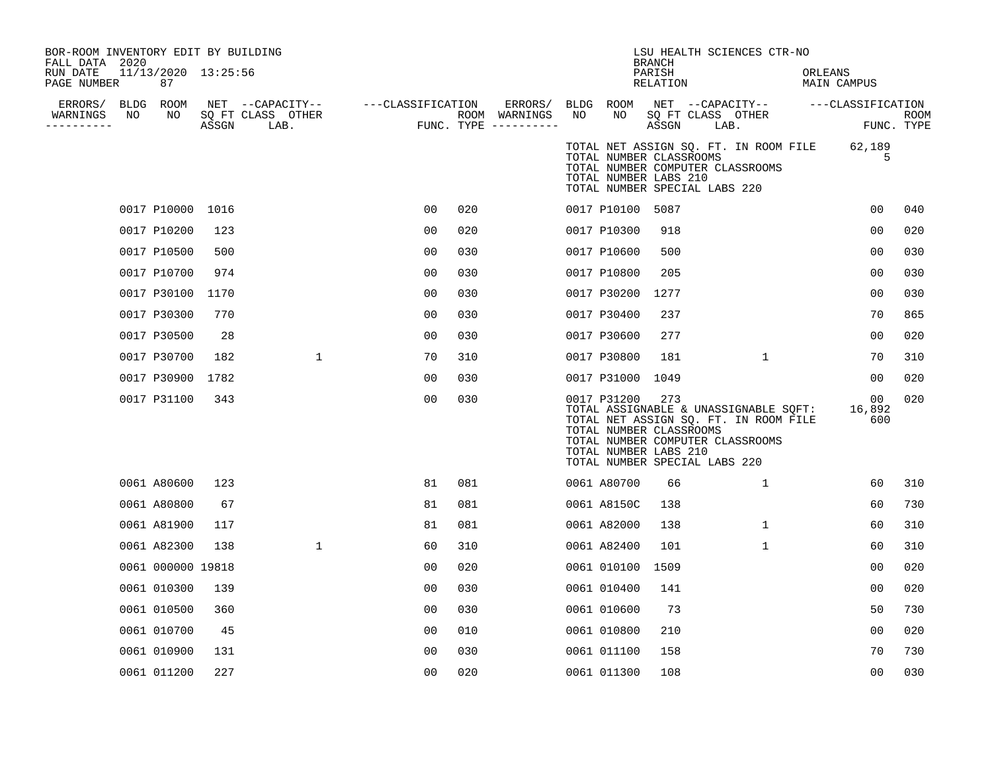| BOR-ROOM INVENTORY EDIT BY BUILDING<br>FALL DATA 2020 |    |                           |       |                                       |                   |     |                          |    |                                                                                                  | <b>BRANCH</b>      |                   | LSU HEALTH SCIENCES CTR-NO                                                                                         |         |                     |            |
|-------------------------------------------------------|----|---------------------------|-------|---------------------------------------|-------------------|-----|--------------------------|----|--------------------------------------------------------------------------------------------------|--------------------|-------------------|--------------------------------------------------------------------------------------------------------------------|---------|---------------------|------------|
| RUN DATE<br>PAGE NUMBER                               |    | 11/13/2020 13:25:56<br>87 |       |                                       |                   |     |                          |    |                                                                                                  | PARISH<br>RELATION |                   |                                                                                                                    | ORLEANS | MAIN CAMPUS         |            |
| ERRORS/ BLDG ROOM<br>WARNINGS                         | NO | NO                        |       | NET --CAPACITY--<br>SQ FT CLASS OTHER | ---CLASSIFICATION |     | ERRORS/<br>ROOM WARNINGS | NO | BLDG ROOM<br>NO                                                                                  |                    | SQ FT CLASS OTHER | NET --CAPACITY-- ---CLASSIFICATION                                                                                 |         |                     | ROOM       |
| ----------                                            |    |                           | ASSGN | LAB.                                  |                   |     | FUNC. TYPE $------$      |    |                                                                                                  | ASSGN              | LAB.              |                                                                                                                    |         |                     | FUNC. TYPE |
|                                                       |    |                           |       |                                       |                   |     |                          |    | TOTAL NUMBER CLASSROOMS<br>TOTAL NUMBER LABS 210<br>TOTAL NUMBER SPECIAL LABS 220                |                    |                   | TOTAL NET ASSIGN SQ. FT. IN ROOM FILE<br>TOTAL NUMBER COMPUTER CLASSROOMS                                          |         | 62,189<br>5         |            |
|                                                       |    | 0017 P10000 1016          |       |                                       | 0 <sub>0</sub>    | 020 |                          |    | 0017 P10100 5087                                                                                 |                    |                   |                                                                                                                    |         | 00                  | 040        |
|                                                       |    | 0017 P10200               | 123   |                                       | 0 <sub>0</sub>    | 020 |                          |    | 0017 P10300                                                                                      | 918                |                   |                                                                                                                    |         | 0 <sub>0</sub>      | 020        |
|                                                       |    | 0017 P10500               | 500   |                                       | 0 <sub>0</sub>    | 030 |                          |    | 0017 P10600                                                                                      | 500                |                   |                                                                                                                    |         | 0 <sub>0</sub>      | 030        |
|                                                       |    | 0017 P10700               | 974   |                                       | 0 <sub>0</sub>    | 030 |                          |    | 0017 P10800                                                                                      | 205                |                   |                                                                                                                    |         | 00                  | 030        |
|                                                       |    | 0017 P30100               | 1170  |                                       | 00                | 030 |                          |    | 0017 P30200                                                                                      | 1277               |                   |                                                                                                                    |         | 00                  | 030        |
|                                                       |    | 0017 P30300               | 770   |                                       | 0 <sub>0</sub>    | 030 |                          |    | 0017 P30400                                                                                      | 237                |                   |                                                                                                                    |         | 70                  | 865        |
|                                                       |    | 0017 P30500               | 28    |                                       | 0 <sub>0</sub>    | 030 |                          |    | 0017 P30600                                                                                      | 277                |                   |                                                                                                                    |         | 00                  | 020        |
|                                                       |    | 0017 P30700               | 182   | $\mathbf{1}$                          | 70                | 310 |                          |    | 0017 P30800                                                                                      | 181                |                   | $\mathbf{1}$                                                                                                       |         | 70                  | 310        |
|                                                       |    | 0017 P30900               | 1782  |                                       | 0 <sub>0</sub>    | 030 |                          |    | 0017 P31000 1049                                                                                 |                    |                   |                                                                                                                    |         | 00                  | 020        |
|                                                       |    | 0017 P31100               | 343   |                                       | 0 <sub>0</sub>    | 030 |                          |    | 0017 P31200<br>TOTAL NUMBER CLASSROOMS<br>TOTAL NUMBER LABS 210<br>TOTAL NUMBER SPECIAL LABS 220 | 273                |                   | TOTAL ASSIGNABLE & UNASSIGNABLE SQFT:<br>TOTAL NET ASSIGN SQ. FT. IN ROOM FILE<br>TOTAL NUMBER COMPUTER CLASSROOMS |         | 00<br>16,892<br>600 | 020        |
|                                                       |    | 0061 A80600               | 123   |                                       | 81                | 081 |                          |    | 0061 A80700                                                                                      | 66                 |                   | $\mathbf{1}$                                                                                                       |         | 60                  | 310        |
|                                                       |    | 0061 A80800               | 67    |                                       | 81                | 081 |                          |    | 0061 A8150C                                                                                      | 138                |                   |                                                                                                                    |         | 60                  | 730        |
|                                                       |    | 0061 A81900               | 117   |                                       | 81                | 081 |                          |    | 0061 A82000                                                                                      | 138                |                   | $\mathbf{1}$                                                                                                       |         | 60                  | 310        |
|                                                       |    | 0061 A82300               | 138   | $\mathbf{1}$                          | 60                | 310 |                          |    | 0061 A82400                                                                                      | 101                |                   | $\mathbf{1}$                                                                                                       |         | 60                  | 310        |
|                                                       |    | 0061 000000 19818         |       |                                       | 00                | 020 |                          |    | 0061 010100                                                                                      | 1509               |                   |                                                                                                                    |         | 00                  | 020        |
|                                                       |    | 0061 010300               | 139   |                                       | 0 <sub>0</sub>    | 030 |                          |    | 0061 010400                                                                                      | 141                |                   |                                                                                                                    |         | 00                  | 020        |
|                                                       |    | 0061 010500               | 360   |                                       | 0 <sub>0</sub>    | 030 |                          |    | 0061 010600                                                                                      | 73                 |                   |                                                                                                                    |         | 50                  | 730        |
|                                                       |    | 0061 010700               | 45    |                                       | 0 <sub>0</sub>    | 010 |                          |    | 0061 010800                                                                                      | 210                |                   |                                                                                                                    |         | 0 <sub>0</sub>      | 020        |
|                                                       |    | 0061 010900               | 131   |                                       | 0 <sub>0</sub>    | 030 |                          |    | 0061 011100                                                                                      | 158                |                   |                                                                                                                    |         | 70                  | 730        |
|                                                       |    | 0061 011200               | 227   |                                       | 0 <sub>0</sub>    | 020 |                          |    | 0061 011300                                                                                      | 108                |                   |                                                                                                                    |         | 0 <sub>0</sub>      | 030        |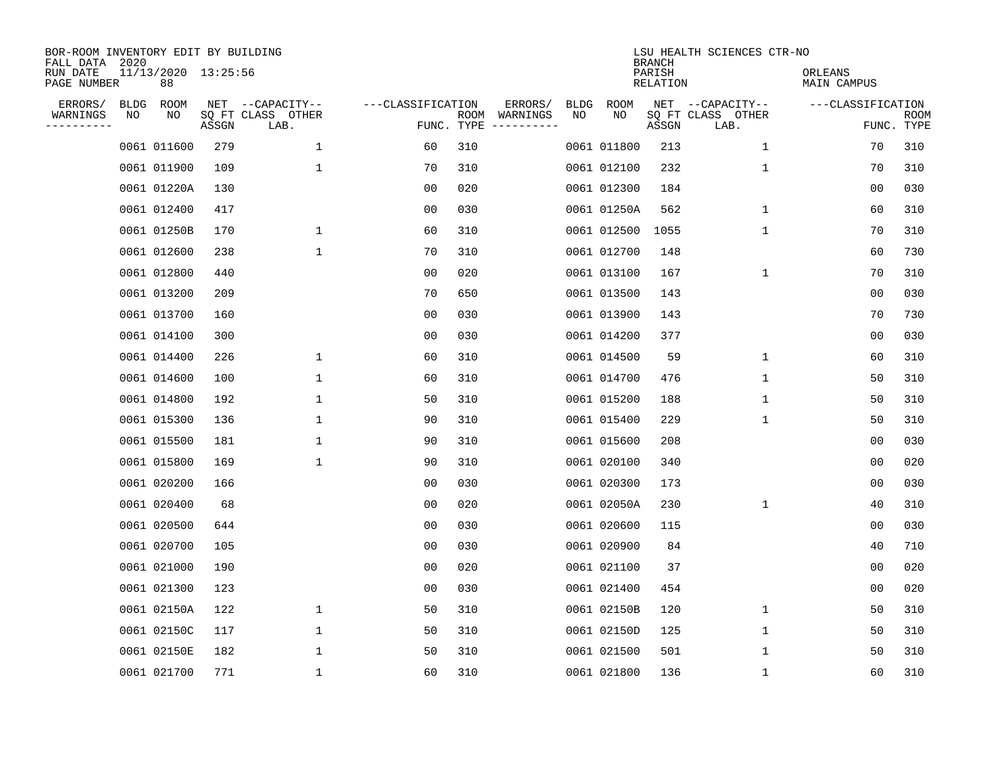| BOR-ROOM INVENTORY EDIT BY BUILDING<br>FALL DATA 2020 |             |                           |       |                           |                   |                    |                         |             |             | <b>BRANCH</b>      | LSU HEALTH SCIENCES CTR-NO |                        |                           |
|-------------------------------------------------------|-------------|---------------------------|-------|---------------------------|-------------------|--------------------|-------------------------|-------------|-------------|--------------------|----------------------------|------------------------|---------------------------|
| RUN DATE<br>PAGE NUMBER                               |             | 11/13/2020 13:25:56<br>88 |       |                           |                   |                    |                         |             |             | PARISH<br>RELATION |                            | ORLEANS<br>MAIN CAMPUS |                           |
| ERRORS/                                               | <b>BLDG</b> | ROOM                      |       | NET --CAPACITY--          | ---CLASSIFICATION |                    | ERRORS/                 | <b>BLDG</b> | <b>ROOM</b> |                    | NET --CAPACITY--           | ---CLASSIFICATION      |                           |
| WARNINGS<br>-----------                               | NO          | NO                        | ASSGN | SQ FT CLASS OTHER<br>LAB. |                   | ROOM<br>FUNC. TYPE | WARNINGS<br>----------- | NO          | NO          | ASSGN              | SQ FT CLASS OTHER<br>LAB.  |                        | <b>ROOM</b><br>FUNC. TYPE |
|                                                       |             | 0061 011600               | 279   | 1                         | 60                | 310                |                         |             | 0061 011800 | 213                | 1                          | 70                     | 310                       |
|                                                       |             | 0061 011900               | 109   | 1                         | 70                | 310                |                         |             | 0061 012100 | 232                | 1                          | 70                     | 310                       |
|                                                       |             | 0061 01220A               | 130   |                           | 00                | 020                |                         |             | 0061 012300 | 184                |                            | 00                     | 030                       |
|                                                       |             | 0061 012400               | 417   |                           | 0 <sub>0</sub>    | 030                |                         |             | 0061 01250A | 562                | 1                          | 60                     | 310                       |
|                                                       |             | 0061 01250B               | 170   | $\mathbf 1$               | 60                | 310                |                         |             | 0061 012500 | 1055               | $\mathbf 1$                | 70                     | 310                       |
|                                                       |             | 0061 012600               | 238   | $\mathbf{1}$              | 70                | 310                |                         |             | 0061 012700 | 148                |                            | 60                     | 730                       |
|                                                       |             | 0061 012800               | 440   |                           | 0 <sub>0</sub>    | 020                |                         |             | 0061 013100 | 167                | $\mathbf 1$                | 70                     | 310                       |
|                                                       |             | 0061 013200               | 209   |                           | 70                | 650                |                         |             | 0061 013500 | 143                |                            | 0 <sub>0</sub>         | 030                       |
|                                                       |             | 0061 013700               | 160   |                           | 0 <sub>0</sub>    | 030                |                         |             | 0061 013900 | 143                |                            | 70                     | 730                       |
|                                                       |             | 0061 014100               | 300   |                           | 00                | 030                |                         |             | 0061 014200 | 377                |                            | 0 <sub>0</sub>         | 030                       |
|                                                       |             | 0061 014400               | 226   | 1                         | 60                | 310                |                         |             | 0061 014500 | 59                 | 1                          | 60                     | 310                       |
|                                                       |             | 0061 014600               | 100   | 1                         | 60                | 310                |                         |             | 0061 014700 | 476                | 1                          | 50                     | 310                       |
|                                                       |             | 0061 014800               | 192   | 1                         | 50                | 310                |                         |             | 0061 015200 | 188                | 1                          | 50                     | 310                       |
|                                                       |             | 0061 015300               | 136   | 1                         | 90                | 310                |                         |             | 0061 015400 | 229                | 1                          | 50                     | 310                       |
|                                                       |             | 0061 015500               | 181   | 1                         | 90                | 310                |                         |             | 0061 015600 | 208                |                            | 0 <sub>0</sub>         | 030                       |
|                                                       |             | 0061 015800               | 169   | 1                         | 90                | 310                |                         |             | 0061 020100 | 340                |                            | 0 <sub>0</sub>         | 020                       |
|                                                       |             | 0061 020200               | 166   |                           | 00                | 030                |                         |             | 0061 020300 | 173                |                            | 0 <sub>0</sub>         | 030                       |
|                                                       |             | 0061 020400               | 68    |                           | 00                | 020                |                         |             | 0061 02050A | 230                | 1                          | 40                     | 310                       |
|                                                       |             | 0061 020500               | 644   |                           | 0 <sub>0</sub>    | 030                |                         |             | 0061 020600 | 115                |                            | 0 <sub>0</sub>         | 030                       |
|                                                       |             | 0061 020700               | 105   |                           | 0 <sub>0</sub>    | 030                |                         |             | 0061 020900 | 84                 |                            | 40                     | 710                       |
|                                                       |             | 0061 021000               | 190   |                           | 0 <sub>0</sub>    | 020                |                         |             | 0061 021100 | 37                 |                            | 0 <sub>0</sub>         | 020                       |
|                                                       |             | 0061 021300               | 123   |                           | 0 <sub>0</sub>    | 030                |                         |             | 0061 021400 | 454                |                            | 0 <sub>0</sub>         | 020                       |
|                                                       |             | 0061 02150A               | 122   | 1                         | 50                | 310                |                         |             | 0061 02150B | 120                | 1                          | 50                     | 310                       |
|                                                       |             | 0061 02150C               | 117   | $\mathbf 1$               | 50                | 310                |                         |             | 0061 02150D | 125                | 1                          | 50                     | 310                       |
|                                                       |             | 0061 02150E               | 182   | 1                         | 50                | 310                |                         |             | 0061 021500 | 501                | 1                          | 50                     | 310                       |
|                                                       |             | 0061 021700               | 771   | 1                         | 60                | 310                |                         |             | 0061 021800 | 136                | 1                          | 60                     | 310                       |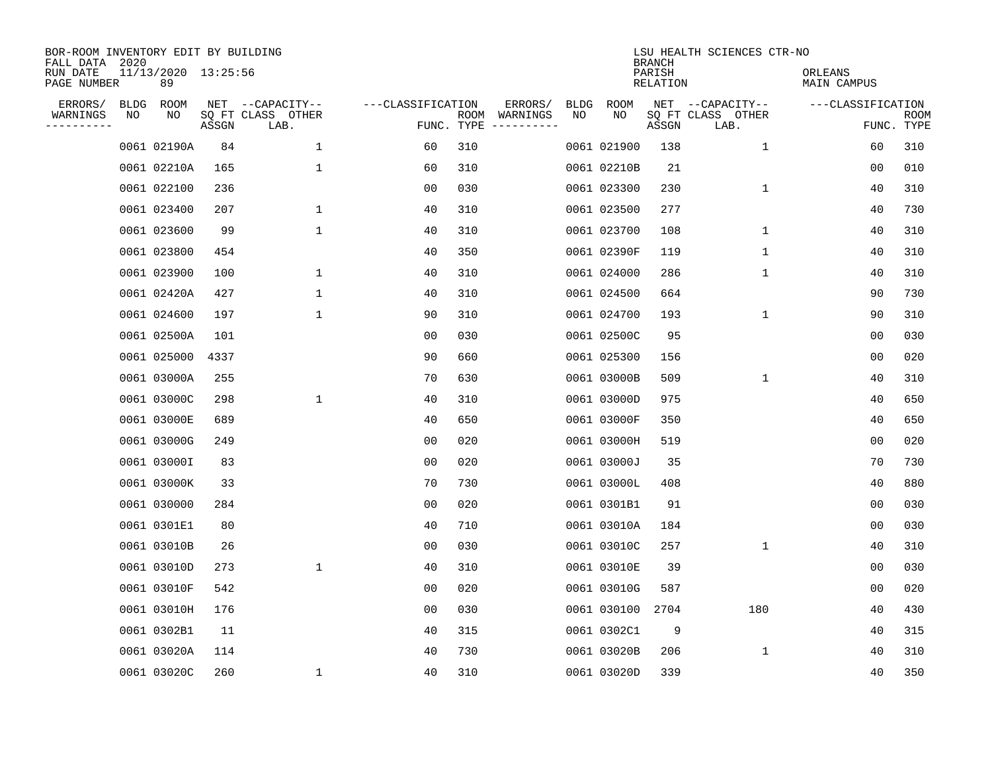| BOR-ROOM INVENTORY EDIT BY BUILDING<br>FALL DATA 2020 |      |                           |       |                           |                   |                    |                         |             |             | <b>BRANCH</b>      | LSU HEALTH SCIENCES CTR-NO |                        |                           |
|-------------------------------------------------------|------|---------------------------|-------|---------------------------|-------------------|--------------------|-------------------------|-------------|-------------|--------------------|----------------------------|------------------------|---------------------------|
| RUN DATE<br>PAGE NUMBER                               |      | 11/13/2020 13:25:56<br>89 |       |                           |                   |                    |                         |             |             | PARISH<br>RELATION |                            | ORLEANS<br>MAIN CAMPUS |                           |
| ERRORS/                                               | BLDG | ROOM                      |       | NET --CAPACITY--          | ---CLASSIFICATION |                    | ERRORS/                 | <b>BLDG</b> | <b>ROOM</b> |                    | NET --CAPACITY--           | ---CLASSIFICATION      |                           |
| WARNINGS<br>-----------                               | NO   | NO                        | ASSGN | SQ FT CLASS OTHER<br>LAB. |                   | ROOM<br>FUNC. TYPE | WARNINGS<br>----------- | NO          | NO          | ASSGN              | SQ FT CLASS OTHER<br>LAB.  |                        | <b>ROOM</b><br>FUNC. TYPE |
|                                                       |      | 0061 02190A               | 84    | 1                         | 60                | 310                |                         |             | 0061 021900 | 138                | 1                          | 60                     | 310                       |
|                                                       |      | 0061 02210A               | 165   | 1                         | 60                | 310                |                         |             | 0061 02210B | 21                 |                            | 00                     | 010                       |
|                                                       |      | 0061 022100               | 236   |                           | 00                | 030                |                         |             | 0061 023300 | 230                | 1                          | 40                     | 310                       |
|                                                       |      | 0061 023400               | 207   | 1                         | 40                | 310                |                         |             | 0061 023500 | 277                |                            | 40                     | 730                       |
|                                                       |      | 0061 023600               | 99    | $\mathbf 1$               | 40                | 310                |                         |             | 0061 023700 | 108                | $\mathbf 1$                | 40                     | 310                       |
|                                                       |      | 0061 023800               | 454   |                           | 40                | 350                |                         |             | 0061 02390F | 119                | $\mathbf 1$                | 40                     | 310                       |
|                                                       |      | 0061 023900               | 100   | $\mathbf{1}$              | 40                | 310                |                         |             | 0061 024000 | 286                | $\mathbf 1$                | 40                     | 310                       |
|                                                       |      | 0061 02420A               | 427   | $\mathbf{1}$              | 40                | 310                |                         |             | 0061 024500 | 664                |                            | 90                     | 730                       |
|                                                       |      | 0061 024600               | 197   | $\mathbf{1}$              | 90                | 310                |                         |             | 0061 024700 | 193                | $\mathbf 1$                | 90                     | 310                       |
|                                                       |      | 0061 02500A               | 101   |                           | 00                | 030                |                         |             | 0061 02500C | 95                 |                            | 00                     | 030                       |
|                                                       |      | 0061 025000               | 4337  |                           | 90                | 660                |                         |             | 0061 025300 | 156                |                            | 0 <sub>0</sub>         | 020                       |
|                                                       |      | 0061 03000A               | 255   |                           | 70                | 630                |                         |             | 0061 03000B | 509                | $\mathbf 1$                | 40                     | 310                       |
|                                                       |      | 0061 03000C               | 298   | 1                         | 40                | 310                |                         |             | 0061 03000D | 975                |                            | 40                     | 650                       |
|                                                       |      | 0061 03000E               | 689   |                           | 40                | 650                |                         |             | 0061 03000F | 350                |                            | 40                     | 650                       |
|                                                       |      | 0061 03000G               | 249   |                           | 0 <sub>0</sub>    | 020                |                         |             | 0061 03000H | 519                |                            | 0 <sub>0</sub>         | 020                       |
|                                                       |      | 0061 03000I               | 83    |                           | 0 <sub>0</sub>    | 020                |                         |             | 0061 03000J | 35                 |                            | 70                     | 730                       |
|                                                       |      | 0061 03000K               | 33    |                           | 70                | 730                |                         |             | 0061 03000L | 408                |                            | 40                     | 880                       |
|                                                       |      | 0061 030000               | 284   |                           | 00                | 020                |                         |             | 0061 0301B1 | 91                 |                            | 0 <sub>0</sub>         | 030                       |
|                                                       |      | 0061 0301E1               | 80    |                           | 40                | 710                |                         |             | 0061 03010A | 184                |                            | 0 <sub>0</sub>         | 030                       |
|                                                       |      | 0061 03010B               | 26    |                           | 0 <sub>0</sub>    | 030                |                         |             | 0061 03010C | 257                | 1                          | 40                     | 310                       |
|                                                       |      | 0061 03010D               | 273   | 1                         | 40                | 310                |                         |             | 0061 03010E | 39                 |                            | 0 <sub>0</sub>         | 030                       |
|                                                       |      | 0061 03010F               | 542   |                           | 0 <sub>0</sub>    | 020                |                         |             | 0061 03010G | 587                |                            | 00                     | 020                       |
|                                                       |      | 0061 03010H               | 176   |                           | 0 <sub>0</sub>    | 030                |                         |             | 0061 030100 | 2704               | 180                        | 40                     | 430                       |
|                                                       |      | 0061 0302B1               | 11    |                           | 40                | 315                |                         |             | 0061 0302C1 | 9                  |                            | 40                     | 315                       |
|                                                       |      | 0061 03020A               | 114   |                           | 40                | 730                |                         |             | 0061 03020B | 206                | 1                          | 40                     | 310                       |
|                                                       |      | 0061 03020C               | 260   | 1                         | 40                | 310                |                         |             | 0061 03020D | 339                |                            | 40                     | 350                       |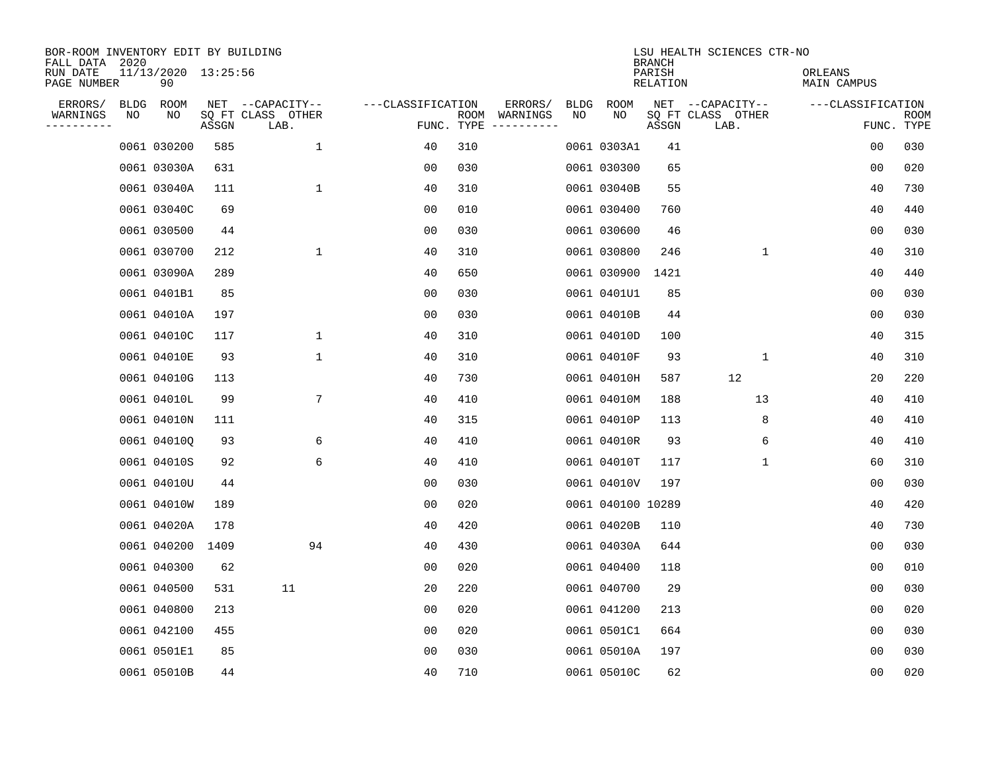| BOR-ROOM INVENTORY EDIT BY BUILDING<br>FALL DATA 2020 |    |                           |       |                           |                   |     |                                      |             |                   | <b>BRANCH</b>      | LSU HEALTH SCIENCES CTR-NO |                        |                           |
|-------------------------------------------------------|----|---------------------------|-------|---------------------------|-------------------|-----|--------------------------------------|-------------|-------------------|--------------------|----------------------------|------------------------|---------------------------|
| RUN DATE<br>PAGE NUMBER                               |    | 11/13/2020 13:25:56<br>90 |       |                           |                   |     |                                      |             |                   | PARISH<br>RELATION |                            | ORLEANS<br>MAIN CAMPUS |                           |
| ERRORS/                                               |    | BLDG ROOM                 |       | NET --CAPACITY--          | ---CLASSIFICATION |     | ERRORS/                              | <b>BLDG</b> | <b>ROOM</b>       |                    | NET --CAPACITY--           | ---CLASSIFICATION      |                           |
| WARNINGS<br>----------                                | NO | NO                        | ASSGN | SQ FT CLASS OTHER<br>LAB. |                   |     | ROOM WARNINGS<br>FUNC. TYPE $------$ | NO          | NO                | ASSGN              | SQ FT CLASS OTHER<br>LAB.  |                        | <b>ROOM</b><br>FUNC. TYPE |
|                                                       |    | 0061 030200               | 585   | $\mathbf{1}$              | 40                | 310 |                                      |             | 0061 0303A1       | 41                 |                            | 0 <sub>0</sub>         | 030                       |
|                                                       |    | 0061 03030A               | 631   |                           | 0 <sub>0</sub>    | 030 |                                      |             | 0061 030300       | 65                 |                            | 0 <sub>0</sub>         | 020                       |
|                                                       |    | 0061 03040A               | 111   | $\mathbf 1$               | 40                | 310 |                                      |             | 0061 03040B       | 55                 |                            | 40                     | 730                       |
|                                                       |    | 0061 03040C               | 69    |                           | 0 <sub>0</sub>    | 010 |                                      |             | 0061 030400       | 760                |                            | 40                     | 440                       |
|                                                       |    | 0061 030500               | 44    |                           | 0 <sub>0</sub>    | 030 |                                      |             | 0061 030600       | 46                 |                            | 0 <sub>0</sub>         | 030                       |
|                                                       |    | 0061 030700               | 212   | $\mathbf 1$               | 40                | 310 |                                      |             | 0061 030800       | 246                | $\mathbf{1}$               | 40                     | 310                       |
|                                                       |    | 0061 03090A               | 289   |                           | 40                | 650 |                                      |             | 0061 030900       | 1421               |                            | 40                     | 440                       |
|                                                       |    | 0061 0401B1               | 85    |                           | 0 <sub>0</sub>    | 030 |                                      |             | 0061 0401U1       | 85                 |                            | 0 <sub>0</sub>         | 030                       |
|                                                       |    | 0061 04010A               | 197   |                           | 0 <sub>0</sub>    | 030 |                                      |             | 0061 04010B       | 44                 |                            | 0 <sub>0</sub>         | 030                       |
|                                                       |    | 0061 04010C               | 117   | $\mathbf 1$               | 40                | 310 |                                      |             | 0061 04010D       | 100                |                            | 40                     | 315                       |
|                                                       |    | 0061 04010E               | 93    | $\mathbf 1$               | 40                | 310 |                                      |             | 0061 04010F       | 93                 | 1                          | 40                     | 310                       |
|                                                       |    | 0061 04010G               | 113   |                           | 40                | 730 |                                      |             | 0061 04010H       | 587                | 12                         | 20                     | 220                       |
|                                                       |    | 0061 04010L               | 99    | 7                         | 40                | 410 |                                      |             | 0061 04010M       | 188                | 13                         | 40                     | 410                       |
|                                                       |    | 0061 04010N               | 111   |                           | 40                | 315 |                                      |             | 0061 04010P       | 113                | 8                          | 40                     | 410                       |
|                                                       |    | 0061 04010Q               | 93    | 6                         | 40                | 410 |                                      |             | 0061 04010R       | 93                 | 6                          | 40                     | 410                       |
|                                                       |    | 0061 04010S               | 92    | 6                         | 40                | 410 |                                      |             | 0061 04010T       | 117                | 1                          | 60                     | 310                       |
|                                                       |    | 0061 04010U               | 44    |                           | 0 <sub>0</sub>    | 030 |                                      |             | 0061 04010V       | 197                |                            | 00                     | 030                       |
|                                                       |    | 0061 04010W               | 189   |                           | 0 <sub>0</sub>    | 020 |                                      |             | 0061 040100 10289 |                    |                            | 40                     | 420                       |
|                                                       |    | 0061 04020A               | 178   |                           | 40                | 420 |                                      |             | 0061 04020B       | 110                |                            | 40                     | 730                       |
|                                                       |    | 0061 040200               | 1409  | 94                        | 40                | 430 |                                      |             | 0061 04030A       | 644                |                            | 0 <sub>0</sub>         | 030                       |
|                                                       |    | 0061 040300               | 62    |                           | 0 <sub>0</sub>    | 020 |                                      |             | 0061 040400       | 118                |                            | 0 <sub>0</sub>         | 010                       |
|                                                       |    | 0061 040500               | 531   | 11                        | 20                | 220 |                                      |             | 0061 040700       | 29                 |                            | 0 <sub>0</sub>         | 030                       |
|                                                       |    | 0061 040800               | 213   |                           | 0 <sub>0</sub>    | 020 |                                      |             | 0061 041200       | 213                |                            | 0 <sub>0</sub>         | 020                       |
|                                                       |    | 0061 042100               | 455   |                           | 0 <sub>0</sub>    | 020 |                                      |             | 0061 0501C1       | 664                |                            | 0 <sub>0</sub>         | 030                       |
|                                                       |    | 0061 0501E1               | 85    |                           | 0 <sub>0</sub>    | 030 |                                      |             | 0061 05010A       | 197                |                            | 0 <sub>0</sub>         | 030                       |
|                                                       |    | 0061 05010B               | 44    |                           | 40                | 710 |                                      |             | 0061 05010C       | 62                 |                            | 0 <sub>0</sub>         | 020                       |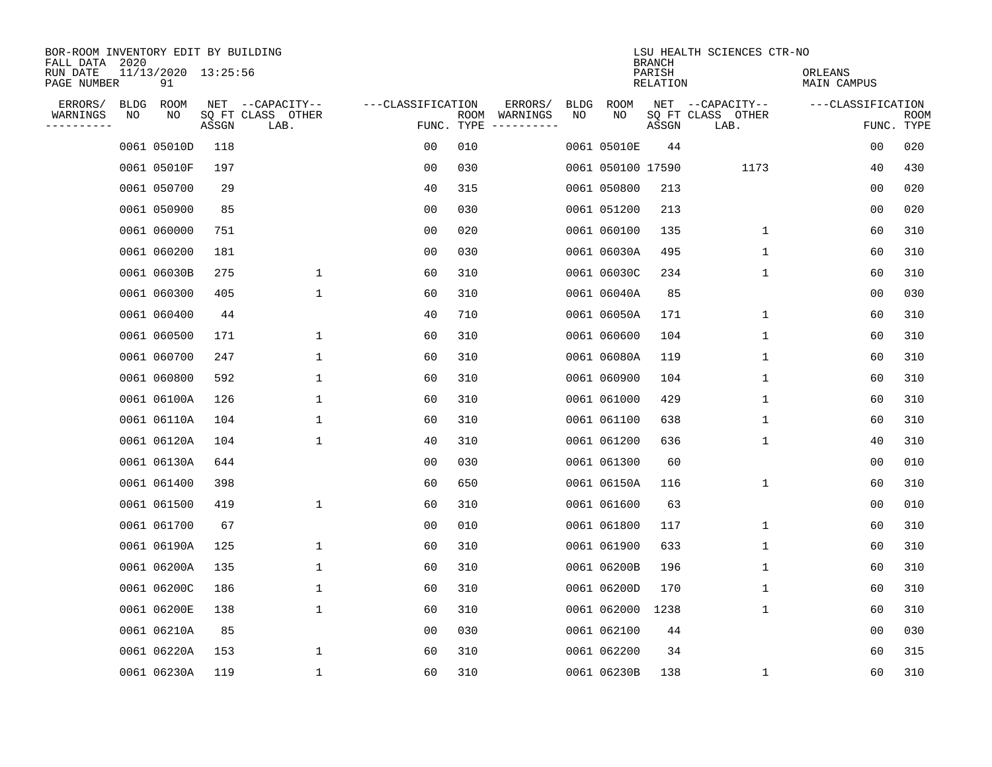| BOR-ROOM INVENTORY EDIT BY BUILDING<br>FALL DATA 2020 |      |                           |       |                           |                   |                    |          |             |                   | <b>BRANCH</b>      | LSU HEALTH SCIENCES CTR-NO |                        |                           |
|-------------------------------------------------------|------|---------------------------|-------|---------------------------|-------------------|--------------------|----------|-------------|-------------------|--------------------|----------------------------|------------------------|---------------------------|
| RUN DATE<br>PAGE NUMBER                               |      | 11/13/2020 13:25:56<br>91 |       |                           |                   |                    |          |             |                   | PARISH<br>RELATION |                            | ORLEANS<br>MAIN CAMPUS |                           |
| ERRORS/                                               | BLDG | ROOM                      |       | NET --CAPACITY--          | ---CLASSIFICATION |                    | ERRORS/  | <b>BLDG</b> | <b>ROOM</b>       |                    | NET --CAPACITY--           | ---CLASSIFICATION      |                           |
| WARNINGS<br>----------                                | NO   | NO                        | ASSGN | SQ FT CLASS OTHER<br>LAB. |                   | ROOM<br>FUNC. TYPE | WARNINGS | NO          | NO                | ASSGN              | SQ FT CLASS OTHER<br>LAB.  |                        | <b>ROOM</b><br>FUNC. TYPE |
|                                                       |      | 0061 05010D               | 118   |                           | 00                | 010                |          |             | 0061 05010E       | 44                 |                            | 00                     | 020                       |
|                                                       |      | 0061 05010F               | 197   |                           | 00                | 030                |          |             | 0061 050100 17590 |                    | 1173                       | 40                     | 430                       |
|                                                       |      | 0061 050700               | 29    |                           | 40                | 315                |          |             | 0061 050800       | 213                |                            | 00                     | 020                       |
|                                                       |      | 0061 050900               | 85    |                           | 0 <sub>0</sub>    | 030                |          |             | 0061 051200       | 213                |                            | 0 <sub>0</sub>         | 020                       |
|                                                       |      | 0061 060000               | 751   |                           | 0 <sub>0</sub>    | 020                |          |             | 0061 060100       | 135                | $\mathbf{1}$               | 60                     | 310                       |
|                                                       |      | 0061 060200               | 181   |                           | 0 <sub>0</sub>    | 030                |          |             | 0061 06030A       | 495                | $\mathbf{1}$               | 60                     | 310                       |
|                                                       |      | 0061 06030B               | 275   | 1                         | 60                | 310                |          |             | 0061 06030C       | 234                | $\mathbf{1}$               | 60                     | 310                       |
|                                                       |      | 0061 060300               | 405   | 1                         | 60                | 310                |          |             | 0061 06040A       | 85                 |                            | 0 <sub>0</sub>         | 030                       |
|                                                       |      | 0061 060400               | 44    |                           | 40                | 710                |          |             | 0061 06050A       | 171                | 1                          | 60                     | 310                       |
|                                                       |      | 0061 060500               | 171   | 1                         | 60                | 310                |          |             | 0061 060600       | 104                | $\mathbf 1$                | 60                     | 310                       |
|                                                       |      | 0061 060700               | 247   | 1                         | 60                | 310                |          |             | 0061 06080A       | 119                | $\mathbf 1$                | 60                     | 310                       |
|                                                       |      | 0061 060800               | 592   | $\mathbf{1}$              | 60                | 310                |          |             | 0061 060900       | 104                | $\mathbf{1}$               | 60                     | 310                       |
|                                                       |      | 0061 06100A               | 126   | 1                         | 60                | 310                |          |             | 0061 061000       | 429                | 1                          | 60                     | 310                       |
|                                                       |      | 0061 06110A               | 104   | 1                         | 60                | 310                |          |             | 0061 061100       | 638                | 1                          | 60                     | 310                       |
|                                                       |      | 0061 06120A               | 104   | 1                         | 40                | 310                |          |             | 0061 061200       | 636                | 1                          | 40                     | 310                       |
|                                                       |      | 0061 06130A               | 644   |                           | 00                | 030                |          |             | 0061 061300       | 60                 |                            | 0 <sub>0</sub>         | 010                       |
|                                                       |      | 0061 061400               | 398   |                           | 60                | 650                |          |             | 0061 06150A       | 116                | 1                          | 60                     | 310                       |
|                                                       |      | 0061 061500               | 419   | 1                         | 60                | 310                |          |             | 0061 061600       | 63                 |                            | 0 <sub>0</sub>         | 010                       |
|                                                       |      | 0061 061700               | 67    |                           | 0 <sub>0</sub>    | 010                |          |             | 0061 061800       | 117                | $\mathbf 1$                | 60                     | 310                       |
|                                                       |      | 0061 06190A               | 125   | 1                         | 60                | 310                |          |             | 0061 061900       | 633                | 1                          | 60                     | 310                       |
|                                                       |      | 0061 06200A               | 135   | 1                         | 60                | 310                |          |             | 0061 06200B       | 196                | 1                          | 60                     | 310                       |
|                                                       |      | 0061 06200C               | 186   | $\mathbf 1$               | 60                | 310                |          |             | 0061 06200D       | 170                | 1                          | 60                     | 310                       |
|                                                       |      | 0061 06200E               | 138   | 1                         | 60                | 310                |          |             | 0061 062000       | 1238               | 1                          | 60                     | 310                       |
|                                                       |      | 0061 06210A               | 85    |                           | 0 <sub>0</sub>    | 030                |          |             | 0061 062100       | 44                 |                            | 0 <sub>0</sub>         | 030                       |
|                                                       |      | 0061 06220A               | 153   | 1                         | 60                | 310                |          |             | 0061 062200       | 34                 |                            | 60                     | 315                       |
|                                                       |      | 0061 06230A               | 119   | $\mathbf{1}$              | 60                | 310                |          |             | 0061 06230B       | 138                | 1                          | 60                     | 310                       |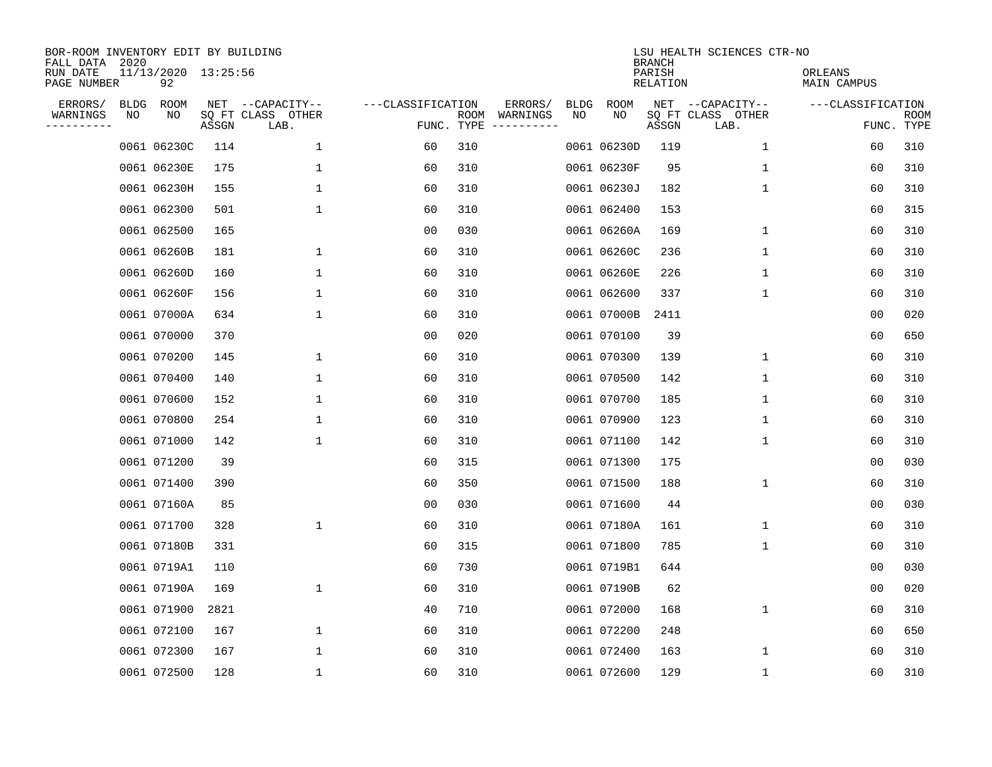| BOR-ROOM INVENTORY EDIT BY BUILDING<br>FALL DATA 2020 |      |                           |       |                           |                   |      |                                 |             |             | <b>BRANCH</b>      | LSU HEALTH SCIENCES CTR-NO |                        |                           |
|-------------------------------------------------------|------|---------------------------|-------|---------------------------|-------------------|------|---------------------------------|-------------|-------------|--------------------|----------------------------|------------------------|---------------------------|
| RUN DATE<br>PAGE NUMBER                               |      | 11/13/2020 13:25:56<br>92 |       |                           |                   |      |                                 |             |             | PARISH<br>RELATION |                            | ORLEANS<br>MAIN CAMPUS |                           |
| ERRORS/                                               | BLDG | ROOM                      |       | NET --CAPACITY--          | ---CLASSIFICATION |      | ERRORS/                         | <b>BLDG</b> | <b>ROOM</b> |                    | NET --CAPACITY--           | ---CLASSIFICATION      |                           |
| WARNINGS<br>----------                                | NO   | NO                        | ASSGN | SQ FT CLASS OTHER<br>LAB. |                   | ROOM | WARNINGS<br>FUNC. TYPE $------$ | NO          | NO          | ASSGN              | SQ FT CLASS OTHER<br>LAB.  |                        | <b>ROOM</b><br>FUNC. TYPE |
|                                                       |      | 0061 06230C               | 114   | 1                         | 60                | 310  |                                 |             | 0061 06230D | 119                | $\mathbf 1$                | 60                     | 310                       |
|                                                       |      | 0061 06230E               | 175   | 1                         | 60                | 310  |                                 |             | 0061 06230F | 95                 | 1                          | 60                     | 310                       |
|                                                       |      | 0061 06230H               | 155   | $\mathbf 1$               | 60                | 310  |                                 |             | 0061 06230J | 182                | 1                          | 60                     | 310                       |
|                                                       |      | 0061 062300               | 501   | 1                         | 60                | 310  |                                 |             | 0061 062400 | 153                |                            | 60                     | 315                       |
|                                                       |      | 0061 062500               | 165   |                           | 0 <sub>0</sub>    | 030  |                                 |             | 0061 06260A | 169                | $\mathbf 1$                | 60                     | 310                       |
|                                                       |      | 0061 06260B               | 181   | 1                         | 60                | 310  |                                 |             | 0061 06260C | 236                | 1                          | 60                     | 310                       |
|                                                       |      | 0061 06260D               | 160   | $\mathbf 1$               | 60                | 310  |                                 |             | 0061 06260E | 226                | $\mathbf 1$                | 60                     | 310                       |
|                                                       |      | 0061 06260F               | 156   | 1                         | 60                | 310  |                                 |             | 0061 062600 | 337                | 1                          | 60                     | 310                       |
|                                                       |      | 0061 07000A               | 634   | 1                         | 60                | 310  |                                 |             | 0061 07000B | 2411               |                            | 0 <sub>0</sub>         | 020                       |
|                                                       |      | 0061 070000               | 370   |                           | 0 <sub>0</sub>    | 020  |                                 |             | 0061 070100 | 39                 |                            | 60                     | 650                       |
|                                                       |      | 0061 070200               | 145   | 1                         | 60                | 310  |                                 |             | 0061 070300 | 139                | $\mathbf 1$                | 60                     | 310                       |
|                                                       |      | 0061 070400               | 140   | 1                         | 60                | 310  |                                 |             | 0061 070500 | 142                | $\mathbf 1$                | 60                     | 310                       |
|                                                       |      | 0061 070600               | 152   | 1                         | 60                | 310  |                                 |             | 0061 070700 | 185                | 1                          | 60                     | 310                       |
|                                                       |      | 0061 070800               | 254   | 1                         | 60                | 310  |                                 |             | 0061 070900 | 123                | 1                          | 60                     | 310                       |
|                                                       |      | 0061 071000               | 142   | 1                         | 60                | 310  |                                 |             | 0061 071100 | 142                | 1                          | 60                     | 310                       |
|                                                       |      | 0061 071200               | 39    |                           | 60                | 315  |                                 |             | 0061 071300 | 175                |                            | 0 <sub>0</sub>         | 030                       |
|                                                       |      | 0061 071400               | 390   |                           | 60                | 350  |                                 |             | 0061 071500 | 188                | 1                          | 60                     | 310                       |
|                                                       |      | 0061 07160A               | 85    |                           | 0 <sub>0</sub>    | 030  |                                 |             | 0061 071600 | 44                 |                            | 0 <sub>0</sub>         | 030                       |
|                                                       |      | 0061 071700               | 328   | $\mathbf{1}$              | 60                | 310  |                                 |             | 0061 07180A | 161                | 1                          | 60                     | 310                       |
|                                                       |      | 0061 07180B               | 331   |                           | 60                | 315  |                                 |             | 0061 071800 | 785                | 1                          | 60                     | 310                       |
|                                                       |      | 0061 0719A1               | 110   |                           | 60                | 730  |                                 |             | 0061 0719B1 | 644                |                            | 0 <sub>0</sub>         | 030                       |
|                                                       |      | 0061 07190A               | 169   | 1                         | 60                | 310  |                                 |             | 0061 07190B | 62                 |                            | 00                     | 020                       |
|                                                       |      | 0061 071900               | 2821  |                           | 40                | 710  |                                 |             | 0061 072000 | 168                | 1                          | 60                     | 310                       |
|                                                       |      | 0061 072100               | 167   | $\mathbf 1$               | 60                | 310  |                                 |             | 0061 072200 | 248                |                            | 60                     | 650                       |
|                                                       |      | 0061 072300               | 167   | 1                         | 60                | 310  |                                 |             | 0061 072400 | 163                | 1                          | 60                     | 310                       |
|                                                       |      | 0061 072500               | 128   | 1                         | 60                | 310  |                                 |             | 0061 072600 | 129                | 1                          | 60                     | 310                       |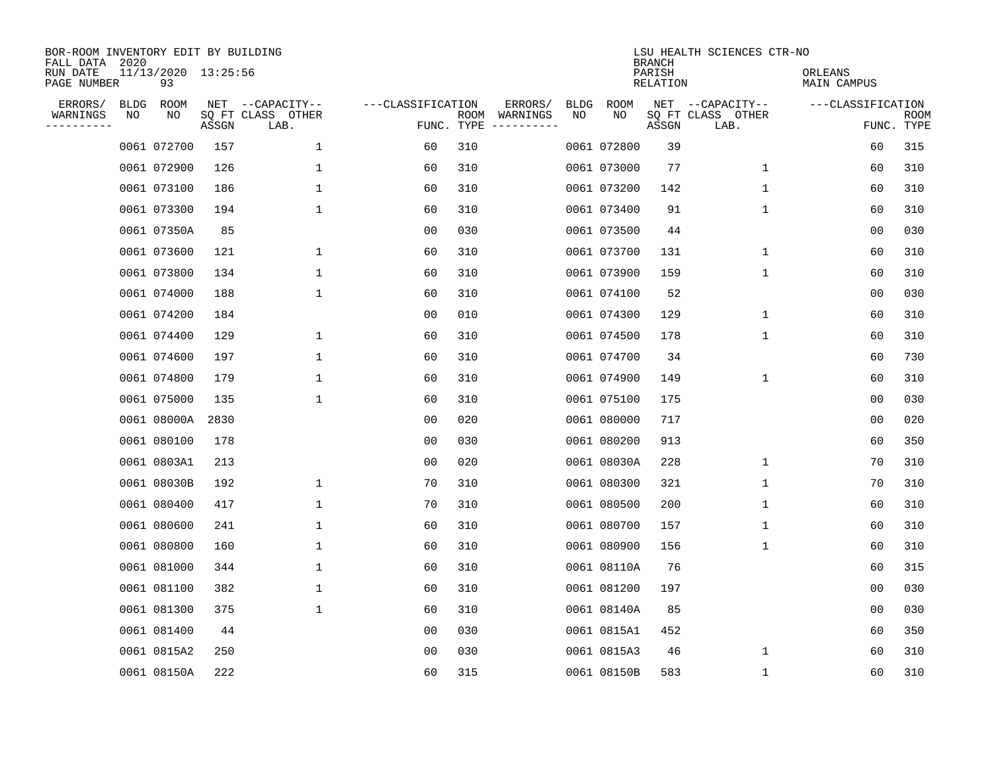| BOR-ROOM INVENTORY EDIT BY BUILDING<br>FALL DATA 2020 |             |                           |       |                           |                   |                    |                         |             |             | <b>BRANCH</b>      | LSU HEALTH SCIENCES CTR-NO |                        |                           |
|-------------------------------------------------------|-------------|---------------------------|-------|---------------------------|-------------------|--------------------|-------------------------|-------------|-------------|--------------------|----------------------------|------------------------|---------------------------|
| RUN DATE<br>PAGE NUMBER                               |             | 11/13/2020 13:25:56<br>93 |       |                           |                   |                    |                         |             |             | PARISH<br>RELATION |                            | ORLEANS<br>MAIN CAMPUS |                           |
| ERRORS/                                               | <b>BLDG</b> | ROOM                      |       | NET --CAPACITY--          | ---CLASSIFICATION |                    | ERRORS/                 | <b>BLDG</b> | <b>ROOM</b> |                    | NET --CAPACITY--           | ---CLASSIFICATION      |                           |
| WARNINGS<br>----------                                | NO          | NO                        | ASSGN | SQ FT CLASS OTHER<br>LAB. |                   | ROOM<br>FUNC. TYPE | WARNINGS<br>----------- | NO          | NO          | ASSGN              | SQ FT CLASS OTHER<br>LAB.  |                        | <b>ROOM</b><br>FUNC. TYPE |
|                                                       |             | 0061 072700               | 157   | 1                         | 60                | 310                |                         |             | 0061 072800 | 39                 |                            | 60                     | 315                       |
|                                                       |             | 0061 072900               | 126   | 1                         | 60                | 310                |                         |             | 0061 073000 | 77                 | 1                          | 60                     | 310                       |
|                                                       |             | 0061 073100               | 186   | $\mathbf 1$               | 60                | 310                |                         |             | 0061 073200 | 142                | 1                          | 60                     | 310                       |
|                                                       |             | 0061 073300               | 194   | 1                         | 60                | 310                |                         |             | 0061 073400 | 91                 | 1                          | 60                     | 310                       |
|                                                       |             | 0061 07350A               | 85    |                           | 0 <sub>0</sub>    | 030                |                         |             | 0061 073500 | 44                 |                            | 0 <sub>0</sub>         | 030                       |
|                                                       |             | 0061 073600               | 121   | 1                         | 60                | 310                |                         |             | 0061 073700 | 131                | $\mathbf 1$                | 60                     | 310                       |
|                                                       |             | 0061 073800               | 134   | $\mathbf{1}$              | 60                | 310                |                         |             | 0061 073900 | 159                | $\mathbf{1}$               | 60                     | 310                       |
|                                                       |             | 0061 074000               | 188   | $\mathbf{1}$              | 60                | 310                |                         |             | 0061 074100 | 52                 |                            | 0 <sub>0</sub>         | 030                       |
|                                                       |             | 0061 074200               | 184   |                           | 0 <sub>0</sub>    | 010                |                         |             | 0061 074300 | 129                | $\mathbf 1$                | 60                     | 310                       |
|                                                       |             | 0061 074400               | 129   | 1                         | 60                | 310                |                         |             | 0061 074500 | 178                | 1                          | 60                     | 310                       |
|                                                       |             | 0061 074600               | 197   | 1                         | 60                | 310                |                         |             | 0061 074700 | 34                 |                            | 60                     | 730                       |
|                                                       |             | 0061 074800               | 179   | 1                         | 60                | 310                |                         |             | 0061 074900 | 149                | 1                          | 60                     | 310                       |
|                                                       |             | 0061 075000               | 135   | 1                         | 60                | 310                |                         |             | 0061 075100 | 175                |                            | 0 <sub>0</sub>         | 030                       |
|                                                       |             | 0061 08000A               | 2830  |                           | 00                | 020                |                         |             | 0061 080000 | 717                |                            | 0 <sub>0</sub>         | 020                       |
|                                                       |             | 0061 080100               | 178   |                           | 0 <sub>0</sub>    | 030                |                         |             | 0061 080200 | 913                |                            | 60                     | 350                       |
|                                                       |             | 0061 0803A1               | 213   |                           | 0 <sub>0</sub>    | 020                |                         |             | 0061 08030A | 228                | 1                          | 70                     | 310                       |
|                                                       |             | 0061 08030B               | 192   | 1                         | 70                | 310                |                         |             | 0061 080300 | 321                | 1                          | 70                     | 310                       |
|                                                       |             | 0061 080400               | 417   | 1                         | 70                | 310                |                         |             | 0061 080500 | 200                | 1                          | 60                     | 310                       |
|                                                       |             | 0061 080600               | 241   | 1                         | 60                | 310                |                         |             | 0061 080700 | 157                | 1                          | 60                     | 310                       |
|                                                       |             | 0061 080800               | 160   | 1                         | 60                | 310                |                         |             | 0061 080900 | 156                | 1                          | 60                     | 310                       |
|                                                       |             | 0061 081000               | 344   | 1                         | 60                | 310                |                         |             | 0061 08110A | 76                 |                            | 60                     | 315                       |
|                                                       |             | 0061 081100               | 382   | 1                         | 60                | 310                |                         |             | 0061 081200 | 197                |                            | 0 <sub>0</sub>         | 030                       |
|                                                       |             | 0061 081300               | 375   | 1                         | 60                | 310                |                         |             | 0061 08140A | 85                 |                            | 0 <sub>0</sub>         | 030                       |
|                                                       |             | 0061 081400               | 44    |                           | 0 <sub>0</sub>    | 030                |                         |             | 0061 0815A1 | 452                |                            | 60                     | 350                       |
|                                                       |             | 0061 0815A2               | 250   |                           | 0 <sub>0</sub>    | 030                |                         |             | 0061 0815A3 | 46                 | 1                          | 60                     | 310                       |
|                                                       |             | 0061 08150A               | 222   |                           | 60                | 315                |                         |             | 0061 08150B | 583                | 1                          | 60                     | 310                       |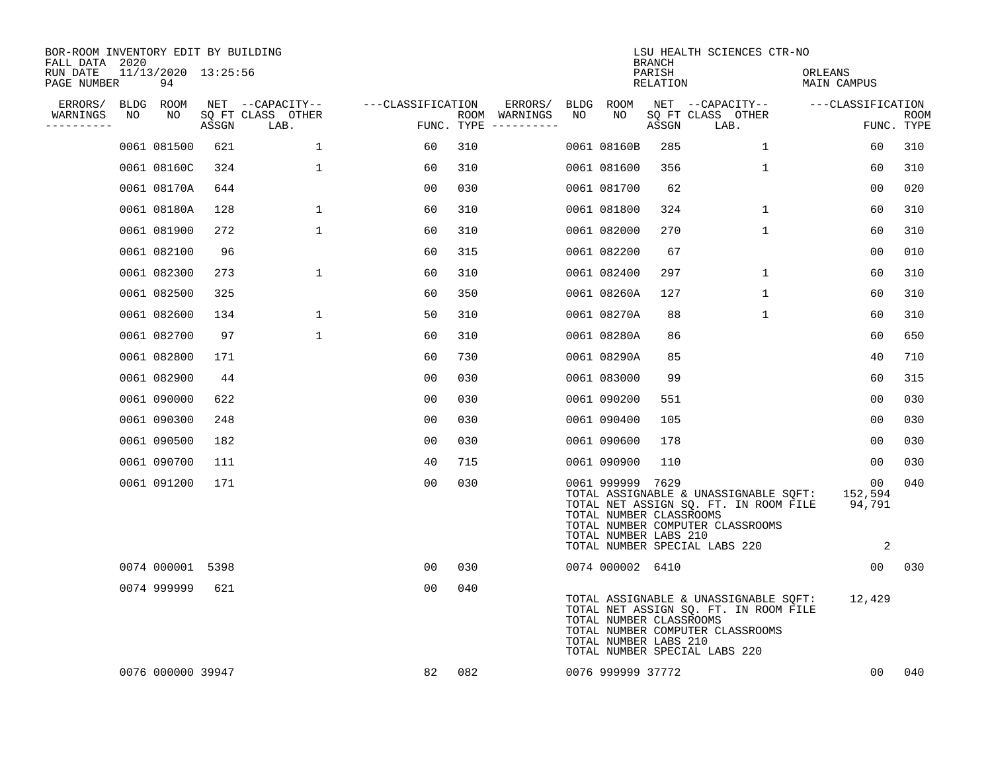| BOR-ROOM INVENTORY EDIT BY BUILDING<br>FALL DATA 2020 |    |                           |       |                           |                   |     |                                      |    |                                                                      | <b>BRANCH</b>      | LSU HEALTH SCIENCES CTR-NO                                                                                                                                 |                                             |                           |
|-------------------------------------------------------|----|---------------------------|-------|---------------------------|-------------------|-----|--------------------------------------|----|----------------------------------------------------------------------|--------------------|------------------------------------------------------------------------------------------------------------------------------------------------------------|---------------------------------------------|---------------------------|
| RUN DATE<br>PAGE NUMBER                               |    | 11/13/2020 13:25:56<br>94 |       |                           |                   |     |                                      |    |                                                                      | PARISH<br>RELATION |                                                                                                                                                            | ORLEANS<br>MAIN CAMPUS                      |                           |
| ERRORS/                                               |    | BLDG ROOM                 |       | NET --CAPACITY--          | ---CLASSIFICATION |     | ERRORS/                              |    | BLDG ROOM                                                            |                    | NET --CAPACITY--                                                                                                                                           | ---CLASSIFICATION                           |                           |
| WARNINGS<br>----------                                | NO | NO                        | ASSGN | SQ FT CLASS OTHER<br>LAB. |                   |     | ROOM WARNINGS<br>FUNC. TYPE $------$ | NO | NO                                                                   | ASSGN              | SQ FT CLASS OTHER<br>LAB.                                                                                                                                  |                                             | <b>ROOM</b><br>FUNC. TYPE |
|                                                       |    | 0061 081500               | 621   | 1                         | 60                | 310 |                                      |    | 0061 08160B                                                          | 285                | $\mathbf{1}$                                                                                                                                               | 60                                          | 310                       |
|                                                       |    | 0061 08160C               | 324   | $\mathbf 1$               | 60                | 310 |                                      |    | 0061 081600                                                          | 356                | 1                                                                                                                                                          | 60                                          | 310                       |
|                                                       |    | 0061 08170A               | 644   |                           | 00                | 030 |                                      |    | 0061 081700                                                          | 62                 |                                                                                                                                                            | 0 <sub>0</sub>                              | 020                       |
|                                                       |    | 0061 08180A               | 128   | $\mathbf{1}$              | 60                | 310 |                                      |    | 0061 081800                                                          | 324                | $\mathbf{1}$                                                                                                                                               | 60                                          | 310                       |
|                                                       |    | 0061 081900               | 272   | $\mathbf 1$               | 60                | 310 |                                      |    | 0061 082000                                                          | 270                | $\mathbf{1}$                                                                                                                                               | 60                                          | 310                       |
|                                                       |    | 0061 082100               | 96    |                           | 60                | 315 |                                      |    | 0061 082200                                                          | 67                 |                                                                                                                                                            | 00                                          | 010                       |
|                                                       |    | 0061 082300               | 273   | $\mathbf{1}$              | 60                | 310 |                                      |    | 0061 082400                                                          | 297                | $\mathbf{1}$                                                                                                                                               | 60                                          | 310                       |
|                                                       |    | 0061 082500               | 325   |                           | 60                | 350 |                                      |    | 0061 08260A                                                          | 127                | $\mathbf{1}$                                                                                                                                               | 60                                          | 310                       |
|                                                       |    | 0061 082600               | 134   | $\mathbf{1}$              | 50                | 310 |                                      |    | 0061 08270A                                                          | 88                 | $\mathbf 1$                                                                                                                                                | 60                                          | 310                       |
|                                                       |    | 0061 082700               | 97    | $\mathbf 1$               | 60                | 310 |                                      |    | 0061 08280A                                                          | 86                 |                                                                                                                                                            | 60                                          | 650                       |
|                                                       |    | 0061 082800               | 171   |                           | 60                | 730 |                                      |    | 0061 08290A                                                          | 85                 |                                                                                                                                                            | 40                                          | 710                       |
|                                                       |    | 0061 082900               | 44    |                           | 00                | 030 |                                      |    | 0061 083000                                                          | 99                 |                                                                                                                                                            | 60                                          | 315                       |
|                                                       |    | 0061 090000               | 622   |                           | 00                | 030 |                                      |    | 0061 090200                                                          | 551                |                                                                                                                                                            | 0 <sub>0</sub>                              | 030                       |
|                                                       |    | 0061 090300               | 248   |                           | 0 <sub>0</sub>    | 030 |                                      |    | 0061 090400                                                          | 105                |                                                                                                                                                            | 0 <sub>0</sub>                              | 030                       |
|                                                       |    | 0061 090500               | 182   |                           | 00                | 030 |                                      |    | 0061 090600                                                          | 178                |                                                                                                                                                            | 00                                          | 030                       |
|                                                       |    | 0061 090700               | 111   |                           | 40                | 715 |                                      |    | 0061 090900                                                          | 110                |                                                                                                                                                            | 00                                          | 030                       |
|                                                       |    | 0061 091200               | 171   |                           | 00                | 030 |                                      |    | 0061 999999 7629<br>TOTAL NUMBER CLASSROOMS<br>TOTAL NUMBER LABS 210 |                    | TOTAL ASSIGNABLE & UNASSIGNABLE SQFT:<br>TOTAL NET ASSIGN SQ. FT. IN ROOM FILE 94,791<br>TOTAL NUMBER COMPUTER CLASSROOMS<br>TOTAL NUMBER SPECIAL LABS 220 | 00<br>152,594<br>$\overline{\phantom{a}}^2$ | 040                       |
|                                                       |    | 0074 000001 5398          |       |                           | 00                | 030 |                                      |    | 0074 000002 6410                                                     |                    |                                                                                                                                                            | 00 <sub>o</sub>                             | 030                       |
|                                                       |    | 0074 999999               | 621   |                           | 00                | 040 |                                      |    | TOTAL NUMBER CLASSROOMS<br>TOTAL NUMBER LABS 210                     |                    | TOTAL ASSIGNABLE & UNASSIGNABLE SQFT:<br>TOTAL NET ASSIGN SQ. FT. IN ROOM FILE<br>TOTAL NUMBER COMPUTER CLASSROOMS<br>TOTAL NUMBER SPECIAL LABS 220        | 12,429                                      |                           |
|                                                       |    | 0076 000000 39947         |       |                           | 82                | 082 |                                      |    | 0076 999999 37772                                                    |                    |                                                                                                                                                            | 00                                          | 040                       |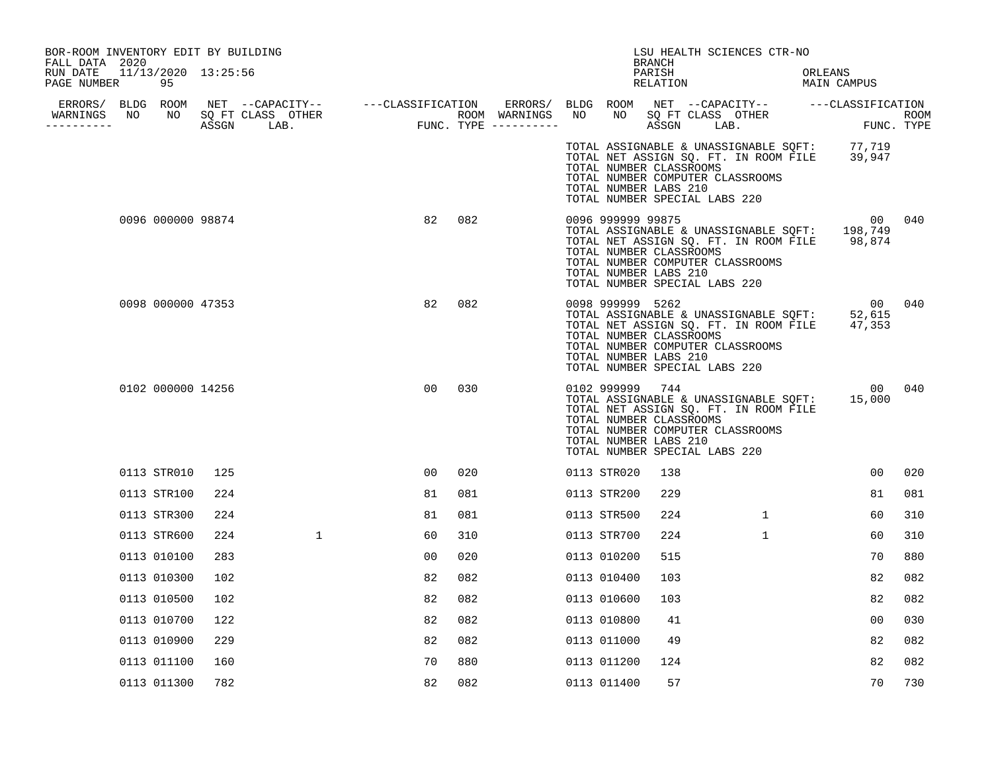| BOR-ROOM INVENTORY EDIT BY BUILDING<br>FALL DATA 2020 |     |             |                |     |  |                                                                       | BRANCH             |                               | LSU HEALTH SCIENCES CTR-NO                                                                                         |                                                                                               |        |
|-------------------------------------------------------|-----|-------------|----------------|-----|--|-----------------------------------------------------------------------|--------------------|-------------------------------|--------------------------------------------------------------------------------------------------------------------|-----------------------------------------------------------------------------------------------|--------|
| RUN DATE 11/13/2020 13:25:56<br>PAGE NUMBER<br>95     |     |             |                |     |  |                                                                       | PARISH<br>RELATION |                               |                                                                                                                    | ORLEANS<br>MAIN CAMPUS                                                                        |        |
|                                                       |     |             |                |     |  |                                                                       |                    |                               |                                                                                                                    |                                                                                               |        |
| WARNINGS<br>----------                                |     |             |                |     |  |                                                                       |                    |                               |                                                                                                                    |                                                                                               |        |
|                                                       |     |             |                |     |  | TOTAL NUMBER CLASSROOMS<br>TOTAL NUMBER LABS 210                      |                    | TOTAL NUMBER SPECIAL LABS 220 | TOTAL NUMBER COMPUTER CLASSROOMS                                                                                   | TOTAL ASSIGNABLE & UNASSIGNABLE SQFT: 77,719<br>TOTAL NET ASSIGN SQ. FT. IN ROOM FILE 39,947  |        |
| 0096 000000 98874                                     |     |             | 82             | 082 |  | 0096 999999 99875<br>TOTAL NUMBER CLASSROOMS<br>TOTAL NUMBER LABS 210 |                    | TOTAL NUMBER SPECIAL LABS 220 | TOTAL NUMBER COMPUTER CLASSROOMS                                                                                   | TOTAL ASSIGNABLE & UNASSIGNABLE SQFT: 198,749<br>TOTAL NET ASSIGN SQ. FT. IN ROOM FILE 98,874 | 00 040 |
| 0098 000000 47353                                     |     |             | 82             | 082 |  | 0098 999999 5262<br>TOTAL NUMBER CLASSROOMS<br>TOTAL NUMBER LABS 210  |                    | TOTAL NUMBER SPECIAL LABS 220 | TOTAL ASSIGNABLE & UNASSIGNABLE SQFT:<br>TOTAL NET ASSIGN SQ. FT. IN ROOM FILE<br>TOTAL NUMBER COMPUTER CLASSROOMS | 00<br>52,615<br>47,353                                                                        | 040    |
| 0102 000000 14256                                     |     |             | 0 <sub>0</sub> | 030 |  | 0102 999999<br>TOTAL NUMBER CLASSROOMS<br>TOTAL NUMBER LABS 210       | 744                | TOTAL NUMBER SPECIAL LABS 220 | TOTAL NET ASSIGN SQ. FT. IN ROOM FILE<br>TOTAL NUMBER COMPUTER CLASSROOMS                                          | TOTAL ASSIGNABLE & UNASSIGNABLE SQFT: 15,000                                                  | 00 040 |
| 0113 STR010                                           | 125 |             | 0 <sub>0</sub> | 020 |  | 0113 STR020                                                           | 138                |                               |                                                                                                                    | 0 <sub>0</sub>                                                                                | 020    |
| 0113 STR100                                           | 224 |             | 81             | 081 |  | 0113 STR200                                                           | 229                |                               |                                                                                                                    | 81                                                                                            | 081    |
| 0113 STR300                                           | 224 |             | 81             | 081 |  | 0113 STR500                                                           | 224                |                               | $\mathbf{1}$                                                                                                       | 60                                                                                            | 310    |
| 0113 STR600                                           | 224 | $\mathbf 1$ | 60             | 310 |  | 0113 STR700                                                           | 224                |                               | $\mathbf{1}$                                                                                                       | 60                                                                                            | 310    |
| 0113 010100                                           | 283 |             | 00             | 020 |  | 0113 010200                                                           | 515                |                               |                                                                                                                    | 70                                                                                            | 880    |
| 0113 010300                                           | 102 |             | 82             | 082 |  | 0113 010400                                                           | 103                |                               |                                                                                                                    | 82                                                                                            | 082    |
| 0113 010500                                           | 102 |             | 82             | 082 |  | 0113 010600                                                           | 103                |                               |                                                                                                                    | 82                                                                                            | 082    |
| 0113 010700                                           | 122 |             | 82             | 082 |  | 0113 010800                                                           | 41                 |                               |                                                                                                                    | 0 <sub>0</sub>                                                                                | 030    |
| 0113 010900                                           | 229 |             | 82             | 082 |  | 0113 011000                                                           | 49                 |                               |                                                                                                                    | 82                                                                                            | 082    |
| 0113 011100                                           | 160 |             | 70             | 880 |  | 0113 011200                                                           | 124                |                               |                                                                                                                    | 82                                                                                            | 082    |
| 0113 011300                                           | 782 |             | 82             | 082 |  | 0113 011400                                                           | 57                 |                               |                                                                                                                    | 70                                                                                            | 730    |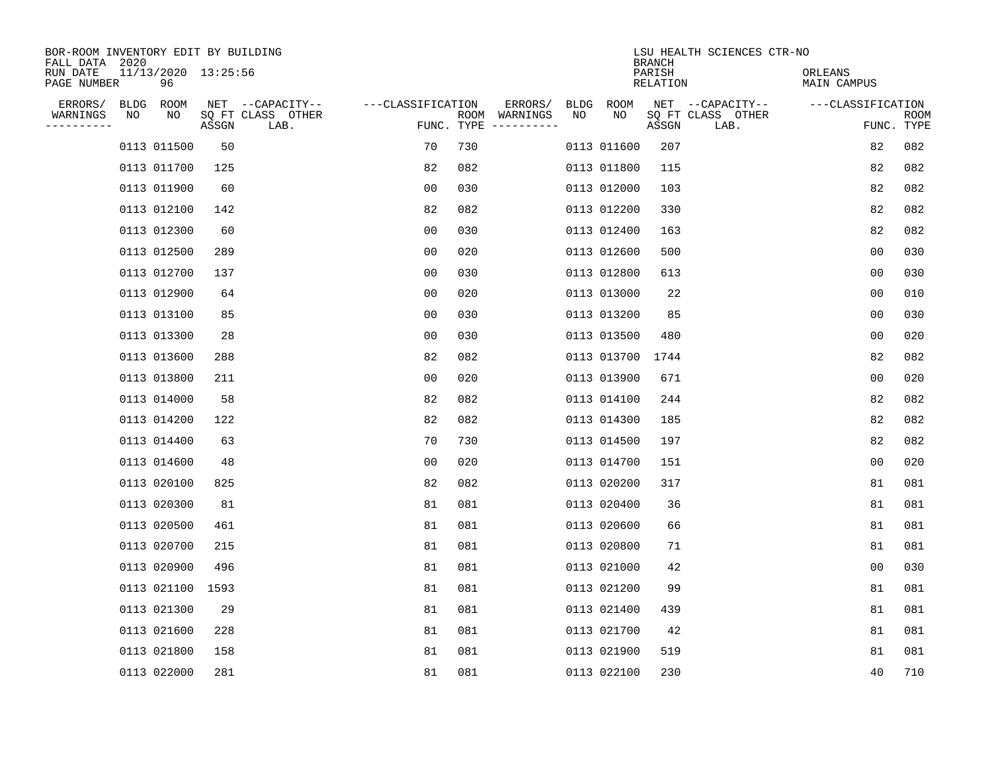| BOR-ROOM INVENTORY EDIT BY BUILDING<br>FALL DATA 2020 |       |                           |                   |            |               |             |             | <b>BRANCH</b>      | LSU HEALTH SCIENCES CTR-NO |                        |                           |
|-------------------------------------------------------|-------|---------------------------|-------------------|------------|---------------|-------------|-------------|--------------------|----------------------------|------------------------|---------------------------|
| 11/13/2020 13:25:56<br>RUN DATE<br>PAGE NUMBER<br>96  |       |                           |                   |            |               |             |             | PARISH<br>RELATION |                            | ORLEANS<br>MAIN CAMPUS |                           |
| ERRORS/<br>BLDG<br>ROOM                               |       | NET --CAPACITY--          | ---CLASSIFICATION |            | ERRORS/       | <b>BLDG</b> | ROOM        |                    | NET --CAPACITY--           | ---CLASSIFICATION      |                           |
| WARNINGS<br>NO<br>NO<br>----------                    | ASSGN | SQ FT CLASS OTHER<br>LAB. |                   | FUNC. TYPE | ROOM WARNINGS | NO          | NO          | ASSGN              | SQ FT CLASS OTHER<br>LAB.  |                        | <b>ROOM</b><br>FUNC. TYPE |
| 0113 011500                                           | 50    |                           | 70                | 730        |               |             | 0113 011600 | 207                |                            | 82                     | 082                       |
| 0113 011700                                           | 125   |                           | 82                | 082        |               |             | 0113 011800 | 115                |                            | 82                     | 082                       |
| 0113 011900                                           | 60    |                           | 00                | 030        |               |             | 0113 012000 | 103                |                            | 82                     | 082                       |
| 0113 012100                                           | 142   |                           | 82                | 082        |               |             | 0113 012200 | 330                |                            | 82                     | 082                       |
| 0113 012300                                           | 60    |                           | 0 <sub>0</sub>    | 030        |               |             | 0113 012400 | 163                |                            | 82                     | 082                       |
| 0113 012500                                           | 289   |                           | 0 <sub>0</sub>    | 020        |               |             | 0113 012600 | 500                |                            | 0 <sub>0</sub>         | 030                       |
| 0113 012700                                           | 137   |                           | 0 <sub>0</sub>    | 030        |               |             | 0113 012800 | 613                |                            | 0 <sub>0</sub>         | 030                       |
| 0113 012900                                           | 64    |                           | 0 <sub>0</sub>    | 020        |               |             | 0113 013000 | 22                 |                            | 0 <sub>0</sub>         | 010                       |
| 0113 013100                                           | 85    |                           | 0 <sub>0</sub>    | 030        |               |             | 0113 013200 | 85                 |                            | 0 <sub>0</sub>         | 030                       |
| 0113 013300                                           | 28    |                           | 0 <sub>0</sub>    | 030        |               |             | 0113 013500 | 480                |                            | 0 <sub>0</sub>         | 020                       |
| 0113 013600                                           | 288   |                           | 82                | 082        |               |             | 0113 013700 | 1744               |                            | 82                     | 082                       |
| 0113 013800                                           | 211   |                           | 0 <sub>0</sub>    | 020        |               |             | 0113 013900 | 671                |                            | 0 <sub>0</sub>         | 020                       |
| 0113 014000                                           | 58    |                           | 82                | 082        |               |             | 0113 014100 | 244                |                            | 82                     | 082                       |
| 0113 014200                                           | 122   |                           | 82                | 082        |               |             | 0113 014300 | 185                |                            | 82                     | 082                       |
| 0113 014400                                           | 63    |                           | 70                | 730        |               |             | 0113 014500 | 197                |                            | 82                     | 082                       |
| 0113 014600                                           | 48    |                           | 0 <sub>0</sub>    | 020        |               |             | 0113 014700 | 151                |                            | 0 <sub>0</sub>         | 020                       |
| 0113 020100                                           | 825   |                           | 82                | 082        |               |             | 0113 020200 | 317                |                            | 81                     | 081                       |
| 0113 020300                                           | 81    |                           | 81                | 081        |               |             | 0113 020400 | 36                 |                            | 81                     | 081                       |
| 0113 020500                                           | 461   |                           | 81                | 081        |               |             | 0113 020600 | 66                 |                            | 81                     | 081                       |
| 0113 020700                                           | 215   |                           | 81                | 081        |               |             | 0113 020800 | 71                 |                            | 81                     | 081                       |
| 0113 020900                                           | 496   |                           | 81                | 081        |               |             | 0113 021000 | 42                 |                            | 0 <sub>0</sub>         | 030                       |
| 0113 021100                                           | 1593  |                           | 81                | 081        |               |             | 0113 021200 | 99                 |                            | 81                     | 081                       |
| 0113 021300                                           | 29    |                           | 81                | 081        |               |             | 0113 021400 | 439                |                            | 81                     | 081                       |
| 0113 021600                                           | 228   |                           | 81                | 081        |               |             | 0113 021700 | 42                 |                            | 81                     | 081                       |
| 0113 021800                                           | 158   |                           | 81                | 081        |               |             | 0113 021900 | 519                |                            | 81                     | 081                       |
| 0113 022000                                           | 281   |                           | 81                | 081        |               |             | 0113 022100 | 230                |                            | 40                     | 710                       |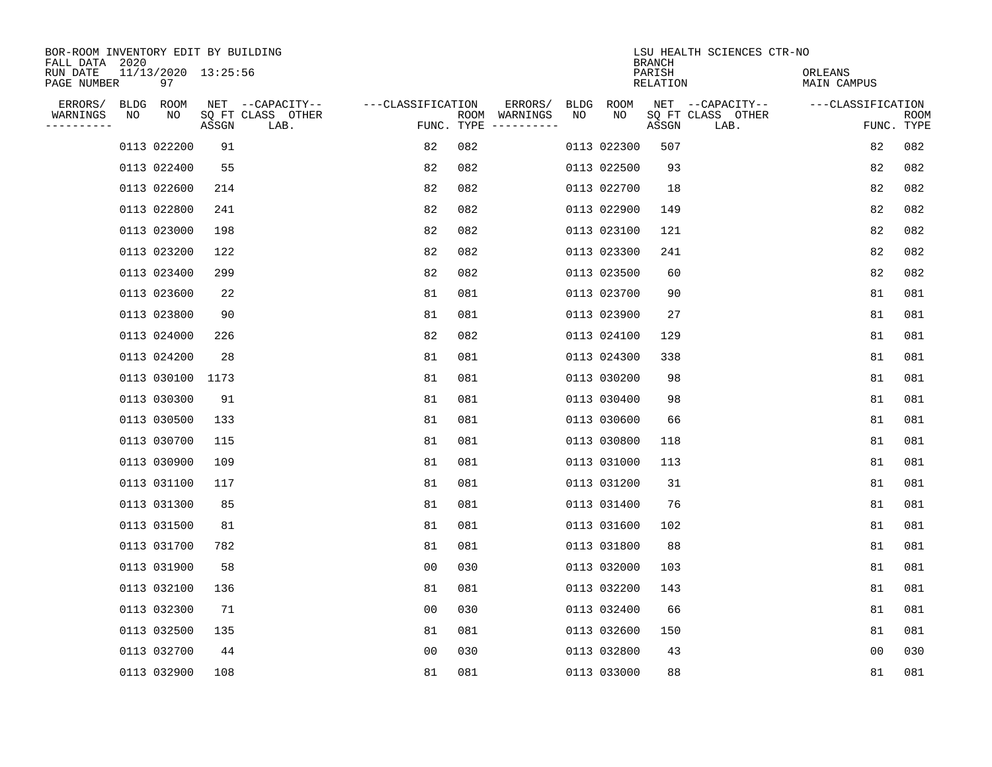| BOR-ROOM INVENTORY EDIT BY BUILDING<br>FALL DATA 2020 |    |                           |       |                           |                   |            |               |      |             | <b>BRANCH</b>             | LSU HEALTH SCIENCES CTR-NO |                        |                |                           |
|-------------------------------------------------------|----|---------------------------|-------|---------------------------|-------------------|------------|---------------|------|-------------|---------------------------|----------------------------|------------------------|----------------|---------------------------|
| RUN DATE<br>PAGE NUMBER                               |    | 11/13/2020 13:25:56<br>97 |       |                           |                   |            |               |      |             | PARISH<br><b>RELATION</b> |                            | ORLEANS<br>MAIN CAMPUS |                |                           |
| ERRORS/                                               |    | BLDG ROOM                 |       | NET --CAPACITY--          | ---CLASSIFICATION |            | ERRORS/       | BLDG | ROOM        |                           | NET --CAPACITY--           | ---CLASSIFICATION      |                |                           |
| WARNINGS<br>-----------                               | ΝO | NO                        | ASSGN | SQ FT CLASS OTHER<br>LAB. |                   | FUNC. TYPE | ROOM WARNINGS | NO   | NO          | ASSGN                     | SQ FT CLASS OTHER<br>LAB.  |                        |                | <b>ROOM</b><br>FUNC. TYPE |
|                                                       |    | 0113 022200               | 91    |                           | 82                | 082        |               |      | 0113 022300 | 507                       |                            |                        | 82             | 082                       |
|                                                       |    | 0113 022400               | 55    |                           | 82                | 082        |               |      | 0113 022500 | 93                        |                            |                        | 82             | 082                       |
|                                                       |    | 0113 022600               | 214   |                           | 82                | 082        |               |      | 0113 022700 | 18                        |                            |                        | 82             | 082                       |
|                                                       |    | 0113 022800               | 241   |                           | 82                | 082        |               |      | 0113 022900 | 149                       |                            |                        | 82             | 082                       |
|                                                       |    | 0113 023000               | 198   |                           | 82                | 082        |               |      | 0113 023100 | 121                       |                            |                        | 82             | 082                       |
|                                                       |    | 0113 023200               | 122   |                           | 82                | 082        |               |      | 0113 023300 | 241                       |                            |                        | 82             | 082                       |
|                                                       |    | 0113 023400               | 299   |                           | 82                | 082        |               |      | 0113 023500 | 60                        |                            |                        | 82             | 082                       |
|                                                       |    | 0113 023600               | 22    |                           | 81                | 081        |               |      | 0113 023700 | 90                        |                            |                        | 81             | 081                       |
|                                                       |    | 0113 023800               | 90    |                           | 81                | 081        |               |      | 0113 023900 | 27                        |                            |                        | 81             | 081                       |
|                                                       |    | 0113 024000               | 226   |                           | 82                | 082        |               |      | 0113 024100 | 129                       |                            |                        | 81             | 081                       |
|                                                       |    | 0113 024200               | 28    |                           | 81                | 081        |               |      | 0113 024300 | 338                       |                            |                        | 81             | 081                       |
|                                                       |    | 0113 030100               | 1173  |                           | 81                | 081        |               |      | 0113 030200 | 98                        |                            |                        | 81             | 081                       |
|                                                       |    | 0113 030300               | 91    |                           | 81                | 081        |               |      | 0113 030400 | 98                        |                            |                        | 81             | 081                       |
|                                                       |    | 0113 030500               | 133   |                           | 81                | 081        |               |      | 0113 030600 | 66                        |                            |                        | 81             | 081                       |
|                                                       |    | 0113 030700               | 115   |                           | 81                | 081        |               |      | 0113 030800 | 118                       |                            |                        | 81             | 081                       |
|                                                       |    | 0113 030900               | 109   |                           | 81                | 081        |               |      | 0113 031000 | 113                       |                            |                        | 81             | 081                       |
|                                                       |    | 0113 031100               | 117   |                           | 81                | 081        |               |      | 0113 031200 | 31                        |                            |                        | 81             | 081                       |
|                                                       |    | 0113 031300               | 85    |                           | 81                | 081        |               |      | 0113 031400 | 76                        |                            |                        | 81             | 081                       |
|                                                       |    | 0113 031500               | 81    |                           | 81                | 081        |               |      | 0113 031600 | 102                       |                            |                        | 81             | 081                       |
|                                                       |    | 0113 031700               | 782   |                           | 81                | 081        |               |      | 0113 031800 | 88                        |                            |                        | 81             | 081                       |
|                                                       |    | 0113 031900               | 58    |                           | 0 <sub>0</sub>    | 030        |               |      | 0113 032000 | 103                       |                            |                        | 81             | 081                       |
|                                                       |    | 0113 032100               | 136   |                           | 81                | 081        |               |      | 0113 032200 | 143                       |                            |                        | 81             | 081                       |
|                                                       |    | 0113 032300               | 71    |                           | 0 <sub>0</sub>    | 030        |               |      | 0113 032400 | 66                        |                            |                        | 81             | 081                       |
|                                                       |    | 0113 032500               | 135   |                           | 81                | 081        |               |      | 0113 032600 | 150                       |                            |                        | 81             | 081                       |
|                                                       |    | 0113 032700               | 44    |                           | 0 <sub>0</sub>    | 030        |               |      | 0113 032800 | 43                        |                            |                        | 0 <sub>0</sub> | 030                       |
|                                                       |    | 0113 032900               | 108   |                           | 81                | 081        |               |      | 0113 033000 | 88                        |                            |                        | 81             | 081                       |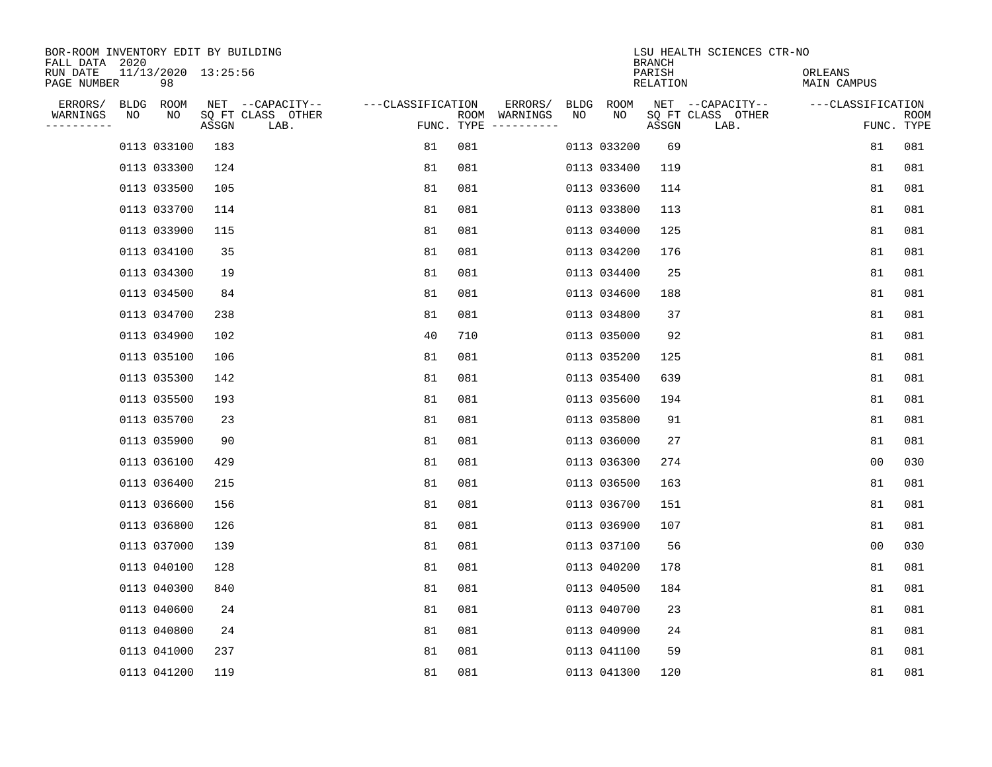| BOR-ROOM INVENTORY EDIT BY BUILDING<br>FALL DATA 2020 |    |                           |       |                           |                   |     |                                      |      |             | <b>BRANCH</b>             | LSU HEALTH SCIENCES CTR-NO |                        |                           |
|-------------------------------------------------------|----|---------------------------|-------|---------------------------|-------------------|-----|--------------------------------------|------|-------------|---------------------------|----------------------------|------------------------|---------------------------|
| RUN DATE<br>PAGE NUMBER                               |    | 11/13/2020 13:25:56<br>98 |       |                           |                   |     |                                      |      |             | PARISH<br><b>RELATION</b> |                            | ORLEANS<br>MAIN CAMPUS |                           |
| ERRORS/                                               |    | BLDG ROOM                 |       | NET --CAPACITY--          | ---CLASSIFICATION |     | ERRORS/                              | BLDG | ROOM        |                           | NET --CAPACITY--           | ---CLASSIFICATION      |                           |
| WARNINGS<br>-----------                               | ΝO | NO                        | ASSGN | SQ FT CLASS OTHER<br>LAB. |                   |     | ROOM WARNINGS<br>FUNC. TYPE $------$ | NO   | NO          | ASSGN                     | SQ FT CLASS OTHER<br>LAB.  |                        | <b>ROOM</b><br>FUNC. TYPE |
|                                                       |    | 0113 033100               | 183   |                           | 81                | 081 |                                      |      | 0113 033200 | 69                        |                            | 81                     | 081                       |
|                                                       |    | 0113 033300               | 124   |                           | 81                | 081 |                                      |      | 0113 033400 | 119                       |                            | 81                     | 081                       |
|                                                       |    | 0113 033500               | 105   |                           | 81                | 081 |                                      |      | 0113 033600 | 114                       |                            | 81                     | 081                       |
|                                                       |    | 0113 033700               | 114   |                           | 81                | 081 |                                      |      | 0113 033800 | 113                       |                            | 81                     | 081                       |
|                                                       |    | 0113 033900               | 115   |                           | 81                | 081 |                                      |      | 0113 034000 | 125                       |                            | 81                     | 081                       |
|                                                       |    | 0113 034100               | 35    |                           | 81                | 081 |                                      |      | 0113 034200 | 176                       |                            | 81                     | 081                       |
|                                                       |    | 0113 034300               | 19    |                           | 81                | 081 |                                      |      | 0113 034400 | 25                        |                            | 81                     | 081                       |
|                                                       |    | 0113 034500               | 84    |                           | 81                | 081 |                                      |      | 0113 034600 | 188                       |                            | 81                     | 081                       |
|                                                       |    | 0113 034700               | 238   |                           | 81                | 081 |                                      |      | 0113 034800 | 37                        |                            | 81                     | 081                       |
|                                                       |    | 0113 034900               | 102   |                           | 40                | 710 |                                      |      | 0113 035000 | 92                        |                            | 81                     | 081                       |
|                                                       |    | 0113 035100               | 106   |                           | 81                | 081 |                                      |      | 0113 035200 | 125                       |                            | 81                     | 081                       |
|                                                       |    | 0113 035300               | 142   |                           | 81                | 081 |                                      |      | 0113 035400 | 639                       |                            | 81                     | 081                       |
|                                                       |    | 0113 035500               | 193   |                           | 81                | 081 |                                      |      | 0113 035600 | 194                       |                            | 81                     | 081                       |
|                                                       |    | 0113 035700               | 23    |                           | 81                | 081 |                                      |      | 0113 035800 | 91                        |                            | 81                     | 081                       |
|                                                       |    | 0113 035900               | 90    |                           | 81                | 081 |                                      |      | 0113 036000 | 27                        |                            | 81                     | 081                       |
|                                                       |    | 0113 036100               | 429   |                           | 81                | 081 |                                      |      | 0113 036300 | 274                       |                            | 00                     | 030                       |
|                                                       |    | 0113 036400               | 215   |                           | 81                | 081 |                                      |      | 0113 036500 | 163                       |                            | 81                     | 081                       |
|                                                       |    | 0113 036600               | 156   |                           | 81                | 081 |                                      |      | 0113 036700 | 151                       |                            | 81                     | 081                       |
|                                                       |    | 0113 036800               | 126   |                           | 81                | 081 |                                      |      | 0113 036900 | 107                       |                            | 81                     | 081                       |
|                                                       |    | 0113 037000               | 139   |                           | 81                | 081 |                                      |      | 0113 037100 | 56                        |                            | 0 <sub>0</sub>         | 030                       |
|                                                       |    | 0113 040100               | 128   |                           | 81                | 081 |                                      |      | 0113 040200 | 178                       |                            | 81                     | 081                       |
|                                                       |    | 0113 040300               | 840   |                           | 81                | 081 |                                      |      | 0113 040500 | 184                       |                            | 81                     | 081                       |
|                                                       |    | 0113 040600               | 24    |                           | 81                | 081 |                                      |      | 0113 040700 | 23                        |                            | 81                     | 081                       |
|                                                       |    | 0113 040800               | 24    |                           | 81                | 081 |                                      |      | 0113 040900 | 24                        |                            | 81                     | 081                       |
|                                                       |    | 0113 041000               | 237   |                           | 81                | 081 |                                      |      | 0113 041100 | 59                        |                            | 81                     | 081                       |
|                                                       |    | 0113 041200               | 119   |                           | 81                | 081 |                                      |      | 0113 041300 | 120                       |                            | 81                     | 081                       |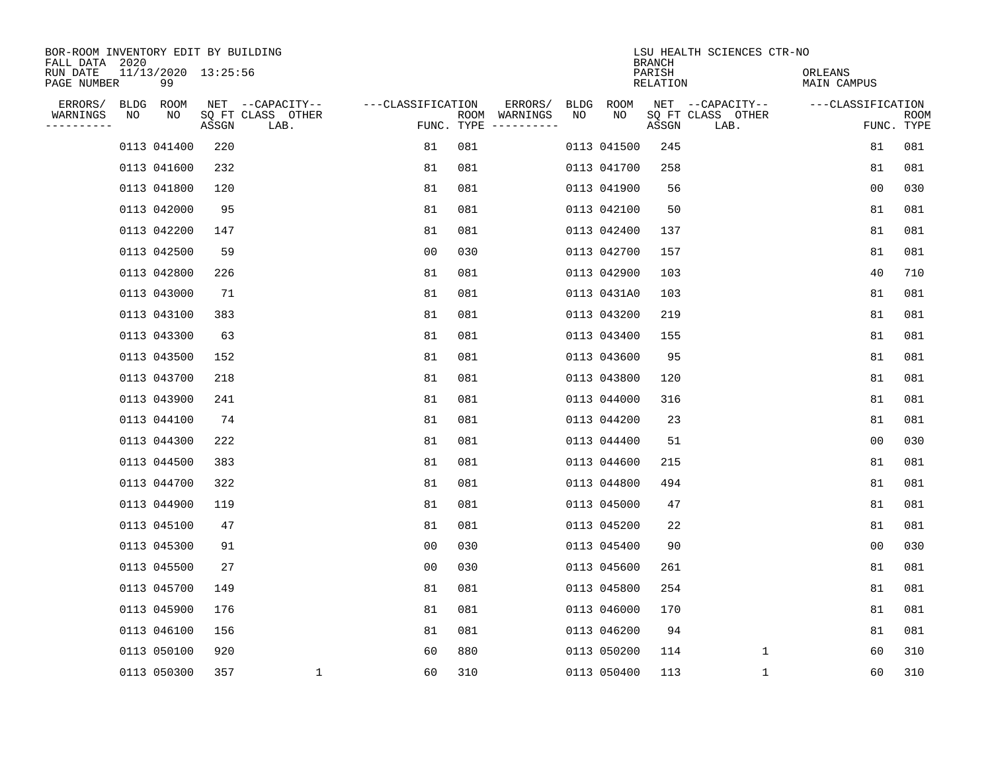| BOR-ROOM INVENTORY EDIT BY BUILDING<br>FALL DATA 2020 |    |                           |       |                           |                   |     |                                      |      |             | <b>BRANCH</b>             | LSU HEALTH SCIENCES CTR-NO |                        |                           |
|-------------------------------------------------------|----|---------------------------|-------|---------------------------|-------------------|-----|--------------------------------------|------|-------------|---------------------------|----------------------------|------------------------|---------------------------|
| RUN DATE<br>PAGE NUMBER                               |    | 11/13/2020 13:25:56<br>99 |       |                           |                   |     |                                      |      |             | PARISH<br><b>RELATION</b> |                            | ORLEANS<br>MAIN CAMPUS |                           |
| ERRORS/                                               |    | BLDG ROOM                 |       | NET --CAPACITY--          | ---CLASSIFICATION |     | ERRORS/                              | BLDG | ROOM        |                           | NET --CAPACITY--           | ---CLASSIFICATION      |                           |
| WARNINGS<br>----------                                | ΝO | NO                        | ASSGN | SQ FT CLASS OTHER<br>LAB. |                   |     | ROOM WARNINGS<br>FUNC. TYPE $------$ | NO   | NO          | ASSGN                     | SQ FT CLASS OTHER<br>LAB.  |                        | <b>ROOM</b><br>FUNC. TYPE |
|                                                       |    | 0113 041400               | 220   |                           | 81                | 081 |                                      |      | 0113 041500 | 245                       |                            | 81                     | 081                       |
|                                                       |    | 0113 041600               | 232   |                           | 81                | 081 |                                      |      | 0113 041700 | 258                       |                            | 81                     | 081                       |
|                                                       |    | 0113 041800               | 120   |                           | 81                | 081 |                                      |      | 0113 041900 | 56                        |                            | 00                     | 030                       |
|                                                       |    | 0113 042000               | 95    |                           | 81                | 081 |                                      |      | 0113 042100 | 50                        |                            | 81                     | 081                       |
|                                                       |    | 0113 042200               | 147   |                           | 81                | 081 |                                      |      | 0113 042400 | 137                       |                            | 81                     | 081                       |
|                                                       |    | 0113 042500               | 59    |                           | 0 <sub>0</sub>    | 030 |                                      |      | 0113 042700 | 157                       |                            | 81                     | 081                       |
|                                                       |    | 0113 042800               | 226   |                           | 81                | 081 |                                      |      | 0113 042900 | 103                       |                            | 40                     | 710                       |
|                                                       |    | 0113 043000               | 71    |                           | 81                | 081 |                                      |      | 0113 0431A0 | 103                       |                            | 81                     | 081                       |
|                                                       |    | 0113 043100               | 383   |                           | 81                | 081 |                                      |      | 0113 043200 | 219                       |                            | 81                     | 081                       |
|                                                       |    | 0113 043300               | 63    |                           | 81                | 081 |                                      |      | 0113 043400 | 155                       |                            | 81                     | 081                       |
|                                                       |    | 0113 043500               | 152   |                           | 81                | 081 |                                      |      | 0113 043600 | 95                        |                            | 81                     | 081                       |
|                                                       |    | 0113 043700               | 218   |                           | 81                | 081 |                                      |      | 0113 043800 | 120                       |                            | 81                     | 081                       |
|                                                       |    | 0113 043900               | 241   |                           | 81                | 081 |                                      |      | 0113 044000 | 316                       |                            | 81                     | 081                       |
|                                                       |    | 0113 044100               | 74    |                           | 81                | 081 |                                      |      | 0113 044200 | 23                        |                            | 81                     | 081                       |
|                                                       |    | 0113 044300               | 222   |                           | 81                | 081 |                                      |      | 0113 044400 | 51                        |                            | 0 <sub>0</sub>         | 030                       |
|                                                       |    | 0113 044500               | 383   |                           | 81                | 081 |                                      |      | 0113 044600 | 215                       |                            | 81                     | 081                       |
|                                                       |    | 0113 044700               | 322   |                           | 81                | 081 |                                      |      | 0113 044800 | 494                       |                            | 81                     | 081                       |
|                                                       |    | 0113 044900               | 119   |                           | 81                | 081 |                                      |      | 0113 045000 | 47                        |                            | 81                     | 081                       |
|                                                       |    | 0113 045100               | 47    |                           | 81                | 081 |                                      |      | 0113 045200 | 22                        |                            | 81                     | 081                       |
|                                                       |    | 0113 045300               | 91    |                           | 0 <sub>0</sub>    | 030 |                                      |      | 0113 045400 | 90                        |                            | 0 <sub>0</sub>         | 030                       |
|                                                       |    | 0113 045500               | 27    |                           | 0 <sub>0</sub>    | 030 |                                      |      | 0113 045600 | 261                       |                            | 81                     | 081                       |
|                                                       |    | 0113 045700               | 149   |                           | 81                | 081 |                                      |      | 0113 045800 | 254                       |                            | 81                     | 081                       |
|                                                       |    | 0113 045900               | 176   |                           | 81                | 081 |                                      |      | 0113 046000 | 170                       |                            | 81                     | 081                       |
|                                                       |    | 0113 046100               | 156   |                           | 81                | 081 |                                      |      | 0113 046200 | 94                        |                            | 81                     | 081                       |
|                                                       |    | 0113 050100               | 920   |                           | 60                | 880 |                                      |      | 0113 050200 | 114                       | 1                          | 60                     | 310                       |
|                                                       |    | 0113 050300               | 357   | 1                         | 60                | 310 |                                      |      | 0113 050400 | 113                       | 1                          | 60                     | 310                       |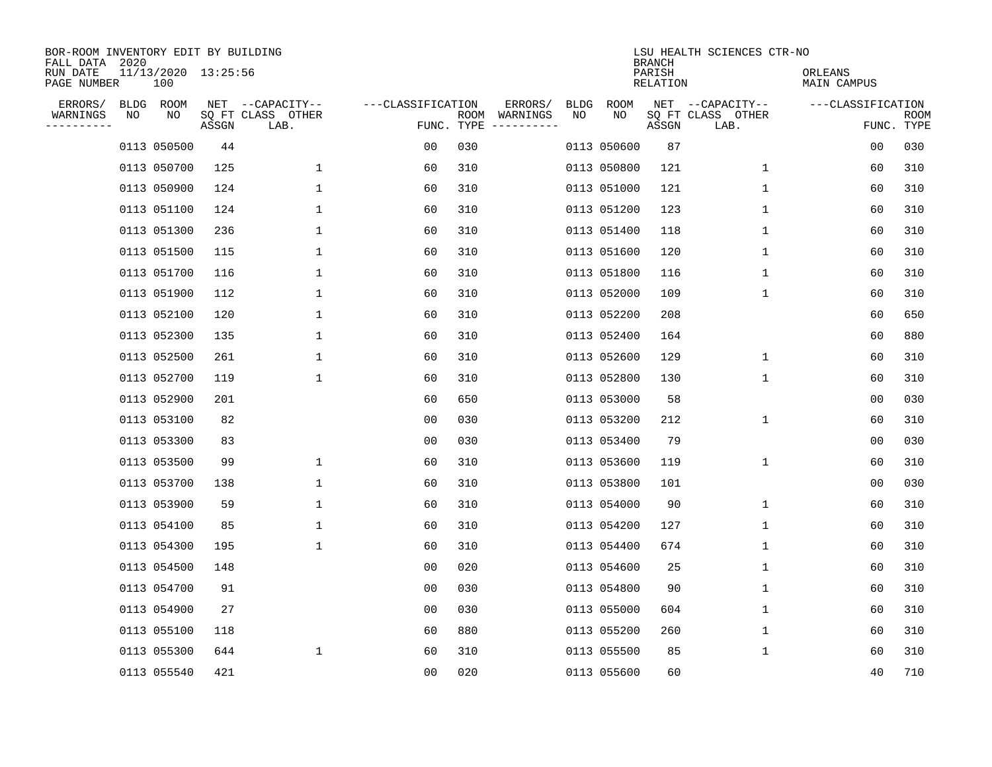| BOR-ROOM INVENTORY EDIT BY BUILDING<br>FALL DATA 2020 |    |                            |       |                           |                   |     |                                      |             |             | <b>BRANCH</b>      | LSU HEALTH SCIENCES CTR-NO |                        |                           |
|-------------------------------------------------------|----|----------------------------|-------|---------------------------|-------------------|-----|--------------------------------------|-------------|-------------|--------------------|----------------------------|------------------------|---------------------------|
| RUN DATE<br>PAGE NUMBER                               |    | 11/13/2020 13:25:56<br>100 |       |                           |                   |     |                                      |             |             | PARISH<br>RELATION |                            | ORLEANS<br>MAIN CAMPUS |                           |
| ERRORS/                                               |    | BLDG ROOM                  |       | NET --CAPACITY--          | ---CLASSIFICATION |     | ERRORS/                              | <b>BLDG</b> | <b>ROOM</b> |                    | NET --CAPACITY--           | ---CLASSIFICATION      |                           |
| WARNINGS<br>----------                                | NO | NO                         | ASSGN | SQ FT CLASS OTHER<br>LAB. |                   |     | ROOM WARNINGS<br>FUNC. TYPE $------$ | NO          | NO          | ASSGN              | SQ FT CLASS OTHER<br>LAB.  |                        | <b>ROOM</b><br>FUNC. TYPE |
|                                                       |    | 0113 050500                | 44    |                           | 00                | 030 |                                      |             | 0113 050600 | 87                 |                            | 00                     | 030                       |
|                                                       |    | 0113 050700                | 125   | 1                         | 60                | 310 |                                      |             | 0113 050800 | 121                | 1                          | 60                     | 310                       |
|                                                       |    | 0113 050900                | 124   | 1                         | 60                | 310 |                                      |             | 0113 051000 | 121                | 1                          | 60                     | 310                       |
|                                                       |    | 0113 051100                | 124   | $\mathbf 1$               | 60                | 310 |                                      |             | 0113 051200 | 123                | 1                          | 60                     | 310                       |
|                                                       |    | 0113 051300                | 236   | $\mathbf 1$               | 60                | 310 |                                      |             | 0113 051400 | 118                | 1                          | 60                     | 310                       |
|                                                       |    | 0113 051500                | 115   | $\mathbf 1$               | 60                | 310 |                                      |             | 0113 051600 | 120                | 1                          | 60                     | 310                       |
|                                                       |    | 0113 051700                | 116   | $\mathbf{1}$              | 60                | 310 |                                      |             | 0113 051800 | 116                | $\mathbf{1}$               | 60                     | 310                       |
|                                                       |    | 0113 051900                | 112   | $\mathbf{1}$              | 60                | 310 |                                      |             | 0113 052000 | 109                | 1                          | 60                     | 310                       |
|                                                       |    | 0113 052100                | 120   | 1                         | 60                | 310 |                                      |             | 0113 052200 | 208                |                            | 60                     | 650                       |
|                                                       |    | 0113 052300                | 135   | 1                         | 60                | 310 |                                      |             | 0113 052400 | 164                |                            | 60                     | 880                       |
|                                                       |    | 0113 052500                | 261   | $\mathbf 1$               | 60                | 310 |                                      |             | 0113 052600 | 129                | $\mathbf 1$                | 60                     | 310                       |
|                                                       |    | 0113 052700                | 119   | $\mathbf 1$               | 60                | 310 |                                      |             | 0113 052800 | 130                | $\mathbf 1$                | 60                     | 310                       |
|                                                       |    | 0113 052900                | 201   |                           | 60                | 650 |                                      |             | 0113 053000 | 58                 |                            | 0 <sub>0</sub>         | 030                       |
|                                                       |    | 0113 053100                | 82    |                           | 0 <sub>0</sub>    | 030 |                                      |             | 0113 053200 | 212                | $\mathbf 1$                | 60                     | 310                       |
|                                                       |    | 0113 053300                | 83    |                           | 0 <sub>0</sub>    | 030 |                                      |             | 0113 053400 | 79                 |                            | 0 <sub>0</sub>         | 030                       |
|                                                       |    | 0113 053500                | 99    | 1                         | 60                | 310 |                                      |             | 0113 053600 | 119                | 1                          | 60                     | 310                       |
|                                                       |    | 0113 053700                | 138   | $\mathbf{1}$              | 60                | 310 |                                      |             | 0113 053800 | 101                |                            | 00                     | 030                       |
|                                                       |    | 0113 053900                | 59    | 1                         | 60                | 310 |                                      |             | 0113 054000 | 90                 | 1                          | 60                     | 310                       |
|                                                       |    | 0113 054100                | 85    | 1                         | 60                | 310 |                                      |             | 0113 054200 | 127                | 1                          | 60                     | 310                       |
|                                                       |    | 0113 054300                | 195   | $\mathbf 1$               | 60                | 310 |                                      |             | 0113 054400 | 674                | 1                          | 60                     | 310                       |
|                                                       |    | 0113 054500                | 148   |                           | 0 <sub>0</sub>    | 020 |                                      |             | 0113 054600 | 25                 | 1                          | 60                     | 310                       |
|                                                       |    | 0113 054700                | 91    |                           | 0 <sub>0</sub>    | 030 |                                      |             | 0113 054800 | 90                 | 1                          | 60                     | 310                       |
|                                                       |    | 0113 054900                | 27    |                           | 0 <sub>0</sub>    | 030 |                                      |             | 0113 055000 | 604                | 1                          | 60                     | 310                       |
|                                                       |    | 0113 055100                | 118   |                           | 60                | 880 |                                      |             | 0113 055200 | 260                | 1                          | 60                     | 310                       |
|                                                       |    | 0113 055300                | 644   | $\mathbf{1}$              | 60                | 310 |                                      |             | 0113 055500 | 85                 | 1                          | 60                     | 310                       |
|                                                       |    | 0113 055540                | 421   |                           | 0 <sub>0</sub>    | 020 |                                      |             | 0113 055600 | 60                 |                            | 40                     | 710                       |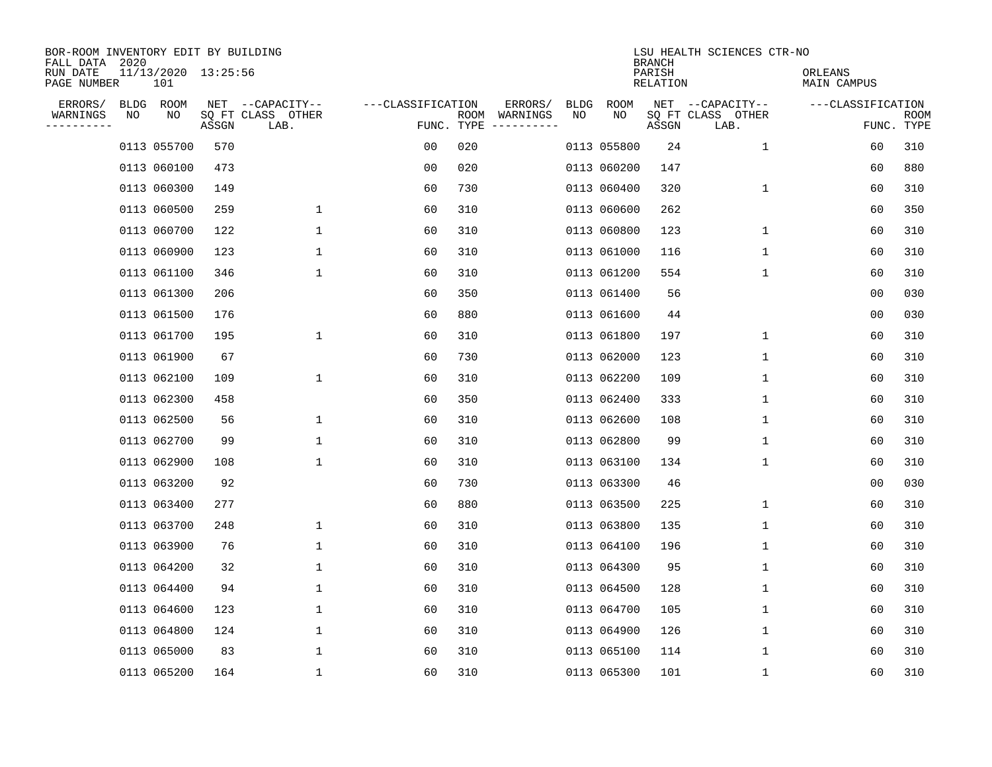| BOR-ROOM INVENTORY EDIT BY BUILDING<br>FALL DATA 2020 |    |                                |       |                           |                   |                    |                         |             |             | <b>BRANCH</b>      | LSU HEALTH SCIENCES CTR-NO |                        |                    |
|-------------------------------------------------------|----|--------------------------------|-------|---------------------------|-------------------|--------------------|-------------------------|-------------|-------------|--------------------|----------------------------|------------------------|--------------------|
| RUN DATE<br>PAGE NUMBER                               |    | $11/13/2020$ $13:25:56$<br>101 |       |                           |                   |                    |                         |             |             | PARISH<br>RELATION |                            | ORLEANS<br>MAIN CAMPUS |                    |
| ERRORS/                                               |    | BLDG ROOM                      |       | NET --CAPACITY--          | ---CLASSIFICATION |                    | ERRORS/                 | <b>BLDG</b> | ROOM        |                    | NET --CAPACITY--           | ---CLASSIFICATION      |                    |
| WARNINGS<br>----------                                | ΝO | ΝO                             | ASSGN | SQ FT CLASS OTHER<br>LAB. |                   | ROOM<br>FUNC. TYPE | WARNINGS<br>----------- | NO          | NO          | ASSGN              | SQ FT CLASS OTHER<br>LAB.  |                        | ROOM<br>FUNC. TYPE |
|                                                       |    | 0113 055700                    | 570   |                           | 00                | 020                |                         |             | 0113 055800 | 24                 | 1                          | 60                     | 310                |
|                                                       |    | 0113 060100                    | 473   |                           | 0 <sub>0</sub>    | 020                |                         |             | 0113 060200 | 147                |                            | 60                     | 880                |
|                                                       |    | 0113 060300                    | 149   |                           | 60                | 730                |                         |             | 0113 060400 | 320                | 1                          | 60                     | 310                |
|                                                       |    | 0113 060500                    | 259   | $\mathbf{1}$              | 60                | 310                |                         |             | 0113 060600 | 262                |                            | 60                     | 350                |
|                                                       |    | 0113 060700                    | 122   | $\mathbf 1$               | 60                | 310                |                         |             | 0113 060800 | 123                | 1                          | 60                     | 310                |
|                                                       |    | 0113 060900                    | 123   | $\mathbf 1$               | 60                | 310                |                         |             | 0113 061000 | 116                | 1                          | 60                     | 310                |
|                                                       |    | 0113 061100                    | 346   | $\mathbf{1}$              | 60                | 310                |                         |             | 0113 061200 | 554                | $\mathbf{1}$               | 60                     | 310                |
|                                                       |    | 0113 061300                    | 206   |                           | 60                | 350                |                         |             | 0113 061400 | 56                 |                            | 0 <sub>0</sub>         | 030                |
|                                                       |    | 0113 061500                    | 176   |                           | 60                | 880                |                         |             | 0113 061600 | 44                 |                            | 0 <sub>0</sub>         | 030                |
|                                                       |    | 0113 061700                    | 195   | $\mathbf{1}$              | 60                | 310                |                         |             | 0113 061800 | 197                | 1                          | 60                     | 310                |
|                                                       |    | 0113 061900                    | 67    |                           | 60                | 730                |                         |             | 0113 062000 | 123                | 1                          | 60                     | 310                |
|                                                       |    | 0113 062100                    | 109   | 1                         | 60                | 310                |                         |             | 0113 062200 | 109                | 1                          | 60                     | 310                |
|                                                       |    | 0113 062300                    | 458   |                           | 60                | 350                |                         |             | 0113 062400 | 333                | 1                          | 60                     | 310                |
|                                                       |    | 0113 062500                    | 56    | 1                         | 60                | 310                |                         |             | 0113 062600 | 108                | 1                          | 60                     | 310                |
|                                                       |    | 0113 062700                    | 99    | 1                         | 60                | 310                |                         |             | 0113 062800 | 99                 | 1                          | 60                     | 310                |
|                                                       |    | 0113 062900                    | 108   | $\mathbf 1$               | 60                | 310                |                         |             | 0113 063100 | 134                | 1                          | 60                     | 310                |
|                                                       |    | 0113 063200                    | 92    |                           | 60                | 730                |                         |             | 0113 063300 | 46                 |                            | 00                     | 030                |
|                                                       |    | 0113 063400                    | 277   |                           | 60                | 880                |                         |             | 0113 063500 | 225                | 1                          | 60                     | 310                |
|                                                       |    | 0113 063700                    | 248   | 1                         | 60                | 310                |                         |             | 0113 063800 | 135                | 1                          | 60                     | 310                |
|                                                       |    | 0113 063900                    | 76    | 1                         | 60                | 310                |                         |             | 0113 064100 | 196                | 1                          | 60                     | 310                |
|                                                       |    | 0113 064200                    | 32    | 1                         | 60                | 310                |                         |             | 0113 064300 | 95                 | 1                          | 60                     | 310                |
|                                                       |    | 0113 064400                    | 94    | 1                         | 60                | 310                |                         |             | 0113 064500 | 128                | 1                          | 60                     | 310                |
|                                                       |    | 0113 064600                    | 123   | 1                         | 60                | 310                |                         |             | 0113 064700 | 105                | 1                          | 60                     | 310                |
|                                                       |    | 0113 064800                    | 124   | $\mathbf 1$               | 60                | 310                |                         |             | 0113 064900 | 126                | 1                          | 60                     | 310                |
|                                                       |    | 0113 065000                    | 83    | 1                         | 60                | 310                |                         |             | 0113 065100 | 114                | 1                          | 60                     | 310                |
|                                                       |    | 0113 065200                    | 164   | $\mathbf 1$               | 60                | 310                |                         |             | 0113 065300 | 101                | 1                          | 60                     | 310                |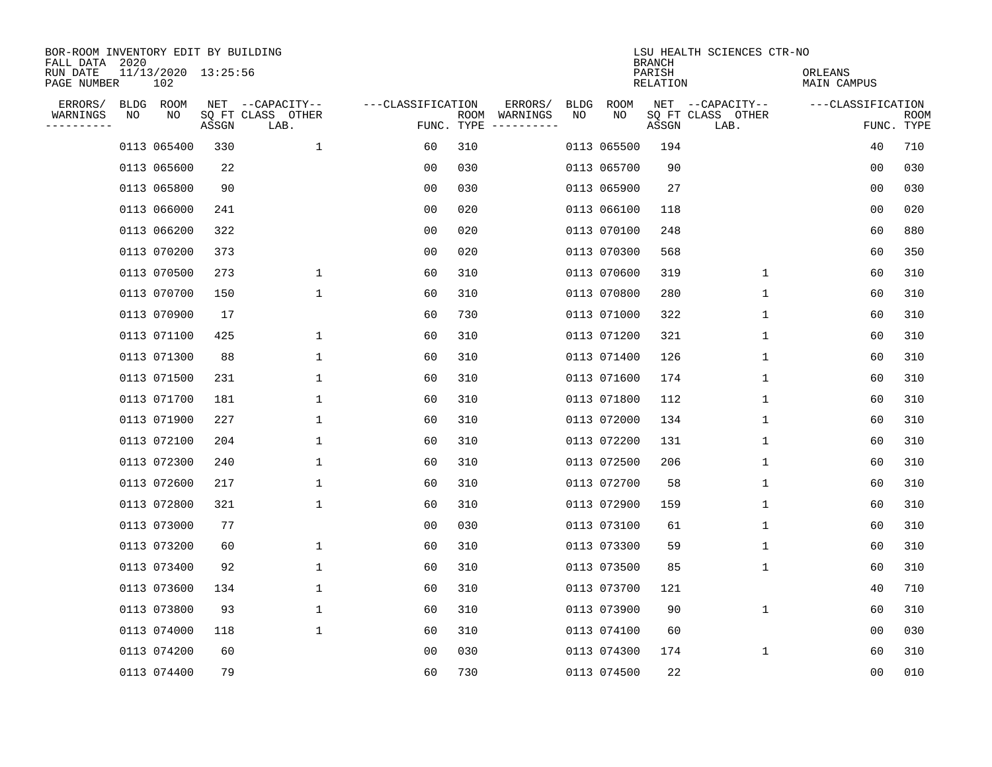| BOR-ROOM INVENTORY EDIT BY BUILDING<br>FALL DATA 2020 |    |                            |       |                           |                   |                    |                         |             |             | <b>BRANCH</b>      | LSU HEALTH SCIENCES CTR-NO |                        |                           |
|-------------------------------------------------------|----|----------------------------|-------|---------------------------|-------------------|--------------------|-------------------------|-------------|-------------|--------------------|----------------------------|------------------------|---------------------------|
| RUN DATE<br>PAGE NUMBER                               |    | 11/13/2020 13:25:56<br>102 |       |                           |                   |                    |                         |             |             | PARISH<br>RELATION |                            | ORLEANS<br>MAIN CAMPUS |                           |
| ERRORS/                                               |    | BLDG ROOM                  |       | NET --CAPACITY--          | ---CLASSIFICATION |                    | ERRORS/                 | <b>BLDG</b> | <b>ROOM</b> |                    | NET --CAPACITY--           | ---CLASSIFICATION      |                           |
| WARNINGS<br>----------                                | NO | NO                         | ASSGN | SQ FT CLASS OTHER<br>LAB. |                   | ROOM<br>FUNC. TYPE | WARNINGS<br>----------- | NO          | NO          | ASSGN              | SQ FT CLASS OTHER<br>LAB.  |                        | <b>ROOM</b><br>FUNC. TYPE |
|                                                       |    | 0113 065400                | 330   | 1                         | 60                | 310                |                         |             | 0113 065500 | 194                |                            | 40                     | 710                       |
|                                                       |    | 0113 065600                | 22    |                           | 00                | 030                |                         |             | 0113 065700 | 90                 |                            | 00                     | 030                       |
|                                                       |    | 0113 065800                | 90    |                           | 00                | 030                |                         |             | 0113 065900 | 27                 |                            | 00                     | 030                       |
|                                                       |    | 0113 066000                | 241   |                           | 0 <sub>0</sub>    | 020                |                         |             | 0113 066100 | 118                |                            | 0 <sub>0</sub>         | 020                       |
|                                                       |    | 0113 066200                | 322   |                           | 0 <sub>0</sub>    | 020                |                         |             | 0113 070100 | 248                |                            | 60                     | 880                       |
|                                                       |    | 0113 070200                | 373   |                           | 0 <sub>0</sub>    | 020                |                         |             | 0113 070300 | 568                |                            | 60                     | 350                       |
|                                                       |    | 0113 070500                | 273   | $\mathbf{1}$              | 60                | 310                |                         |             | 0113 070600 | 319                | $\mathbf{1}$               | 60                     | 310                       |
|                                                       |    | 0113 070700                | 150   | $\mathbf{1}$              | 60                | 310                |                         |             | 0113 070800 | 280                | 1                          | 60                     | 310                       |
|                                                       |    | 0113 070900                | 17    |                           | 60                | 730                |                         |             | 0113 071000 | 322                | $\mathbf 1$                | 60                     | 310                       |
|                                                       |    | 0113 071100                | 425   | 1                         | 60                | 310                |                         |             | 0113 071200 | 321                | 1                          | 60                     | 310                       |
|                                                       |    | 0113 071300                | 88    | 1                         | 60                | 310                |                         |             | 0113 071400 | 126                | 1                          | 60                     | 310                       |
|                                                       |    | 0113 071500                | 231   | 1                         | 60                | 310                |                         |             | 0113 071600 | 174                | 1                          | 60                     | 310                       |
|                                                       |    | 0113 071700                | 181   | 1                         | 60                | 310                |                         |             | 0113 071800 | 112                | 1                          | 60                     | 310                       |
|                                                       |    | 0113 071900                | 227   | 1                         | 60                | 310                |                         |             | 0113 072000 | 134                | 1                          | 60                     | 310                       |
|                                                       |    | 0113 072100                | 204   | 1                         | 60                | 310                |                         |             | 0113 072200 | 131                | 1                          | 60                     | 310                       |
|                                                       |    | 0113 072300                | 240   | 1                         | 60                | 310                |                         |             | 0113 072500 | 206                | 1                          | 60                     | 310                       |
|                                                       |    | 0113 072600                | 217   | 1                         | 60                | 310                |                         |             | 0113 072700 | 58                 | 1                          | 60                     | 310                       |
|                                                       |    | 0113 072800                | 321   | 1                         | 60                | 310                |                         |             | 0113 072900 | 159                | 1                          | 60                     | 310                       |
|                                                       |    | 0113 073000                | 77    |                           | 0 <sub>0</sub>    | 030                |                         |             | 0113 073100 | 61                 | 1                          | 60                     | 310                       |
|                                                       |    | 0113 073200                | 60    | 1                         | 60                | 310                |                         |             | 0113 073300 | 59                 | 1                          | 60                     | 310                       |
|                                                       |    | 0113 073400                | 92    | 1                         | 60                | 310                |                         |             | 0113 073500 | 85                 | 1                          | 60                     | 310                       |
|                                                       |    | 0113 073600                | 134   | 1                         | 60                | 310                |                         |             | 0113 073700 | 121                |                            | 40                     | 710                       |
|                                                       |    | 0113 073800                | 93    | 1                         | 60                | 310                |                         |             | 0113 073900 | 90                 | 1                          | 60                     | 310                       |
|                                                       |    | 0113 074000                | 118   | $\mathbf{1}$              | 60                | 310                |                         |             | 0113 074100 | 60                 |                            | 0 <sub>0</sub>         | 030                       |
|                                                       |    | 0113 074200                | 60    |                           | 0 <sub>0</sub>    | 030                |                         |             | 0113 074300 | 174                | 1                          | 60                     | 310                       |
|                                                       |    | 0113 074400                | 79    |                           | 60                | 730                |                         |             | 0113 074500 | 22                 |                            | 00                     | 010                       |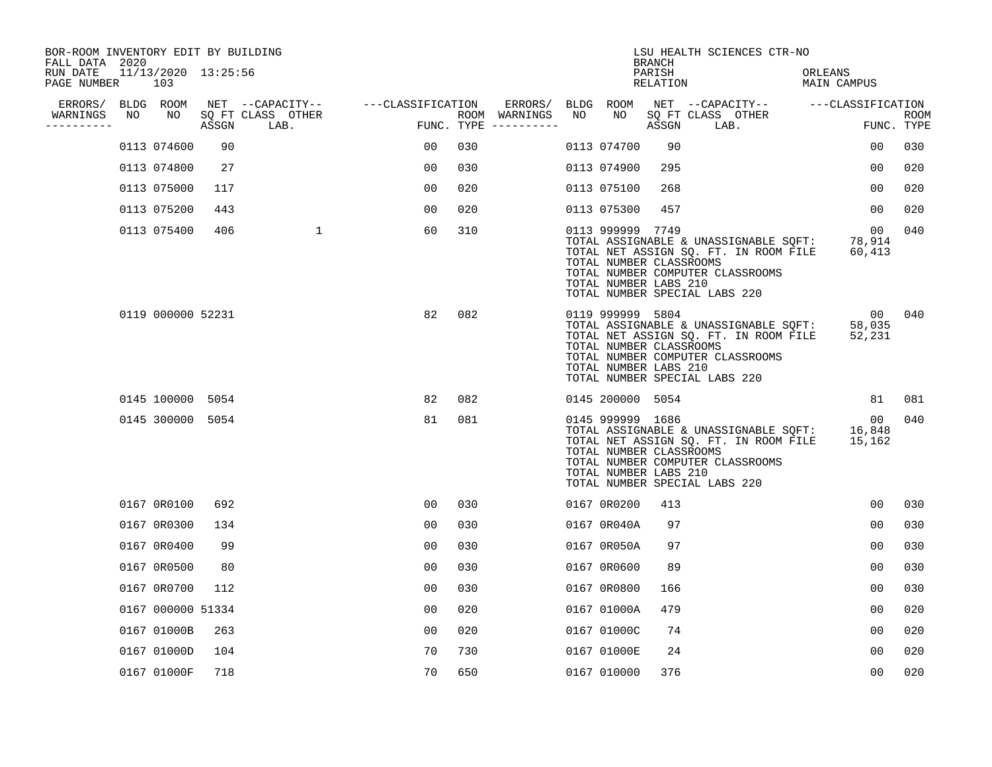| BOR-ROOM INVENTORY EDIT BY BUILDING<br>FALL DATA 2020 |    |                            |       |                           |                   |     |                                      |     |                                                                      | <b>BRANCH</b>      | LSU HEALTH SCIENCES CTR-NO                                                                                                                          |                             |                           |
|-------------------------------------------------------|----|----------------------------|-------|---------------------------|-------------------|-----|--------------------------------------|-----|----------------------------------------------------------------------|--------------------|-----------------------------------------------------------------------------------------------------------------------------------------------------|-----------------------------|---------------------------|
| RUN DATE<br>PAGE NUMBER                               |    | 11/13/2020 13:25:56<br>103 |       |                           |                   |     |                                      |     |                                                                      | PARISH<br>RELATION |                                                                                                                                                     | ORLEANS<br>MAIN CAMPUS      |                           |
| ERRORS/                                               |    | BLDG ROOM                  |       | NET --CAPACITY--          | ---CLASSIFICATION |     | ERRORS/                              |     | BLDG ROOM                                                            |                    | NET --CAPACITY-- ---CLASSIFICATION                                                                                                                  |                             |                           |
| WARNINGS<br>----------                                | NO | NO                         | ASSGN | SQ FT CLASS OTHER<br>LAB. |                   |     | ROOM WARNINGS<br>FUNC. TYPE $------$ | NO. | NO.                                                                  | ASSGN              | SQ FT CLASS OTHER<br>LAB.                                                                                                                           |                             | <b>ROOM</b><br>FUNC. TYPE |
|                                                       |    | 0113 074600                | 90    |                           | 00                | 030 |                                      |     | 0113 074700                                                          | 90                 |                                                                                                                                                     | $00 \,$                     | 030                       |
|                                                       |    | 0113 074800                | 27    |                           | 00                | 030 |                                      |     | 0113 074900                                                          | 295                |                                                                                                                                                     | 00                          | 020                       |
|                                                       |    | 0113 075000                | 117   |                           | 00                | 020 |                                      |     | 0113 075100                                                          | 268                |                                                                                                                                                     | 00                          | 020                       |
|                                                       |    | 0113 075200                | 443   |                           | 0 <sub>0</sub>    | 020 |                                      |     | 0113 075300                                                          | 457                |                                                                                                                                                     | $00 \,$                     | 020                       |
|                                                       |    | 0113 075400                | 406   | $\mathbf{1}$              | 60                | 310 |                                      |     | 0113 999999 7749<br>TOTAL NUMBER CLASSROOMS<br>TOTAL NUMBER LABS 210 |                    | TOTAL ASSIGNABLE & UNASSIGNABLE SQFT:<br>TOTAL NET ASSIGN SQ. FT. IN ROOM FILE<br>TOTAL NUMBER COMPUTER CLASSROOMS<br>TOTAL NUMBER SPECIAL LABS 220 | 00<br>78,914<br>60,413      | 040                       |
|                                                       |    | 0119 000000 52231          |       |                           | 82                | 082 |                                      |     | 0119 999999 5804<br>TOTAL NUMBER CLASSROOMS<br>TOTAL NUMBER LABS 210 |                    | TOTAL ASSIGNABLE & UNASSIGNABLE SQFT:<br>TOTAL NET ASSIGN SQ. FT. IN ROOM FILE<br>TOTAL NUMBER COMPUTER CLASSROOMS<br>TOTAL NUMBER SPECIAL LABS 220 | $00 \,$<br>58,035<br>52,231 | 040                       |
|                                                       |    | 0145 100000 5054           |       |                           | 82                | 082 |                                      |     | 0145 200000 5054                                                     |                    |                                                                                                                                                     | 81                          | 081                       |
|                                                       |    | 0145 300000 5054           |       |                           | 81                | 081 |                                      |     | 0145 999999 1686<br>TOTAL NUMBER CLASSROOMS<br>TOTAL NUMBER LABS 210 |                    | TOTAL ASSIGNABLE & UNASSIGNABLE SQFT:<br>TOTAL NET ASSIGN SQ. FT. IN ROOM FILE<br>TOTAL NUMBER COMPUTER CLASSROOMS<br>TOTAL NUMBER SPECIAL LABS 220 | 00<br>16,848<br>15,162      | 040                       |
|                                                       |    | 0167 0R0100                | 692   |                           | 00                | 030 |                                      |     | 0167 0R0200                                                          | 413                |                                                                                                                                                     | 00                          | 030                       |
|                                                       |    | 0167 0R0300                | 134   |                           | 0 <sub>0</sub>    | 030 |                                      |     | 0167 0R040A                                                          | 97                 |                                                                                                                                                     | 00                          | 030                       |
|                                                       |    | 0167 0R0400                | 99    |                           | 00                | 030 |                                      |     | 0167 0R050A                                                          | 97                 |                                                                                                                                                     | $00 \,$                     | 030                       |
|                                                       |    | 0167 0R0500                | 80    |                           | 0 <sub>0</sub>    | 030 |                                      |     | 0167 0R0600                                                          | 89                 |                                                                                                                                                     | 0 <sub>0</sub>              | 030                       |
|                                                       |    | 0167 0R0700                | 112   |                           | 0 <sub>0</sub>    | 030 |                                      |     | 0167 0R0800                                                          | 166                |                                                                                                                                                     | 00                          | 030                       |
|                                                       |    | 0167 000000 51334          |       |                           | 0 <sub>0</sub>    | 020 |                                      |     | 0167 01000A                                                          | 479                |                                                                                                                                                     | 0 <sub>0</sub>              | 020                       |
|                                                       |    | 0167 01000B                | 263   |                           | 0 <sub>0</sub>    | 020 |                                      |     | 0167 01000C                                                          | 74                 |                                                                                                                                                     | $00 \,$                     | 020                       |
|                                                       |    | 0167 01000D                | 104   |                           | 70                | 730 |                                      |     | 0167 01000E                                                          | 24                 |                                                                                                                                                     | 0 <sub>0</sub>              | 020                       |
|                                                       |    | 0167 01000F                | 718   |                           | 70                | 650 |                                      |     | 0167 010000                                                          | 376                |                                                                                                                                                     | 00                          | 020                       |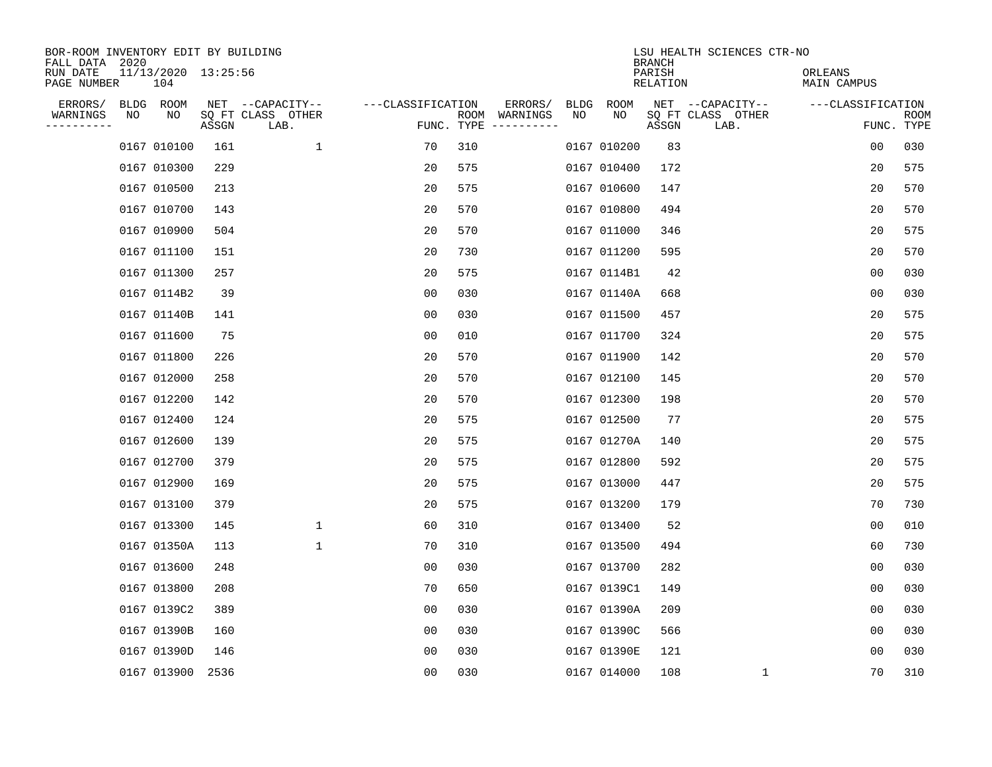| BOR-ROOM INVENTORY EDIT BY BUILDING<br>FALL DATA 2020 |    |                            |       |                           |                   |     |               |      |             | <b>BRANCH</b>      | LSU HEALTH SCIENCES CTR-NO |                        |                    |
|-------------------------------------------------------|----|----------------------------|-------|---------------------------|-------------------|-----|---------------|------|-------------|--------------------|----------------------------|------------------------|--------------------|
| RUN DATE<br>PAGE NUMBER                               |    | 11/13/2020 13:25:56<br>104 |       |                           |                   |     |               |      |             | PARISH<br>RELATION |                            | ORLEANS<br>MAIN CAMPUS |                    |
| ERRORS/                                               |    | BLDG ROOM                  |       | NET --CAPACITY--          | ---CLASSIFICATION |     | ERRORS/       | BLDG | ROOM        |                    | NET --CAPACITY--           | ---CLASSIFICATION      |                    |
| WARNINGS<br>---------                                 | ΝO | NO                         | ASSGN | SQ FT CLASS OTHER<br>LAB. | FUNC. TYPE        |     | ROOM WARNINGS | NO   | NO          | ASSGN              | SQ FT CLASS OTHER<br>LAB.  |                        | ROOM<br>FUNC. TYPE |
|                                                       |    | 0167 010100                | 161   | $\mathbf{1}$              | 70                | 310 |               |      | 0167 010200 | 83                 |                            | 0 <sub>0</sub>         | 030                |
|                                                       |    | 0167 010300                | 229   |                           | 20                | 575 |               |      | 0167 010400 | 172                |                            | 20                     | 575                |
|                                                       |    | 0167 010500                | 213   |                           | 20                | 575 |               |      | 0167 010600 | 147                |                            | 20                     | 570                |
|                                                       |    | 0167 010700                | 143   |                           | 20                | 570 |               |      | 0167 010800 | 494                |                            | 20                     | 570                |
|                                                       |    | 0167 010900                | 504   |                           | 20                | 570 |               |      | 0167 011000 | 346                |                            | 20                     | 575                |
|                                                       |    | 0167 011100                | 151   |                           | 20                | 730 |               |      | 0167 011200 | 595                |                            | 20                     | 570                |
|                                                       |    | 0167 011300                | 257   |                           | 20                | 575 |               |      | 0167 0114B1 | 42                 |                            | 0 <sub>0</sub>         | 030                |
|                                                       |    | 0167 0114B2                | 39    |                           | 0 <sub>0</sub>    | 030 |               |      | 0167 01140A | 668                |                            | 0 <sub>0</sub>         | 030                |
|                                                       |    | 0167 01140B                | 141   |                           | 0 <sub>0</sub>    | 030 |               |      | 0167 011500 | 457                |                            | 20                     | 575                |
|                                                       |    | 0167 011600                | 75    |                           | 0 <sub>0</sub>    | 010 |               |      | 0167 011700 | 324                |                            | 20                     | 575                |
|                                                       |    | 0167 011800                | 226   |                           | 20                | 570 |               |      | 0167 011900 | 142                |                            | 20                     | 570                |
|                                                       |    | 0167 012000                | 258   |                           | 20                | 570 |               |      | 0167 012100 | 145                |                            | 20                     | 570                |
|                                                       |    | 0167 012200                | 142   |                           | 20                | 570 |               |      | 0167 012300 | 198                |                            | 20                     | 570                |
|                                                       |    | 0167 012400                | 124   |                           | 20                | 575 |               |      | 0167 012500 | 77                 |                            | 20                     | 575                |
|                                                       |    | 0167 012600                | 139   |                           | 20                | 575 |               |      | 0167 01270A | 140                |                            | 20                     | 575                |
|                                                       |    | 0167 012700                | 379   |                           | 20                | 575 |               |      | 0167 012800 | 592                |                            | 20                     | 575                |
|                                                       |    | 0167 012900                | 169   |                           | 20                | 575 |               |      | 0167 013000 | 447                |                            | 20                     | 575                |
|                                                       |    | 0167 013100                | 379   |                           | 20                | 575 |               |      | 0167 013200 | 179                |                            | 70                     | 730                |
|                                                       |    | 0167 013300                | 145   | 1                         | 60                | 310 |               |      | 0167 013400 | 52                 |                            | 0 <sub>0</sub>         | 010                |
|                                                       |    | 0167 01350A                | 113   | 1                         | 70                | 310 |               |      | 0167 013500 | 494                |                            | 60                     | 730                |
|                                                       |    | 0167 013600                | 248   |                           | 0 <sub>0</sub>    | 030 |               |      | 0167 013700 | 282                |                            | 0 <sub>0</sub>         | 030                |
|                                                       |    | 0167 013800                | 208   |                           | 70                | 650 |               |      | 0167 0139C1 | 149                |                            | 0 <sub>0</sub>         | 030                |
|                                                       |    | 0167 0139C2                | 389   |                           | 0 <sub>0</sub>    | 030 |               |      | 0167 01390A | 209                |                            | 0 <sub>0</sub>         | 030                |
|                                                       |    | 0167 01390B                | 160   |                           | 0 <sub>0</sub>    | 030 |               |      | 0167 01390C | 566                |                            | 00                     | 030                |
|                                                       |    | 0167 01390D                | 146   |                           | 00                | 030 |               |      | 0167 01390E | 121                |                            | 00                     | 030                |
|                                                       |    | 0167 013900                | 2536  |                           | 0 <sub>0</sub>    | 030 |               |      | 0167 014000 | 108                | 1                          | 70                     | 310                |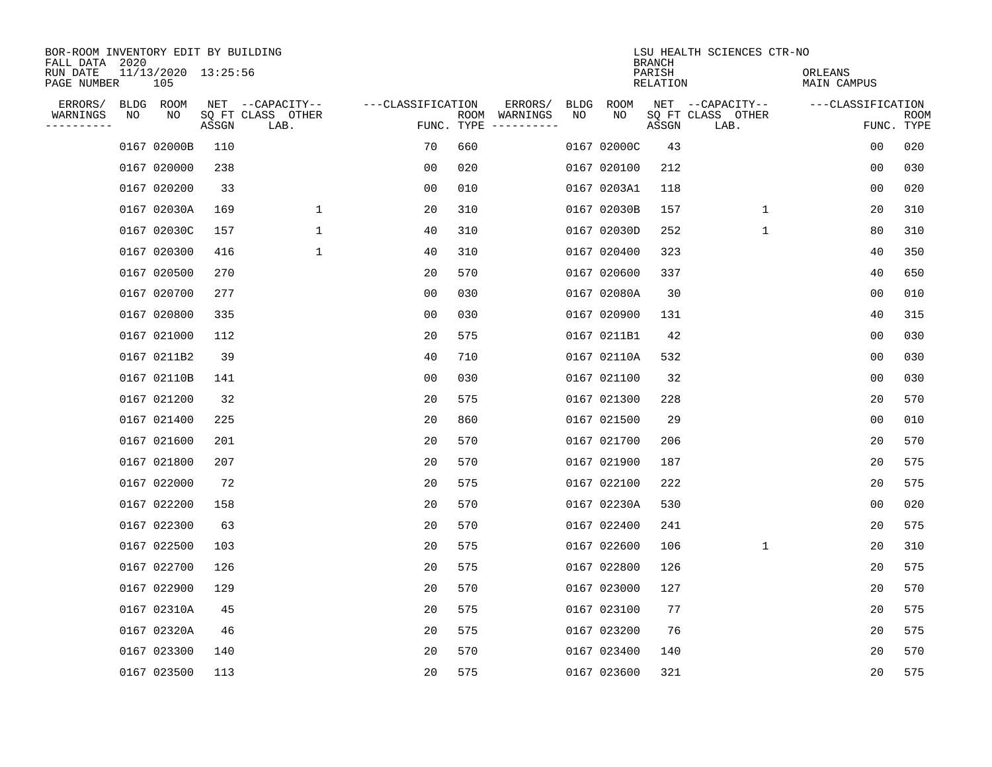| BOR-ROOM INVENTORY EDIT BY BUILDING<br>FALL DATA 2020 |    |                            |       |                           |                   |     |                                      |             |             | <b>BRANCH</b>             | LSU HEALTH SCIENCES CTR-NO |                        |                           |
|-------------------------------------------------------|----|----------------------------|-------|---------------------------|-------------------|-----|--------------------------------------|-------------|-------------|---------------------------|----------------------------|------------------------|---------------------------|
| RUN DATE<br>PAGE NUMBER                               |    | 11/13/2020 13:25:56<br>105 |       |                           |                   |     |                                      |             |             | PARISH<br><b>RELATION</b> |                            | ORLEANS<br>MAIN CAMPUS |                           |
| ERRORS/                                               |    | BLDG ROOM                  |       | NET --CAPACITY--          | ---CLASSIFICATION |     | ERRORS/                              | <b>BLDG</b> | <b>ROOM</b> |                           | NET --CAPACITY--           | ---CLASSIFICATION      |                           |
| WARNINGS<br>----------                                | NO | NO                         | ASSGN | SQ FT CLASS OTHER<br>LAB. |                   |     | ROOM WARNINGS<br>FUNC. TYPE $------$ | NO          | NO          | ASSGN                     | SQ FT CLASS OTHER<br>LAB.  |                        | <b>ROOM</b><br>FUNC. TYPE |
|                                                       |    | 0167 02000B                | 110   |                           | 70                | 660 |                                      |             | 0167 02000C | 43                        |                            | 00                     | 020                       |
|                                                       |    | 0167 020000                | 238   |                           | 0 <sub>0</sub>    | 020 |                                      |             | 0167 020100 | 212                       |                            | 0 <sub>0</sub>         | 030                       |
|                                                       |    | 0167 020200                | 33    |                           | 0 <sub>0</sub>    | 010 |                                      |             | 0167 0203A1 | 118                       |                            | 0 <sub>0</sub>         | 020                       |
|                                                       |    | 0167 02030A                | 169   | 1                         | 20                | 310 |                                      |             | 0167 02030B | 157                       | 1                          | 20                     | 310                       |
|                                                       |    | 0167 02030C                | 157   | 1                         | 40                | 310 |                                      |             | 0167 02030D | 252                       | $\mathbf{1}$               | 80                     | 310                       |
|                                                       |    | 0167 020300                | 416   | 1                         | 40                | 310 |                                      |             | 0167 020400 | 323                       |                            | 40                     | 350                       |
|                                                       |    | 0167 020500                | 270   |                           | 20                | 570 |                                      |             | 0167 020600 | 337                       |                            | 40                     | 650                       |
|                                                       |    | 0167 020700                | 277   |                           | 0 <sub>0</sub>    | 030 |                                      |             | 0167 02080A | 30                        |                            | 00                     | 010                       |
|                                                       |    | 0167 020800                | 335   |                           | 00                | 030 |                                      |             | 0167 020900 | 131                       |                            | 40                     | 315                       |
|                                                       |    | 0167 021000                | 112   |                           | 20                | 575 |                                      |             | 0167 0211B1 | 42                        |                            | 0 <sub>0</sub>         | 030                       |
|                                                       |    | 0167 0211B2                | 39    |                           | 40                | 710 |                                      |             | 0167 02110A | 532                       |                            | 0 <sub>0</sub>         | 030                       |
|                                                       |    | 0167 02110B                | 141   |                           | 0 <sub>0</sub>    | 030 |                                      |             | 0167 021100 | 32                        |                            | 0 <sub>0</sub>         | 030                       |
|                                                       |    | 0167 021200                | 32    |                           | 20                | 575 |                                      |             | 0167 021300 | 228                       |                            | 20                     | 570                       |
|                                                       |    | 0167 021400                | 225   |                           | 20                | 860 |                                      |             | 0167 021500 | 29                        |                            | 0 <sub>0</sub>         | 010                       |
|                                                       |    | 0167 021600                | 201   |                           | 20                | 570 |                                      |             | 0167 021700 | 206                       |                            | 20                     | 570                       |
|                                                       |    | 0167 021800                | 207   |                           | 20                | 570 |                                      |             | 0167 021900 | 187                       |                            | 20                     | 575                       |
|                                                       |    | 0167 022000                | 72    |                           | 20                | 575 |                                      |             | 0167 022100 | 222                       |                            | 20                     | 575                       |
|                                                       |    | 0167 022200                | 158   |                           | 20                | 570 |                                      |             | 0167 02230A | 530                       |                            | 0 <sub>0</sub>         | 020                       |
|                                                       |    | 0167 022300                | 63    |                           | 20                | 570 |                                      |             | 0167 022400 | 241                       |                            | 20                     | 575                       |
|                                                       |    | 0167 022500                | 103   |                           | 20                | 575 |                                      |             | 0167 022600 | 106                       | 1                          | 20                     | 310                       |
|                                                       |    | 0167 022700                | 126   |                           | 20                | 575 |                                      |             | 0167 022800 | 126                       |                            | 20                     | 575                       |
|                                                       |    | 0167 022900                | 129   |                           | 20                | 570 |                                      |             | 0167 023000 | 127                       |                            | 20                     | 570                       |
|                                                       |    | 0167 02310A                | 45    |                           | 20                | 575 |                                      |             | 0167 023100 | 77                        |                            | 20                     | 575                       |
|                                                       |    | 0167 02320A                | 46    |                           | 20                | 575 |                                      |             | 0167 023200 | 76                        |                            | 20                     | 575                       |
|                                                       |    | 0167 023300                | 140   |                           | 20                | 570 |                                      |             | 0167 023400 | 140                       |                            | 20                     | 570                       |
|                                                       |    | 0167 023500                | 113   |                           | 20                | 575 |                                      |             | 0167 023600 | 321                       |                            | 20                     | 575                       |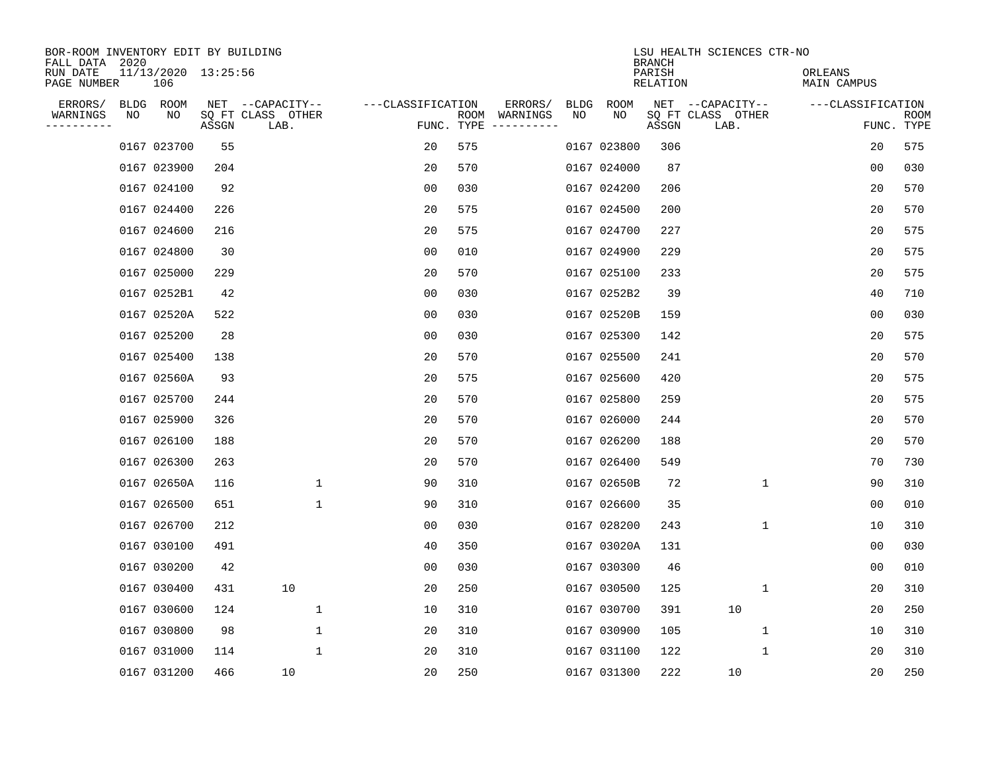| BOR-ROOM INVENTORY EDIT BY BUILDING<br>FALL DATA 2020 |    |                            |       |                           |                   |                    |                         |             |             | <b>BRANCH</b>             | LSU HEALTH SCIENCES CTR-NO |                        |                           |
|-------------------------------------------------------|----|----------------------------|-------|---------------------------|-------------------|--------------------|-------------------------|-------------|-------------|---------------------------|----------------------------|------------------------|---------------------------|
| RUN DATE<br>PAGE NUMBER                               |    | 11/13/2020 13:25:56<br>106 |       |                           |                   |                    |                         |             |             | PARISH<br><b>RELATION</b> |                            | ORLEANS<br>MAIN CAMPUS |                           |
| ERRORS/                                               |    | BLDG ROOM                  |       | NET --CAPACITY--          | ---CLASSIFICATION |                    | ERRORS/                 | <b>BLDG</b> | <b>ROOM</b> |                           | NET --CAPACITY--           | ---CLASSIFICATION      |                           |
| WARNINGS<br>----------                                | NO | NO                         | ASSGN | SQ FT CLASS OTHER<br>LAB. |                   | ROOM<br>FUNC. TYPE | WARNINGS<br>----------- | NO          | NO          | ASSGN                     | SQ FT CLASS OTHER<br>LAB.  |                        | <b>ROOM</b><br>FUNC. TYPE |
|                                                       |    | 0167 023700                | 55    |                           | 20                | 575                |                         |             | 0167 023800 | 306                       |                            | 20                     | 575                       |
|                                                       |    | 0167 023900                | 204   |                           | 20                | 570                |                         |             | 0167 024000 | 87                        |                            | 00                     | 030                       |
|                                                       |    | 0167 024100                | 92    |                           | 00                | 030                |                         |             | 0167 024200 | 206                       |                            | 20                     | 570                       |
|                                                       |    | 0167 024400                | 226   |                           | 20                | 575                |                         |             | 0167 024500 | 200                       |                            | 20                     | 570                       |
|                                                       |    | 0167 024600                | 216   |                           | 20                | 575                |                         |             | 0167 024700 | 227                       |                            | 20                     | 575                       |
|                                                       |    | 0167 024800                | 30    |                           | 0 <sub>0</sub>    | 010                |                         |             | 0167 024900 | 229                       |                            | 20                     | 575                       |
|                                                       |    | 0167 025000                | 229   |                           | 20                | 570                |                         |             | 0167 025100 | 233                       |                            | 20                     | 575                       |
|                                                       |    | 0167 0252B1                | 42    |                           | 0 <sub>0</sub>    | 030                |                         |             | 0167 0252B2 | 39                        |                            | 40                     | 710                       |
|                                                       |    | 0167 02520A                | 522   |                           | 0 <sub>0</sub>    | 030                |                         |             | 0167 02520B | 159                       |                            | 0 <sub>0</sub>         | 030                       |
|                                                       |    | 0167 025200                | 28    |                           | 00                | 030                |                         |             | 0167 025300 | 142                       |                            | 20                     | 575                       |
|                                                       |    | 0167 025400                | 138   |                           | 20                | 570                |                         |             | 0167 025500 | 241                       |                            | 20                     | 570                       |
|                                                       |    | 0167 02560A                | 93    |                           | 20                | 575                |                         |             | 0167 025600 | 420                       |                            | 20                     | 575                       |
|                                                       |    | 0167 025700                | 244   |                           | 20                | 570                |                         |             | 0167 025800 | 259                       |                            | 20                     | 575                       |
|                                                       |    | 0167 025900                | 326   |                           | 20                | 570                |                         |             | 0167 026000 | 244                       |                            | 20                     | 570                       |
|                                                       |    | 0167 026100                | 188   |                           | 20                | 570                |                         |             | 0167 026200 | 188                       |                            | 20                     | 570                       |
|                                                       |    | 0167 026300                | 263   |                           | 20                | 570                |                         |             | 0167 026400 | 549                       |                            | 70                     | 730                       |
|                                                       |    | 0167 02650A                | 116   | 1                         | 90                | 310                |                         |             | 0167 02650B | 72                        | 1                          | 90                     | 310                       |
|                                                       |    | 0167 026500                | 651   | 1                         | 90                | 310                |                         |             | 0167 026600 | 35                        |                            | 0 <sub>0</sub>         | 010                       |
|                                                       |    | 0167 026700                | 212   |                           | 0 <sub>0</sub>    | 030                |                         |             | 0167 028200 | 243                       | 1                          | 10                     | 310                       |
|                                                       |    | 0167 030100                | 491   |                           | 40                | 350                |                         |             | 0167 03020A | 131                       |                            | 0 <sub>0</sub>         | 030                       |
|                                                       |    | 0167 030200                | 42    |                           | 0 <sub>0</sub>    | 030                |                         |             | 0167 030300 | 46                        |                            | 0 <sub>0</sub>         | 010                       |
|                                                       |    | 0167 030400                | 431   | 10                        | 20                | 250                |                         |             | 0167 030500 | 125                       | 1                          | 20                     | 310                       |
|                                                       |    | 0167 030600                | 124   | 1                         | 10                | 310                |                         |             | 0167 030700 | 391                       | 10                         | 20                     | 250                       |
|                                                       |    | 0167 030800                | 98    | $\mathbf 1$               | 20                | 310                |                         |             | 0167 030900 | 105                       | 1                          | 10                     | 310                       |
|                                                       |    | 0167 031000                | 114   | 1                         | 20                | 310                |                         |             | 0167 031100 | 122                       | 1                          | 20                     | 310                       |
|                                                       |    | 0167 031200                | 466   | 10                        | 20                | 250                |                         |             | 0167 031300 | 222                       | 10                         | 20                     | 250                       |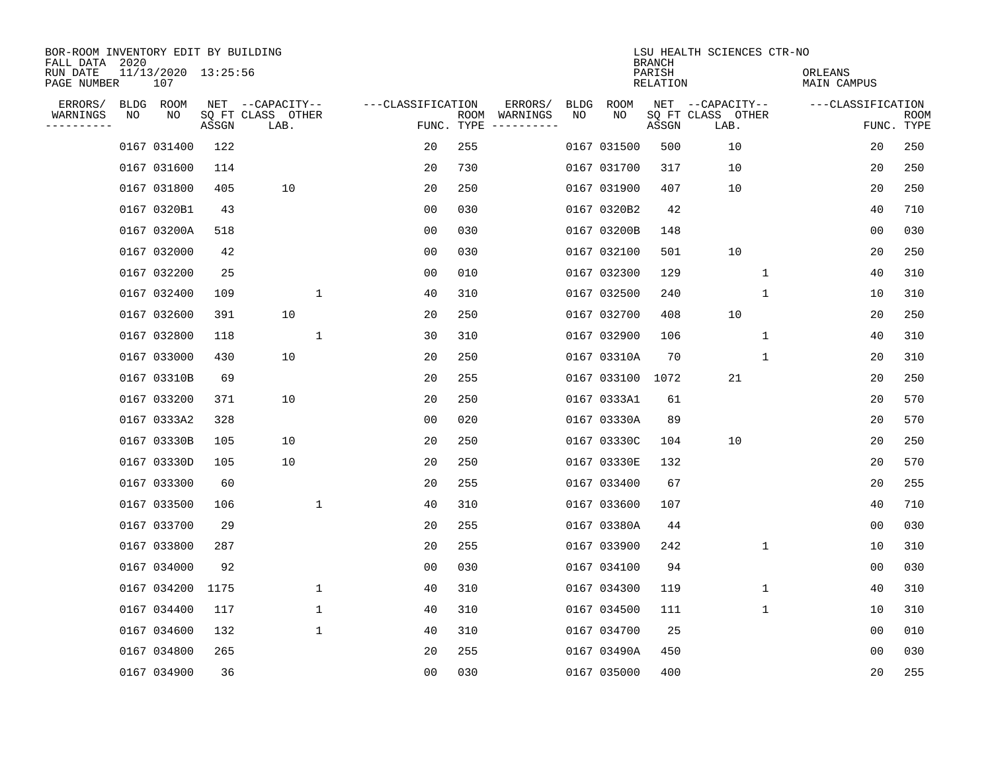| BOR-ROOM INVENTORY EDIT BY BUILDING<br>FALL DATA 2020 |    |                            |       |                           |                   |                    |                         |             |             | <b>BRANCH</b>             | LSU HEALTH SCIENCES CTR-NO |              |                        |                           |
|-------------------------------------------------------|----|----------------------------|-------|---------------------------|-------------------|--------------------|-------------------------|-------------|-------------|---------------------------|----------------------------|--------------|------------------------|---------------------------|
| RUN DATE<br>PAGE NUMBER                               |    | 11/13/2020 13:25:56<br>107 |       |                           |                   |                    |                         |             |             | PARISH<br><b>RELATION</b> |                            |              | ORLEANS<br>MAIN CAMPUS |                           |
| ERRORS/                                               |    | BLDG ROOM                  |       | NET --CAPACITY--          | ---CLASSIFICATION |                    | ERRORS/                 | <b>BLDG</b> | <b>ROOM</b> |                           | NET --CAPACITY--           |              | ---CLASSIFICATION      |                           |
| WARNINGS<br>----------                                | ΝO | NO                         | ASSGN | SQ FT CLASS OTHER<br>LAB. |                   | ROOM<br>FUNC. TYPE | WARNINGS<br>----------- | NO          | NO          | ASSGN                     | SQ FT CLASS OTHER<br>LAB.  |              |                        | <b>ROOM</b><br>FUNC. TYPE |
|                                                       |    | 0167 031400                | 122   |                           | 20                | 255                |                         |             | 0167 031500 | 500                       | 10                         |              | 20                     | 250                       |
|                                                       |    | 0167 031600                | 114   |                           | 20                | 730                |                         |             | 0167 031700 | 317                       | 10                         |              | 20                     | 250                       |
|                                                       |    | 0167 031800                | 405   | 10                        | 20                | 250                |                         |             | 0167 031900 | 407                       | 10                         |              | 20                     | 250                       |
|                                                       |    | 0167 0320B1                | 43    |                           | 0 <sub>0</sub>    | 030                |                         |             | 0167 0320B2 | 42                        |                            |              | 40                     | 710                       |
|                                                       |    | 0167 03200A                | 518   |                           | 0 <sub>0</sub>    | 030                |                         |             | 0167 03200B | 148                       |                            |              | 0 <sub>0</sub>         | 030                       |
|                                                       |    | 0167 032000                | 42    |                           | 0 <sub>0</sub>    | 030                |                         |             | 0167 032100 | 501                       | 10                         |              | 20                     | 250                       |
|                                                       |    | 0167 032200                | 25    |                           | 0 <sub>0</sub>    | 010                |                         |             | 0167 032300 | 129                       |                            | $\mathbf{1}$ | 40                     | 310                       |
|                                                       |    | 0167 032400                | 109   | $\mathbf{1}$              | 40                | 310                |                         |             | 0167 032500 | 240                       |                            | $\mathbf{1}$ | 10                     | 310                       |
|                                                       |    | 0167 032600                | 391   | 10                        | 20                | 250                |                         |             | 0167 032700 | 408                       | 10                         |              | 20                     | 250                       |
|                                                       |    | 0167 032800                | 118   | $\mathbf{1}$              | 30                | 310                |                         |             | 0167 032900 | 106                       |                            | 1            | 40                     | 310                       |
|                                                       |    | 0167 033000                | 430   | 10                        | 20                | 250                |                         |             | 0167 03310A | 70                        |                            | 1            | 20                     | 310                       |
|                                                       |    | 0167 03310B                | 69    |                           | 20                | 255                |                         |             | 0167 033100 | 1072                      | 21                         |              | 20                     | 250                       |
|                                                       |    | 0167 033200                | 371   | 10                        | 20                | 250                |                         |             | 0167 0333A1 | 61                        |                            |              | 20                     | 570                       |
|                                                       |    | 0167 0333A2                | 328   |                           | 00                | 020                |                         |             | 0167 03330A | 89                        |                            |              | 20                     | 570                       |
|                                                       |    | 0167 03330B                | 105   | 10                        | 20                | 250                |                         |             | 0167 03330C | 104                       | 10                         |              | 20                     | 250                       |
|                                                       |    | 0167 03330D                | 105   | 10                        | 20                | 250                |                         |             | 0167 03330E | 132                       |                            |              | 20                     | 570                       |
|                                                       |    | 0167 033300                | 60    |                           | 20                | 255                |                         |             | 0167 033400 | 67                        |                            |              | 20                     | 255                       |
|                                                       |    | 0167 033500                | 106   | 1                         | 40                | 310                |                         |             | 0167 033600 | 107                       |                            |              | 40                     | 710                       |
|                                                       |    | 0167 033700                | 29    |                           | 20                | 255                |                         |             | 0167 03380A | 44                        |                            |              | 0 <sub>0</sub>         | 030                       |
|                                                       |    | 0167 033800                | 287   |                           | 20                | 255                |                         |             | 0167 033900 | 242                       |                            | 1            | 10                     | 310                       |
|                                                       |    | 0167 034000                | 92    |                           | 0 <sub>0</sub>    | 030                |                         |             | 0167 034100 | 94                        |                            |              | 0 <sub>0</sub>         | 030                       |
|                                                       |    | 0167 034200                | 1175  | $\mathbf{1}$              | 40                | 310                |                         |             | 0167 034300 | 119                       |                            | 1            | 40                     | 310                       |
|                                                       |    | 0167 034400                | 117   | $\mathbf{1}$              | 40                | 310                |                         |             | 0167 034500 | 111                       |                            | 1            | 10                     | 310                       |
|                                                       |    | 0167 034600                | 132   | $\mathbf{1}$              | 40                | 310                |                         |             | 0167 034700 | 25                        |                            |              | 0 <sub>0</sub>         | 010                       |
|                                                       |    | 0167 034800                | 265   |                           | 20                | 255                |                         |             | 0167 03490A | 450                       |                            |              | 0 <sub>0</sub>         | 030                       |
|                                                       |    | 0167 034900                | 36    |                           | 0 <sub>0</sub>    | 030                |                         |             | 0167 035000 | 400                       |                            |              | 20                     | 255                       |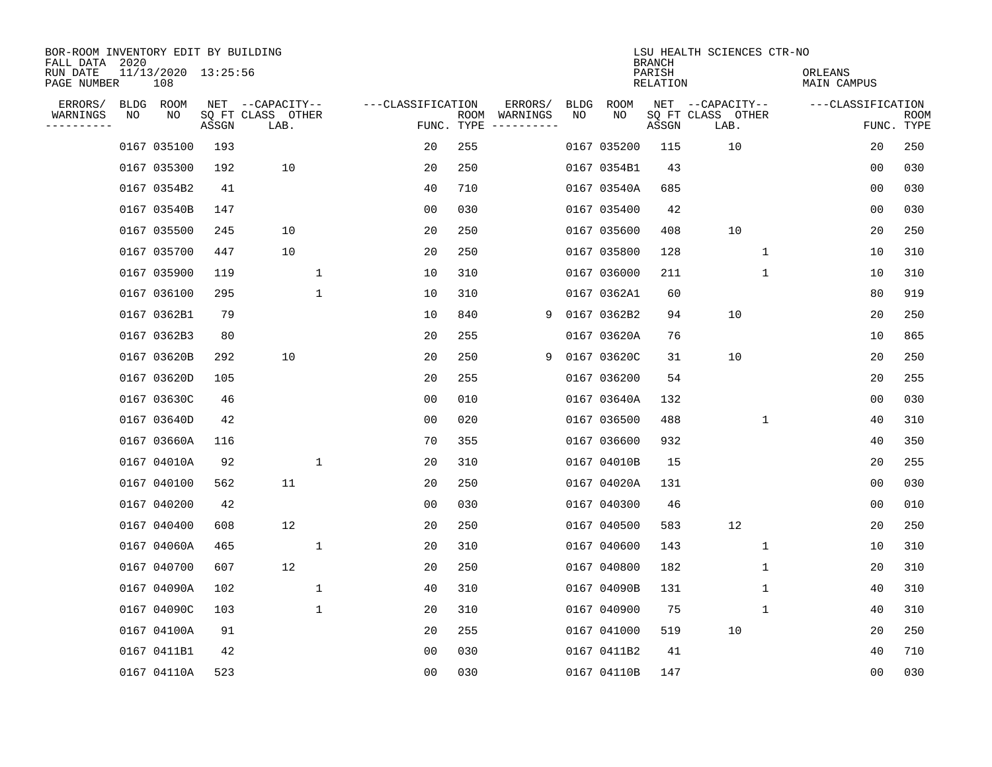| BOR-ROOM INVENTORY EDIT BY BUILDING<br>FALL DATA 2020 |    |                            |       |                           |                   |                    |                         |             |             | <b>BRANCH</b>             | LSU HEALTH SCIENCES CTR-NO |                        |                           |
|-------------------------------------------------------|----|----------------------------|-------|---------------------------|-------------------|--------------------|-------------------------|-------------|-------------|---------------------------|----------------------------|------------------------|---------------------------|
| RUN DATE<br>PAGE NUMBER                               |    | 11/13/2020 13:25:56<br>108 |       |                           |                   |                    |                         |             |             | PARISH<br><b>RELATION</b> |                            | ORLEANS<br>MAIN CAMPUS |                           |
| ERRORS/                                               |    | BLDG ROOM                  |       | NET --CAPACITY--          | ---CLASSIFICATION |                    | ERRORS/                 | <b>BLDG</b> | <b>ROOM</b> |                           | NET --CAPACITY--           | ---CLASSIFICATION      |                           |
| WARNINGS<br>----------                                | NO | NO                         | ASSGN | SQ FT CLASS OTHER<br>LAB. |                   | ROOM<br>FUNC. TYPE | WARNINGS<br>----------- | NO          | NO          | ASSGN                     | SQ FT CLASS OTHER<br>LAB.  |                        | <b>ROOM</b><br>FUNC. TYPE |
|                                                       |    | 0167 035100                | 193   |                           | 20                | 255                |                         |             | 0167 035200 | 115                       | 10                         | 20                     | 250                       |
|                                                       |    | 0167 035300                | 192   | 10                        | 20                | 250                |                         |             | 0167 0354B1 | 43                        |                            | 00                     | 030                       |
|                                                       |    | 0167 0354B2                | 41    |                           | 40                | 710                |                         |             | 0167 03540A | 685                       |                            | 00                     | 030                       |
|                                                       |    | 0167 03540B                | 147   |                           | 0 <sub>0</sub>    | 030                |                         |             | 0167 035400 | 42                        |                            | 0 <sub>0</sub>         | 030                       |
|                                                       |    | 0167 035500                | 245   | 10                        | 20                | 250                |                         |             | 0167 035600 | 408                       | 10                         | 20                     | 250                       |
|                                                       |    | 0167 035700                | 447   | 10                        | 20                | 250                |                         |             | 0167 035800 | 128                       | $\mathbf 1$                | 10                     | 310                       |
|                                                       |    | 0167 035900                | 119   | $\mathbf{1}$              | 10                | 310                |                         |             | 0167 036000 | 211                       | $\mathbf 1$                | 10                     | 310                       |
|                                                       |    | 0167 036100                | 295   | $\mathbf{1}$              | 10                | 310                |                         |             | 0167 0362A1 | 60                        |                            | 80                     | 919                       |
|                                                       |    | 0167 0362B1                | 79    |                           | 10                | 840                | 9                       |             | 0167 0362B2 | 94                        | 10                         | 20                     | 250                       |
|                                                       |    | 0167 0362B3                | 80    |                           | 20                | 255                |                         |             | 0167 03620A | 76                        |                            | 10                     | 865                       |
|                                                       |    | 0167 03620B                | 292   | 10                        | 20                | 250                | 9                       |             | 0167 03620C | 31                        | 10                         | 20                     | 250                       |
|                                                       |    | 0167 03620D                | 105   |                           | 20                | 255                |                         |             | 0167 036200 | 54                        |                            | 20                     | 255                       |
|                                                       |    | 0167 03630C                | 46    |                           | 0 <sub>0</sub>    | 010                |                         |             | 0167 03640A | 132                       |                            | 0 <sub>0</sub>         | 030                       |
|                                                       |    | 0167 03640D                | 42    |                           | 00                | 020                |                         |             | 0167 036500 | 488                       | 1                          | 40                     | 310                       |
|                                                       |    | 0167 03660A                | 116   |                           | 70                | 355                |                         |             | 0167 036600 | 932                       |                            | 40                     | 350                       |
|                                                       |    | 0167 04010A                | 92    | 1                         | 20                | 310                |                         |             | 0167 04010B | 15                        |                            | 20                     | 255                       |
|                                                       |    | 0167 040100                | 562   | 11                        | 20                | 250                |                         |             | 0167 04020A | 131                       |                            | 0 <sub>0</sub>         | 030                       |
|                                                       |    | 0167 040200                | 42    |                           | 00                | 030                |                         |             | 0167 040300 | 46                        |                            | 0 <sub>0</sub>         | 010                       |
|                                                       |    | 0167 040400                | 608   | 12                        | 20                | 250                |                         |             | 0167 040500 | 583                       | 12                         | 20                     | 250                       |
|                                                       |    | 0167 04060A                | 465   | 1                         | 20                | 310                |                         |             | 0167 040600 | 143                       | 1                          | 10                     | 310                       |
|                                                       |    | 0167 040700                | 607   | 12                        | 20                | 250                |                         |             | 0167 040800 | 182                       | 1                          | 20                     | 310                       |
|                                                       |    | 0167 04090A                | 102   | 1                         | 40                | 310                |                         |             | 0167 04090B | 131                       | 1                          | 40                     | 310                       |
|                                                       |    | 0167 04090C                | 103   | 1                         | 20                | 310                |                         |             | 0167 040900 | 75                        | 1                          | 40                     | 310                       |
|                                                       |    | 0167 04100A                | 91    |                           | 20                | 255                |                         |             | 0167 041000 | 519                       | 10                         | 20                     | 250                       |
|                                                       |    | 0167 0411B1                | 42    |                           | 0 <sub>0</sub>    | 030                |                         |             | 0167 0411B2 | 41                        |                            | 40                     | 710                       |
|                                                       |    | 0167 04110A                | 523   |                           | 0 <sub>0</sub>    | 030                |                         |             | 0167 04110B | 147                       |                            | 00                     | 030                       |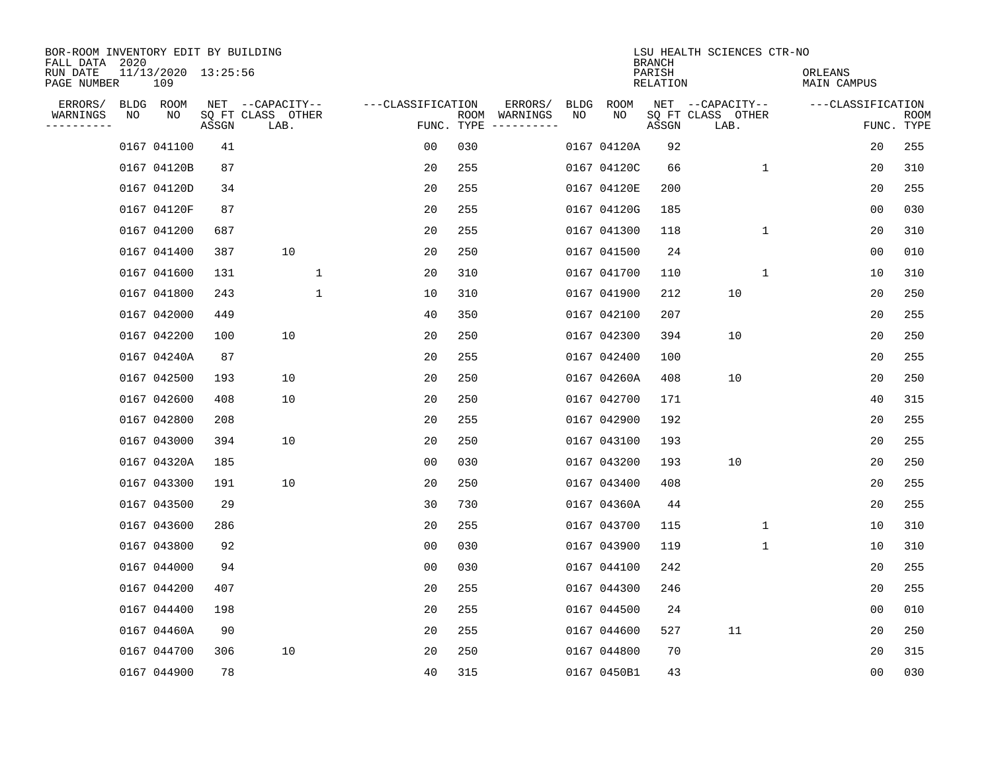| BOR-ROOM INVENTORY EDIT BY BUILDING<br>FALL DATA 2020 |    |                            |       |                           |                   |                    |                         |      |             | <b>BRANCH</b>             | LSU HEALTH SCIENCES CTR-NO |                        |                           |
|-------------------------------------------------------|----|----------------------------|-------|---------------------------|-------------------|--------------------|-------------------------|------|-------------|---------------------------|----------------------------|------------------------|---------------------------|
| RUN DATE<br>PAGE NUMBER                               |    | 11/13/2020 13:25:56<br>109 |       |                           |                   |                    |                         |      |             | PARISH<br><b>RELATION</b> |                            | ORLEANS<br>MAIN CAMPUS |                           |
| ERRORS/                                               |    | BLDG ROOM                  |       | NET --CAPACITY--          | ---CLASSIFICATION |                    | ERRORS/                 | BLDG | <b>ROOM</b> |                           | NET --CAPACITY--           | ---CLASSIFICATION      |                           |
| WARNINGS<br>----------                                | NO | NO                         | ASSGN | SQ FT CLASS OTHER<br>LAB. |                   | ROOM<br>FUNC. TYPE | WARNINGS<br>----------- | NO   | NO          | ASSGN                     | SQ FT CLASS OTHER<br>LAB.  |                        | <b>ROOM</b><br>FUNC. TYPE |
|                                                       |    | 0167 041100                | 41    |                           | 00                | 030                |                         |      | 0167 04120A | 92                        |                            | 20                     | 255                       |
|                                                       |    | 0167 04120B                | 87    |                           | 20                | 255                |                         |      | 0167 04120C | 66                        | 1                          | 20                     | 310                       |
|                                                       |    | 0167 04120D                | 34    |                           | 20                | 255                |                         |      | 0167 04120E | 200                       |                            | 20                     | 255                       |
|                                                       |    | 0167 04120F                | 87    |                           | 20                | 255                |                         |      | 0167 04120G | 185                       |                            | 0 <sub>0</sub>         | 030                       |
|                                                       |    | 0167 041200                | 687   |                           | 20                | 255                |                         |      | 0167 041300 | 118                       | $\mathbf 1$                | 20                     | 310                       |
|                                                       |    | 0167 041400                | 387   | 10                        | 20                | 250                |                         |      | 0167 041500 | 24                        |                            | 0 <sub>0</sub>         | 010                       |
|                                                       |    | 0167 041600                | 131   | $\mathbf 1$               | 20                | 310                |                         |      | 0167 041700 | 110                       | $\mathbf{1}$               | 10                     | 310                       |
|                                                       |    | 0167 041800                | 243   | $\mathbf{1}$              | 10                | 310                |                         |      | 0167 041900 | 212                       | 10                         | 20                     | 250                       |
|                                                       |    | 0167 042000                | 449   |                           | 40                | 350                |                         |      | 0167 042100 | 207                       |                            | 20                     | 255                       |
|                                                       |    | 0167 042200                | 100   | 10                        | 20                | 250                |                         |      | 0167 042300 | 394                       | 10                         | 20                     | 250                       |
|                                                       |    | 0167 04240A                | 87    |                           | 20                | 255                |                         |      | 0167 042400 | 100                       |                            | 20                     | 255                       |
|                                                       |    | 0167 042500                | 193   | 10                        | 20                | 250                |                         |      | 0167 04260A | 408                       | 10                         | 20                     | 250                       |
|                                                       |    | 0167 042600                | 408   | 10                        | 20                | 250                |                         |      | 0167 042700 | 171                       |                            | 40                     | 315                       |
|                                                       |    | 0167 042800                | 208   |                           | 20                | 255                |                         |      | 0167 042900 | 192                       |                            | 20                     | 255                       |
|                                                       |    | 0167 043000                | 394   | 10                        | 20                | 250                |                         |      | 0167 043100 | 193                       |                            | 20                     | 255                       |
|                                                       |    | 0167 04320A                | 185   |                           | 0 <sub>0</sub>    | 030                |                         |      | 0167 043200 | 193                       | 10                         | 20                     | 250                       |
|                                                       |    | 0167 043300                | 191   | 10                        | 20                | 250                |                         |      | 0167 043400 | 408                       |                            | 20                     | 255                       |
|                                                       |    | 0167 043500                | 29    |                           | 30                | 730                |                         |      | 0167 04360A | 44                        |                            | 20                     | 255                       |
|                                                       |    | 0167 043600                | 286   |                           | 20                | 255                |                         |      | 0167 043700 | 115                       | 1                          | 10                     | 310                       |
|                                                       |    | 0167 043800                | 92    |                           | 0 <sub>0</sub>    | 030                |                         |      | 0167 043900 | 119                       | 1                          | 10                     | 310                       |
|                                                       |    | 0167 044000                | 94    |                           | 0 <sub>0</sub>    | 030                |                         |      | 0167 044100 | 242                       |                            | 20                     | 255                       |
|                                                       |    | 0167 044200                | 407   |                           | 20                | 255                |                         |      | 0167 044300 | 246                       |                            | 20                     | 255                       |
|                                                       |    | 0167 044400                | 198   |                           | 20                | 255                |                         |      | 0167 044500 | 24                        |                            | 0 <sub>0</sub>         | 010                       |
|                                                       |    | 0167 04460A                | 90    |                           | 20                | 255                |                         |      | 0167 044600 | 527                       | 11                         | 20                     | 250                       |
|                                                       |    | 0167 044700                | 306   | 10                        | 20                | 250                |                         |      | 0167 044800 | 70                        |                            | 20                     | 315                       |
|                                                       |    | 0167 044900                | 78    |                           | 40                | 315                |                         |      | 0167 0450B1 | 43                        |                            | 00                     | 030                       |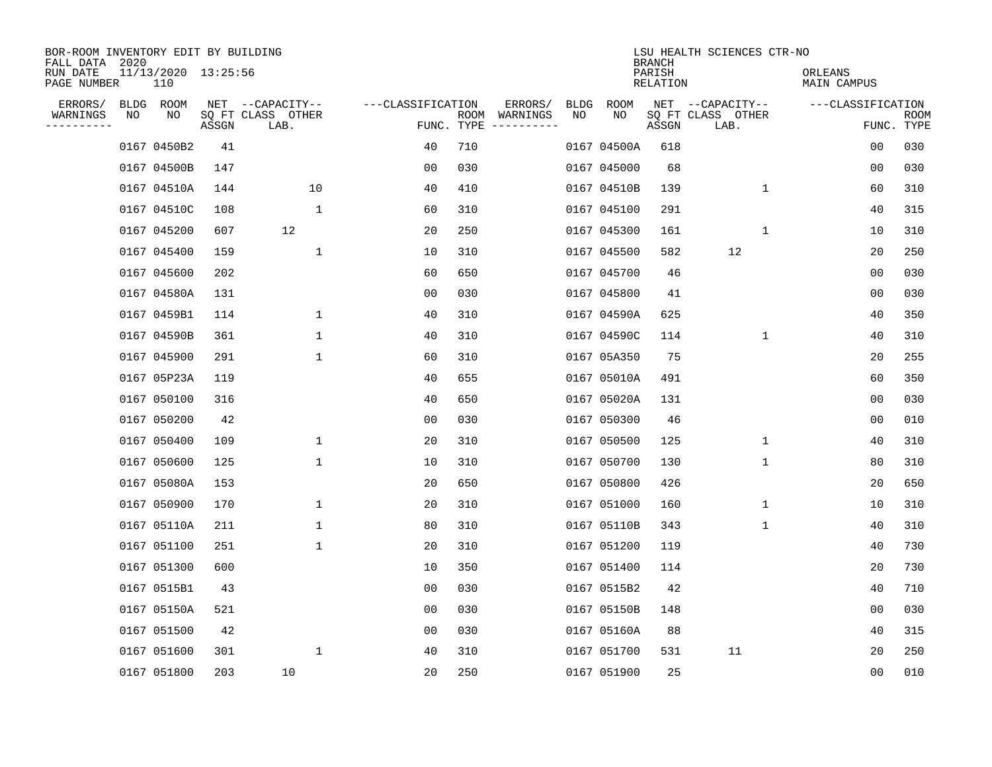| BOR-ROOM INVENTORY EDIT BY BUILDING<br>FALL DATA 2020 |    |                            |       |                           |                   |                    |                         |      |             | <b>BRANCH</b>      | LSU HEALTH SCIENCES CTR-NO |                        |                           |
|-------------------------------------------------------|----|----------------------------|-------|---------------------------|-------------------|--------------------|-------------------------|------|-------------|--------------------|----------------------------|------------------------|---------------------------|
| RUN DATE<br>PAGE NUMBER                               |    | 11/13/2020 13:25:56<br>110 |       |                           |                   |                    |                         |      |             | PARISH<br>RELATION |                            | ORLEANS<br>MAIN CAMPUS |                           |
| ERRORS/                                               |    | BLDG ROOM                  |       | NET --CAPACITY--          | ---CLASSIFICATION |                    | ERRORS/                 | BLDG | ROOM        |                    | NET --CAPACITY--           | ---CLASSIFICATION      |                           |
| WARNINGS<br>----------                                | NO | NO                         | ASSGN | SQ FT CLASS OTHER<br>LAB. |                   | ROOM<br>FUNC. TYPE | WARNINGS<br>----------- | NO   | NO          | ASSGN              | SQ FT CLASS OTHER<br>LAB.  |                        | <b>ROOM</b><br>FUNC. TYPE |
|                                                       |    | 0167 0450B2                | 41    |                           | 40                | 710                |                         |      | 0167 04500A | 618                |                            | 00                     | 030                       |
|                                                       |    | 0167 04500B                | 147   |                           | 00                | 030                |                         |      | 0167 045000 | 68                 |                            | 00                     | 030                       |
|                                                       |    | 0167 04510A                | 144   | 10                        | 40                | 410                |                         |      | 0167 04510B | 139                | $\mathbf{1}$               | 60                     | 310                       |
|                                                       |    | 0167 04510C                | 108   | $\mathbf{1}$              | 60                | 310                |                         |      | 0167 045100 | 291                |                            | 40                     | 315                       |
|                                                       |    | 0167 045200                | 607   | 12                        | 20                | 250                |                         |      | 0167 045300 | 161                | 1                          | 10                     | 310                       |
|                                                       |    | 0167 045400                | 159   | 1                         | 10                | 310                |                         |      | 0167 045500 | 582                | 12                         | 20                     | 250                       |
|                                                       |    | 0167 045600                | 202   |                           | 60                | 650                |                         |      | 0167 045700 | 46                 |                            | 0 <sub>0</sub>         | 030                       |
|                                                       |    | 0167 04580A                | 131   |                           | 0 <sub>0</sub>    | 030                |                         |      | 0167 045800 | 41                 |                            | 0 <sub>0</sub>         | 030                       |
|                                                       |    | 0167 0459B1                | 114   | 1                         | 40                | 310                |                         |      | 0167 04590A | 625                |                            | 40                     | 350                       |
|                                                       |    | 0167 04590B                | 361   | 1                         | 40                | 310                |                         |      | 0167 04590C | 114                | $\mathbf 1$                | 40                     | 310                       |
|                                                       |    | 0167 045900                | 291   | $\mathbf 1$               | 60                | 310                |                         |      | 0167 05A350 | 75                 |                            | 20                     | 255                       |
|                                                       |    | 0167 05P23A                | 119   |                           | 40                | 655                |                         |      | 0167 05010A | 491                |                            | 60                     | 350                       |
|                                                       |    | 0167 050100                | 316   |                           | 40                | 650                |                         |      | 0167 05020A | 131                |                            | 0 <sub>0</sub>         | 030                       |
|                                                       |    | 0167 050200                | 42    |                           | 00                | 030                |                         |      | 0167 050300 | 46                 |                            | 00                     | 010                       |
|                                                       |    | 0167 050400                | 109   | 1                         | 20                | 310                |                         |      | 0167 050500 | 125                | 1                          | 40                     | 310                       |
|                                                       |    | 0167 050600                | 125   | 1                         | 10                | 310                |                         |      | 0167 050700 | 130                | 1                          | 80                     | 310                       |
|                                                       |    | 0167 05080A                | 153   |                           | 20                | 650                |                         |      | 0167 050800 | 426                |                            | 20                     | 650                       |
|                                                       |    | 0167 050900                | 170   | 1                         | 20                | 310                |                         |      | 0167 051000 | 160                | 1                          | 10                     | 310                       |
|                                                       |    | 0167 05110A                | 211   | 1                         | 80                | 310                |                         |      | 0167 05110B | 343                | 1                          | 40                     | 310                       |
|                                                       |    | 0167 051100                | 251   | $\mathbf 1$               | 20                | 310                |                         |      | 0167 051200 | 119                |                            | 40                     | 730                       |
|                                                       |    | 0167 051300                | 600   |                           | 10                | 350                |                         |      | 0167 051400 | 114                |                            | 20                     | 730                       |
|                                                       |    | 0167 0515B1                | 43    |                           | 0 <sub>0</sub>    | 030                |                         |      | 0167 0515B2 | 42                 |                            | 40                     | 710                       |
|                                                       |    | 0167 05150A                | 521   |                           | 00                | 030                |                         |      | 0167 05150B | 148                |                            | 00                     | 030                       |
|                                                       |    | 0167 051500                | 42    |                           | 00                | 030                |                         |      | 0167 05160A | 88                 |                            | 40                     | 315                       |
|                                                       |    | 0167 051600                | 301   | 1                         | 40                | 310                |                         |      | 0167 051700 | 531                | 11                         | 20                     | 250                       |
|                                                       |    | 0167 051800                | 203   | 10                        | 20                | 250                |                         |      | 0167 051900 | 25                 |                            | 0 <sub>0</sub>         | 010                       |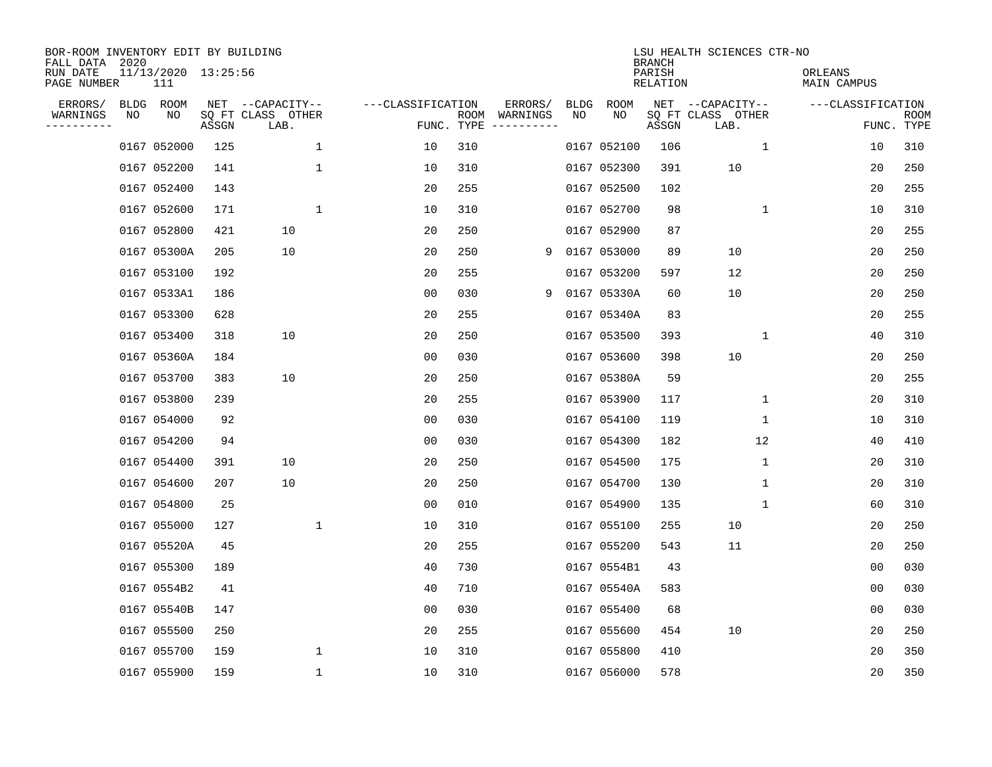| BOR-ROOM INVENTORY EDIT BY BUILDING<br>FALL DATA 2020<br>RUN DATE<br>PAGE NUMBER |    | 11/13/2020 13:25:56<br>111 |       |                                               |                   |            |                          |            |             | <b>BRANCH</b><br>PARISH<br>RELATION | LSU HEALTH SCIENCES CTR-NO                    | ORLEANS<br>MAIN CAMPUS |                    |
|----------------------------------------------------------------------------------|----|----------------------------|-------|-----------------------------------------------|-------------------|------------|--------------------------|------------|-------------|-------------------------------------|-----------------------------------------------|------------------------|--------------------|
| ERRORS/<br>WARNINGS                                                              | NO | BLDG ROOM<br>NO            | ASSGN | NET --CAPACITY--<br>SQ FT CLASS OTHER<br>LAB. | ---CLASSIFICATION | FUNC. TYPE | ERRORS/<br>ROOM WARNINGS | BLDG<br>NO | ROOM<br>NO  | ASSGN                               | NET --CAPACITY--<br>SQ FT CLASS OTHER<br>LAB. | ---CLASSIFICATION      | ROOM<br>FUNC. TYPE |
|                                                                                  |    | 0167 052000                | 125   | $\mathbf 1$                                   | 10                | 310        |                          |            | 0167 052100 | 106                                 | $\mathbf{1}$                                  | 10                     | 310                |
|                                                                                  |    | 0167 052200                | 141   | 1                                             | 10                | 310        |                          |            | 0167 052300 | 391                                 | 10                                            | 20                     | 250                |
|                                                                                  |    | 0167 052400                | 143   |                                               | 20                | 255        |                          |            | 0167 052500 | 102                                 |                                               | 20                     | 255                |
|                                                                                  |    | 0167 052600                | 171   | $\mathbf 1$                                   | 10                | 310        |                          |            | 0167 052700 | 98                                  | $\mathbf 1$                                   | 10                     | 310                |
|                                                                                  |    | 0167 052800                | 421   | 10                                            | 20                | 250        |                          |            | 0167 052900 | 87                                  |                                               | 20                     | 255                |
|                                                                                  |    | 0167 05300A                | 205   | 10                                            | 20                | 250        | 9                        |            | 0167 053000 | 89                                  | 10                                            | 20                     | 250                |
|                                                                                  |    | 0167 053100                | 192   |                                               | 20                | 255        |                          |            | 0167 053200 | 597                                 | 12                                            | 20                     | 250                |
|                                                                                  |    | 0167 0533A1                | 186   |                                               | 0 <sub>0</sub>    | 030        | 9                        |            | 0167 05330A | 60                                  | 10                                            | 20                     | 250                |
|                                                                                  |    | 0167 053300                | 628   |                                               | 20                | 255        |                          |            | 0167 05340A | 83                                  |                                               | 20                     | 255                |
|                                                                                  |    | 0167 053400                | 318   | 10                                            | 20                | 250        |                          |            | 0167 053500 | 393                                 | 1                                             | 40                     | 310                |
|                                                                                  |    | 0167 05360A                | 184   |                                               | 00                | 030        |                          |            | 0167 053600 | 398                                 | 10                                            | 20                     | 250                |
|                                                                                  |    | 0167 053700                | 383   | 10                                            | 20                | 250        |                          |            | 0167 05380A | 59                                  |                                               | 20                     | 255                |
|                                                                                  |    | 0167 053800                | 239   |                                               | 20                | 255        |                          |            | 0167 053900 | 117                                 | 1                                             | 20                     | 310                |
|                                                                                  |    | 0167 054000                | 92    |                                               | 0 <sub>0</sub>    | 030        |                          |            | 0167 054100 | 119                                 | 1                                             | 10                     | 310                |
|                                                                                  |    | 0167 054200                | 94    |                                               | 0 <sub>0</sub>    | 030        |                          |            | 0167 054300 | 182                                 | 12                                            | 40                     | 410                |
|                                                                                  |    | 0167 054400                | 391   | 10                                            | 20                | 250        |                          |            | 0167 054500 | 175                                 | 1                                             | 20                     | 310                |
|                                                                                  |    | 0167 054600                | 207   | 10                                            | 20                | 250        |                          |            | 0167 054700 | 130                                 | 1                                             | 20                     | 310                |
|                                                                                  |    | 0167 054800                | 25    |                                               | 00                | 010        |                          |            | 0167 054900 | 135                                 | 1                                             | 60                     | 310                |
|                                                                                  |    | 0167 055000                | 127   | 1                                             | 10                | 310        |                          |            | 0167 055100 | 255                                 | 10                                            | 20                     | 250                |
|                                                                                  |    | 0167 05520A                | 45    |                                               | 20                | 255        |                          |            | 0167 055200 | 543                                 | 11                                            | 20                     | 250                |
|                                                                                  |    | 0167 055300                | 189   |                                               | 40                | 730        |                          |            | 0167 0554B1 | 43                                  |                                               | 0 <sub>0</sub>         | 030                |
|                                                                                  |    | 0167 0554B2                | 41    |                                               | 40                | 710        |                          |            | 0167 05540A | 583                                 |                                               | 0 <sub>0</sub>         | 030                |
|                                                                                  |    | 0167 05540B                | 147   |                                               | 0 <sub>0</sub>    | 030        |                          |            | 0167 055400 | 68                                  |                                               | 0 <sub>0</sub>         | 030                |
|                                                                                  |    | 0167 055500                | 250   |                                               | 20                | 255        |                          |            | 0167 055600 | 454                                 | 10                                            | 20                     | 250                |
|                                                                                  |    | 0167 055700                | 159   | 1                                             | 10                | 310        |                          |            | 0167 055800 | 410                                 |                                               | 20                     | 350                |
|                                                                                  |    | 0167 055900                | 159   | $\mathbf{1}$                                  | 10                | 310        |                          |            | 0167 056000 | 578                                 |                                               | 20                     | 350                |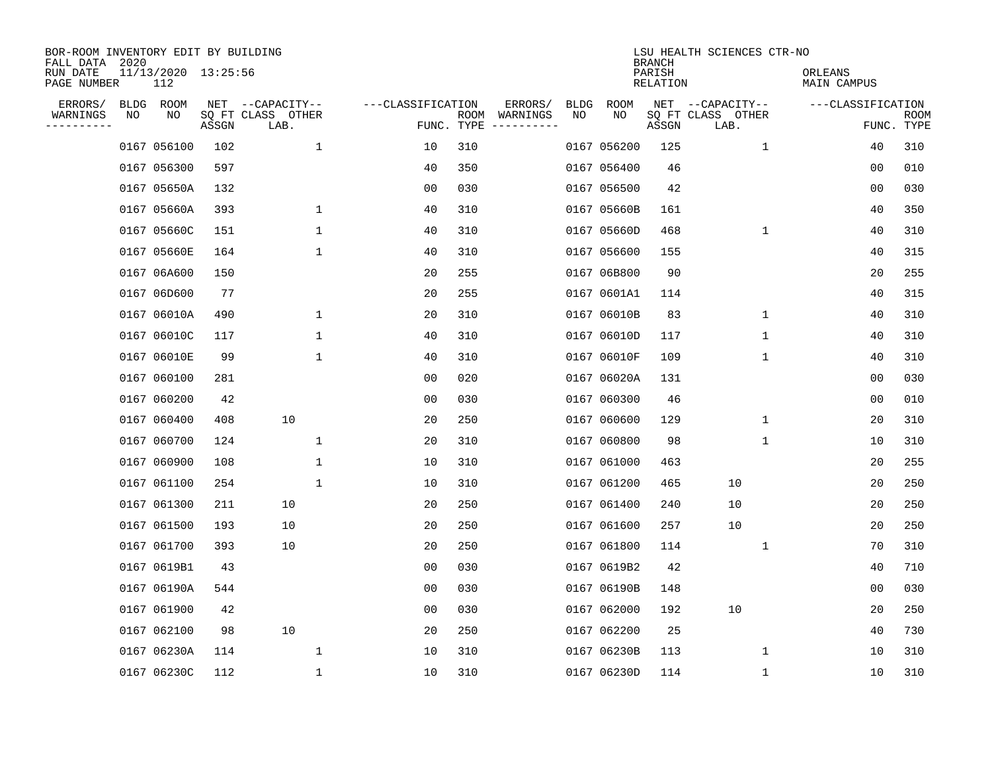| BOR-ROOM INVENTORY EDIT BY BUILDING<br>FALL DATA 2020 |    |                            |       |                           |                   |                    |                         |             |             | <b>BRANCH</b>      | LSU HEALTH SCIENCES CTR-NO |                        |                |                           |
|-------------------------------------------------------|----|----------------------------|-------|---------------------------|-------------------|--------------------|-------------------------|-------------|-------------|--------------------|----------------------------|------------------------|----------------|---------------------------|
| RUN DATE<br>PAGE NUMBER                               |    | 11/13/2020 13:25:56<br>112 |       |                           |                   |                    |                         |             |             | PARISH<br>RELATION |                            | ORLEANS<br>MAIN CAMPUS |                |                           |
| ERRORS/                                               |    | BLDG ROOM                  |       | NET --CAPACITY--          | ---CLASSIFICATION |                    | ERRORS/                 | <b>BLDG</b> | <b>ROOM</b> |                    | NET --CAPACITY--           | ---CLASSIFICATION      |                |                           |
| WARNINGS<br>----------                                | ΝO | ΝO                         | ASSGN | SQ FT CLASS OTHER<br>LAB. |                   | ROOM<br>FUNC. TYPE | WARNINGS<br>----------- | NO          | NO          | ASSGN              | SQ FT CLASS OTHER<br>LAB.  |                        |                | <b>ROOM</b><br>FUNC. TYPE |
|                                                       |    | 0167 056100                | 102   | 1                         | 10                | 310                |                         |             | 0167 056200 | 125                | $\mathbf{1}$               |                        | 40             | 310                       |
|                                                       |    | 0167 056300                | 597   |                           | 40                | 350                |                         |             | 0167 056400 | 46                 |                            |                        | 00             | 010                       |
|                                                       |    | 0167 05650A                | 132   |                           | 00                | 030                |                         |             | 0167 056500 | 42                 |                            |                        | 00             | 030                       |
|                                                       |    | 0167 05660A                | 393   | $\mathbf 1$               | 40                | 310                |                         |             | 0167 05660B | 161                |                            |                        | 40             | 350                       |
|                                                       |    | 0167 05660C                | 151   | $\mathbf 1$               | 40                | 310                |                         |             | 0167 05660D | 468                | $\mathbf 1$                |                        | 40             | 310                       |
|                                                       |    | 0167 05660E                | 164   | $\mathbf 1$               | 40                | 310                |                         |             | 0167 056600 | 155                |                            |                        | 40             | 315                       |
|                                                       |    | 0167 06A600                | 150   |                           | 20                | 255                |                         |             | 0167 06B800 | 90                 |                            |                        | 20             | 255                       |
|                                                       |    | 0167 06D600                | 77    |                           | 20                | 255                |                         |             | 0167 0601A1 | 114                |                            |                        | 40             | 315                       |
|                                                       |    | 0167 06010A                | 490   | 1                         | 20                | 310                |                         |             | 0167 06010B | 83                 | $\mathbf 1$                |                        | 40             | 310                       |
|                                                       |    | 0167 06010C                | 117   | 1                         | 40                | 310                |                         |             | 0167 06010D | 117                | 1                          |                        | 40             | 310                       |
|                                                       |    | 0167 06010E                | 99    | $\mathbf 1$               | 40                | 310                |                         |             | 0167 06010F | 109                | 1                          |                        | 40             | 310                       |
|                                                       |    | 0167 060100                | 281   |                           | 0 <sub>0</sub>    | 020                |                         |             | 0167 06020A | 131                |                            |                        | 0 <sub>0</sub> | 030                       |
|                                                       |    | 0167 060200                | 42    |                           | 0 <sub>0</sub>    | 030                |                         |             | 0167 060300 | 46                 |                            |                        | 0 <sub>0</sub> | 010                       |
|                                                       |    | 0167 060400                | 408   | 10                        | 20                | 250                |                         |             | 0167 060600 | 129                | 1                          |                        | 20             | 310                       |
|                                                       |    | 0167 060700                | 124   | 1                         | 20                | 310                |                         |             | 0167 060800 | 98                 | 1                          |                        | 10             | 310                       |
|                                                       |    | 0167 060900                | 108   | $\mathbf 1$               | 10                | 310                |                         |             | 0167 061000 | 463                |                            |                        | 20             | 255                       |
|                                                       |    | 0167 061100                | 254   | 1                         | 10                | 310                |                         |             | 0167 061200 | 465                | 10                         |                        | 20             | 250                       |
|                                                       |    | 0167 061300                | 211   | 10                        | 20                | 250                |                         |             | 0167 061400 | 240                | 10                         |                        | 20             | 250                       |
|                                                       |    | 0167 061500                | 193   | 10                        | 20                | 250                |                         |             | 0167 061600 | 257                | 10                         |                        | 20             | 250                       |
|                                                       |    | 0167 061700                | 393   | 10                        | 20                | 250                |                         |             | 0167 061800 | 114                | 1                          |                        | 70             | 310                       |
|                                                       |    | 0167 0619B1                | 43    |                           | 0 <sub>0</sub>    | 030                |                         |             | 0167 0619B2 | 42                 |                            |                        | 40             | 710                       |
|                                                       |    | 0167 06190A                | 544   |                           | 0 <sub>0</sub>    | 030                |                         |             | 0167 06190B | 148                |                            |                        | 0 <sub>0</sub> | 030                       |
|                                                       |    | 0167 061900                | 42    |                           | 0 <sub>0</sub>    | 030                |                         |             | 0167 062000 | 192                | 10                         |                        | 20             | 250                       |
|                                                       |    | 0167 062100                | 98    | 10                        | 20                | 250                |                         |             | 0167 062200 | 25                 |                            |                        | 40             | 730                       |
|                                                       |    | 0167 06230A                | 114   | 1                         | 10                | 310                |                         |             | 0167 06230B | 113                | 1                          |                        | 10             | 310                       |
|                                                       |    | 0167 06230C                | 112   | $\mathbf{1}$              | 10                | 310                |                         |             | 0167 06230D | 114                | 1                          |                        | 10             | 310                       |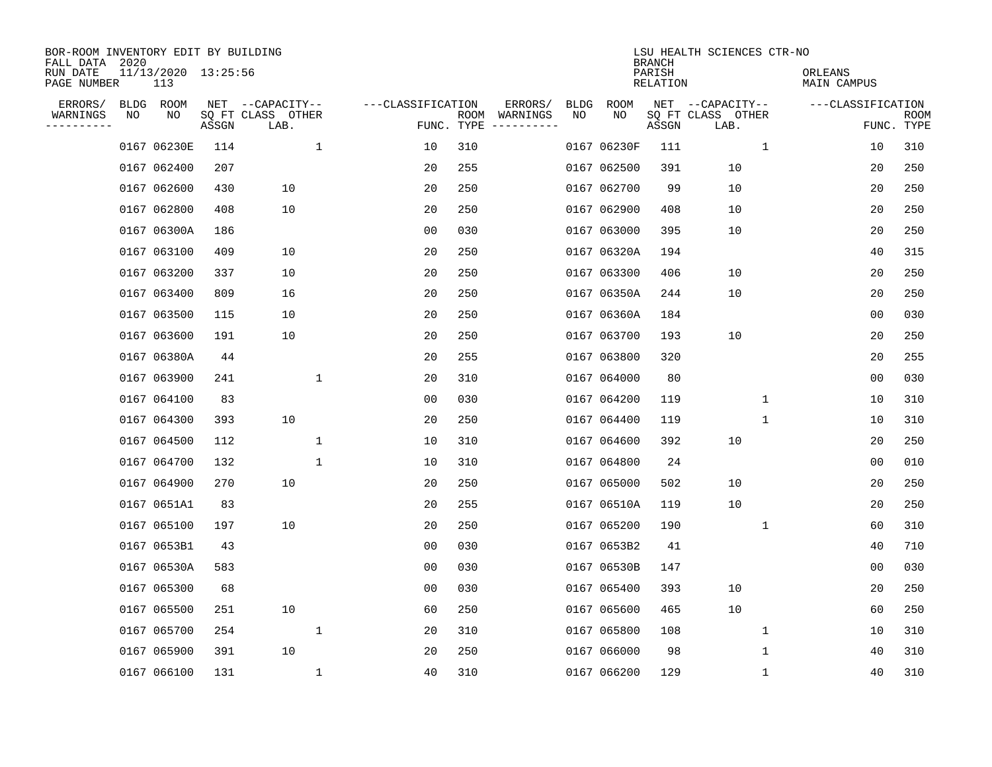| BOR-ROOM INVENTORY EDIT BY BUILDING<br>FALL DATA 2020 |    |                            |       |                           |              |                   |                    |                         |             |             | <b>BRANCH</b>             | LSU HEALTH SCIENCES CTR-NO |                        |                           |  |
|-------------------------------------------------------|----|----------------------------|-------|---------------------------|--------------|-------------------|--------------------|-------------------------|-------------|-------------|---------------------------|----------------------------|------------------------|---------------------------|--|
| RUN DATE<br>PAGE NUMBER                               |    | 11/13/2020 13:25:56<br>113 |       |                           |              |                   |                    |                         |             |             | PARISH<br><b>RELATION</b> |                            | ORLEANS<br>MAIN CAMPUS |                           |  |
| ERRORS/                                               |    | BLDG ROOM                  |       | NET --CAPACITY--          |              | ---CLASSIFICATION |                    | ERRORS/                 | <b>BLDG</b> | <b>ROOM</b> |                           | NET --CAPACITY--           | ---CLASSIFICATION      |                           |  |
| WARNINGS<br>---------                                 | NO | NO                         | ASSGN | SQ FT CLASS OTHER<br>LAB. |              |                   | ROOM<br>FUNC. TYPE | WARNINGS<br>----------- | NO          | NO          | ASSGN                     | SQ FT CLASS OTHER<br>LAB.  |                        | <b>ROOM</b><br>FUNC. TYPE |  |
|                                                       |    | 0167 06230E                | 114   |                           | $\mathbf{1}$ | 10                | 310                |                         |             | 0167 06230F | 111                       | $\mathbf{1}$               | 10                     | 310                       |  |
|                                                       |    | 0167 062400                | 207   |                           |              | 20                | 255                |                         |             | 0167 062500 | 391                       | 10                         | 20                     | 250                       |  |
|                                                       |    | 0167 062600                | 430   | 10                        |              | 20                | 250                |                         |             | 0167 062700 | 99                        | 10                         | 20                     | 250                       |  |
|                                                       |    | 0167 062800                | 408   | 10                        |              | 20                | 250                |                         |             | 0167 062900 | 408                       | 10                         | 20                     | 250                       |  |
|                                                       |    | 0167 06300A                | 186   |                           |              | 0 <sub>0</sub>    | 030                |                         |             | 0167 063000 | 395                       | 10                         | 20                     | 250                       |  |
|                                                       |    | 0167 063100                | 409   | 10                        |              | 20                | 250                |                         |             | 0167 06320A | 194                       |                            | 40                     | 315                       |  |
|                                                       |    | 0167 063200                | 337   | 10                        |              | 20                | 250                |                         |             | 0167 063300 | 406                       | 10                         | 20                     | 250                       |  |
|                                                       |    | 0167 063400                | 809   | 16                        |              | 20                | 250                |                         |             | 0167 06350A | 244                       | 10                         | 20                     | 250                       |  |
|                                                       |    | 0167 063500                | 115   | 10                        |              | 20                | 250                |                         |             | 0167 06360A | 184                       |                            | 0 <sub>0</sub>         | 030                       |  |
|                                                       |    | 0167 063600                | 191   | 10                        |              | 20                | 250                |                         |             | 0167 063700 | 193                       | 10                         | 20                     | 250                       |  |
|                                                       |    | 0167 06380A                | 44    |                           |              | 20                | 255                |                         |             | 0167 063800 | 320                       |                            | 20                     | 255                       |  |
|                                                       |    | 0167 063900                | 241   |                           | 1            | 20                | 310                |                         |             | 0167 064000 | 80                        |                            | 0 <sub>0</sub>         | 030                       |  |
|                                                       |    | 0167 064100                | 83    |                           |              | 0 <sub>0</sub>    | 030                |                         |             | 0167 064200 | 119                       | $\mathbf 1$                | 10                     | 310                       |  |
|                                                       |    | 0167 064300                | 393   | 10                        |              | 20                | 250                |                         |             | 0167 064400 | 119                       | 1                          | 10                     | 310                       |  |
|                                                       |    | 0167 064500                | 112   |                           | $\mathbf 1$  | 10                | 310                |                         |             | 0167 064600 | 392                       | 10                         | 20                     | 250                       |  |
|                                                       |    | 0167 064700                | 132   |                           | 1            | 10                | 310                |                         |             | 0167 064800 | 24                        |                            | 00                     | 010                       |  |
|                                                       |    | 0167 064900                | 270   | 10                        |              | 20                | 250                |                         |             | 0167 065000 | 502                       | 10                         | 20                     | 250                       |  |
|                                                       |    | 0167 0651A1                | 83    |                           |              | 20                | 255                |                         |             | 0167 06510A | 119                       | 10                         | 20                     | 250                       |  |
|                                                       |    | 0167 065100                | 197   | 10                        |              | 20                | 250                |                         |             | 0167 065200 | 190                       | 1                          | 60                     | 310                       |  |
|                                                       |    | 0167 0653B1                | 43    |                           |              | 0 <sub>0</sub>    | 030                |                         |             | 0167 0653B2 | 41                        |                            | 40                     | 710                       |  |
|                                                       |    | 0167 06530A                | 583   |                           |              | 0 <sub>0</sub>    | 030                |                         |             | 0167 06530B | 147                       |                            | 0 <sub>0</sub>         | 030                       |  |
|                                                       |    | 0167 065300                | 68    |                           |              | 0 <sub>0</sub>    | 030                |                         |             | 0167 065400 | 393                       | 10                         | 20                     | 250                       |  |
|                                                       |    | 0167 065500                | 251   | 10                        |              | 60                | 250                |                         |             | 0167 065600 | 465                       | 10                         | 60                     | 250                       |  |
|                                                       |    | 0167 065700                | 254   |                           | $\mathbf 1$  | 20                | 310                |                         |             | 0167 065800 | 108                       | 1                          | 10                     | 310                       |  |
|                                                       |    | 0167 065900                | 391   | 10                        |              | 20                | 250                |                         |             | 0167 066000 | 98                        | 1                          | 40                     | 310                       |  |
|                                                       |    | 0167 066100                | 131   |                           | $\mathbf 1$  | 40                | 310                |                         |             | 0167 066200 | 129                       | 1                          | 40                     | 310                       |  |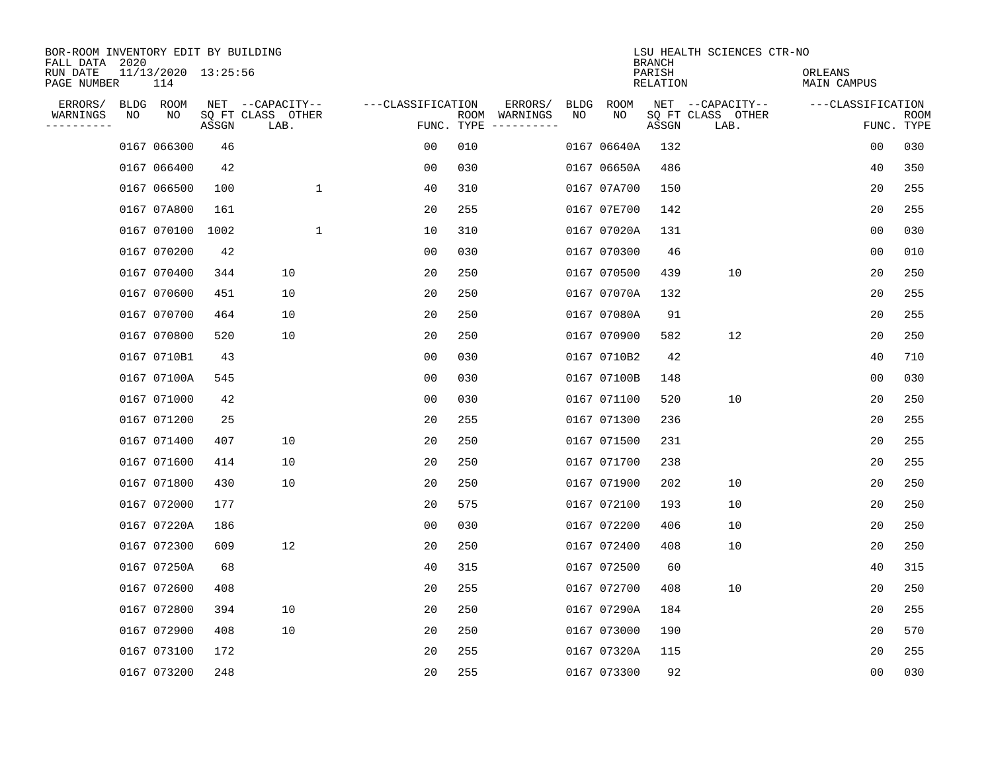| BOR-ROOM INVENTORY EDIT BY BUILDING<br>FALL DATA 2020 |    |                            |       |                           |                   |      |                                 |             |             | <b>BRANCH</b>             | LSU HEALTH SCIENCES CTR-NO |                               |                           |  |
|-------------------------------------------------------|----|----------------------------|-------|---------------------------|-------------------|------|---------------------------------|-------------|-------------|---------------------------|----------------------------|-------------------------------|---------------------------|--|
| RUN DATE<br>PAGE NUMBER                               |    | 11/13/2020 13:25:56<br>114 |       |                           |                   |      |                                 |             |             | PARISH<br><b>RELATION</b> |                            | ORLEANS<br><b>MAIN CAMPUS</b> |                           |  |
| ERRORS/                                               |    | BLDG ROOM                  |       | NET --CAPACITY--          | ---CLASSIFICATION |      | ERRORS/                         | <b>BLDG</b> | <b>ROOM</b> |                           | NET --CAPACITY--           | ---CLASSIFICATION             |                           |  |
| WARNINGS<br>---------                                 | NO | NO                         | ASSGN | SQ FT CLASS OTHER<br>LAB. |                   | ROOM | WARNINGS<br>FUNC. TYPE $------$ | NO          | NO          | ASSGN                     | SQ FT CLASS OTHER<br>LAB.  |                               | <b>ROOM</b><br>FUNC. TYPE |  |
|                                                       |    | 0167 066300                | 46    |                           | 0 <sub>0</sub>    | 010  |                                 |             | 0167 06640A | 132                       |                            | 0 <sub>0</sub>                | 030                       |  |
|                                                       |    | 0167 066400                | 42    |                           | 0 <sub>0</sub>    | 030  |                                 |             | 0167 06650A | 486                       |                            | 40                            | 350                       |  |
|                                                       |    | 0167 066500                | 100   | $\mathbf 1$               | 40                | 310  |                                 |             | 0167 07A700 | 150                       |                            | 20                            | 255                       |  |
|                                                       |    | 0167 07A800                | 161   |                           | 20                | 255  |                                 |             | 0167 07E700 | 142                       |                            | 20                            | 255                       |  |
|                                                       |    | 0167 070100                | 1002  | $\mathbf 1$               | 10                | 310  |                                 |             | 0167 07020A | 131                       |                            | 0 <sub>0</sub>                | 030                       |  |
|                                                       |    | 0167 070200                | 42    |                           | 00                | 030  |                                 |             | 0167 070300 | 46                        |                            | 00                            | 010                       |  |
|                                                       |    | 0167 070400                | 344   | 10                        | 20                | 250  |                                 |             | 0167 070500 | 439                       | 10                         | 20                            | 250                       |  |
|                                                       |    | 0167 070600                | 451   | 10                        | 20                | 250  |                                 |             | 0167 07070A | 132                       |                            | 20                            | 255                       |  |
|                                                       |    | 0167 070700                | 464   | 10                        | 20                | 250  |                                 |             | 0167 07080A | 91                        |                            | 20                            | 255                       |  |
|                                                       |    | 0167 070800                | 520   | 10                        | 20                | 250  |                                 |             | 0167 070900 | 582                       | 12                         | 20                            | 250                       |  |
|                                                       |    | 0167 0710B1                | 43    |                           | 00                | 030  |                                 |             | 0167 0710B2 | 42                        |                            | 40                            | 710                       |  |
|                                                       |    | 0167 07100A                | 545   |                           | 0 <sub>0</sub>    | 030  |                                 |             | 0167 07100B | 148                       |                            | 0 <sub>0</sub>                | 030                       |  |
|                                                       |    | 0167 071000                | 42    |                           | 0 <sub>0</sub>    | 030  |                                 |             | 0167 071100 | 520                       | 10                         | 20                            | 250                       |  |
|                                                       |    | 0167 071200                | 25    |                           | 20                | 255  |                                 |             | 0167 071300 | 236                       |                            | 20                            | 255                       |  |
|                                                       |    | 0167 071400                | 407   | 10                        | 20                | 250  |                                 |             | 0167 071500 | 231                       |                            | 20                            | 255                       |  |
|                                                       |    | 0167 071600                | 414   | 10                        | 20                | 250  |                                 |             | 0167 071700 | 238                       |                            | 20                            | 255                       |  |
|                                                       |    | 0167 071800                | 430   | 10                        | 20                | 250  |                                 |             | 0167 071900 | 202                       | 10                         | 20                            | 250                       |  |
|                                                       |    | 0167 072000                | 177   |                           | 20                | 575  |                                 |             | 0167 072100 | 193                       | 10                         | 20                            | 250                       |  |
|                                                       |    | 0167 07220A                | 186   |                           | 0 <sub>0</sub>    | 030  |                                 |             | 0167 072200 | 406                       | 10                         | 20                            | 250                       |  |
|                                                       |    | 0167 072300                | 609   | 12                        | 20                | 250  |                                 |             | 0167 072400 | 408                       | 10                         | 20                            | 250                       |  |
|                                                       |    | 0167 07250A                | 68    |                           | 40                | 315  |                                 |             | 0167 072500 | 60                        |                            | 40                            | 315                       |  |
|                                                       |    | 0167 072600                | 408   |                           | 20                | 255  |                                 |             | 0167 072700 | 408                       | 10                         | 20                            | 250                       |  |
|                                                       |    | 0167 072800                | 394   | 10                        | 20                | 250  |                                 |             | 0167 07290A | 184                       |                            | 20                            | 255                       |  |
|                                                       |    | 0167 072900                | 408   | 10                        | 20                | 250  |                                 |             | 0167 073000 | 190                       |                            | 20                            | 570                       |  |
|                                                       |    | 0167 073100                | 172   |                           | 20                | 255  |                                 |             | 0167 07320A | 115                       |                            | 20                            | 255                       |  |
|                                                       |    | 0167 073200                | 248   |                           | 20                | 255  |                                 |             | 0167 073300 | 92                        |                            | 00                            | 030                       |  |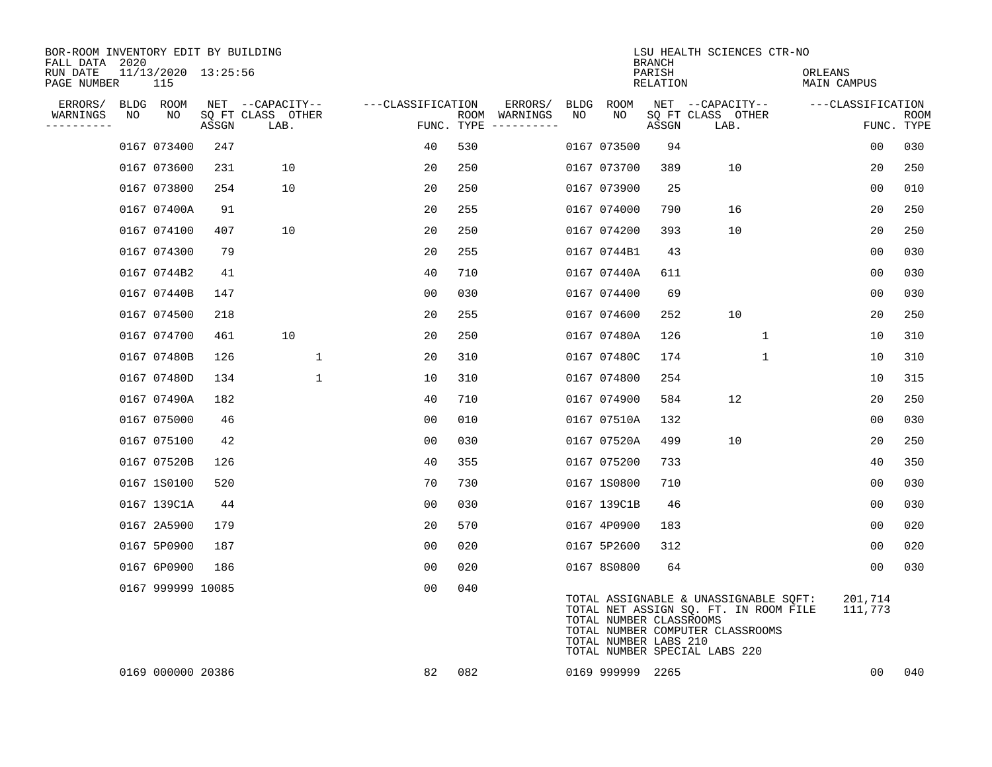| BOR-ROOM INVENTORY EDIT BY BUILDING<br>FALL DATA 2020 |    |                            |       |                           |                   |     |                                      |      |                                                  | <b>BRANCH</b>      | LSU HEALTH SCIENCES CTR-NO                                                                                                                          |                        |                    |
|-------------------------------------------------------|----|----------------------------|-------|---------------------------|-------------------|-----|--------------------------------------|------|--------------------------------------------------|--------------------|-----------------------------------------------------------------------------------------------------------------------------------------------------|------------------------|--------------------|
| RUN DATE<br>PAGE NUMBER                               |    | 11/13/2020 13:25:56<br>115 |       |                           |                   |     |                                      |      |                                                  | PARISH<br>RELATION |                                                                                                                                                     | ORLEANS<br>MAIN CAMPUS |                    |
| ERRORS/                                               |    | BLDG ROOM                  |       | NET --CAPACITY--          | ---CLASSIFICATION |     | ERRORS/                              | BLDG | ROOM                                             |                    | NET --CAPACITY--                                                                                                                                    | ---CLASSIFICATION      |                    |
| WARNINGS<br>----------                                | NO | NO.                        | ASSGN | SQ FT CLASS OTHER<br>LAB. |                   |     | ROOM WARNINGS<br>FUNC. TYPE $------$ | NO   | NO                                               | ASSGN              | SQ FT CLASS OTHER<br>LAB.                                                                                                                           |                        | ROOM<br>FUNC. TYPE |
|                                                       |    | 0167 073400                | 247   |                           | 40                | 530 |                                      |      | 0167 073500                                      | 94                 |                                                                                                                                                     | 0 <sub>0</sub>         | 030                |
|                                                       |    | 0167 073600                | 231   | 10                        | 20                | 250 |                                      |      | 0167 073700                                      | 389                | 10                                                                                                                                                  | 20                     | 250                |
|                                                       |    | 0167 073800                | 254   | 10                        | 20                | 250 |                                      |      | 0167 073900                                      | 25                 |                                                                                                                                                     | 0 <sub>0</sub>         | 010                |
|                                                       |    | 0167 07400A                | 91    |                           | 20                | 255 |                                      |      | 0167 074000                                      | 790                | 16                                                                                                                                                  | 20                     | 250                |
|                                                       |    | 0167 074100                | 407   | 10                        | 20                | 250 |                                      |      | 0167 074200                                      | 393                | 10                                                                                                                                                  | 20                     | 250                |
|                                                       |    | 0167 074300                | 79    |                           | 20                | 255 |                                      |      | 0167 0744B1                                      | 43                 |                                                                                                                                                     | 0 <sub>0</sub>         | 030                |
|                                                       |    | 0167 0744B2                | 41    |                           | 40                | 710 |                                      |      | 0167 07440A                                      | 611                |                                                                                                                                                     | 0 <sub>0</sub>         | 030                |
|                                                       |    | 0167 07440B                | 147   |                           | 0 <sub>0</sub>    | 030 |                                      |      | 0167 074400                                      | 69                 |                                                                                                                                                     | 0 <sub>0</sub>         | 030                |
|                                                       |    | 0167 074500                | 218   |                           | 20                | 255 |                                      |      | 0167 074600                                      | 252                | 10                                                                                                                                                  | 20                     | 250                |
|                                                       |    | 0167 074700                | 461   | 10                        | 20                | 250 |                                      |      | 0167 07480A                                      | 126                | $\mathbf{1}$                                                                                                                                        | 10                     | 310                |
|                                                       |    | 0167 07480B                | 126   | 1                         | 20                | 310 |                                      |      | 0167 07480C                                      | 174                | $\mathbf{1}$                                                                                                                                        | 10                     | 310                |
|                                                       |    | 0167 07480D                | 134   | $\mathbf{1}$              | 10                | 310 |                                      |      | 0167 074800                                      | 254                |                                                                                                                                                     | 10                     | 315                |
|                                                       |    | 0167 07490A                | 182   |                           | 40                | 710 |                                      |      | 0167 074900                                      | 584                | 12                                                                                                                                                  | 20                     | 250                |
|                                                       |    | 0167 075000                | 46    |                           | 0 <sub>0</sub>    | 010 |                                      |      | 0167 07510A                                      | 132                |                                                                                                                                                     | 00                     | 030                |
|                                                       |    | 0167 075100                | 42    |                           | 0 <sub>0</sub>    | 030 |                                      |      | 0167 07520A                                      | 499                | 10                                                                                                                                                  | 20                     | 250                |
|                                                       |    | 0167 07520B                | 126   |                           | 40                | 355 |                                      |      | 0167 075200                                      | 733                |                                                                                                                                                     | 40                     | 350                |
|                                                       |    | 0167 1S0100                | 520   |                           | 70                | 730 |                                      |      | 0167 1S0800                                      | 710                |                                                                                                                                                     | 0 <sub>0</sub>         | 030                |
|                                                       |    | 0167 139C1A                | 44    |                           | 00                | 030 |                                      |      | 0167 139C1B                                      | 46                 |                                                                                                                                                     | 0 <sub>0</sub>         | 030                |
|                                                       |    | 0167 2A5900                | 179   |                           | 20                | 570 |                                      |      | 0167 4P0900                                      | 183                |                                                                                                                                                     | 0 <sub>0</sub>         | 020                |
|                                                       |    | 0167 5P0900                | 187   |                           | 0 <sub>0</sub>    | 020 |                                      |      | 0167 5P2600                                      | 312                |                                                                                                                                                     | 00                     | 020                |
|                                                       |    | 0167 6P0900                | 186   |                           | 0 <sub>0</sub>    | 020 |                                      |      | 0167 8S0800                                      | 64                 |                                                                                                                                                     | 0 <sub>0</sub>         | 030                |
|                                                       |    | 0167 999999 10085          |       |                           | 00                | 040 |                                      |      | TOTAL NUMBER CLASSROOMS<br>TOTAL NUMBER LABS 210 |                    | TOTAL ASSIGNABLE & UNASSIGNABLE SQFT:<br>TOTAL NET ASSIGN SQ. FT. IN ROOM FILE<br>TOTAL NUMBER COMPUTER CLASSROOMS<br>TOTAL NUMBER SPECIAL LABS 220 | 201,714<br>111,773     |                    |
|                                                       |    | 0169 000000 20386          |       |                           | 82                | 082 |                                      |      | 0169 999999 2265                                 |                    |                                                                                                                                                     | 00                     | 040                |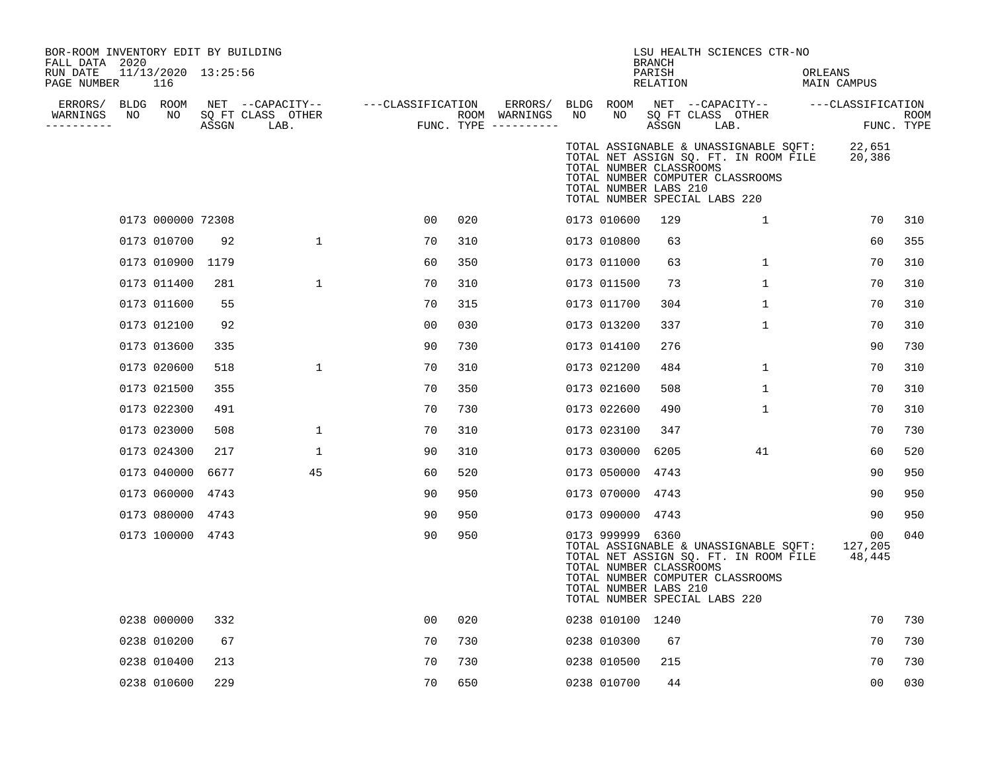| BOR-ROOM INVENTORY EDIT BY BUILDING<br>FALL DATA 2020<br>RUN DATE<br>PAGE NUMBER |    | $11/13/2020$ $13:25:56$<br>116 |       |                                               |                   |     |                                                   |    |                                                                      | <b>BRANCH</b><br>PARISH<br>RELATION | LSU HEALTH SCIENCES CTR-NO                                                                                                                          | ORLEANS<br>MAIN CAMPUS               |                           |
|----------------------------------------------------------------------------------|----|--------------------------------|-------|-----------------------------------------------|-------------------|-----|---------------------------------------------------|----|----------------------------------------------------------------------|-------------------------------------|-----------------------------------------------------------------------------------------------------------------------------------------------------|--------------------------------------|---------------------------|
| ERRORS/ BLDG ROOM<br>WARNINGS                                                    | NO | NO                             | ASSGN | NET --CAPACITY--<br>SQ FT CLASS OTHER<br>LAB. | ---CLASSIFICATION |     | ERRORS/<br>ROOM WARNINGS<br>FUNC. TYPE ---------- | NO | BLDG ROOM<br>NO                                                      | ASSGN                               | NET --CAPACITY--<br>SQ FT CLASS OTHER<br>LAB.                                                                                                       | ---CLASSIFICATION                    | <b>ROOM</b><br>FUNC. TYPE |
|                                                                                  |    |                                |       |                                               |                   |     |                                                   |    | TOTAL NUMBER CLASSROOMS<br>TOTAL NUMBER LABS 210                     |                                     | TOTAL ASSIGNABLE & UNASSIGNABLE SQFT:<br>TOTAL NET ASSIGN SQ. FT. IN ROOM FILE<br>TOTAL NUMBER COMPUTER CLASSROOMS<br>TOTAL NUMBER SPECIAL LABS 220 | 22,651<br>20,386                     |                           |
|                                                                                  |    | 0173 000000 72308              |       |                                               | 00                | 020 |                                                   |    | 0173 010600                                                          | 129                                 | $\mathbf{1}$                                                                                                                                        | 70                                   | 310                       |
|                                                                                  |    | 0173 010700                    | 92    | 1                                             | 70                | 310 |                                                   |    | 0173 010800                                                          | 63                                  |                                                                                                                                                     | 60                                   | 355                       |
|                                                                                  |    | 0173 010900                    | 1179  |                                               | 60                | 350 |                                                   |    | 0173 011000                                                          | 63                                  | $\mathbf{1}$                                                                                                                                        | 70                                   | 310                       |
|                                                                                  |    | 0173 011400                    | 281   | $\mathbf 1$                                   | 70                | 310 |                                                   |    | 0173 011500                                                          | 73                                  | $\mathbf 1$                                                                                                                                         | 70                                   | 310                       |
|                                                                                  |    | 0173 011600                    | 55    |                                               | 70                | 315 |                                                   |    | 0173 011700                                                          | 304                                 | $\mathbf{1}$                                                                                                                                        | 70                                   | 310                       |
|                                                                                  |    | 0173 012100                    | 92    |                                               | 0 <sub>0</sub>    | 030 |                                                   |    | 0173 013200                                                          | 337                                 | $\mathbf 1$                                                                                                                                         | 70                                   | 310                       |
|                                                                                  |    | 0173 013600                    | 335   |                                               | 90                | 730 |                                                   |    | 0173 014100                                                          | 276                                 |                                                                                                                                                     | 90                                   | 730                       |
|                                                                                  |    | 0173 020600                    | 518   | $\mathbf 1$                                   | 70                | 310 |                                                   |    | 0173 021200                                                          | 484                                 | $\mathbf{1}$                                                                                                                                        | 70                                   | 310                       |
|                                                                                  |    | 0173 021500                    | 355   |                                               | 70                | 350 |                                                   |    | 0173 021600                                                          | 508                                 | $\mathbf 1$                                                                                                                                         | 70                                   | 310                       |
|                                                                                  |    | 0173 022300                    | 491   |                                               | 70                | 730 |                                                   |    | 0173 022600                                                          | 490                                 | $\mathbf 1$                                                                                                                                         | 70                                   | 310                       |
|                                                                                  |    | 0173 023000                    | 508   | $\mathbf{1}$                                  | 70                | 310 |                                                   |    | 0173 023100                                                          | 347                                 |                                                                                                                                                     | 70                                   | 730                       |
|                                                                                  |    | 0173 024300                    | 217   | $\mathbf 1$                                   | 90                | 310 |                                                   |    | 0173 030000                                                          | 6205                                | 41                                                                                                                                                  | 60                                   | 520                       |
|                                                                                  |    | 0173 040000                    | 6677  | 45                                            | 60                | 520 |                                                   |    | 0173 050000                                                          | 4743                                |                                                                                                                                                     | 90                                   | 950                       |
|                                                                                  |    | 0173 060000                    | 4743  |                                               | 90                | 950 |                                                   |    | 0173 070000                                                          | 4743                                |                                                                                                                                                     | 90                                   | 950                       |
|                                                                                  |    | 0173 080000                    | 4743  |                                               | 90                | 950 |                                                   |    | 0173 090000                                                          | 4743                                |                                                                                                                                                     | 90                                   | 950                       |
|                                                                                  |    | 0173 100000 4743               |       |                                               | 90                | 950 |                                                   |    | 0173 999999 6360<br>TOTAL NUMBER CLASSROOMS<br>TOTAL NUMBER LABS 210 |                                     | TOTAL ASSIGNABLE & UNASSIGNABLE SQFT:<br>TOTAL NET ASSIGN SQ. FT. IN ROOM FILE<br>TOTAL NUMBER COMPUTER CLASSROOMS<br>TOTAL NUMBER SPECIAL LABS 220 | 00 <sub>o</sub><br>127,205<br>48,445 | 040                       |
|                                                                                  |    | 0238 000000                    | 332   |                                               | 0 <sub>0</sub>    | 020 |                                                   |    | 0238 010100 1240                                                     |                                     |                                                                                                                                                     | 70                                   | 730                       |
|                                                                                  |    | 0238 010200                    | 67    |                                               | 70                | 730 |                                                   |    | 0238 010300                                                          | 67                                  |                                                                                                                                                     | 70                                   | 730                       |
|                                                                                  |    | 0238 010400                    | 213   |                                               | 70                | 730 |                                                   |    | 0238 010500                                                          | 215                                 |                                                                                                                                                     | 70                                   | 730                       |
|                                                                                  |    | 0238 010600                    | 229   |                                               | 70                | 650 |                                                   |    | 0238 010700                                                          | 44                                  |                                                                                                                                                     | 00                                   | 030                       |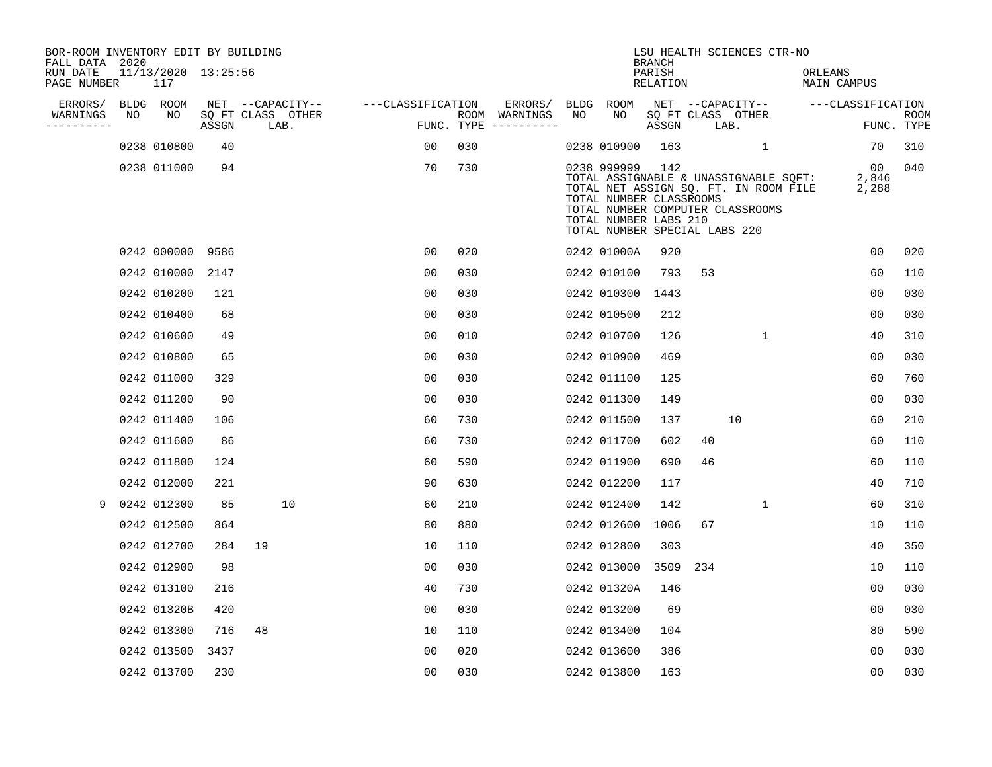| BOR-ROOM INVENTORY EDIT BY BUILDING<br>FALL DATA 2020 |    |                            |       |    |                           |                   |                |     |                                      |     |                                                                                                      | <b>BRANCH</b>      |     | LSU HEALTH SCIENCES CTR-NO                                                                                         |                        |                      |                    |
|-------------------------------------------------------|----|----------------------------|-------|----|---------------------------|-------------------|----------------|-----|--------------------------------------|-----|------------------------------------------------------------------------------------------------------|--------------------|-----|--------------------------------------------------------------------------------------------------------------------|------------------------|----------------------|--------------------|
| RUN DATE<br>PAGE NUMBER                               |    | 11/13/2020 13:25:56<br>117 |       |    |                           |                   |                |     |                                      |     |                                                                                                      | PARISH<br>RELATION |     |                                                                                                                    | ORLEANS<br>MAIN CAMPUS |                      |                    |
| ERRORS/                                               |    | BLDG ROOM                  |       |    | NET --CAPACITY--          | ---CLASSIFICATION |                |     | ERRORS/                              |     | BLDG ROOM                                                                                            |                    |     | NET --CAPACITY--                                                                                                   |                        | ---CLASSIFICATION    |                    |
| WARNINGS<br>----------                                | NO | NO                         | ASSGN |    | SQ FT CLASS OTHER<br>LAB. |                   |                |     | ROOM WARNINGS<br>FUNC. TYPE $------$ | NO. | NO.                                                                                                  | ASSGN              |     | SQ FT CLASS OTHER<br>LAB.                                                                                          |                        |                      | ROOM<br>FUNC. TYPE |
|                                                       |    | 0238 010800                | 40    |    |                           |                   | 00             | 030 |                                      |     | 0238 010900                                                                                          | 163                |     | $\mathbf{1}$                                                                                                       |                        | 70                   | 310                |
|                                                       |    | 0238 011000                | 94    |    |                           |                   | 70             | 730 |                                      |     | 0238 999999 142<br>TOTAL NUMBER CLASSROOMS<br>TOTAL NUMBER LABS 210<br>TOTAL NUMBER SPECIAL LABS 220 |                    |     | TOTAL ASSIGNABLE & UNASSIGNABLE SQFT:<br>TOTAL NET ASSIGN SQ. FT. IN ROOM FILE<br>TOTAL NUMBER COMPUTER CLASSROOMS |                        | 00<br>2,846<br>2,288 | 040                |
|                                                       |    | 0242 000000 9586           |       |    |                           |                   | 0 <sub>0</sub> | 020 |                                      |     | 0242 01000A                                                                                          | 920                |     |                                                                                                                    |                        | 00                   | 020                |
|                                                       |    | 0242 010000                | 2147  |    |                           |                   | 0 <sub>0</sub> | 030 |                                      |     | 0242 010100                                                                                          | 793                | 53  |                                                                                                                    |                        | 60                   | 110                |
|                                                       |    | 0242 010200                | 121   |    |                           |                   | 0 <sub>0</sub> | 030 |                                      |     | 0242 010300                                                                                          | 1443               |     |                                                                                                                    |                        | 0 <sub>0</sub>       | 030                |
|                                                       |    | 0242 010400                | 68    |    |                           |                   | 0 <sub>0</sub> | 030 |                                      |     | 0242 010500                                                                                          | 212                |     |                                                                                                                    |                        | 0 <sub>0</sub>       | 030                |
|                                                       |    | 0242 010600                | 49    |    |                           |                   | 0 <sub>0</sub> | 010 |                                      |     | 0242 010700                                                                                          | 126                |     | $\mathbf{1}$                                                                                                       |                        | 40                   | 310                |
|                                                       |    | 0242 010800                | 65    |    |                           |                   | 0 <sub>0</sub> | 030 |                                      |     | 0242 010900                                                                                          | 469                |     |                                                                                                                    |                        | 0 <sub>0</sub>       | 030                |
|                                                       |    | 0242 011000                | 329   |    |                           |                   | 0 <sub>0</sub> | 030 |                                      |     | 0242 011100                                                                                          | 125                |     |                                                                                                                    |                        | 60                   | 760                |
|                                                       |    | 0242 011200                | 90    |    |                           |                   | 0 <sub>0</sub> | 030 |                                      |     | 0242 011300                                                                                          | 149                |     |                                                                                                                    |                        | 0 <sub>0</sub>       | 030                |
|                                                       |    | 0242 011400                | 106   |    |                           |                   | 60             | 730 |                                      |     | 0242 011500                                                                                          | 137                |     | 10                                                                                                                 |                        | 60                   | 210                |
|                                                       |    | 0242 011600                | 86    |    |                           |                   | 60             | 730 |                                      |     | 0242 011700                                                                                          | 602                | 40  |                                                                                                                    |                        | 60                   | 110                |
|                                                       |    | 0242 011800                | 124   |    |                           |                   | 60             | 590 |                                      |     | 0242 011900                                                                                          | 690                | 46  |                                                                                                                    |                        | 60                   | 110                |
|                                                       |    | 0242 012000                | 221   |    |                           |                   | 90             | 630 |                                      |     | 0242 012200                                                                                          | 117                |     |                                                                                                                    |                        | 40                   | 710                |
| 9                                                     |    | 0242 012300                | 85    |    | 10                        |                   | 60             | 210 |                                      |     | 0242 012400                                                                                          | 142                |     | $\mathbf 1$                                                                                                        |                        | 60                   | 310                |
|                                                       |    | 0242 012500                | 864   |    |                           |                   | 80             | 880 |                                      |     | 0242 012600                                                                                          | 1006               | 67  |                                                                                                                    |                        | 10                   | 110                |
|                                                       |    | 0242 012700                | 284   | 19 |                           |                   | 10             | 110 |                                      |     | 0242 012800                                                                                          | 303                |     |                                                                                                                    |                        | 40                   | 350                |
|                                                       |    | 0242 012900                | 98    |    |                           |                   | 0 <sub>0</sub> | 030 |                                      |     | 0242 013000                                                                                          | 3509               | 234 |                                                                                                                    |                        | 10                   | 110                |
|                                                       |    | 0242 013100                | 216   |    |                           |                   | 40             | 730 |                                      |     | 0242 01320A                                                                                          | 146                |     |                                                                                                                    |                        | 00                   | 030                |
|                                                       |    | 0242 01320B                | 420   |    |                           |                   | 0 <sub>0</sub> | 030 |                                      |     | 0242 013200                                                                                          | 69                 |     |                                                                                                                    |                        | 0 <sub>0</sub>       | 030                |
|                                                       |    | 0242 013300                | 716   | 48 |                           |                   | 10             | 110 |                                      |     | 0242 013400                                                                                          | 104                |     |                                                                                                                    |                        | 80                   | 590                |
|                                                       |    | 0242 013500                | 3437  |    |                           |                   | 0 <sub>0</sub> | 020 |                                      |     | 0242 013600                                                                                          | 386                |     |                                                                                                                    |                        | 0 <sub>0</sub>       | 030                |
|                                                       |    | 0242 013700                | 230   |    |                           |                   | 0 <sub>0</sub> | 030 |                                      |     | 0242 013800                                                                                          | 163                |     |                                                                                                                    |                        | 0 <sub>0</sub>       | 030                |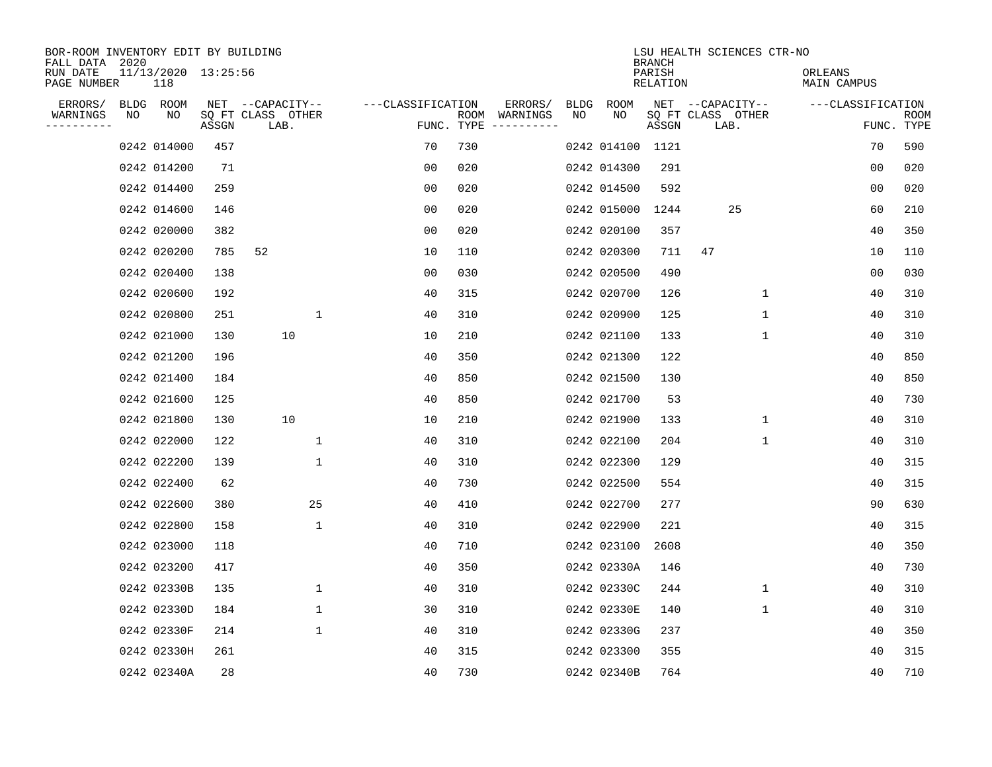| BOR-ROOM INVENTORY EDIT BY BUILDING<br>FALL DATA 2020 |             |    |                     |                           |                   |     |                                      |             |                  | <b>BRANCH</b>      | LSU HEALTH SCIENCES CTR-NO |                        |                |                           |
|-------------------------------------------------------|-------------|----|---------------------|---------------------------|-------------------|-----|--------------------------------------|-------------|------------------|--------------------|----------------------------|------------------------|----------------|---------------------------|
| RUN DATE<br>PAGE NUMBER                               | 118         |    | 11/13/2020 13:25:56 |                           |                   |     |                                      |             |                  | PARISH<br>RELATION |                            | ORLEANS<br>MAIN CAMPUS |                |                           |
| ERRORS/                                               | BLDG ROOM   |    |                     | NET --CAPACITY--          | ---CLASSIFICATION |     | ERRORS/                              | <b>BLDG</b> | <b>ROOM</b>      |                    | NET --CAPACITY--           | ---CLASSIFICATION      |                |                           |
| WARNINGS<br>----------                                | NO          | NO | ASSGN               | SQ FT CLASS OTHER<br>LAB. |                   |     | ROOM WARNINGS<br>FUNC. TYPE $------$ | NO          | NO               | ASSGN              | SQ FT CLASS OTHER<br>LAB.  |                        |                | <b>ROOM</b><br>FUNC. TYPE |
|                                                       | 0242 014000 |    | 457                 |                           | 70                | 730 |                                      |             | 0242 014100 1121 |                    |                            |                        | 70             | 590                       |
|                                                       | 0242 014200 |    | 71                  |                           | 0 <sub>0</sub>    | 020 |                                      |             | 0242 014300      | 291                |                            |                        | 0 <sub>0</sub> | 020                       |
|                                                       | 0242 014400 |    | 259                 |                           | 0 <sub>0</sub>    | 020 |                                      |             | 0242 014500      | 592                |                            |                        | 0 <sub>0</sub> | 020                       |
|                                                       | 0242 014600 |    | 146                 |                           | 0 <sub>0</sub>    | 020 |                                      |             | 0242 015000      | 1244               | 25                         |                        | 60             | 210                       |
|                                                       | 0242 020000 |    | 382                 |                           | 0 <sub>0</sub>    | 020 |                                      |             | 0242 020100      | 357                |                            |                        | 40             | 350                       |
|                                                       | 0242 020200 |    | 785                 | 52                        | 10                | 110 |                                      |             | 0242 020300      | 711                | 47                         |                        | 10             | 110                       |
|                                                       | 0242 020400 |    | 138                 |                           | 0 <sub>0</sub>    | 030 |                                      |             | 0242 020500      | 490                |                            |                        | 0 <sub>0</sub> | 030                       |
|                                                       | 0242 020600 |    | 192                 |                           | 40                | 315 |                                      |             | 0242 020700      | 126                | $\mathbf{1}$               |                        | 40             | 310                       |
|                                                       | 0242 020800 |    | 251                 | $\mathbf{1}$              | 40                | 310 |                                      |             | 0242 020900      | 125                | $\mathbf 1$                |                        | 40             | 310                       |
|                                                       | 0242 021000 |    | 130                 | 10                        | 10                | 210 |                                      |             | 0242 021100      | 133                | $\mathbf 1$                |                        | 40             | 310                       |
|                                                       | 0242 021200 |    | 196                 |                           | 40                | 350 |                                      |             | 0242 021300      | 122                |                            |                        | 40             | 850                       |
|                                                       | 0242 021400 |    | 184                 |                           | 40                | 850 |                                      |             | 0242 021500      | 130                |                            |                        | 40             | 850                       |
|                                                       | 0242 021600 |    | 125                 |                           | 40                | 850 |                                      |             | 0242 021700      | 53                 |                            |                        | 40             | 730                       |
|                                                       | 0242 021800 |    | 130                 | 10                        | 10                | 210 |                                      |             | 0242 021900      | 133                | 1                          |                        | 40             | 310                       |
|                                                       | 0242 022000 |    | 122                 | $\mathbf{1}$              | 40                | 310 |                                      |             | 0242 022100      | 204                | 1                          |                        | 40             | 310                       |
|                                                       | 0242 022200 |    | 139                 | $\mathbf{1}$              | 40                | 310 |                                      |             | 0242 022300      | 129                |                            |                        | 40             | 315                       |
|                                                       | 0242 022400 |    | 62                  |                           | 40                | 730 |                                      |             | 0242 022500      | 554                |                            |                        | 40             | 315                       |
|                                                       | 0242 022600 |    | 380                 | 25                        | 40                | 410 |                                      |             | 0242 022700      | 277                |                            |                        | 90             | 630                       |
|                                                       | 0242 022800 |    | 158                 | $\mathbf{1}$              | 40                | 310 |                                      |             | 0242 022900      | 221                |                            |                        | 40             | 315                       |
|                                                       | 0242 023000 |    | 118                 |                           | 40                | 710 |                                      |             | 0242 023100      | 2608               |                            |                        | 40             | 350                       |
|                                                       | 0242 023200 |    | 417                 |                           | 40                | 350 |                                      |             | 0242 02330A      | 146                |                            |                        | 40             | 730                       |
|                                                       | 0242 02330B |    | 135                 | $\mathbf 1$               | 40                | 310 |                                      |             | 0242 02330C      | 244                | $\mathbf 1$                |                        | 40             | 310                       |
|                                                       | 0242 02330D |    | 184                 | $\mathbf{1}$              | 30                | 310 |                                      |             | 0242 02330E      | 140                | $\mathbf{1}$               |                        | 40             | 310                       |
|                                                       | 0242 02330F |    | 214                 | $\mathbf{1}$              | 40                | 310 |                                      |             | 0242 02330G      | 237                |                            |                        | 40             | 350                       |
|                                                       | 0242 02330H |    | 261                 |                           | 40                | 315 |                                      |             | 0242 023300      | 355                |                            |                        | 40             | 315                       |
|                                                       | 0242 02340A |    | 28                  |                           | 40                | 730 |                                      |             | 0242 02340B      | 764                |                            |                        | 40             | 710                       |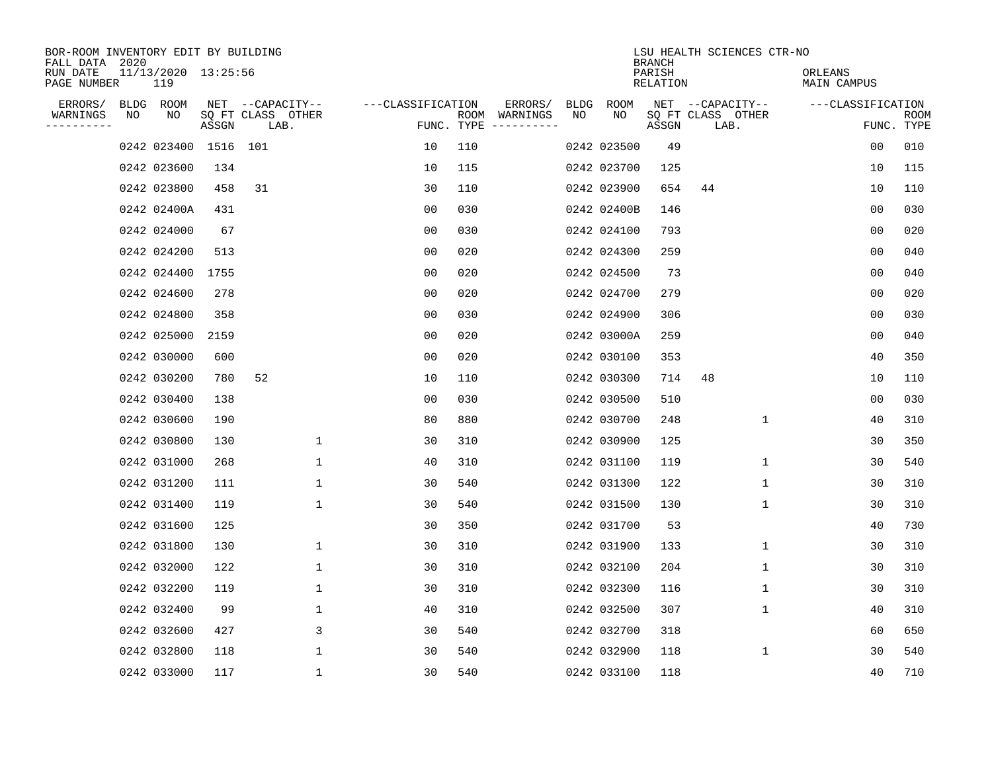| BOR-ROOM INVENTORY EDIT BY BUILDING<br>FALL DATA 2020 |    |                            |          |                           |              |                   |     |                                      |             |             | <b>BRANCH</b>      |                           | LSU HEALTH SCIENCES CTR-NO |                        |                |                           |
|-------------------------------------------------------|----|----------------------------|----------|---------------------------|--------------|-------------------|-----|--------------------------------------|-------------|-------------|--------------------|---------------------------|----------------------------|------------------------|----------------|---------------------------|
| RUN DATE<br>PAGE NUMBER                               |    | 11/13/2020 13:25:56<br>119 |          |                           |              |                   |     |                                      |             |             | PARISH<br>RELATION |                           |                            | ORLEANS<br>MAIN CAMPUS |                |                           |
| ERRORS/                                               |    | BLDG ROOM                  |          | NET --CAPACITY--          |              | ---CLASSIFICATION |     | ERRORS/                              | <b>BLDG</b> | ROOM        |                    |                           | NET --CAPACITY--           | ---CLASSIFICATION      |                |                           |
| WARNINGS<br>----------                                | NO | NO                         | ASSGN    | SQ FT CLASS OTHER<br>LAB. |              |                   |     | ROOM WARNINGS<br>FUNC. TYPE $------$ | NO          | NO          | ASSGN              | SQ FT CLASS OTHER<br>LAB. |                            |                        |                | <b>ROOM</b><br>FUNC. TYPE |
|                                                       |    | 0242 023400                | 1516 101 |                           |              | 10                | 110 |                                      |             | 0242 023500 | 49                 |                           |                            |                        | 0 <sub>0</sub> | 010                       |
|                                                       |    | 0242 023600                | 134      |                           |              | 10                | 115 |                                      |             | 0242 023700 | 125                |                           |                            |                        | 10             | 115                       |
|                                                       |    | 0242 023800                | 458      | 31                        |              | 30                | 110 |                                      |             | 0242 023900 | 654                | 44                        |                            |                        | 10             | 110                       |
|                                                       |    | 0242 02400A                | 431      |                           |              | 0 <sub>0</sub>    | 030 |                                      |             | 0242 02400B | 146                |                           |                            |                        | 0 <sub>0</sub> | 030                       |
|                                                       |    | 0242 024000                | 67       |                           |              | 0 <sub>0</sub>    | 030 |                                      |             | 0242 024100 | 793                |                           |                            |                        | 00             | 020                       |
|                                                       |    | 0242 024200                | 513      |                           |              | 00                | 020 |                                      |             | 0242 024300 | 259                |                           |                            |                        | 0 <sub>0</sub> | 040                       |
|                                                       |    | 0242 024400                | 1755     |                           |              | 0 <sub>0</sub>    | 020 |                                      |             | 0242 024500 | 73                 |                           |                            |                        | 0 <sub>0</sub> | 040                       |
|                                                       |    | 0242 024600                | 278      |                           |              | 0 <sub>0</sub>    | 020 |                                      |             | 0242 024700 | 279                |                           |                            |                        | 0 <sub>0</sub> | 020                       |
|                                                       |    | 0242 024800                | 358      |                           |              | 0 <sub>0</sub>    | 030 |                                      |             | 0242 024900 | 306                |                           |                            |                        | 0 <sub>0</sub> | 030                       |
|                                                       |    | 0242 025000                | 2159     |                           |              | 0 <sub>0</sub>    | 020 |                                      |             | 0242 03000A | 259                |                           |                            |                        | 0 <sub>0</sub> | 040                       |
|                                                       |    | 0242 030000                | 600      |                           |              | 00                | 020 |                                      |             | 0242 030100 | 353                |                           |                            |                        | 40             | 350                       |
|                                                       |    | 0242 030200                | 780      | 52                        |              | 10                | 110 |                                      |             | 0242 030300 | 714                | 48                        |                            |                        | 10             | 110                       |
|                                                       |    | 0242 030400                | 138      |                           |              | 0 <sub>0</sub>    | 030 |                                      |             | 0242 030500 | 510                |                           |                            |                        | 0 <sub>0</sub> | 030                       |
|                                                       |    | 0242 030600                | 190      |                           |              | 80                | 880 |                                      |             | 0242 030700 | 248                |                           | 1                          |                        | 40             | 310                       |
|                                                       |    | 0242 030800                | 130      |                           | 1            | 30                | 310 |                                      |             | 0242 030900 | 125                |                           |                            |                        | 30             | 350                       |
|                                                       |    | 0242 031000                | 268      |                           | 1            | 40                | 310 |                                      |             | 0242 031100 | 119                |                           | 1                          |                        | 30             | 540                       |
|                                                       |    | 0242 031200                | 111      |                           | 1            | 30                | 540 |                                      |             | 0242 031300 | 122                |                           | 1                          |                        | 30             | 310                       |
|                                                       |    | 0242 031400                | 119      |                           | $\mathbf 1$  | 30                | 540 |                                      |             | 0242 031500 | 130                |                           | 1                          |                        | 30             | 310                       |
|                                                       |    | 0242 031600                | 125      |                           |              | 30                | 350 |                                      |             | 0242 031700 | 53                 |                           |                            |                        | 40             | 730                       |
|                                                       |    | 0242 031800                | 130      |                           | $\mathbf 1$  | 30                | 310 |                                      |             | 0242 031900 | 133                |                           | 1                          |                        | 30             | 310                       |
|                                                       |    | 0242 032000                | 122      |                           | 1            | 30                | 310 |                                      |             | 0242 032100 | 204                |                           | 1                          |                        | 30             | 310                       |
|                                                       |    | 0242 032200                | 119      |                           | $\mathbf 1$  | 30                | 310 |                                      |             | 0242 032300 | 116                |                           | $\mathbf 1$                |                        | 30             | 310                       |
|                                                       |    | 0242 032400                | 99       |                           | 1            | 40                | 310 |                                      |             | 0242 032500 | 307                |                           | 1                          |                        | 40             | 310                       |
|                                                       |    | 0242 032600                | 427      |                           | 3            | 30                | 540 |                                      |             | 0242 032700 | 318                |                           |                            |                        | 60             | 650                       |
|                                                       |    | 0242 032800                | 118      |                           | $\mathbf{1}$ | 30                | 540 |                                      |             | 0242 032900 | 118                |                           | 1                          |                        | 30             | 540                       |
|                                                       |    | 0242 033000                | 117      |                           | 1            | 30                | 540 |                                      |             | 0242 033100 | 118                |                           |                            |                        | 40             | 710                       |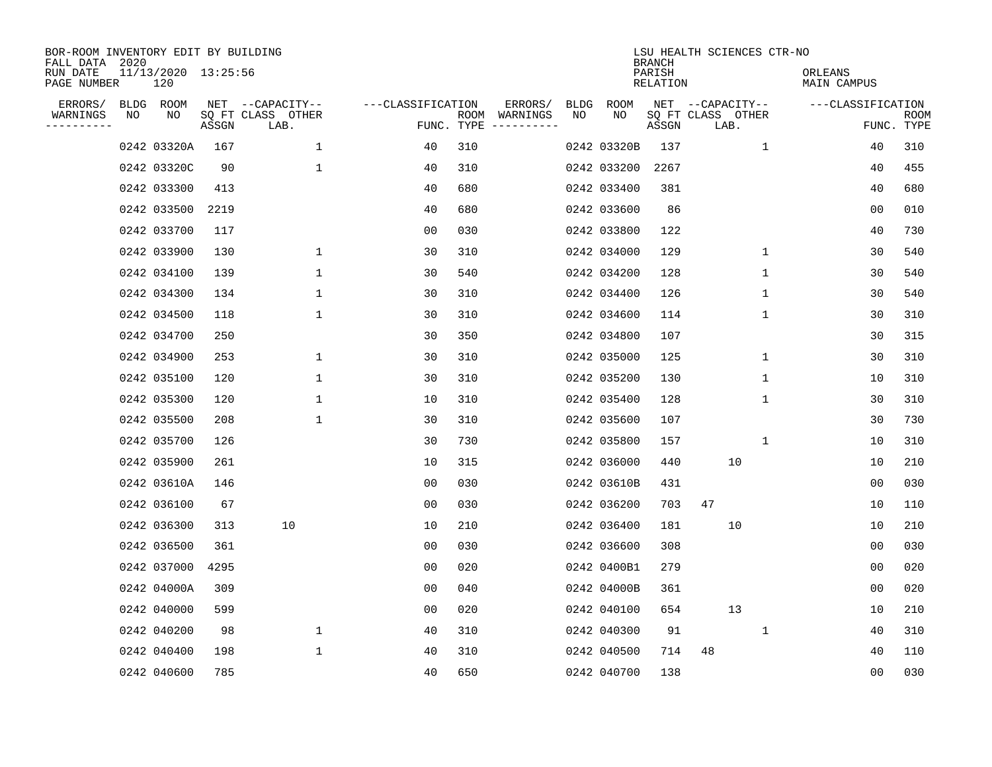| BOR-ROOM INVENTORY EDIT BY BUILDING<br>FALL DATA 2020 |    |                            |       |                           |                   |                    |          |      |             | <b>BRANCH</b>      | LSU HEALTH SCIENCES CTR-NO |                        |                   |                           |
|-------------------------------------------------------|----|----------------------------|-------|---------------------------|-------------------|--------------------|----------|------|-------------|--------------------|----------------------------|------------------------|-------------------|---------------------------|
| RUN DATE<br>PAGE NUMBER                               |    | 11/13/2020 13:25:56<br>120 |       |                           |                   |                    |          |      |             | PARISH<br>RELATION |                            | ORLEANS<br>MAIN CAMPUS |                   |                           |
| ERRORS/                                               |    | BLDG ROOM                  |       | NET --CAPACITY--          | ---CLASSIFICATION |                    | ERRORS/  | BLDG | ROOM        |                    | NET --CAPACITY--           |                        | ---CLASSIFICATION |                           |
| WARNINGS<br>----------                                | ΝO | ΝO                         | ASSGN | SQ FT CLASS OTHER<br>LAB. |                   | ROOM<br>FUNC. TYPE | WARNINGS | NO   | NO          | ASSGN              | SQ FT CLASS OTHER<br>LAB.  |                        |                   | <b>ROOM</b><br>FUNC. TYPE |
|                                                       |    | 0242 03320A                | 167   | $\mathbf{1}$              | 40                | 310                |          |      | 0242 03320B | 137                | $\mathbf{1}$               |                        | 40                | 310                       |
|                                                       |    | 0242 03320C                | 90    | $\mathbf 1$               | 40                | 310                |          |      | 0242 033200 | 2267               |                            |                        | 40                | 455                       |
|                                                       |    | 0242 033300                | 413   |                           | 40                | 680                |          |      | 0242 033400 | 381                |                            |                        | 40                | 680                       |
|                                                       |    | 0242 033500                | 2219  |                           | 40                | 680                |          |      | 0242 033600 | 86                 |                            |                        | 0 <sub>0</sub>    | 010                       |
|                                                       |    | 0242 033700                | 117   |                           | 0 <sub>0</sub>    | 030                |          |      | 0242 033800 | 122                |                            |                        | 40                | 730                       |
|                                                       |    | 0242 033900                | 130   | $\mathbf{1}$              | 30                | 310                |          |      | 0242 034000 | 129                | $\mathbf{1}$               |                        | 30                | 540                       |
|                                                       |    | 0242 034100                | 139   | $\mathbf{1}$              | 30                | 540                |          |      | 0242 034200 | 128                | $\mathbf{1}$               |                        | 30                | 540                       |
|                                                       |    | 0242 034300                | 134   | $\mathbf 1$               | 30                | 310                |          |      | 0242 034400 | 126                | 1                          |                        | 30                | 540                       |
|                                                       |    | 0242 034500                | 118   | $\mathbf 1$               | 30                | 310                |          |      | 0242 034600 | 114                | 1                          |                        | 30                | 310                       |
|                                                       |    | 0242 034700                | 250   |                           | 30                | 350                |          |      | 0242 034800 | 107                |                            |                        | 30                | 315                       |
|                                                       |    | 0242 034900                | 253   | $\mathbf 1$               | 30                | 310                |          |      | 0242 035000 | 125                | $\mathbf 1$                |                        | 30                | 310                       |
|                                                       |    | 0242 035100                | 120   | $\mathbf{1}$              | 30                | 310                |          |      | 0242 035200 | 130                | 1                          |                        | 10                | 310                       |
|                                                       |    | 0242 035300                | 120   | 1                         | 10                | 310                |          |      | 0242 035400 | 128                | 1                          |                        | 30                | 310                       |
|                                                       |    | 0242 035500                | 208   | $\mathbf{1}$              | 30                | 310                |          |      | 0242 035600 | 107                |                            |                        | 30                | 730                       |
|                                                       |    | 0242 035700                | 126   |                           | 30                | 730                |          |      | 0242 035800 | 157                | 1                          |                        | 10                | 310                       |
|                                                       |    | 0242 035900                | 261   |                           | 10                | 315                |          |      | 0242 036000 | 440                | 10                         |                        | 10                | 210                       |
|                                                       |    | 0242 03610A                | 146   |                           | 0 <sub>0</sub>    | 030                |          |      | 0242 03610B | 431                |                            |                        | 0 <sub>0</sub>    | 030                       |
|                                                       |    | 0242 036100                | 67    |                           | 0 <sub>0</sub>    | 030                |          |      | 0242 036200 | 703                | 47                         |                        | 10                | 110                       |
|                                                       |    | 0242 036300                | 313   | 10                        | 10                | 210                |          |      | 0242 036400 | 181                | 10                         |                        | 10                | 210                       |
|                                                       |    | 0242 036500                | 361   |                           | 00                | 030                |          |      | 0242 036600 | 308                |                            |                        | 00                | 030                       |
|                                                       |    | 0242 037000                | 4295  |                           | 0 <sub>0</sub>    | 020                |          |      | 0242 0400B1 | 279                |                            |                        | 0 <sub>0</sub>    | 020                       |
|                                                       |    | 0242 04000A                | 309   |                           | 0 <sub>0</sub>    | 040                |          |      | 0242 04000B | 361                |                            |                        | 0 <sub>0</sub>    | 020                       |
|                                                       |    | 0242 040000                | 599   |                           | 0 <sub>0</sub>    | 020                |          |      | 0242 040100 | 654                | 13                         |                        | 10                | 210                       |
|                                                       |    | 0242 040200                | 98    | $\mathbf 1$               | 40                | 310                |          |      | 0242 040300 | 91                 | $\mathbf{1}$               |                        | 40                | 310                       |
|                                                       |    | 0242 040400                | 198   | $\mathbf{1}$              | 40                | 310                |          |      | 0242 040500 | 714                | 48                         |                        | 40                | 110                       |
|                                                       |    | 0242 040600                | 785   |                           | 40                | 650                |          |      | 0242 040700 | 138                |                            |                        | 0 <sub>0</sub>    | 030                       |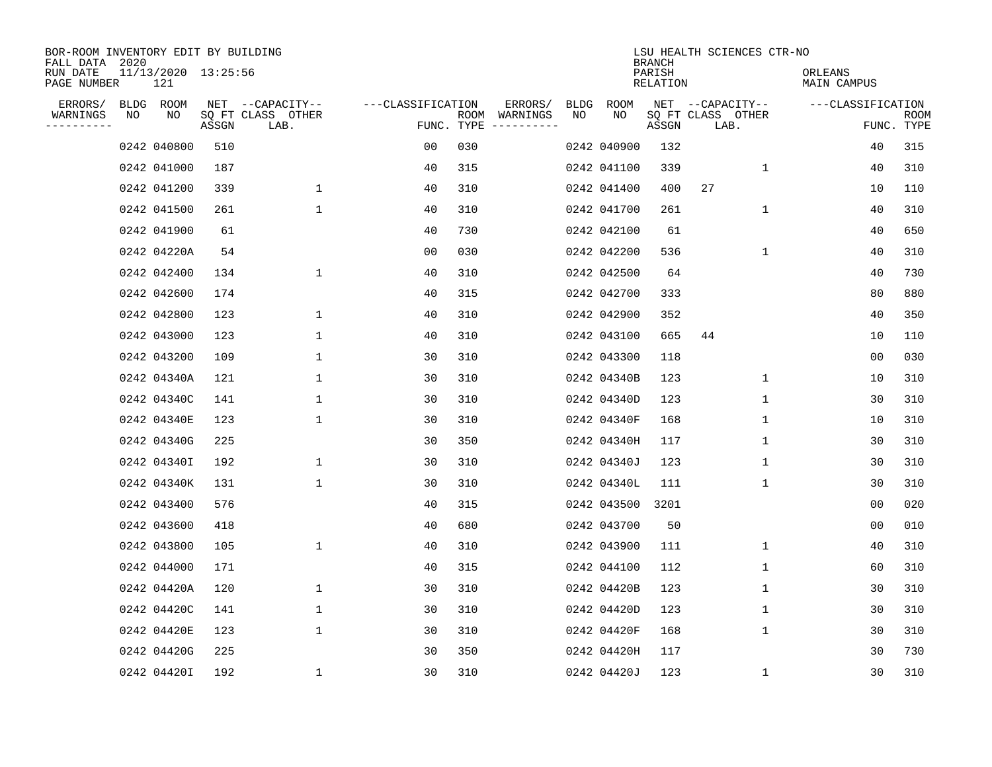| BOR-ROOM INVENTORY EDIT BY BUILDING<br>FALL DATA 2020 |    |                            |       |                           |                   |                    |                         | LSU HEALTH SCIENCES CTR-NO<br><b>BRANCH</b> |             |                    |                           |             |                        |                |                           |
|-------------------------------------------------------|----|----------------------------|-------|---------------------------|-------------------|--------------------|-------------------------|---------------------------------------------|-------------|--------------------|---------------------------|-------------|------------------------|----------------|---------------------------|
| RUN DATE<br>PAGE NUMBER                               |    | 11/13/2020 13:25:56<br>121 |       |                           |                   |                    |                         |                                             |             | PARISH<br>RELATION |                           |             | ORLEANS<br>MAIN CAMPUS |                |                           |
| ERRORS/                                               |    | BLDG ROOM                  |       | NET --CAPACITY--          | ---CLASSIFICATION |                    | ERRORS/                 | BLDG                                        | ROOM        |                    | NET --CAPACITY--          |             | ---CLASSIFICATION      |                |                           |
| WARNINGS<br>----------                                | NO | NO                         | ASSGN | SQ FT CLASS OTHER<br>LAB. |                   | ROOM<br>FUNC. TYPE | WARNINGS<br>----------- | NO                                          | NO          | ASSGN              | SQ FT CLASS OTHER<br>LAB. |             |                        |                | <b>ROOM</b><br>FUNC. TYPE |
|                                                       |    | 0242 040800                | 510   |                           | 00                | 030                |                         |                                             | 0242 040900 | 132                |                           |             |                        | 40             | 315                       |
|                                                       |    | 0242 041000                | 187   |                           | 40                | 315                |                         |                                             | 0242 041100 | 339                |                           | 1           |                        | 40             | 310                       |
|                                                       |    | 0242 041200                | 339   | $\mathbf 1$               | 40                | 310                |                         |                                             | 0242 041400 | 400                | 27                        |             |                        | 10             | 110                       |
|                                                       |    | 0242 041500                | 261   | $\mathbf 1$               | 40                | 310                |                         |                                             | 0242 041700 | 261                |                           | $\mathbf 1$ |                        | 40             | 310                       |
|                                                       |    | 0242 041900                | 61    |                           | 40                | 730                |                         |                                             | 0242 042100 | 61                 |                           |             |                        | 40             | 650                       |
|                                                       |    | 0242 04220A                | 54    |                           | 0 <sub>0</sub>    | 030                |                         |                                             | 0242 042200 | 536                |                           | $\mathbf 1$ |                        | 40             | 310                       |
|                                                       |    | 0242 042400                | 134   | $\mathbf{1}$              | 40                | 310                |                         |                                             | 0242 042500 | 64                 |                           |             |                        | 40             | 730                       |
|                                                       |    | 0242 042600                | 174   |                           | 40                | 315                |                         |                                             | 0242 042700 | 333                |                           |             |                        | 80             | 880                       |
|                                                       |    | 0242 042800                | 123   | $\mathbf 1$               | 40                | 310                |                         |                                             | 0242 042900 | 352                |                           |             |                        | 40             | 350                       |
|                                                       |    | 0242 043000                | 123   | 1                         | 40                | 310                |                         |                                             | 0242 043100 | 665                | 44                        |             |                        | 10             | 110                       |
|                                                       |    | 0242 043200                | 109   | 1                         | 30                | 310                |                         |                                             | 0242 043300 | 118                |                           |             |                        | 0 <sub>0</sub> | 030                       |
|                                                       |    | 0242 04340A                | 121   | 1                         | 30                | 310                |                         |                                             | 0242 04340B | 123                |                           | 1           |                        | 10             | 310                       |
|                                                       |    | 0242 04340C                | 141   | 1                         | 30                | 310                |                         |                                             | 0242 04340D | 123                |                           | $\mathbf 1$ |                        | 30             | 310                       |
|                                                       |    | 0242 04340E                | 123   | 1                         | 30                | 310                |                         |                                             | 0242 04340F | 168                |                           | 1           |                        | 10             | 310                       |
|                                                       |    | 0242 04340G                | 225   |                           | 30                | 350                |                         |                                             | 0242 04340H | 117                |                           | 1           |                        | 30             | 310                       |
|                                                       |    | 0242 04340I                | 192   | 1                         | 30                | 310                |                         |                                             | 0242 04340J | 123                |                           | 1           |                        | 30             | 310                       |
|                                                       |    | 0242 04340K                | 131   | $\mathbf{1}$              | 30                | 310                |                         |                                             | 0242 04340L | 111                |                           | 1           |                        | 30             | 310                       |
|                                                       |    | 0242 043400                | 576   |                           | 40                | 315                |                         |                                             | 0242 043500 | 3201               |                           |             |                        | 0 <sub>0</sub> | 020                       |
|                                                       |    | 0242 043600                | 418   |                           | 40                | 680                |                         |                                             | 0242 043700 | 50                 |                           |             |                        | 0 <sub>0</sub> | 010                       |
|                                                       |    | 0242 043800                | 105   | $\mathbf 1$               | 40                | 310                |                         |                                             | 0242 043900 | 111                |                           | 1           |                        | 40             | 310                       |
|                                                       |    | 0242 044000                | 171   |                           | 40                | 315                |                         |                                             | 0242 044100 | 112                |                           | 1           |                        | 60             | 310                       |
|                                                       |    | 0242 04420A                | 120   | $\mathbf 1$               | 30                | 310                |                         |                                             | 0242 04420B | 123                |                           | 1           |                        | 30             | 310                       |
|                                                       |    | 0242 04420C                | 141   | 1                         | 30                | 310                |                         |                                             | 0242 04420D | 123                |                           | 1           |                        | 30             | 310                       |
|                                                       |    | 0242 04420E                | 123   | $\mathbf{1}$              | 30                | 310                |                         |                                             | 0242 04420F | 168                |                           | $\mathbf 1$ |                        | 30             | 310                       |
|                                                       |    | 0242 04420G                | 225   |                           | 30                | 350                |                         |                                             | 0242 04420H | 117                |                           |             |                        | 30             | 730                       |
|                                                       |    | 0242 04420I                | 192   | $\mathbf{1}$              | 30                | 310                |                         |                                             | 0242 04420J | 123                |                           | 1           |                        | 30             | 310                       |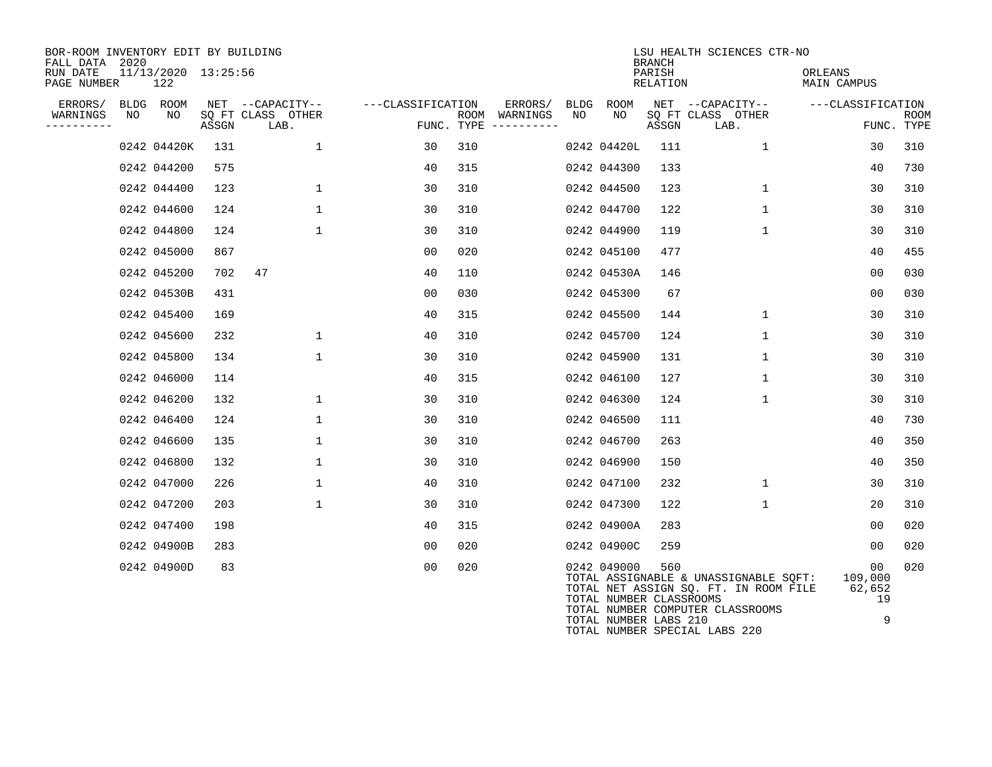| BOR-ROOM INVENTORY EDIT BY BUILDING<br>FALL DATA 2020 |            |                            |       |                                               |                   | LSU HEALTH SCIENCES CTR-NO<br><b>BRANCH</b> |                     |            |                                        |                    |                                                                                                                    |                               |                    |
|-------------------------------------------------------|------------|----------------------------|-------|-----------------------------------------------|-------------------|---------------------------------------------|---------------------|------------|----------------------------------------|--------------------|--------------------------------------------------------------------------------------------------------------------|-------------------------------|--------------------|
| RUN DATE<br>PAGE NUMBER                               |            | 11/13/2020 13:25:56<br>122 |       |                                               |                   |                                             |                     |            |                                        | PARISH<br>RELATION |                                                                                                                    | ORLEANS<br><b>MAIN CAMPUS</b> |                    |
| ERRORS/<br>WARNINGS<br>----------                     | BLDG<br>NO | ROOM<br>NO                 | ASSGN | NET --CAPACITY--<br>SQ FT CLASS OTHER<br>LAB. | ---CLASSIFICATION | ROOM<br>FUNC. TYPE                          | ERRORS/<br>WARNINGS | BLDG<br>NO | ROOM<br>NO                             | ASSGN              | NET --CAPACITY--<br>SQ FT CLASS OTHER<br>LAB.                                                                      | ---CLASSIFICATION             | ROOM<br>FUNC. TYPE |
|                                                       |            | 0242 04420K                | 131   | $\mathbf{1}$                                  | 30                | 310                                         |                     |            | 0242 04420L                            | 111                | $\mathbf{1}$                                                                                                       | 30                            | 310                |
|                                                       |            | 0242 044200                | 575   |                                               | 40                | 315                                         |                     |            | 0242 044300                            | 133                |                                                                                                                    | 40                            | 730                |
|                                                       |            | 0242 044400                | 123   | $\mathbf 1$                                   | 30                | 310                                         |                     |            | 0242 044500                            | 123                | $\mathbf 1$                                                                                                        | 30                            | 310                |
|                                                       |            | 0242 044600                | 124   | $\mathbf{1}$                                  | 30                | 310                                         |                     |            | 0242 044700                            | 122                | $\mathbf{1}$                                                                                                       | 30                            | 310                |
|                                                       |            | 0242 044800                | 124   | $\mathbf{1}$                                  | 30                | 310                                         |                     |            | 0242 044900                            | 119                | $\mathbf{1}$                                                                                                       | 30                            | 310                |
|                                                       |            | 0242 045000                | 867   |                                               | 00                | 020                                         |                     |            | 0242 045100                            | 477                |                                                                                                                    | 40                            | 455                |
|                                                       |            | 0242 045200                | 702   | 47                                            | 40                | 110                                         |                     |            | 0242 04530A                            | 146                |                                                                                                                    | 0 <sub>0</sub>                | 030                |
|                                                       |            | 0242 04530B                | 431   |                                               | 00                | 030                                         |                     |            | 0242 045300                            | 67                 |                                                                                                                    | 0 <sub>0</sub>                | 030                |
|                                                       |            | 0242 045400                | 169   |                                               | 40                | 315                                         |                     |            | 0242 045500                            | 144                | $\mathbf{1}$                                                                                                       | 30                            | 310                |
|                                                       |            | 0242 045600                | 232   | $\mathbf{1}$                                  | 40                | 310                                         |                     |            | 0242 045700                            | 124                | $\mathbf 1$                                                                                                        | 30                            | 310                |
|                                                       |            | 0242 045800                | 134   | $\mathbf{1}$                                  | 30                | 310                                         |                     |            | 0242 045900                            | 131                | $\mathbf{1}$                                                                                                       | 30                            | 310                |
|                                                       |            | 0242 046000                | 114   |                                               | 40                | 315                                         |                     |            | 0242 046100                            | 127                | $\mathbf{1}$                                                                                                       | 30                            | 310                |
|                                                       |            | 0242 046200                | 132   | $\mathbf{1}$                                  | 30                | 310                                         |                     |            | 0242 046300                            | 124                | 1                                                                                                                  | 30                            | 310                |
|                                                       |            | 0242 046400                | 124   | $\mathbf 1$                                   | 30                | 310                                         |                     |            | 0242 046500                            | 111                |                                                                                                                    | 40                            | 730                |
|                                                       |            | 0242 046600                | 135   | $\mathbf{1}$                                  | 30                | 310                                         |                     |            | 0242 046700                            | 263                |                                                                                                                    | 40                            | 350                |
|                                                       |            | 0242 046800                | 132   | 1                                             | 30                | 310                                         |                     |            | 0242 046900                            | 150                |                                                                                                                    | 40                            | 350                |
|                                                       |            | 0242 047000                | 226   | $\mathbf 1$                                   | 40                | 310                                         |                     |            | 0242 047100                            | 232                | $\mathbf{1}$                                                                                                       | 30                            | 310                |
|                                                       |            | 0242 047200                | 203   | $\mathbf 1$                                   | 30                | 310                                         |                     |            | 0242 047300                            | 122                | $\mathbf{1}$                                                                                                       | 20                            | 310                |
|                                                       |            | 0242 047400                | 198   |                                               | 40                | 315                                         |                     |            | 0242 04900A                            | 283                |                                                                                                                    | 0 <sub>0</sub>                | 020                |
|                                                       |            | 0242 04900B                | 283   |                                               | 0 <sub>0</sub>    | 020                                         |                     |            | 0242 04900C                            | 259                |                                                                                                                    | 0 <sup>0</sup>                | 020                |
|                                                       |            | 0242 04900D                | 83    |                                               | 0 <sub>0</sub>    | 020                                         |                     |            | 0242 049000<br>TOTAL NUMBER CLASSROOMS | 560                | TOTAL ASSIGNABLE & UNASSIGNABLE SQFT:<br>TOTAL NET ASSIGN SQ. FT. IN ROOM FILE<br>TOTAL NUMBER COMPUTER CLASSROOMS | 00<br>109,000<br>62,652<br>19 | 020                |

TOTAL NUMBER LABS 210 9

TOTAL NUMBER SPECIAL LABS 220